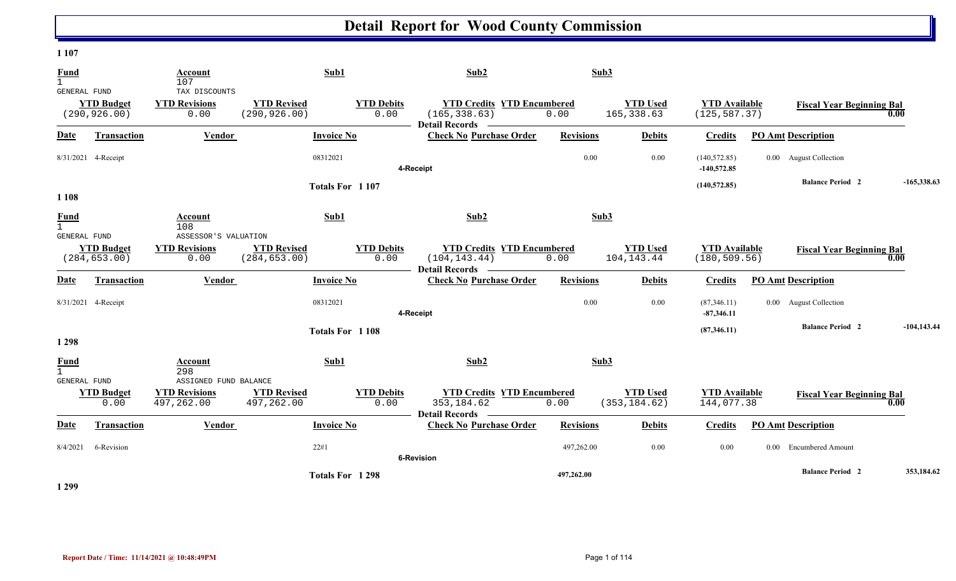#### **1 107**

| <b>Fund</b><br>$\mathbf{1}$                 |                                    | Account<br>107                                | Sub1                                |                           | Sub2                                                                                                  | Sub3             |                                  |                                       |                                      |                                          |
|---------------------------------------------|------------------------------------|-----------------------------------------------|-------------------------------------|---------------------------|-------------------------------------------------------------------------------------------------------|------------------|----------------------------------|---------------------------------------|--------------------------------------|------------------------------------------|
| GENERAL FUND                                | <b>YTD Budget</b><br>(290, 926.00) | TAX DISCOUNTS<br><b>YTD Revisions</b><br>0.00 | <b>YTD Revised</b><br>(290, 926.00) | <b>YTD Debits</b><br>0.00 | <b>YTD Credits YTD Encumbered</b><br>(165, 338.63)<br>Detail Records <b>Lating</b>                    | 0.00             | <b>YTD Used</b><br>165, 338.63   | <b>YTD Available</b><br>(125, 587.37) |                                      | <b>Fiscal Year Beginning Bal</b><br>0.00 |
| Date                                        | <b>Transaction</b>                 | Vendor                                        | <b>Invoice No</b>                   |                           | <b>Check No Purchase Order</b>                                                                        | <b>Revisions</b> | <b>Debits</b>                    | <b>Credits</b>                        | <b>PO Amt Description</b>            |                                          |
|                                             | 8/31/2021 4-Receipt                |                                               | 08312021                            |                           | 4-Receipt                                                                                             | 0.00             | 0.00                             | (140, 572.85)<br>$-140,572.85$        | 0.00 August Collection               |                                          |
| 1 1 0 8                                     |                                    |                                               | Totals For 1107                     |                           |                                                                                                       |                  |                                  | (140, 572.85)                         | <b>Balance Period 2</b>              | $-165,338.63$                            |
| Fund<br>GENERAL FUND                        |                                    | <b>Account</b><br>108<br>ASSESSOR'S VALUATION | Sub1                                |                           | Sub2                                                                                                  | Sub3             |                                  |                                       |                                      |                                          |
|                                             | <b>YTD Budget</b><br>(284, 653.00) | <b>YTD Revisions</b><br>0.00                  | <b>YTD Revised</b><br>(284, 653.00) | <b>YTD Debits</b><br>0.00 | <b>YTD Credits YTD Encumbered</b><br>(104, 143.44)<br>Detail Records –                                | 0.00             | <b>YTD</b> Used<br>104, 143. 44  | <b>YTD Available</b><br>(180, 509.56) |                                      | <b>Fiscal Year Beginning Bal</b><br>0.00 |
| <b>Date</b>                                 | <b>Transaction</b>                 | Vendor                                        | <b>Invoice No</b>                   |                           | <b>Check No Purchase Order</b>                                                                        | <b>Revisions</b> | <b>Debits</b>                    | <b>Credits</b>                        | <b>PO Amt Description</b>            |                                          |
|                                             | 8/31/2021 4-Receipt                |                                               | 08312021                            |                           | 4-Receipt                                                                                             | 0.00             | 0.00                             | (87,346.11)<br>$-87,346.11$           | 0.00 August Collection               |                                          |
| 1 2 9 8                                     |                                    |                                               | Totals For 1108                     |                           |                                                                                                       |                  |                                  | (87,346.11)                           | <b>Balance Period 2</b>              | $-104, 143.44$                           |
| Fund<br>$\mathbf{1}$<br><b>GENERAL FUND</b> |                                    | Account<br>298<br>ASSIGNED FUND BALANCE       | Sub1                                |                           | Sub2                                                                                                  | Sub3             |                                  |                                       |                                      |                                          |
|                                             | <b>YTD Budget</b><br>0.00          | <b>YTD Revisions</b><br>497,262.00            | <b>YTD Revised</b><br>497,262.00    | <b>YTD Debits</b><br>0.00 | <b>YTD Credits YTD Encumbered</b><br>353, 184.62<br><b>Detail Records</b><br>$\overline{\phantom{a}}$ | 0.00             | <b>YTD</b> Used<br>(353, 184.62) | <b>YTD Available</b><br>144,077.38    |                                      | <b>Fiscal Year Beginning Bal</b><br>0.00 |
| <b>Date</b>                                 | <b>Transaction</b>                 | <b>Vendor</b>                                 | <b>Invoice No</b>                   |                           | <b>Check No Purchase Order</b>                                                                        | <b>Revisions</b> | <b>Debits</b>                    | <b>Credits</b>                        | <b>PO Amt Description</b>            |                                          |
| 8/4/2021                                    | 6-Revision                         |                                               | 22#1                                |                           | <b>6-Revision</b>                                                                                     | 497,262.00       | 0.00                             | 0.00                                  | <b>Encumbered Amount</b><br>$0.00\,$ |                                          |
|                                             |                                    |                                               | Totals For 1298                     |                           |                                                                                                       | 497,262.00       |                                  |                                       | <b>Balance Period 2</b>              | 353,184.62                               |

**1 299**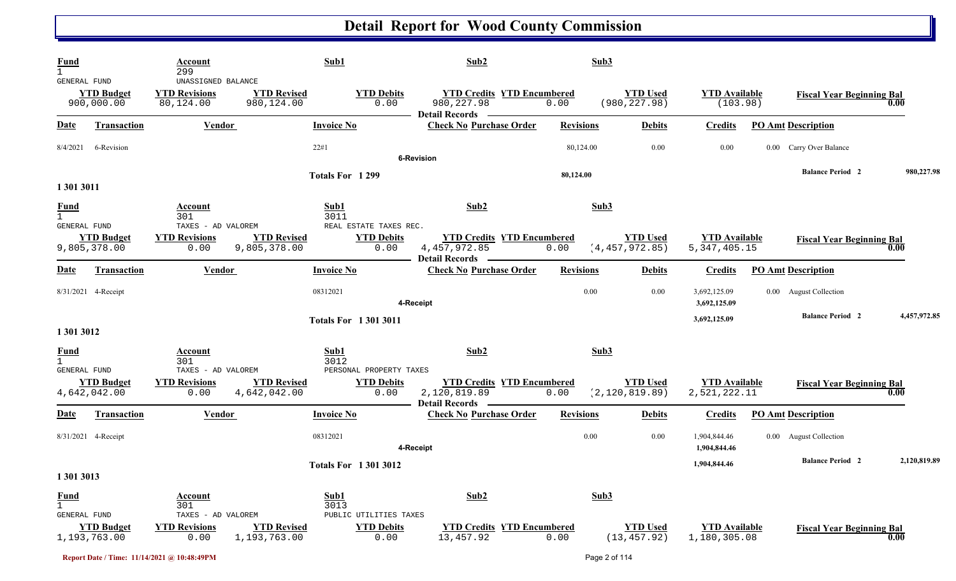| Fund<br>GENERAL FUND                        | <b>YTD Budget</b><br>900,000.00    | Account<br>299<br>UNASSIGNED BALANCE<br><b>YTD Revisions</b><br>80,124.00   | <b>YTD Revised</b><br>980,124.00   | Sub1<br><b>YTD Debits</b><br>0.00                                   | Sub2<br><b>YTD Credits YTD Encumbered</b><br>980, 227.98                   | 0.00                     | Sub3<br><b>YTD Used</b><br>(980, 227.98) | <b>YTD Available</b><br>(103.98)     | <b>Fiscal Year Beginning Bal</b> | 0.00         |
|---------------------------------------------|------------------------------------|-----------------------------------------------------------------------------|------------------------------------|---------------------------------------------------------------------|----------------------------------------------------------------------------|--------------------------|------------------------------------------|--------------------------------------|----------------------------------|--------------|
| <u>Date</u>                                 | <b>Transaction</b>                 | Vendor                                                                      |                                    | <b>Invoice No</b>                                                   | <b>Detail Records</b><br><b>Check No Purchase Order</b>                    | <b>Revisions</b>         | <b>Debits</b>                            | <b>Credits</b>                       | <b>PO Amt Description</b>        |              |
| 8/4/2021                                    | 6-Revision                         |                                                                             |                                    | 22#1                                                                | <b>6-Revision</b>                                                          | 80,124.00                | 0.00                                     | 0.00                                 | 0.00 Carry Over Balance          |              |
| 1 301 3011                                  |                                    |                                                                             |                                    | Totals For 1299                                                     |                                                                            | 80,124.00                |                                          |                                      | <b>Balance Period 2</b>          | 980,227.98   |
| <b>Fund</b><br><b>GENERAL FUND</b>          | <b>YTD Budget</b>                  | Account<br>301<br>TAXES - AD VALOREM<br><b>YTD Revisions</b>                | <b>YTD Revised</b>                 | Sub1<br>3011<br>REAL ESTATE TAXES REC.<br><b>YTD Debits</b>         | Sub2<br><b>YTD Credits YTD Encumbered</b>                                  |                          | Sub3<br><b>YTD Used</b>                  | <b>YTD</b> Available                 | <b>Fiscal Year Beginning Bal</b> |              |
| <b>Date</b>                                 | 9,805,378.00<br><b>Transaction</b> | 0.00<br>Vendor                                                              | 9,805,378.00                       | 0.00<br><b>Invoice No</b>                                           | 4, 457, 972.85<br><b>Detail Records</b><br><b>Check No Purchase Order</b>  | 0.00<br><b>Revisions</b> | (4, 457, 972.85)<br><b>Debits</b>        | 5, 347, 405. 15<br><b>Credits</b>    | <b>PO Amt Description</b>        | 0.00         |
|                                             | 8/31/2021 4-Receipt                |                                                                             |                                    | 08312021                                                            | 4-Receipt                                                                  | 0.00                     | 0.00                                     | 3,692,125.09<br>3,692,125.09         | 0.00 August Collection           |              |
| 1 301 3012                                  |                                    |                                                                             |                                    | <b>Totals For 13013011</b>                                          |                                                                            |                          |                                          | 3,692,125.09                         | <b>Balance Period 2</b>          | 4,457,972.85 |
| <b>Fund</b><br>1<br>GENERAL FUND            |                                    | Account<br>301<br>TAXES - AD VALOREM                                        |                                    | Sub1<br>3012<br>PERSONAL PROPERTY TAXES                             | Sub2                                                                       | Sub3                     |                                          |                                      |                                  |              |
|                                             | <b>YTD Budget</b><br>4,642,042.00  | <b>YTD Revisions</b><br>0.00                                                | <b>YTD Revised</b><br>4,642,042.00 | <b>YTD Debits</b><br>0.00                                           | <b>YTD Credits YTD Encumbered</b><br>2,120,819.89<br><b>Detail Records</b> | 0.00                     | <b>YTD Used</b><br>(2, 120, 819.89)      | <b>YTD Available</b><br>2,521,222.11 | <b>Fiscal Year Beginning Bal</b> | 0.00         |
| <u>Date</u>                                 | <b>Transaction</b>                 | <b>Vendor</b>                                                               |                                    | <b>Invoice No</b>                                                   | <b>Check No Purchase Order</b>                                             | <b>Revisions</b>         | <b>Debits</b>                            | <b>Credits</b>                       | <b>PO Amt Description</b>        |              |
|                                             | 8/31/2021 4-Receipt                |                                                                             |                                    | 08312021                                                            | 4-Receipt                                                                  | 0.00                     | 0.00                                     | 1,904,844.46<br>1,904,844.46         | 0.00 August Collection           |              |
| 1 301 3013                                  |                                    |                                                                             |                                    | <b>Totals For 13013012</b>                                          |                                                                            |                          |                                          | 1,904,844.46                         | <b>Balance Period 2</b>          | 2,120,819.89 |
| <b>Fund</b><br>$\mathbf{1}$<br>GENERAL FUND | <b>YTD</b> Budget<br>1,193,763.00  | <b>Account</b><br>301<br>TAXES - AD VALOREM<br><b>YTD Revisions</b><br>0.00 | <b>YTD Revised</b><br>1,193,763.00 | Sub1<br>3013<br>PUBLIC UTILITIES TAXES<br><b>YTD Debits</b><br>0.00 | Sub2<br><b>YTD Credits YTD Encumbered</b><br>13,457.92                     | 0.00                     | Sub3<br><b>YTD Used</b><br>(13, 457.92)  | <b>YTD Available</b><br>1,180,305.08 | <b>Fiscal Year Beginning Bal</b> | 0.00         |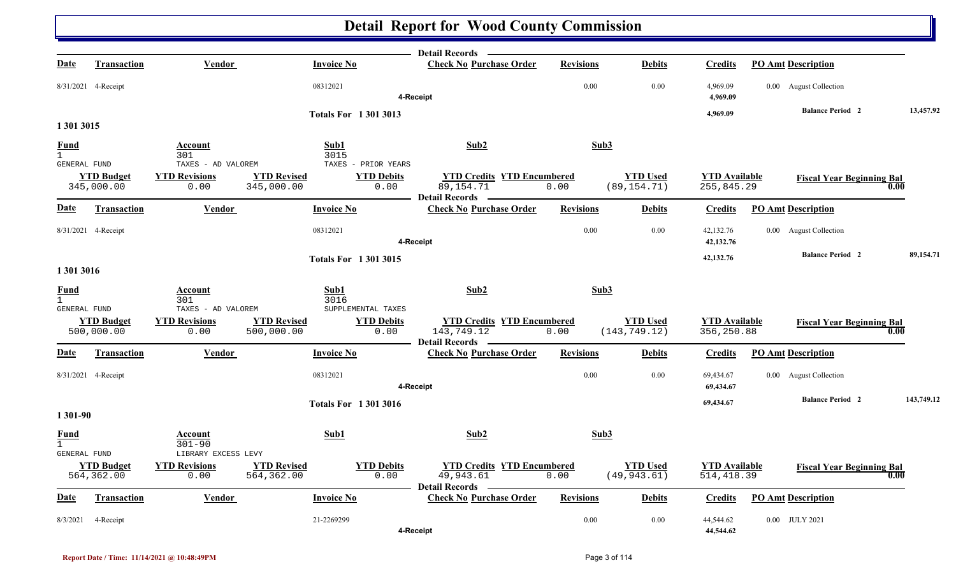|                               |                                 |                                                     |                                  |                                                  | Detail Records —                                                         |                  |                                  |                                     |                                  |            |
|-------------------------------|---------------------------------|-----------------------------------------------------|----------------------------------|--------------------------------------------------|--------------------------------------------------------------------------|------------------|----------------------------------|-------------------------------------|----------------------------------|------------|
| Date                          | <b>Transaction</b>              | Vendor                                              | <b>Invoice No</b>                |                                                  | <b>Check No Purchase Order</b>                                           | <b>Revisions</b> | <b>Debits</b>                    | <b>Credits</b>                      | <b>PO Amt Description</b>        |            |
|                               | 8/31/2021 4-Receipt             |                                                     | 08312021                         |                                                  | 4-Receipt                                                                | 0.00             | 0.00                             | 4,969.09<br>4,969.09                | 0.00 August Collection           |            |
|                               |                                 |                                                     |                                  | <b>Totals For 13013013</b>                       |                                                                          |                  |                                  | 4,969.09                            | <b>Balance Period 2</b>          | 13,457.92  |
| 1 301 3015                    |                                 |                                                     |                                  |                                                  |                                                                          |                  |                                  |                                     |                                  |            |
| <b>Fund</b><br>$\overline{1}$ |                                 | Account<br>301                                      | Sub1<br>3015                     |                                                  | Sub <sub>2</sub>                                                         | Sub3             |                                  |                                     |                                  |            |
| <b>GENERAL FUND</b>           | <b>YTD Budget</b><br>345,000.00 | TAXES - AD VALOREM<br><b>YTD Revisions</b><br>0.00  | <b>YTD Revised</b><br>345,000.00 | TAXES - PRIOR YEARS<br><b>YTD Debits</b><br>0.00 | <b>YTD Credits YTD Encumbered</b><br>89,154.71<br><b>Detail Records</b>  | 0.00             | <b>YTD Used</b><br>(89, 154.71)  | <b>YTD</b> Available<br>255,845.29  | <b>Fiscal Year Beginning Bal</b> | 0.00       |
| <u>Date</u>                   | Transaction                     | Vendor                                              | <b>Invoice No</b>                |                                                  | <b>Check No Purchase Order</b>                                           | <b>Revisions</b> | <b>Debits</b>                    | <b>Credits</b>                      | <b>PO Amt Description</b>        |            |
|                               | 8/31/2021 4-Receipt             |                                                     | 08312021                         |                                                  | 4-Receipt                                                                | 0.00             | 0.00                             | 42,132.76<br>42,132.76              | 0.00 August Collection           |            |
| 1 301 3016                    |                                 |                                                     |                                  | <b>Totals For 13013015</b>                       |                                                                          |                  |                                  | 42,132.76                           | <b>Balance Period 2</b>          | 89,154.71  |
| <b>Fund</b><br>$\mathbf{1}$   |                                 | Account<br>301                                      | Sub1<br>3016                     |                                                  | Sub <sub>2</sub>                                                         | Sub3             |                                  |                                     |                                  |            |
| GENERAL FUND                  | <b>YTD Budget</b><br>500,000.00 | TAXES - AD VALOREM<br><b>YTD Revisions</b><br>0.00  | <b>YTD Revised</b><br>500,000.00 | SUPPLEMENTAL TAXES<br><b>YTD Debits</b><br>0.00  | <b>YTD Credits YTD Encumbered</b><br>143,749.12<br><b>Detail Records</b> | 0.00             | <b>YTD Used</b><br>(143, 749.12) | <b>YTD Available</b><br>356,250.88  | <b>Fiscal Year Beginning Bal</b> | 0.00       |
| Date                          | <b>Transaction</b>              | <b>Vendor</b>                                       | <b>Invoice No</b>                |                                                  | <b>Check No Purchase Order</b>                                           | <b>Revisions</b> | <b>Debits</b>                    | <b>Credits</b>                      | <b>PO Amt Description</b>        |            |
|                               | 8/31/2021 4-Receipt             |                                                     | 08312021                         |                                                  | 4-Receipt                                                                | 0.00             | 0.00                             | 69,434.67<br>69,434.67              | 0.00 August Collection           |            |
| 1 301-90                      |                                 |                                                     |                                  | <b>Totals For 13013016</b>                       |                                                                          |                  |                                  | 69,434.67                           | <b>Balance Period 2</b>          | 143,749.12 |
| <b>Fund</b><br>$\mathbf{1}$   |                                 | Account<br>$301 - 90$                               | Sub1                             |                                                  | Sub2                                                                     | Sub3             |                                  |                                     |                                  |            |
| GENERAL FUND                  | <b>YTD Budget</b><br>564,362.00 | LIBRARY EXCESS LEVY<br><b>YTD Revisions</b><br>0.00 | <b>YTD Revised</b><br>564,362.00 | <b>YTD Debits</b><br>0.00                        | <b>YTD Credits YTD Encumbered</b><br>49,943.61<br><b>Detail Records</b>  | 0.00             | <b>YTD Used</b><br>(49, 943.61)  | <b>YTD Available</b><br>514, 418.39 | <b>Fiscal Year Beginning Bal</b> | 0.00       |
| Date                          | <b>Transaction</b>              | <b>Vendor</b>                                       | <b>Invoice No</b>                |                                                  | <b>Check No Purchase Order</b>                                           | <b>Revisions</b> | <b>Debits</b>                    | <b>Credits</b>                      | <b>PO Amt Description</b>        |            |
| 8/3/2021                      | 4-Receipt                       |                                                     | 21-2269299                       |                                                  | 4-Receipt                                                                | 0.00             | 0.00                             | 44,544.62<br>44,544.62              | 0.00 JULY 2021                   |            |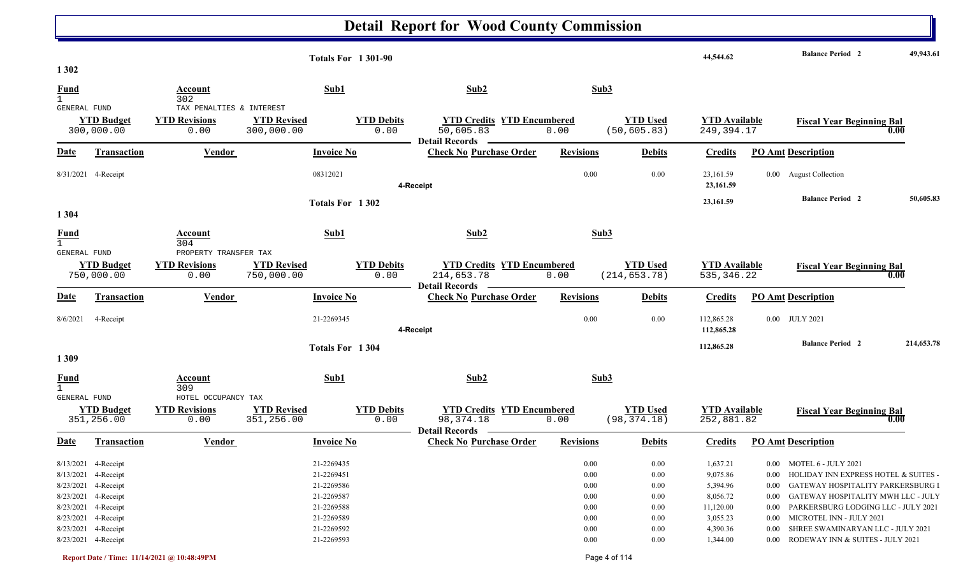|                                             |                                 |                                                          |                                  | <b>Totals For 1301-90</b> |                           |                                                                          |                  |                                  | 44,544.62                            |          | <b>Balance Period 2</b>                   | 49,943.61  |
|---------------------------------------------|---------------------------------|----------------------------------------------------------|----------------------------------|---------------------------|---------------------------|--------------------------------------------------------------------------|------------------|----------------------------------|--------------------------------------|----------|-------------------------------------------|------------|
| 1 3 0 2                                     |                                 |                                                          |                                  |                           |                           |                                                                          |                  |                                  |                                      |          |                                           |            |
| <b>Fund</b><br>$\mathbf{1}$                 |                                 | Account<br>302                                           |                                  | Sub1                      |                           | Sub2                                                                     |                  | Sub3                             |                                      |          |                                           |            |
| GENERAL FUND                                | <b>YTD Budget</b><br>300,000.00 | TAX PENALTIES & INTEREST<br><b>YTD Revisions</b><br>0.00 | <b>YTD Revised</b><br>300,000.00 |                           | <b>YTD Debits</b><br>0.00 | <b>YTD Credits YTD Encumbered</b><br>50,605.83<br><b>Detail Records</b>  | 0.00             | <b>YTD Used</b><br>(50, 605.83)  | <b>YTD Available</b><br>249, 394. 17 |          | <b>Fiscal Year Beginning Bal</b><br>0.00  |            |
| <b>Date</b>                                 | Transaction                     | Vendor                                                   |                                  | <b>Invoice No</b>         |                           | <b>Check No Purchase Order</b>                                           | <b>Revisions</b> | <b>Debits</b>                    | <b>Credits</b>                       |          | <b>PO Amt Description</b>                 |            |
|                                             | 8/31/2021 4-Receipt             |                                                          |                                  | 08312021                  | 4-Receipt                 |                                                                          | 0.00             | 0.00                             | 23,161.59<br>23,161.59               |          | 0.00 August Collection                    |            |
|                                             |                                 |                                                          |                                  | Totals For 1302           |                           |                                                                          |                  |                                  | 23,161.59                            |          | <b>Balance Period 2</b>                   | 50,605.83  |
| 1 3 0 4                                     |                                 |                                                          |                                  |                           |                           |                                                                          |                  |                                  |                                      |          |                                           |            |
| <b>Fund</b><br>$\mathbf{1}$                 |                                 | Account<br>304                                           |                                  | Sub1                      |                           | Sub2                                                                     |                  | Sub3                             |                                      |          |                                           |            |
| GENERAL FUND                                | <b>YTD Budget</b><br>750,000.00 | PROPERTY TRANSFER TAX<br><b>YTD Revisions</b><br>0.00    | <b>YTD Revised</b><br>750,000.00 |                           | <b>YTD Debits</b><br>0.00 | <b>YTD Credits YTD Encumbered</b><br>214,653.78<br><b>Detail Records</b> | 0.00             | <b>YTD Used</b><br>(214, 653.78) | <b>YTD Available</b><br>535, 346.22  |          | <b>Fiscal Year Beginning Bal</b><br>0.00  |            |
| <u>Date</u>                                 | <b>Transaction</b>              | <b>Vendor</b>                                            |                                  | <b>Invoice No</b>         |                           | <b>Check No Purchase Order</b>                                           | <b>Revisions</b> | <b>Debits</b>                    | <b>Credits</b>                       |          | <b>PO Amt Description</b>                 |            |
| 8/6/2021                                    | 4-Receipt                       |                                                          |                                  | 21-2269345                |                           | 4-Receipt                                                                | 0.00             | 0.00                             | 112,865.28<br>112,865.28             |          | 0.00 JULY 2021                            |            |
|                                             |                                 |                                                          |                                  | Totals For 1304           |                           |                                                                          |                  |                                  | 112,865.28                           |          | <b>Balance Period 2</b>                   | 214,653.78 |
| 1 3 0 9                                     |                                 |                                                          |                                  |                           |                           |                                                                          |                  |                                  |                                      |          |                                           |            |
| <b>Fund</b><br>$\mathbf{1}$<br>GENERAL FUND |                                 | Account<br>309<br>HOTEL OCCUPANCY TAX                    |                                  | Sub1                      |                           | Sub2                                                                     |                  | Sub3                             |                                      |          |                                           |            |
|                                             | <b>YTD Budget</b><br>351,256.00 | <b>YTD Revisions</b><br>0.00                             | <b>YTD Revised</b><br>351,256.00 |                           | <b>YTD Debits</b><br>0.00 | <b>YTD Credits YTD Encumbered</b><br>98, 374. 18                         | 0.00             | <b>YTD Used</b><br>(98, 374.18)  | <b>YTD Available</b><br>252,881.82   |          | <b>Fiscal Year Beginning Bal</b><br>0.00  |            |
| Date                                        | <b>Transaction</b>              | <b>Vendor</b>                                            |                                  | <b>Invoice No</b>         |                           | <b>Check No Purchase Order</b>                                           | <b>Revisions</b> | <b>Debits</b>                    | <b>Credits</b>                       |          | <b>PO Amt Description</b>                 |            |
|                                             | 8/13/2021 4-Receipt             |                                                          |                                  | 21-2269435                |                           |                                                                          | 0.00             | 0.00                             | 1,637.21                             |          | 0.00 MOTEL 6 - JULY 2021                  |            |
|                                             | 8/13/2021 4-Receipt             |                                                          |                                  | 21-2269451                |                           |                                                                          | $0.00\,$         | 0.00                             | 9,075.86                             |          | 0.00 HOLIDAY INN EXPRESS HOTEL & SUITES - |            |
|                                             | 8/23/2021 4-Receipt             |                                                          |                                  | 21-2269586                |                           |                                                                          | $0.00\,$         | 0.00                             | 5,394.96                             |          | 0.00 GATEWAY HOSPITALITY PARKERSBURG I    |            |
|                                             | 8/23/2021 4-Receipt             |                                                          |                                  | 21-2269587                |                           |                                                                          | $0.00\,$         | $0.00\,$                         | 8,056.72                             |          | 0.00 GATEWAY HOSPITALITY MWH LLC - JULY   |            |
|                                             | 8/23/2021 4-Receipt             |                                                          |                                  | 21-2269588                |                           |                                                                          | $0.00\,$         | $0.00\,$                         | 11,120.00                            | $0.00\,$ | PARKERSBURG LODGING LLC - JULY 2021       |            |
|                                             | 8/23/2021 4-Receipt             |                                                          |                                  | 21-2269589                |                           |                                                                          | $0.00\,$         | 0.00                             | 3,055.23                             | $0.00\,$ | MICROTEL INN - JULY 2021                  |            |
|                                             | 8/23/2021 4-Receipt             |                                                          |                                  | 21-2269592                |                           |                                                                          | 0.00             | 0.00                             | 4,390.36                             | $0.00\,$ | SHREE SWAMINARYAN LLC - JULY 2021         |            |
|                                             | 8/23/2021 4-Receipt             |                                                          |                                  | 21-2269593                |                           |                                                                          | $0.00\,$         | 0.00                             | 1,344.00                             |          | 0.00 RODEWAY INN & SUITES - JULY 2021     |            |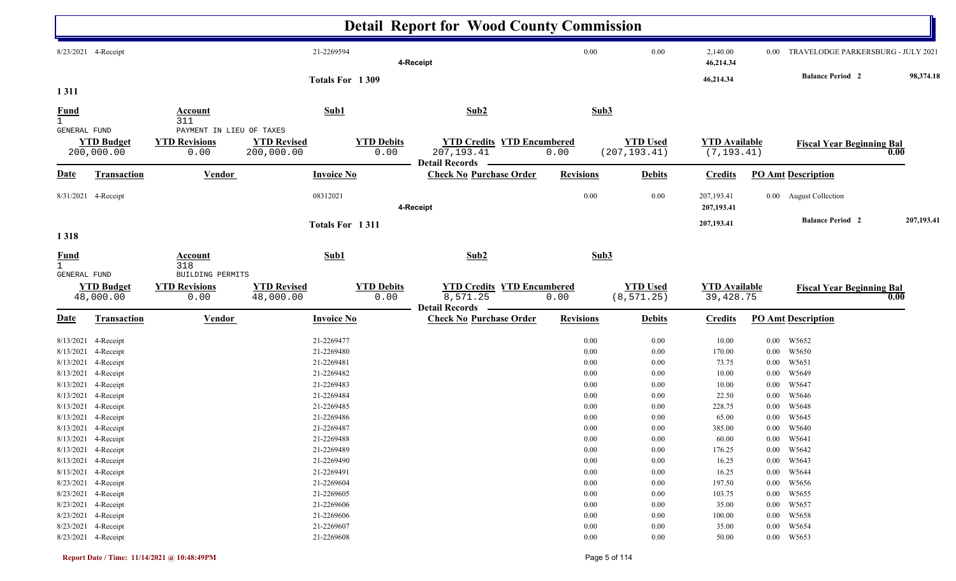|                                             |                                            |                                           |                                  |                           | <b>Detail Report for Wood County Commission</b>                           |                  |                                  |                                     |                      |                                    |                 |
|---------------------------------------------|--------------------------------------------|-------------------------------------------|----------------------------------|---------------------------|---------------------------------------------------------------------------|------------------|----------------------------------|-------------------------------------|----------------------|------------------------------------|-----------------|
|                                             | 8/23/2021 4-Receipt                        |                                           | 21-2269594                       |                           | 4-Receipt                                                                 | 0.00             | 0.00                             | 2,140.00<br>46,214.34               | $0.00\,$             | TRAVELODGE PARKERSBURG - JULY 2021 |                 |
|                                             |                                            |                                           |                                  | Totals For 1309           |                                                                           |                  |                                  | 46,214.34                           |                      | <b>Balance Period</b> 2            | 98,374.18       |
| 1311                                        |                                            |                                           |                                  |                           |                                                                           |                  |                                  |                                     |                      |                                    |                 |
| <b>Fund</b><br>$\mathbf{1}$                 |                                            | <b>Account</b><br>311                     | Sub1                             |                           | Sub2                                                                      | Sub3             |                                  |                                     |                      |                                    |                 |
| GENERAL FUND                                |                                            | PAYMENT IN LIEU OF TAXES                  |                                  |                           |                                                                           |                  |                                  |                                     |                      |                                    |                 |
|                                             | <b>YTD Budget</b><br>200,000.00            | <b>YTD Revisions</b><br>0.00              | <b>YTD Revised</b><br>200,000.00 | <b>YTD Debits</b><br>0.00 | <b>YTD Credits YTD Encumbered</b><br>207, 193.41<br><b>Detail Records</b> | 0.00             | <b>YTD Used</b><br>(207, 193.41) | <b>YTD Available</b><br>(7, 193.41) |                      | <b>Fiscal Year Beginning Bal</b>   | 0.00            |
| <u>Date</u>                                 | Transaction                                | <b>Vendor</b>                             | <b>Invoice No</b>                |                           | <b>Check No Purchase Order</b>                                            | <b>Revisions</b> | <b>Debits</b>                    | <b>Credits</b>                      |                      | <b>PO Amt Description</b>          |                 |
|                                             | 8/31/2021 4-Receipt                        |                                           | 08312021                         |                           | 4-Receipt                                                                 | $0.00\,$         | 0.00                             | 207,193.41<br>207,193.41            |                      | 0.00 August Collection             |                 |
| 1318                                        |                                            |                                           |                                  | Totals For 1311           |                                                                           |                  |                                  | 207,193.41                          |                      | <b>Balance Period 2</b>            | 207,193.41      |
| <b>Fund</b><br>$\mathbf{1}$<br>GENERAL FUND |                                            | <b>Account</b><br>318<br>BUILDING PERMITS | Sub1                             |                           | Sub2                                                                      | Sub3             |                                  |                                     |                      |                                    |                 |
|                                             | <b>YTD Budget</b><br>48,000.00             | <b>YTD Revisions</b><br>0.00              | <b>YTD Revised</b><br>48,000.00  | <b>YTD Debits</b><br>0.00 | <b>YTD Credits YTD Encumbered</b><br>8,571.25<br><b>Detail Records</b>    | 0.00             | <b>YTD Used</b><br>(8, 571.25)   | <b>YTD Available</b><br>39, 428.75  |                      | <b>Fiscal Year Beginning Bal</b>   | $\mathbf{0.00}$ |
| <u>Date</u>                                 | <b>Transaction</b>                         | <b>Vendor</b>                             | <b>Invoice No</b>                |                           | <b>Check No Purchase Order</b>                                            | <b>Revisions</b> | <b>Debits</b>                    | <b>Credits</b>                      |                      | <b>PO Amt Description</b>          |                 |
| 8/13/2021                                   | 4-Receipt                                  |                                           | 21-2269477                       |                           |                                                                           | 0.00             | 0.00                             | 10.00                               | $0.00\,$             | W5652                              |                 |
| 8/13/2021                                   | 4-Receipt                                  |                                           | 21-2269480                       |                           |                                                                           | 0.00             | 0.00                             | 170.00                              | $0.00\,$             | W5650                              |                 |
|                                             | 8/13/2021 4-Receipt                        |                                           | 21-2269481                       |                           |                                                                           | 0.00             | 0.00                             | 73.75                               | $0.00\,$             | W5651                              |                 |
|                                             | 8/13/2021 4-Receipt                        |                                           | 21-2269482                       |                           |                                                                           | 0.00             | 0.00                             | 10.00                               | $0.00\,$             | W5649                              |                 |
| 8/13/2021                                   | 4-Receipt                                  |                                           | 21-2269483                       |                           |                                                                           | 0.00             | 0.00                             | 10.00                               | $0.00\,$             | W5647                              |                 |
| 8/13/2021                                   | 4-Receipt                                  |                                           | 21-2269484<br>21-2269485         |                           |                                                                           | $0.00\,$         | 0.00                             | 22.50                               | $0.00\,$             | W5646<br>W5648                     |                 |
|                                             | 8/13/2021 4-Receipt<br>8/13/2021 4-Receipt |                                           | 21-2269486                       |                           |                                                                           | $0.00\,$<br>0.00 | 0.00<br>0.00                     | 228.75<br>65.00                     | $0.00\,$<br>$0.00\,$ | W5645                              |                 |
|                                             | 8/13/2021 4-Receipt                        |                                           | 21-2269487                       |                           |                                                                           | 0.00             | 0.00                             | 385.00                              | $0.00\,$             | W5640                              |                 |
|                                             | 8/13/2021 4-Receipt                        |                                           | 21-2269488                       |                           |                                                                           | $0.00\,$         | $0.00\,$                         | 60.00                               |                      | 0.00 W5641                         |                 |
|                                             | 8/13/2021 4-Receipt                        |                                           | 21-2269489                       |                           |                                                                           | $0.00\,$         | $0.00\,$                         | 176.25                              |                      | 0.00 W5642                         |                 |
|                                             | 8/13/2021 4-Receipt                        |                                           | 21-2269490                       |                           |                                                                           | $0.00\,$         | $0.00\,$                         | 16.25                               |                      | 0.00 W5643                         |                 |
|                                             | 8/13/2021 4-Receipt                        |                                           | 21-2269491                       |                           |                                                                           | $0.00\,$         | $0.00\,$                         | 16.25                               |                      | 0.00 W5644                         |                 |
|                                             | 8/23/2021 4-Receipt                        |                                           | 21-2269604                       |                           |                                                                           | $0.00\,$         | $0.00\,$                         | 197.50                              |                      | 0.00 W5656                         |                 |
|                                             | 8/23/2021 4-Receipt                        |                                           | 21-2269605                       |                           |                                                                           | $0.00\,$         | $0.00\,$                         | 103.75                              |                      | 0.00 W5655                         |                 |
|                                             | 8/23/2021 4-Receipt                        |                                           | 21-2269606                       |                           |                                                                           | $0.00\,$         | $0.00\,$                         | 35.00                               |                      | 0.00 W5657                         |                 |
|                                             | 8/23/2021 4-Receipt                        |                                           | 21-2269606                       |                           |                                                                           | $0.00\,$         | $0.00\,$                         | 100.00                              |                      | 0.00 W5658                         |                 |
|                                             | 8/23/2021 4-Receipt                        |                                           | 21-2269607                       |                           |                                                                           | $0.00\,$         | $0.00\,$                         | 35.00                               |                      | 0.00 W5654                         |                 |
|                                             | 8/23/2021 4-Receipt                        |                                           | 21-2269608                       |                           |                                                                           | $0.00\,$         | $0.00\,$                         | 50.00                               |                      | 0.00 W5653                         |                 |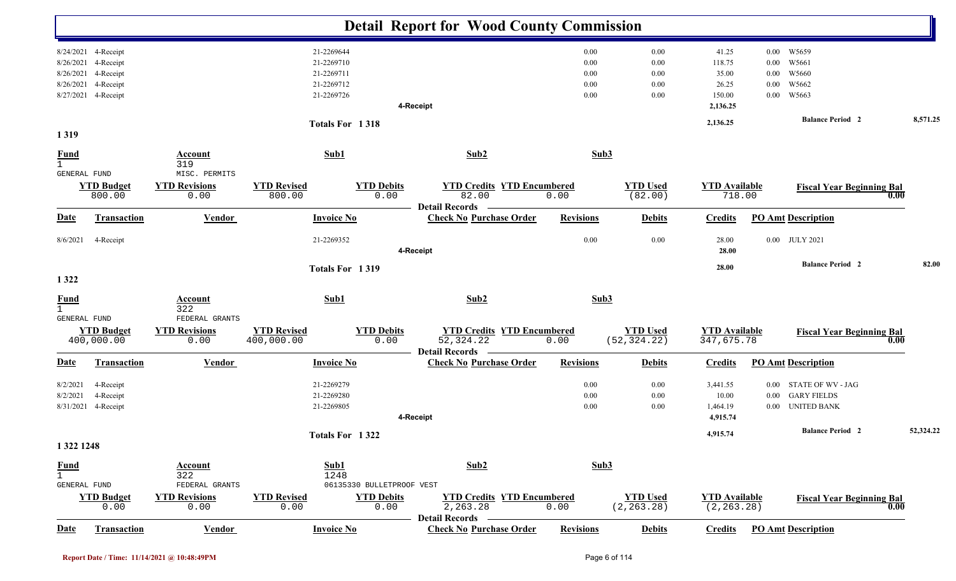|                                                  |                                                                         |                                                                         |                                                                    |                                                                | <b>Detail Report for Wood County Commission</b>                     |                                      |                                      |                                                           |                                                  |                                                                                        |           |
|--------------------------------------------------|-------------------------------------------------------------------------|-------------------------------------------------------------------------|--------------------------------------------------------------------|----------------------------------------------------------------|---------------------------------------------------------------------|--------------------------------------|--------------------------------------|-----------------------------------------------------------|--------------------------------------------------|----------------------------------------------------------------------------------------|-----------|
| 8/26/2021<br>8/26/2021<br>8/26/2021<br>8/27/2021 | 8/24/2021 4-Receipt<br>4-Receipt<br>4-Receipt<br>4-Receipt<br>4-Receipt |                                                                         | 21-2269644<br>21-2269710<br>21-2269711<br>21-2269712<br>21-2269726 |                                                                | 4-Receipt                                                           | 0.00<br>0.00<br>0.00<br>0.00<br>0.00 | 0.00<br>0.00<br>0.00<br>0.00<br>0.00 | 41.25<br>118.75<br>35.00<br>26.25<br>150.00<br>2,136.25   | $0.00\,$<br>$0.00\,$<br>0.00<br>0.00<br>$0.00\,$ | W5659<br>W5661<br>W5660<br>W5662<br>W5663                                              |           |
| 1319                                             |                                                                         |                                                                         |                                                                    | Totals For 1318                                                |                                                                     |                                      |                                      | 2,136.25                                                  |                                                  | <b>Balance Period 2</b>                                                                | 8,571.25  |
| <b>Fund</b><br>$\mathbf{1}$                      |                                                                         | Account<br>319                                                          | Sub1                                                               |                                                                | Sub2                                                                | Sub3                                 |                                      |                                                           |                                                  |                                                                                        |           |
| GENERAL FUND                                     | <b>YTD Budget</b><br>800.00                                             | MISC. PERMITS<br><b>YTD Revisions</b><br>0.00                           | <b>YTD Revised</b><br>800.00                                       | <b>YTD Debits</b><br>0.00                                      | <b>YTD Credits YTD Encumbered</b><br>82.00<br><b>Detail Records</b> | 0.00                                 | <b>YTD Used</b><br>(82.00)           | <b>YTD</b> Available<br>718.00                            |                                                  | <b>Fiscal Year Beginning Bal</b><br>0.00                                               |           |
| <b>Date</b>                                      | Transaction                                                             | <b>Vendor</b>                                                           | <b>Invoice No</b>                                                  |                                                                | <b>Check No Purchase Order</b>                                      | <b>Revisions</b>                     | <b>Debits</b>                        | <b>Credits</b>                                            |                                                  | <b>PO Amt Description</b>                                                              |           |
| 8/6/2021                                         | 4-Receipt                                                               |                                                                         | 21-2269352                                                         |                                                                | 4-Receipt                                                           | 0.00                                 | 0.00                                 | 28.00<br>28.00                                            | $0.00\,$                                         | <b>JULY 2021</b>                                                                       |           |
| 1 3 2 2                                          |                                                                         |                                                                         |                                                                    | Totals For 1319                                                |                                                                     |                                      |                                      | 28.00                                                     |                                                  | <b>Balance Period 2</b>                                                                | 82.00     |
| <b>Fund</b><br>$\mathbf{1}$<br>GENERAL FUND      |                                                                         | <b>Account</b><br>322<br>FEDERAL GRANTS                                 | Sub1                                                               |                                                                | Sub2                                                                | Sub3                                 |                                      |                                                           |                                                  |                                                                                        |           |
|                                                  | <b>YTD Budget</b><br>400,000.00                                         | <b>YTD Revisions</b><br>0.00                                            | <b>YTD Revised</b><br>400,000.00                                   | <b>YTD Debits</b><br>0.00                                      | <b>YTD Credits YTD Encumbered</b><br>52, 324.22<br>Detail Records - | 0.00                                 | <b>YTD Used</b><br>(52, 324.22)      | <b>YTD Available</b><br>347,675.78                        |                                                  | <b>Fiscal Year Beginning Bal</b><br>0.00                                               |           |
| <u>Date</u>                                      | Transaction                                                             | <b>Vendor</b>                                                           | <b>Invoice No</b>                                                  |                                                                | <b>Check No Purchase Order</b>                                      | <b>Revisions</b>                     | <b>Debits</b>                        | <b>Credits</b>                                            |                                                  | <b>PO Amt Description</b>                                                              |           |
| 8/2/2021<br>8/2/2021                             | 4-Receipt<br>4-Receipt<br>8/31/2021 4-Receipt                           |                                                                         | 21-2269279<br>21-2269280<br>21-2269805                             |                                                                | 4-Receipt                                                           | 0.00<br>0.00<br>0.00                 | 0.00<br>0.00<br>0.00                 | 3,441.55<br>$10.00\,$<br>1,464.19<br>4,915.74<br>4,915.74 | $0.00\,$<br>$0.00\,$                             | STATE OF WV - JAG<br><b>GARY FIELDS</b><br>0.00 UNITED BANK<br><b>Balance Period 2</b> | 52,324.22 |
| 1 322 1248                                       |                                                                         |                                                                         |                                                                    | Totals For 1322                                                |                                                                     |                                      |                                      |                                                           |                                                  |                                                                                        |           |
| <b>Fund</b><br>$\mathbf{1}$<br>GENERAL FUND      | <b>YTD Budget</b><br>0.00                                               | <b>Account</b><br>322<br>FEDERAL GRANTS<br><b>YTD Revisions</b><br>0.00 | Sub1<br><b>YTD Revised</b><br>0.00                                 | 1248<br>06135330 BULLETPROOF VEST<br><b>YTD Debits</b><br>0.00 | Sub2<br><b>YTD Credits YTD Encumbered</b><br>2,263.28               | Sub3<br>0.00                         | <b>YTD</b> Used<br>(2, 263.28)       | <b>YTD</b> Available<br>(2, 263.28)                       |                                                  | <b>Fiscal Year Beginning Bal</b><br>0.00                                               |           |
| Date                                             | Transaction                                                             | Vendor                                                                  |                                                                    | <b>Invoice No</b>                                              | <b>Detail Records</b><br><b>Check No Purchase Order</b>             | <b>Revisions</b>                     | <b>Debits</b>                        | <b>Credits</b>                                            |                                                  | <b>PO Amt Description</b>                                                              |           |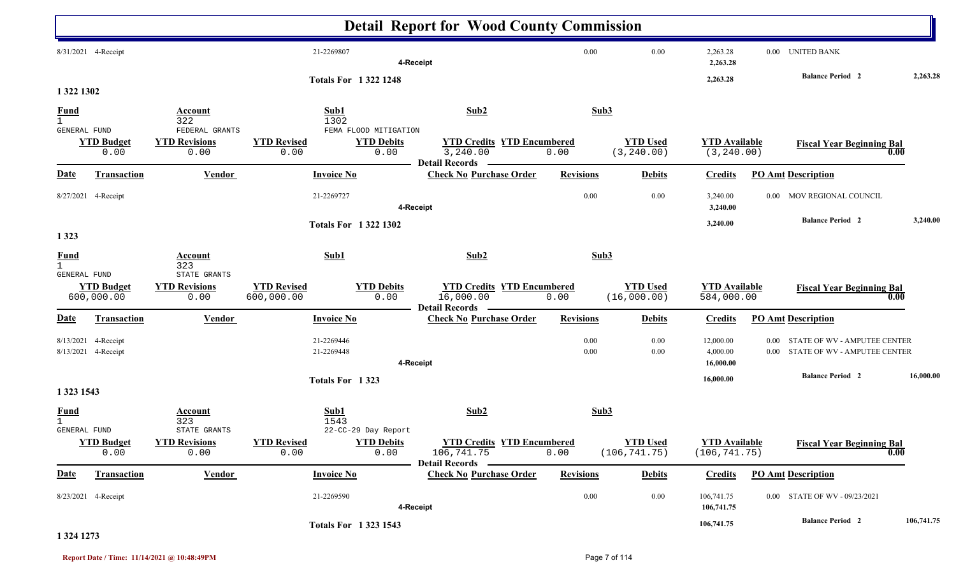|                                                        |                                  |                                                               |                            |                                                  | <b>Detail Report for Wood County Commission</b>                        |                  |                                  |                                       |                      |                                                              |            |
|--------------------------------------------------------|----------------------------------|---------------------------------------------------------------|----------------------------|--------------------------------------------------|------------------------------------------------------------------------|------------------|----------------------------------|---------------------------------------|----------------------|--------------------------------------------------------------|------------|
|                                                        | 8/31/2021 4-Receipt              |                                                               | 21-2269807                 | 4-Receipt                                        |                                                                        | $0.00\,$         | $0.00\,$                         | 2,263.28<br>2,263.28                  |                      | 0.00 UNITED BANK                                             |            |
| 1 322 1302                                             |                                  |                                                               |                            | <b>Totals For 13221248</b>                       |                                                                        |                  |                                  | 2,263.28                              |                      | <b>Balance Period 2</b>                                      | 2,263.28   |
| <b>Fund</b><br>$\mathbf{1}$<br>GENERAL FUND            |                                  | Account<br>322<br>FEDERAL GRANTS                              | Sub1<br>1302               | FEMA FLOOD MITIGATION                            | Sub2                                                                   | Sub3             |                                  |                                       |                      |                                                              |            |
|                                                        | <b>YTD Budget</b><br>0.00        | <b>YTD Revisions</b><br>0.00                                  | <b>YTD Revised</b><br>0.00 | <b>YTD Debits</b><br>0.00                        | <b>YTD Credits YTD Encumbered</b><br>3,240.00<br><b>Detail Records</b> | 0.00             | <b>YTD Used</b><br>(3, 240.00)   | <b>YTD Available</b><br>(3, 240.00)   |                      | <b>Fiscal Year Beginning Bal</b><br>0.00                     |            |
| <b>Date</b>                                            | <b>Transaction</b>               | <b>Vendor</b>                                                 | <b>Invoice No</b>          |                                                  | <b>Check No Purchase Order</b>                                         | <b>Revisions</b> | <b>Debits</b>                    | <b>Credits</b>                        |                      | <b>PO Amt Description</b>                                    |            |
|                                                        | 8/27/2021 4-Receipt              |                                                               | 21-2269727                 | 4-Receipt                                        |                                                                        | $0.00\,$         | 0.00                             | 3,240.00<br>3,240.00                  |                      | 0.00 MOV REGIONAL COUNCIL                                    |            |
|                                                        |                                  |                                                               |                            | <b>Totals For 13221302</b>                       |                                                                        |                  |                                  | 3,240.00                              |                      | <b>Balance Period 2</b>                                      | 3,240.00   |
| 1 3 2 3<br><b>Fund</b><br>$\mathbf{1}$<br>GENERAL FUND | <b>YTD Budget</b>                | <b>Account</b><br>323<br>STATE GRANTS<br><b>YTD Revisions</b> | Sub1<br><b>YTD Revised</b> | <b>YTD Debits</b>                                | Sub2<br><b>YTD Credits YTD Encumbered</b>                              | Sub3             | <b>YTD Used</b>                  | <b>YTD Available</b>                  |                      | <b>Fiscal Year Beginning Bal</b>                             |            |
|                                                        | 600,000.00                       | 0.00                                                          | 600,000.00                 | 0.00                                             | 16,000.00<br><b>Detail Records</b>                                     | 0.00             | (16,000.00)                      | 584,000.00                            |                      | 0.00                                                         |            |
| <u>Date</u>                                            | <b>Transaction</b>               | <b>Vendor</b>                                                 | <b>Invoice No</b>          |                                                  | <b>Check No Purchase Order</b>                                         | <b>Revisions</b> | <b>Debits</b>                    | <b>Credits</b>                        |                      | <b>PO Amt Description</b>                                    |            |
| 8/13/2021                                              | 4-Receipt<br>8/13/2021 4-Receipt |                                                               | 21-2269446<br>21-2269448   | 4-Receipt                                        |                                                                        | 0.00<br>0.00     | 0.00<br>0.00                     | 12,000.00<br>4,000.00<br>16,000.00    | $0.00\,$<br>$0.00\,$ | STATE OF WV - AMPUTEE CENTER<br>STATE OF WV - AMPUTEE CENTER |            |
| 1 323 1543                                             |                                  |                                                               | Totals For 1323            |                                                  |                                                                        |                  |                                  | 16,000.00                             |                      | <b>Balance Period 2</b>                                      | 16,000.00  |
| <b>Fund</b><br>$\mathbf{1}$                            |                                  | <b>Account</b><br>323                                         | Sub1<br>1543               |                                                  | Sub2                                                                   | Sub3             |                                  |                                       |                      |                                                              |            |
| GENERAL FUND                                           | <b>YTD Budget</b><br>0.00        | STATE GRANTS<br><b>YTD Revisions</b><br>0.00                  | <b>YTD Revised</b><br>0.00 | 22-CC-29 Day Report<br><b>YTD Debits</b><br>0.00 | <b>YTD Credits YTD Encumbered</b><br>106,741.75                        | 0.00             | <b>YTD Used</b><br>(106, 741.75) | <b>YTD</b> Available<br>(106, 741.75) |                      | <b>Fiscal Year Beginning Bal</b><br>0.00                     |            |
| <b>Date</b>                                            | <b>Transaction</b>               | <b>Vendor</b>                                                 | <b>Invoice No</b>          |                                                  | <b>Detail Records</b><br><b>Check No Purchase Order</b>                | <b>Revisions</b> | <b>Debits</b>                    | <b>Credits</b>                        |                      | <b>PO Amt Description</b>                                    |            |
|                                                        | 8/23/2021 4-Receipt              |                                                               | 21-2269590                 | 4-Receipt                                        |                                                                        | 0.00             | $0.00\,$                         | 106,741.75<br>106,741.75              |                      | 0.00 STATE OF WV - 09/23/2021                                |            |
|                                                        |                                  |                                                               | <b>Totals For 13231543</b> |                                                  |                                                                        |                  |                                  | 106,741.75                            |                      | <b>Balance Period 2</b>                                      | 106,741.75 |

#### **1 324 1273**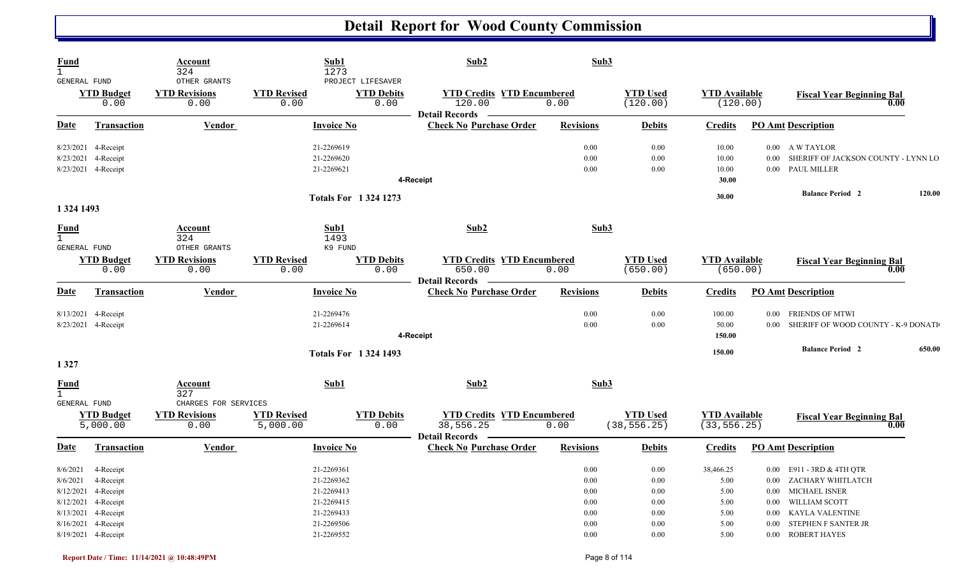| <b>Fund</b><br>$\mathbf{1}$<br>GENERAL FUND                              |                                                                                                   | Account<br>324<br>OTHER GRANTS         |                                | Sub1<br>1273<br>PROJECT LIFESAVER                                                              | Sub2                                                                 | Sub3                                                 |                                                      |                                                           |                                  |                                                                                                                                                           |        |
|--------------------------------------------------------------------------|---------------------------------------------------------------------------------------------------|----------------------------------------|--------------------------------|------------------------------------------------------------------------------------------------|----------------------------------------------------------------------|------------------------------------------------------|------------------------------------------------------|-----------------------------------------------------------|----------------------------------|-----------------------------------------------------------------------------------------------------------------------------------------------------------|--------|
|                                                                          | <b>YTD Budget</b><br>0.00                                                                         | <b>YTD Revisions</b><br>0.00           | <b>YTD Revised</b><br>0.00     | <b>YTD Debits</b><br>0.00                                                                      | <b>YTD Credits YTD Encumbered</b><br>120.00<br>Detail Records —      | 0.00                                                 | <b>YTD Used</b><br>(120.00)                          | <b>YTD</b> Available<br>(120.00)                          |                                  | <b>Fiscal Year Beginning Bal</b>                                                                                                                          | 0.00   |
| Date                                                                     | <b>Transaction</b>                                                                                | <b>Vendor</b>                          |                                | <b>Invoice No</b>                                                                              | <b>Check No Purchase Order</b>                                       | <b>Revisions</b>                                     | <b>Debits</b>                                        | <b>Credits</b>                                            |                                  | <b>PO Amt Description</b>                                                                                                                                 |        |
| 8/23/2021                                                                | 8/23/2021 4-Receipt<br>4-Receipt<br>8/23/2021 4-Receipt                                           |                                        |                                | 21-2269619<br>21-2269620<br>21-2269621                                                         | 4-Receipt                                                            | 0.00<br>0.00<br>0.00                                 | 0.00<br>0.00<br>0.00                                 | 10.00<br>10.00<br>10.00<br>30.00                          |                                  | 0.00 A W TAYLOR<br>0.00 SHERIFF OF JACKSON COUNTY - LYNN LO<br>0.00 PAUL MILLER                                                                           |        |
| 1 324 1493                                                               |                                                                                                   |                                        |                                | <b>Totals For 13241273</b>                                                                     |                                                                      |                                                      |                                                      | 30.00                                                     |                                  | <b>Balance Period 2</b>                                                                                                                                   | 120.00 |
| <b>Fund</b><br>$\mathbf{1}$<br>GENERAL FUND                              |                                                                                                   | Account<br>324<br>OTHER GRANTS         |                                | Sub1<br>1493<br>K9 FUND                                                                        | Sub2                                                                 | Sub3                                                 |                                                      |                                                           |                                  |                                                                                                                                                           |        |
|                                                                          | <b>YTD Budget</b><br>0.00                                                                         | <b>YTD Revisions</b><br>0.00           | <b>YTD Revised</b><br>0.00     | <b>YTD Debits</b><br>0.00                                                                      | <b>YTD Credits YTD Encumbered</b><br>650.00<br><b>Detail Records</b> | 0.00                                                 | <b>YTD Used</b><br>(650.00)                          | <b>YTD</b> Available<br>(650.00)                          |                                  | <b>Fiscal Year Beginning Bal</b>                                                                                                                          | 0.00   |
| <b>Date</b>                                                              | <b>Transaction</b>                                                                                | Vendor                                 |                                | <b>Invoice No</b>                                                                              | <b>Check No Purchase Order</b>                                       | <b>Revisions</b>                                     | <b>Debits</b>                                        | <b>Credits</b>                                            |                                  | <b>PO Amt Description</b>                                                                                                                                 |        |
|                                                                          | 8/13/2021 4-Receipt<br>8/23/2021 4-Receipt                                                        |                                        |                                | 21-2269476<br>21-2269614                                                                       | 4-Receipt                                                            | 0.00<br>0.00                                         | 0.00<br>0.00                                         | 100.00<br>50.00<br>150.00                                 | $0.00\,$                         | <b>FRIENDS OF MTWI</b><br>0.00 SHERIFF OF WOOD COUNTY - K-9 DONATI                                                                                        |        |
| 1 3 2 7                                                                  |                                                                                                   |                                        |                                | <b>Totals For 1324 1493</b>                                                                    |                                                                      |                                                      |                                                      | 150.00                                                    |                                  | <b>Balance Period 2</b>                                                                                                                                   | 650.00 |
| <b>Fund</b><br>$\mathbf{1}$<br>GENERAL FUND                              |                                                                                                   | Account<br>327<br>CHARGES FOR SERVICES |                                | Sub1                                                                                           | Sub2                                                                 | Sub3                                                 |                                                      |                                                           |                                  |                                                                                                                                                           |        |
|                                                                          | <b>YTD Budget</b><br>5,000.00                                                                     | <b>YTD Revisions</b><br>0.00           | <b>YTD Revised</b><br>5,000.00 | <b>YTD Debits</b><br>0.00                                                                      | <b>YTD Credits YTD Encumbered</b><br>38,556.25<br>Detail Records -   | 0.00                                                 | <b>YTD Used</b><br>(38, 556.25)                      | <b>YTD</b> Available<br>(33, 556.25)                      |                                  | <b>Fiscal Year Beginning Bal</b>                                                                                                                          | 0.00   |
| <u>Date</u>                                                              | <b>Transaction</b>                                                                                | <b>Vendor</b>                          |                                | <b>Invoice No</b>                                                                              | <b>Check No Purchase Order</b>                                       | <b>Revisions</b>                                     | <b>Debits</b>                                        | <b>Credits</b>                                            |                                  | <b>PO Amt Description</b>                                                                                                                                 |        |
| 8/6/2021<br>8/6/2021<br>8/12/2021<br>8/12/2021<br>8/13/2021<br>8/16/2021 | 4-Receipt<br>4-Receipt<br>4-Receipt<br>4-Receipt<br>4-Receipt<br>4-Receipt<br>8/19/2021 4-Receipt |                                        |                                | 21-2269361<br>21-2269362<br>21-2269413<br>21-2269415<br>21-2269433<br>21-2269506<br>21-2269552 |                                                                      | 0.00<br>0.00<br>0.00<br>0.00<br>0.00<br>0.00<br>0.00 | 0.00<br>0.00<br>0.00<br>0.00<br>0.00<br>0.00<br>0.00 | 38,466.25<br>5.00<br>5.00<br>5.00<br>5.00<br>5.00<br>5.00 | $0.00\,$<br>$0.00\,$<br>$0.00\,$ | 0.00 E911 - 3RD & 4TH QTR<br>0.00 ZACHARY WHITLATCH<br>0.00 MICHAEL ISNER<br>WILLIAM SCOTT<br>KAYLA VALENTINE<br>STEPHEN F SANTER JR<br>0.00 ROBERT HAYES |        |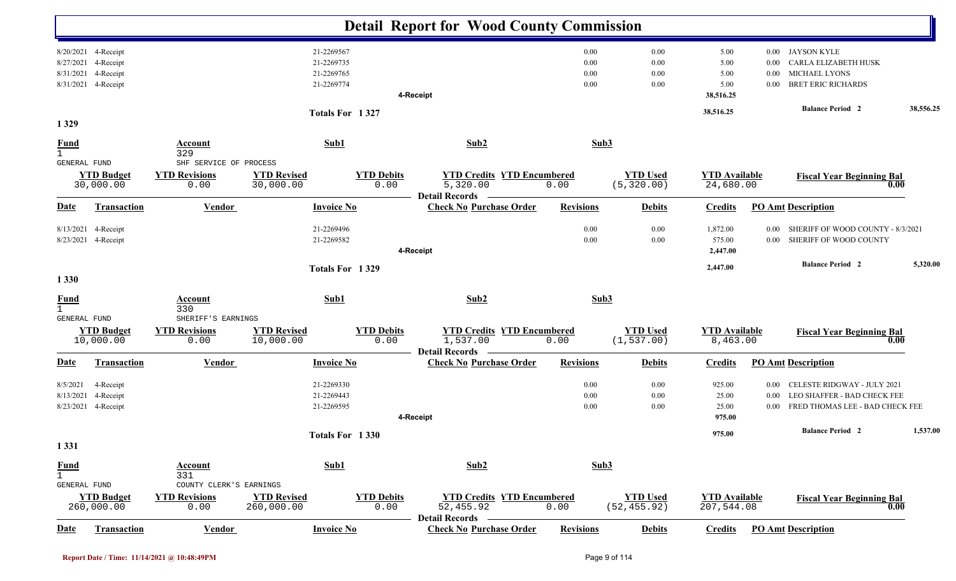|                             |                                  |                              |                                  |                           | <b>Detail Report for Wood County Commission</b>                   |                  |                                 |                                    |                  |                                            |           |
|-----------------------------|----------------------------------|------------------------------|----------------------------------|---------------------------|-------------------------------------------------------------------|------------------|---------------------------------|------------------------------------|------------------|--------------------------------------------|-----------|
|                             | 8/20/2021 4-Receipt              |                              |                                  | 21-2269567                |                                                                   | 0.00             | 0.00                            | 5.00                               |                  | 0.00 JAYSON KYLE                           |           |
|                             | 8/27/2021 4-Receipt              |                              |                                  | 21-2269735                |                                                                   | 0.00             | 0.00                            | 5.00                               | 0.00             | CARLA ELIZABETH HUSK                       |           |
| 8/31/2021                   | 4-Receipt<br>8/31/2021 4-Receipt |                              |                                  | 21-2269765<br>21-2269774  |                                                                   | 0.00<br>0.00     | 0.00<br>0.00                    | 5.00<br>5.00                       | $0.00\,$<br>0.00 | MICHAEL LYONS<br><b>BRET ERIC RICHARDS</b> |           |
|                             |                                  |                              |                                  |                           | 4-Receipt                                                         |                  |                                 | 38,516.25                          |                  |                                            |           |
|                             |                                  |                              |                                  |                           |                                                                   |                  |                                 |                                    |                  | <b>Balance Period 2</b>                    | 38,556.25 |
| 1329                        |                                  |                              |                                  | Totals For 1327           |                                                                   |                  |                                 | 38,516.25                          |                  |                                            |           |
| <b>Fund</b><br>$\mathbf{1}$ |                                  | <b>Account</b><br>329        |                                  | Sub1                      | Sub2                                                              | Sub3             |                                 |                                    |                  |                                            |           |
| GENERAL FUND                |                                  | SHF SERVICE OF PROCESS       |                                  |                           |                                                                   |                  |                                 |                                    |                  |                                            |           |
|                             | <b>YTD Budget</b><br>30,000.00   | <b>YTD Revisions</b><br>0.00 | <b>YTD Revised</b><br>30,000.00  | <b>YTD Debits</b><br>0.00 | <b>YTD Credits YTD Encumbered</b><br>5,320.00                     | 0.00             | <b>YTD Used</b><br>(5, 320.00)  | <b>YTD Available</b><br>24,680.00  |                  | <b>Fiscal Year Beginning Bal</b><br>0.00   |           |
| <b>Date</b>                 | <b>Transaction</b>               | <b>Vendor</b>                |                                  | <b>Invoice No</b>         | <b>Detail Records</b><br><b>Check No Purchase Order</b>           | <b>Revisions</b> | <b>Debits</b>                   | <b>Credits</b>                     |                  | <b>PO Amt Description</b>                  |           |
| 8/13/2021                   | 4-Receipt                        |                              |                                  | 21-2269496                |                                                                   | 0.00             | 0.00                            | 1,872.00                           | 0.00             | SHERIFF OF WOOD COUNTY - 8/3/2021          |           |
|                             | 8/23/2021 4-Receipt              |                              |                                  | 21-2269582                |                                                                   | 0.00             | 0.00                            | 575.00                             | $0.00\,$         | SHERIFF OF WOOD COUNTY                     |           |
|                             |                                  |                              |                                  |                           | 4-Receipt                                                         |                  |                                 | 2,447.00                           |                  |                                            |           |
|                             |                                  |                              |                                  | Totals For 1329           |                                                                   |                  |                                 | 2,447.00                           |                  | <b>Balance Period 2</b>                    | 5,320.00  |
| 1 3 3 0                     |                                  |                              |                                  |                           |                                                                   |                  |                                 |                                    |                  |                                            |           |
| <b>Fund</b><br>$\mathbf{1}$ |                                  | Account<br>330               |                                  | Sub1                      | Sub2                                                              | Sub3             |                                 |                                    |                  |                                            |           |
| <b>GENERAL FUND</b>         |                                  | SHERIFF'S EARNINGS           |                                  |                           |                                                                   |                  |                                 |                                    |                  |                                            |           |
|                             | <b>YTD Budget</b><br>10,000.00   | <b>YTD Revisions</b><br>0.00 | <b>YTD Revised</b><br>10,000.00  | <b>YTD Debits</b><br>0.00 | <b>YTD Credits YTD Encumbered</b><br>1,537.00<br>Detail Records — | 0.00             | <b>YTD Used</b><br>(1, 537.00)  | <b>YTD Available</b><br>8,463.00   |                  | <b>Fiscal Year Beginning Bal</b><br>0.00   |           |
| <u>Date</u>                 | Transaction                      | <b>Vendor</b>                |                                  | <b>Invoice No</b>         | <b>Check No Purchase Order</b>                                    | <b>Revisions</b> | <b>Debits</b>                   | <b>Credits</b>                     |                  | <b>PO</b> Amt Description                  |           |
| 8/5/2021                    | 4-Receipt                        |                              |                                  | 21-2269330                |                                                                   | 0.00             | 0.00                            | 925.00                             | $0.00\,$         | CELESTE RIDGWAY - JULY 2021                |           |
| 8/13/2021                   | 4-Receipt                        |                              |                                  | 21-2269443                |                                                                   | 0.00             | 0.00                            | 25.00                              | $0.00\,$         | LEO SHAFFER - BAD CHECK FEE                |           |
|                             | 8/23/2021 4-Receipt              |                              |                                  | 21-2269595                |                                                                   | 0.00             | 0.00                            | 25.00                              |                  | 0.00 FRED THOMAS LEE - BAD CHECK FEE       |           |
|                             |                                  |                              |                                  |                           | 4-Receipt                                                         |                  |                                 | 975.00                             |                  |                                            |           |
|                             |                                  |                              |                                  | Totals For 1330           |                                                                   |                  |                                 | 975.00                             |                  | <b>Balance Period 2</b>                    | 1,537.00  |
| 1 3 3 1                     |                                  |                              |                                  |                           |                                                                   |                  |                                 |                                    |                  |                                            |           |
|                             |                                  | <b>Account</b>               |                                  | Sub1                      | Sub2                                                              | Sub3             |                                 |                                    |                  |                                            |           |
| $rac{\text{Fund}}{1}$       |                                  | 331                          |                                  |                           |                                                                   |                  |                                 |                                    |                  |                                            |           |
| GENERAL FUND                |                                  | COUNTY CLERK'S EARNINGS      |                                  |                           |                                                                   |                  |                                 |                                    |                  |                                            |           |
|                             | <b>YTD Budget</b><br>260,000.00  | <b>YTD Revisions</b><br>0.00 | <b>YTD Revised</b><br>260,000.00 | <b>YTD Debits</b><br>0.00 | <b>YTD Credits YTD Encumbered</b><br>52,455.92                    | 0.00             | <b>YTD Used</b><br>(52, 455.92) | <b>YTD Available</b><br>207,544.08 |                  | <b>Fiscal Year Beginning Bal</b><br>0.00   |           |
| <b>Date</b>                 | Transaction                      | <b>Vendor</b>                |                                  | <b>Invoice No</b>         | <b>Detail Records</b><br><b>Check No Purchase Order</b>           | <b>Revisions</b> | <b>Debits</b>                   | <b>Credits</b>                     |                  | <b>PO Amt Description</b>                  |           |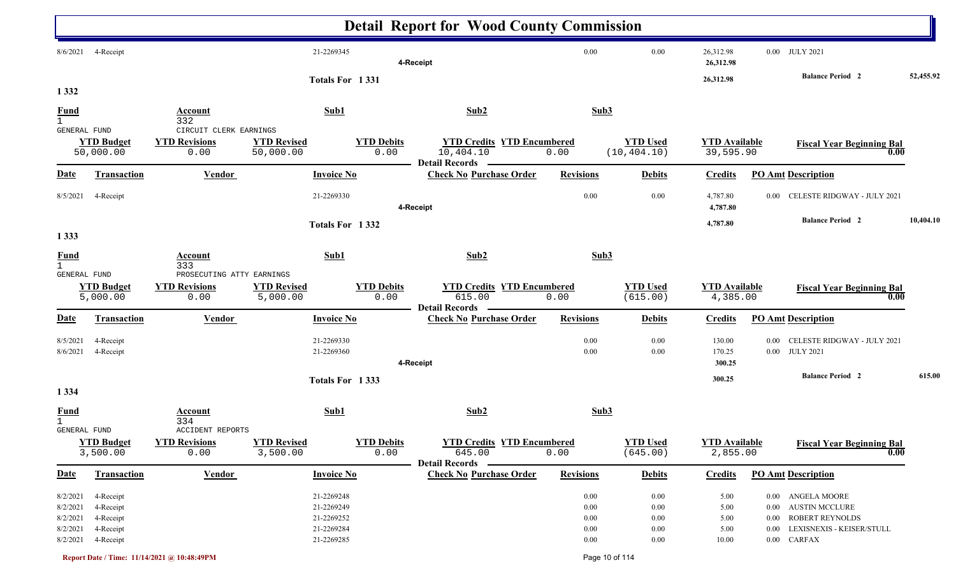|                                                          |                                                               |                                                        |                                                                    |                           | <b>Detail Report for Wood County Commission</b>                         |                                      |                                                  |                                       |                                                                                                                                                 |           |
|----------------------------------------------------------|---------------------------------------------------------------|--------------------------------------------------------|--------------------------------------------------------------------|---------------------------|-------------------------------------------------------------------------|--------------------------------------|--------------------------------------------------|---------------------------------------|-------------------------------------------------------------------------------------------------------------------------------------------------|-----------|
| 8/6/2021                                                 | 4-Receipt                                                     |                                                        | 21-2269345                                                         |                           | 4-Receipt                                                               | 0.00                                 | 0.00                                             | 26,312.98<br>26,312.98                | 0.00 JULY 2021                                                                                                                                  |           |
| 1 3 3 2                                                  |                                                               |                                                        | Totals For 1331                                                    |                           |                                                                         |                                      |                                                  | 26,312.98                             | <b>Balance Period</b> 2                                                                                                                         | 52,455.92 |
| <b>Fund</b><br>$\mathbf{1}$                              |                                                               | <b>Account</b><br>332                                  | Sub1                                                               |                           | Sub2                                                                    | Sub3                                 |                                                  |                                       |                                                                                                                                                 |           |
| GENERAL FUND                                             | <b>YTD Budget</b><br>50,000.00                                | CIRCUIT CLERK EARNINGS<br><b>YTD Revisions</b><br>0.00 | <b>YTD Revised</b><br>50,000.00                                    | <b>YTD Debits</b><br>0.00 | <b>YTD Credits YTD Encumbered</b><br>10,404.10<br><b>Detail Records</b> | 0.00                                 | <b>YTD Used</b><br>(10, 404.10)                  | <b>YTD Available</b><br>39,595.90     | <b>Fiscal Year Beginning Bal</b><br>0.00                                                                                                        |           |
| <u>Date</u>                                              | <b>Transaction</b>                                            | <b>Vendor</b>                                          | <b>Invoice No</b>                                                  |                           | <b>Check No Purchase Order</b>                                          | <b>Revisions</b>                     | <b>Debits</b>                                    | <b>Credits</b>                        | <b>PO Amt Description</b>                                                                                                                       |           |
| 8/5/2021                                                 | 4-Receipt                                                     |                                                        | 21-2269330                                                         |                           | 4-Receipt                                                               | 0.00                                 | 0.00                                             | 4,787.80<br>4,787.80                  | CELESTE RIDGWAY - JULY 2021<br>$0.00\,$                                                                                                         |           |
| 1 3 3 3                                                  |                                                               |                                                        | Totals For 1332                                                    |                           |                                                                         |                                      |                                                  | 4,787.80                              | <b>Balance Period 2</b>                                                                                                                         | 10,404.10 |
| <b>Fund</b><br>$\mathbf{1}$<br>GENERAL FUND              |                                                               | Account<br>333<br>PROSECUTING ATTY EARNINGS            | Sub1                                                               |                           | Sub2                                                                    | Sub3                                 |                                                  |                                       |                                                                                                                                                 |           |
|                                                          | <b>YTD Budget</b><br>5,000.00                                 | <b>YTD Revisions</b><br>0.00                           | <b>YTD Revised</b><br>5,000.00                                     | <b>YTD Debits</b><br>0.00 | <b>YTD Credits YTD Encumbered</b><br>615.00<br><b>Detail Records</b>    | 0.00                                 | <b>YTD Used</b><br>(615.00)                      | <b>YTD Available</b><br>4,385.00      | <b>Fiscal Year Beginning Bal</b><br>0.00                                                                                                        |           |
| <u>Date</u>                                              | <b>Transaction</b>                                            | <b>Vendor</b>                                          | <b>Invoice No</b>                                                  |                           | <b>Check No Purchase Order</b>                                          | <b>Revisions</b>                     | <b>Debits</b>                                    | <b>Credits</b>                        | <b>PO Amt Description</b>                                                                                                                       |           |
| 8/5/2021<br>8/6/2021                                     | 4-Receipt<br>4-Receipt                                        |                                                        | 21-2269330<br>21-2269360                                           |                           | 4-Receipt                                                               | 0.00<br>0.00                         | 0.00<br>0.00                                     | 130.00<br>170.25<br>300.25            | CELESTE RIDGWAY - JULY 2021<br>0.00<br>0.00 JULY 2021                                                                                           |           |
| 1 3 3 4                                                  |                                                               |                                                        | Totals For 1333                                                    |                           |                                                                         |                                      |                                                  | 300.25                                | <b>Balance Period</b> 2                                                                                                                         | 615.00    |
| <b>Fund</b><br>GENERAL FUND                              |                                                               | Account<br>334<br>ACCIDENT REPORTS                     | Sub1                                                               |                           | Sub2                                                                    | Sub3                                 |                                                  |                                       |                                                                                                                                                 |           |
|                                                          | <b>YTD Budget</b><br>3,500.00                                 | <b>YTD Revisions</b><br>0.00                           | <b>YTD Revised</b><br>3,500.00                                     | <b>YTD Debits</b><br>0.00 | <b>YTD Credits YTD Encumbered</b><br>645.00<br><b>Detail Records</b>    | 0.00                                 | <b>YTD Used</b><br>(645.00)                      | <b>YTD Available</b><br>2,855.00      | <b>Fiscal Year Beginning Bal</b><br>$\overline{0.00}$                                                                                           |           |
| <b>Date</b>                                              | <b>Transaction</b>                                            | <b>Vendor</b>                                          | <b>Invoice No</b>                                                  |                           | <b>Check No Purchase Order</b>                                          | <b>Revisions</b>                     | <b>Debits</b>                                    | <b>Credits</b>                        | <b>PO Amt Description</b>                                                                                                                       |           |
| 8/2/2021<br>8/2/2021<br>8/2/2021<br>8/2/2021<br>8/2/2021 | 4-Receipt<br>4-Receipt<br>4-Receipt<br>4-Receipt<br>4-Receipt |                                                        | 21-2269248<br>21-2269249<br>21-2269252<br>21-2269284<br>21-2269285 |                           |                                                                         | 0.00<br>0.00<br>0.00<br>0.00<br>0.00 | $0.00\,$<br>$0.00\,$<br>0.00<br>0.00<br>$0.00\,$ | 5.00<br>5.00<br>5.00<br>5.00<br>10.00 | 0.00 ANGELA MOORE<br><b>AUSTIN MCCLURE</b><br>$0.00\,$<br>ROBERT REYNOLDS<br>$0.00\,$<br>LEXISNEXIS - KEISER/STULL<br>$0.00\,$<br>$0.00$ CARFAX |           |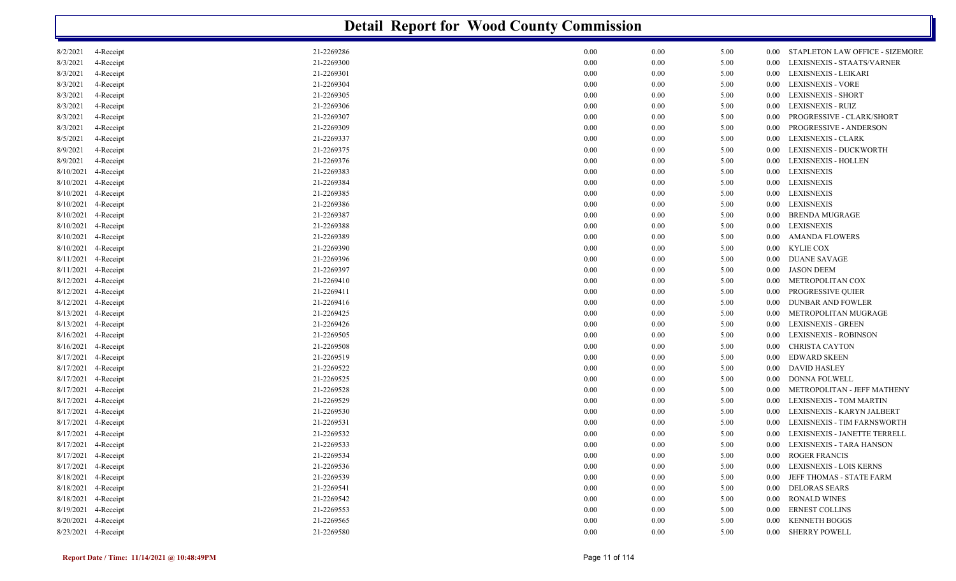|           |                     |            | <b>Detail Report for Wood County Commission</b> |      |      |                                             |
|-----------|---------------------|------------|-------------------------------------------------|------|------|---------------------------------------------|
| 8/2/2021  | 4-Receipt           | 21-2269286 | 0.00                                            | 0.00 | 5.00 | STAPLETON LAW OFFICE - SIZEMORE<br>$0.00\,$ |
| 8/3/2021  | 4-Receipt           | 21-2269300 | 0.00                                            | 0.00 | 5.00 | LEXISNEXIS - STAATS/VARNER<br>0.00          |
| 8/3/2021  | 4-Receipt           | 21-2269301 | 0.00                                            | 0.00 | 5.00 | LEXISNEXIS - LEIKARI<br>$0.00\,$            |
| 8/3/2021  | 4-Receipt           | 21-2269304 | 0.00                                            | 0.00 | 5.00 | LEXISNEXIS - VORE<br>0.00                   |
| 8/3/2021  | 4-Receipt           | 21-2269305 | 0.00                                            | 0.00 | 5.00 | LEXISNEXIS - SHORT<br>0.00                  |
| 8/3/2021  | 4-Receipt           | 21-2269306 | 0.00                                            | 0.00 | 5.00 | LEXISNEXIS - RUIZ<br>0.00                   |
| 8/3/2021  | 4-Receipt           | 21-2269307 | 0.00                                            | 0.00 | 5.00 | PROGRESSIVE - CLARK/SHORT<br>0.00           |
| 8/3/2021  | 4-Receipt           | 21-2269309 | 0.00                                            | 0.00 | 5.00 | PROGRESSIVE - ANDERSON<br>0.00              |
| 8/5/2021  | 4-Receipt           | 21-2269337 | 0.00                                            | 0.00 | 5.00 | <b>LEXISNEXIS - CLARK</b><br>0.00           |
| 8/9/2021  | 4-Receipt           | 21-2269375 | 0.00                                            | 0.00 | 5.00 | LEXISNEXIS - DUCKWORTH<br>0.00              |
| 8/9/2021  | 4-Receipt           | 21-2269376 | 0.00                                            | 0.00 | 5.00 | <b>LEXISNEXIS - HOLLEN</b><br>0.00          |
| 8/10/2021 | 4-Receipt           | 21-2269383 | 0.00                                            | 0.00 | 5.00 | <b>LEXISNEXIS</b><br>0.00                   |
|           | 8/10/2021 4-Receipt | 21-2269384 | 0.00                                            | 0.00 | 5.00 | <b>LEXISNEXIS</b><br>$0.00\,$               |
|           | 8/10/2021 4-Receipt | 21-2269385 | 0.00                                            | 0.00 | 5.00 | LEXISNEXIS<br>$0.00\,$                      |
|           | 8/10/2021 4-Receipt | 21-2269386 | 0.00                                            | 0.00 | 5.00 | <b>LEXISNEXIS</b><br>$0.00\,$               |
| 8/10/2021 | 4-Receipt           | 21-2269387 | 0.00                                            | 0.00 | 5.00 | <b>BRENDA MUGRAGE</b><br>0.00               |
| 8/10/2021 | 4-Receipt           | 21-2269388 | 0.00                                            | 0.00 | 5.00 | <b>LEXISNEXIS</b><br>$0.00\,$               |
| 8/10/2021 | 4-Receipt           | 21-2269389 | 0.00                                            | 0.00 | 5.00 | <b>AMANDA FLOWERS</b><br>$0.00\,$           |
|           | 8/10/2021 4-Receipt | 21-2269390 | 0.00                                            | 0.00 | 5.00 | <b>KYLIE COX</b><br>$0.00\,$                |
| 8/11/2021 | 4-Receipt           | 21-2269396 | 0.00                                            | 0.00 | 5.00 | <b>DUANE SAVAGE</b><br>$0.00\,$             |
| 8/11/2021 | 4-Receipt           | 21-2269397 | 0.00                                            | 0.00 | 5.00 | <b>JASON DEEM</b><br>$0.00\,$               |
| 8/12/2021 | 4-Receipt           | 21-2269410 | 0.00                                            | 0.00 | 5.00 | METROPOLITAN COX<br>0.00                    |
| 8/12/2021 | 4-Receipt           | 21-2269411 | 0.00                                            | 0.00 | 5.00 | PROGRESSIVE QUIER<br>0.00                   |
| 8/12/2021 | 4-Receipt           | 21-2269416 | 0.00                                            | 0.00 | 5.00 | <b>DUNBAR AND FOWLER</b><br>0.00            |
|           | 8/13/2021 4-Receipt | 21-2269425 | 0.00                                            | 0.00 | 5.00 | METROPOLITAN MUGRAGE<br>$0.00\,$            |
|           | 8/13/2021 4-Receipt | 21-2269426 | 0.00                                            | 0.00 | 5.00 | <b>LEXISNEXIS - GREEN</b><br>0.00           |
|           | 8/16/2021 4-Receipt | 21-2269505 | 0.00                                            | 0.00 | 5.00 | LEXISNEXIS - ROBINSON<br>0.00               |
| 8/16/2021 | 4-Receipt           | 21-2269508 | 0.00                                            | 0.00 | 5.00 | CHRISTA CAYTON<br>0.00                      |
| 8/17/2021 | 4-Receipt           | 21-2269519 | 0.00                                            | 0.00 | 5.00 | <b>EDWARD SKEEN</b><br>0.00                 |
| 8/17/2021 | 4-Receipt           | 21-2269522 | 0.00                                            | 0.00 | 5.00 | <b>DAVID HASLEY</b><br>$0.00\,$             |
| 8/17/2021 | 4-Receipt           | 21-2269525 | 0.00                                            | 0.00 | 5.00 | <b>DONNA FOLWELL</b><br>0.00                |
| 8/17/2021 | 4-Receipt           | 21-2269528 | 0.00                                            | 0.00 | 5.00 | METROPOLITAN - JEFF MATHENY<br>$0.00\,$     |
| 8/17/2021 | 4-Receipt           | 21-2269529 | 0.00                                            | 0.00 | 5.00 | <b>LEXISNEXIS - TOM MARTIN</b><br>0.00      |
| 8/17/2021 | 4-Receipt           | 21-2269530 | 0.00                                            | 0.00 | 5.00 | LEXISNEXIS - KARYN JALBERT<br>0.00          |
|           | 8/17/2021 4-Receipt | 21-2269531 | 0.00                                            | 0.00 | 5.00 | LEXISNEXIS - TIM FARNSWORTH<br>0.00         |
|           | 8/17/2021 4-Receipt | 21-2269532 | 0.00                                            | 0.00 | 5.00 | LEXISNEXIS - JANETTE TERRELL<br>$0.00\,$    |
|           | 8/17/2021 4-Receipt | 21-2269533 | 0.00                                            | 0.00 | 5.00 | LEXISNEXIS - TARA HANSON<br>$0.00\,$        |
|           | 8/17/2021 4-Receipt | 21-2269534 | 0.00                                            | 0.00 | 5.00 | ROGER FRANCIS<br>$0.00\,$                   |
|           | 8/17/2021 4-Receipt | 21-2269536 | 0.00                                            | 0.00 | 5.00 | LEXISNEXIS - LOIS KERNS<br>$0.00\,$         |
|           | 8/18/2021 4-Receipt | 21-2269539 | 0.00                                            | 0.00 | 5.00 | JEFF THOMAS - STATE FARM<br>0.00            |
|           | 8/18/2021 4-Receipt | 21-2269541 | 0.00                                            | 0.00 | 5.00 | <b>DELORAS SEARS</b><br>$0.00\,$            |
|           | 8/18/2021 4-Receipt | 21-2269542 | 0.00                                            | 0.00 | 5.00 | RONALD WINES<br>$0.00\,$                    |
|           | 8/19/2021 4-Receipt | 21-2269553 | 0.00                                            | 0.00 | 5.00 | <b>ERNEST COLLINS</b><br>$0.00\,$           |
|           | 8/20/2021 4-Receipt | 21-2269565 | 0.00                                            | 0.00 | 5.00 | <b>KENNETH BOGGS</b><br>$0.00\,$            |
|           | 8/23/2021 4-Receipt | 21-2269580 | 0.00                                            | 0.00 | 5.00 | 0.00 SHERRY POWELL                          |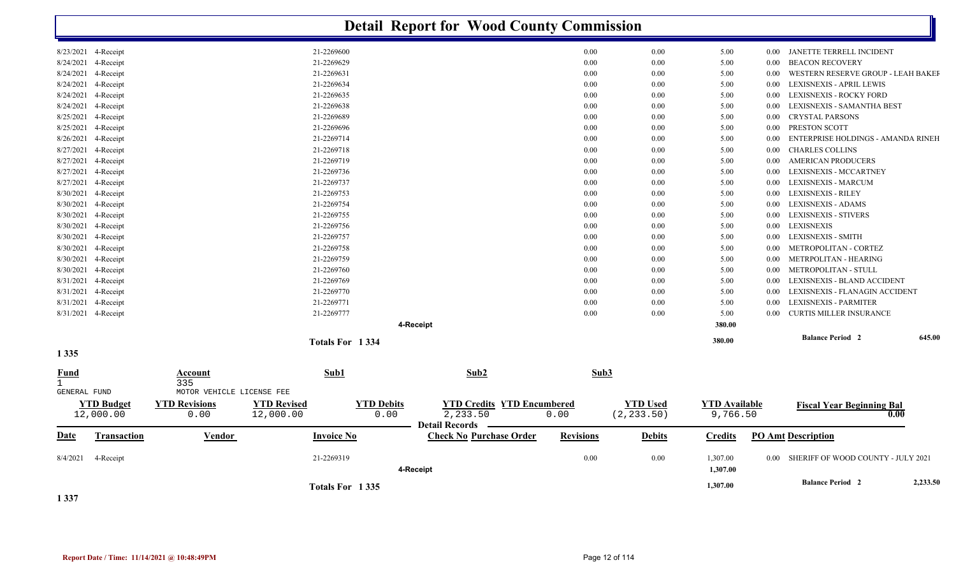|                                             |                                                                |                                 | <b>Detail Report for Wood County Commission</b>    |                                                |                  |                                |                                  |          |                                          |          |
|---------------------------------------------|----------------------------------------------------------------|---------------------------------|----------------------------------------------------|------------------------------------------------|------------------|--------------------------------|----------------------------------|----------|------------------------------------------|----------|
| 8/23/2021 4-Receipt                         |                                                                | 21-2269600                      |                                                    |                                                | 0.00             | 0.00                           | 5.00                             | $0.00\,$ | JANETTE TERRELL INCIDENT                 |          |
| 8/24/2021<br>4-Receipt                      |                                                                | 21-2269629                      |                                                    |                                                | 0.00             | 0.00                           | 5.00                             | 0.00     | <b>BEACON RECOVERY</b>                   |          |
| 8/24/2021<br>4-Receipt                      |                                                                | 21-2269631                      |                                                    |                                                | 0.00             | 0.00                           | 5.00                             | 0.00     | WESTERN RESERVE GROUP - LEAH BAKEI       |          |
| 8/24/2021<br>4-Receipt                      |                                                                | 21-2269634                      |                                                    |                                                | 0.00             | 0.00                           | 5.00                             | 0.00     | LEXISNEXIS - APRIL LEWIS                 |          |
| 8/24/2021<br>4-Receipt                      |                                                                | 21-2269635                      |                                                    |                                                | 0.00             | 0.00                           | 5.00                             | $0.00\,$ | LEXISNEXIS - ROCKY FORD                  |          |
| 8/24/2021<br>4-Receipt                      |                                                                | 21-2269638                      |                                                    |                                                | 0.00             | 0.00                           | 5.00                             | $0.00\,$ | LEXISNEXIS - SAMANTHA BEST               |          |
| 8/25/2021<br>4-Receipt                      |                                                                | 21-2269689                      |                                                    |                                                | 0.00             | 0.00                           | 5.00                             | 0.00     | <b>CRYSTAL PARSONS</b>                   |          |
| 8/25/2021<br>4-Receipt                      |                                                                | 21-2269696                      |                                                    |                                                | 0.00             | 0.00                           | 5.00                             | 0.00     | PRESTON SCOTT                            |          |
| 8/26/2021<br>4-Receipt                      |                                                                | 21-2269714                      |                                                    |                                                | 0.00             | 0.00                           | 5.00                             | 0.00     | ENTERPRISE HOLDINGS - AMANDA RINEH       |          |
| 8/27/2021<br>4-Receipt                      |                                                                | 21-2269718                      |                                                    |                                                | 0.00             | 0.00                           | 5.00                             | 0.00     | <b>CHARLES COLLINS</b>                   |          |
| 8/27/2021<br>4-Receipt                      |                                                                | 21-2269719                      |                                                    |                                                | 0.00             | 0.00                           | 5.00                             | 0.00     | <b>AMERICAN PRODUCERS</b>                |          |
| 8/27/2021<br>4-Receipt                      |                                                                | 21-2269736                      |                                                    |                                                | 0.00             | 0.00                           | 5.00                             | $0.00\,$ | LEXISNEXIS - MCCARTNEY                   |          |
| 8/27/2021<br>4-Receipt                      |                                                                | 21-2269737                      |                                                    |                                                | 0.00             | 0.00                           | 5.00                             | 0.00     | LEXISNEXIS - MARCUM                      |          |
| 8/30/2021<br>4-Receipt                      |                                                                | 21-2269753                      |                                                    |                                                | 0.00             | 0.00                           | 5.00                             | $0.00\,$ | <b>LEXISNEXIS - RILEY</b>                |          |
| 8/30/2021<br>4-Receipt                      |                                                                | 21-2269754                      |                                                    |                                                | 0.00             | 0.00                           | 5.00                             | 0.00     | LEXISNEXIS - ADAMS                       |          |
| 8/30/2021<br>4-Receipt                      |                                                                | 21-2269755                      |                                                    |                                                | 0.00             | 0.00                           | 5.00                             | 0.00     | LEXISNEXIS - STIVERS                     |          |
| 8/30/2021<br>4-Receipt                      |                                                                | 21-2269756                      |                                                    |                                                | 0.00             | 0.00                           | 5.00                             | $0.00\,$ | <b>LEXISNEXIS</b>                        |          |
| 8/30/2021<br>4-Receipt                      |                                                                | 21-2269757                      |                                                    |                                                | 0.00             | 0.00                           | 5.00                             | $0.00\,$ | LEXISNEXIS - SMITH                       |          |
| 8/30/2021<br>4-Receipt                      |                                                                | 21-2269758                      |                                                    |                                                | 0.00             | 0.00                           | 5.00                             | 0.00     | METROPOLITAN - CORTEZ                    |          |
| 8/30/2021<br>4-Receipt                      |                                                                | 21-2269759                      |                                                    |                                                | 0.00             | 0.00                           | 5.00                             | 0.00     | METRPOLITAN - HEARING                    |          |
| 8/30/2021<br>4-Receipt                      |                                                                | 21-2269760                      |                                                    |                                                | 0.00             | 0.00                           | 5.00                             | $0.00\,$ | METROPOLITAN - STULL                     |          |
| 8/31/2021<br>4-Receipt                      |                                                                | 21-2269769                      |                                                    |                                                | 0.00             | 0.00                           | 5.00                             | 0.00     | LEXISNEXIS - BLAND ACCIDENT              |          |
| 4-Receipt<br>8/31/2021                      |                                                                | 21-2269770                      |                                                    |                                                | 0.00             | 0.00                           | 5.00                             | 0.00     | LEXISNEXIS - FLANAGIN ACCIDENT           |          |
| 8/31/2021<br>4-Receipt                      |                                                                | 21-2269771                      |                                                    |                                                | 0.00             | 0.00                           | 5.00                             | 0.00     | LEXISNEXIS - PARMITER                    |          |
| 8/31/2021 4-Receipt                         |                                                                | 21-2269777                      |                                                    |                                                | 0.00             | 0.00                           | 5.00                             | 0.00     | <b>CURTIS MILLER INSURANCE</b>           |          |
|                                             |                                                                |                                 | 4-Receipt                                          |                                                |                  |                                | 380.00                           |          |                                          |          |
|                                             |                                                                | Totals For 1334                 |                                                    |                                                |                  |                                | 380.00                           |          | <b>Balance Period</b> 2                  | 645.00   |
| 1 3 3 5                                     |                                                                |                                 |                                                    |                                                |                  |                                |                                  |          |                                          |          |
| <u>Fund</u><br>$\mathbf{1}$<br>GENERAL FUND | <b>Account</b><br>$\frac{1}{335}$<br>MOTOR VEHICLE LICENSE FEE | Sub1                            |                                                    | Sub2                                           | Sub3             |                                |                                  |          |                                          |          |
| <b>YTD Budget</b><br>12,000.00              | <b>YTD Revisions</b><br>0.00                                   | <b>YTD Revised</b><br>12,000.00 | <b>YTD Debits</b><br>0.00<br><b>Detail Records</b> | <b>YTD Credits YTD Encumbered</b><br>2, 233.50 | 0.00             | <b>YTD Used</b><br>(2, 233.50) | <b>YTD Available</b><br>9,766.50 |          | <b>Fiscal Year Beginning Bal</b><br>0.00 |          |
| Transaction<br><u>Date</u>                  | <b>Vendor</b>                                                  | <b>Invoice No</b>               |                                                    | <b>Check No Purchase Order</b>                 | <b>Revisions</b> | <b>Debits</b>                  | <b>Credits</b>                   |          | <b>PO Amt Description</b>                |          |
| 8/4/2021<br>4-Receipt                       |                                                                | 21-2269319                      | 4-Receipt                                          |                                                | 0.00             | 0.00                           | 1,307.00<br>1,307.00             | $0.00\,$ | SHERIFF OF WOOD COUNTY - JULY 2021       |          |
| 1 3 3 7                                     |                                                                | Totals For 1335                 |                                                    |                                                |                  |                                | 1,307.00                         |          | <b>Balance Period 2</b>                  | 2,233.50 |

**Report Date / Time: 11/14/2021 @ 10:48:49PM** Page 12 of 114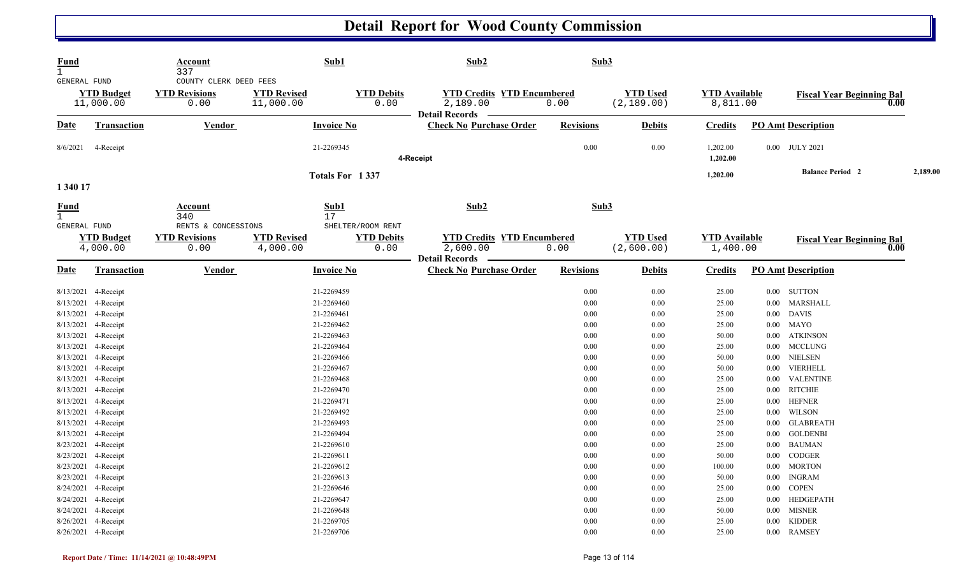| <b>Fund</b><br>$\mathbf{1}$<br>GENERAL FUND |                                            | Account<br>337<br>COUNTY CLERK DEED FEES            |                                 | Sub1                                           | Sub2                                                                   | Sub3             |                                |                                  |                           |                                          |          |
|---------------------------------------------|--------------------------------------------|-----------------------------------------------------|---------------------------------|------------------------------------------------|------------------------------------------------------------------------|------------------|--------------------------------|----------------------------------|---------------------------|------------------------------------------|----------|
|                                             | <b>YTD Budget</b><br>11,000.00             | <b>YTD Revisions</b><br>0.00                        | <b>YTD Revised</b><br>11,000.00 | <b>YTD Debits</b><br>0.00                      | <b>YTD Credits YTD Encumbered</b><br>2,189.00<br>Detail Records —      | 0.00             | <b>YTD Used</b><br>(2, 189.00) | <b>YTD Available</b><br>8,811.00 |                           | <b>Fiscal Year Beginning Bal</b><br>0.00 |          |
| <u>Date</u>                                 | <b>Transaction</b>                         | <b>Vendor</b>                                       |                                 | <b>Invoice No</b>                              | <b>Check No Purchase Order</b>                                         | <b>Revisions</b> | <b>Debits</b>                  | <b>Credits</b>                   | <b>PO Amt Description</b> |                                          |          |
| 8/6/2021                                    | 4-Receipt                                  |                                                     |                                 | 21-2269345                                     | 4-Receipt                                                              | $0.00\,$         | 0.00                           | 1,202.00<br>1,202.00             | 0.00 JULY 2021            |                                          |          |
|                                             |                                            |                                                     |                                 | Totals For 1337                                |                                                                        |                  |                                | 1,202.00                         |                           | <b>Balance Period 2</b>                  | 2,189.00 |
| 1 340 17                                    |                                            |                                                     |                                 |                                                |                                                                        |                  |                                |                                  |                           |                                          |          |
| <b>Fund</b><br>$\mathbf{1}$                 |                                            | <b>Account</b><br>340                               |                                 | Sub1<br>17                                     | Sub2                                                                   | Sub3             |                                |                                  |                           |                                          |          |
| GENERAL FUND                                | <b>YTD Budget</b><br>4,000.00              | RENTS & CONCESSIONS<br><b>YTD Revisions</b><br>0.00 | <b>YTD Revised</b><br>4,000.00  | SHELTER/ROOM RENT<br><b>YTD Debits</b><br>0.00 | <b>YTD Credits YTD Encumbered</b><br>2,600.00<br><b>Detail Records</b> | 0.00             | <b>YTD Used</b><br>(2,600.00)  | <b>YTD Available</b><br>1,400.00 |                           | <b>Fiscal Year Beginning Bal</b><br>0.00 |          |
| <b>Date</b>                                 | Transaction                                | Vendor                                              |                                 | <b>Invoice No</b>                              | <b>Check No Purchase Order</b>                                         | <b>Revisions</b> | <b>Debits</b>                  | <b>Credits</b>                   | <b>PO Amt Description</b> |                                          |          |
|                                             | 8/13/2021 4-Receipt                        |                                                     |                                 | 21-2269459                                     |                                                                        | 0.00             | 0.00                           | 25.00                            | $0.00$ SUTTON             |                                          |          |
|                                             | 8/13/2021 4-Receipt                        |                                                     |                                 | 21-2269460                                     |                                                                        | 0.00             | 0.00                           | 25.00                            | 0.00 MARSHALL             |                                          |          |
|                                             | 8/13/2021 4-Receipt                        |                                                     |                                 | 21-2269461                                     |                                                                        | 0.00             | 0.00                           | 25.00                            | $0.00\quad$ DAVIS         |                                          |          |
| 8/13/2021                                   | 4-Receipt                                  |                                                     |                                 | 21-2269462                                     |                                                                        | 0.00             | 0.00                           | 25.00                            | $0.00$ MAYO               |                                          |          |
|                                             | 8/13/2021 4-Receipt                        |                                                     |                                 | 21-2269463                                     |                                                                        | 0.00             | 0.00                           | 50.00                            | $0.00\,$                  | <b>ATKINSON</b>                          |          |
| 8/13/2021 4-Receipt                         |                                            |                                                     |                                 | 21-2269464                                     |                                                                        | 0.00             | 0.00                           | 25.00                            | $0.00$ MCCLUNG            |                                          |          |
| 8/13/2021 4-Receipt                         |                                            |                                                     |                                 | 21-2269466                                     |                                                                        | 0.00             | 0.00                           | 50.00                            | 0.00 NIELSEN              |                                          |          |
|                                             | 8/13/2021 4-Receipt                        |                                                     |                                 | 21-2269467                                     |                                                                        | 0.00             | 0.00                           | 50.00                            | 0.00 VIERHELL             |                                          |          |
|                                             | 8/13/2021 4-Receipt                        |                                                     |                                 | 21-2269468                                     |                                                                        | 0.00             | 0.00                           | 25.00                            | $0.00\,$                  | <b>VALENTINE</b>                         |          |
|                                             | 8/13/2021 4-Receipt                        |                                                     |                                 | 21-2269470                                     |                                                                        | 0.00             | 0.00                           | 25.00                            | 0.00 RITCHIE              |                                          |          |
|                                             | 8/13/2021 4-Receipt                        |                                                     |                                 | 21-2269471                                     |                                                                        | 0.00             | 0.00                           | 25.00                            | $0.00\,$                  | <b>HEFNER</b>                            |          |
|                                             | 8/13/2021 4-Receipt                        |                                                     |                                 | 21-2269492<br>21-2269493                       |                                                                        | 0.00<br>0.00     | 0.00<br>0.00                   | 25.00                            | $0.00\,$<br>$0.00\,$      | WILSON<br><b>GLABREATH</b>               |          |
|                                             | 8/13/2021 4-Receipt<br>8/13/2021 4-Receipt |                                                     |                                 | 21-2269494                                     |                                                                        | 0.00             | 0.00                           | 25.00<br>25.00                   | $0.00\,$                  | <b>GOLDENBI</b>                          |          |
|                                             | 8/23/2021 4-Receipt                        |                                                     |                                 | 21-2269610                                     |                                                                        | 0.00             | 0.00                           | 25.00                            | 0.00 BAUMAN               |                                          |          |
| 8/23/2021 4-Receipt                         |                                            |                                                     |                                 | 21-2269611                                     |                                                                        | 0.00             | 0.00                           | 50.00                            | $0.00\,$                  | CODGER                                   |          |
|                                             | 8/23/2021 4-Receipt                        |                                                     |                                 | 21-2269612                                     |                                                                        | 0.00             | 0.00                           | 100.00                           | 0.00 MORTON               |                                          |          |
|                                             | 8/23/2021 4-Receipt                        |                                                     |                                 | 21-2269613                                     |                                                                        | 0.00             | 0.00                           | 50.00                            | 0.00 INGRAM               |                                          |          |
|                                             | 8/24/2021 4-Receipt                        |                                                     |                                 | 21-2269646                                     |                                                                        | 0.00             | 0.00                           | 25.00                            | <b>COPEN</b><br>$0.00\,$  |                                          |          |
|                                             | 8/24/2021 4-Receipt                        |                                                     |                                 | 21-2269647                                     |                                                                        | 0.00             | 0.00                           | 25.00                            | $0.00\,$                  | HEDGEPATH                                |          |
|                                             | 8/24/2021 4-Receipt                        |                                                     |                                 | 21-2269648                                     |                                                                        | 0.00             | 0.00                           | 50.00                            | 0.00 MISNER               |                                          |          |
|                                             | 8/26/2021 4-Receipt                        |                                                     |                                 | 21-2269705                                     |                                                                        | 0.00             | 0.00                           | 25.00                            | $0.00\,$                  | <b>KIDDER</b>                            |          |
|                                             | 8/26/2021 4-Receipt                        |                                                     |                                 | 21-2269706                                     |                                                                        | 0.00             | 0.00                           | 25.00                            | 0.00 RAMSEY               |                                          |          |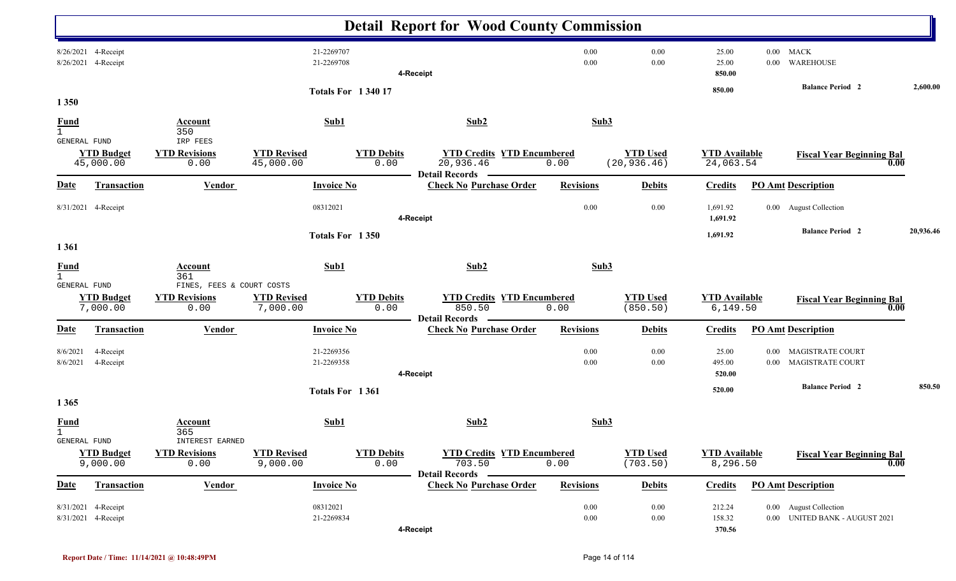|                                                    |                               |                                                    |                                 |                          |                           | <b>Detail Report for Wood County Commission</b>                      |                  |                                 |                                   |                      |                                                          |           |
|----------------------------------------------------|-------------------------------|----------------------------------------------------|---------------------------------|--------------------------|---------------------------|----------------------------------------------------------------------|------------------|---------------------------------|-----------------------------------|----------------------|----------------------------------------------------------|-----------|
| 8/26/2021 4-Receipt<br>8/26/2021 4-Receipt         |                               |                                                    |                                 | 21-2269707<br>21-2269708 |                           | 4-Receipt                                                            | 0.00<br>0.00     | 0.00<br>0.00                    | 25.00<br>25.00<br>850.00          | $0.00\,$<br>0.00     | MACK<br><b>WAREHOUSE</b>                                 |           |
| 1 3 5 0                                            |                               |                                                    |                                 | <b>Totals For 134017</b> |                           |                                                                      |                  |                                 | 850.00                            |                      | <b>Balance Period 2</b>                                  | 2,600.00  |
| <b>Fund</b><br>$\mathbf{1}$                        |                               | Account<br>350                                     |                                 | Sub1                     |                           | Sub2                                                                 | Sub3             |                                 |                                   |                      |                                                          |           |
| GENERAL FUND<br>45,000.00                          | <b>YTD Budget</b>             | IRP FEES<br><b>YTD Revisions</b><br>0.00           | <b>YTD Revised</b><br>45,000.00 |                          | <b>YTD Debits</b><br>0.00 | <b>YTD Credits YTD Encumbered</b><br>20,936.46                       | 0.00             | <b>YTD Used</b><br>(20, 936.46) | <b>YTD Available</b><br>24,063.54 |                      | <b>Fiscal Year Beginning Bal</b><br>0.00                 |           |
| <u>Date</u>                                        | <b>Transaction</b>            | <b>Vendor</b>                                      |                                 | <b>Invoice No</b>        |                           | <b>Check No Purchase Order</b>                                       | <b>Revisions</b> | <b>Debits</b>                   | <b>Credits</b>                    |                      | <b>PO</b> Amt Description                                |           |
| 8/31/2021 4-Receipt                                |                               |                                                    |                                 | 08312021                 |                           | 4-Receipt                                                            | 0.00             | 0.00                            | 1,691.92<br>1,691.92              |                      | 0.00 August Collection                                   |           |
| 1361                                               |                               |                                                    |                                 | Totals For 1350          |                           |                                                                      |                  |                                 | 1,691.92                          |                      | <b>Balance Period 2</b>                                  | 20,936.46 |
| <b>Fund</b><br>$\mathbf{1}$<br><b>GENERAL FUND</b> |                               | <b>Account</b><br>361<br>FINES, FEES & COURT COSTS |                                 | Sub1                     |                           | Sub2                                                                 | Sub3             |                                 |                                   |                      |                                                          |           |
|                                                    | <b>YTD Budget</b><br>7,000.00 | <b>YTD Revisions</b><br>0.00                       | <b>YTD Revised</b><br>7,000.00  |                          | <b>YTD Debits</b><br>0.00 | <b>YTD Credits YTD Encumbered</b><br>850.50<br><b>Detail Records</b> | 0.00             | <b>YTD Used</b><br>(850.50)     | <b>YTD Available</b><br>6,149.50  |                      | <b>Fiscal Year Beginning Bal</b><br>0.00                 |           |
| <b>Date</b>                                        | <b>Transaction</b>            | Vendor                                             |                                 | <b>Invoice No</b>        |                           | <b>Check No Purchase Order</b>                                       | <b>Revisions</b> | <b>Debits</b>                   | <b>Credits</b>                    |                      | <b>PO Amt Description</b>                                |           |
| 8/6/2021<br>8/6/2021                               | 4-Receipt<br>4-Receipt        |                                                    |                                 | 21-2269356<br>21-2269358 |                           | 4-Receipt                                                            | 0.00<br>0.00     | 0.00<br>0.00                    | 25.00<br>495.00<br>520.00         | $0.00\,$<br>$0.00\,$ | <b>MAGISTRATE COURT</b><br>MAGISTRATE COURT              |           |
| 1 3 6 5                                            |                               |                                                    |                                 | Totals For 1361          |                           |                                                                      |                  |                                 | 520.00                            |                      | <b>Balance Period 2</b>                                  | 850.50    |
| <b>Fund</b><br>$\mathbf{1}$<br>GENERAL FUND        |                               | <b>Account</b><br>365<br>INTEREST EARNED           |                                 | Sub1                     |                           | Sub2                                                                 | Sub3             |                                 |                                   |                      |                                                          |           |
|                                                    | <b>YTD Budget</b><br>9,000.00 | <b>YTD Revisions</b><br>0.00                       | <b>YTD Revised</b><br>9,000.00  |                          | <b>YTD Debits</b><br>0.00 | <b>YTD Credits YTD Encumbered</b><br>703.50<br><b>Detail Records</b> | 0.00             | <b>YTD Used</b><br>(703.50)     | <b>YTD Available</b><br>8,296.50  |                      | <b>Fiscal Year Beginning Bal</b><br>0.00                 |           |
| <u>Date</u>                                        | Transaction                   | <b>Vendor</b>                                      |                                 | <b>Invoice No</b>        |                           | <b>Check No Purchase Order</b>                                       | <b>Revisions</b> | <b>Debits</b>                   | <b>Credits</b>                    |                      | <b>PO Amt Description</b>                                |           |
| 8/31/2021 4-Receipt<br>8/31/2021 4-Receipt         |                               |                                                    |                                 | 08312021<br>21-2269834   |                           | 4-Receipt                                                            | 0.00<br>0.00     | 0.00<br>$0.00\,$                | 212.24<br>158.32<br>370.56        |                      | 0.00 August Collection<br>0.00 UNITED BANK - AUGUST 2021 |           |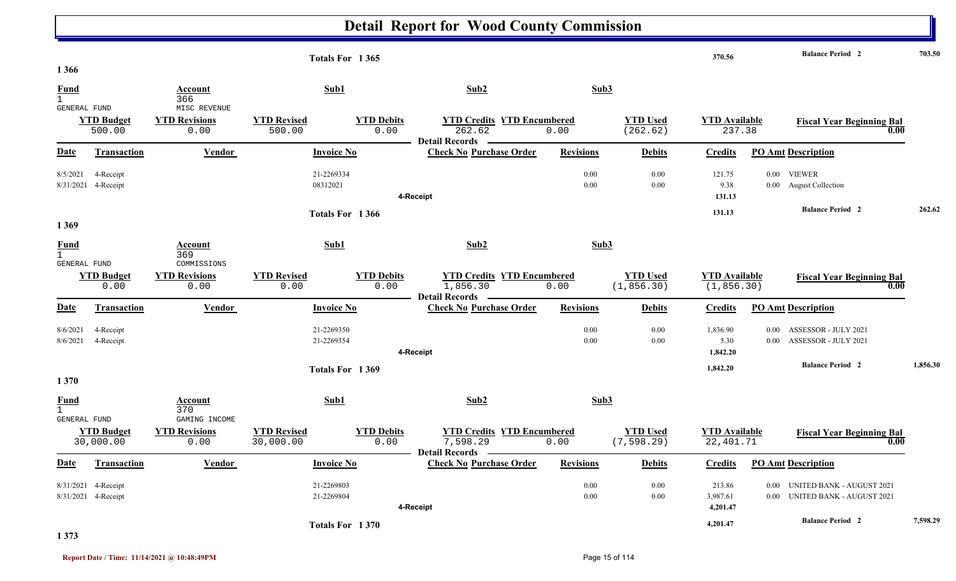|                                               |                                  |                                               | Totals For 1365                 |                           |                                   |                                           |                  |                                | 370.56                              |                      | <b>Balance Period 2</b>                                                 | 703.50   |
|-----------------------------------------------|----------------------------------|-----------------------------------------------|---------------------------------|---------------------------|-----------------------------------|-------------------------------------------|------------------|--------------------------------|-------------------------------------|----------------------|-------------------------------------------------------------------------|----------|
| 1 3 6 6                                       |                                  |                                               |                                 |                           |                                   |                                           |                  |                                |                                     |                      |                                                                         |          |
| Fund<br>$\mathbf{1}$                          |                                  | Account<br>366                                | Sub1                            |                           | Sub2                              |                                           | Sub3             |                                |                                     |                      |                                                                         |          |
| <b>GENERAL FUND</b>                           | <b>YTD Budget</b><br>500.00      | MISC REVENUE<br><b>YTD Revisions</b><br>0.00  | <b>YTD Revised</b><br>500.00    | <b>YTD Debits</b><br>0.00 | 262.62<br><b>Detail Records</b>   | <b>YTD Credits YTD Encumbered</b><br>0.00 |                  | <b>YTD Used</b><br>(262.62)    | <b>YTD Available</b><br>237.38      |                      | <b>Fiscal Year Beginning Bal</b><br>0.00                                |          |
| Date                                          | <b>Transaction</b>               | Vendor                                        | <b>Invoice No</b>               |                           | <b>Check No Purchase Order</b>    |                                           | <b>Revisions</b> | <b>Debits</b>                  | <b>Credits</b>                      |                      | <b>PO Amt Description</b>                                               |          |
| 8/5/2021                                      | 4-Receipt<br>8/31/2021 4-Receipt |                                               | 21-2269334<br>08312021          |                           | 4-Receipt                         |                                           | 0.00<br>0.00     | 0.00<br>0.00                   | 121.75<br>9.38<br>131.13            |                      | 0.00 VIEWER<br>0.00 August Collection                                   |          |
| 1 3 6 9                                       |                                  |                                               | Totals For 1366                 |                           |                                   |                                           |                  |                                | 131.13                              |                      | <b>Balance Period 2</b>                                                 | 262.62   |
| <b>Fund</b><br>$\overline{1}$<br>GENERAL FUND |                                  | Account<br>369<br>COMMISSIONS                 | Sub1                            |                           | Sub2                              |                                           | Sub3             |                                |                                     |                      |                                                                         |          |
|                                               | <b>YTD Budget</b><br>0.00        | <b>YTD Revisions</b><br>0.00                  | <b>YTD Revised</b><br>0.00      | <b>YTD Debits</b><br>0.00 | 1,856.30<br>Detail Records —      | <b>YTD Credits YTD Encumbered</b><br>0.00 |                  | <b>YTD Used</b><br>(1, 856.30) | <b>YTD</b> Available<br>(1, 856.30) |                      | <b>Fiscal Year Beginning Bal</b><br>0.00                                |          |
| Date                                          | <b>Transaction</b>               | Vendor                                        | <b>Invoice No</b>               |                           | <b>Check No Purchase Order</b>    |                                           | <b>Revisions</b> | <b>Debits</b>                  | <b>Credits</b>                      |                      | <b>PO Amt Description</b>                                               |          |
| 8/6/2021<br>8/6/2021                          | 4-Receipt<br>4-Receipt           |                                               | 21-2269350<br>21-2269354        |                           | 4-Receipt                         |                                           | 0.00<br>0.00     | 0.00<br>0.00                   | 1,836.90<br>5.30<br>1,842.20        | $0.00\,$<br>$0.00\,$ | ASSESSOR - JULY 2021<br>ASSESSOR - JULY 2021<br><b>Balance Period 2</b> | 1,856.30 |
| 1370                                          |                                  |                                               | Totals For 1369                 |                           |                                   |                                           |                  |                                | 1,842.20                            |                      |                                                                         |          |
| Fund<br>$\mathbf{1}$                          |                                  | Account<br>370                                | Sub1                            |                           | Sub2                              |                                           | Sub3             |                                |                                     |                      |                                                                         |          |
| GENERAL FUND                                  | <b>YTD Budget</b><br>30,000.00   | GAMING INCOME<br><b>YTD Revisions</b><br>0.00 | <b>YTD Revised</b><br>30,000.00 | <b>YTD Debits</b><br>0.00 | 7,598.29<br><b>Detail Records</b> | <b>YTD Credits YTD Encumbered</b><br>0.00 |                  | <b>YTD Used</b><br>(7, 598.29) | <b>YTD Available</b><br>22,401.71   |                      | <b>Fiscal Year Beginning Bal</b><br>0.00                                |          |
| Date                                          | <b>Transaction</b>               | <b>Vendor</b>                                 | <b>Invoice No</b>               |                           | <b>Check No Purchase Order</b>    |                                           | <b>Revisions</b> | <b>Debits</b>                  | <b>Credits</b>                      |                      | <b>PO Amt Description</b>                                               |          |
| 8/31/2021                                     | 4-Receipt<br>8/31/2021 4-Receipt |                                               | 21-2269803<br>21-2269804        |                           | 4-Receipt                         |                                           | 0.00<br>0.00     | 0.00<br>0.00                   | 213.86<br>3,987.61<br>4,201.47      | 0.00<br>$0.00\,$     | <b>UNITED BANK - AUGUST 2021</b><br><b>UNITED BANK - AUGUST 2021</b>    |          |
|                                               |                                  |                                               | Totals For 1370                 |                           |                                   |                                           |                  |                                | 4,201.47                            |                      | <b>Balance Period 2</b>                                                 | 7,598.29 |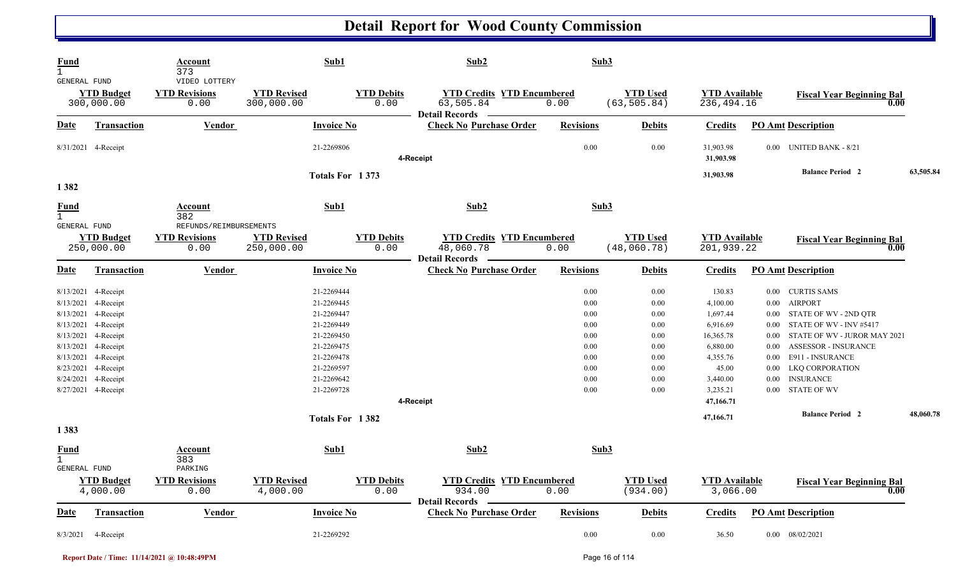| <b>Fund</b><br>$\mathbf{1}$<br><b>GENERAL FUND</b> |                                 | Account<br>373<br>VIDEO LOTTERY          |                                  | Sub1                      | Sub2                                                                    | Sub3             |                                 |                                    |          |                                          |           |
|----------------------------------------------------|---------------------------------|------------------------------------------|----------------------------------|---------------------------|-------------------------------------------------------------------------|------------------|---------------------------------|------------------------------------|----------|------------------------------------------|-----------|
|                                                    | <b>YTD Budget</b><br>300,000.00 | <b>YTD Revisions</b><br>0.00             | <b>YTD Revised</b><br>300,000.00 | <b>YTD Debits</b><br>0.00 | <b>YTD Credits YTD Encumbered</b><br>63,505.84<br><b>Detail Records</b> | 0.00             | <b>YTD Used</b><br>(63, 505.84) | <b>YTD Available</b><br>236,494.16 |          | <b>Fiscal Year Beginning Bal</b><br>0.00 |           |
| <b>Date</b>                                        | <b>Transaction</b>              | <b>Vendor</b>                            |                                  | <b>Invoice No</b>         | <b>Check No Purchase Order</b>                                          | <b>Revisions</b> | <b>Debits</b>                   | <b>Credits</b>                     |          | <b>PO Amt Description</b>                |           |
|                                                    | 8/31/2021 4-Receipt             |                                          |                                  | 21-2269806                | 4-Receipt                                                               | 0.00             | 0.00                            | 31,903.98<br>31,903.98             | $0.00\,$ | <b>UNITED BANK - 8/21</b>                |           |
|                                                    |                                 |                                          |                                  | Totals For 1373           |                                                                         |                  |                                 | 31,903.98                          |          | <b>Balance Period 2</b>                  | 63,505.84 |
| 1382                                               |                                 |                                          |                                  |                           |                                                                         |                  |                                 |                                    |          |                                          |           |
| <b>Fund</b><br>$\mathbf{1}$<br>GENERAL FUND        |                                 | Account<br>382<br>REFUNDS/REIMBURSEMENTS |                                  | Sub1                      | Sub2                                                                    | Sub3             |                                 |                                    |          |                                          |           |
|                                                    | <b>YTD Budget</b><br>250,000.00 | <b>YTD Revisions</b><br>0.00             | <b>YTD Revised</b><br>250,000.00 | <b>YTD Debits</b><br>0.00 | <b>YTD Credits YTD Encumbered</b><br>48,060.78<br>Detail Records —      | 0.00             | <b>YTD Used</b><br>(48,060.78)  | <b>YTD Available</b><br>201,939.22 |          | <b>Fiscal Year Beginning Bal</b><br>0.00 |           |
| Date                                               | Transaction                     | Vendor                                   |                                  | <b>Invoice No</b>         | <b>Check No Purchase Order</b>                                          | <b>Revisions</b> | <b>Debits</b>                   | <b>Credits</b>                     |          | <b>PO Amt Description</b>                |           |
|                                                    | 8/13/2021 4-Receipt             |                                          |                                  | 21-2269444                |                                                                         | 0.00             | 0.00                            | 130.83                             |          | 0.00 CURTIS SAMS                         |           |
|                                                    | 8/13/2021 4-Receipt             |                                          |                                  | 21-2269445                |                                                                         | 0.00             | 0.00                            | 4,100.00                           | $0.00\,$ | <b>AIRPORT</b>                           |           |
|                                                    | 8/13/2021 4-Receipt             |                                          |                                  | 21-2269447                |                                                                         | 0.00             | 0.00                            | 1,697.44                           | $0.00\,$ | STATE OF WV - 2ND QTR                    |           |
| 8/13/2021                                          | 4-Receipt                       |                                          |                                  | 21-2269449                |                                                                         | 0.00             | 0.00                            | 6,916.69                           | $0.00\,$ | STATE OF WV - INV #5417                  |           |
| 8/13/2021                                          | 4-Receipt                       |                                          |                                  | 21-2269450                |                                                                         | 0.00             | 0.00                            | 16,365.78                          | $0.00\,$ | STATE OF WV - JUROR MAY 2021             |           |
| 8/13/2021                                          | 4-Receipt                       |                                          |                                  | 21-2269475                |                                                                         | 0.00             | 0.00                            | 6,880.00                           | 0.00     | ASSESSOR - INSURANCE                     |           |
| 8/13/2021                                          | 4-Receipt                       |                                          |                                  | 21-2269478                |                                                                         | 0.00             | 0.00                            | 4,355.76                           | 0.00     | <b>E911 - INSURANCE</b>                  |           |
|                                                    | 8/23/2021 4-Receipt             |                                          |                                  | 21-2269597                |                                                                         | 0.00             | 0.00                            | 45.00                              | $0.00\,$ | LKQ CORPORATION                          |           |
| 8/24/2021                                          | 4-Receipt                       |                                          |                                  | 21-2269642                |                                                                         | 0.00             | 0.00                            | 3,440.00                           | $0.00\,$ | <b>INSURANCE</b>                         |           |
|                                                    | 8/27/2021 4-Receipt             |                                          |                                  | 21-2269728                |                                                                         | 0.00             | 0.00                            | 3,235.21                           | $0.00\,$ | <b>STATE OF WV</b>                       |           |
|                                                    |                                 |                                          |                                  |                           | 4-Receipt                                                               |                  |                                 | 47,166.71                          |          |                                          |           |
|                                                    |                                 |                                          |                                  | Totals For 1382           |                                                                         |                  |                                 | 47,166.71                          |          | <b>Balance Period 2</b>                  | 48,060.78 |
| 1383                                               |                                 |                                          |                                  |                           |                                                                         |                  |                                 |                                    |          |                                          |           |
| <b>Fund</b><br>$\mathbf{1}$<br><b>GENERAL FUND</b> |                                 | Account<br>383<br>PARKING                |                                  | Sub1                      | Sub2                                                                    | Sub3             |                                 |                                    |          |                                          |           |
|                                                    | <b>YTD Budget</b><br>4,000.00   | <b>YTD Revisions</b><br>0.00             | <b>YTD Revised</b><br>4,000.00   | <b>YTD Debits</b><br>0.00 | <b>YTD Credits YTD Encumbered</b><br>934.00                             | 0.00             | <b>YTD Used</b><br>(934.00)     | <b>YTD</b> Available<br>3,066.00   |          | <b>Fiscal Year Beginning Bal</b><br>0.00 |           |
| <b>Date</b>                                        | <b>Transaction</b>              | <b>Vendor</b>                            |                                  | <b>Invoice No</b>         | Detail Records –<br><b>Check No Purchase Order</b>                      | <b>Revisions</b> | <b>Debits</b>                   | <b>Credits</b>                     |          | <b>PO Amt Description</b>                |           |
| 8/3/2021                                           | 4-Receipt                       |                                          |                                  | 21-2269292                |                                                                         | $0.00\,$         | $0.00\,$                        | 36.50                              |          | $0.00$ $08/02/2021$                      |           |
|                                                    |                                 |                                          |                                  |                           |                                                                         |                  |                                 |                                    |          |                                          |           |

**Report Date / Time: 11/14/2021 @ 10:48:49PM** Page 16 of 114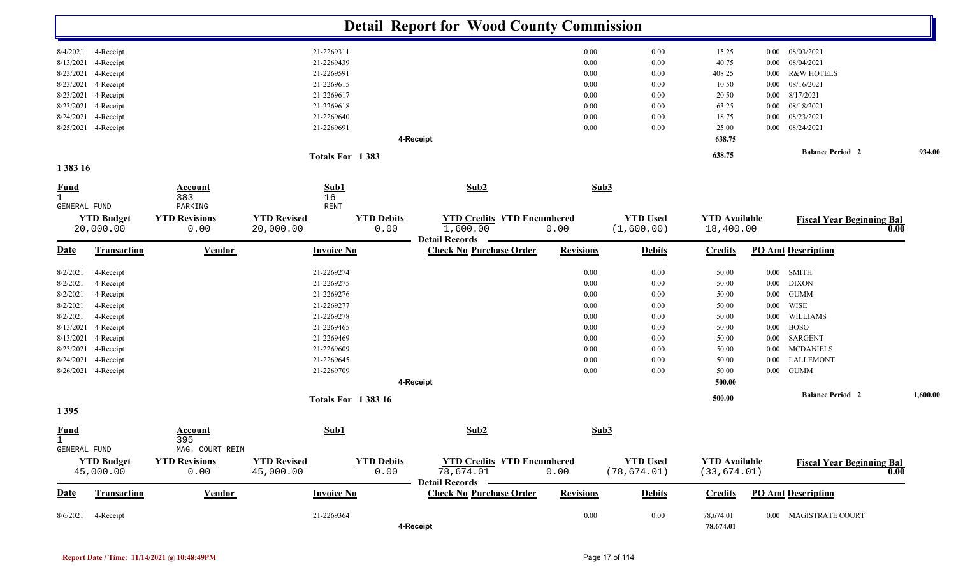|                                             |                                |                                   |                                 |                           | <b>Detail Report for Wood County Commission</b>                        |                  |                               |                                   |          |                                  |      |          |
|---------------------------------------------|--------------------------------|-----------------------------------|---------------------------------|---------------------------|------------------------------------------------------------------------|------------------|-------------------------------|-----------------------------------|----------|----------------------------------|------|----------|
| 8/4/2021                                    | 4-Receipt                      |                                   | 21-2269311                      |                           |                                                                        | 0.00             | 0.00                          | 15.25                             | $0.00\,$ | 08/03/2021                       |      |          |
| 8/13/2021                                   | 4-Receipt                      |                                   | 21-2269439                      |                           |                                                                        | 0.00             | 0.00                          | 40.75                             | $0.00\,$ | 08/04/2021                       |      |          |
| 8/23/2021                                   | 4-Receipt                      |                                   | 21-2269591                      |                           |                                                                        | 0.00             | 0.00                          | 408.25                            | $0.00\,$ | <b>R&amp;W HOTELS</b>            |      |          |
| 8/23/2021                                   | 4-Receipt                      |                                   | 21-2269615                      |                           |                                                                        | 0.00             | 0.00                          | 10.50                             | 0.00     | 08/16/2021                       |      |          |
| 8/23/2021                                   | 4-Receipt                      |                                   | 21-2269617                      |                           |                                                                        | 0.00             | 0.00                          | 20.50                             | 0.00     | 8/17/2021                        |      |          |
| 8/23/2021                                   | 4-Receipt                      |                                   | 21-2269618                      |                           |                                                                        | 0.00             | 0.00                          | 63.25                             | $0.00\,$ | 08/18/2021                       |      |          |
| 8/24/2021                                   | 4-Receipt                      |                                   | 21-2269640                      |                           |                                                                        | 0.00             | 0.00                          | 18.75                             | 0.00     | 08/23/2021                       |      |          |
| 8/25/2021                                   | 4-Receipt                      |                                   | 21-2269691                      |                           |                                                                        | 0.00             | 0.00                          | 25.00                             | $0.00\,$ | 08/24/2021                       |      |          |
|                                             |                                |                                   |                                 |                           | 4-Receipt                                                              |                  |                               | 638.75                            |          |                                  |      |          |
|                                             |                                |                                   | Totals For 1383                 |                           |                                                                        |                  |                               | 638.75                            |          | <b>Balance Period 2</b>          |      | 934.00   |
| 1 383 16                                    |                                |                                   |                                 |                           |                                                                        |                  |                               |                                   |          |                                  |      |          |
| <b>Fund</b><br>$\mathbf{1}$<br>GENERAL FUND |                                | <b>Account</b><br>383<br>PARKING  | Sub1<br>16<br>RENT              |                           | Sub2                                                                   | Sub3             |                               |                                   |          |                                  |      |          |
|                                             | <b>YTD Budget</b><br>20,000.00 | <b>YTD Revisions</b><br>0.00      | <b>YTD Revised</b><br>20,000.00 | <b>YTD Debits</b><br>0.00 | <b>YTD Credits YTD Encumbered</b><br>1,600.00<br><b>Detail Records</b> | 0.00             | <b>YTD Used</b><br>(1,600.00) | <b>YTD Available</b><br>18,400.00 |          | <b>Fiscal Year Beginning Bal</b> | 0.00 |          |
| <b>Date</b>                                 | Transaction                    | <b>Vendor</b>                     | <b>Invoice No</b>               |                           | <b>Check No Purchase Order</b>                                         | <b>Revisions</b> | <b>Debits</b>                 | <b>Credits</b>                    |          | <b>PO Amt Description</b>        |      |          |
| 8/2/2021                                    | 4-Receipt                      |                                   | 21-2269274                      |                           |                                                                        | 0.00             | 0.00                          | 50.00                             | $0.00\,$ | <b>SMITH</b>                     |      |          |
| 8/2/2021                                    | 4-Receipt                      |                                   | 21-2269275                      |                           |                                                                        | 0.00             | 0.00                          | 50.00                             | $0.00\,$ | <b>DIXON</b>                     |      |          |
| 8/2/2021                                    | 4-Receipt                      |                                   | 21-2269276                      |                           |                                                                        | 0.00             | 0.00                          | 50.00                             | $0.00\,$ | <b>GUMM</b>                      |      |          |
| 8/2/2021                                    | 4-Receipt                      |                                   | 21-2269277                      |                           |                                                                        | 0.00             | 0.00                          | 50.00                             | 0.00     | WISE                             |      |          |
| 8/2/2021                                    | 4-Receipt                      |                                   | 21-2269278                      |                           |                                                                        | 0.00             | 0.00                          | 50.00                             | $0.00\,$ | WILLIAMS                         |      |          |
| 8/13/2021                                   | 4-Receipt                      |                                   | 21-2269465                      |                           |                                                                        | 0.00             | 0.00                          | 50.00                             | $0.00\,$ | <b>BOSO</b>                      |      |          |
| 8/13/2021                                   | 4-Receipt                      |                                   | 21-2269469                      |                           |                                                                        | 0.00             | 0.00                          | 50.00                             | $0.00\,$ | SARGENT                          |      |          |
| 8/23/2021                                   | 4-Receipt                      |                                   | 21-2269609                      |                           |                                                                        | 0.00             | 0.00                          | 50.00                             | $0.00\,$ | <b>MCDANIELS</b>                 |      |          |
| 8/24/2021                                   | 4-Receipt                      |                                   | 21-2269645                      |                           |                                                                        | 0.00             | 0.00                          | 50.00                             | $0.00\,$ | LALLEMONT                        |      |          |
|                                             | 8/26/2021 4-Receipt            |                                   | 21-2269709                      |                           |                                                                        | 0.00             | 0.00                          | 50.00                             | $0.00\,$ | <b>GUMM</b>                      |      |          |
|                                             |                                |                                   |                                 |                           | 4-Receipt                                                              |                  |                               | 500.00                            |          |                                  |      |          |
|                                             |                                |                                   | <b>Totals For 138316</b>        |                           |                                                                        |                  |                               | 500.00                            |          | <b>Balance Period 2</b>          |      | 1,600.00 |
| 1395                                        |                                |                                   |                                 |                           |                                                                        |                  |                               |                                   |          |                                  |      |          |
| <b>Fund</b><br>$\perp$<br>GENERAL FUND      |                                | Account<br>395<br>MAG. COURT REIM | Sub1                            |                           | Sub2                                                                   | Sub3             |                               |                                   |          |                                  |      |          |
|                                             | <b>YTD Budget</b>              | <b>YTD Revisions</b>              | <b>YTD Revised</b>              | <b>YTD Debits</b>         | <b>YTD Credits YTD Encumbered</b>                                      |                  | <b>YTD Used</b>               | <b>YTD Available</b>              |          | <b>Fiscal Year Beginning Bal</b> |      |          |
|                                             | 45,000.00                      | 0.00                              | 45,000.00                       | 0.00                      | 78,674.01<br>Detail Records —                                          | 0.00             | (78, 674.01)                  | (33, 674.01)                      |          |                                  | 0.00 |          |
| <u>Date</u>                                 | Transaction                    | <b>Vendor</b>                     | <b>Invoice No</b>               |                           | <b>Check No Purchase Order</b>                                         | <b>Revisions</b> | <b>Debits</b>                 | <b>Credits</b>                    |          | <b>PO Amt Description</b>        |      |          |
| 8/6/2021                                    | 4-Receipt                      |                                   | 21-2269364                      |                           | 4-Receipt                                                              | $0.00\,$         | $0.00\,$                      | 78,674.01<br>78,674.01            |          | 0.00 MAGISTRATE COURT            |      |          |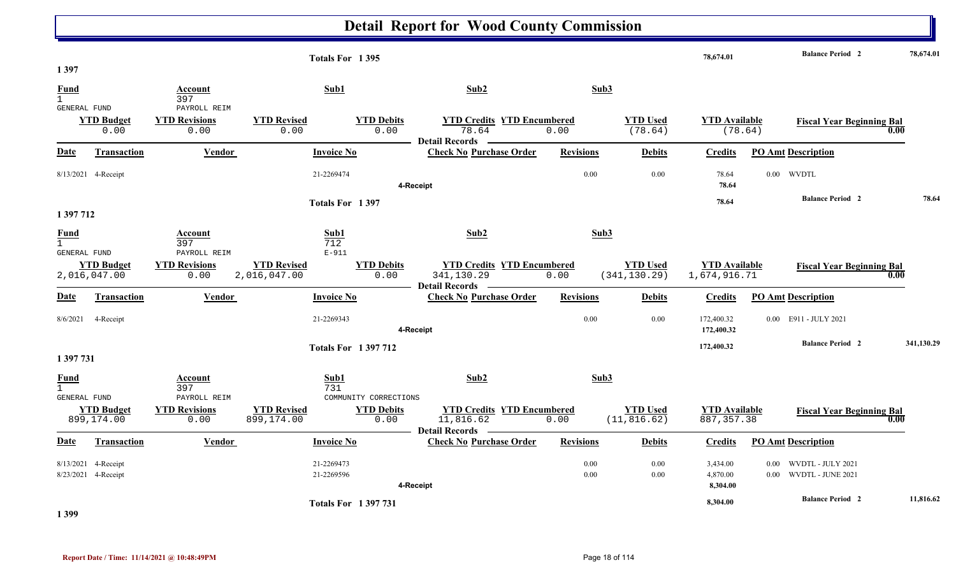| 1 3 9 7                                     |                                            |                                              | Totals For 1395                               |                           |                                                                                |                  |                                  | 78,674.01                            | <b>Balance Period 2</b>                          |            | 78,674.01 |
|---------------------------------------------|--------------------------------------------|----------------------------------------------|-----------------------------------------------|---------------------------|--------------------------------------------------------------------------------|------------------|----------------------------------|--------------------------------------|--------------------------------------------------|------------|-----------|
| Fund<br>$\mathbf{1}$                        |                                            | Account<br>397                               | Sub1                                          |                           | Sub2                                                                           | Sub3             |                                  |                                      |                                                  |            |           |
| GENERAL FUND                                | <b>YTD Budget</b><br>0.00                  | PAYROLL REIM<br><b>YTD Revisions</b><br>0.00 | <b>YTD Revised</b><br>0.00                    | <b>YTD Debits</b><br>0.00 | <b>YTD Credits YTD Encumbered</b><br>78.64                                     | 0.00             | <b>YTD Used</b><br>(78.64)       | <b>YTD Available</b>                 | <b>Fiscal Year Beginning Bal</b><br>(78.64)      | 0.00       |           |
| Date                                        | Transaction                                | Vendor                                       | <b>Invoice No</b>                             |                           | - Detail Records<br><b>Contract Contract</b><br><b>Check No Purchase Order</b> | <b>Revisions</b> | <b>Debits</b>                    | <b>Credits</b>                       | <b>PO Amt Description</b>                        |            |           |
|                                             | 8/13/2021 4-Receipt                        |                                              | 21-2269474                                    |                           | 4-Receipt                                                                      | 0.00             | 0.00                             | 78.64<br>78.64                       | $0.00$ WVDTL                                     |            |           |
|                                             |                                            |                                              | Totals For 1397                               |                           |                                                                                |                  |                                  | 78.64                                | <b>Balance Period 2</b>                          |            | 78.64     |
| 1 397 712                                   |                                            |                                              |                                               |                           |                                                                                |                  |                                  |                                      |                                                  |            |           |
| <b>Fund</b><br>$\mathbf{1}$                 |                                            | Account<br>397                               | Sub1<br>712                                   |                           | Sub2                                                                           | Sub3             |                                  |                                      |                                                  |            |           |
| <b>GENERAL FUND</b>                         | <b>YTD Budget</b><br>2,016,047.00          | PAYROLL REIM<br><b>YTD Revisions</b><br>0.00 | $E-911$<br><b>YTD Revised</b><br>2,016,047.00 | <b>YTD Debits</b><br>0.00 | <b>YTD Credits YTD Encumbered</b><br>341,130.29<br>Detail Records —            | 0.00             | <b>YTD Used</b><br>(341, 130.29) | <b>YTD</b> Available<br>1,674,916.71 | <b>Fiscal Year Beginning Bal</b>                 | 0.00       |           |
| Date                                        | <b>Transaction</b>                         | <b>Vendor</b>                                | <b>Invoice No</b>                             |                           | <b>Check No Purchase Order</b>                                                 | <b>Revisions</b> | <b>Debits</b>                    | <b>Credits</b>                       | <b>PO Amt Description</b>                        |            |           |
|                                             | 8/6/2021 4-Receipt                         |                                              | 21-2269343                                    |                           | 4-Receipt                                                                      | 0.00             | 0.00                             | 172,400.32<br>172,400.32             | 0.00 E911 - JULY 2021                            |            |           |
|                                             |                                            |                                              | <b>Totals For 1397712</b>                     |                           |                                                                                |                  |                                  | 172,400.32                           | <b>Balance Period 2</b>                          | 341,130.29 |           |
| 1 397 731                                   |                                            |                                              |                                               |                           |                                                                                |                  |                                  |                                      |                                                  |            |           |
| <b>Fund</b><br>$\mathbf{1}$<br>GENERAL FUND |                                            | Account<br>397<br>PAYROLL REIM               | Sub1<br>731                                   | COMMUNITY CORRECTIONS     | Sub <sub>2</sub>                                                               | Sub3             |                                  |                                      |                                                  |            |           |
|                                             | <b>YTD Budget</b><br>899,174.00            | <b>YTD Revisions</b><br>0.00                 | <b>YTD Revised</b><br>899,174.00              | <b>YTD Debits</b><br>0.00 | <b>YTD Credits YTD Encumbered</b><br>11,816.62<br>Detail Records —             | 0.00             | <b>YTD Used</b><br>(11, 816.62)  | <b>YTD Available</b><br>887, 357.38  | <b>Fiscal Year Beginning Bal</b>                 | 0.00       |           |
| Date                                        | <b>Transaction</b>                         | <b>Vendor</b>                                | <b>Invoice No</b>                             |                           | <b>Check No Purchase Order</b>                                                 | <b>Revisions</b> | <b>Debits</b>                    | <b>Credits</b>                       | <b>PO Amt Description</b>                        |            |           |
|                                             | 8/13/2021 4-Receipt<br>8/23/2021 4-Receipt |                                              | 21-2269473<br>21-2269596                      |                           | 4-Receipt                                                                      | 0.00<br>0.00     | 0.00<br>0.00                     | 3,434.00<br>4,870.00<br>8,304.00     | 0.00 WVDTL - JULY 2021<br>0.00 WVDTL - JUNE 2021 |            |           |
|                                             |                                            |                                              | <b>Totals For 1397731</b>                     |                           |                                                                                |                  |                                  | 8,304.00                             | <b>Balance Period 2</b>                          |            | 11,816.62 |

**1 399** 

Т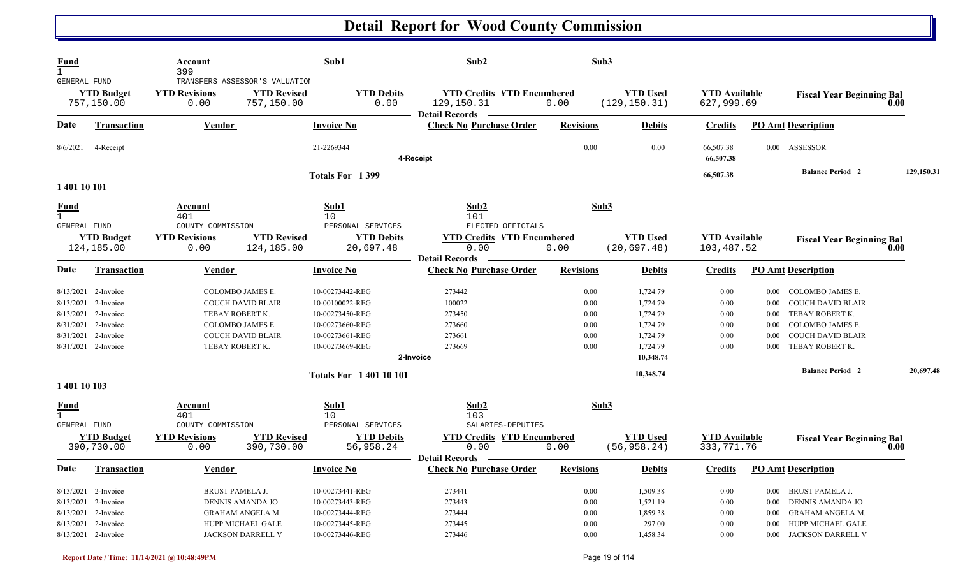| Fund<br>$\mathbf{1}$                        |                                                                                                                              | Account<br>399                                                      |                                                                                                                                    | Sub1                                                                                                           | Sub2                                                                                                   |                                              | Sub3                                                                              |                                                  |                                                                                                                                                                                                                              |            |
|---------------------------------------------|------------------------------------------------------------------------------------------------------------------------------|---------------------------------------------------------------------|------------------------------------------------------------------------------------------------------------------------------------|----------------------------------------------------------------------------------------------------------------|--------------------------------------------------------------------------------------------------------|----------------------------------------------|-----------------------------------------------------------------------------------|--------------------------------------------------|------------------------------------------------------------------------------------------------------------------------------------------------------------------------------------------------------------------------------|------------|
| GENERAL FUND                                | <b>YTD Budget</b><br>757,150.00                                                                                              | <b>YTD Revisions</b><br>0.00                                        | TRANSFERS ASSESSOR'S VALUATION<br><b>YTD Revised</b><br>757,150.00                                                                 | <b>YTD Debits</b><br>0.00                                                                                      | <b>YTD Credits YTD Encumbered</b><br>129,150.31<br><b>Detail Records</b>                               | 0.00                                         | <b>YTD Used</b><br>(129, 150.31)                                                  | <b>YTD</b> Available<br>627,999.69               | <b>Fiscal Year Beginning Bal</b>                                                                                                                                                                                             | 0.00       |
| Date                                        | <b>Transaction</b>                                                                                                           | <b>Vendor</b>                                                       |                                                                                                                                    | <b>Invoice No</b>                                                                                              | <b>Check No Purchase Order</b>                                                                         | <b>Revisions</b>                             | <b>Debits</b>                                                                     | <b>Credits</b>                                   | <b>PO Amt Description</b>                                                                                                                                                                                                    |            |
| 8/6/2021                                    | 4-Receipt                                                                                                                    |                                                                     |                                                                                                                                    | 21-2269344                                                                                                     | 4-Receipt                                                                                              | 0.00                                         | 0.00                                                                              | 66,507.38<br>66,507.38                           | 0.00 ASSESSOR                                                                                                                                                                                                                |            |
| 1 401 10 101                                |                                                                                                                              |                                                                     |                                                                                                                                    | Totals For 1399                                                                                                |                                                                                                        |                                              |                                                                                   | 66,507.38                                        | <b>Balance Period 2</b>                                                                                                                                                                                                      | 129,150.31 |
| <u>Fund</u><br>$\mathbf{1}$<br>GENERAL FUND | <b>YTD Budget</b><br>124, 185, 00                                                                                            | Account<br>401<br>COUNTY COMMISSION<br><b>YTD Revisions</b><br>0.00 | <b>YTD Revised</b><br>124,185.00                                                                                                   | Sub1<br>10<br>PERSONAL SERVICES<br><b>YTD Debits</b><br>20,697.48                                              | Sub2<br>101<br>ELECTED OFFICIALS<br><b>YTD Credits YTD Encumbered</b><br>0.00<br><b>Detail Records</b> | 0.00                                         | Sub3<br><b>YTD Used</b><br>(20, 697.48)                                           | <b>YTD Available</b><br>103,487.52               | <b>Fiscal Year Beginning Bal</b>                                                                                                                                                                                             | 0.00       |
| Date                                        | <b>Transaction</b>                                                                                                           | <b>Vendor</b>                                                       |                                                                                                                                    | <b>Invoice No</b>                                                                                              | <b>Check No Purchase Order</b>                                                                         | <b>Revisions</b>                             | <b>Debits</b>                                                                     | <b>Credits</b>                                   | <b>PO Amt Description</b>                                                                                                                                                                                                    |            |
| 8/31/2021                                   | 8/13/2021 2-Invoice<br>8/13/2021 2-Invoice<br>8/13/2021 2-Invoice<br>2-Invoice<br>8/31/2021 2-Invoice<br>8/31/2021 2-Invoice |                                                                     | COLOMBO JAMES E.<br><b>COUCH DAVID BLAIR</b><br>TEBAY ROBERT K.<br>COLOMBO JAMES E.<br><b>COUCH DAVID BLAIR</b><br>TEBAY ROBERT K. | 10-00273442-REG<br>10-00100022-REG<br>10-00273450-REG<br>10-00273660-REG<br>10-00273661-REG<br>10-00273669-REG | 273442<br>100022<br>273450<br>273660<br>273661<br>273669<br>2-Invoice                                  | 0.00<br>0.00<br>0.00<br>0.00<br>0.00<br>0.00 | 1,724.79<br>1,724.79<br>1,724.79<br>1,724.79<br>1,724.79<br>1,724.79<br>10,348.74 | 0.00<br>0.00<br>$0.00\,$<br>0.00<br>0.00<br>0.00 | COLOMBO JAMES E.<br>$0.00\,$<br>0.00<br><b>COUCH DAVID BLAIR</b><br>$0.00\,$<br>TEBAY ROBERT K.<br><b>COLOMBO JAMES E.</b><br>0.00<br><b>COUCH DAVID BLAIR</b><br>0.00<br>TEBAY ROBERT K.<br>0.00<br><b>Balance Period 2</b> | 20,697.48  |
| 1 401 10 103                                |                                                                                                                              |                                                                     |                                                                                                                                    | <b>Totals For 140110101</b>                                                                                    |                                                                                                        |                                              | 10,348.74                                                                         |                                                  |                                                                                                                                                                                                                              |            |
| Fund<br>$\mathbf{1}$<br>GENERAL FUND        | <b>YTD Budget</b>                                                                                                            | Account<br>401<br>COUNTY COMMISSION<br><b>YTD Revisions</b>         | <b>YTD Revised</b>                                                                                                                 | Sub1<br>10<br>PERSONAL SERVICES<br><b>YTD Debits</b>                                                           | Sub2<br>103<br>SALARIES-DEPUTIES<br><b>YTD Credits YTD Encumbered</b>                                  |                                              | Sub3<br><b>YTD Used</b>                                                           | <b>YTD</b> Available                             | <b>Fiscal Year Beginning Bal</b>                                                                                                                                                                                             |            |
|                                             | 390,730.00                                                                                                                   | 0.00                                                                | 390,730.00                                                                                                                         | 56,958.24                                                                                                      | 0.00<br><b>Detail Records</b>                                                                          | 0.00                                         | (56, 958.24)                                                                      | 333, 771.76                                      |                                                                                                                                                                                                                              | 0.00       |
| Date                                        | <b>Transaction</b>                                                                                                           | Vendor                                                              |                                                                                                                                    | <b>Invoice No</b>                                                                                              | <b>Check No Purchase Order</b>                                                                         | <b>Revisions</b>                             | <b>Debits</b>                                                                     | <b>Credits</b>                                   | <b>PO Amt Description</b>                                                                                                                                                                                                    |            |
| 8/13/2021                                   | $8/13/2021$ 2-Invoice<br>8/13/2021 2-Invoice<br>8/13/2021 2-Invoice<br>2-Invoice                                             | <b>BRUST PAMELA J.</b>                                              | DENNIS AMANDA JO<br><b>GRAHAM ANGELA M.</b><br>HUPP MICHAEL GALE                                                                   | 10-00273441-REG<br>10-00273443-REG<br>10-00273444-REG<br>10-00273445-REG                                       | 273441<br>273443<br>273444<br>273445                                                                   | 0.00<br>0.00<br>0.00<br>0.00                 | 1,509.38<br>1,521.19<br>1,859.38<br>297.00                                        | 0.00<br>0.00<br>0.00<br>0.00                     | <b>BRUST PAMELA J.</b><br>$0.00\,$<br><b>DENNIS AMANDA JO</b><br>0.00<br>GRAHAM ANGELA M.<br>$0.00\,$<br>HUPP MICHAEL GALE<br>0.00                                                                                           |            |
|                                             | 8/13/2021 2-Invoice                                                                                                          |                                                                     | <b>JACKSON DARRELL V</b>                                                                                                           | 10-00273446-REG                                                                                                | 273446                                                                                                 | $0.00\,$                                     | 1,458.34                                                                          | 0.00                                             | JACKSON DARRELL V<br>$0.00\,$                                                                                                                                                                                                |            |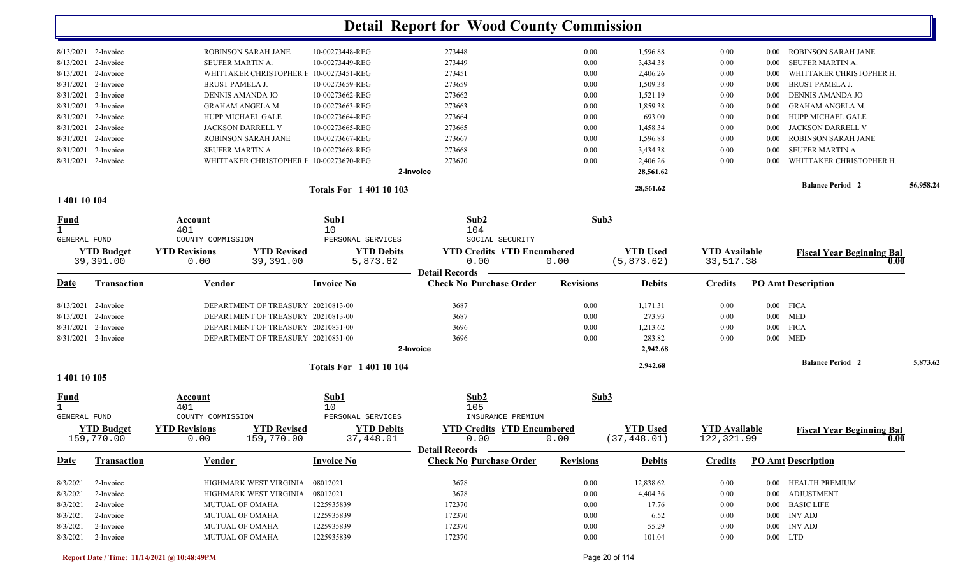|                             |                     |                         |                                         |                             | <b>Detail Report for Wood County Commission</b> |                  |                 |                      |          |                                  |           |
|-----------------------------|---------------------|-------------------------|-----------------------------------------|-----------------------------|-------------------------------------------------|------------------|-----------------|----------------------|----------|----------------------------------|-----------|
|                             | 8/13/2021 2-Invoice |                         | ROBINSON SARAH JANE                     | 10-00273448-REG             | 273448                                          | 0.00             | 1,596.88        | 0.00                 | $0.00\,$ | ROBINSON SARAH JANE              |           |
| 8/13/2021                   | 2-Invoice           | <b>SEUFER MARTIN A</b>  |                                         | 10-00273449-REG             | 273449                                          | 0.00             | 3,434.38        | 0.00                 | 0.00     | SEUFER MARTIN A.                 |           |
| 8/13/2021                   | 2-Invoice           |                         | WHITTAKER CHRISTOPHER F                 | 10-00273451-REG             | 273451                                          | 0.00             | 2,406.26        | 0.00                 | 0.00     | WHITTAKER CHRISTOPHER H.         |           |
| 8/31/2021                   | 2-Invoice           | <b>BRUST PAMELA J.</b>  |                                         | 10-00273659-REG             | 273659                                          | 0.00             | 1,509.38        | 0.00                 | 0.00     | <b>BRUST PAMELA J.</b>           |           |
| 8/31/2021                   | 2-Invoice           | DENNIS AMANDA JO        |                                         | 10-00273662-REG             | 273662                                          | 0.00             | 1,521.19        | 0.00                 | 0.00     | DENNIS AMANDA JO                 |           |
| 8/31/2021                   | 2-Invoice           | <b>GRAHAM ANGELA M.</b> |                                         | 10-00273663-REG             | 273663                                          | 0.00             | 1,859.38        | 0.00                 | 0.00     | <b>GRAHAM ANGELA M.</b>          |           |
| 8/31/2021                   | 2-Invoice           | HUPP MICHAEL GALE       |                                         | 10-00273664-REG             | 273664                                          | 0.00             | 693.00          | 0.00                 | 0.00     | HUPP MICHAEL GALE                |           |
| 8/31/2021                   | 2-Invoice           | JACKSON DARRELL V       |                                         | 10-00273665-REG             | 273665                                          | 0.00             | 1,458.34        | 0.00                 | $0.00\,$ | JACKSON DARRELL V                |           |
| 8/31/2021                   | 2-Invoice           |                         | ROBINSON SARAH JANE                     | 10-00273667-REG             | 273667                                          | 0.00             | 1,596.88        | 0.00                 | 0.00     | <b>ROBINSON SARAH JANE</b>       |           |
| 8/31/2021                   | 2-Invoice           | SEUFER MARTIN A.        |                                         | 10-00273668-REG             | 273668                                          | 0.00             | 3,434.38        | 0.00                 | 0.00     | <b>SEUFER MARTIN A.</b>          |           |
|                             | 8/31/2021 2-Invoice |                         | WHITTAKER CHRISTOPHER I 10-00273670-REG |                             | 273670                                          | 0.00             | 2,406.26        | 0.00                 | 0.00     | WHITTAKER CHRISTOPHER H.         |           |
|                             |                     |                         |                                         |                             | 2-Invoice                                       |                  | 28,561.62       |                      |          |                                  |           |
|                             |                     |                         |                                         | <b>Totals For 140110103</b> |                                                 |                  | 28,561.62       |                      |          | <b>Balance Period 2</b>          | 56,958.24 |
| 1 401 10 104                |                     |                         |                                         |                             |                                                 |                  |                 |                      |          |                                  |           |
| <b>Fund</b>                 |                     | Account                 |                                         | Sub1                        | Sub2                                            | Sub3             |                 |                      |          |                                  |           |
| $\mathbf{1}$                |                     | 401                     |                                         | 10                          | 104                                             |                  |                 |                      |          |                                  |           |
| GENERAL FUND                |                     | COUNTY COMMISSION       |                                         | PERSONAL SERVICES           | SOCIAL SECURITY                                 |                  |                 |                      |          |                                  |           |
|                             | <b>YTD Budget</b>   | <b>YTD Revisions</b>    | <b>YTD Revised</b>                      | <b>YTD Debits</b>           | <b>YTD Credits YTD Encumbered</b>               |                  | <b>YTD Used</b> | <b>YTD Available</b> |          | <b>Fiscal Year Beginning Bal</b> |           |
|                             | 39,391.00           | 0.00                    | 39,391.00                               | 5,873.62                    | 0.00<br><b>Detail Records</b>                   | 0.00             | (5, 873.62)     | 33,517.38            |          | 0.00                             |           |
| Date                        | <b>Transaction</b>  | <u>Vendor</u>           |                                         | <b>Invoice No</b>           | <b>Check No Purchase Order</b>                  | <b>Revisions</b> | <b>Debits</b>   | <b>Credits</b>       |          | <b>PO Amt Description</b>        |           |
| 8/13/2021                   | 2-Invoice           |                         | DEPARTMENT OF TREASURY 20210813-00      |                             | 3687                                            | 0.00             | 1,171.31        | 0.00                 |          | $0.00$ FICA                      |           |
| 8/13/2021                   | 2-Invoice           |                         | DEPARTMENT OF TREASURY 20210813-00      |                             | 3687                                            | 0.00             | 273.93          | 0.00                 |          | $0.00$ MED                       |           |
| 8/31/2021                   | 2-Invoice           |                         | DEPARTMENT OF TREASURY 20210831-00      |                             | 3696                                            | 0.00             | 1,213.62        | 0.00                 | $0.00\,$ | <b>FICA</b>                      |           |
|                             | 8/31/2021 2-Invoice |                         | DEPARTMENT OF TREASURY 20210831-00      |                             | 3696                                            | 0.00             | 283.82          | 0.00                 |          | $0.00$ MED                       |           |
|                             |                     |                         |                                         |                             | 2-Invoice                                       |                  | 2,942.68        |                      |          |                                  |           |
|                             |                     |                         |                                         | <b>Totals For 140110104</b> |                                                 |                  | 2,942.68        |                      |          | <b>Balance Period 2</b>          | 5,873.62  |
| 1 401 10 105                |                     |                         |                                         |                             |                                                 |                  |                 |                      |          |                                  |           |
| <u>Fund</u><br>$\mathbf{1}$ |                     | Account<br>401          |                                         | Sub1<br>10                  | Sub2<br>105                                     | Sub3             |                 |                      |          |                                  |           |
| <b>GENERAL FUND</b>         |                     | COUNTY COMMISSION       |                                         | PERSONAL SERVICES           | INSURANCE PREMIUM                               |                  |                 |                      |          |                                  |           |
|                             | <b>YTD Budget</b>   | <b>YTD Revisions</b>    | <b>YTD Revised</b>                      | <b>YTD Debits</b>           | <b>YTD Credits YTD Encumbered</b>               |                  | <b>YTD Used</b> | <b>YTD</b> Available |          | <b>Fiscal Year Beginning Bal</b> |           |
|                             | 159,770.00          | 0.00                    | 159,770.00                              | 37,448.01                   | 0.00                                            | 0.00             | (37, 448.01)    | 122,321.99           |          | 0.00                             |           |
|                             |                     |                         |                                         |                             | Detail Records —                                |                  |                 |                      |          |                                  |           |
| <u>Date</u>                 | Transaction         | <b>Vendor</b>           |                                         | <b>Invoice No</b>           | <b>Check No Purchase Order</b>                  | <b>Revisions</b> | <b>Debits</b>   | <b>Credits</b>       |          | <b>PO Amt Description</b>        |           |
| 8/3/2021                    | 2-Invoice           |                         | HIGHMARK WEST VIRGINIA 08012021         |                             | 3678                                            | 0.00             | 12,838.62       | $0.00\,$             |          | 0.00 HEALTH PREMIUM              |           |
| 8/3/2021                    | 2-Invoice           |                         | HIGHMARK WEST VIRGINIA 08012021         |                             | 3678                                            | $0.00\,$         | 4,404.36        | 0.00                 |          | 0.00 ADJUSTMENT                  |           |
| 8/3/2021                    | 2-Invoice           | <b>MUTUAL OF OMAHA</b>  |                                         | 1225935839                  | 172370                                          | $0.00\,$         | 17.76           | 0.00                 |          | 0.00 BASIC LIFE                  |           |
| 8/3/2021                    | 2-Invoice           | MUTUAL OF OMAHA         |                                         | 1225935839                  | 172370                                          | $0.00\,$         | 6.52            | 0.00                 |          | $0.00$ INV ADJ                   |           |
| 8/3/2021                    | 2-Invoice           | MUTUAL OF OMAHA         |                                         | 1225935839                  | 172370                                          | $0.00\,$         | 55.29           | 0.00                 |          | $0.00$ INV ADJ                   |           |
| 8/3/2021 2-Invoice          |                     | MUTUAL OF OMAHA         |                                         | 1225935839                  | 172370                                          | $0.00\,$         | 101.04          | 0.00                 |          | $0.00$ LTD                       |           |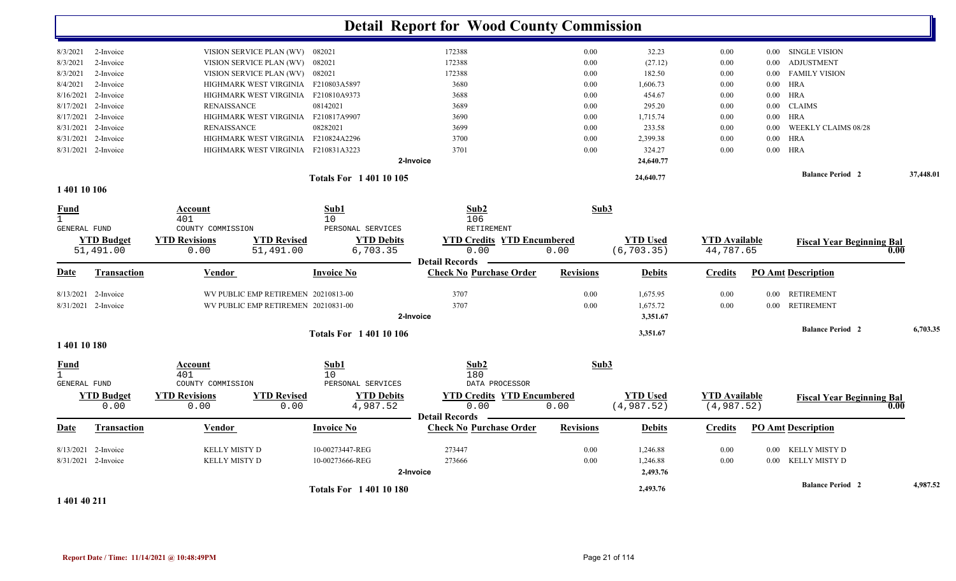|                     |                    |                      |                                     |                             | <b>Detail Report for Wood County Commission</b> |                  |                 |                      |          |                                  |           |
|---------------------|--------------------|----------------------|-------------------------------------|-----------------------------|-------------------------------------------------|------------------|-----------------|----------------------|----------|----------------------------------|-----------|
| 8/3/2021            | 2-Invoice          |                      | VISION SERVICE PLAN (WV) 082021     |                             | 172388                                          | 0.00             | 32.23           | 0.00                 |          | 0.00 SINGLE VISION               |           |
| 8/3/2021            | 2-Invoice          |                      | VISION SERVICE PLAN (WV) 082021     |                             | 172388                                          | 0.00             | (27.12)         | 0.00                 | $0.00\,$ | <b>ADJUSTMENT</b>                |           |
| 8/3/2021            | 2-Invoice          |                      | VISION SERVICE PLAN (WV) 082021     |                             | 172388                                          | 0.00             | 182.50          | 0.00                 | 0.00     | <b>FAMILY VISION</b>             |           |
| 8/4/2021            | 2-Invoice          |                      | HIGHMARK WEST VIRGINIA F210803A5897 |                             | 3680                                            | 0.00             | 1,606.73        | 0.00                 | $0.00\,$ | HRA                              |           |
| 8/16/2021           | 2-Invoice          |                      | HIGHMARK WEST VIRGINIA F210810A9373 |                             | 3688                                            | 0.00             | 454.67          | $0.00\,$             | $0.00\,$ | <b>HRA</b>                       |           |
| 8/17/2021           | 2-Invoice          | <b>RENAISSANCE</b>   |                                     | 08142021                    | 3689                                            | 0.00             | 295.20          | 0.00                 | $0.00\,$ | <b>CLAIMS</b>                    |           |
| 8/17/2021 2-Invoice |                    |                      | HIGHMARK WEST VIRGINIA F210817A9907 |                             | 3690                                            | 0.00             | 1,715.74        | 0.00                 |          | $0.00$ HRA                       |           |
| 8/31/2021 2-Invoice |                    | <b>RENAISSANCE</b>   |                                     | 08282021                    | 3699                                            | 0.00             | 233.58          | 0.00                 | $0.00\,$ | WEEKLY CLAIMS 08/28              |           |
| 8/31/2021           | 2-Invoice          |                      | HIGHMARK WEST VIRGINIA F210824A2296 |                             | 3700                                            | 0.00             | 2,399.38        | 0.00                 | $0.00\,$ | <b>HRA</b>                       |           |
| 8/31/2021 2-Invoice |                    |                      | HIGHMARK WEST VIRGINIA F210831A3223 |                             | 3701                                            | 0.00             | 324.27          | 0.00                 |          | $0.00$ HRA                       |           |
|                     |                    |                      |                                     |                             | 2-Invoice                                       |                  | 24,640.77       |                      |          |                                  |           |
|                     |                    |                      |                                     | <b>Totals For 140110105</b> |                                                 |                  | 24,640.77       |                      |          | <b>Balance Period 2</b>          | 37,448.01 |
| 1 401 10 106        |                    |                      |                                     |                             |                                                 |                  |                 |                      |          |                                  |           |
| Fund                |                    | Account              |                                     | Sub1                        | Sub2                                            | Sub3             |                 |                      |          |                                  |           |
| $\mathbf{1}$        |                    | 401                  |                                     | 10                          | 106                                             |                  |                 |                      |          |                                  |           |
| GENERAL FUND        |                    | COUNTY COMMISSION    |                                     | PERSONAL SERVICES           | RETIREMENT                                      |                  |                 |                      |          |                                  |           |
|                     | <b>YTD Budget</b>  | <b>YTD Revisions</b> | <b>YTD Revised</b>                  | <b>YTD Debits</b>           | <b>YTD Credits YTD Encumbered</b>               |                  | <b>YTD Used</b> | <b>YTD</b> Available |          | <b>Fiscal Year Beginning Bal</b> |           |
|                     | 51,491.00          | 0.00                 | 51,491.00                           | 6,703.35                    | 0.00                                            | 0.00             | (6, 703.35)     | 44,787.65            |          |                                  | 0.00      |
|                     |                    |                      |                                     |                             | <b>Detail Records</b>                           |                  |                 |                      |          |                                  |           |
| Date                | Transaction        | Vendor               |                                     | <b>Invoice No</b>           | <b>Check No Purchase Order</b>                  | <b>Revisions</b> | <b>Debits</b>   | <b>Credits</b>       |          | <b>PO Amt Description</b>        |           |
| 8/13/2021 2-Invoice |                    |                      | WV PUBLIC EMP RETIREMEN 20210813-00 |                             | 3707                                            | 0.00             | 1,675.95        | 0.00                 |          | 0.00 RETIREMENT                  |           |
| 8/31/2021 2-Invoice |                    |                      | WV PUBLIC EMP RETIREMEN 20210831-00 |                             | 3707                                            | 0.00             | 1,675.72        | 0.00                 |          | 0.00 RETIREMENT                  |           |
|                     |                    |                      |                                     |                             | 2-Invoice                                       |                  | 3,351.67        |                      |          |                                  |           |
|                     |                    |                      |                                     | <b>Totals For 140110106</b> |                                                 |                  | 3,351.67        |                      |          | <b>Balance Period 2</b>          | 6,703.35  |
| 1 401 10 180        |                    |                      |                                     |                             |                                                 |                  |                 |                      |          |                                  |           |
| <b>Fund</b>         |                    | Account              |                                     | Sub1                        | Sub2                                            | Sub3             |                 |                      |          |                                  |           |
| $\mathbf{1}$        |                    | 401                  |                                     | 10                          | 180                                             |                  |                 |                      |          |                                  |           |
| <b>GENERAL FUND</b> |                    | COUNTY COMMISSION    |                                     | PERSONAL SERVICES           | DATA PROCESSOR                                  |                  |                 |                      |          |                                  |           |
|                     | <b>YTD Budget</b>  | <b>YTD Revisions</b> | <b>YTD Revised</b>                  | <b>YTD Debits</b>           | <b>YTD Credits YTD Encumbered</b>               |                  | <b>YTD</b> Used | <b>YTD Available</b> |          | <b>Fiscal Year Beginning Bal</b> |           |
|                     | 0.00               | 0.00                 | 0.00                                | 4,987.52                    | 0.00                                            | 0.00             | (4, 987.52)     | (4, 987.52)          |          |                                  | 0.00      |
|                     |                    |                      |                                     |                             | <b>Detail Records</b>                           |                  |                 |                      |          |                                  |           |
| Date                | <b>Transaction</b> | <b>Vendor</b>        |                                     | <b>Invoice No</b>           | <b>Check No Purchase Order</b>                  | <b>Revisions</b> | <b>Debits</b>   | <b>Credits</b>       |          | <b>PO Amt Description</b>        |           |
| 8/13/2021 2-Invoice |                    | KELLY MISTY D        |                                     | 10-00273447-REG             | 273447                                          | 0.00             | 1,246.88        | 0.00                 |          | 0.00 KELLY MISTY D               |           |
| 8/31/2021 2-Invoice |                    | KELLY MISTY D        |                                     | 10-00273666-REG             | 273666                                          | 0.00             | 1,246.88        | 0.00                 |          | 0.00 KELLY MISTY D               |           |
|                     |                    |                      |                                     |                             | 2-Invoice                                       |                  | 2,493.76        |                      |          |                                  |           |
| .                   |                    |                      |                                     | <b>Totals For 140110180</b> |                                                 |                  | 2,493.76        |                      |          | <b>Balance Period 2</b>          | 4,987.52  |

**1 401 40 211**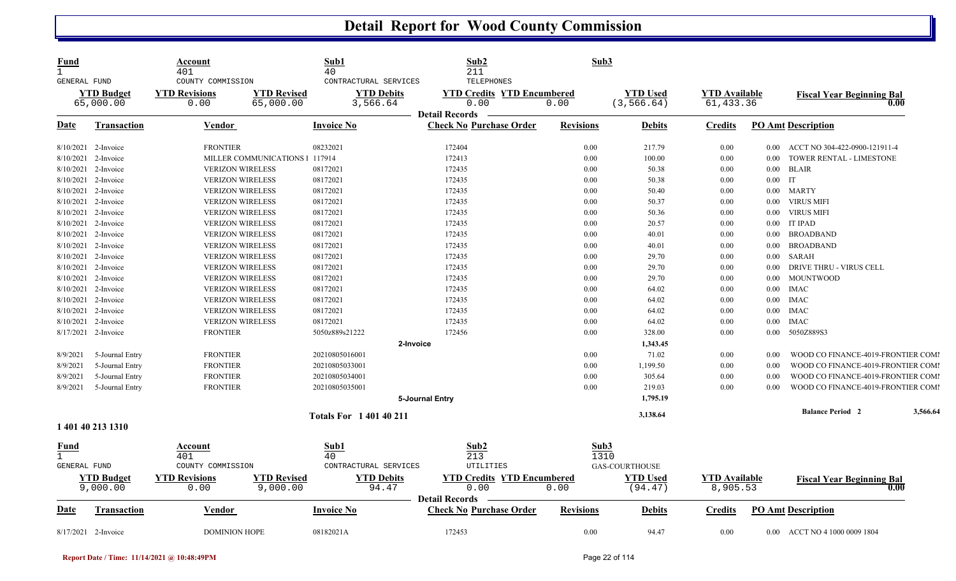| <b>Fund</b>                  |                     | Account                                    | Sub1                        | Sub2                              | Sub3             |                       |                      |           |                                    |          |
|------------------------------|---------------------|--------------------------------------------|-----------------------------|-----------------------------------|------------------|-----------------------|----------------------|-----------|------------------------------------|----------|
| $\mathbf{1}$<br>GENERAL FUND |                     | 401<br>COUNTY COMMISSION                   | 40<br>CONTRACTURAL SERVICES | 211<br>TELEPHONES                 |                  |                       |                      |           |                                    |          |
|                              | <b>YTD Budget</b>   | <b>YTD Revised</b><br><b>YTD Revisions</b> | <b>YTD Debits</b>           | <b>YTD Credits YTD Encumbered</b> |                  | <b>YTD</b> Used       | <b>YTD Available</b> |           | <b>Fiscal Year Beginning Bal</b>   |          |
|                              | 65,000.00           | 0.00<br>65,000.00                          | 3,566.64                    | 0.00                              | 0.00             | (3, 566.64)           | 61,433.36            |           |                                    | 0.00     |
|                              |                     |                                            |                             | <b>Detail Records</b>             |                  |                       |                      |           |                                    |          |
| <b>Date</b>                  | <b>Transaction</b>  | Vendor                                     | <b>Invoice No</b>           | <b>Check No Purchase Order</b>    | <b>Revisions</b> | <b>Debits</b>         | <b>Credits</b>       |           | <b>PO Amt Description</b>          |          |
|                              | 8/10/2021 2-Invoice | <b>FRONTIER</b>                            | 08232021                    | 172404                            | 0.00             | 217.79                | 0.00                 |           | 0.00 ACCT NO 304-422-0900-121911-4 |          |
|                              | 8/10/2021 2-Invoice | MILLER COMMUNICATIONS 1 117914             |                             | 172413                            | 0.00             | 100.00                | 0.00                 | 0.00      | TOWER RENTAL - LIMESTONE           |          |
|                              | 8/10/2021 2-Invoice | <b>VERIZON WIRELESS</b>                    | 08172021                    | 172435                            | 0.00             | 50.38                 | 0.00                 | $0.00\,$  | <b>BLAIR</b>                       |          |
|                              | 8/10/2021 2-Invoice | <b>VERIZON WIRELESS</b>                    | 08172021                    | 172435                            | 0.00             | 50.38                 | 0.00                 | $0.00$ IT |                                    |          |
|                              | 8/10/2021 2-Invoice | <b>VERIZON WIRELESS</b>                    | 08172021                    | 172435                            | 0.00             | 50.40                 | 0.00                 |           | 0.00 MARTY                         |          |
|                              | 8/10/2021 2-Invoice | <b>VERIZON WIRELESS</b>                    | 08172021                    | 172435                            | 0.00             | 50.37                 | 0.00                 | $0.00\,$  | <b>VIRUS MIFI</b>                  |          |
|                              | 8/10/2021 2-Invoice | <b>VERIZON WIRELESS</b>                    | 08172021                    | 172435                            | 0.00             | 50.36                 | 0.00                 | $0.00\,$  | VIRUS MIFI                         |          |
|                              | 8/10/2021 2-Invoice | <b>VERIZON WIRELESS</b>                    | 08172021                    | 172435                            | 0.00             | 20.57                 | 0.00                 |           | 0.00 IT IPAD                       |          |
|                              | 8/10/2021 2-Invoice | <b>VERIZON WIRELESS</b>                    | 08172021                    | 172435                            | 0.00             | 40.01                 | 0.00                 | $0.00\,$  | <b>BROADBAND</b>                   |          |
|                              | 8/10/2021 2-Invoice | <b>VERIZON WIRELESS</b>                    | 08172021                    | 172435                            | 0.00             | 40.01                 | 0.00                 | $0.00\,$  | <b>BROADBAND</b>                   |          |
|                              | 8/10/2021 2-Invoice | <b>VERIZON WIRELESS</b>                    | 08172021                    | 172435                            | 0.00             | 29.70                 | 0.00                 | $0.00\,$  | SARAH                              |          |
| 8/10/2021                    | 2-Invoice           | <b>VERIZON WIRELESS</b>                    | 08172021                    | 172435                            | 0.00             | 29.70                 | 0.00                 | $0.00\,$  | DRIVE THRU - VIRUS CELL            |          |
|                              | 8/10/2021 2-Invoice | <b>VERIZON WIRELESS</b>                    | 08172021                    | 172435                            | 0.00             | 29.70                 | 0.00                 |           | 0.00 MOUNTWOOD                     |          |
|                              | 8/10/2021 2-Invoice | <b>VERIZON WIRELESS</b>                    | 08172021                    | 172435                            | 0.00             | 64.02                 | 0.00                 | $0.00\,$  | <b>IMAC</b>                        |          |
| 8/10/2021                    | 2-Invoice           | <b>VERIZON WIRELESS</b>                    | 08172021                    | 172435                            | 0.00             | 64.02                 | 0.00                 | $0.00\,$  | <b>IMAC</b>                        |          |
|                              | 8/10/2021 2-Invoice | <b>VERIZON WIRELESS</b>                    | 08172021                    | 172435                            | 0.00             | 64.02                 | 0.00                 | $0.00\,$  | <b>IMAC</b>                        |          |
|                              | 8/10/2021 2-Invoice | <b>VERIZON WIRELESS</b>                    | 08172021                    | 172435                            | 0.00             | 64.02                 | 0.00                 | $0.00\,$  | <b>IMAC</b>                        |          |
|                              | 8/17/2021 2-Invoice | <b>FRONTIER</b>                            | 5050z889s21222              | 172456                            | 0.00             | 328.00                | 0.00                 | $0.00\,$  | 5050Z889S3                         |          |
|                              |                     |                                            | 2-Invoice                   |                                   |                  |                       |                      |           |                                    |          |
|                              |                     |                                            |                             |                                   |                  | 1,343.45              |                      |           |                                    |          |
| 8/9/2021                     | 5-Journal Entry     | <b>FRONTIER</b>                            | 20210805016001              |                                   | 0.00             | 71.02                 | $0.00\,$             | 0.00      | WOOD CO FINANCE-4019-FRONTIER COMI |          |
| 8/9/2021                     | 5-Journal Entry     | <b>FRONTIER</b>                            | 20210805033001              |                                   | 0.00             | 1,199.50              | 0.00                 | 0.00      | WOOD CO FINANCE-4019-FRONTIER COM  |          |
| 8/9/2021                     | 5-Journal Entry     | <b>FRONTIER</b>                            | 20210805034001              |                                   | 0.00             | 305.64                | 0.00                 | 0.00      | WOOD CO FINANCE-4019-FRONTIER COM  |          |
| 8/9/2021                     | 5-Journal Entry     | <b>FRONTIER</b>                            | 20210805035001              |                                   | 0.00             | 219.03                | 0.00                 | 0.00      | WOOD CO FINANCE-4019-FRONTIER COM  |          |
|                              |                     |                                            |                             | 5-Journal Entry                   |                  | 1,795.19              |                      |           | <b>Balance Period 2</b>            | 3,566.64 |
|                              | 1 401 40 213 1310   |                                            | <b>Totals For 140140211</b> |                                   |                  | 3,138.64              |                      |           |                                    |          |
|                              |                     |                                            |                             |                                   |                  |                       |                      |           |                                    |          |
| <u>Fund</u><br>$\mathbf{1}$  |                     | Account<br>401                             | Sub1<br>40                  | Sub2<br>213                       | Sub3<br>1310     |                       |                      |           |                                    |          |
| GENERAL FUND                 |                     | COUNTY COMMISSION                          | CONTRACTURAL SERVICES       | UTILITIES                         |                  | <b>GAS-COURTHOUSE</b> |                      |           |                                    |          |
|                              | <b>YTD Budget</b>   | <b>YTD Revisions</b><br><b>YTD Revised</b> | <b>YTD Debits</b>           | <b>YTD Credits YTD Encumbered</b> |                  | <b>YTD Used</b>       | <b>YTD</b> Available |           |                                    |          |
|                              | 9,000.00            | 0.00<br>9,000.00                           | 94.47                       | 0.00                              | 0.00             | (94.47)               | 8,905.53             |           | <b>Fiscal Year Beginning Bal</b>   | 0.00     |
|                              |                     |                                            |                             | <b>Detail Records</b>             |                  |                       |                      |           |                                    |          |
| Date                         | Transaction         | <b>Vendor</b>                              | <b>Invoice No</b>           | <b>Check No Purchase Order</b>    | <b>Revisions</b> | <b>Debits</b>         | <b>Credits</b>       |           | <b>PO Amt Description</b>          |          |
|                              | 8/17/2021 2-Invoice | <b>DOMINION HOPE</b>                       | 08182021A                   | 172453                            | 0.00             | 94.47                 | 0.00                 |           | 0.00 ACCT NO 4 1000 0009 1804      |          |

l,

l,

l,

l,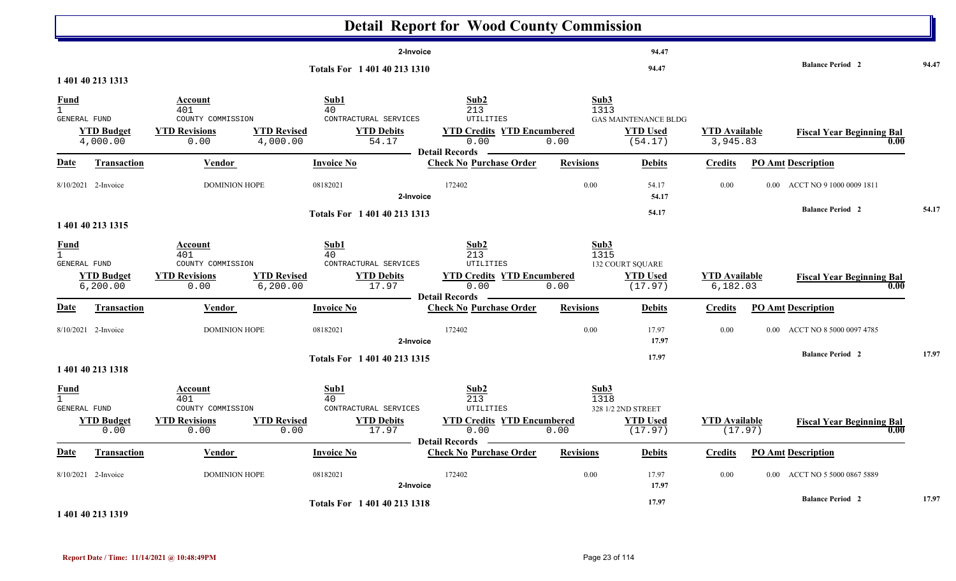|                                                    |                                                    |                                                                     |                                 |                                                                   |           | <b>Detail Report for Wood County Commission</b>                                                       |                  |              |                                                           |                                  |          |                                                     |       |
|----------------------------------------------------|----------------------------------------------------|---------------------------------------------------------------------|---------------------------------|-------------------------------------------------------------------|-----------|-------------------------------------------------------------------------------------------------------|------------------|--------------|-----------------------------------------------------------|----------------------------------|----------|-----------------------------------------------------|-------|
|                                                    |                                                    |                                                                     |                                 | Totals For 1 401 40 213 1310                                      | 2-Invoice |                                                                                                       |                  |              | 94.47<br>94.47                                            |                                  |          | <b>Balance Period 2</b>                             | 94.47 |
| <b>Fund</b><br>$\mathbf{1}$<br>GENERAL FUND        | 1 401 40 213 1313<br><b>YTD Budget</b><br>4,000.00 | Account<br>401<br>COUNTY COMMISSION<br><b>YTD Revisions</b><br>0.00 | <b>YTD Revised</b><br>4,000.00  | Sub1<br>40<br>CONTRACTURAL SERVICES<br><b>YTD Debits</b><br>54.17 |           | Sub2<br>213<br><b>UTILITIES</b><br><b>YTD Credits YTD Encumbered</b><br>0.00<br><b>Detail Records</b> | 0.00             | Sub3<br>1313 | <b>GAS MAINTENANCE BLDG</b><br><b>YTD Used</b><br>(54.17) | <b>YTD Available</b><br>3,945.83 |          | <b>Fiscal Year Beginning Bal</b><br>0.00            |       |
| <u>Date</u>                                        | <b>Transaction</b>                                 | <b>Vendor</b>                                                       |                                 | <b>Invoice No</b>                                                 |           | <b>Check No Purchase Order</b>                                                                        | <b>Revisions</b> |              | <b>Debits</b>                                             | <b>Credits</b>                   |          | <b>PO Amt Description</b>                           |       |
|                                                    | 8/10/2021 2-Invoice                                | DOMINION HOPE                                                       |                                 | 08182021                                                          | 2-Invoice | 172402                                                                                                |                  | 0.00         | 54.17<br>54.17                                            | $0.00\,$                         |          | 0.00 ACCT NO 9 1000 0009 1811                       |       |
|                                                    | 1 401 40 213 1315                                  |                                                                     |                                 | Totals For 1 401 40 213 1313                                      |           |                                                                                                       |                  |              | 54.17                                                     |                                  |          | <b>Balance Period 2</b>                             | 54.17 |
| <u>Fund</u><br>$\mathbf{1}$<br><b>GENERAL FUND</b> | <b>YTD Budget</b><br>6, 200.00                     | Account<br>401<br>COUNTY COMMISSION<br><b>YTD Revisions</b><br>0.00 | <b>YTD Revised</b><br>6, 200.00 | Sub1<br>40<br>CONTRACTURAL SERVICES<br><b>YTD Debits</b><br>17.97 |           | Sub2<br>213<br>UTILITIES<br><b>YTD Credits YTD Encumbered</b><br>0.00<br><b>Detail Records</b>        | 0.00             | Sub3<br>1315 | <b>132 COURT SQUARE</b><br><b>YTD Used</b><br>(17.97)     | <b>YTD Available</b><br>6,182.03 |          | <b>Fiscal Year Beginning Bal</b><br>0.00            |       |
| <b>Date</b>                                        | Transaction                                        | Vendor                                                              |                                 | <b>Invoice No</b>                                                 |           | <b>Check No Purchase Order</b>                                                                        | <b>Revisions</b> |              | <b>Debits</b>                                             | <b>Credits</b>                   |          | <b>PO Amt Description</b>                           |       |
|                                                    | 8/10/2021 2-Invoice                                | <b>DOMINION HOPE</b>                                                |                                 | 08182021                                                          | 2-Invoice | 172402                                                                                                |                  | 0.00         | 17.97<br>17.97                                            | $0.00\,$                         | $0.00\,$ | ACCT NO 8 5000 0097 4785<br><b>Balance Period 2</b> | 17.97 |
|                                                    | 1 401 40 213 1318                                  |                                                                     |                                 | Totals For 1 401 40 213 1315                                      |           |                                                                                                       |                  |              | 17.97                                                     |                                  |          |                                                     |       |
| $\frac{Fund}{1}$<br>GENERAL FUND                   | <b>YTD Budget</b><br>0.00                          | Account<br>401<br>COUNTY COMMISSION<br><b>YTD Revisions</b><br>0.00 | <b>YTD Revised</b><br>0.00      | Sub1<br>40<br>CONTRACTURAL SERVICES<br><b>YTD Debits</b><br>17.97 |           | Sub2<br>213<br>UTILITIES<br><b>YTD Encumbered</b><br><b>YTD Credits</b><br>0.00<br>Detail Records —   | 0.00             | Sub3<br>1318 | 328 1/2 2ND STREET<br><b>YTD Used</b><br>(17.97)          | <b>YTD</b> Available<br>(17.97)  |          | <b>Fiscal Year Beginning Bal</b><br>0.00            |       |
| <u>Date</u>                                        | Transaction                                        | Vendor                                                              |                                 | <b>Invoice No</b>                                                 |           | <b>Check No Purchase Order</b>                                                                        | <b>Revisions</b> |              | <b>Debits</b>                                             | <b>Credits</b>                   |          | <b>PO Amt Description</b>                           |       |
|                                                    | 8/10/2021 2-Invoice                                | DOMINION HOPE                                                       |                                 | 08182021                                                          | 2-Invoice | 172402                                                                                                |                  | $0.00\,$     | 17.97<br>17.97                                            | $0.00\,$                         |          | 0.00 ACCT NO 5 5000 0867 5889                       |       |
|                                                    | 1 401 40 213 1319                                  |                                                                     |                                 | Totals For 1 401 40 213 1318                                      |           |                                                                                                       |                  |              | 17.97                                                     |                                  |          | <b>Balance Period 2</b>                             | 17.97 |

#### **Report Date / Time: 11/14/2021 @ 10:48:49PM** Page 23 of 114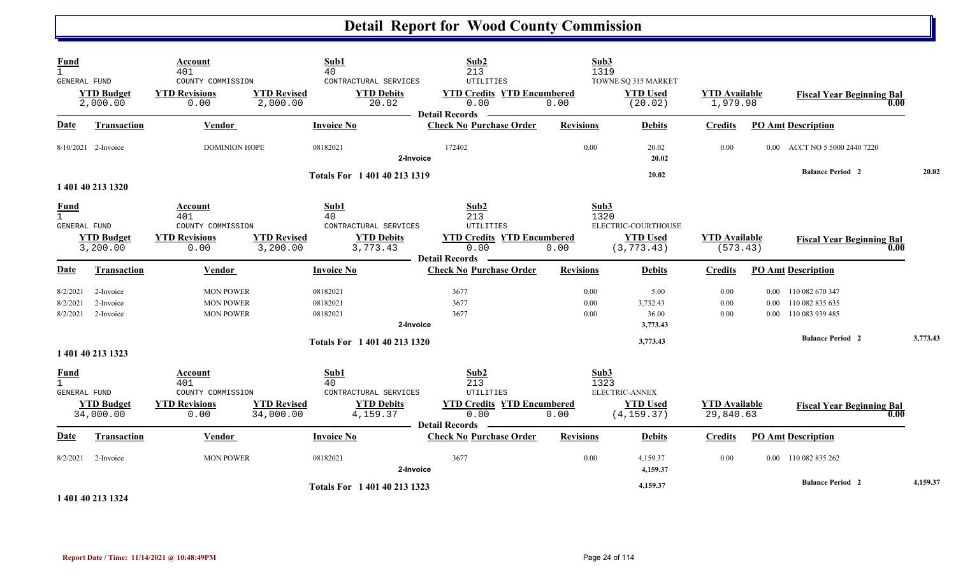| <b>Fund</b><br>$\mathbf{1}$<br><b>GENERAL FUND</b>   |                                     | Account<br>401<br>COUNTY COMMISSION                                        |                                 | Sub1<br>40<br>CONTRACTURAL SERVICES                                  | Sub2<br>213<br>UTILITIES                                                                         | Sub3<br>1319         | TOWNE SQ 315 MARKET                                   |                                   |          |                                                                 |          |
|------------------------------------------------------|-------------------------------------|----------------------------------------------------------------------------|---------------------------------|----------------------------------------------------------------------|--------------------------------------------------------------------------------------------------|----------------------|-------------------------------------------------------|-----------------------------------|----------|-----------------------------------------------------------------|----------|
|                                                      | <b>YTD Budget</b><br>2,000.00       | <b>YTD Revisions</b><br>0.00                                               | <b>YTD Revised</b><br>2,000.00  | <b>YTD Debits</b><br>20.02                                           | <b>YTD Credits YTD Encumbered</b><br>0.00<br><b>Detail Records</b>                               | 0.00                 | <b>YTD Used</b><br>(20.02)                            | <b>YTD Available</b><br>1,979.98  |          | <b>Fiscal Year Beginning Bal</b><br>0.00                        |          |
| Date                                                 | <b>Transaction</b>                  | Vendor                                                                     |                                 | <b>Invoice No</b>                                                    | <b>Check No Purchase Order</b>                                                                   | <b>Revisions</b>     | <b>Debits</b>                                         | <b>Credits</b>                    |          | <b>PO Amt Description</b>                                       |          |
|                                                      | 8/10/2021 2-Invoice                 | <b>DOMINION HOPE</b>                                                       |                                 | 08182021<br>2-Invoice                                                | 172402                                                                                           | 0.00                 | 20.02<br>20.02                                        | 0.00                              | $0.00\,$ | ACCT NO 5 5000 2440 7220                                        |          |
|                                                      | 1 401 40 213 1320                   |                                                                            |                                 | Totals For 1 401 40 213 1319                                         |                                                                                                  |                      | 20.02                                                 |                                   |          | <b>Balance Period 2</b>                                         | 20.02    |
| <u>Fund</u><br>$\mathbf{1}$<br>GENERAL FUND          | <b>YTD Budget</b><br>3,200.00       | <b>Account</b><br>401<br>COUNTY COMMISSION<br><b>YTD Revisions</b><br>0.00 | <b>YTD Revised</b><br>3,200.00  | Sub1<br>40<br>CONTRACTURAL SERVICES<br><b>YTD Debits</b><br>3,773.43 | Sub2<br>213<br>UTILITIES<br><b>YTD Credits YTD Encumbered</b><br>0.00                            | Sub3<br>1320<br>0.00 | ELECTRIC-COURTHOUSE<br><b>YTD Used</b><br>(3, 773.43) | <b>YTD Available</b><br>(573.43)  |          | <b>Fiscal Year Beginning Bal</b><br>0.00                        |          |
| <b>Date</b>                                          | Transaction                         | <b>Vendor</b>                                                              |                                 | <b>Invoice No</b>                                                    | <b>Detail Records</b><br><b>Check No Purchase Order</b>                                          | <b>Revisions</b>     | <b>Debits</b>                                         | <b>Credits</b>                    |          | <b>PO Amt Description</b>                                       |          |
| 8/2/2021<br>8/2/2021<br>8/2/2021                     | 2-Invoice<br>2-Invoice<br>2-Invoice | <b>MON POWER</b><br><b>MON POWER</b><br><b>MON POWER</b>                   |                                 | 08182021<br>08182021<br>08182021<br>2-Invoice                        | 3677<br>3677<br>3677                                                                             | 0.00<br>0.00<br>0.00 | 5.00<br>3,732.43<br>36.00<br>3,773.43                 | 0.00<br>0.00<br>0.00              | $0.00\,$ | 0.00 110 082 670 347<br>110 082 835 635<br>0.00 110 083 939 485 |          |
|                                                      | 1 401 40 213 1323                   |                                                                            |                                 | Totals For 1 401 40 213 1320                                         |                                                                                                  |                      | 3,773.43                                              |                                   |          | <b>Balance Period 2</b>                                         | 3,773.43 |
| <b>Fund</b><br>$\overline{1}$<br><b>GENERAL FUND</b> | <b>YTD Budget</b><br>34,000.00      | Account<br>401<br>COUNTY COMMISSION<br><b>YTD Revisions</b><br>0.00        | <b>YTD Revised</b><br>34,000.00 | Sub1<br>40<br>CONTRACTURAL SERVICES<br><b>YTD Debits</b><br>4,159.37 | Sub2<br>213<br><b>UTILITIES</b><br><b>YTD Credits YTD Encumbered</b><br>0.00<br>Detail Records - | Sub3<br>1323<br>0.00 | ELECTRIC-ANNEX<br><b>YTD</b> Used<br>(4, 159.37)      | <b>YTD</b> Available<br>29,840.63 |          | <b>Fiscal Year Beginning Bal</b><br>0.00                        |          |
| <b>Date</b>                                          | Transaction                         | Vendor                                                                     |                                 | <b>Invoice No</b>                                                    | <b>Check No Purchase Order</b>                                                                   | <b>Revisions</b>     | <b>Debits</b>                                         | <b>Credits</b>                    |          | <b>PO Amt Description</b>                                       |          |
| 8/2/2021                                             | 2-Invoice                           | <b>MON POWER</b>                                                           |                                 | 08182021                                                             | 3677                                                                                             | 0.00                 | 4,159.37                                              | 0.00                              |          | 0.00 110 082 835 262                                            |          |
|                                                      | 1 401 40 213 1324                   |                                                                            |                                 | 2-Invoice<br>Totals For 1 401 40 213 1323                            |                                                                                                  |                      | 4,159.37<br>4,159.37                                  |                                   |          | <b>Balance Period 2</b>                                         | 4,159.37 |

**Report Date / Time: 11/14/2021 @ 10:48:49PM** Page 24 of 114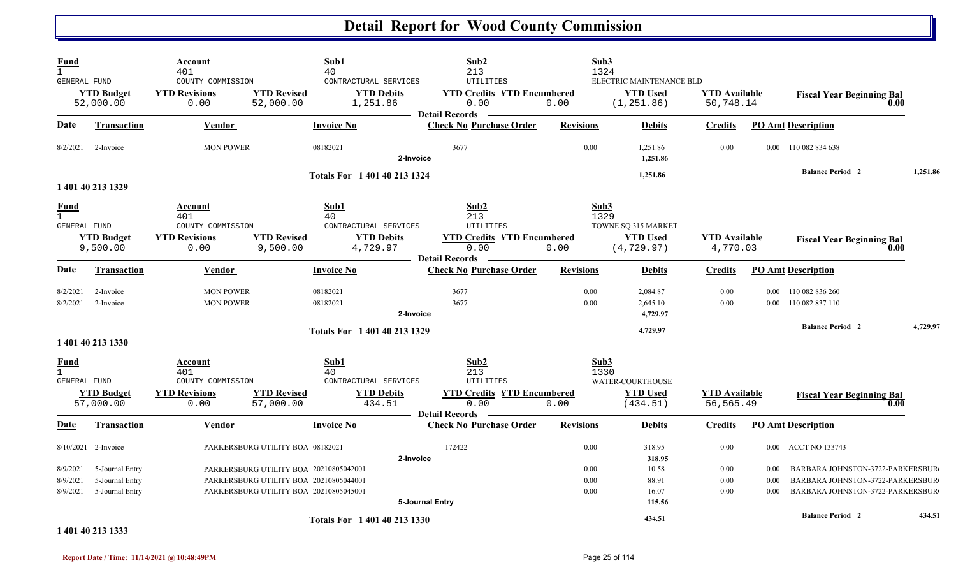| <b>Fund</b><br>$\mathbf{1}$<br>GENERAL FUND |                                                       | Account<br>401<br>COUNTY COMMISSION                                 |                                                                                                                            | Sub1<br>40<br>CONTRACTURAL SERVICES                                  |                 | Sub2<br>213<br>UTILITIES                                                                              |                      | Sub3<br>1324<br>ELECTRIC MAINTENANCE BLD                              |                                   |                      |                                                                                                          |          |
|---------------------------------------------|-------------------------------------------------------|---------------------------------------------------------------------|----------------------------------------------------------------------------------------------------------------------------|----------------------------------------------------------------------|-----------------|-------------------------------------------------------------------------------------------------------|----------------------|-----------------------------------------------------------------------|-----------------------------------|----------------------|----------------------------------------------------------------------------------------------------------|----------|
|                                             | <b>YTD Budget</b><br>52,000.00                        | <b>YTD Revisions</b><br>0.00                                        | <b>YTD Revised</b><br>52,000.00                                                                                            | <b>YTD Debits</b><br>1,251.86                                        |                 | <b>YTD Credits YTD Encumbered</b><br>0.00<br><b>Detail Records</b>                                    | 0.00                 | <b>YTD Used</b><br>(1, 251.86)                                        | <b>YTD Available</b><br>50,748.14 |                      | <b>Fiscal Year Beginning Bal</b><br>0.00                                                                 |          |
| Date                                        | <b>Transaction</b>                                    | <b>Vendor</b>                                                       |                                                                                                                            | <b>Invoice No</b>                                                    |                 | <b>Check No Purchase Order</b>                                                                        | <b>Revisions</b>     | <b>Debits</b>                                                         | <b>Credits</b>                    |                      | <b>PO Amt Description</b>                                                                                |          |
| 8/2/2021                                    | 2-Invoice                                             | <b>MON POWER</b>                                                    |                                                                                                                            | 08182021                                                             | 2-Invoice       | 3677                                                                                                  | 0.00                 | 1,251.86<br>1,251.86                                                  | 0.00                              |                      | 0.00 110 082 834 638                                                                                     |          |
|                                             | 1 401 40 213 1329                                     |                                                                     |                                                                                                                            | Totals For 1 401 40 213 1324                                         |                 |                                                                                                       |                      | 1,251.86                                                              |                                   |                      | <b>Balance Period 2</b>                                                                                  | 1,251.86 |
| <b>Fund</b><br>$\mathbf{1}$<br>GENERAL FUND | <b>YTD Budget</b><br>9,500.00                         | Account<br>401<br>COUNTY COMMISSION<br><b>YTD Revisions</b><br>0.00 | <b>YTD Revised</b><br>9,500.00                                                                                             | Sub1<br>40<br>CONTRACTURAL SERVICES<br><b>YTD Debits</b><br>4,729.97 |                 | Sub2<br>213<br>UTILITIES<br><b>YTD Credits YTD Encumbered</b><br>0.00<br><b>Detail Records</b>        | 0.00                 | Sub3<br>1329<br>TOWNE SQ 315 MARKET<br><b>YTD Used</b><br>(4, 729.97) | <b>YTD</b> Available<br>4,770.03  |                      | <b>Fiscal Year Beginning Bal</b><br>0.00                                                                 |          |
| Date                                        | <b>Transaction</b>                                    | <b>Vendor</b>                                                       |                                                                                                                            | <b>Invoice No</b>                                                    |                 | <b>Check No Purchase Order</b>                                                                        | <b>Revisions</b>     | <b>Debits</b>                                                         | <b>Credits</b>                    |                      | <b>PO Amt Description</b>                                                                                |          |
| 8/2/2021<br>8/2/2021                        | 2-Invoice<br>2-Invoice                                | <b>MON POWER</b><br><b>MON POWER</b>                                |                                                                                                                            | 08182021<br>08182021                                                 | 2-Invoice       | 3677<br>3677                                                                                          | 0.00<br>0.00         | 2,084.87<br>2,645.10<br>4,729.97                                      | 0.00<br>0.00                      | $0.00\,$             | 110 082 836 260<br>0.00 110 082 837 110                                                                  |          |
|                                             | 1 401 40 213 1330                                     |                                                                     |                                                                                                                            | Totals For 1 401 40 213 1329                                         |                 |                                                                                                       |                      | 4,729.97                                                              |                                   |                      | <b>Balance Period 2</b>                                                                                  | 4,729.97 |
| <b>Fund</b><br>$\mathbf{1}$<br>GENERAL FUND | <b>YTD Budget</b><br>57,000.00                        | Account<br>401<br>COUNTY COMMISSION<br><b>YTD Revisions</b><br>0.00 | <b>YTD Revised</b><br>57,000.00                                                                                            | Sub1<br>40<br>CONTRACTURAL SERVICES<br><b>YTD Debits</b><br>434.51   |                 | Sub2<br>213<br><b>UTILITIES</b><br><b>YTD Credits YTD Encumbered</b><br>0.00<br><b>Detail Records</b> | 0.00                 | Sub3<br>1330<br>WATER-COURTHOUSE<br><b>YTD Used</b><br>(434.51)       | <b>YTD Available</b><br>56,565.49 |                      | <b>Fiscal Year Beginning Bal</b><br>0.00                                                                 |          |
| Date                                        | Transaction                                           | Vendor                                                              |                                                                                                                            | <b>Invoice No</b>                                                    |                 | <b>Check No Purchase Order</b>                                                                        | <b>Revisions</b>     | <b>Debits</b>                                                         | <b>Credits</b>                    |                      | <b>PO Amt Description</b>                                                                                |          |
|                                             | 8/10/2021 2-Invoice                                   |                                                                     | PARKERSBURG UTILITY BOA 08182021                                                                                           |                                                                      | 2-Invoice       | 172422                                                                                                | 0.00                 | 318.95<br>318.95                                                      | 0.00                              |                      | 0.00 ACCT NO 133743                                                                                      |          |
| 8/9/2021<br>8/9/2021<br>8/9/2021            | 5-Journal Entry<br>5-Journal Entry<br>5-Journal Entry |                                                                     | PARKERSBURG UTILITY BOA 20210805042001<br>PARKERSBURG UTILITY BOA 20210805044001<br>PARKERSBURG UTILITY BOA 20210805045001 |                                                                      | 5-Journal Entry |                                                                                                       | 0.00<br>0.00<br>0.00 | 10.58<br>88.91<br>16.07<br>115.56                                     | 0.00<br>0.00<br>0.00              | 0.00<br>0.00<br>0.00 | BARBARA JOHNSTON-3722-PARKERSBUR<br>BARBARA JOHNSTON-3722-PARKERSBUR<br>BARBARA JOHNSTON-3722-PARKERSBUR |          |
|                                             |                                                       |                                                                     |                                                                                                                            | Totals For 1 401 40 213 1330                                         |                 |                                                                                                       |                      | 434.51                                                                |                                   |                      | <b>Balance Period 2</b>                                                                                  | 434.51   |

#### **1 401 40 213 1333**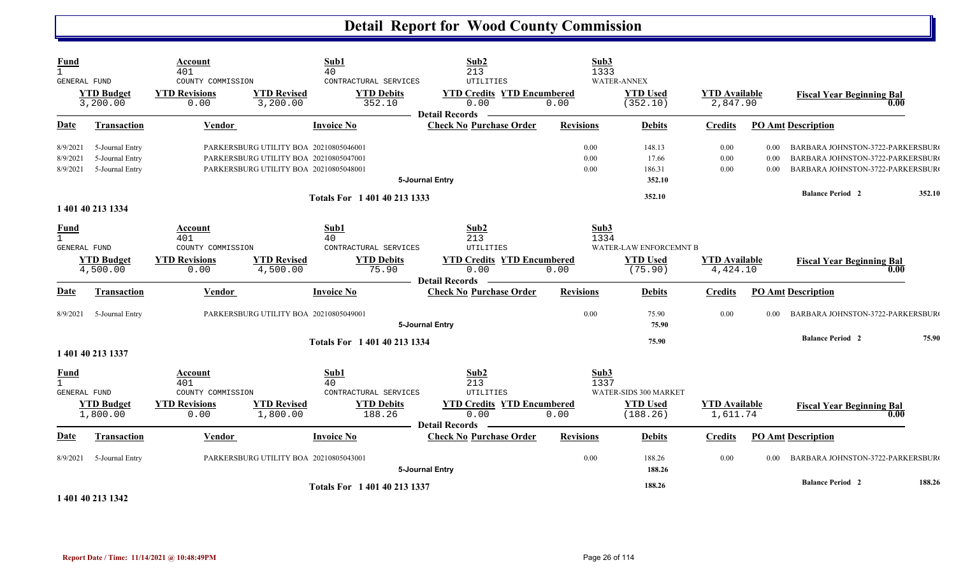| Fund                                                 |                                                       | Account<br>401                                                             |                                                                                                                            | Sub1<br>40                                                         | Sub2<br>213                                                                                           | Sub3<br>1333         |                                                      |                                  |                      |                                                                                                          |        |
|------------------------------------------------------|-------------------------------------------------------|----------------------------------------------------------------------------|----------------------------------------------------------------------------------------------------------------------------|--------------------------------------------------------------------|-------------------------------------------------------------------------------------------------------|----------------------|------------------------------------------------------|----------------------------------|----------------------|----------------------------------------------------------------------------------------------------------|--------|
| GENERAL FUND                                         | <b>YTD Budget</b><br>3,200.00                         | COUNTY COMMISSION<br><b>YTD Revisions</b><br>0.00                          | <b>YTD Revised</b><br>3,200.00                                                                                             | CONTRACTURAL SERVICES<br><b>YTD Debits</b><br>352.10               | UTILITIES<br><b>YTD Credits YTD Encumbered</b><br>0.00<br><b>Detail Records</b>                       | 0.00                 | <b>WATER-ANNEX</b><br><b>YTD Used</b><br>(352.10)    | <b>YTD Available</b><br>2,847.90 |                      | <b>Fiscal Year Beginning Bal</b><br>0.00                                                                 |        |
| <b>Date</b>                                          | <b>Transaction</b>                                    | <b>Vendor</b>                                                              |                                                                                                                            | <b>Invoice No</b>                                                  | <b>Check No Purchase Order</b>                                                                        | <b>Revisions</b>     | <b>Debits</b>                                        | <b>Credits</b>                   |                      | <b>PO Amt Description</b>                                                                                |        |
| 8/9/2021<br>8/9/2021<br>8/9/2021                     | 5-Journal Entry<br>5-Journal Entry<br>5-Journal Entry |                                                                            | PARKERSBURG UTILITY BOA 20210805046001<br>PARKERSBURG UTILITY BOA 20210805047001<br>PARKERSBURG UTILITY BOA 20210805048001 |                                                                    | 5-Journal Entry                                                                                       | 0.00<br>0.00<br>0.00 | 148.13<br>17.66<br>186.31<br>352.10                  | 0.00<br>0.00<br>0.00             | 0.00<br>0.00<br>0.00 | BARBARA JOHNSTON-3722-PARKERSBUR<br>BARBARA JOHNSTON-3722-PARKERSBUR<br>BARBARA JOHNSTON-3722-PARKERSBUR |        |
|                                                      |                                                       |                                                                            |                                                                                                                            | Totals For 1 401 40 213 1333                                       |                                                                                                       |                      | 352.10                                               |                                  |                      | <b>Balance Period 2</b>                                                                                  | 352.10 |
| <b>Fund</b><br>$\overline{1}$<br><b>GENERAL FUND</b> | 1 401 40 213 1334<br><b>YTD Budget</b><br>4,500.00    | <b>Account</b><br>401<br>COUNTY COMMISSION<br><b>YTD Revisions</b><br>0.00 | <b>YTD Revised</b><br>4,500.00                                                                                             | Sub1<br>40<br>CONTRACTURAL SERVICES<br><b>YTD Debits</b><br>75.90  | Sub2<br>213<br>UTILITIES<br><b>YTD Credits YTD Encumbered</b><br>0.00                                 | Sub3<br>1334<br>0.00 | WATER-LAW ENFORCEMNT B<br><b>YTD Used</b><br>(75.90) | <b>YTD Available</b><br>4,424.10 |                      | <b>Fiscal Year Beginning Bal</b><br>0.00                                                                 |        |
| <b>Date</b>                                          | Transaction                                           | Vendor                                                                     |                                                                                                                            | <b>Invoice No</b>                                                  | <b>Detail Records</b><br><b>Check No Purchase Order</b>                                               | <b>Revisions</b>     | <b>Debits</b>                                        | <b>Credits</b>                   |                      | <b>PO Amt Description</b>                                                                                |        |
| 8/9/2021                                             | 5-Journal Entry                                       |                                                                            | PARKERSBURG UTILITY BOA 20210805049001                                                                                     |                                                                    | 5-Journal Entry                                                                                       | 0.00                 | 75.90<br>75.90                                       | 0.00                             | 0.00                 | BARBARA JOHNSTON-3722-PARKERSBUR                                                                         |        |
|                                                      | 1 401 40 213 1337                                     |                                                                            |                                                                                                                            | Totals For 1 401 40 213 1334                                       |                                                                                                       |                      | 75.90                                                |                                  |                      | <b>Balance Period 2</b>                                                                                  | 75.90  |
| <b>Fund</b><br>GENERAL FUND                          | <b>YTD Budget</b><br>1,800.00                         | Account<br>401<br>COUNTY COMMISSION<br><b>YTD Revisions</b><br>0.00        | <b>YTD Revised</b><br>1,800.00                                                                                             | Sub1<br>40<br>CONTRACTURAL SERVICES<br><b>YTD Debits</b><br>188.26 | Sub2<br>213<br><b>UTILITIES</b><br><b>YTD Credits YTD Encumbered</b><br>0.00<br><b>Detail Records</b> | Sub3<br>1337<br>0.00 | WATER-SIDS 300 MARKET<br><b>YTD Used</b><br>(188.26) | <b>YTD Available</b><br>1,611.74 |                      | <b>Fiscal Year Beginning Bal</b><br>0.00                                                                 |        |
| <b>Date</b>                                          | Transaction                                           | Vendor                                                                     |                                                                                                                            | <b>Invoice No</b>                                                  | <b>Check No Purchase Order</b>                                                                        | <b>Revisions</b>     | <b>Debits</b>                                        | <b>Credits</b>                   |                      | <b>PO Amt Description</b>                                                                                |        |
| 8/9/2021                                             | 5-Journal Entry                                       |                                                                            | PARKERSBURG UTILITY BOA 20210805043001                                                                                     |                                                                    | 5-Journal Entry                                                                                       | 0.00                 | 188.26<br>188.26                                     | 0.00                             | 0.00                 | BARBARA JOHNSTON-3722-PARKERSBUR                                                                         |        |
|                                                      | .                                                     |                                                                            |                                                                                                                            | Totals For 1 401 40 213 1337                                       |                                                                                                       |                      | 188.26                                               |                                  |                      | <b>Balance Period 2</b>                                                                                  | 188.26 |

**1 401 40 213 1342**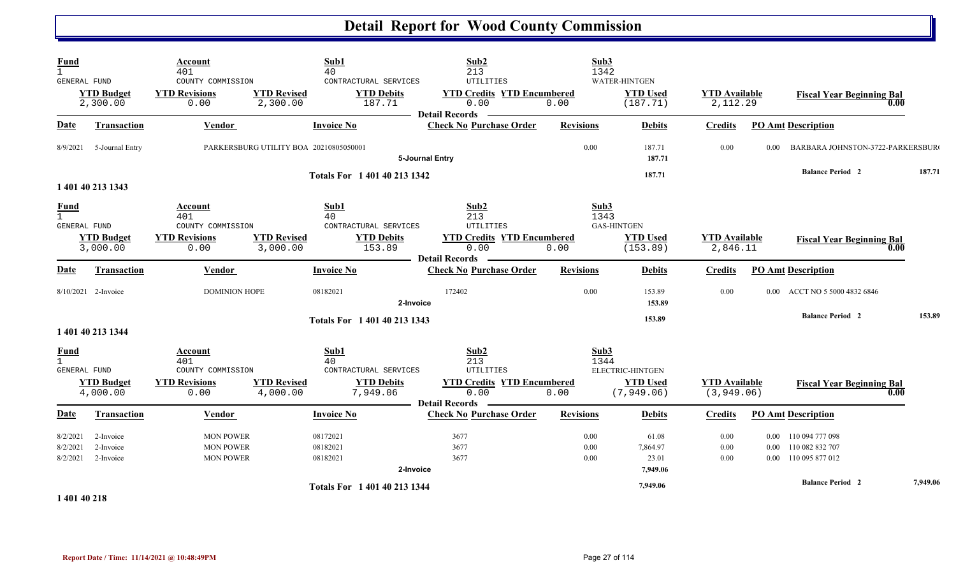| Fund<br>$\mathbf{1}$<br>GENERAL FUND        | <b>YTD Budget</b><br>2,300.00       | Account<br>401<br>COUNTY COMMISSION<br><b>YTD Revisions</b><br>0.00 | <b>YTD Revised</b><br>2,300.00         | Sub1<br>40<br>CONTRACTURAL SERVICES<br><b>YTD Debits</b><br>187.71            | Sub2<br>213<br>UTILITIES<br><b>YTD Credits YTD Encumbered</b><br>0.00<br><b>Detail Records</b>        | Sub3<br>1342<br>0.00     | WATER-HINTGEN<br><b>YTD Used</b><br>(187.71)              | <b>YTD Available</b><br>2,112.29    |          | <b>Fiscal Year Beginning Bal</b><br>0.00                                                   |          |
|---------------------------------------------|-------------------------------------|---------------------------------------------------------------------|----------------------------------------|-------------------------------------------------------------------------------|-------------------------------------------------------------------------------------------------------|--------------------------|-----------------------------------------------------------|-------------------------------------|----------|--------------------------------------------------------------------------------------------|----------|
| <b>Date</b>                                 | <b>Transaction</b>                  | Vendor                                                              |                                        | <b>Invoice No</b>                                                             | <b>Check No Purchase Order</b>                                                                        | <b>Revisions</b>         | <b>Debits</b>                                             | <b>Credits</b>                      |          | <b>PO Amt Description</b>                                                                  |          |
| 8/9/2021                                    | 5-Journal Entry                     |                                                                     | PARKERSBURG UTILITY BOA 20210805050001 |                                                                               | 5-Journal Entry                                                                                       | 0.00                     | 187.71<br>187.71                                          | 0.00                                | 0.00     | BARBARA JOHNSTON-3722-PARKERSBUR                                                           |          |
|                                             | 1 401 40 213 1343                   |                                                                     |                                        | Totals For 1 401 40 213 1342                                                  |                                                                                                       |                          | 187.71                                                    |                                     |          | <b>Balance Period 2</b>                                                                    | 187.71   |
| <b>Fund</b><br>$\mathbf{1}$<br>GENERAL FUND | <b>YTD Budget</b><br>3,000.00       | Account<br>401<br>COUNTY COMMISSION<br><b>YTD Revisions</b><br>0.00 | <b>YTD Revised</b><br>3,000.00         | Sub1<br>40<br>CONTRACTURAL SERVICES<br><b>YTD Debits</b><br>153.89            | Sub2<br>213<br><b>UTILITIES</b><br><b>YTD Credits YTD Encumbered</b><br>0.00<br><b>Detail Records</b> | Sub3<br>1343<br>0.00     | <b>GAS-HINTGEN</b><br><b>YTD Used</b><br>(153.89)         | <b>YTD Available</b><br>2,846.11    |          | <b>Fiscal Year Beginning Bal</b><br>0.00                                                   |          |
| Date                                        | <b>Transaction</b>                  | Vendor                                                              |                                        | <b>Invoice No</b>                                                             | <b>Check No Purchase Order</b>                                                                        | <b>Revisions</b>         | <b>Debits</b>                                             | <b>Credits</b>                      |          | <b>PO Amt Description</b>                                                                  |          |
|                                             | 8/10/2021 2-Invoice                 | <b>DOMINION HOPE</b>                                                |                                        | 08182021<br>2-Invoice<br>Totals For 1 401 40 213 1343                         | 172402                                                                                                | 0.00                     | 153.89<br>153.89<br>153.89                                | 0.00                                |          | 0.00 ACCT NO 5 5000 4832 6846<br><b>Balance Period 2</b>                                   | 153.89   |
|                                             | 1 401 40 213 1344                   |                                                                     |                                        |                                                                               |                                                                                                       |                          |                                                           |                                     |          |                                                                                            |          |
| $\frac{Fund}{1}$<br><b>GENERAL FUND</b>     | <b>YTD Budget</b><br>4,000.00       | Account<br>401<br>COUNTY COMMISSION<br><b>YTD Revisions</b><br>0.00 | <b>YTD Revised</b><br>4,000.00         | Sub1<br>40<br>CONTRACTURAL SERVICES<br><b>YTD Debits</b><br>7,949.06          | Sub2<br>213<br>UTILITIES<br><b>YTD Credits YTD Encumbered</b><br>0.00                                 | Sub3<br>1344<br>0.00     | <b>ELECTRIC-HINTGEN</b><br><b>YTD Used</b><br>(7, 949.06) | <b>YTD Available</b><br>(3, 949.06) |          | <b>Fiscal Year Beginning Bal</b><br>0.00                                                   |          |
| <b>Date</b>                                 | Transaction                         | Vendor                                                              |                                        | <b>Invoice No</b>                                                             | Detail Records —<br><b>Check No Purchase Order</b>                                                    | <b>Revisions</b>         | <b>Debits</b>                                             | <b>Credits</b>                      |          | <b>PO Amt Description</b>                                                                  |          |
| 8/2/2021<br>8/2/2021<br>8/2/2021            | 2-Invoice<br>2-Invoice<br>2-Invoice | <b>MON POWER</b><br><b>MON POWER</b><br><b>MON POWER</b>            |                                        | 08172021<br>08182021<br>08182021<br>2-Invoice<br>Totals For 1 401 40 213 1344 | 3677<br>3677<br>3677                                                                                  | 0.00<br>$0.00\,$<br>0.00 | 61.08<br>7,864.97<br>23.01<br>7,949.06<br>7,949.06        | 0.00<br>0.00<br>0.00                | $0.00\,$ | 0.00 110 094 777 098<br>110 082 832 707<br>0.00 110 095 877 012<br><b>Balance Period 2</b> | 7,949.06 |
| 1.401.40.210                                |                                     |                                                                     |                                        |                                                                               |                                                                                                       |                          |                                                           |                                     |          |                                                                                            |          |

**1 401 40 218**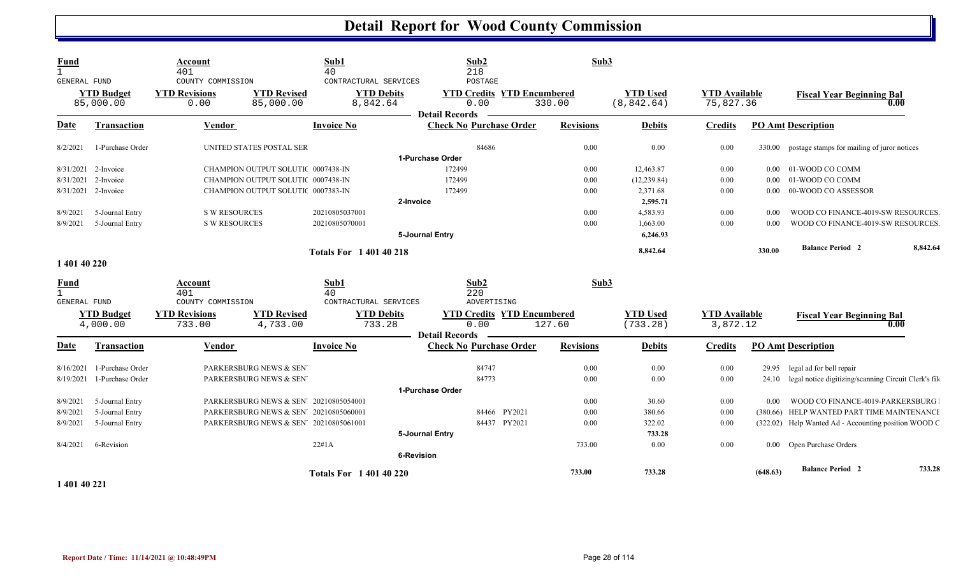| Fund<br>GENERAL FUND | <b>YTD Budget</b><br>85,000.00 | Account<br>401<br>COUNTY COMMISSION<br><b>YTD Revisions</b><br>0.00 | <b>YTD Revised</b><br>85,000.00        | Sub1<br>40<br>CONTRACTURAL SERVICES<br>8,842.64 | <b>YTD Debits</b> | Sub2<br>218<br>POSTAGE<br><b>YTD Credits YTD Encumbered</b><br>0.00<br><b>Detail Records</b> | Sub3<br>330.00   | <b>YTD Used</b><br>(8, 842.64) | <b>YTD</b> Available<br>75,827.36 |          | <b>Fiscal Year Beginning Bal</b>                      | 0.00     |
|----------------------|--------------------------------|---------------------------------------------------------------------|----------------------------------------|-------------------------------------------------|-------------------|----------------------------------------------------------------------------------------------|------------------|--------------------------------|-----------------------------------|----------|-------------------------------------------------------|----------|
| Date                 | <b>Transaction</b>             | Vendor                                                              |                                        | <b>Invoice No</b>                               |                   | <b>Check No Purchase Order</b>                                                               | <b>Revisions</b> | <b>Debits</b>                  | <b>Credits</b>                    |          | <b>PO Amt Description</b>                             |          |
| 8/2/2021             | 1-Purchase Order               |                                                                     | UNITED STATES POSTAL SER               |                                                 |                   | 84686                                                                                        | 0.00             | 0.00                           | $0.00\,$                          |          | 330.00 postage stamps for mailing of juror notices    |          |
|                      |                                |                                                                     |                                        |                                                 |                   | 1-Purchase Order                                                                             |                  |                                |                                   |          |                                                       |          |
|                      | 8/31/2021 2-Invoice            |                                                                     | CHAMPION OUTPUT SOLUTI( 0007438-IN     |                                                 |                   | 172499                                                                                       | 0.00             | 12,463.87                      | 0.00                              |          | 0.00 01-WOOD CO COMM                                  |          |
| 8/31/2021            | 2-Invoice                      |                                                                     | CHAMPION OUTPUT SOLUTIC 0007438-IN     |                                                 |                   | 172499                                                                                       | 0.00             | (12, 239.84)                   | 0.00                              | $0.00\,$ | 01-WOOD CO COMM                                       |          |
|                      | 8/31/2021 2-Invoice            |                                                                     | CHAMPION OUTPUT SOLUTI( 0007383-IN     |                                                 |                   | 172499                                                                                       | 0.00             | 2,371.68                       | 0.00                              | $0.00\,$ | 00-WOOD CO ASSESSOR                                   |          |
|                      |                                |                                                                     |                                        |                                                 | 2-Invoice         |                                                                                              |                  | 2,595.71                       |                                   |          |                                                       |          |
| 8/9/2021             | 5-Journal Entry                | <b>S W RESOURCES</b>                                                |                                        | 20210805037001                                  |                   |                                                                                              | 0.00             | 4,583.93                       | 0.00                              | 0.00     | WOOD CO FINANCE-4019-SW RESOURCES                     |          |
| 8/9/2021             | 5-Journal Entry                | <b>S W RESOURCES</b>                                                |                                        | 20210805070001                                  |                   |                                                                                              | 0.00             | 1,663.00                       | 0.00                              | 0.00     | WOOD CO FINANCE-4019-SW RESOURCES                     |          |
|                      |                                |                                                                     |                                        |                                                 |                   | 5-Journal Entry                                                                              |                  | 6,246.93                       |                                   |          |                                                       |          |
|                      |                                |                                                                     |                                        | <b>Totals For 1 401 40 218</b>                  |                   |                                                                                              |                  | 8,842.64                       |                                   | 330.00   | <b>Balance Period</b> 2                               | 8,842.64 |
| 1 401 40 220         |                                |                                                                     |                                        |                                                 |                   |                                                                                              |                  |                                |                                   |          |                                                       |          |
| <u>Fund</u>          |                                | Account                                                             |                                        | Sub1                                            |                   | Sub2                                                                                         | Sub3             |                                |                                   |          |                                                       |          |
| $\mathbf{1}$         |                                | 401                                                                 |                                        | 40                                              |                   | 220                                                                                          |                  |                                |                                   |          |                                                       |          |
| <b>GENERAL FUND</b>  |                                | COUNTY COMMISSION                                                   |                                        | CONTRACTURAL SERVICES                           |                   | ADVERTISING                                                                                  |                  |                                |                                   |          |                                                       |          |
|                      | <b>YTD Budget</b><br>4,000.00  | <b>YTD Revisions</b><br>733.00                                      | <b>YTD Revised</b><br>4,733.00         | <b>YTD Debits</b>                               | 733.28            | <b>YTD Credits YTD Encumbered</b><br>0.00                                                    | 127.60           | <b>YTD Used</b><br>(733.28)    | <b>YTD</b> Available<br>3,872.12  |          | <b>Fiscal Year Beginning Bal</b>                      | 0.00     |
| Date                 | <b>Transaction</b>             | <b>Vendor</b>                                                       |                                        | <b>Invoice No</b>                               |                   | <b>Detail Records</b><br><b>Check No Purchase Order</b>                                      | <b>Revisions</b> | <b>Debits</b>                  | <b>Credits</b>                    |          | <b>PO Amt Description</b>                             |          |
| 8/16/2021            | 1-Purchase Order               |                                                                     | PARKERSBURG NEWS & SEN                 |                                                 |                   | 84747                                                                                        | 0.00             | 0.00                           | 0.00                              | 29.95    | legal ad for bell repair                              |          |
|                      | 8/19/2021 1-Purchase Order     |                                                                     | PARKERSBURG NEWS & SEN                 |                                                 |                   | 84773                                                                                        | 0.00             | 0.00                           | 0.00                              | 24.10    | legal notice digitizing/scanning Circuit Clerk's file |          |
|                      |                                |                                                                     |                                        |                                                 |                   | 1-Purchase Order                                                                             |                  |                                |                                   |          |                                                       |          |
| 8/9/2021             | 5-Journal Entry                |                                                                     | PARKERSBURG NEWS & SEN 20210805054001  |                                                 |                   |                                                                                              | 0.00             | 30.60                          | 0.00                              | $0.00\,$ | WOOD CO FINANCE-4019-PARKERSBURG                      |          |
| 8/9/2021             | 5-Journal Entry                |                                                                     | PARKERSBURG NEWS & SEN 20210805060001  |                                                 |                   | 84466 PY2021                                                                                 | 0.00             | 380.66                         | 0.00                              |          | (380.66) HELP WANTED PART TIME MAINTENANCE            |          |
| 8/9/2021             | 5-Journal Entry                |                                                                     | PARKERSBURG NEWS & SEN' 20210805061001 |                                                 |                   | 84437 PY2021                                                                                 | 0.00             | 322.02                         | 0.00                              |          | (322.02) Help Wanted Ad - Accounting position WOOD C  |          |
|                      |                                |                                                                     |                                        |                                                 |                   | 5-Journal Entry                                                                              |                  | 733.28                         |                                   |          |                                                       |          |
| 8/4/2021             | 6-Revision                     |                                                                     |                                        | 22#1A                                           |                   |                                                                                              | 733.00           | 0.00                           | 0.00                              |          | 0.00 Open Purchase Orders                             |          |
|                      |                                |                                                                     |                                        |                                                 | <b>6-Revision</b> |                                                                                              |                  |                                |                                   |          |                                                       |          |
|                      |                                |                                                                     |                                        | <b>Totals For 140140220</b>                     |                   |                                                                                              | 733.00           | 733.28                         |                                   | (648.63) | <b>Balance Period 2</b>                               | 733.28   |
| $-1.0110000$         |                                |                                                                     |                                        |                                                 |                   |                                                                                              |                  |                                |                                   |          |                                                       |          |

**1 401 40 221**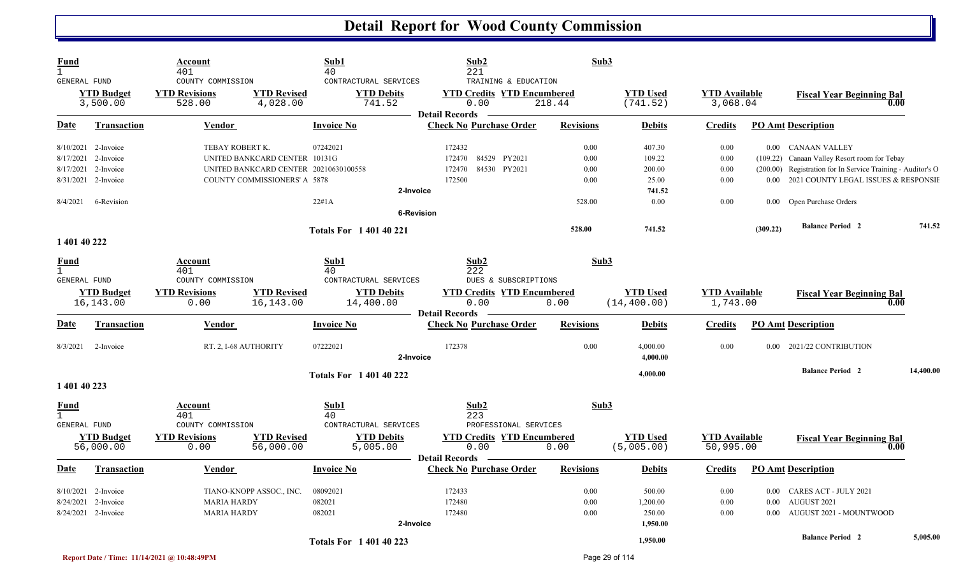| Fund<br>$\mathbf{1}$ |                                | <u>Account</u><br>401                               | Sub1<br>40                                                                             | Sub2<br>221                                                        | Sub3             |                               |                                   |          |                                                             |           |
|----------------------|--------------------------------|-----------------------------------------------------|----------------------------------------------------------------------------------------|--------------------------------------------------------------------|------------------|-------------------------------|-----------------------------------|----------|-------------------------------------------------------------|-----------|
| GENERAL FUND         | <b>YTD Budget</b><br>3,500.00  | COUNTY COMMISSION<br><b>YTD Revisions</b><br>528.00 | CONTRACTURAL SERVICES<br><b>YTD Revised</b><br><b>YTD Debits</b><br>4,028.00<br>741.52 | TRAINING & EDUCATION<br><b>YTD Credits YTD Encumbered</b><br>0.00  | 218.44           | <b>YTD</b> Used<br>(741.52)   | <b>YTD Available</b><br>3,068.04  |          | <b>Fiscal Year Beginning Bal</b><br>0.00                    |           |
|                      |                                |                                                     |                                                                                        | <b>Detail Records</b>                                              |                  |                               |                                   |          |                                                             |           |
| Date                 | <b>Transaction</b>             | Vendor                                              | <b>Invoice No</b>                                                                      | <b>Check No Purchase Order</b>                                     | <b>Revisions</b> | <b>Debits</b>                 | <u>Credits</u>                    |          | <b>PO Amt Description</b>                                   |           |
|                      | 8/10/2021 2-Invoice            | TEBAY ROBERT K.                                     | 07242021                                                                               | 172432                                                             | 0.00             | 407.30                        | 0.00                              |          | 0.00 CANAAN VALLEY                                          |           |
|                      | 8/17/2021 2-Invoice            | UNITED BANKCARD CENTER 10131G                       |                                                                                        | 84529 PY2021<br>172470                                             | 0.00             | 109.22                        | 0.00                              |          | (109.22) Canaan Valley Resort room for Tebay                |           |
|                      | 8/17/2021 2-Invoice            |                                                     | UNITED BANKCARD CENTER 20210630100558                                                  | 84530 PY2021<br>172470                                             | 0.00             | 200.00                        | 0.00                              |          | (200.00) Registration for In Service Training - Auditor's O |           |
|                      | 8/31/2021 2-Invoice            | COUNTY COMMISSIONERS' A 5878                        |                                                                                        | 172500                                                             | 0.00             | 25.00                         | 0.00                              |          | 0.00 2021 COUNTY LEGAL ISSUES & RESPONSIE                   |           |
|                      |                                |                                                     |                                                                                        | 2-Invoice                                                          |                  | 741.52                        |                                   |          |                                                             |           |
| 8/4/2021             | 6-Revision                     |                                                     | 22#1A                                                                                  |                                                                    | 528.00           | 0.00                          | 0.00                              | 0.00     | Open Purchase Orders                                        |           |
|                      |                                |                                                     |                                                                                        | <b>6-Revision</b>                                                  |                  |                               |                                   |          |                                                             |           |
|                      |                                |                                                     | <b>Totals For 140140221</b>                                                            |                                                                    | 528.00           | 741.52                        |                                   | (309.22) | <b>Balance Period 2</b>                                     | 741.52    |
| 1 401 40 222         |                                |                                                     |                                                                                        |                                                                    |                  |                               |                                   |          |                                                             |           |
| Fund                 |                                | Account<br>401                                      | Sub1<br>40                                                                             | Sub2<br>222                                                        | Sub3             |                               |                                   |          |                                                             |           |
| <b>GENERAL FUND</b>  |                                | COUNTY COMMISSION                                   | CONTRACTURAL SERVICES                                                                  | DUES & SUBSCRIPTIONS                                               |                  |                               |                                   |          |                                                             |           |
|                      | <b>YTD Budget</b>              | <b>YTD Revisions</b>                                | <b>YTD Revised</b><br><b>YTD Debits</b>                                                | <b>YTD Credits YTD Encumbered</b>                                  |                  | <b>YTD Used</b>               | <b>YTD</b> Available              |          | <b>Fiscal Year Beginning Bal</b>                            |           |
|                      | 16,143.00                      | 0.00                                                | 16, 143.00<br>14,400.00                                                                | 0.00                                                               | 0.00             | (14, 400.00)                  | 1,743.00                          |          | 0.00                                                        |           |
| Date                 | Transaction                    | <b>Vendor</b>                                       | <b>Invoice No</b>                                                                      | <b>Detail Records</b><br><b>Check No Purchase Order</b>            | <b>Revisions</b> | <b>Debits</b>                 | <b>Credits</b>                    |          | <b>PO Amt Description</b>                                   |           |
|                      |                                |                                                     |                                                                                        |                                                                    |                  |                               |                                   |          |                                                             |           |
| 8/3/2021             | 2-Invoice                      | RT. 2, I-68 AUTHORITY                               | 07222021                                                                               | 172378<br>2-Invoice                                                | 0.00             | 4,000.00<br>4,000.00          | 0.00                              | $0.00 -$ | 2021/22 CONTRIBUTION                                        |           |
|                      |                                |                                                     | <b>Totals For 140140222</b>                                                            |                                                                    |                  | 4,000.00                      |                                   |          | <b>Balance Period 2</b>                                     | 14,400.00 |
| 1 401 40 223         |                                |                                                     |                                                                                        |                                                                    |                  |                               |                                   |          |                                                             |           |
| Fund                 |                                | Account<br>401                                      | Sub1<br>40                                                                             | Sub2<br>223                                                        | Sub3             |                               |                                   |          |                                                             |           |
| <b>GENERAL FUND</b>  |                                | COUNTY COMMISSION                                   | CONTRACTURAL SERVICES                                                                  | PROFESSIONAL SERVICES                                              |                  |                               |                                   |          |                                                             |           |
|                      | <b>YTD Budget</b><br>56,000.00 | <b>YTD Revisions</b><br>0.00                        | <b>YTD Revised</b><br><b>YTD Debits</b><br>5,005.00<br>56,000.00                       | <b>YTD Credits YTD Encumbered</b><br>0.00<br><b>Detail Records</b> | 0.00             | <b>YTD Used</b><br>(5,005.00) | <b>YTD</b> Available<br>50,995.00 |          | <b>Fiscal Year Beginning Bal</b><br>0.00                    |           |
| Date                 | Transaction                    | <b>Vendor</b>                                       | <b>Invoice No</b>                                                                      | <b>Check No Purchase Order</b>                                     | <b>Revisions</b> | <b>Debits</b>                 | <b>Credits</b>                    |          | <b>PO Amt Description</b>                                   |           |
|                      | 8/10/2021 2-Invoice            | TIANO-KNOPP ASSOC., INC.                            | 08092021                                                                               | 172433                                                             | 0.00             | 500.00                        | 0.00                              |          | 0.00 CARES ACT - JULY 2021                                  |           |
| 8/24/2021            | 2-Invoice                      | <b>MARIA HARDY</b>                                  | 082021                                                                                 | 172480                                                             | 0.00             | 1,200.00                      | 0.00                              | $0.00\,$ | AUGUST 2021                                                 |           |
|                      | 8/24/2021 2-Invoice            | <b>MARIA HARDY</b>                                  | 082021                                                                                 | 172480                                                             | 0.00             | 250.00                        | 0.00                              | 0.00     | AUGUST 2021 - MOUNTWOOD                                     |           |
|                      |                                |                                                     |                                                                                        | 2-Invoice                                                          |                  | 1,950.00                      |                                   |          |                                                             |           |
|                      |                                |                                                     | <b>Totals For 140140223</b>                                                            |                                                                    |                  | 1.950.00                      |                                   |          | <b>Balance Period 2</b>                                     | 5,005.00  |

B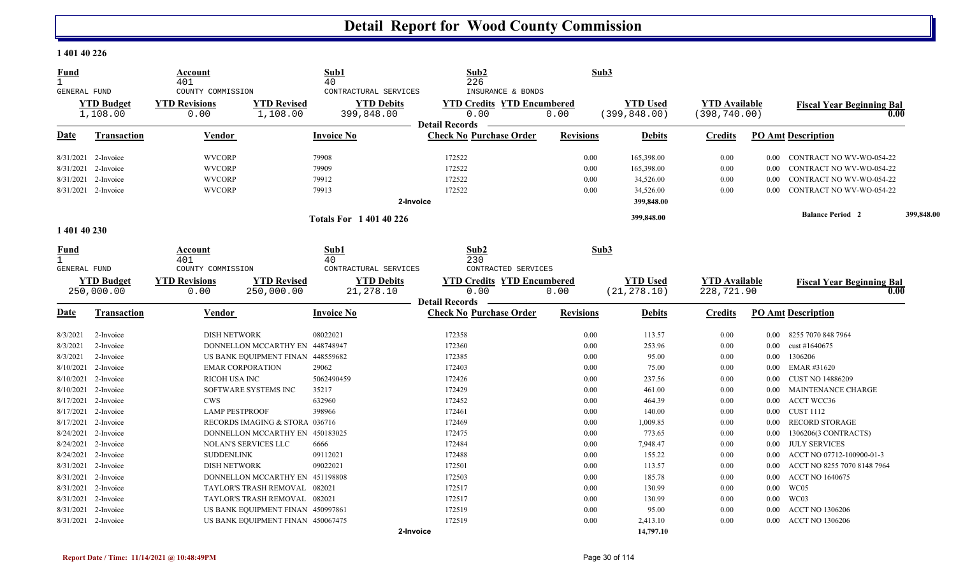#### **1 401 40 226**

| <b>Fund</b><br>$\mathbf{1}$ |                     | Account<br>401                            |                                   | Sub1<br>40                                 | Sub2<br>226                                            | Sub3             |                 |                      |          |                                  |            |
|-----------------------------|---------------------|-------------------------------------------|-----------------------------------|--------------------------------------------|--------------------------------------------------------|------------------|-----------------|----------------------|----------|----------------------------------|------------|
| GENERAL FUND                | <b>YTD Budget</b>   | COUNTY COMMISSION<br><b>YTD Revisions</b> | <b>YTD Revised</b>                | CONTRACTURAL SERVICES<br><b>YTD Debits</b> | INSURANCE & BONDS<br><b>YTD Credits YTD Encumbered</b> |                  | <b>YTD Used</b> | <b>YTD Available</b> |          | <b>Fiscal Year Beginning Bal</b> |            |
|                             | 1,108.00            | 0.00                                      | 1,108.00                          | 399,848.00                                 | 0.00                                                   | 0.00             | (399, 848.00)   | (398, 740.00)        |          | 0.00                             |            |
|                             |                     |                                           |                                   |                                            | <b>Detail Records</b>                                  |                  |                 |                      |          |                                  |            |
| D <u>ate</u>                | Transaction         | <b>Vendor</b>                             |                                   | <b>Invoice No</b>                          | <b>Check No Purchase Order</b>                         | <b>Revisions</b> | <b>Debits</b>   | <b>Credits</b>       |          | <b>PO Amt Description</b>        |            |
|                             | 8/31/2021 2-Invoice | <b>WVCORP</b>                             |                                   | 79908                                      | 172522                                                 | 0.00             | 165,398.00      | 0.00                 | $0.00\,$ | CONTRACT NO WV-WO-054-22         |            |
| 8/31/2021                   | 2-Invoice           | <b>WVCORP</b>                             |                                   | 79909                                      | 172522                                                 | 0.00             | 165,398.00      | 0.00                 | 0.00     | CONTRACT NO WV-WO-054-22         |            |
| 8/31/2021                   | 2-Invoice           | <b>WVCORP</b>                             |                                   | 79912                                      | 172522                                                 | 0.00             | 34,526.00       | 0.00                 | 0.00     | CONTRACT NO WV-WO-054-22         |            |
|                             | 8/31/2021 2-Invoice | <b>WVCORP</b>                             |                                   | 79913                                      | 172522                                                 | 0.00             | 34,526.00       | 0.00                 | 0.00     | CONTRACT NO WV-WO-054-22         |            |
|                             |                     |                                           |                                   | 2-Invoice                                  |                                                        |                  | 399,848.00      |                      |          |                                  |            |
|                             |                     |                                           |                                   | <b>Totals For 140140226</b>                |                                                        |                  | 399,848.00      |                      |          | <b>Balance Period 2</b>          | 399,848.00 |
| 1 401 40 230                |                     |                                           |                                   |                                            |                                                        |                  |                 |                      |          |                                  |            |
| <u>Fund</u><br>$\mathbf{1}$ |                     | Account<br>401                            |                                   | Sub1<br>40                                 | Sub2<br>230                                            | Sub3             |                 |                      |          |                                  |            |
| <b>GENERAL FUND</b>         |                     | COUNTY COMMISSION                         |                                   | CONTRACTURAL SERVICES                      | CONTRACTED SERVICES                                    |                  |                 |                      |          |                                  |            |
|                             | <b>YTD Budget</b>   | <b>YTD Revisions</b>                      | <b>YTD Revised</b>                | <b>YTD Debits</b>                          | <b>YTD Credits YTD Encumbered</b>                      |                  | <b>YTD Used</b> | <b>YTD</b> Available |          | <b>Fiscal Year Beginning Bal</b> |            |
|                             | 250,000.00          | 0.00                                      | 250,000.00                        | 21,278.10                                  | 0.00                                                   | 0.00             | (21, 278.10)    | 228,721.90           |          | 0.00                             |            |
|                             |                     |                                           |                                   |                                            | <b>Detail Records</b>                                  |                  |                 |                      |          |                                  |            |
| <u>Date</u>                 | <b>Transaction</b>  | Vendor                                    |                                   | <b>Invoice No</b>                          | <b>Check No Purchase Order</b>                         | <b>Revisions</b> | <b>Debits</b>   | <b>Credits</b>       |          | <b>PO Amt Description</b>        |            |
| 8/3/2021                    | 2-Invoice           | <b>DISH NETWORK</b>                       |                                   | 08022021                                   | 172358                                                 | 0.00             | 113.57          | 0.00                 | $0.00\,$ | 8255 7070 848 7964               |            |
| 8/3/2021                    | 2-Invoice           |                                           | DONNELLON MCCARTHY EN 448748947   |                                            | 172360                                                 | 0.00             | 253.96          | 0.00                 | $0.00\,$ | cust #1640675                    |            |
| 8/3/2021                    | 2-Invoice           |                                           | US BANK EQUIPMENT FINAN 448559682 |                                            | 172385                                                 | 0.00             | 95.00           | 0.00                 | 0.00     | 1306206                          |            |
| 8/10/2021                   | 2-Invoice           | <b>EMAR CORPORATION</b>                   |                                   | 29062                                      | 172403                                                 | 0.00             | 75.00           | 0.00                 | 0.00     | EMAR #31620                      |            |
| 8/10/2021                   | 2-Invoice           | <b>RICOH USA INC</b>                      |                                   | 5062490459                                 | 172426                                                 | 0.00             | 237.56          | 0.00                 | 0.00     | <b>CUST NO 14886209</b>          |            |
|                             | 8/10/2021 2-Invoice |                                           | SOFTWARE SYSTEMS INC              | 35217                                      | 172429                                                 | 0.00             | 461.00          | 0.00                 | $0.00\,$ | <b>MAINTENANCE CHARGE</b>        |            |
| 8/17/2021                   | 2-Invoice           | <b>CWS</b>                                |                                   | 632960                                     | 172452                                                 | 0.00             | 464.39          | 0.00                 | $0.00\,$ | <b>ACCT WCC36</b>                |            |
| 8/17/2021                   | 2-Invoice           | <b>LAMP PESTPROOF</b>                     |                                   | 398966                                     | 172461                                                 | 0.00             | 140.00          | 0.00                 | 0.00     | <b>CUST 1112</b>                 |            |
|                             | 8/17/2021 2-Invoice |                                           | RECORDS IMAGING & STORA 036716    |                                            | 172469                                                 | 0.00             | 1,009.85        | 0.00                 | 0.00     | <b>RECORD STORAGE</b>            |            |
|                             | 8/24/2021 2-Invoice |                                           | DONNELLON MCCARTHY EN 450183025   |                                            | 172475                                                 | 0.00             | 773.65          | 0.00                 | 0.00     | 1306206(3 CONTRACTS)             |            |
|                             | 8/24/2021 2-Invoice |                                           | NOLAN'S SERVICES LLC              | 6666                                       | 172484                                                 | 0.00             | 7,948.47        | 0.00                 | 0.00     | <b>JULY SERVICES</b>             |            |
| 8/24/2021                   | 2-Invoice           | <b>SUDDENLINK</b>                         |                                   | 09112021                                   | 172488                                                 | 0.00             | 155.22          | 0.00                 | 0.00     | ACCT NO 07712-100900-01-3        |            |
|                             | 8/31/2021 2-Invoice | <b>DISH NETWORK</b>                       |                                   | 09022021                                   | 172501                                                 | 0.00             | 113.57          | 0.00                 | 0.00     | ACCT NO 8255 7070 8148 7964      |            |
|                             | 8/31/2021 2-Invoice |                                           | DONNELLON MCCARTHY EN 451198808   |                                            | 172503                                                 | 0.00             | 185.78          | 0.00                 | $0.00\,$ | <b>ACCT NO 1640675</b>           |            |
| 8/31/2021                   | 2-Invoice           |                                           | TAYLOR'S TRASH REMOVAL 082021     |                                            | 172517                                                 | 0.00             | 130.99          | 0.00                 | $0.00\,$ | WC05                             |            |
| 8/31/2021                   | 2-Invoice           |                                           | TAYLOR'S TRASH REMOVAL 082021     |                                            | 172517                                                 | 0.00             | 130.99          | 0.00                 | $0.00\,$ | WC03                             |            |
| 8/31/2021                   | 2-Invoice           |                                           | US BANK EQUIPMENT FINAN 450997861 |                                            | 172519                                                 | 0.00             | 95.00           | 0.00                 | 0.00     | <b>ACCT NO 1306206</b>           |            |
|                             | 8/31/2021 2-Invoice |                                           | US BANK EQUIPMENT FINAN 450067475 |                                            | 172519                                                 | 0.00             | 2,413.10        | 0.00                 | 0.00     | <b>ACCT NO 1306206</b>           |            |
|                             |                     |                                           |                                   | 2-Invoice                                  |                                                        |                  | 14,797.10       |                      |          |                                  |            |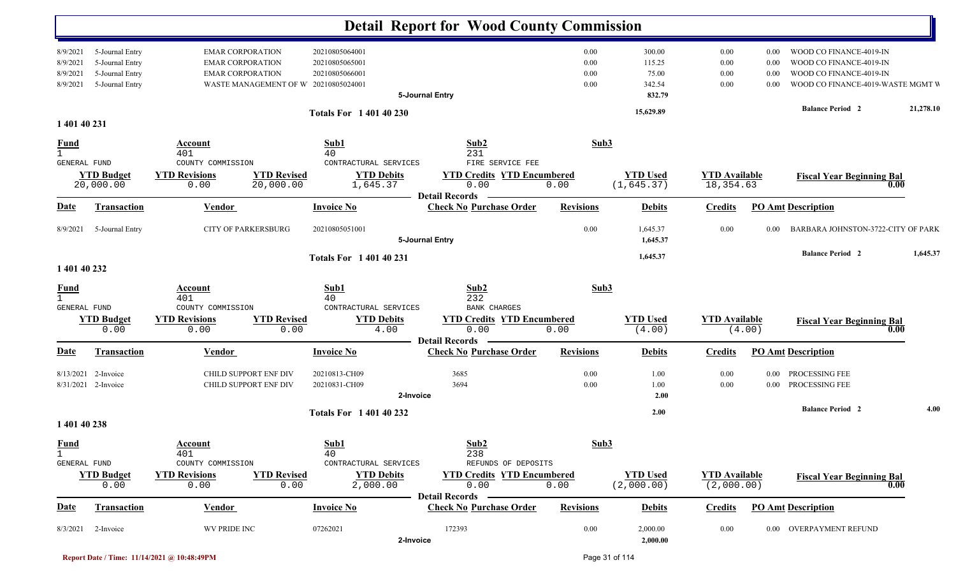|                                                    |                                                                          |                                                                                                                       |                                                    | <b>Detail Report for Wood County Commission</b>                    |                              |                                               |                                    |                              |                                                                                                                    |           |
|----------------------------------------------------|--------------------------------------------------------------------------|-----------------------------------------------------------------------------------------------------------------------|----------------------------------------------------|--------------------------------------------------------------------|------------------------------|-----------------------------------------------|------------------------------------|------------------------------|--------------------------------------------------------------------------------------------------------------------|-----------|
| 8/9/2021<br>8/9/2021<br>8/9/2021<br>8/9/2021       | 5-Journal Entry<br>5-Journal Entry<br>5-Journal Entry<br>5-Journal Entry | <b>EMAR CORPORATION</b><br><b>EMAR CORPORATION</b><br><b>EMAR CORPORATION</b><br>WASTE MANAGEMENT OF W 20210805024001 | 20210805064001<br>20210805065001<br>20210805066001 | 5-Journal Entry                                                    | 0.00<br>0.00<br>0.00<br>0.00 | 300.00<br>115.25<br>75.00<br>342.54<br>832.79 | 0.00<br>0.00<br>0.00<br>0.00       | 0.00<br>0.00<br>0.00<br>0.00 | WOOD CO FINANCE-4019-IN<br>WOOD CO FINANCE-4019-IN<br>WOOD CO FINANCE-4019-IN<br>WOOD CO FINANCE-4019-WASTE MGMT V |           |
| 1 401 40 231                                       |                                                                          |                                                                                                                       | <b>Totals For 140140230</b>                        |                                                                    |                              | 15,629.89                                     |                                    |                              | <b>Balance Period 2</b>                                                                                            | 21,278.10 |
| <u>Fund</u><br>$\mathbf{1}$<br>GENERAL FUND        |                                                                          | Account<br>401<br>COUNTY COMMISSION                                                                                   | Sub1<br>40<br>CONTRACTURAL SERVICES                | Sub2<br>231<br>FIRE SERVICE FEE                                    | Sub3                         |                                               |                                    |                              |                                                                                                                    |           |
|                                                    | <b>YTD Budget</b><br>20,000.00                                           | <b>YTD Revisions</b><br><b>YTD Revised</b><br>20,000.00<br>0.00                                                       | <b>YTD Debits</b><br>1,645.37                      | <b>YTD Credits YTD Encumbered</b><br>0.00<br><b>Detail Records</b> | 0.00                         | <b>YTD Used</b><br>(1, 645.37)                | <b>YTD</b> Available<br>18,354.63  |                              | <b>Fiscal Year Beginning Bal</b><br>0.00                                                                           |           |
| <b>Date</b>                                        | Transaction                                                              | <b>Vendor</b>                                                                                                         | <b>Invoice No</b>                                  | <b>Check No Purchase Order</b>                                     | <b>Revisions</b>             | <b>Debits</b>                                 | <b>Credits</b>                     |                              | <b>PO Amt Description</b>                                                                                          |           |
| 8/9/2021                                           | 5-Journal Entry                                                          | <b>CITY OF PARKERSBURG</b>                                                                                            | 20210805051001                                     | 5-Journal Entry                                                    | 0.00                         | 1,645.37<br>1,645.37                          | 0.00                               | 0.00                         | BARBARA JOHNSTON-3722-CITY OF PARK                                                                                 |           |
| 1 401 40 232                                       |                                                                          |                                                                                                                       | <b>Totals For 140140231</b>                        |                                                                    |                              | 1,645.37                                      |                                    |                              | <b>Balance Period 2</b>                                                                                            | 1,645.37  |
| <b>Fund</b><br>$\mathbf{1}$<br>GENERAL FUND        |                                                                          | Account<br>401<br>COUNTY COMMISSION                                                                                   | Sub1<br>40<br>CONTRACTURAL SERVICES                | Sub2<br>232<br>BANK CHARGES                                        | Sub3                         |                                               |                                    |                              |                                                                                                                    |           |
|                                                    | <b>YTD Budget</b><br>0.00                                                | <b>YTD Revised</b><br><b>YTD Revisions</b><br>0.00<br>0.00                                                            | <b>YTD Debits</b><br>4.00                          | <b>YTD Credits YTD Encumbered</b><br>0.00<br><b>Detail Records</b> | 0.00                         | <b>YTD Used</b><br>(4.00)                     | <b>YTD Available</b>               | (4.00)                       | <b>Fiscal Year Beginning Bal</b><br>0.00                                                                           |           |
| Date                                               | <b>Transaction</b>                                                       | <b>Vendor</b>                                                                                                         | <b>Invoice No</b>                                  | <b>Check No Purchase Order</b>                                     | <b>Revisions</b>             | <b>Debits</b>                                 | <b>Credits</b>                     |                              | <b>PO Amt Description</b>                                                                                          |           |
| 8/13/2021                                          | 2-Invoice<br>8/31/2021 2-Invoice                                         | CHILD SUPPORT ENF DIV<br>CHILD SUPPORT ENF DIV                                                                        | 20210813-CH09<br>20210831-CH09<br>2-Invoice        | 3685<br>3694                                                       | 0.00<br>0.00                 | 1.00<br>1.00<br>2.00                          | 0.00<br>0.00                       |                              | 0.00 PROCESSING FEE<br>0.00 PROCESSING FEE                                                                         |           |
|                                                    |                                                                          |                                                                                                                       | <b>Totals For 140140232</b>                        |                                                                    |                              | 2.00                                          |                                    |                              | <b>Balance Period 2</b>                                                                                            | 4.00      |
| 1 401 40 238                                       |                                                                          |                                                                                                                       |                                                    |                                                                    |                              |                                               |                                    |                              |                                                                                                                    |           |
| <b>Fund</b><br>$\mathbf{1}$<br><b>GENERAL FUND</b> |                                                                          | Account<br>401<br>COUNTY COMMISSION                                                                                   | Sub1<br>40<br>CONTRACTURAL SERVICES                | Sub2<br>238<br>REFUNDS OF DEPOSITS                                 | Sub3                         |                                               |                                    |                              |                                                                                                                    |           |
|                                                    | <b>YTD Budget</b><br>0.00                                                | <b>YTD Revisions</b><br><b>YTD Revised</b><br>0.00<br>0.00                                                            | <b>YTD Debits</b><br>2,000.00                      | <b>YTD Credits YTD Encumbered</b><br>0.00<br><b>Detail Records</b> | 0.00                         | <b>YTD Used</b><br>(2,000.00)                 | <b>YTD</b> Available<br>(2,000.00) |                              | <b>Fiscal Year Beginning Bal</b><br>0.00                                                                           |           |
| <b>Date</b>                                        | <b>Transaction</b>                                                       | <b>Vendor</b>                                                                                                         | <b>Invoice No</b>                                  | <b>Check No Purchase Order</b>                                     | <b>Revisions</b>             | <b>Debits</b>                                 | <b>Credits</b>                     |                              | <b>PO Amt Description</b>                                                                                          |           |
| 8/3/2021                                           | 2-Invoice                                                                | WV PRIDE INC                                                                                                          | 07262021<br>2-Invoice                              | 172393                                                             | 0.00                         | 2,000.00<br>2,000.00                          | 0.00                               |                              | 0.00 OVERPAYMENT REFUND                                                                                            |           |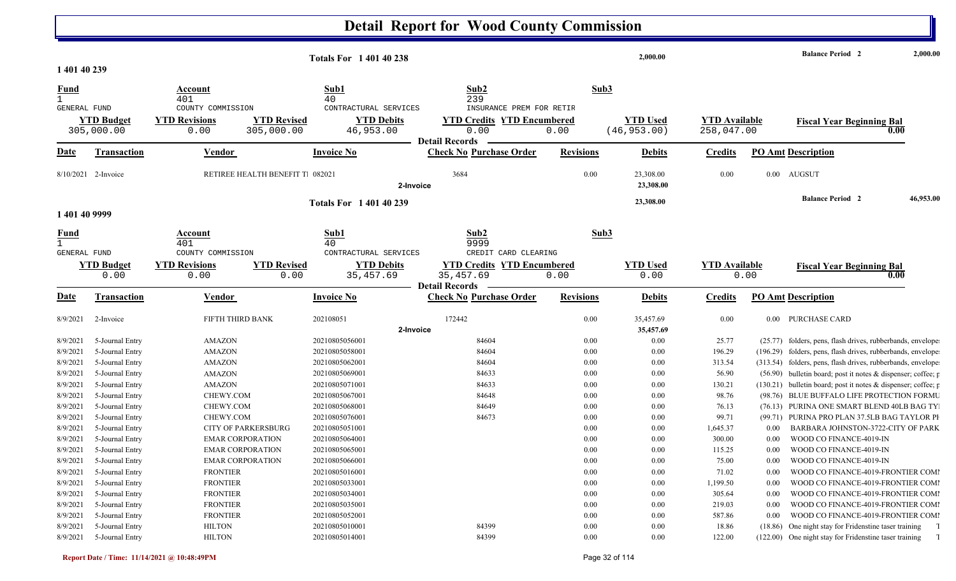|                                                    |                                    |                                            |                                  | <b>Totals For 140140238</b>         |                                                                          |                  | 2,000.00                        |                                    |          | <b>Balance Period 2</b>                                                                                                    | 2,000.00  |
|----------------------------------------------------|------------------------------------|--------------------------------------------|----------------------------------|-------------------------------------|--------------------------------------------------------------------------|------------------|---------------------------------|------------------------------------|----------|----------------------------------------------------------------------------------------------------------------------------|-----------|
| 1 401 40 239                                       |                                    |                                            |                                  |                                     |                                                                          |                  |                                 |                                    |          |                                                                                                                            |           |
| <b>Fund</b><br>$\mathbf{1}$<br><b>GENERAL FUND</b> |                                    | Account<br>401<br>COUNTY COMMISSION        |                                  | Sub1<br>40<br>CONTRACTURAL SERVICES | Sub2<br>239<br>INSURANCE PREM FOR RETIR                                  | Sub3             |                                 |                                    |          |                                                                                                                            |           |
|                                                    | <b>YTD Budget</b><br>305,000.00    | <b>YTD Revisions</b><br>0.00               | <b>YTD Revised</b><br>305,000.00 | <b>YTD Debits</b><br>46,953.00      | <b>YTD Credits YTD Encumbered</b><br>0.00<br><b>Detail Records</b>       | 0.00             | <b>YTD Used</b><br>(46, 953.00) | <b>YTD Available</b><br>258,047.00 |          | <b>Fiscal Year Beginning Bal</b><br>0.00                                                                                   |           |
| Date                                               | <b>Transaction</b>                 | Vendor                                     |                                  | <b>Invoice No</b>                   | <b>Check No Purchase Order</b>                                           | <b>Revisions</b> | <b>Debits</b>                   | <b>Credits</b>                     |          | <b>PO Amt Description</b>                                                                                                  |           |
|                                                    | 8/10/2021 2-Invoice                | RETIREE HEALTH BENEFIT T 082021            |                                  | 2-Invoice                           | 3684                                                                     | 0.00             | 23,308.00<br>23,308.00          | 0.00                               | $0.00\,$ | AUGSUT                                                                                                                     |           |
| 1 401 40 9999                                      |                                    |                                            |                                  | <b>Totals For 1 401 40 239</b>      |                                                                          |                  | 23,308.00                       |                                    |          | <b>Balance Period 2</b>                                                                                                    | 46,953.00 |
| <u>Fund</u><br>$\mathbf{1}$<br>GENERAL FUND        |                                    | <b>Account</b><br>401<br>COUNTY COMMISSION |                                  | Sub1<br>40<br>CONTRACTURAL SERVICES | Sub2<br>9999<br>CREDIT CARD CLEARING                                     | Sub3             |                                 |                                    |          |                                                                                                                            |           |
|                                                    | <b>YTD Budget</b><br>0.00          | <b>YTD Revisions</b><br>0.00               | <b>YTD Revised</b><br>0.00       | <b>YTD Debits</b><br>35,457.69      | <b>YTD Credits YTD Encumbered</b><br>35, 457.69<br><b>Detail Records</b> | 0.00             | <b>YTD</b> Used<br>0.00         | <b>YTD</b> Available               | 0.00     | <b>Fiscal Year Beginning Bal</b><br>0.00                                                                                   |           |
| <u>Date</u>                                        | <b>Transaction</b>                 | <b>Vendor</b>                              |                                  | <b>Invoice No</b>                   | <b>Check No Purchase Order</b>                                           | <b>Revisions</b> | <b>Debits</b>                   | <b>Credits</b>                     |          | <b>PO Amt Description</b>                                                                                                  |           |
| 8/9/2021                                           | 2-Invoice                          | FIFTH THIRD BANK                           |                                  | 202108051                           | 172442                                                                   | 0.00             | 35,457.69                       | 0.00                               | $0.00\,$ | PURCHASE CARD                                                                                                              |           |
|                                                    |                                    |                                            |                                  | 2-Invoice                           |                                                                          |                  | 35,457.69                       |                                    |          |                                                                                                                            |           |
| 8/9/2021                                           | 5-Journal Entry                    | <b>AMAZON</b>                              |                                  | 20210805056001                      | 84604                                                                    | $0.00\,$         | 0.00                            | 25.77                              |          | (25.77) folders, pens, flash drives, rubberbands, envelope                                                                 |           |
| 8/9/2021<br>8/9/2021                               | 5-Journal Entry<br>5-Journal Entry | <b>AMAZON</b><br><b>AMAZON</b>             |                                  | 20210805058001<br>20210805062001    | 84604<br>84604                                                           | 0.00<br>0.00     | 0.00<br>0.00                    | 196.29<br>313.54                   |          | (196.29) folders, pens, flash drives, rubberbands, envelope<br>(313.54) folders, pens, flash drives, rubberbands, envelope |           |
| 8/9/2021                                           | 5-Journal Entry                    | <b>AMAZON</b>                              |                                  | 20210805069001                      | 84633                                                                    | 0.00             | 0.00                            | 56.90                              |          | (56.90) bulletin board; post it notes & dispenser; coffee; p                                                               |           |
| 8/9/2021                                           | 5-Journal Entry                    | <b>AMAZON</b>                              |                                  | 20210805071001                      | 84633                                                                    | 0.00             | 0.00                            | 130.21                             |          | (130.21) bulletin board; post it notes & dispenser; coffee; p                                                              |           |
| 8/9/2021                                           | 5-Journal Entry                    | CHEWY.COM                                  |                                  | 20210805067001                      | 84648                                                                    | 0.00             | 0.00                            | 98.76                              |          | (98.76) BLUE BUFFALO LIFE PROTECTION FORMU                                                                                 |           |
| 8/9/2021                                           | 5-Journal Entry                    | CHEWY.COM                                  |                                  | 20210805068001                      | 84649                                                                    | 0.00             | $0.00\,$                        | 76.13                              |          | (76.13) PURINA ONE SMART BLEND 40LB BAG TY                                                                                 |           |
| 8/9/2021                                           | 5-Journal Entry                    | CHEWY.COM                                  |                                  | 20210805076001                      | 84673                                                                    | 0.00             | $0.00\,$                        | 99.71                              |          | (99.71) PURINA PRO PLAN 37.5LB BAG TAYLOR PI                                                                               |           |
| 8/9/2021                                           | 5-Journal Entry                    | <b>CITY OF PARKERSBURG</b>                 |                                  | 20210805051001                      |                                                                          | 0.00             | 0.00                            | 1,645.37                           | 0.00     | BARBARA JOHNSTON-3722-CITY OF PARK                                                                                         |           |
| 8/9/2021                                           | 5-Journal Entry                    | <b>EMAR CORPORATION</b>                    |                                  | 20210805064001                      |                                                                          | 0.00             | $0.00\,$                        | 300.00                             | 0.00     | WOOD CO FINANCE-4019-IN                                                                                                    |           |
| 8/9/2021                                           | 5-Journal Entry                    | <b>EMAR CORPORATION</b>                    |                                  | 20210805065001                      |                                                                          | 0.00             | 0.00                            | 115.25                             | 0.00     | WOOD CO FINANCE-4019-IN                                                                                                    |           |
| 8/9/2021                                           | 5-Journal Entry                    | <b>EMAR CORPORATION</b>                    |                                  | 20210805066001                      |                                                                          | 0.00             | 0.00                            | 75.00                              | 0.00     | WOOD CO FINANCE-4019-IN                                                                                                    |           |
|                                                    | 8/9/2021 5-Journal Entry           | <b>FRONTIER</b>                            |                                  | 20210805016001                      |                                                                          | $0.00\,$         | 0.00                            | 71.02                              |          | 0.00 WOOD CO FINANCE-4019-FRONTIER COMI                                                                                    |           |
|                                                    | 8/9/2021 5-Journal Entry           | <b>FRONTIER</b>                            |                                  | 20210805033001                      |                                                                          | 0.00             | 0.00                            | 1,199.50                           | 0.00     | WOOD CO FINANCE-4019-FRONTIER COMI                                                                                         |           |
| 8/9/2021                                           | 5-Journal Entry                    | <b>FRONTIER</b>                            |                                  | 20210805034001                      |                                                                          | $0.00\,$         | 0.00                            | 305.64                             | 0.00     | WOOD CO FINANCE-4019-FRONTIER COMI                                                                                         |           |
| 8/9/2021                                           | 5-Journal Entry                    | <b>FRONTIER</b>                            |                                  | 20210805035001                      |                                                                          | 0.00             | 0.00                            | 219.03                             | 0.00     | WOOD CO FINANCE-4019-FRONTIER COMI                                                                                         |           |
| 8/9/2021                                           | 5-Journal Entry                    | <b>FRONTIER</b>                            |                                  | 20210805052001                      |                                                                          | 0.00             | 0.00                            | 587.86                             | 0.00     | WOOD CO FINANCE-4019-FRONTIER COMI                                                                                         |           |
| 8/9/2021                                           | 5-Journal Entry                    | <b>HILTON</b>                              |                                  | 20210805010001                      | 84399                                                                    | 0.00             | 0.00                            | 18.86                              |          | (18.86) One night stay for Fridenstine taser training 1                                                                    |           |
| 8/9/2021                                           | 5-Journal Entry                    | <b>HILTON</b>                              |                                  | 20210805014001                      | 84399                                                                    | $0.00\,$         | 0.00                            | 122.00                             |          | (122.00) One night stay for Fridenstine taser training                                                                     |           |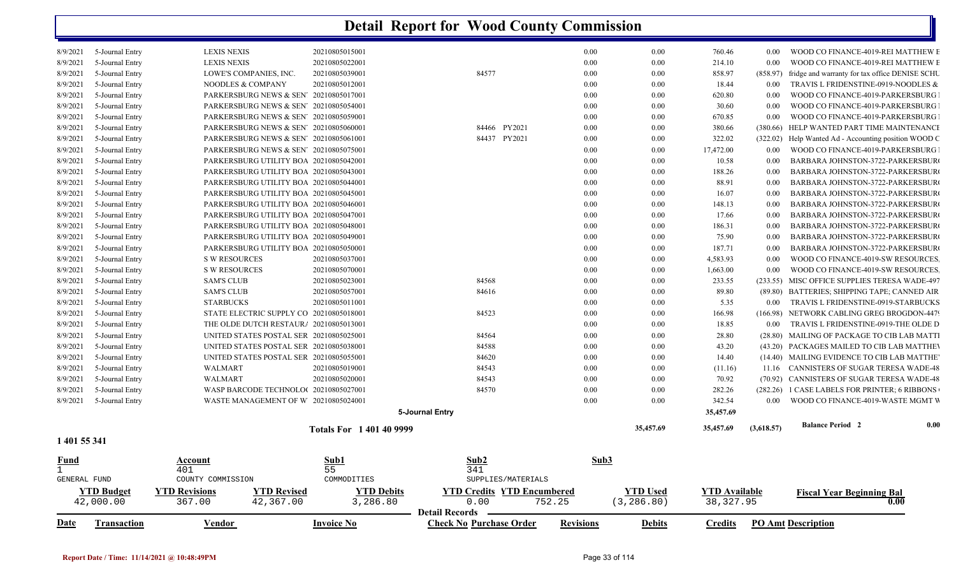| Fund         |                 | Account                                            | S <sub>II</sub> h1           |                 | S <sub>II</sub> h <sub>2</sub> | S <sub>n</sub> h <sub>3</sub> |           |           |            |                                                |      |
|--------------|-----------------|----------------------------------------------------|------------------------------|-----------------|--------------------------------|-------------------------------|-----------|-----------|------------|------------------------------------------------|------|
| 1 401 55 341 |                 |                                                    |                              |                 |                                |                               |           |           |            |                                                |      |
|              |                 |                                                    | <b>Totals For 1401409999</b> |                 |                                |                               | 35,457.69 | 35,457.69 | (3,618.57) | <b>Balance Period 2</b>                        | 0.00 |
|              |                 |                                                    |                              | 5-Journal Entry |                                |                               |           | 35,457.69 |            |                                                |      |
| 8/9/2021     | 5-Journal Entry | WASTE MANAGEMENT OF W 20210805024001               |                              |                 |                                | 0.00                          | 0.00      | 342.54    | $0.00\,$   | WOOD CO FINANCE-4019-WASTE MGMT V              |      |
| 8/9/2021     | 5-Journal Entry | WASP BARCODE TECHNOLO(20210805027001               |                              |                 | 84570                          | 0.00                          | 0.00      | 282.26    |            | (282.26) 1 CASE LABELS FOR PRINTER; 6 RIBBONS  |      |
| 8/9/2021     | 5-Journal Entry | WALMART                                            | 20210805020001               |                 | 84543                          | 0.00                          | 0.00      | 70.92     |            | (70.92) CANNISTERS OF SUGAR TERESA WADE-48     |      |
| 8/9/2021     | 5-Journal Entry | WALMART                                            | 20210805019001               |                 | 84543                          | 0.00                          | 0.00      | (11.16)   |            | 11.16 CANNISTERS OF SUGAR TERESA WADE-48       |      |
| 8/9/2021     | 5-Journal Entry | UNITED STATES POSTAL SER 20210805055001            |                              |                 | 84620                          | 0.00                          | 0.00      | 14.40     |            | (14.40) MAILING EVIDENCE TO CIB LAB MATTHE     |      |
| 8/9/2021     | 5-Journal Entry | UNITED STATES POSTAL SER 20210805038001            |                              |                 | 84588                          | 0.00                          | 0.00      | 43.20     |            | (43.20) PACKAGES MAILED TO CIB LAB MATTHEV     |      |
| 8/9/2021     | 5-Journal Entry | UNITED STATES POSTAL SER 20210805025001            |                              |                 | 84564                          | 0.00                          | 0.00      | 28.80     |            | (28.80) MAILING OF PACKAGE TO CIB LAB MATTI    |      |
| 8/9/2021     | 5-Journal Entry | THE OLDE DUTCH RESTAUR/ 20210805013001             |                              |                 |                                | 0.00                          | 0.00      | 18.85     | 0.00       | TRAVIS L FRIDENSTINE-0919-THE OLDE D           |      |
| 8/9/2021     | 5-Journal Entry | STATE ELECTRIC SUPPLY CO 20210805018001            |                              |                 | 84523                          | 0.00                          | 0.00      | 166.98    | (166.98)   | NETWORK CABLING GREG BROGDON-4479              |      |
| 8/9/2021     | 5-Journal Entry | <b>STARBUCKS</b>                                   | 20210805011001               |                 |                                | 0.00                          | 0.00      | 5.35      | 0.00       | TRAVIS L FRIDENSTINE-0919-STARBUCKS            |      |
| 8/9/2021     | 5-Journal Entry | <b>SAM'S CLUB</b>                                  | 20210805057001               |                 | 84616                          | 0.00                          | 0.00      | 89.80     |            | (89.80) BATTERIES; SHIPPING TAPE; CANNED AIR   |      |
| 8/9/2021     | 5-Journal Entry | <b>SAM'S CLUB</b>                                  | 20210805023001               |                 | 84568                          | 0.00                          | 0.00      | 233.55    |            | (233.55) MISC OFFICE SUPPLIES TERESA WADE-497  |      |
| 8/9/2021     | 5-Journal Entry | <b>S W RESOURCES</b>                               | 20210805070001               |                 |                                | 0.00                          | 0.00      | 1,663.00  | 0.00       | WOOD CO FINANCE-4019-SW RESOURCES.             |      |
| 8/9/2021     | 5-Journal Entry | <b>S W RESOURCES</b>                               | 20210805037001               |                 |                                | 0.00                          | 0.00      | 4,583.93  | 0.00       | WOOD CO FINANCE-4019-SW RESOURCES.             |      |
| 8/9/2021     | 5-Journal Entry | PARKERSBURG UTILITY BOA 20210805050001             |                              |                 |                                | 0.00                          | 0.00      | 187.71    | 0.00       | BARBARA JOHNSTON-3722-PARKERSBUR               |      |
| 8/9/2021     | 5-Journal Entry | PARKERSBURG UTILITY BOA 20210805049001             |                              |                 |                                | 0.00                          | 0.00      | 75.90     | 0.00       | BARBARA JOHNSTON-3722-PARKERSBUR               |      |
| 8/9/2021     | 5-Journal Entry | PARKERSBURG UTILITY BOA 20210805048001             |                              |                 |                                | 0.00                          | 0.00      | 186.31    | 0.00       | BARBARA JOHNSTON-3722-PARKERSBUR               |      |
| 8/9/2021     | 5-Journal Entry | PARKERSBURG UTILITY BOA 20210805047001             |                              |                 |                                | 0.00                          | 0.00      | 17.66     | 0.00       | BARBARA JOHNSTON-3722-PARKERSBUR               |      |
| 8/9/2021     | 5-Journal Entry | PARKERSBURG UTILITY BOA 20210805046001             |                              |                 |                                | 0.00                          | 0.00      | 148.13    | 0.00       | BARBARA JOHNSTON-3722-PARKERSBUR               |      |
| 8/9/2021     | 5-Journal Entry | PARKERSBURG UTILITY BOA 20210805045001             |                              |                 |                                | 0.00                          | 0.00      | 16.07     | 0.00       | BARBARA JOHNSTON-3722-PARKERSBUR               |      |
| 8/9/2021     | 5-Journal Entry | PARKERSBURG UTILITY BOA 20210805044001             |                              |                 |                                | 0.00                          | 0.00      | 88.91     | 0.00       | BARBARA JOHNSTON-3722-PARKERSBUR               |      |
| 8/9/2021     | 5-Journal Entry | PARKERSBURG UTILITY BOA 20210805043001             |                              |                 |                                | 0.00                          | 0.00      | 188.26    | 0.00       | BARBARA JOHNSTON-3722-PARKERSBUR               |      |
| 8/9/2021     | 5-Journal Entry | PARKERSBURG UTILITY BOA 20210805042001             |                              |                 |                                | 0.00                          | 0.00      | 10.58     | 0.00       | BARBARA JOHNSTON-3722-PARKERSBUR               |      |
| 8/9/2021     | 5-Journal Entry | PARKERSBURG NEWS & SEN' 20210805075001             |                              |                 |                                | 0.00                          | 0.00      | 17,472.00 | 0.00       | WOOD CO FINANCE-4019-PARKERSBURG               |      |
| 8/9/2021     | 5-Journal Entry | PARKERSBURG NEWS & SEN <sup>7</sup> 20210805061001 |                              |                 | 84437 PY2021                   | 0.00                          | 0.00      | 322.02    | (322.02)   | Help Wanted Ad - Accounting position WOOD C    |      |
| 8/9/2021     | 5-Journal Entry | PARKERSBURG NEWS & SEN' 20210805060001             |                              |                 | 84466 PY2021                   | 0.00                          | 0.00      | 380.66    | (380.66)   | HELP WANTED PART TIME MAINTENANCI              |      |
| 8/9/2021     | 5-Journal Entry | PARKERSBURG NEWS & SEN 20210805059001              |                              |                 |                                | 0.00                          | 0.00      | 670.85    | 0.00       | WOOD CO FINANCE-4019-PARKERSBURG               |      |
| 8/9/2021     | 5-Journal Entry | PARKERSBURG NEWS & SEN' 20210805054001             |                              |                 |                                | 0.00                          | 0.00      | 30.60     | 0.00       | WOOD CO FINANCE-4019-PARKERSBURG               |      |
| 8/9/2021     | 5-Journal Entry | PARKERSBURG NEWS & SEN' 20210805017001             |                              |                 |                                | 0.00                          | 0.00      | 620.80    | 0.00       | WOOD CO FINANCE-4019-PARKERSBURG               |      |
| 8/9/2021     | 5-Journal Entry | NOODLES & COMPANY                                  | 20210805012001               |                 |                                | 0.00                          | 0.00      | 18.44     | 0.00       | TRAVIS L FRIDENSTINE-0919-NOODLES &            |      |
| 8/9/2021     | 5-Journal Entry | LOWE'S COMPANIES, INC.                             | 20210805039001               |                 | 84577                          | 0.00                          | 0.00      | 858.97    | (858.97)   | fridge and warranty for tax office DENISE SCHU |      |
| 8/9/2021     | 5-Journal Entry | <b>LEXIS NEXIS</b>                                 | 20210805022001               |                 |                                | 0.00                          | 0.00      | 214.10    | 0.00       | WOOD CO FINANCE-4019-REI MATTHEW E             |      |
| 8/9/2021     | 5-Journal Entry | <b>LEXIS NEXIS</b>                                 | 20210805015001               |                 |                                | 0.00                          | 0.00      | 760.46    | $0.00\,$   | WOOD CO FINANCE-4019-REI MATTHEW E             |      |

| Date         | l' <b>ransaction</b>           | <u>Vendor</u>                  |                                 | <b>Invoice No</b>             | <b>Check No Purchase Order</b>                                               | <b>Revisions</b> | <b>Debits</b>           | <u>Tredits</u>                    | <b>PO Amt Description</b>                |
|--------------|--------------------------------|--------------------------------|---------------------------------|-------------------------------|------------------------------------------------------------------------------|------------------|-------------------------|-----------------------------------|------------------------------------------|
|              | <b>YTD Budget</b><br>42,000.00 | <b>YTD Revisions</b><br>367.00 | <b>YTD Revised</b><br>42,367.00 | <b>YTD Debits</b><br>3,286.80 | <b>YTD Encumbered</b><br><b>∕TD Credits</b><br>0.00<br><b>Detail Records</b> | 752.25           | YTD Used<br>(3, 286.80) | <b>YTD Available</b><br>38,327.95 | <b>Fiscal Year Beginning Bal</b><br>0.00 |
| GENERAL FUND |                                | COUNTY COMMISSION              |                                 | COMMODITIES                   | SUPPLIES/MATERIALS                                                           |                  |                         |                                   |                                          |
|              |                                | 401                            |                                 | כ כ                           | 341                                                                          |                  |                         |                                   |                                          |
| <u>Fund</u>  |                                | <u>Account</u>                 |                                 | <u>Sub1</u>                   | <u>Sub2</u>                                                                  | Sub3             |                         |                                   |                                          |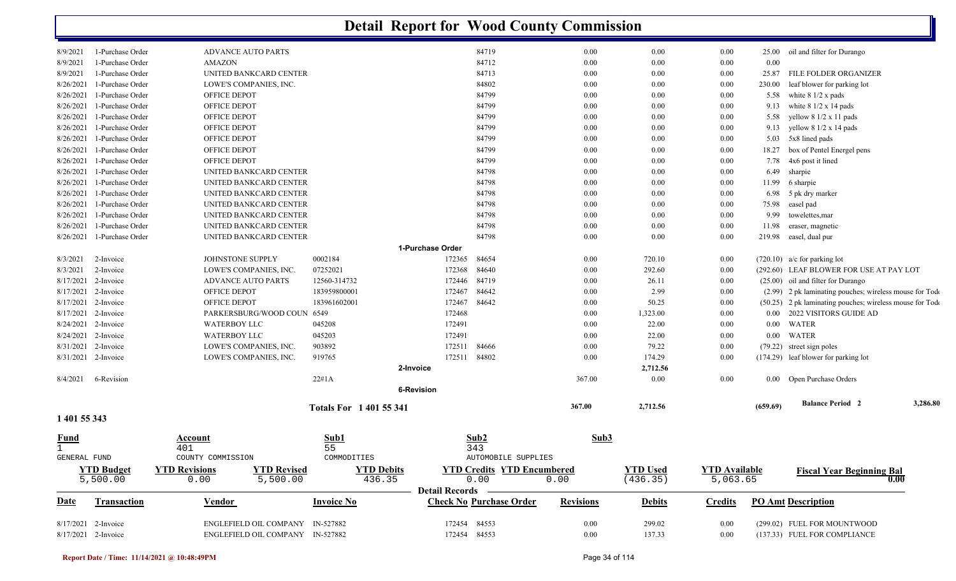|                  |                     |                                            |                             | <b>Detail Report for Wood County Commission</b> |                  |                 |                      |          |                                                          |          |
|------------------|---------------------|--------------------------------------------|-----------------------------|-------------------------------------------------|------------------|-----------------|----------------------|----------|----------------------------------------------------------|----------|
| 8/9/2021         | 1-Purchase Order    | <b>ADVANCE AUTO PARTS</b>                  |                             | 84719                                           | 0.00             | 0.00            | 0.00                 |          | 25.00 oil and filter for Durango                         |          |
| 8/9/2021         | 1-Purchase Order    | <b>AMAZON</b>                              |                             | 84712                                           | 0.00             | 0.00            | 0.00                 | 0.00     |                                                          |          |
| 8/9/2021         | 1-Purchase Order    | UNITED BANKCARD CENTER                     |                             | 84713                                           | 0.00             | 0.00            | 0.00                 | 25.87    | FILE FOLDER ORGANIZER                                    |          |
| 8/26/2021        | 1-Purchase Order    | LOWE'S COMPANIES, INC.                     |                             | 84802                                           | 0.00             | 0.00            | 0.00                 | 230.00   | leaf blower for parking lot                              |          |
| 8/26/2021        | 1-Purchase Order    | OFFICE DEPOT                               |                             | 84799                                           | 0.00             | $0.00\,$        | 0.00                 | 5.58     | white $8 \frac{1}{2}$ x pads                             |          |
| 8/26/2021        | 1-Purchase Order    | <b>OFFICE DEPOT</b>                        |                             | 84799                                           | 0.00             | 0.00            | 0.00                 | 9.13     | white $81/2 \times 14$ pads                              |          |
| 8/26/2021        | 1-Purchase Order    | OFFICE DEPOT                               |                             | 84799                                           | 0.00             | 0.00            | 0.00                 | 5.58     | yellow 8 1/2 x 11 pads                                   |          |
| 8/26/2021        | 1-Purchase Order    | OFFICE DEPOT                               |                             | 84799                                           | 0.00             | 0.00            | 0.00                 |          | 9.13 yellow $8 \frac{1}{2} \times 14$ pads               |          |
| 8/26/2021        | 1-Purchase Order    | OFFICE DEPOT                               |                             | 84799                                           | 0.00             | 0.00            | 0.00                 | 5.03     | 5x8 lined pads                                           |          |
| 8/26/2021        | 1-Purchase Order    | OFFICE DEPOT                               |                             | 84799                                           | 0.00             | $0.00\,$        | 0.00                 | 18.27    | box of Pentel Energel pens                               |          |
| 8/26/2021        | 1-Purchase Order    | OFFICE DEPOT                               |                             | 84799                                           | 0.00             | $0.00\,$        | 0.00                 | 7.78     | 4x6 post it lined                                        |          |
| 8/26/2021        | 1-Purchase Order    | UNITED BANKCARD CENTER                     |                             | 84798                                           | 0.00             | 0.00            | 0.00                 | 6.49     | sharpie                                                  |          |
| 8/26/2021        | 1-Purchase Order    | UNITED BANKCARD CENTER                     |                             | 84798                                           | 0.00             | 0.00            | 0.00                 | 11.99    | 6 sharpie                                                |          |
| 8/26/2021        | 1-Purchase Order    | UNITED BANKCARD CENTER                     |                             | 84798                                           | 0.00             | $0.00\,$        | 0.00                 | 6.98     | 5 pk dry marker                                          |          |
| 8/26/2021        | 1-Purchase Order    | UNITED BANKCARD CENTER                     |                             | 84798                                           | 0.00             | 0.00            | 0.00                 | 75.98    | easel pad                                                |          |
| 8/26/2021        | 1-Purchase Order    | UNITED BANKCARD CENTER                     |                             | 84798                                           | 0.00             | 0.00            | 0.00                 | 9.99     | towelettes, mar                                          |          |
| 8/26/2021        | 1-Purchase Order    | UNITED BANKCARD CENTER                     |                             | 84798                                           | 0.00             | $0.00\,$        | 0.00                 | 11.98    | eraser, magnetic                                         |          |
| 8/26/2021        | 1-Purchase Order    | UNITED BANKCARD CENTER                     |                             | 84798                                           | 0.00             | 0.00            | 0.00                 |          | 219.98 easel, dual pur                                   |          |
|                  |                     |                                            |                             | 1-Purchase Order                                |                  |                 |                      |          |                                                          |          |
| 8/3/2021         | 2-Invoice           | <b>JOHNSTONE SUPPLY</b>                    | 0002184                     | 172365<br>84654                                 | 0.00             | 720.10          | 0.00                 |          | $(720.10)$ a/c for parking lot                           |          |
| 8/3/2021         | 2-Invoice           | LOWE'S COMPANIES, INC.                     | 07252021                    | 172368<br>84640                                 | 0.00             | 292.60          | 0.00                 |          | (292.60) LEAF BLOWER FOR USE AT PAY LOT                  |          |
| 8/17/2021        | 2-Invoice           | <b>ADVANCE AUTO PARTS</b>                  | 12560-314732                | 172446<br>84719                                 | 0.00             | 26.11           | 0.00                 |          | (25.00) oil and filter for Durango                       |          |
| 8/17/2021        | 2-Invoice           | OFFICE DEPOT                               | 183959800001                | 84642<br>172467                                 | 0.00             | 2.99            | 0.00                 |          | (2.99) 2 pk laminating pouches; wireless mouse for Tode  |          |
| 8/17/2021        | 2-Invoice           | <b>OFFICE DEPOT</b>                        | 183961602001                | 172467<br>84642                                 | 0.00             | 50.25           | 0.00                 |          | (50.25) 2 pk laminating pouches; wireless mouse for Tode |          |
| 8/17/2021        | 2-Invoice           | PARKERSBURG/WOOD COUN 6549                 |                             | 172468                                          | 0.00             | 1,323.00        | 0.00                 | $0.00\,$ | 2022 VISITORS GUIDE AD                                   |          |
| 8/24/2021        | 2-Invoice           | <b>WATERBOY LLC</b>                        | 045208                      | 172491                                          | 0.00             | 22.00           | 0.00                 | $0.00\,$ | <b>WATER</b>                                             |          |
| 8/24/2021        | 2-Invoice           | <b>WATERBOY LLC</b>                        | 045203                      | 172491                                          | 0.00             | 22.00           | 0.00                 | $0.00\,$ | <b>WATER</b>                                             |          |
| 8/31/2021        | 2-Invoice           | LOWE'S COMPANIES, INC.                     | 903892                      | 172511<br>84666                                 | 0.00             | 79.22           | 0.00                 |          | (79.22) street sign poles                                |          |
|                  | 8/31/2021 2-Invoice | LOWE'S COMPANIES, INC.                     | 919765                      | 172511<br>84802                                 | 0.00             | 174.29          | 0.00                 |          | (174.29) leaf blower for parking lot                     |          |
|                  |                     |                                            |                             | 2-Invoice                                       |                  | 2,712.56        |                      |          |                                                          |          |
| 8/4/2021         | 6-Revision          |                                            | 22#1A                       |                                                 | 367.00           | 0.00            | 0.00                 |          | 0.00 Open Purchase Orders                                |          |
|                  |                     |                                            |                             | <b>6-Revision</b>                               |                  |                 |                      |          |                                                          |          |
|                  |                     |                                            | <b>Totals For 140155341</b> |                                                 | 367.00           | 2,712.56        |                      | (659.69) | <b>Balance Period 2</b>                                  | 3,286.80 |
| 1 401 55 343     |                     |                                            |                             |                                                 |                  |                 |                      |          |                                                          |          |
| <b>Fund</b><br>1 |                     | <b>Account</b><br>401                      | Sub1<br>55                  | Sub2<br>343                                     | Sub3             |                 |                      |          |                                                          |          |
| GENERAL FUND     |                     | COUNTY COMMISSION                          | COMMODITIES                 | AUTOMOBILE SUPPLIES                             |                  |                 |                      |          |                                                          |          |
|                  | <b>YTD Budget</b>   | <b>YTD Revised</b><br><b>YTD Revisions</b> | <b>YTD Debits</b>           | <b>YTD Credits YTD Encumbered</b>               |                  | <b>YTD Used</b> | <b>YTD</b> Available |          | <b>Fiscal Year Beginning Bal</b>                         |          |
|                  | 5,500.00            | 5,500.00<br>0.00                           | 436.35                      | 0.00                                            | 0.00             | (436.35)        | 5,063.65             |          |                                                          | 0.00     |
|                  |                     |                                            |                             | <b>Detail Records</b>                           |                  |                 |                      |          |                                                          |          |
| <b>Date</b>      | Transaction         | Vendor                                     | <b>Invoice No</b>           | <b>Check No Purchase Order</b>                  | <b>Revisions</b> | <b>Debits</b>   | <b>Credits</b>       |          | <b>PO Amt Description</b>                                |          |
|                  | 8/17/2021 2-Invoice | ENGLEFIELD OIL COMPANY IN-527882           |                             | 172454 84553                                    | 0.00             | 299.02          | 0.00                 |          | (299.02) FUEL FOR MOUNTWOOD                              |          |
|                  | 8/17/2021 2-Invoice | ENGLEFIELD OIL COMPANY IN-527882           |                             | 172454 84553                                    | 0.00             | 137.33          | 0.00                 |          | (137.33) FUEL FOR COMPLIANCE                             |          |
|                  |                     |                                            |                             |                                                 |                  |                 |                      |          |                                                          |          |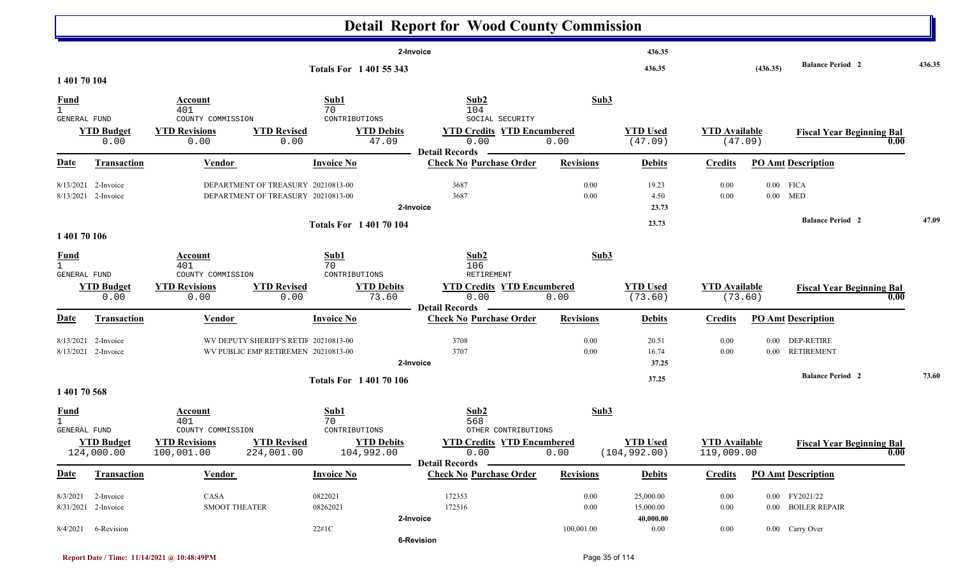|                                                    |                                              |                                                                                  |                                                                              |                                                                | <b>Detail Report for Wood County Commission</b>                                 |                  |                                     |                                    |          |                                          |        |
|----------------------------------------------------|----------------------------------------------|----------------------------------------------------------------------------------|------------------------------------------------------------------------------|----------------------------------------------------------------|---------------------------------------------------------------------------------|------------------|-------------------------------------|------------------------------------|----------|------------------------------------------|--------|
|                                                    |                                              |                                                                                  |                                                                              |                                                                | 2-Invoice                                                                       |                  | 436.35                              |                                    |          | <b>Balance Period 2</b>                  | 436.35 |
| 1 401 70 104                                       |                                              |                                                                                  |                                                                              | Totals For 1 401 55 343                                        |                                                                                 |                  | 436.35                              |                                    | (436.35) |                                          |        |
| <b>Fund</b><br>$\mathbf{1}$<br><b>GENERAL FUND</b> | <b>YTD Budget</b><br>0.00                    | Account<br>401<br>COUNTY COMMISSION<br><b>YTD Revisions</b><br>0.00              | <b>YTD Revised</b><br>0.00                                                   | Sub1<br>70<br>CONTRIBUTIONS<br><b>YTD Debits</b><br>47.09      | Sub2<br>104<br>SOCIAL SECURITY<br><b>YTD Credits YTD Encumbered</b><br>0.00     | Sub3<br>0.00     | <b>YTD Used</b><br>(47.09)          | <b>YTD Available</b>               | (47.09)  | <b>Fiscal Year Beginning Bal</b><br>0.00 |        |
| <u>Date</u>                                        | <b>Transaction</b>                           | <b>Vendor</b>                                                                    |                                                                              | <b>Invoice No</b>                                              | <b>Detail Records</b><br><b>Check No Purchase Order</b>                         | <b>Revisions</b> | <b>Debits</b>                       | <b>Credits</b>                     |          | <b>PO Amt Description</b>                |        |
| 8/13/2021                                          | 2-Invoice<br>8/13/2021 2-Invoice             |                                                                                  | DEPARTMENT OF TREASURY 20210813-00<br>DEPARTMENT OF TREASURY 20210813-00     |                                                                | 3687<br>3687<br>2-Invoice                                                       | 0.00<br>0.00     | 19.23<br>4.50<br>23.73              | 0.00<br>0.00                       |          | $0.00$ FICA<br>$0.00$ MED                |        |
| 1 401 70 106                                       |                                              |                                                                                  |                                                                              | <b>Totals For 140170104</b>                                    |                                                                                 |                  | 23.73                               |                                    |          | <b>Balance Period 2</b>                  | 47.09  |
| <b>Fund</b><br>$\mathbf{1}$<br><b>GENERAL FUND</b> | <b>YTD Budget</b>                            | Account<br>401<br>COUNTY COMMISSION<br><b>YTD Revisions</b>                      | <b>YTD Revised</b>                                                           | Sub1<br>70<br>CONTRIBUTIONS<br><b>YTD Debits</b>               | Sub2<br>106<br>RETIREMENT<br><b>YTD Credits YTD Encumbered</b>                  | Sub3             | <b>YTD Used</b>                     | <b>YTD Available</b>               |          | <b>Fiscal Year Beginning Bal</b>         |        |
|                                                    | 0.00                                         | 0.00                                                                             | 0.00                                                                         | 73.60                                                          | 0.00<br><b>Detail Records</b>                                                   | 0.00             | (73.60)                             | (73.60)                            |          | 0.00                                     |        |
| <u>Date</u>                                        | <b>Transaction</b>                           | <b>Vendor</b>                                                                    |                                                                              | <b>Invoice No</b>                                              | <b>Check No Purchase Order</b>                                                  | <b>Revisions</b> | <b>Debits</b>                       | <b>Credits</b>                     |          | <b>PO Amt Description</b>                |        |
|                                                    | $8/13/2021$ 2-Invoice<br>8/13/2021 2-Invoice |                                                                                  | WV DEPUTY SHERIFF'S RETII 20210813-00<br>WV PUBLIC EMP RETIREMEN 20210813-00 |                                                                | 3708<br>3707<br>2-Invoice                                                       | 0.00<br>0.00     | 20.51<br>16.74<br>37.25             | 0.00<br>0.00                       | $0.00\,$ | <b>DEP-RETIRE</b><br>0.00 RETIREMENT     |        |
| 1 401 70 568                                       |                                              |                                                                                  |                                                                              | <b>Totals For 140170106</b>                                    |                                                                                 |                  | 37.25                               |                                    |          | <b>Balance Period 2</b>                  | 73.60  |
| <b>Fund</b><br><b>GENERAL FUND</b>                 | <b>YTD Budget</b><br>124,000.00              | <b>Account</b><br>401<br>COUNTY COMMISSION<br><b>YTD Revisions</b><br>100,001.00 | <b>YTD Revised</b><br>224,001.00                                             | Sub1<br>70<br>CONTRIBUTIONS<br><b>YTD Debits</b><br>104,992.00 | Sub2<br>568<br>OTHER CONTRIBUTIONS<br><b>YTD Credits YTD Encumbered</b><br>0.00 | Sub3<br>0.00     | <b>YTD Used</b><br>(104, 992.00)    | <b>YTD Available</b><br>119,009.00 |          | <b>Fiscal Year Beginning Bal</b><br>0.00 |        |
| <u>Date</u>                                        | <b>Transaction</b>                           | <b>Vendor</b>                                                                    |                                                                              | <b>Invoice No</b>                                              | <b>Detail Records</b><br><b>Check No Purchase Order</b>                         | <b>Revisions</b> | <b>Debits</b>                       | <b>Credits</b>                     |          | <b>PO Amt Description</b>                |        |
| 8/3/2021                                           | 2-Invoice<br>8/31/2021 2-Invoice             | CASA<br><b>SMOOT THEATER</b>                                                     |                                                                              | 0822021<br>08262021                                            | 172353<br>172516<br>2-Invoice                                                   | 0.00<br>0.00     | 25,000.00<br>15,000.00<br>40,000.00 | 0.00<br>0.00                       |          | 0.00 FY2021/22<br>0.00 BOILER REPAIR     |        |
|                                                    | 8/4/2021 6-Revision                          |                                                                                  |                                                                              | $22\#1\mathrm{C}$                                              | 6-Revision                                                                      | 100,001.00       | $0.00\,$                            | 0.00                               |          | 0.00 Carry Over                          |        |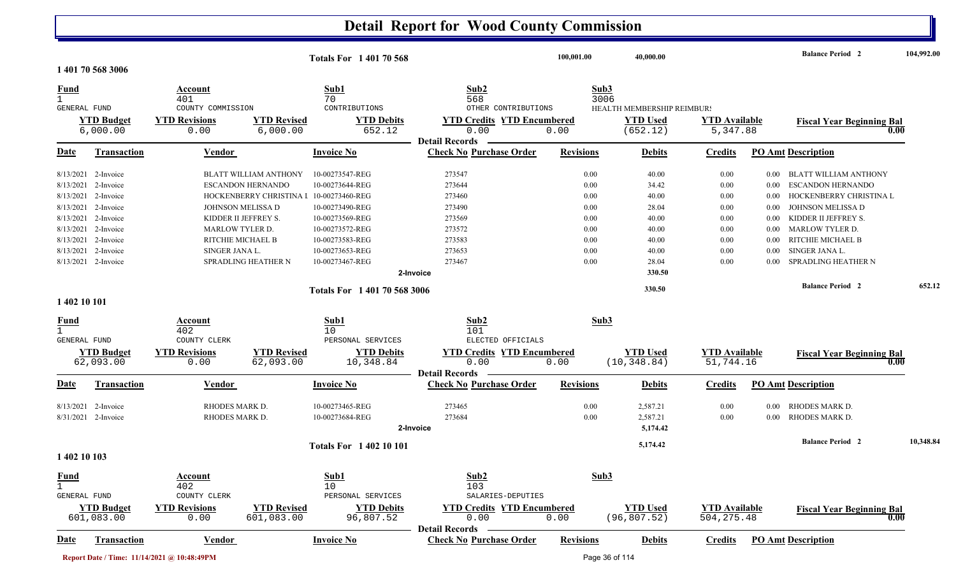|                                    |                                                 |                                              |                                                   | <b>Totals For 140170568</b>                           |                                                                    | 100,001.00           | 40,000.00                                 |                                     |                      | <b>Balance Period 2</b>                                           | 104,992.00 |
|------------------------------------|-------------------------------------------------|----------------------------------------------|---------------------------------------------------|-------------------------------------------------------|--------------------------------------------------------------------|----------------------|-------------------------------------------|-------------------------------------|----------------------|-------------------------------------------------------------------|------------|
|                                    | 1 401 70 568 3006                               |                                              |                                                   |                                                       |                                                                    |                      |                                           |                                     |                      |                                                                   |            |
| <b>Fund</b><br>GENERAL FUND        |                                                 | Account<br>401<br>COUNTY COMMISSION          |                                                   | Sub1<br>70<br>CONTRIBUTIONS                           | Sub2<br>568<br>OTHER CONTRIBUTIONS                                 | Sub3                 | 3006<br><b>HEALTH MEMBERSHIP REIMBURS</b> |                                     |                      |                                                                   |            |
| <b>YTD Budget</b><br>6,000.00      |                                                 | <b>YTD Revisions</b><br>0.00                 | <b>YTD Revised</b><br>6,000.00                    | <b>YTD Debits</b><br>652.12                           | <b>YTD Credits YTD Encumbered</b><br>0.00<br><b>Detail Records</b> | 0.00                 | <b>YTD Used</b><br>(652.12)               | <b>YTD Available</b><br>5,347.88    |                      | <b>Fiscal Year Beginning Bal</b><br>0.00                          |            |
| <u>Date</u>                        | <b>Transaction</b>                              | Vendor                                       |                                                   | <b>Invoice No</b>                                     | <b>Check No Purchase Order</b>                                     | <b>Revisions</b>     | <b>Debits</b>                             | <b>Credits</b>                      |                      | <b>PO Amt Description</b>                                         |            |
|                                    | 8/13/2021 2-Invoice<br>8/13/2021 2-Invoice      |                                              | <b>BLATT WILLIAM ANTHONY</b><br>ESCANDON HERNANDO | 10-00273547-REG<br>10-00273644-REG                    | 273547<br>273644                                                   | 0.00<br>0.00         | 40.00<br>34.42                            | 0.00<br>0.00                        | $0.00\,$             | 0.00 BLATT WILLIAM ANTHONY<br><b>ESCANDON HERNANDO</b>            |            |
| 8/13/2021<br>8/13/2021             | 2-Invoice<br>2-Invoice                          |                                              | HOCKENBERRY CHRISTINA I<br>JOHNSON MELISSA D      | 10-00273460-REG<br>10-00273490-REG                    | 273460<br>273490                                                   | 0.00<br>0.00         | 40.00<br>28.04                            | 0.00<br>0.00                        | $0.00\,$<br>0.00     | HOCKENBERRY CHRISTINA L<br>JOHNSON MELISSA D                      |            |
| 8/13/2021                          | 8/13/2021 2-Invoice<br>2-Invoice                | <b>MARLOW TYLER D.</b>                       | KIDDER II JEFFREY S.                              | 10-00273569-REG<br>10-00273572-REG                    | 273569<br>273572                                                   | 0.00<br>0.00         | 40.00<br>40.00                            | 0.00<br>0.00                        | 0.00<br>0.00         | KIDDER II JEFFREY S.<br><b>MARLOW TYLER D.</b>                    |            |
| 8/13/2021<br>8/13/2021             | 2-Invoice<br>2-Invoice<br>8/13/2021 2-Invoice   | SINGER JANA L.                               | RITCHIE MICHAEL B<br><b>SPRADLING HEATHER N</b>   | 10-00273583-REG<br>10-00273653-REG<br>10-00273467-REG | 273583<br>273653<br>273467                                         | 0.00<br>0.00<br>0.00 | 40.00<br>40.00<br>28.04                   | 0.00<br>0.00<br>0.00                | 0.00<br>0.00<br>0.00 | RITCHIE MICHAEL B<br>SINGER JANA L.<br><b>SPRADLING HEATHER N</b> |            |
|                                    |                                                 | Totals For 1 401 70 568 3006                 |                                                   |                                                       | 2-Invoice                                                          |                      | 330.50<br>330.50                          |                                     |                      | <b>Balance Period 2</b>                                           | 652.12     |
| 1 402 10 101                       |                                                 |                                              |                                                   |                                                       |                                                                    |                      |                                           |                                     |                      |                                                                   |            |
| <b>Fund</b><br><b>GENERAL FUND</b> |                                                 | Account<br>402<br>COUNTY CLERK               |                                                   | Sub1<br>10<br>PERSONAL SERVICES                       | Sub2<br>101<br>ELECTED OFFICIALS                                   | Sub3                 |                                           |                                     |                      |                                                                   |            |
|                                    | <b>YTD Budget</b><br>62,093.00                  | <b>YTD Revisions</b><br>0.00                 | <b>YTD Revised</b><br>62,093.00                   | <b>YTD Debits</b><br>10,348.84                        | <b>YTD Credits YTD Encumbered</b><br>0.00<br><b>Detail Records</b> | 0.00                 | <b>YTD Used</b><br>(10, 348.84)           | <b>YTD Available</b><br>51,744.16   |                      | <b>Fiscal Year Beginning Bal</b><br>0.00                          |            |
| <u>Date</u>                        | <b>Transaction</b>                              | <b>Vendor</b>                                |                                                   | <b>Invoice No</b>                                     | <b>Check No Purchase Order</b>                                     | <b>Revisions</b>     | <b>Debits</b>                             | <b>Credits</b>                      |                      | <b>PO Amt Description</b>                                         |            |
| 8/13/2021                          | 2-Invoice<br>8/31/2021 2-Invoice                | RHODES MARK D.<br>RHODES MARK D.             |                                                   | 10-00273465-REG<br>10-00273684-REG                    | 273465<br>273684<br>2-Invoice                                      | 0.00<br>0.00         | 2,587.21<br>2,587.21<br>5,174.42          | 0.00<br>0.00                        | 0.00<br>0.00         | RHODES MARK D.<br>RHODES MARK D.                                  |            |
| 1 402 10 103                       |                                                 |                                              |                                                   | <b>Totals For 140210101</b>                           |                                                                    |                      | 5,174.42                                  |                                     |                      | <b>Balance Period 2</b>                                           | 10,348.84  |
| <b>Fund</b>                        |                                                 | Account<br>402                               |                                                   | Sub1<br>10                                            | Sub2<br>103<br>SALARIES-DEPUTIES                                   | Sub3                 |                                           |                                     |                      |                                                                   |            |
|                                    | GENERAL FUND<br><b>YTD Budget</b><br>601,083.00 | COUNTY CLERK<br><b>YTD Revisions</b><br>0.00 | <b>YTD</b> Revised<br>601,083.00                  | PERSONAL SERVICES<br><b>YTD Debits</b><br>96,807.52   | <b>YTD Credits YTD Encumbered</b><br>0.00<br><b>Detail Records</b> | 0.00                 | <b>YTD Used</b><br>(96, 807.52)           | <b>YTD Available</b><br>504, 275.48 |                      | <b>Fiscal Year Beginning Bal</b><br>0.00                          |            |
| <b>Date</b>                        | <b>Transaction</b>                              | <b>Vendor</b>                                |                                                   | <b>Invoice No</b>                                     | <b>Check No Purchase Order</b>                                     | <b>Revisions</b>     | <b>Debits</b>                             | <b>Credits</b>                      |                      | <b>PO Amt Description</b>                                         |            |
|                                    | Report Date / Time: 11/14/2021 @ 10:48:49PM     |                                              |                                                   |                                                       |                                                                    |                      |                                           |                                     |                      |                                                                   |            |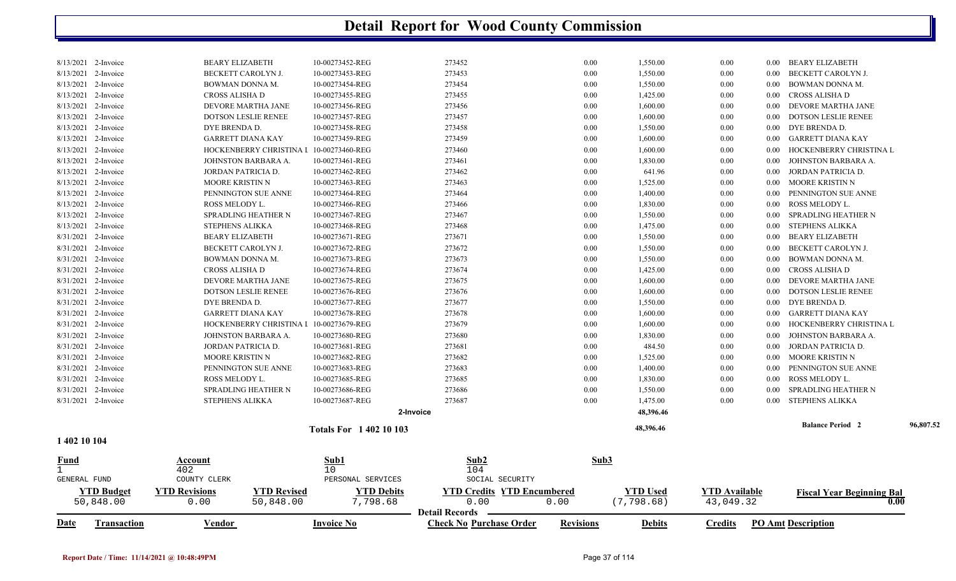| Fund<br><b>GENERAL FUND</b> | <b>Account</b><br>402<br>COUNTY CLERK | Sub1<br>10<br>PERSONAL SERVICES | Sub2<br>104<br>SOCIAL SECURITY | Sub3     |           |          |          |                            |           |
|-----------------------------|---------------------------------------|---------------------------------|--------------------------------|----------|-----------|----------|----------|----------------------------|-----------|
| 1 402 10 104                |                                       | <b>Totals For 1 402 10 103</b>  |                                |          | 48,396.46 |          |          | <b>Balance Period 2</b>    | 96,807.52 |
|                             |                                       |                                 | 2-Invoice                      |          | 48,396.46 |          |          |                            |           |
| 8/31/2021 2-Invoice         | <b>STEPHENS ALIKKA</b>                | 10-00273687-REG                 | 273687                         | 0.00     | 1,475.00  | 0.00     | $0.00\,$ | STEPHENS ALIKKA            |           |
| 8/31/2021 2-Invoice         | SPRADLING HEATHER N                   | 10-00273686-REG                 | 273686                         | 0.00     | 1,550.00  | 0.00     | $0.00\,$ | SPRADLING HEATHER N        |           |
| 8/31/2021 2-Invoice         | ROSS MELODY L.                        | 10-00273685-REG                 | 273685                         | 0.00     | 1,830.00  | 0.00     | $0.00\,$ | ROSS MELODY L.             |           |
| 8/31/2021 2-Invoice         | PENNINGTON SUE ANNE                   | 10-00273683-REG                 | 273683                         | 0.00     | 1,400.00  | 0.00     | 0.00     | PENNINGTON SUE ANNE        |           |
| 8/31/2021 2-Invoice         | <b>MOORE KRISTIN N</b>                | 10-00273682-REG                 | 273682                         | 0.00     | 1,525.00  | $0.00\,$ | $0.00\,$ | MOORE KRISTIN N            |           |
| 8/31/2021 2-Invoice         | JORDAN PATRICIA D.                    | 10-00273681-REG                 | 273681                         | 0.00     | 484.50    | 0.00     | $0.00\,$ | JORDAN PATRICIA D.         |           |
| 8/31/2021 2-Invoice         | JOHNSTON BARBARA A.                   | 10-00273680-REG                 | 273680                         | 0.00     | 1,830.00  | 0.00     | 0.00     | JOHNSTON BARBARA A.        |           |
| 8/31/2021 2-Invoice         | HOCKENBERRY CHRISTINA                 | 10-00273679-REG                 | 273679                         | 0.00     | 1,600.00  | 0.00     | $0.00\,$ | HOCKENBERRY CHRISTINA L    |           |
| 8/31/2021 2-Invoice         | <b>GARRETT DIANA KAY</b>              | 10-00273678-REG                 | 273678                         | 0.00     | 1,600.00  | 0.00     | $0.00\,$ | GARRETT DIANA KAY          |           |
| 8/31/2021 2-Invoice         | DYE BRENDA D.                         | 10-00273677-REG                 | 273677                         | 0.00     | 1,550.00  | 0.00     | $0.00\,$ | DYE BRENDA D.              |           |
| 8/31/2021 2-Invoice         | <b>DOTSON LESLIE RENEE</b>            | 10-00273676-REG                 | 273676                         | $0.00\,$ | 1,600.00  | 0.00     | $0.00\,$ | <b>DOTSON LESLIE RENEE</b> |           |
| 8/31/2021 2-Invoice         | DEVORE MARTHA JANE                    | 10-00273675-REG                 | 273675                         | 0.00     | 1,600.00  | 0.00     | $0.00\,$ | DEVORE MARTHA JANE         |           |
| 8/31/2021 2-Invoice         | CROSS ALISHA D                        | 10-00273674-REG                 | 273674                         | 0.00     | 1,425.00  | $0.00\,$ | $0.00\,$ | CROSS ALISHA D             |           |
| 8/31/2021 2-Invoice         | BOWMAN DONNA M.                       | 10-00273673-REG                 | 273673                         | 0.00     | 1,550.00  | 0.00     | $0.00\,$ | BOWMAN DONNA M.            |           |
| 8/31/2021 2-Invoice         | BECKETT CAROLYN J.                    | 10-00273672-REG                 | 273672                         | 0.00     | 1,550.00  | 0.00     | $0.00\,$ | BECKETT CAROLYN J.         |           |
| 8/31/2021 2-Invoice         | <b>BEARY ELIZABETH</b>                | 10-00273671-REG                 | 273671                         | 0.00     | 1,550.00  | 0.00     | $0.00\,$ | <b>BEARY ELIZABETH</b>     |           |
| 8/13/2021 2-Invoice         | <b>STEPHENS ALIKKA</b>                | 10-00273468-REG                 | 273468                         | 0.00     | 1,475.00  | 0.00     | $0.00\,$ | STEPHENS ALIKKA            |           |
| 8/13/2021 2-Invoice         | SPRADLING HEATHER N                   | 10-00273467-REG                 | 273467                         | 0.00     | 1,550.00  | 0.00     | $0.00\,$ | SPRADLING HEATHER N        |           |
| 8/13/2021 2-Invoice         | ROSS MELODY L.                        | 10-00273466-REG                 | 273466                         | 0.00     | 1,830.00  | 0.00     | $0.00\,$ | ROSS MELODY L.             |           |
| 8/13/2021 2-Invoice         | PENNINGTON SUE ANNE                   | 10-00273464-REG                 | 273464                         | 0.00     | 1,400.00  | 0.00     | 0.00     | PENNINGTON SUE ANNE        |           |
| 8/13/2021 2-Invoice         | <b>MOORE KRISTIN N</b>                | 10-00273463-REG                 | 273463                         | 0.00     | 1,525.00  | $0.00\,$ | $0.00\,$ | MOORE KRISTIN N            |           |
| 8/13/2021 2-Invoice         | JORDAN PATRICIA D.                    | 10-00273462-REG                 | 273462                         | 0.00     | 641.96    | 0.00     | $0.00\,$ | JORDAN PATRICIA D.         |           |
| 8/13/2021 2-Invoice         | JOHNSTON BARBARA A.                   | 10-00273461-REG                 | 273461                         | 0.00     | 1,830.00  | 0.00     | $0.00\,$ | JOHNSTON BARBARA A.        |           |
| 8/13/2021 2-Invoice         | <b>HOCKENBERRY CHRISTINA I</b>        | 10-00273460-REG                 | 273460                         | 0.00     | 1,600.00  | 0.00     | 0.00     | HOCKENBERRY CHRISTINA L    |           |
| 8/13/2021 2-Invoice         | <b>GARRETT DIANA KAY</b>              | 10-00273459-REG                 | 273459                         | 0.00     | 1,600.00  | 0.00     | $0.00\,$ | GARRETT DIANA KAY          |           |
| 8/13/2021 2-Invoice         | DYE BRENDA D.                         | 10-00273458-REG                 | 273458                         | 0.00     | 1,550.00  | 0.00     | $0.00\,$ | DYE BRENDA D.              |           |
| 8/13/2021 2-Invoice         | <b>DOTSON LESLIE RENEE</b>            | 10-00273457-REG                 | 273457                         | 0.00     | 1,600.00  | 0.00     | $0.00\,$ | <b>DOTSON LESLIE RENEE</b> |           |
| 8/13/2021 2-Invoice         | DEVORE MARTHA JANE                    | 10-00273456-REG                 | 273456                         | 0.00     | 1,600.00  | 0.00     | $0.00\,$ | DEVORE MARTHA JANE         |           |
| 8/13/2021 2-Invoice         | CROSS ALISHA D                        | 10-00273455-REG                 | 273455                         | 0.00     | 1,425.00  | $0.00\,$ | $0.00\,$ | CROSS ALISHA D             |           |
| 8/13/2021 2-Invoice         | BOWMAN DONNA M.                       | 10-00273454-REG                 | 273454                         | 0.00     | 1,550.00  | 0.00     | $0.00\,$ | BOWMAN DONNA M.            |           |
| 8/13/2021 2-Invoice         | BECKETT CAROLYN J.                    | 10-00273453-REG                 | 273453                         | $0.00\,$ | 1,550.00  | 0.00     | $0.00\,$ | BECKETT CAROLYN J.         |           |
| 8/13/2021 2-Invoice         | <b>BEARY ELIZABETH</b>                | 10-00273452-REG                 | 273452                         | $0.00\,$ | 1,550.00  | 0.00     |          | 0.00 BEARY ELIZABETH       |           |

|      | TD Budget         | TTD Revisions | <b>VTD Revised</b> | <b>VTD Debits</b> | YTD Cr<br>Credits<br><b>TD Encumbered</b>       |                  | `′TD Used     | VTD Available    | <b>Fiscal Year Beginning Bal</b> |
|------|-------------------|---------------|--------------------|-------------------|-------------------------------------------------|------------------|---------------|------------------|----------------------------------|
|      | 50,848.00         |               | 848.00<br>- 6      | 798.6c            | 00.ر                                            | 0.00             | . 798<br>.68  | 04 Q             | $\boldsymbol{0.00}$              |
|      |                   |               |                    |                   | <b>Detail Records</b>                           |                  |               |                  |                                  |
| Date | <b>ransaction</b> | <u>/endor</u> |                    | Invoice No        | $^\circ$ heck $_\odot$<br>s No Purchase Order ا | <b>Revisions</b> | <b>Debits</b> | $C$ redits<br>PΩ | <b>Amt Description</b>           |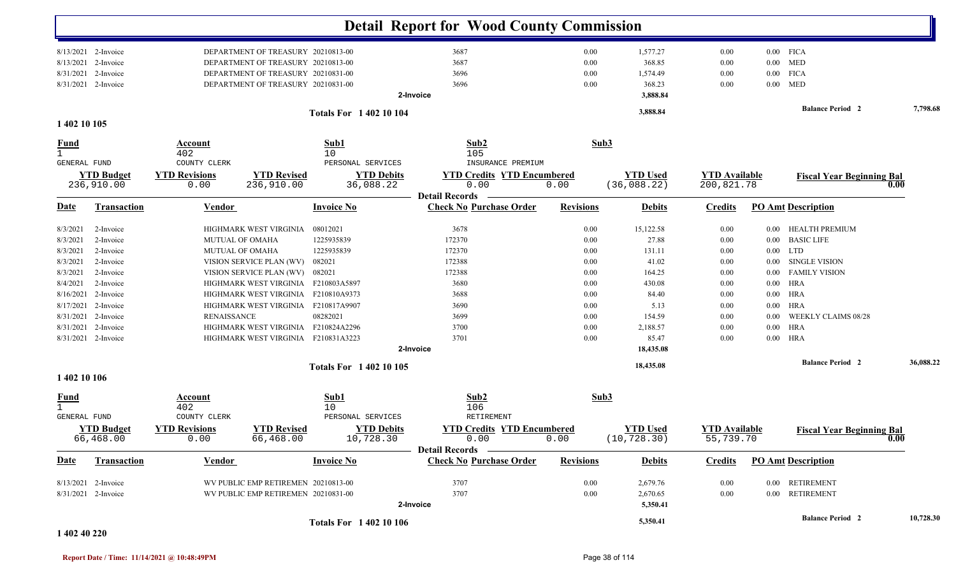|                                  |                                 |                                              |                                     |                                                     | <b>Detail Report for Wood County Commission</b>                |                  |                                 |                                    |          |                                  |           |
|----------------------------------|---------------------------------|----------------------------------------------|-------------------------------------|-----------------------------------------------------|----------------------------------------------------------------|------------------|---------------------------------|------------------------------------|----------|----------------------------------|-----------|
|                                  | 8/13/2021 2-Invoice             |                                              | DEPARTMENT OF TREASURY 20210813-00  |                                                     | 3687                                                           | 0.00             | 1,577.27                        | 0.00                               |          | $0.00$ FICA                      |           |
| 8/13/2021                        | 2-Invoice                       |                                              | DEPARTMENT OF TREASURY 20210813-00  |                                                     | 3687                                                           | 0.00             | 368.85                          | 0.00                               | $0.00\,$ | <b>MED</b>                       |           |
| 8/31/2021                        | 2-Invoice                       |                                              | DEPARTMENT OF TREASURY 20210831-00  |                                                     | 3696                                                           | 0.00             | 1,574.49                        | 0.00                               | $0.00\,$ | <b>FICA</b>                      |           |
|                                  | 8/31/2021 2-Invoice             |                                              | DEPARTMENT OF TREASURY 20210831-00  |                                                     | 3696                                                           | 0.00             | 368.23                          | 0.00                               | $0.00\,$ | <b>MED</b>                       |           |
|                                  |                                 |                                              |                                     |                                                     | 2-Invoice                                                      |                  | 3,888.84                        |                                    |          |                                  |           |
| 1 402 10 105                     |                                 |                                              |                                     | <b>Totals For 140210104</b>                         |                                                                |                  | 3,888.84                        |                                    |          | <b>Balance Period 2</b>          | 7,798.68  |
| <u>Fund</u><br>$\mathbf{1}$      |                                 | Account<br>402                               |                                     | Sub1<br>10                                          | Sub2<br>105                                                    | Sub3             |                                 |                                    |          |                                  |           |
| GENERAL FUND                     | <b>YTD Budget</b><br>236,910.00 | COUNTY CLERK<br><b>YTD Revisions</b><br>0.00 | <b>YTD Revised</b><br>236,910.00    | PERSONAL SERVICES<br><b>YTD Debits</b><br>36,088.22 | INSURANCE PREMIUM<br><b>YTD Credits YTD Encumbered</b><br>0.00 | 0.00             | <b>YTD Used</b><br>(36,088.22)  | <b>YTD Available</b><br>200,821.78 |          | <b>Fiscal Year Beginning Bal</b> | 0.00      |
| <b>Date</b>                      | <b>Transaction</b>              | Vendor                                       |                                     | <b>Invoice No</b>                                   | <b>Detail Records</b><br><b>Check No Purchase Order</b>        | <b>Revisions</b> | <b>Debits</b>                   | <b>Credits</b>                     |          | <b>PO Amt Description</b>        |           |
|                                  |                                 |                                              |                                     |                                                     |                                                                |                  |                                 |                                    |          |                                  |           |
| 8/3/2021                         | 2-Invoice                       |                                              | HIGHMARK WEST VIRGINIA              | 08012021                                            | 3678                                                           | 0.00             | 15,122.58                       | 0.00                               | $0.00\,$ | <b>HEALTH PREMIUM</b>            |           |
| 8/3/2021                         | 2-Invoice                       | <b>MUTUAL OF OMAHA</b>                       |                                     | 1225935839<br>1225935839                            | 172370<br>172370                                               | 0.00<br>0.00     | 27.88                           | 0.00                               | $0.00\,$ | <b>BASIC LIFE</b><br>$0.00$ LTD  |           |
| 8/3/2021<br>8/3/2021             | 2-Invoice<br>2-Invoice          | <b>MUTUAL OF OMAHA</b>                       | VISION SERVICE PLAN (WV)            | 082021                                              | 172388                                                         | 0.00             | 131.11<br>41.02                 | 0.00<br>0.00                       | 0.00     | <b>SINGLE VISION</b>             |           |
| 8/3/2021                         | 2-Invoice                       |                                              | VISION SERVICE PLAN (WV)            | 082021                                              | 172388                                                         | 0.00             | 164.25                          | 0.00                               | 0.00     | <b>FAMILY VISION</b>             |           |
| 8/4/2021                         | 2-Invoice                       |                                              | HIGHMARK WEST VIRGINIA F210803A5897 |                                                     | 3680                                                           | 0.00             | 430.08                          | 0.00                               | 0.00     | HRA                              |           |
| 8/16/2021                        | 2-Invoice                       |                                              | HIGHMARK WEST VIRGINIA F210810A9373 |                                                     | 3688                                                           | 0.00             | 84.40                           | 0.00                               | 0.00     | HRA                              |           |
|                                  | 8/17/2021 2-Invoice             |                                              | HIGHMARK WEST VIRGINIA F210817A9907 |                                                     | 3690                                                           | 0.00             | 5.13                            | 0.00                               | 0.00     | HRA                              |           |
| 8/31/2021                        | 2-Invoice                       | <b>RENAISSANCE</b>                           |                                     | 08282021                                            | 3699                                                           | 0.00             | 154.59                          | 0.00                               | 0.00     | WEEKLY CLAIMS 08/28              |           |
|                                  | 8/31/2021 2-Invoice             |                                              | HIGHMARK WEST VIRGINIA              | F210824A2296                                        | 3700                                                           | 0.00             | 2,188.57                        | 0.00                               | $0.00\,$ | <b>HRA</b>                       |           |
|                                  | 8/31/2021 2-Invoice             |                                              | HIGHMARK WEST VIRGINIA F210831A3223 |                                                     | 3701                                                           | 0.00             | 85.47                           | 0.00                               |          | $0.00$ HRA                       |           |
|                                  |                                 |                                              |                                     |                                                     | 2-Invoice                                                      |                  | 18,435.08                       |                                    |          |                                  |           |
|                                  |                                 |                                              |                                     | <b>Totals For 140210105</b>                         |                                                                |                  | 18,435.08                       |                                    |          | <b>Balance Period 2</b>          | 36,088.22 |
| 1 402 10 106                     |                                 |                                              |                                     |                                                     |                                                                |                  |                                 |                                    |          |                                  |           |
| <u>Fund</u><br>1<br>GENERAL FUND |                                 | <b>Account</b><br>402<br>COUNTY CLERK        |                                     | Sub1<br>10<br>PERSONAL SERVICES                     | Sub2<br>106<br>RETIREMENT                                      | Sub3             |                                 |                                    |          |                                  |           |
|                                  | <b>YTD Budget</b><br>66,468.00  | <b>YTD Revisions</b><br>0.00                 | <b>YTD Revised</b><br>66,468.00     | <b>YTD Debits</b><br>10,728.30                      | <b>YTD Credits YTD Encumbered</b><br>0.00                      | 0.00             | <b>YTD Used</b><br>(10, 728.30) | <b>YTD</b> Available<br>55,739.70  |          | <b>Fiscal Year Beginning Bal</b> | v.vv      |
| <u>Date</u>                      | Transaction                     | Vendor                                       |                                     | <b>Invoice No</b>                                   | Detail Records -<br><b>Check No Purchase Order</b>             | <b>Revisions</b> | <b>Debits</b>                   | <b>Credits</b>                     |          | <b>PO Amt Description</b>        |           |
|                                  | 8/13/2021 2-Invoice             |                                              | WV PUBLIC EMP RETIREMEN 20210813-00 |                                                     | 3707                                                           | $0.00\,$         | 2,679.76                        | 0.00                               |          | 0.00 RETIREMENT                  |           |
|                                  | 8/31/2021 2-Invoice             |                                              | WV PUBLIC EMP RETIREMEN 20210831-00 |                                                     | 3707                                                           | $0.00\,$         | 2,670.65                        | 0.00                               |          | 0.00 RETIREMENT                  |           |
|                                  |                                 |                                              |                                     |                                                     | 2-Invoice                                                      |                  | 5,350.41                        |                                    |          |                                  |           |
|                                  |                                 |                                              |                                     | <b>Totals For 140210106</b>                         |                                                                |                  | 5,350.41                        |                                    |          | <b>Balance Period</b> 2          | 10,728.30 |

#### **1 402 40 220**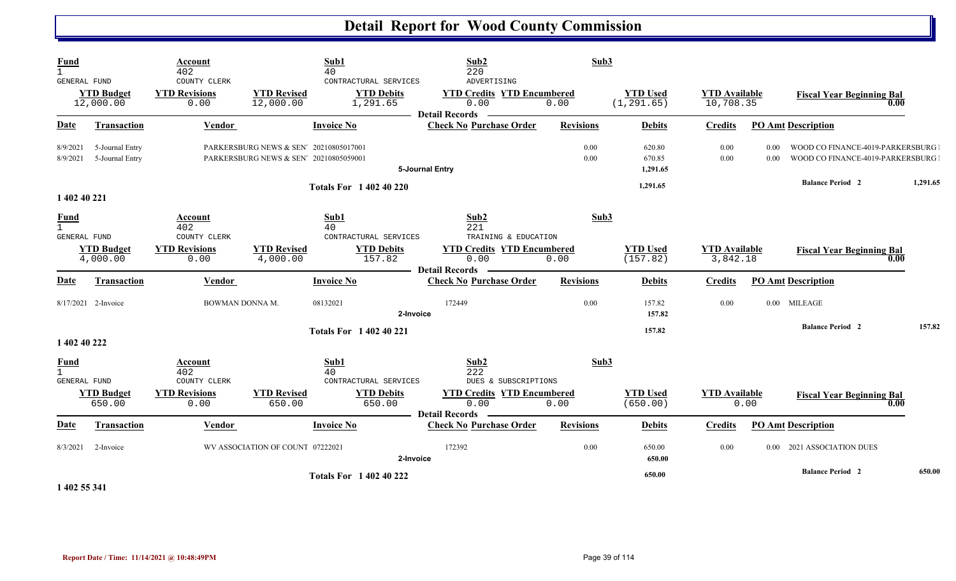| <b>Fund</b><br>$\mathbf{1}$<br>GENERAL FUND        | <b>YTD Budget</b>                  | Account<br>402<br>COUNTY CLERK<br><b>YTD Revisions</b> | <b>YTD Revised</b>                                                               | Sub1<br>40<br>CONTRACTURAL SERVICES<br><b>YTD Debits</b> | Sub <sub>2</sub><br>220<br>ADVERTISING<br><b>YTD Credits YTD Encumbered</b> | Sub3             | <b>YTD Used</b>              | <b>YTD</b> Available |                   |                                                                      |          |
|----------------------------------------------------|------------------------------------|--------------------------------------------------------|----------------------------------------------------------------------------------|----------------------------------------------------------|-----------------------------------------------------------------------------|------------------|------------------------------|----------------------|-------------------|----------------------------------------------------------------------|----------|
|                                                    | 12,000.00                          | 0.00                                                   | 12,000.00                                                                        | 1,291.65                                                 | 0.00                                                                        | 0.00             | (1, 291.65)                  | 10,708.35            |                   | <b>Fiscal Year Beginning Bal</b><br>0.00                             |          |
| Date                                               | <b>Transaction</b>                 | Vendor                                                 |                                                                                  | <b>Invoice No</b>                                        | <b>Detail Records</b><br><b>Check No Purchase Order</b>                     | <b>Revisions</b> | <b>Debits</b>                | <b>Credits</b>       |                   | <b>PO Amt Description</b>                                            |          |
| 8/9/2021<br>8/9/2021                               | 5-Journal Entry<br>5-Journal Entry |                                                        | PARKERSBURG NEWS & SEN' 20210805017001<br>PARKERSBURG NEWS & SEN' 20210805059001 |                                                          | 5-Journal Entry                                                             | 0.00<br>0.00     | 620.80<br>670.85<br>1,291.65 | 0.00<br>0.00         | 0.00<br>0.00      | WOOD CO FINANCE-4019-PARKERSBURG<br>WOOD CO FINANCE-4019-PARKERSBURG |          |
| 1 402 40 221                                       |                                    |                                                        |                                                                                  | <b>Totals For 1 402 40 220</b>                           |                                                                             |                  | 1,291.65                     |                      |                   | <b>Balance Period 2</b>                                              | 1.291.65 |
| <b>Fund</b><br>$\mathbf{1}$<br>GENERAL FUND        | <b>YTD Budget</b>                  | Account<br>402<br>COUNTY CLERK<br><b>YTD Revisions</b> | <b>YTD Revised</b>                                                               | Sub1<br>40<br>CONTRACTURAL SERVICES<br><b>YTD Debits</b> | Sub2<br>221<br>TRAINING & EDUCATION<br><b>YTD Credits YTD Encumbered</b>    | Sub3             | <b>YTD Used</b>              | <b>YTD</b> Available |                   | <b>Fiscal Year Beginning Bal</b>                                     |          |
|                                                    | 4,000.00                           | 0.00                                                   | 4,000.00                                                                         | 157.82                                                   | 0.00<br><b>Detail Records</b>                                               | 0.00             | (157.82)                     | 3,842.18             |                   | 0.00                                                                 |          |
| Date                                               | Transaction                        | Vendor                                                 |                                                                                  | <b>Invoice No</b>                                        | <b>Check No Purchase Order</b>                                              | <b>Revisions</b> | <b>Debits</b>                | <b>Credits</b>       |                   | <b>PO Amt Description</b>                                            |          |
|                                                    | 8/17/2021 2-Invoice                | BOWMAN DONNA M.                                        |                                                                                  | 08132021<br>2-Invoice                                    | 172449                                                                      | 0.00             | 157.82<br>157.82             | 0.00                 |                   | 0.00 MILEAGE                                                         |          |
| 1 402 40 222                                       |                                    |                                                        |                                                                                  | <b>Totals For 1 402 40 221</b>                           |                                                                             |                  | 157.82                       |                      |                   | <b>Balance Period 2</b>                                              | 157.82   |
| <b>Fund</b><br>$\mathbf{1}$<br><b>GENERAL FUND</b> |                                    | Account<br>402<br>COUNTY CLERK                         |                                                                                  | Sub1<br>40<br>CONTRACTURAL SERVICES                      | Sub2<br>222<br>DUES & SUBSCRIPTIONS                                         | Sub3             |                              |                      |                   |                                                                      |          |
|                                                    | <b>YTD Budget</b><br>650.00        | <b>YTD Revisions</b><br>0.00                           | <b>YTD Revised</b><br>650.00                                                     | <b>YTD Debits</b><br>650.00                              | <b>YTD Credits YTD Encumbered</b><br>0.00<br><b>Detail Records</b>          | 0.00             | <b>YTD Used</b><br>(650.00)  | <b>YTD</b> Available | 0.00              | <b>Fiscal Year Beginning Bal</b><br>0.00                             |          |
| Date                                               | <b>Transaction</b>                 | Vendor                                                 |                                                                                  | <b>Invoice No</b>                                        | <b>Check No Purchase Order</b>                                              | <b>Revisions</b> | <b>Debits</b>                | <b>Credits</b>       |                   | <b>PO Amt Description</b>                                            |          |
| 8/3/2021                                           | 2-Invoice                          |                                                        | WV ASSOCIATION OF COUNT 07222021                                                 | 2-Invoice                                                | 172392                                                                      | 0.00             | 650.00<br>650.00             | 0.00                 | 0.00 <sub>1</sub> | 2021 ASSOCIATION DUES                                                |          |
|                                                    |                                    |                                                        |                                                                                  | <b>Totals For 1 402 40 222</b>                           |                                                                             |                  | 650.00                       |                      |                   | <b>Balance Period 2</b>                                              | 650.00   |

**1 402 55 341**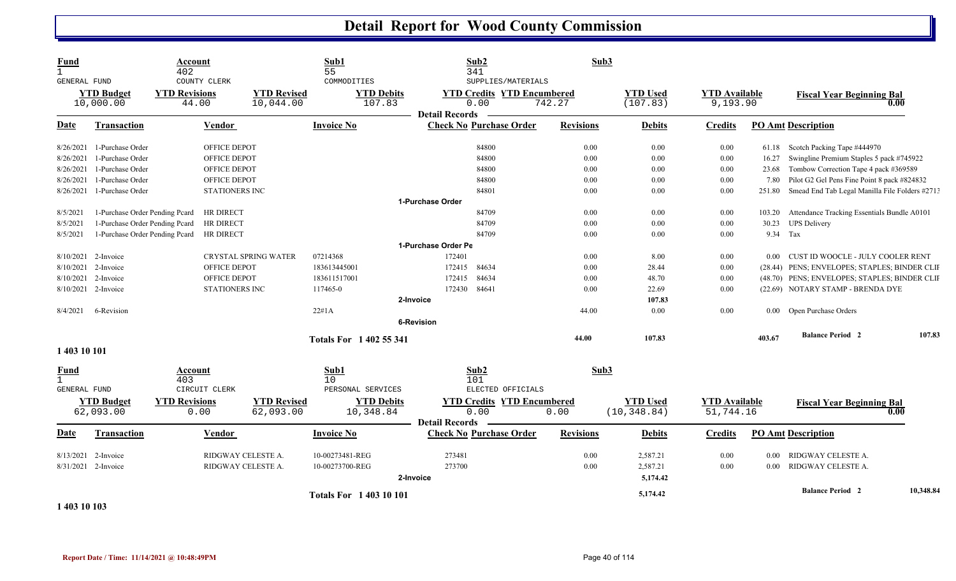| COUNTY CLERK<br>COMMODITIES<br>SUPPLIES/MATERIALS<br>GENERAL FUND<br><b>YTD Revisions</b><br><b>YTD Revised</b><br><b>YTD Debits</b><br><b>YTD Credits YTD Encumbered</b><br><b>YTD Used</b><br><b>YTD Budget</b><br><b>YTD</b> Available | <b>Fiscal Year Beginning Bal</b><br>0.00       |
|-------------------------------------------------------------------------------------------------------------------------------------------------------------------------------------------------------------------------------------------|------------------------------------------------|
| 742.27<br>10,000.00<br>44.00<br>10,044.00<br>107.83<br>0.00<br>(107.83)<br>9,193.90                                                                                                                                                       |                                                |
| <b>Detail Records</b><br><b>Check No Purchase Order</b><br><b>Revisions</b><br>Date<br><b>Transaction</b><br>Vendor<br><b>Invoice No</b><br><b>Debits</b><br><b>PO Amt Description</b><br><b>Credits</b>                                  |                                                |
| 84800<br>8/26/2021 1-Purchase Order<br>OFFICE DEPOT<br>0.00<br>0.00<br>0.00<br>61.18 Scotch Packing Tape #444970                                                                                                                          |                                                |
| 1-Purchase Order<br>OFFICE DEPOT<br>84800<br>0.00<br>0.00<br>0.00<br>8/26/2021<br>16.27                                                                                                                                                   | Swingline Premium Staples 5 pack #745922       |
| 1-Purchase Order<br>OFFICE DEPOT<br>84800<br>0.00<br>0.00<br>0.00<br>23.68<br>8/26/2021                                                                                                                                                   | Tombow Correction Tape 4 pack #369589          |
| 1-Purchase Order<br>8/26/2021<br>OFFICE DEPOT<br>84800<br>0.00<br>0.00<br>0.00<br>7.80                                                                                                                                                    | Pilot G2 Gel Pens Fine Point 8 pack #824832    |
| 1-Purchase Order<br>0.00<br>8/26/2021<br><b>STATIONERS INC</b><br>84801<br>0.00<br>0.00<br>251.80                                                                                                                                         | Smead End Tab Legal Manilla File Folders #2713 |
| 1-Purchase Order                                                                                                                                                                                                                          |                                                |
| 1-Purchase Order Pending Pcard<br>HR DIRECT<br>84709<br>0.00<br>0.00<br>0.00<br>8/5/2021<br>103.20                                                                                                                                        | Attendance Tracking Essentials Bundle A0101    |
| 1-Purchase Order Pending Pcard<br>HR DIRECT<br>84709<br>0.00<br>0.00<br>0.00<br>30.23 UPS Delivery<br>8/5/2021                                                                                                                            |                                                |
| 9.34 Tax<br>1-Purchase Order Pending Peard<br>84709<br>0.00<br>0.00<br>8/5/2021<br>HR DIRECT<br>0.00                                                                                                                                      |                                                |
| 1-Purchase Order Pe                                                                                                                                                                                                                       |                                                |
| <b>CRYSTAL SPRING WATER</b><br>07214368<br>172401<br>0.00<br>8.00<br>0.00<br>$8/10/2021$ 2-Invoice                                                                                                                                        | 0.00 CUST ID WOOCLE - JULY COOLER RENT         |
| 8/10/2021 2-Invoice<br>OFFICE DEPOT<br>183613445001<br>172415<br>84634<br>0.00<br>28.44<br>0.00                                                                                                                                           | (28.44) PENS; ENVELOPES; STAPLES; BINDER CLII  |
| 84634<br>8/10/2021<br>2-Invoice<br>OFFICE DEPOT<br>183611517001<br>172415<br>0.00<br>48.70<br>0.00                                                                                                                                        | (48.70) PENS; ENVELOPES; STAPLES; BINDER CLII  |
| 117465-0<br>84641<br>8/10/2021 2-Invoice<br><b>STATIONERS INC</b><br>172430<br>0.00<br>22.69<br>0.00                                                                                                                                      | (22.69) NOTARY STAMP - BRENDA DYE              |
| 2-Invoice<br>107.83                                                                                                                                                                                                                       |                                                |
| 44.00<br>8/4/2021<br>6-Revision<br>22#1A<br>0.00<br>0.00<br>0.00 Open Purchase Orders                                                                                                                                                     |                                                |
| <b>6-Revision</b>                                                                                                                                                                                                                         |                                                |
| 44.00<br>107.83<br>403.67<br><b>Totals For 1402 55 341</b>                                                                                                                                                                                | 107.83<br><b>Balance Period 2</b>              |
| 1 403 10 101                                                                                                                                                                                                                              |                                                |
| Sub2<br>Sub3<br>Sub1<br><u>Fund</u><br>Account<br>$\mathbf{1}$<br>403<br>10<br>101<br>ELECTED OFFICIALS<br><b>GENERAL FUND</b><br>CIRCUIT CLERK<br>PERSONAL SERVICES                                                                      |                                                |
| <b>YTD Budget</b><br><b>YTD Revisions</b><br><b>YTD Revised</b><br><b>YTD Debits</b><br><b>YTD Credits YTD Encumbered</b><br><b>YTD Used</b><br><b>YTD</b> Available                                                                      | <b>Fiscal Year Beginning Bal</b>               |
| 62,093.00<br>(10, 348.84)<br>0.00<br>62,093.00<br>0.00<br>51,744.16<br>10,348.84<br>0.00<br><b>Detail Records</b>                                                                                                                         | 0.00                                           |
| Transaction<br><b>Invoice No</b><br><b>Check No Purchase Order</b><br><b>Revisions</b><br><b>PO Amt Description</b><br>Date<br>Vendor<br><b>Debits</b><br><b>Credits</b>                                                                  |                                                |
| RIDGWAY CELESTE A.<br>8/13/2021<br>10-00273481-REG<br>273481<br>0.00<br>2,587.21<br>0.00<br>RIDGWAY CELESTE A.<br>2-Invoice<br>0.00                                                                                                       |                                                |
| 273700<br>8/31/2021 2-Invoice<br>RIDGWAY CELESTE A.<br>10-00273700-REG<br>0.00<br>2,587.21<br>0.00<br>RIDGWAY CELESTE A.<br>0.00                                                                                                          |                                                |
| 5,174.42<br>2-Invoice                                                                                                                                                                                                                     |                                                |
| <b>Totals For 140310101</b><br>5,174.42<br>1 403 10 103                                                                                                                                                                                   | 10,348.84<br><b>Balance Period 2</b>           |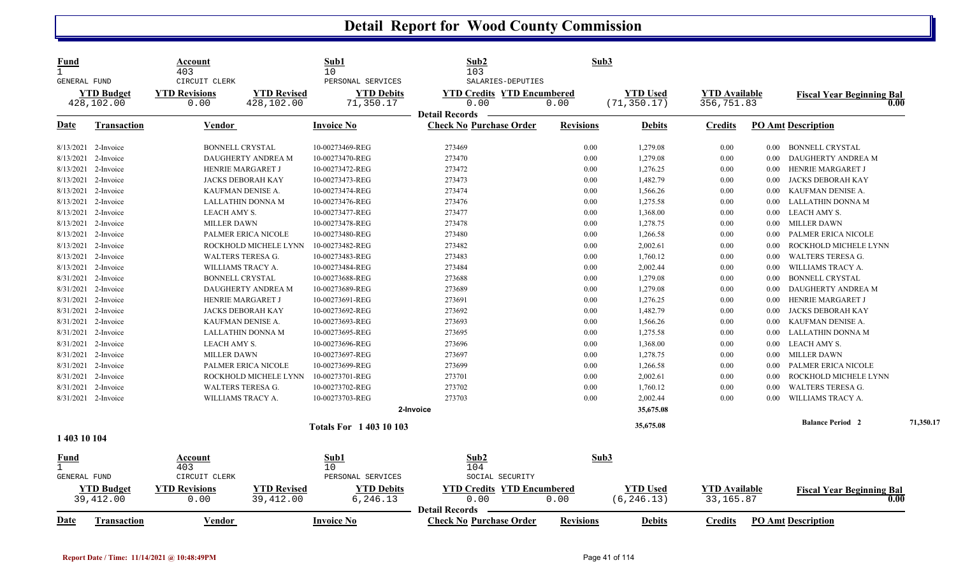| <b>Fund</b><br>$\mathbf{1}$<br><b>GENERAL FUND</b> |                                | Account<br>403<br>CIRCUIT CLERK |                                  | Sub1<br>10<br>PERSONAL SERVICES | Sub2<br>103<br>SALARIES-DEPUTIES                        | Sub3             |                                |                                    |          |                                          |           |
|----------------------------------------------------|--------------------------------|---------------------------------|----------------------------------|---------------------------------|---------------------------------------------------------|------------------|--------------------------------|------------------------------------|----------|------------------------------------------|-----------|
|                                                    | <b>YTD Budget</b>              | <b>YTD Revisions</b>            | <b>YTD Revised</b>               | <b>YTD Debits</b>               | <b>YTD Credits YTD Encumbered</b>                       |                  | <b>YTD Used</b>                | <b>YTD Available</b>               |          | <b>Fiscal Year Beginning Bal</b>         |           |
|                                                    | 428,102.00                     | 0.00                            | 428,102.00                       | 71,350.17                       | 0.00                                                    | 0.00             | (71, 350.17)                   | 356,751.83                         |          | 0.00                                     |           |
|                                                    |                                |                                 |                                  |                                 | <b>Detail Records</b>                                   |                  |                                |                                    |          |                                          |           |
| Date                                               | <b>Transaction</b>             | Vendor                          |                                  | <b>Invoice No</b>               | <b>Check No Purchase Order</b>                          | <b>Revisions</b> | <b>Debits</b>                  | <b>Credits</b>                     |          | <b>PO Amt Description</b>                |           |
|                                                    | 8/13/2021 2-Invoice            |                                 | <b>BONNELL CRYSTAL</b>           | 10-00273469-REG                 | 273469                                                  | 0.00             | 1,279.08                       | 0.00                               | $0.00\,$ | <b>BONNELL CRYSTAL</b>                   |           |
|                                                    | 8/13/2021 2-Invoice            |                                 | DAUGHERTY ANDREA M               | 10-00273470-REG                 | 273470                                                  | 0.00             | 1,279.08                       | 0.00                               | $0.00\,$ | DAUGHERTY ANDREA M                       |           |
| 8/13/2021                                          | 2-Invoice                      |                                 | HENRIE MARGARET J                | 10-00273472-REG                 | 273472                                                  | 0.00             | 1,276.25                       | 0.00                               | 0.00     | HENRIE MARGARET J                        |           |
|                                                    | 8/13/2021 2-Invoice            |                                 | <b>JACKS DEBORAH KAY</b>         | 10-00273473-REG                 | 273473                                                  | 0.00             | 1,482.79                       | 0.00                               | 0.00     | JACKS DEBORAH KAY                        |           |
|                                                    | 8/13/2021 2-Invoice            |                                 | KAUFMAN DENISE A.                | 10-00273474-REG                 | 273474                                                  | 0.00             | 1,566.26                       | 0.00                               | $0.00\,$ | KAUFMAN DENISE A.                        |           |
|                                                    | 8/13/2021 2-Invoice            |                                 | LALLATHIN DONNA M                | 10-00273476-REG                 | 273476                                                  | 0.00             | 1,275.58                       | 0.00                               | 0.00     | LALLATHIN DONNA M                        |           |
| 8/13/2021                                          | 2-Invoice                      | LEACH AMY S.                    |                                  | 10-00273477-REG                 | 273477                                                  | 0.00             | 1,368.00                       | 0.00                               | $0.00\,$ | LEACH AMY S.                             |           |
|                                                    | 8/13/2021 2-Invoice            | <b>MILLER DAWN</b>              |                                  | 10-00273478-REG                 | 273478                                                  | 0.00             | 1,278.75                       | 0.00                               | $0.00\,$ | <b>MILLER DAWN</b>                       |           |
|                                                    | 8/13/2021 2-Invoice            |                                 | PALMER ERICA NICOLE              | 10-00273480-REG                 | 273480                                                  | 0.00             | 1,266.58                       | 0.00                               | 0.00     | PALMER ERICA NICOLE                      |           |
| 8/13/2021                                          | 2-Invoice                      |                                 | ROCKHOLD MICHELE LYNN            | 10-00273482-REG                 | 273482                                                  | 0.00             | 2,002.61                       | 0.00                               | 0.00     | ROCKHOLD MICHELE LYNN                    |           |
|                                                    | 8/13/2021 2-Invoice            |                                 | <b>WALTERS TERESA G.</b>         | 10-00273483-REG                 | 273483                                                  | 0.00             | 1,760.12                       | 0.00                               | 0.00     | <b>WALTERS TERESA G.</b>                 |           |
|                                                    | 8/13/2021 2-Invoice            |                                 | WILLIAMS TRACY A.                | 10-00273484-REG                 | 273484                                                  | 0.00             | 2,002.44                       | 0.00                               | 0.00     | WILLIAMS TRACY A.                        |           |
|                                                    | 8/31/2021 2-Invoice            |                                 | <b>BONNELL CRYSTAL</b>           | 10-00273688-REG                 | 273688                                                  | 0.00             | 1,279.08                       | 0.00                               | 0.00     | <b>BONNELL CRYSTAL</b>                   |           |
|                                                    | 8/31/2021 2-Invoice            |                                 | DAUGHERTY ANDREA M               | 10-00273689-REG                 | 273689                                                  | 0.00             | 1,279.08                       | 0.00                               | 0.00     | DAUGHERTY ANDREA M                       |           |
|                                                    | 8/31/2021 2-Invoice            |                                 | HENRIE MARGARET J                | 10-00273691-REG                 | 273691                                                  | 0.00             | 1,276.25                       | 0.00                               | 0.00     | HENRIE MARGARET J                        |           |
|                                                    | 8/31/2021 2-Invoice            |                                 | <b>JACKS DEBORAH KAY</b>         | 10-00273692-REG                 | 273692                                                  | 0.00             | 1,482.79                       | 0.00                               | 0.00     | <b>JACKS DEBORAH KAY</b>                 |           |
|                                                    | 8/31/2021 2-Invoice            |                                 | KAUFMAN DENISE A.                | 10-00273693-REG                 | 273693                                                  | 0.00             | 1,566.26                       | 0.00                               | 0.00     | KAUFMAN DENISE A.                        |           |
|                                                    | 8/31/2021 2-Invoice            |                                 | LALLATHIN DONNA M                | 10-00273695-REG                 | 273695                                                  | 0.00             | 1,275.58                       | 0.00                               | 0.00     | LALLATHIN DONNA M                        |           |
|                                                    | 8/31/2021 2-Invoice            | LEACH AMY S.                    |                                  | 10-00273696-REG                 | 273696                                                  | 0.00             | 1,368.00                       | 0.00                               | $0.00\,$ | LEACH AMY S.                             |           |
| 8/31/2021                                          | 2-Invoice                      | <b>MILLER DAWN</b>              |                                  | 10-00273697-REG                 | 273697                                                  | 0.00             | 1,278.75                       | 0.00                               | 0.00     | <b>MILLER DAWN</b>                       |           |
|                                                    | 8/31/2021 2-Invoice            |                                 | PALMER ERICA NICOLE              | 10-00273699-REG                 | 273699                                                  | 0.00             | 1,266.58                       | 0.00                               | 0.00     | PALMER ERICA NICOLE                      |           |
|                                                    | 8/31/2021 2-Invoice            |                                 | ROCKHOLD MICHELE LYNN            | 10-00273701-REG                 | 273701                                                  | 0.00             | 2,002.61                       | 0.00                               | 0.00     | ROCKHOLD MICHELE LYNN                    |           |
| 8/31/2021                                          | 2-Invoice                      |                                 | WALTERS TERESA G.                | 10-00273702-REG                 | 273702                                                  | 0.00             | 1,760.12                       | 0.00                               | 0.00     | WALTERS TERESA G.                        |           |
|                                                    | 8/31/2021 2-Invoice            |                                 | WILLIAMS TRACY A.                | 10-00273703-REG                 | 273703                                                  | 0.00             | 2,002.44                       | 0.00                               | 0.00     | WILLIAMS TRACY A.                        |           |
|                                                    |                                |                                 |                                  |                                 | 2-Invoice                                               |                  | 35,675.08                      |                                    |          |                                          |           |
|                                                    |                                |                                 |                                  | <b>Totals For 140310103</b>     |                                                         |                  | 35,675.08                      |                                    |          | <b>Balance Period 2</b>                  | 71,350.17 |
| 1 403 10 104                                       |                                |                                 |                                  |                                 |                                                         |                  |                                |                                    |          |                                          |           |
| Fund                                               |                                | Account                         |                                  | Sub1                            | Sub2                                                    | Sub3             |                                |                                    |          |                                          |           |
| $\mathbf{1}$                                       |                                | 403                             |                                  | 10                              | 104                                                     |                  |                                |                                    |          |                                          |           |
| GENERAL FUND                                       |                                | CIRCUIT CLERK                   |                                  | PERSONAL SERVICES               | SOCIAL SECURITY                                         |                  |                                |                                    |          |                                          |           |
|                                                    | <b>YTD Budget</b><br>39,412.00 | <b>YTD Revisions</b><br>0.00    | <b>YTD Revised</b><br>39, 412.00 | <b>YTD Debits</b><br>6,246.13   | <b>YTD Credits YTD Encumbered</b><br>0.00               | 0.00             | <b>YTD</b> Used<br>(6, 246.13) | <b>YTD Available</b><br>33, 165.87 |          | <b>Fiscal Year Beginning Bal</b><br>0.00 |           |
| <u>Date</u>                                        | <b>Transaction</b>             | Vendor                          |                                  | <b>Invoice No</b>               | <b>Detail Records</b><br><b>Check No Purchase Order</b> | <b>Revisions</b> | <b>Debits</b>                  | <b>Credits</b>                     |          | <b>PO Amt Description</b>                |           |
|                                                    |                                |                                 |                                  |                                 |                                                         |                  |                                |                                    |          |                                          |           |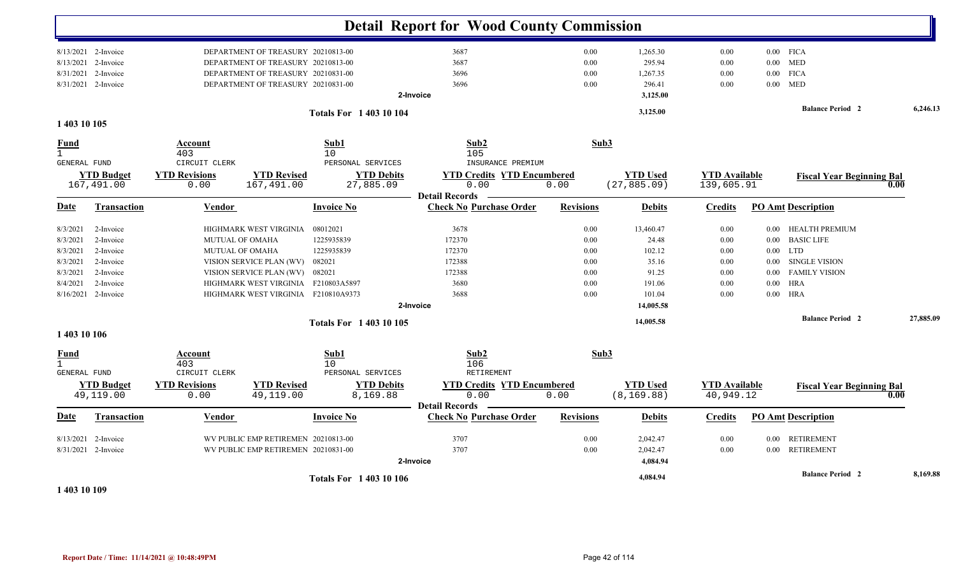|                                      |                                 |                                 |                                     |                                 | <b>Detail Report for Wood County Commission</b>         |                  |                                 |                                    |          |                                  |           |
|--------------------------------------|---------------------------------|---------------------------------|-------------------------------------|---------------------------------|---------------------------------------------------------|------------------|---------------------------------|------------------------------------|----------|----------------------------------|-----------|
|                                      | 8/13/2021 2-Invoice             |                                 | DEPARTMENT OF TREASURY 20210813-00  |                                 | 3687                                                    | 0.00             | 1,265.30                        | 0.00                               |          | $0.00$ FICA                      |           |
|                                      | 8/13/2021 2-Invoice             |                                 | DEPARTMENT OF TREASURY 20210813-00  |                                 | 3687                                                    | 0.00             | 295.94                          | 0.00                               |          | $0.00$ MED                       |           |
| 8/31/2021                            | 2-Invoice                       |                                 | DEPARTMENT OF TREASURY 20210831-00  |                                 | 3696                                                    | 0.00             | 1,267.35                        | 0.00                               | $0.00\,$ | <b>FICA</b>                      |           |
|                                      | 8/31/2021 2-Invoice             |                                 | DEPARTMENT OF TREASURY 20210831-00  |                                 | 3696                                                    | 0.00             | 296.41                          | 0.00                               | $0.00\,$ | <b>MED</b>                       |           |
|                                      |                                 |                                 |                                     |                                 | 2-Invoice                                               |                  | 3,125.00                        |                                    |          |                                  |           |
|                                      |                                 |                                 |                                     | <b>Totals For 140310104</b>     |                                                         |                  | 3,125.00                        |                                    |          | <b>Balance Period 2</b>          | 6,246.13  |
| 1 403 10 105                         |                                 |                                 |                                     |                                 |                                                         |                  |                                 |                                    |          |                                  |           |
| Fund<br>$\mathbf{1}$<br>GENERAL FUND |                                 | Account<br>403<br>CIRCUIT CLERK |                                     | Sub1<br>10<br>PERSONAL SERVICES | Sub2<br>105<br>INSURANCE PREMIUM                        | Sub3             |                                 |                                    |          |                                  |           |
|                                      | <b>YTD Budget</b><br>167,491.00 | <b>YTD Revisions</b><br>0.00    | <b>YTD Revised</b><br>167,491.00    | <b>YTD Debits</b><br>27,885.09  | <b>YTD Credits YTD Encumbered</b><br>0.00               | 0.00             | <b>YTD Used</b><br>(27, 885.09) | <b>YTD Available</b><br>139,605.91 |          | <b>Fiscal Year Beginning Bal</b> | 0.00      |
| Date                                 | <b>Transaction</b>              | <b>Vendor</b>                   |                                     | <b>Invoice No</b>               | <b>Detail Records</b><br><b>Check No Purchase Order</b> | <b>Revisions</b> | <b>Debits</b>                   | <b>Credits</b>                     |          | <b>PO Amt Description</b>        |           |
| 8/3/2021                             | 2-Invoice                       |                                 | HIGHMARK WEST VIRGINIA              | 08012021                        | 3678                                                    | 0.00             | 13,460.47                       | 0.00                               | $0.00\,$ | HEALTH PREMIUM                   |           |
| 8/3/2021                             | 2-Invoice                       | MUTUAL OF OMAHA                 |                                     | 1225935839                      | 172370                                                  | 0.00             | 24.48                           | 0.00                               | $0.00\,$ | <b>BASIC LIFE</b>                |           |
| 8/3/2021                             | 2-Invoice                       | MUTUAL OF OMAHA                 |                                     | 1225935839                      | 172370                                                  | 0.00             | 102.12                          | 0.00                               | $0.00\,$ | <b>LTD</b>                       |           |
| 8/3/2021                             | 2-Invoice                       |                                 | VISION SERVICE PLAN (WV)            | 082021                          | 172388                                                  | $0.00\,$         | 35.16                           | 0.00                               | $0.00\,$ | <b>SINGLE VISION</b>             |           |
| 8/3/2021                             | 2-Invoice                       |                                 | VISION SERVICE PLAN (WV)            | 082021                          | 172388                                                  | 0.00             | 91.25                           | 0.00                               | $0.00\,$ | <b>FAMILY VISION</b>             |           |
| 8/4/2021                             | 2-Invoice                       |                                 | HIGHMARK WEST VIRGINIA F210803A5897 |                                 | 3680                                                    | 0.00             | 191.06                          | 0.00                               | $0.00\,$ | <b>HRA</b>                       |           |
|                                      | $8/16/2021$ 2-Invoice           |                                 | HIGHMARK WEST VIRGINIA F210810A9373 |                                 | 3688                                                    | 0.00             | 101.04                          | 0.00                               | 0.00     | HRA                              |           |
|                                      |                                 |                                 |                                     |                                 | 2-Invoice                                               |                  | 14,005.58                       |                                    |          |                                  |           |
|                                      |                                 |                                 |                                     | Totals For 1 403 10 105         |                                                         |                  | 14,005.58                       |                                    |          | <b>Balance Period 2</b>          | 27,885.09 |
| 1 403 10 106                         |                                 |                                 |                                     |                                 |                                                         |                  |                                 |                                    |          |                                  |           |
| <b>Fund</b><br>$\mathbf{1}$          |                                 | Account<br>403                  |                                     | Sub1<br>10                      | Sub2<br>106                                             | Sub3             |                                 |                                    |          |                                  |           |
| GENERAL FUND                         |                                 | CIRCUIT CLERK                   |                                     | PERSONAL SERVICES               | RETIREMENT                                              |                  |                                 |                                    |          |                                  |           |
|                                      | <b>YTD Budget</b><br>49,119.00  | <b>YTD Revisions</b><br>0.00    | <b>YTD Revised</b><br>49,119.00     | <b>YTD Debits</b><br>8,169.88   | <b>YTD Credits YTD Encumbered</b><br>0.00               | 0.00             | <b>YTD Used</b><br>(8, 169.88)  | <b>YTD Available</b><br>40,949.12  |          | <b>Fiscal Year Beginning Bal</b> | 0.00      |
|                                      |                                 |                                 |                                     |                                 | <b>Detail Records</b>                                   |                  |                                 |                                    |          |                                  |           |
| Date                                 | <b>Transaction</b>              | Vendor                          |                                     | <b>Invoice No</b>               | <b>Check No Purchase Order</b>                          | <b>Revisions</b> | <b>Debits</b>                   | <b>Credits</b>                     |          | <b>PO Amt Description</b>        |           |
|                                      | 8/13/2021 2-Invoice             |                                 | WV PUBLIC EMP RETIREMEN 20210813-00 |                                 | 3707                                                    | 0.00             | 2,042.47                        | 0.00                               | $0.00\,$ | <b>RETIREMENT</b>                |           |
|                                      | 8/31/2021 2-Invoice             |                                 | WV PUBLIC EMP RETIREMEN 20210831-00 |                                 | 3707                                                    | 0.00             | 2,042.47                        | 0.00                               | $0.00\,$ | <b>RETIREMENT</b>                |           |
|                                      |                                 |                                 |                                     |                                 | 2-Invoice                                               |                  | 4,084.94                        |                                    |          |                                  |           |
|                                      |                                 |                                 |                                     | <b>Totals For 1 403 10 106</b>  |                                                         |                  | 4,084.94                        |                                    |          | <b>Balance Period 2</b>          | 8,169.88  |

**1 403 10 109**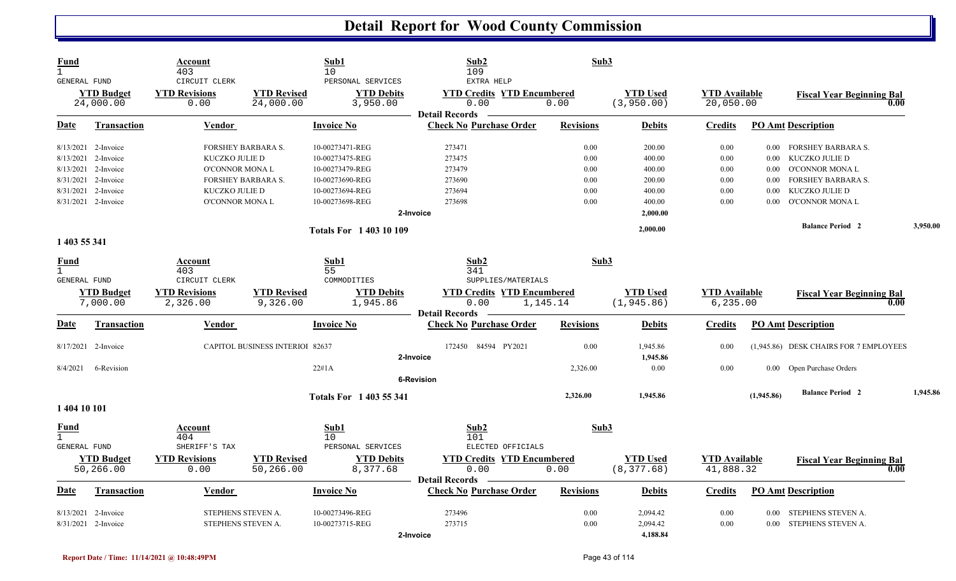| <b>Fund</b><br>$\mathbf{1}$<br>GENERAL FUND |                                | Account<br>403<br>CIRCUIT CLERK  |                                        | Sub1<br>10<br>PERSONAL SERVICES | Sub2<br>109<br>EXTRA HELP                                          | Sub3             |                                |                                   |            |                                          |          |
|---------------------------------------------|--------------------------------|----------------------------------|----------------------------------------|---------------------------------|--------------------------------------------------------------------|------------------|--------------------------------|-----------------------------------|------------|------------------------------------------|----------|
|                                             | <b>YTD Budget</b><br>24,000.00 | <b>YTD Revisions</b><br>0.00     | <b>YTD Revised</b><br>24,000.00        | <b>YTD Debits</b><br>3,950.00   | <b>YTD Credits YTD Encumbered</b><br>0.00<br><b>Detail Records</b> | 0.00             | <b>YTD Used</b><br>(3, 950.00) | <b>YTD Available</b><br>20,050.00 |            | <b>Fiscal Year Beginning Bal</b><br>0.00 |          |
| Date                                        | <b>Transaction</b>             | <b>Vendor</b>                    |                                        | <b>Invoice No</b>               | <b>Check No Purchase Order</b>                                     | <b>Revisions</b> | <b>Debits</b>                  | <b>Credits</b>                    |            | <b>PO Amt Description</b>                |          |
|                                             | 8/13/2021 2-Invoice            |                                  | <b>FORSHEY BARBARA S.</b>              | 10-00273471-REG                 | 273471                                                             | 0.00             | 200.00                         | 0.00                              | 0.00       | FORSHEY BARBARA S.                       |          |
|                                             | 8/13/2021 2-Invoice            | KUCZKO JULIE D                   |                                        | 10-00273475-REG                 | 273475                                                             | 0.00             | 400.00                         | 0.00                              | $0.00\,$   | KUCZKO JULIE D                           |          |
|                                             | 8/13/2021 2-Invoice            | O'CONNOR MONA L                  |                                        | 10-00273479-REG                 | 273479                                                             | 0.00             | 400.00                         | 0.00                              | 0.00       | <b>O'CONNOR MONAL</b>                    |          |
|                                             | 8/31/2021 2-Invoice            |                                  | <b>FORSHEY BARBARA S.</b>              | 10-00273690-REG                 | 273690                                                             | 0.00             | 200.00                         | 0.00                              | 0.00       | <b>FORSHEY BARBARA S.</b>                |          |
|                                             | 8/31/2021 2-Invoice            | KUCZKO JULIE D                   |                                        | 10-00273694-REG                 | 273694                                                             | 0.00             | 400.00                         | 0.00                              | 0.00       | KUCZKO JULIE D                           |          |
|                                             | 8/31/2021 2-Invoice            | O'CONNOR MONA L                  |                                        | 10-00273698-REG                 | 273698                                                             | 0.00             | 400.00                         | 0.00                              | 0.00       | <b>O'CONNOR MONA L</b>                   |          |
|                                             |                                |                                  |                                        |                                 | 2-Invoice                                                          |                  | 2,000.00                       |                                   |            |                                          |          |
|                                             |                                |                                  |                                        | <b>Totals For 140310109</b>     |                                                                    |                  | 2,000.00                       |                                   |            | <b>Balance Period 2</b>                  | 3,950.00 |
| 1 403 55 341                                |                                |                                  |                                        |                                 |                                                                    |                  |                                |                                   |            |                                          |          |
| <b>Fund</b>                                 |                                | Account                          |                                        | Sub1                            | Sub2                                                               | Sub3             |                                |                                   |            |                                          |          |
| $\overline{1}$<br><b>GENERAL FUND</b>       |                                | 403<br>CIRCUIT CLERK             |                                        | 55<br>COMMODITIES               | 341<br>SUPPLIES/MATERIALS                                          |                  |                                |                                   |            |                                          |          |
|                                             |                                |                                  |                                        |                                 |                                                                    |                  |                                |                                   |            |                                          |          |
|                                             | <b>YTD Budget</b><br>7,000.00  | <b>YTD Revisions</b><br>2,326.00 | <b>YTD Revised</b><br>9,326.00         | <b>YTD Debits</b><br>1,945.86   | <b>YTD Credits YTD Encumbered</b><br>0.00                          | 1,145.14         | <b>YTD</b> Used<br>(1, 945.86) | <b>YTD</b> Available<br>6, 235.00 |            | <b>Fiscal Year Beginning Bal</b><br>0.00 |          |
|                                             |                                |                                  |                                        |                                 | <b>Detail Records</b>                                              |                  |                                |                                   |            |                                          |          |
| Date                                        | Transaction                    | Vendor                           |                                        | <b>Invoice No</b>               | <b>Check No Purchase Order</b>                                     | <b>Revisions</b> | <b>Debits</b>                  | <b>Credits</b>                    |            | <b>PO Amt Description</b>                |          |
|                                             | 8/17/2021 2-Invoice            |                                  | <b>CAPITOL BUSINESS INTERIOI 82637</b> |                                 | 172450 84594 PY2021                                                | 0.00             | 1,945.86                       | 0.00                              |            | (1,945.86) DESK CHAIRS FOR 7 EMPLOYEES   |          |
|                                             |                                |                                  |                                        |                                 | 2-Invoice                                                          |                  | 1,945.86                       |                                   |            |                                          |          |
| 8/4/2021                                    | 6-Revision                     |                                  |                                        | 22#1A                           | <b>6-Revision</b>                                                  | 2,326.00         | 0.00                           | 0.00                              | $0.00\,$   | Open Purchase Orders                     |          |
|                                             |                                |                                  |                                        | <b>Totals For 1403 55 341</b>   |                                                                    | 2,326.00         | 1,945.86                       |                                   | (1,945.86) | <b>Balance Period 2</b>                  | 1,945.86 |
| 1 404 10 101                                |                                |                                  |                                        |                                 |                                                                    |                  |                                |                                   |            |                                          |          |
| <b>Fund</b><br>$\mathbf{1}$                 |                                | Account<br>404                   |                                        | Sub1<br>10                      | Sub2<br>101                                                        | Sub3             |                                |                                   |            |                                          |          |
| <b>GENERAL FUND</b>                         |                                | SHERIFF'S TAX                    |                                        | PERSONAL SERVICES               | ELECTED OFFICIALS                                                  |                  |                                |                                   |            |                                          |          |
|                                             | <b>YTD Budget</b>              | <b>YTD Revisions</b>             | <b>YTD Revised</b>                     | <b>YTD Debits</b>               | <b>YTD Credits YTD Encumbered</b>                                  |                  | <b>YTD</b> Used                | <b>YTD Available</b>              |            | <b>Fiscal Year Beginning Bal</b>         |          |
|                                             | 50,266.00                      | 0.00                             | 50,266.00                              | 8,377.68                        | 0.00                                                               | 0.00             | (8, 377.68)                    | 41,888.32                         |            | 0.00                                     |          |
| Date                                        | <b>Transaction</b>             | Vendor                           |                                        | <b>Invoice No</b>               | <b>Detail Records</b><br><b>Check No Purchase Order</b>            | <b>Revisions</b> | <b>Debits</b>                  | <b>Credits</b>                    |            | <b>PO Amt Description</b>                |          |
|                                             | 8/13/2021 2-Invoice            | STEPHENS STEVEN A.               |                                        | 10-00273496-REG                 | 273496                                                             | 0.00             | 2,094.42                       | 0.00                              | 0.00       | STEPHENS STEVEN A.                       |          |
|                                             | 8/31/2021 2-Invoice            | STEPHENS STEVEN A.               |                                        | 10-00273715-REG                 | 273715                                                             | 0.00             | 2,094.42                       | 0.00                              | 0.00       | STEPHENS STEVEN A.                       |          |
|                                             |                                |                                  |                                        |                                 | 2-Invoice                                                          |                  | 4,188.84                       |                                   |            |                                          |          |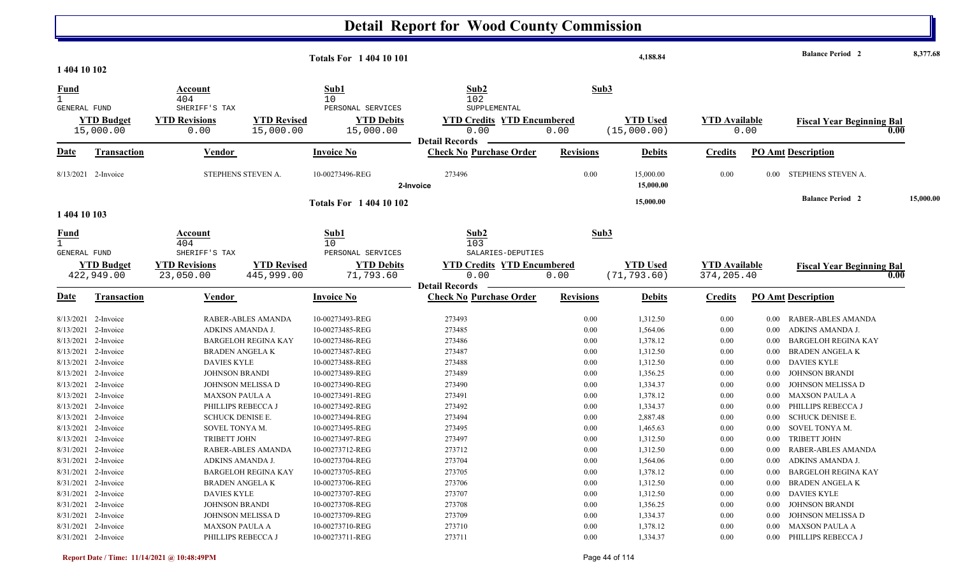| 1 404 10 102                       |                                 |                                                    |                                  | <b>Totals For 140410101</b>                         |                                                                    |                  | 4,188.84                        |                                    |          | <b>Balance Period 2</b>          | 8,377.68  |
|------------------------------------|---------------------------------|----------------------------------------------------|----------------------------------|-----------------------------------------------------|--------------------------------------------------------------------|------------------|---------------------------------|------------------------------------|----------|----------------------------------|-----------|
| <b>Fund</b><br><b>GENERAL FUND</b> |                                 | Account<br>404<br>SHERIFF'S TAX                    |                                  | Sub1<br>10<br>PERSONAL SERVICES                     | Sub <sub>2</sub><br>102<br>SUPPLEMENTAL                            |                  | Sub3                            |                                    |          |                                  |           |
|                                    | <b>YTD Budget</b><br>15,000.00  | <b>YTD Revisions</b><br>0.00                       | <b>YTD Revised</b><br>15,000.00  | <b>YTD Debits</b><br>15,000.00                      | <b>YTD Credits YTD Encumbered</b><br>0.00<br><b>Detail Records</b> | 0.00             | <b>YTD Used</b><br>(15,000.00)  | <b>YTD</b> Available               | 0.00     | <b>Fiscal Year Beginning Bal</b> | 0.00      |
| <u>Date</u>                        | <b>Transaction</b>              | Vendor                                             |                                  | <b>Invoice No</b>                                   | <b>Check No Purchase Order</b>                                     | <b>Revisions</b> | <b>Debits</b>                   | <b>Credits</b>                     |          | <b>PO Amt Description</b>        |           |
|                                    | 8/13/2021 2-Invoice             | STEPHENS STEVEN A.                                 |                                  | 10-00273496-REG                                     | 273496<br>2-Invoice                                                | 0.00             | 15,000.00<br>15,000.00          | 0.00                               | 0.00     | STEPHENS STEVEN A.               |           |
| 1 404 10 103                       |                                 |                                                    |                                  | <b>Totals For 1 404 10 102</b>                      |                                                                    |                  | 15,000.00                       |                                    |          | <b>Balance Period 2</b>          | 15,000.00 |
| <u>Fund</u>                        |                                 | Account<br>404                                     |                                  | Sub1<br>10                                          | Sub <sub>2</sub><br>103                                            |                  | Sub3                            |                                    |          |                                  |           |
| GENERAL FUND                       | <b>YTD Budget</b><br>422,949.00 | SHERIFF'S TAX<br><b>YTD Revisions</b><br>23,050.00 | <b>YTD Revised</b><br>445,999.00 | PERSONAL SERVICES<br><b>YTD Debits</b><br>71,793.60 | SALARIES-DEPUTIES<br><b>YTD Credits YTD Encumbered</b><br>0.00     | 0.00             | <b>YTD Used</b><br>(71, 793.60) | <b>YTD</b> Available<br>374,205.40 |          | <b>Fiscal Year Beginning Bal</b> | 0.00      |
| <u>Date</u>                        | <b>Transaction</b>              | <b>Vendor</b>                                      |                                  | <b>Invoice No</b>                                   | <b>Detail Records</b><br><b>Check No Purchase Order</b>            | <b>Revisions</b> | <b>Debits</b>                   | <b>Credits</b>                     |          | <b>PO Amt Description</b>        |           |
|                                    | 8/13/2021 2-Invoice             |                                                    | RABER-ABLES AMANDA               | 10-00273493-REG                                     | 273493                                                             | 0.00             | 1,312.50                        | 0.00                               | 0.00     | RABER-ABLES AMANDA               |           |
|                                    | 8/13/2021 2-Invoice             | ADKINS AMANDA J                                    |                                  | 10-00273485-REG                                     | 273485                                                             | 0.00             | 1,564.06                        | 0.00                               | 0.00     | ADKINS AMANDA J                  |           |
|                                    | 8/13/2021 2-Invoice             |                                                    | <b>BARGELOH REGINA KAY</b>       | 10-00273486-REG                                     | 273486                                                             | 0.00             | 1,378.12                        | 0.00                               | 0.00     | <b>BARGELOH REGINA KAY</b>       |           |
|                                    | 8/13/2021 2-Invoice             | <b>BRADEN ANGELAK</b>                              |                                  | 10-00273487-REG                                     | 273487                                                             | 0.00             | 1,312.50                        | 0.00                               | 0.00     | <b>BRADEN ANGELA K</b>           |           |
|                                    | 8/13/2021 2-Invoice             | <b>DAVIES KYLE</b>                                 |                                  | 10-00273488-REG                                     | 273488                                                             | 0.00             | 1,312.50                        | 0.00                               | 0.00     | <b>DAVIES KYLE</b>               |           |
|                                    | 8/13/2021 2-Invoice             | <b>JOHNSON BRANDI</b>                              |                                  | 10-00273489-REG                                     | 273489                                                             | 0.00             | 1,356.25                        | 0.00                               | 0.00     | <b>JOHNSON BRANDI</b>            |           |
|                                    | 8/13/2021 2-Invoice             | JOHNSON MELISSA D                                  |                                  | 10-00273490-REG                                     | 273490                                                             | 0.00             | 1,334.37                        | 0.00                               | 0.00     | JOHNSON MELISSA D                |           |
|                                    | 8/13/2021 2-Invoice             | MAXSON PAULA A                                     |                                  | 10-00273491-REG                                     | 273491                                                             | 0.00             | 1,378.12                        | 0.00                               | 0.00     | <b>MAXSON PAULA A</b>            |           |
|                                    | 8/13/2021 2-Invoice             | PHILLIPS REBECCA J                                 |                                  | 10-00273492-REG                                     | 273492                                                             | 0.00             | 1,334.37                        | 0.00                               | 0.00     | PHILLIPS REBECCA J               |           |
|                                    | 8/13/2021 2-Invoice             | <b>SCHUCK DENISE E.</b>                            |                                  | 10-00273494-REG                                     | 273494                                                             | 0.00             | 2,887.48                        | 0.00                               | 0.00     | <b>SCHUCK DENISE E.</b>          |           |
|                                    | 8/13/2021 2-Invoice             | SOVEL TONYA M.                                     |                                  | 10-00273495-REG                                     | 273495                                                             | 0.00             | 1,465.63                        | 0.00                               | $0.00\,$ | SOVEL TONYA M.                   |           |
|                                    | 8/13/2021 2-Invoice             | TRIBETT JOHN                                       |                                  | 10-00273497-REG                                     | 273497                                                             | 0.00             | 1,312.50                        | 0.00                               | 0.00     | <b>TRIBETT JOHN</b>              |           |
|                                    | 8/31/2021 2-Invoice             |                                                    | RABER-ABLES AMANDA               | 10-00273712-REG                                     | 273712                                                             | 0.00             | 1,312.50                        | 0.00                               | 0.00     | RABER-ABLES AMANDA               |           |
|                                    | 8/31/2021 2-Invoice             | ADKINS AMANDA J.                                   |                                  | 10-00273704-REG                                     | 273704                                                             | 0.00             | 1,564.06                        | 0.00                               | $0.00\,$ | ADKINS AMANDA J.                 |           |
|                                    | 8/31/2021 2-Invoice             |                                                    | BARGELOH REGINA KAY              | 10-00273705-REG                                     | 273705                                                             | 0.00             | 1,378.12                        | 0.00                               |          | 0.00 BARGELOH REGINA KAY         |           |
|                                    | 8/31/2021 2-Invoice             | <b>BRADEN ANGELA K</b>                             |                                  | 10-00273706-REG                                     | 273706                                                             | 0.00             | 1,312.50                        | 0.00                               |          | 0.00 BRADEN ANGELAK              |           |
|                                    | 8/31/2021 2-Invoice             | <b>DAVIES KYLE</b>                                 |                                  | 10-00273707-REG                                     | 273707                                                             | 0.00             | 1,312.50                        | 0.00                               | $0.00\,$ | <b>DAVIES KYLE</b>               |           |
|                                    | 8/31/2021 2-Invoice             | <b>JOHNSON BRANDI</b>                              |                                  | 10-00273708-REG                                     | 273708                                                             | 0.00             | 1,356.25                        | 0.00                               | $0.00\,$ | JOHNSON BRANDI                   |           |
|                                    | 8/31/2021 2-Invoice             | JOHNSON MELISSA D                                  |                                  | 10-00273709-REG                                     | 273709                                                             | 0.00             | 1,334.37                        | 0.00                               | $0.00\,$ | JOHNSON MELISSA D                |           |
|                                    | 8/31/2021 2-Invoice             | <b>MAXSON PAULA A</b>                              |                                  | 10-00273710-REG                                     | 273710                                                             | 0.00             | 1,378.12                        | 0.00                               |          | 0.00 MAXSON PAULA A              |           |
|                                    | 8/31/2021 2-Invoice             | PHILLIPS REBECCA J                                 |                                  | 10-00273711-REG                                     | 273711                                                             | 0.00             | 1,334.37                        | $0.00\,$                           |          | 0.00 PHILLIPS REBECCA J          |           |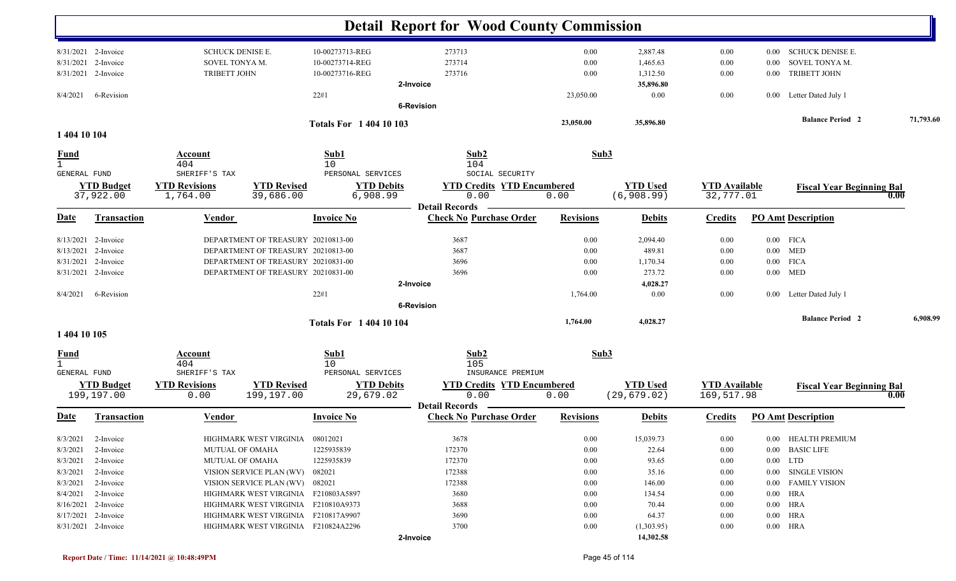|                             |                                |                                  |                                     |                                | <b>Detail Report for Wood County Commission</b> |                  |                               |                                   |          |                                  |           |
|-----------------------------|--------------------------------|----------------------------------|-------------------------------------|--------------------------------|-------------------------------------------------|------------------|-------------------------------|-----------------------------------|----------|----------------------------------|-----------|
|                             | 8/31/2021 2-Invoice            | <b>SCHUCK DENISE E.</b>          |                                     | 10-00273713-REG                | 273713                                          | 0.00             | 2,887.48                      | $0.00\,$                          | $0.00\,$ | <b>SCHUCK DENISE E.</b>          |           |
| 8/31/2021                   | 2-Invoice                      | SOVEL TONYA M.                   |                                     | 10-00273714-REG                | 273714                                          | 0.00             | 1,465.63                      | 0.00                              | 0.00     | SOVEL TONYA M.                   |           |
|                             | 8/31/2021 2-Invoice            | <b>TRIBETT JOHN</b>              |                                     | 10-00273716-REG                | 273716                                          | 0.00             | 1,312.50                      | 0.00                              | $0.00\,$ | <b>TRIBETT JOHN</b>              |           |
|                             |                                |                                  |                                     |                                | 2-Invoice                                       |                  | 35,896.80                     |                                   |          |                                  |           |
| 8/4/2021                    | 6-Revision                     |                                  |                                     | 22#1                           |                                                 | 23,050.00        | 0.00                          | $0.00\,$                          | $0.00\,$ | Letter Dated July 1              |           |
|                             |                                |                                  |                                     |                                | <b>6-Revision</b>                               |                  |                               |                                   |          |                                  |           |
|                             |                                |                                  |                                     | <b>Totals For 1 404 10 103</b> |                                                 | 23,050.00        | 35,896.80                     |                                   |          | <b>Balance Period 2</b>          | 71,793.60 |
| 1 404 10 104                |                                |                                  |                                     |                                |                                                 |                  |                               |                                   |          |                                  |           |
| <b>Fund</b><br>$\mathbf{1}$ |                                | Account<br>404                   |                                     | Sub1<br>10                     | Sub2<br>104                                     | Sub3             |                               |                                   |          |                                  |           |
| <b>GENERAL FUND</b>         |                                | SHERIFF'S TAX                    |                                     | PERSONAL SERVICES              | SOCIAL SECURITY                                 |                  |                               |                                   |          |                                  |           |
|                             | <b>YTD Budget</b><br>37,922.00 | <b>YTD Revisions</b><br>1,764.00 | <b>YTD Revised</b><br>39,686.00     | <b>YTD Debits</b><br>6,908.99  | <b>YTD Credits YTD Encumbered</b><br>0.00       | 0.00             | <b>YTD Used</b><br>(6,908.99) | <b>YTD Available</b><br>32,777.01 |          | <b>Fiscal Year Beginning Bal</b> | 0.00      |
|                             |                                |                                  |                                     |                                | <b>Detail Records</b>                           |                  |                               |                                   |          |                                  |           |
| <u>Date</u>                 | <b>Transaction</b>             | <b>Vendor</b>                    |                                     | <b>Invoice No</b>              | <b>Check No Purchase Order</b>                  | <b>Revisions</b> | <b>Debits</b>                 | <b>Credits</b>                    |          | <b>PO Amt Description</b>        |           |
| 8/13/2021                   | 2-Invoice                      |                                  | DEPARTMENT OF TREASURY 20210813-00  |                                | 3687                                            | 0.00             | 2,094.40                      | 0.00                              |          | $0.00$ FICA                      |           |
| 8/13/2021                   | 2-Invoice                      |                                  | DEPARTMENT OF TREASURY 20210813-00  |                                | 3687                                            | 0.00             | 489.81                        | 0.00                              |          | $0.00$ MED                       |           |
| 8/31/2021                   | 2-Invoice                      |                                  | DEPARTMENT OF TREASURY 20210831-00  |                                | 3696                                            | 0.00             | 1,170.34                      | 0.00                              |          | $0.00$ FICA                      |           |
|                             | 8/31/2021 2-Invoice            |                                  | DEPARTMENT OF TREASURY 20210831-00  |                                | 3696                                            | 0.00             | 273.72                        | 0.00                              |          | $0.00$ MED                       |           |
|                             |                                |                                  |                                     |                                | 2-Invoice                                       |                  | 4,028.27                      |                                   |          |                                  |           |
| 8/4/2021                    | 6-Revision                     |                                  |                                     | 22#1                           |                                                 | 1,764.00         | 0.00                          | $0.00\,$                          |          | 0.00 Letter Dated July 1         |           |
|                             |                                |                                  |                                     |                                | 6-Revision                                      |                  |                               |                                   |          |                                  |           |
|                             |                                |                                  |                                     | <b>Totals For 1 404 10 104</b> |                                                 | 1,764.00         | 4,028.27                      |                                   |          | <b>Balance Period 2</b>          | 6,908.99  |
| 1 404 10 105                |                                |                                  |                                     |                                |                                                 |                  |                               |                                   |          |                                  |           |
| Fund<br>$\mathbf{1}$        |                                | Account<br>404                   |                                     | Sub1<br>10                     | Sub2<br>105                                     | Sub3             |                               |                                   |          |                                  |           |
| GENERAL FUND                |                                | SHERIFF'S TAX                    |                                     | PERSONAL SERVICES              | INSURANCE PREMIUM                               |                  |                               |                                   |          |                                  |           |
|                             | <b>YTD Budget</b>              | <b>YTD Revisions</b>             | <b>YTD Revised</b>                  | <b>YTD Debits</b>              | <b>YTD Credits YTD Encumbered</b>               |                  | <b>YTD</b> Used               | <b>YTD Available</b>              |          | <b>Fiscal Year Beginning Bal</b> |           |
|                             | 199,197.00                     | 0.00                             | 199,197.00                          | 29,679.02                      | 0.00<br><b>Detail Records</b>                   | 0.00             | (29, 679.02)                  | 169,517.98                        |          |                                  | 0.00      |
| <b>Date</b>                 | <b>Transaction</b>             | <b>Vendor</b>                    |                                     | <b>Invoice No</b>              | <b>Check No Purchase Order</b>                  | <b>Revisions</b> | <b>Debits</b>                 | <b>Credits</b>                    |          | <b>PO Amt Description</b>        |           |
|                             | 8/3/2021 2-Invoice             |                                  | HIGHMARK WEST VIRGINIA 08012021     |                                | 3678                                            | $0.00\,$         | 15,039.73                     | $0.00\,$                          |          | 0.00 HEALTH PREMIUM              |           |
|                             | $8/3/2021$ 2-Invoice           | <b>MUTUAL OF OMAHA</b>           |                                     | 1225935839                     | 172370                                          | $0.00\,$         | 22.64                         | 0.00                              |          | 0.00 BASIC LIFE                  |           |
| 8/3/2021                    | 2-Invoice                      | <b>MUTUAL OF OMAHA</b>           |                                     | 1225935839                     | 172370                                          | $0.00\,$         | 93.65                         | $0.00\,$                          |          | $0.00$ LTD                       |           |
| 8/3/2021                    | 2-Invoice                      |                                  | VISION SERVICE PLAN (WV) 082021     |                                | 172388                                          | $0.00\,$         | 35.16                         | 0.00                              |          | 0.00 SINGLE VISION               |           |
|                             | $8/3/2021$ 2-Invoice           |                                  | VISION SERVICE PLAN (WV) 082021     |                                | 172388                                          | $0.00\,$         | 146.00                        | 0.00                              |          | 0.00 FAMILY VISION               |           |
|                             | $8/4/2021$ 2-Invoice           |                                  | HIGHMARK WEST VIRGINIA F210803A5897 |                                | 3680                                            | $0.00\,$         | 134.54                        | 0.00                              |          | $0.00$ HRA                       |           |
|                             | 8/16/2021 2-Invoice            |                                  | HIGHMARK WEST VIRGINIA F210810A9373 |                                | 3688                                            | $0.00\,$         | 70.44                         | 0.00                              |          | $0.00$ HRA                       |           |
|                             | 8/17/2021 2-Invoice            |                                  | HIGHMARK WEST VIRGINIA F210817A9907 |                                | 3690                                            | $0.00\,$         | 64.37                         | $0.00\,$                          |          | $0.00$ HRA                       |           |
|                             | 8/31/2021 2-Invoice            |                                  | HIGHMARK WEST VIRGINIA F210824A2296 |                                | 3700                                            | $0.00\,$         | (1,303.95)                    | $0.00\,$                          |          | $0.00$ HRA                       |           |
|                             |                                |                                  |                                     |                                | 2-Invoice                                       |                  | 14,302.58                     |                                   |          |                                  |           |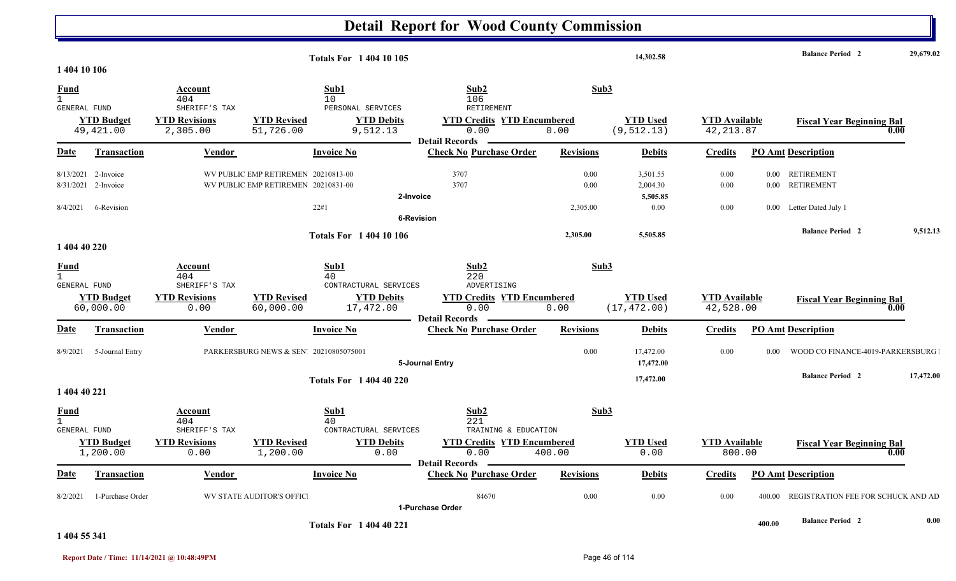#### **Detail Report for Wood County Commission 14,302.58 Balance Period 29,679.02 <sup>2</sup> Totals For 1 404 10 105 1 404 10 106** 1 404 $\frac{4}{10}$  10  $\frac{106}{106}$ **Fund Account Sub1 Sub2 Sub3** GENERAL FUND SHERIFF'S TAX PERSONAL SERVICES RETIREMENT 49,421.00 2,305.00 51,726.00 9,512.13 0.00 0.00 (9,512.13) 42,213.87 **YTD Budget YTD Revisions YTD Revised YTD Debits YTD Credits YTD Encumbered<u>WTD Used</u> <b>Example 1** Supering Bal 0.00 (9,512.13) 42,213.87 and 5000 mbered and 12,213.87 and 5000 mm matrix of  $\frac{0.00}{0.00}$  mm matrix of  $\frac{0.00}{0.00}$ **Date Vendor Invoice NoTransaction Purchase Order Revisions Debits Credits PO Amt Description Detail Records**Vendor **Invoice No** 8/13/2021 2-Invoice 1 2-Invoice WV PUBLIC EMP RETIREMEN 20210813-00 3707 3707 0.00 3707 3,501.55 0.00 0.00 RETIREMENT 8/31/20211 2-Invoice WV PUBLIC EMP RETIREMEN 20210831-00 3707 3707 0.00 3707 2,004.30 0.00 0.00 RETIREMENT **2-Invoice 5,505.85** 8/4/2021 6-Revision 22#1 2,305.00 0.00 0.00 0.00 Letter Dated July 1 **6-Revision2,305.00 5,505.85 Balance Period 9,512.13 <sup>2</sup> Totals For 1 404 10 106 1 404 40 220** 1 404 40 220 **Fund Account Sub1 Sub2 Sub3** GENERAL FUND SHERIFF'S TAX CONTRACTURAL SERVICES ADVERTISING60,000.00 0.00 60,000.00 17,472.00 0.00 0.00 (17,472.00) 42,528.00 **YTD Budget YTD Revisions YTD Revised YTD Debits YTD Credits YTD Encumbered<u>WTD Used</u> <b>YTD Available Fiscal Year Beginning Bal** 0.00 (17,472.00) 42,528.00 **Date Vendor Invoice NoTransaction Purchase Order Revisions Debits Credits PO Amt Description Detail Records**Vendor **Invoice No** 8/9/2021 $5$ -Journal Entry  $PARKERSBURG NEWS \& SEN' 20210805075001$   $0.00$   $17,472.00$   $0.00$   $0.00$   $0.00$   $0.00$   $0.00$   $0.00$   $0.00$   $0.00$   $0.00$   $0.00$   $0.00$   $0.00$   $0.00$   $0.00$   $0.00$   $0.00$   $0.00$   $0.00$   $0.00$   $0.00$   $0.00$   $0.00$  **5-Journal Entry 17,472.00 17,472.00 Balance Period 17,472.00 <sup>2</sup> Totals For 1 404 40 220 1 404 40 221** 1 404 40 221 **Fund Account Sub1 Sub2 Sub3** GENERAL FUND SHERIFF'S TAX CONTRACTURAL SERVICES TRAINING & EDUCATION 1,200.00 0.00 1,200.00 0.00 0.00 400.00 800.00 0.00 **YTD Budget YTD Revisions YTD Revised YTD Debits YTD Credits YTD Encumbered YTD Used YTD Available Fiscal Year Beginning Bal 0.00Date Vendor Invoice NoTransaction Purchase Order Revisions Debits Credits PO Amt Description Detail Records**Vendor **Invoice No** 8/2/20211 1-Purchase Order WV STATE AUDITOR'S OFFIC  $84670 \qquad \qquad 0.00 \qquad \qquad 0.00 \qquad \qquad 0.00 \qquad \qquad 0.00 \qquad \qquad 400.00 \qquad \text{REGISTRATION FEE FOR SCHUCK AND ADWATION}$ **1-Purchase Order400.00 Balance Period 0.00 <sup>2</sup> Totals For 1 404 40 221**

#### **1 404 55 341**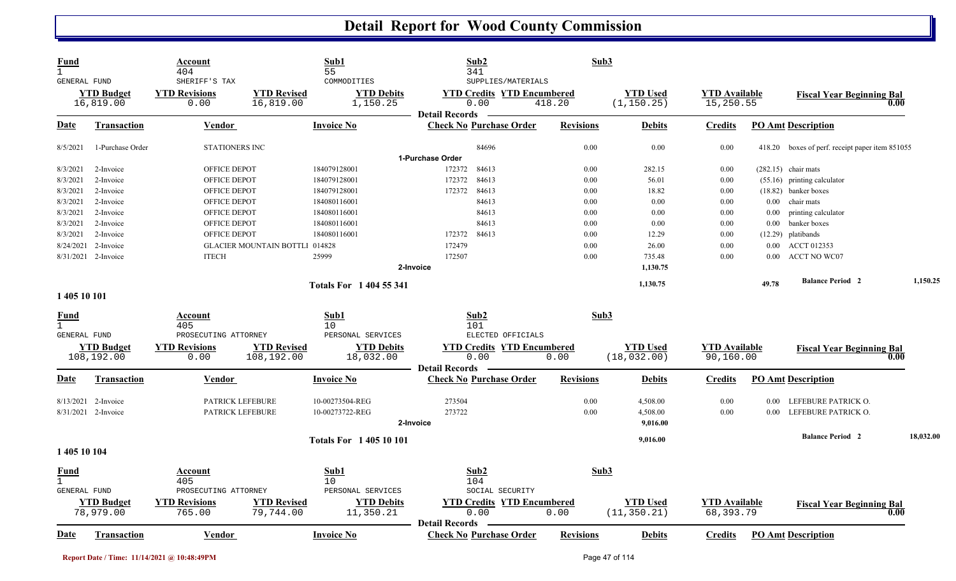| Fund<br>$\mathbf{1}$<br><b>GENERAL FUND</b> |                                | Account<br>404<br>SHERIFF'S TAX |                                       | Sub1<br>55<br>COMMODITIES     | Sub2<br>341<br>SUPPLIES/MATERIALS                       | Sub3             |                                |                                   |          |                                                 |           |
|---------------------------------------------|--------------------------------|---------------------------------|---------------------------------------|-------------------------------|---------------------------------------------------------|------------------|--------------------------------|-----------------------------------|----------|-------------------------------------------------|-----------|
|                                             | <b>YTD Budget</b><br>16,819.00 | <b>YTD Revisions</b><br>0.00    | <b>YTD Revised</b><br>16,819.00       | <b>YTD Debits</b><br>1,150.25 | <b>YTD Credits YTD Encumbered</b><br>0.00               | 418.20           | <b>YTD Used</b><br>(1, 150.25) | <b>YTD Available</b><br>15,250.55 |          | <b>Fiscal Year Beginning Bal</b><br>0.00        |           |
| <u>Date</u>                                 | <b>Transaction</b>             | <b>Vendor</b>                   |                                       | <b>Invoice No</b>             | <b>Detail Records</b><br><b>Check No Purchase Order</b> | <b>Revisions</b> | <b>Debits</b>                  | <b>Credits</b>                    |          | <b>PO Amt Description</b>                       |           |
| 8/5/2021                                    | 1-Purchase Order               | <b>STATIONERS INC</b>           |                                       |                               | 84696                                                   | 0.00             | 0.00                           | 0.00                              |          | 418.20 boxes of perf. receipt paper item 851055 |           |
|                                             |                                |                                 |                                       |                               | 1-Purchase Order                                        |                  |                                |                                   |          |                                                 |           |
| 8/3/2021                                    | 2-Invoice                      | OFFICE DEPOT                    |                                       | 184079128001                  | 84613<br>172372                                         | 0.00             | 282.15                         | 0.00                              |          | $(282.15)$ chair mats                           |           |
| 8/3/2021                                    | 2-Invoice                      | <b>OFFICE DEPOT</b>             |                                       | 184079128001                  | 172372<br>84613                                         | 0.00             | 56.01                          | 0.00                              |          | (55.16) printing calculator                     |           |
| 8/3/2021                                    | 2-Invoice                      | OFFICE DEPOT                    |                                       | 184079128001                  | 84613<br>172372                                         | 0.00             | 18.82                          | 0.00                              |          | (18.82) banker boxes                            |           |
| 8/3/2021                                    | 2-Invoice                      | <b>OFFICE DEPOT</b>             |                                       | 184080116001                  | 84613                                                   | 0.00             | 0.00                           | 0.00                              | 0.00     | chair mats                                      |           |
| 8/3/2021                                    | 2-Invoice                      | OFFICE DEPOT                    |                                       | 184080116001                  | 84613                                                   | 0.00             | 0.00                           | 0.00                              | $0.00\,$ | printing calculator                             |           |
| 8/3/2021                                    | 2-Invoice                      | OFFICE DEPOT                    |                                       | 184080116001                  | 84613                                                   | 0.00             | 0.00                           | 0.00                              | $0.00\,$ | banker boxes                                    |           |
| 8/3/2021                                    | 2-Invoice                      | OFFICE DEPOT                    |                                       | 184080116001                  | 172372<br>84613                                         | 0.00             | 12.29                          | 0.00                              | (12.29)  | platibands                                      |           |
| 8/24/2021                                   | 2-Invoice                      |                                 | <b>GLACIER MOUNTAIN BOTTLI 014828</b> |                               | 172479                                                  | 0.00             | 26.00                          | 0.00                              | $0.00\,$ | ACCT 012353                                     |           |
|                                             | 8/31/2021 2-Invoice            | <b>ITECH</b>                    |                                       | 25999                         | 172507                                                  | 0.00             | 735.48                         | 0.00                              | 0.00     | <b>ACCT NO WC07</b>                             |           |
|                                             |                                |                                 |                                       |                               | 2-Invoice                                               |                  | 1,130.75                       |                                   |          |                                                 |           |
|                                             |                                |                                 |                                       | <b>Totals For 1404 55 341</b> |                                                         |                  | 1,130.75                       |                                   | 49.78    | <b>Balance Period 2</b>                         | 1,150.25  |
| 1 405 10 101                                |                                |                                 |                                       |                               |                                                         |                  |                                |                                   |          |                                                 |           |
| <b>Fund</b>                                 |                                | Account                         |                                       | Sub1                          | Sub2                                                    | Sub3             |                                |                                   |          |                                                 |           |
| $\mathbf{1}$<br>GENERAL FUND                |                                | 405<br>PROSECUTING ATTORNEY     |                                       | 10<br>PERSONAL SERVICES       | 101<br>ELECTED OFFICIALS                                |                  |                                |                                   |          |                                                 |           |
|                                             | <b>YTD Budget</b>              | <b>YTD Revisions</b>            | <b>YTD Revised</b>                    | <b>YTD Debits</b>             | <b>YTD Credits YTD Encumbered</b>                       |                  | <b>YTD Used</b>                | <b>YTD</b> Available              |          | <b>Fiscal Year Beginning Bal</b>                |           |
|                                             | 108,192.00                     | 0.00                            | 108,192.00                            | 18,032.00                     | 0.00                                                    | 0.00             | (18, 032.00)                   | 90,160.00                         |          | 0.00                                            |           |
|                                             |                                |                                 |                                       |                               | <b>Detail Records</b>                                   |                  |                                |                                   |          |                                                 |           |
| <b>Date</b>                                 | <b>Transaction</b>             | <b>Vendor</b>                   |                                       | <b>Invoice No</b>             | <b>Check No Purchase Order</b>                          | <b>Revisions</b> | <b>Debits</b>                  | <b>Credits</b>                    |          | <b>PO</b> Amt Description                       |           |
|                                             | 8/13/2021 2-Invoice            | PATRICK LEFEBURE                |                                       | 10-00273504-REG               | 273504                                                  | 0.00             | 4,508.00                       | 0.00                              | $0.00\,$ | LEFEBURE PATRICK O.                             |           |
|                                             | 8/31/2021 2-Invoice            | PATRICK LEFEBURE                |                                       | 10-00273722-REG               | 273722                                                  | 0.00             | 4,508.00                       | 0.00                              | 0.00     | LEFEBURE PATRICK O.                             |           |
|                                             |                                |                                 |                                       |                               | 2-Invoice                                               |                  | 9,016.00                       |                                   |          |                                                 |           |
|                                             |                                |                                 |                                       | <b>Totals For 140510101</b>   |                                                         |                  | 9,016.00                       |                                   |          | <b>Balance Period 2</b>                         | 18,032.00 |
| 1 405 10 104                                |                                |                                 |                                       |                               |                                                         |                  |                                |                                   |          |                                                 |           |
| <u>Fund</u>                                 |                                | Account                         |                                       | Sub1                          | Sub2                                                    | Sub3             |                                |                                   |          |                                                 |           |
| $\mathbf{1}$                                |                                | 405                             |                                       | 10                            | 104                                                     |                  |                                |                                   |          |                                                 |           |
| <b>GENERAL FUND</b>                         |                                | PROSECUTING ATTORNEY            |                                       | PERSONAL SERVICES             | SOCIAL SECURITY                                         |                  |                                |                                   |          |                                                 |           |
|                                             | <b>YTD Budget</b>              | <b>YTD Revisions</b>            | <b>YTD Revised</b>                    | <b>YTD Debits</b>             | <b>YTD Credits YTD Encumbered</b><br>0.00               |                  | <b>YTD Used</b>                | <b>YTD Available</b>              |          | <b>Fiscal Year Beginning Bal</b>                |           |
|                                             | 78,979.00                      | 765.00                          | 79,744.00                             | 11,350.21                     |                                                         | 0.00             | (11, 350.21)                   | 68,393.79                         |          | 0.00                                            |           |
| <u>Date</u>                                 | <b>Transaction</b>             | Vendor                          |                                       | <b>Invoice No</b>             | <b>Detail Records</b><br><b>Check No Purchase Order</b> | <b>Revisions</b> | <b>Debits</b>                  | <b>Credits</b>                    |          | <b>PO Amt Description</b>                       |           |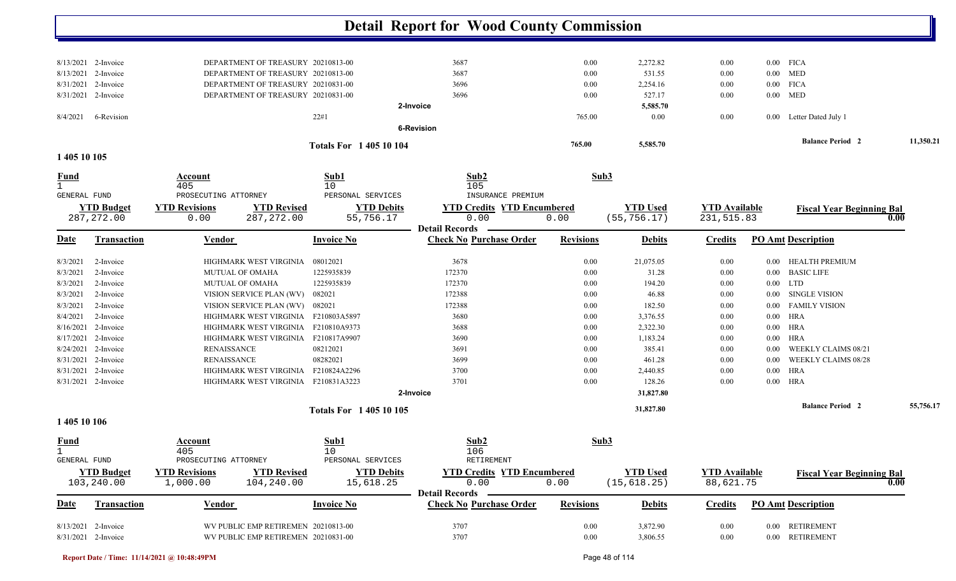|                             |                                  |                                 |                                                                     | <b>Detail Report for Wood County Commission</b>         |                  |                                 |                                    |          |                                  |           |
|-----------------------------|----------------------------------|---------------------------------|---------------------------------------------------------------------|---------------------------------------------------------|------------------|---------------------------------|------------------------------------|----------|----------------------------------|-----------|
|                             |                                  |                                 |                                                                     |                                                         |                  |                                 |                                    |          |                                  |           |
|                             | 8/13/2021 2-Invoice              |                                 | DEPARTMENT OF TREASURY 20210813-00                                  | 3687                                                    | $0.00\,$         | 2,272.82                        | 0.00                               |          | $0.00$ FICA                      |           |
|                             | 8/13/2021 2-Invoice              |                                 | DEPARTMENT OF TREASURY 20210813-00                                  | 3687                                                    | 0.00             | 531.55                          | 0.00                               |          | $0.00$ MED                       |           |
|                             | 8/31/2021 2-Invoice              |                                 | DEPARTMENT OF TREASURY 20210831-00                                  | 3696                                                    | $0.00\,$         | 2,254.16                        | 0.00                               |          | $0.00$ FICA                      |           |
|                             | 8/31/2021 2-Invoice              |                                 | DEPARTMENT OF TREASURY 20210831-00                                  | 3696                                                    | 0.00             | 527.17                          | 0.00                               |          | $0.00$ MED                       |           |
|                             |                                  |                                 |                                                                     | 2-Invoice                                               |                  | 5,585.70                        |                                    |          |                                  |           |
| 8/4/2021                    | 6-Revision                       |                                 | 22#1                                                                | <b>6-Revision</b>                                       | 765.00           | 0.00                            | 0.00                               |          | 0.00 Letter Dated July 1         |           |
|                             |                                  |                                 | <b>Totals For 140510104</b>                                         |                                                         | 765.00           | 5,585.70                        |                                    |          | <b>Balance Period 2</b>          | 11,350.21 |
| 1 405 10 105                |                                  |                                 |                                                                     |                                                         |                  |                                 |                                    |          |                                  |           |
| <u>Fund</u><br>$\mathbf{1}$ |                                  | Account<br>405                  | Sub1<br>10                                                          | Sub2<br>105                                             | Sub3             |                                 |                                    |          |                                  |           |
| GENERAL FUND                |                                  | PROSECUTING ATTORNEY            | PERSONAL SERVICES                                                   | INSURANCE PREMIUM                                       |                  |                                 |                                    |          |                                  |           |
|                             | <b>YTD Budget</b><br>287, 272.00 | <b>YTD Revisions</b><br>0.00    | <b>YTD Revised</b><br><b>YTD Debits</b><br>287, 272.00<br>55,756.17 | <b>YTD Credits YTD Encumbered</b><br>0.00               | 0.00             | <b>YTD Used</b><br>(55, 756.17) | <b>YTD Available</b><br>231,515.83 |          | <b>Fiscal Year Beginning Bal</b> | 0.00      |
| Date                        | Transaction                      | Vendor                          | <b>Invoice No</b>                                                   | <b>Detail Records</b><br><b>Check No Purchase Order</b> | <b>Revisions</b> | <b>Debits</b>                   | <b>Credits</b>                     |          | <b>PO Amt Description</b>        |           |
|                             |                                  |                                 |                                                                     |                                                         |                  |                                 |                                    |          |                                  |           |
| 8/3/2021                    | 2-Invoice                        | HIGHMARK WEST VIRGINIA          | 08012021                                                            | 3678                                                    | $0.00\,$         | 21,075.05                       | 0.00                               | $0.00\,$ | <b>HEALTH PREMIUM</b>            |           |
| 8/3/2021                    | 2-Invoice                        | MUTUAL OF OMAHA                 | 1225935839                                                          | 172370                                                  | $0.00\,$         | 31.28                           | 0.00                               | $0.00\,$ | <b>BASIC LIFE</b>                |           |
| 8/3/2021                    | 2-Invoice                        | <b>MUTUAL OF OMAHA</b>          | 1225935839                                                          | 172370                                                  | $0.00\,$         | 194.20                          | 0.00                               |          | $0.00$ LTD                       |           |
| 8/3/2021                    | 2-Invoice                        | VISION SERVICE PLAN (WV)        | 082021                                                              | 172388                                                  | $0.00\,$         | 46.88                           | $0.00\,$                           | $0.00\,$ | SINGLE VISION                    |           |
| 8/3/2021                    | 2-Invoice                        | VISION SERVICE PLAN (WV) 082021 |                                                                     | 172388                                                  | 0.00             | 182.50                          | 0.00                               | $0.00\,$ | <b>FAMILY VISION</b>             |           |
| 8/4/2021                    | 2-Invoice                        |                                 | HIGHMARK WEST VIRGINIA F210803A5897                                 | 3680                                                    | $0.00\,$         | 3,376.55                        | 0.00                               | $0.00\,$ | <b>HRA</b>                       |           |
|                             | 8/16/2021 2-Invoice              |                                 | HIGHMARK WEST VIRGINIA F210810A9373                                 | 3688                                                    | $0.00\,$         | 2,322.30                        | 0.00                               | $0.00\,$ | <b>HRA</b>                       |           |
|                             | 8/17/2021 2-Invoice              |                                 | HIGHMARK WEST VIRGINIA F210817A9907                                 | 3690                                                    | $0.00\,$         | 1,183.24                        | 0.00                               | $0.00\,$ | HRA                              |           |
| 8/24/2021                   | 2-Invoice                        | <b>RENAISSANCE</b>              | 08212021                                                            | 3691                                                    | $0.00\,$         | 385.41                          | 0.00                               | 0.00     | WEEKLY CLAIMS 08/21              |           |
|                             | 8/31/2021 2-Invoice              | <b>RENAISSANCE</b>              | 08282021                                                            | 3699                                                    | $0.00\,$         | 461.28                          | 0.00                               | 0.00     | WEEKLY CLAIMS 08/28              |           |
| 8/31/2021                   | 2-Invoice                        | HIGHMARK WEST VIRGINIA          | F210824A2296                                                        | 3700                                                    | $0.00\,$         | 2,440.85                        | 0.00                               | $0.00\,$ | <b>HRA</b>                       |           |
|                             | 8/31/2021 2-Invoice              | HIGHMARK WEST VIRGINIA          | F210831A3223                                                        | 3701                                                    | $0.00\,$         | 128.26                          | 0.00                               | $0.00\,$ | <b>HRA</b>                       |           |
|                             |                                  |                                 |                                                                     | 2-Invoice                                               |                  | 31,827.80                       |                                    |          |                                  |           |
|                             |                                  |                                 | <b>Totals For 140510105</b>                                         |                                                         |                  | 31,827.80                       |                                    |          | <b>Balance Period 2</b>          | 55,756.17 |
| 1 405 10 106                |                                  |                                 |                                                                     |                                                         |                  |                                 |                                    |          |                                  |           |
| <b>Fund</b><br>$\mathbf{1}$ |                                  | <b>Account</b><br>405           | Sub1<br>10                                                          | Sub2<br>106                                             | Sub <sub>3</sub> |                                 |                                    |          |                                  |           |
| GENERAL FUND                |                                  | PROSECUTING ATTORNEY            | PERSONAL SERVICES                                                   | RETIREMENT                                              |                  |                                 |                                    |          |                                  |           |
|                             | <b>YTD Budget</b>                | <b>YTD Revisions</b>            | <b>YTD Debits</b><br><b>YTD Revised</b>                             | <b>YTD Credits YTD Encumbered</b>                       |                  | <b>YTD Used</b>                 | <b>YTD Available</b>               |          | <b>Fiscal Year Beginning Bal</b> |           |
|                             | 103,240.00                       | 1,000.00                        | 104,240.00<br>15,618.25                                             | 0.00<br><b>Detail Records</b>                           | 0.00             | (15, 618.25)                    | 88,621.75                          |          |                                  | 0.00      |
| <b>Date</b>                 | <b>Transaction</b>               | <b>Vendor</b>                   | <b>Invoice No</b>                                                   | <b>Check No Purchase Order</b>                          | <b>Revisions</b> | <b>Debits</b>                   | <b>Credits</b>                     |          | <b>PO Amt Description</b>        |           |
|                             | 8/13/2021 2-Invoice              |                                 | WV PUBLIC EMP RETIREMEN 20210813-00                                 | 3707                                                    | $0.00\,$         | 3,872.90                        | $0.00\,$                           |          | 0.00 RETIREMENT                  |           |
|                             | 8/31/2021 2-Invoice              |                                 | WV PUBLIC EMP RETIREMEN 20210831-00                                 | 3707                                                    | $0.00\,$         | 3,806.55                        | $0.00\,$                           |          | 0.00 RETIREMENT                  |           |

**Report Date / Time: 11/14/2021 @ 10:48:49PM** Page 48 of 114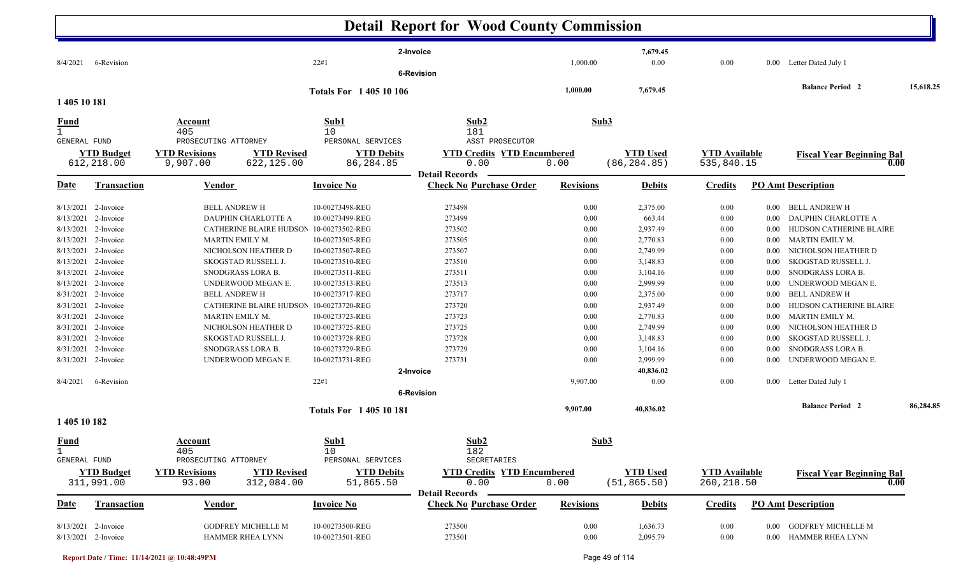|                                                                                                                                                                                                             |                                                                                                                                                                                                               |                                                                                    |                                                                                                                                                                                                                                                                             |                                                                                                                                                                                                                                                                                | <b>Detail Report for Wood County Commission</b>                                                                                                                                      |                                                                                                                                  |                                                                                                                                                                                                     |                                                                                                                              |                                                                                                                                      |                                                                                                                                                                                                                                                                                                                                                                   |           |
|-------------------------------------------------------------------------------------------------------------------------------------------------------------------------------------------------------------|---------------------------------------------------------------------------------------------------------------------------------------------------------------------------------------------------------------|------------------------------------------------------------------------------------|-----------------------------------------------------------------------------------------------------------------------------------------------------------------------------------------------------------------------------------------------------------------------------|--------------------------------------------------------------------------------------------------------------------------------------------------------------------------------------------------------------------------------------------------------------------------------|--------------------------------------------------------------------------------------------------------------------------------------------------------------------------------------|----------------------------------------------------------------------------------------------------------------------------------|-----------------------------------------------------------------------------------------------------------------------------------------------------------------------------------------------------|------------------------------------------------------------------------------------------------------------------------------|--------------------------------------------------------------------------------------------------------------------------------------|-------------------------------------------------------------------------------------------------------------------------------------------------------------------------------------------------------------------------------------------------------------------------------------------------------------------------------------------------------------------|-----------|
| 8/4/2021                                                                                                                                                                                                    | 6-Revision                                                                                                                                                                                                    |                                                                                    |                                                                                                                                                                                                                                                                             | 22#1                                                                                                                                                                                                                                                                           | 2-Invoice<br><b>6-Revision</b>                                                                                                                                                       | 1,000.00                                                                                                                         | 7,679.45<br>0.00                                                                                                                                                                                    | 0.00                                                                                                                         | $0.00\,$                                                                                                                             | Letter Dated July 1                                                                                                                                                                                                                                                                                                                                               |           |
| 1 405 10 181                                                                                                                                                                                                |                                                                                                                                                                                                               |                                                                                    |                                                                                                                                                                                                                                                                             | <b>Totals For 1 405 10 106</b>                                                                                                                                                                                                                                                 |                                                                                                                                                                                      | 1,000.00                                                                                                                         | 7,679.45                                                                                                                                                                                            |                                                                                                                              |                                                                                                                                      | <b>Balance Period 2</b>                                                                                                                                                                                                                                                                                                                                           | 15,618.25 |
| <u>Fund</u><br>$\mathbf{1}$                                                                                                                                                                                 |                                                                                                                                                                                                               | Account<br>405                                                                     |                                                                                                                                                                                                                                                                             | Sub1<br>10                                                                                                                                                                                                                                                                     | Sub2<br>181                                                                                                                                                                          |                                                                                                                                  | Sub3                                                                                                                                                                                                |                                                                                                                              |                                                                                                                                      |                                                                                                                                                                                                                                                                                                                                                                   |           |
| <b>GENERAL FUND</b>                                                                                                                                                                                         | <b>YTD Budget</b><br>612,218.00                                                                                                                                                                               | PROSECUTING ATTORNEY<br><b>YTD Revisions</b><br>9,907.00                           | <b>YTD Revised</b><br>622,125.00                                                                                                                                                                                                                                            | PERSONAL SERVICES<br><b>YTD Debits</b><br>86,284.85                                                                                                                                                                                                                            | ASST PROSECUTOR<br><b>YTD Credits YTD Encumbered</b><br>0.00                                                                                                                         | 0.00                                                                                                                             | <b>YTD Used</b><br>(86, 284.85)                                                                                                                                                                     | <b>YTD</b> Available<br>535,840.15                                                                                           |                                                                                                                                      | <b>Fiscal Year Beginning Bal</b><br>0.00                                                                                                                                                                                                                                                                                                                          |           |
| Date                                                                                                                                                                                                        | <b>Transaction</b>                                                                                                                                                                                            | Vendor                                                                             |                                                                                                                                                                                                                                                                             | <b>Invoice No</b>                                                                                                                                                                                                                                                              | <b>Detail Records</b><br><b>Check No Purchase Order</b>                                                                                                                              | <b>Revisions</b>                                                                                                                 | <b>Debits</b>                                                                                                                                                                                       | <b>Credits</b>                                                                                                               |                                                                                                                                      | <b>PO Amt Description</b>                                                                                                                                                                                                                                                                                                                                         |           |
| 8/13/2021<br>8/13/2021<br>8/13/2021<br>8/13/2021<br>8/13/2021<br>8/13/2021<br>8/13/2021<br>8/13/2021<br>8/31/2021<br>8/31/2021<br>8/31/2021<br>8/31/2021<br>8/31/2021<br>8/31/2021<br>8/31/2021<br>8/4/2021 | 2-Invoice<br>2-Invoice<br>2-Invoice<br>2-Invoice<br>2-Invoice<br>2-Invoice<br>2-Invoice<br>2-Invoice<br>2-Invoice<br>2-Invoice<br>2-Invoice<br>2-Invoice<br>2-Invoice<br>2-Invoice<br>2-Invoice<br>6-Revision | <b>BELL ANDREW H</b><br>MARTIN EMILY M.<br><b>BELL ANDREW H</b><br>MARTIN EMILY M. | DAUPHIN CHARLOTTE A<br>CATHERINE BLAIRE HUDSON 10-00273502-REG<br>NICHOLSON HEATHER D<br>SKOGSTAD RUSSELL J.<br>SNODGRASS LORA B.<br>UNDERWOOD MEGAN E.<br>CATHERINE BLAIRE HUDSON<br>NICHOLSON HEATHER D<br>SKOGSTAD RUSSELL J.<br>SNODGRASS LORA B.<br>UNDERWOOD MEGAN E. | 10-00273498-REG<br>10-00273499-REG<br>10-00273505-REG<br>10-00273507-REG<br>10-00273510-REG<br>10-00273511-REG<br>10-00273513-REG<br>10-00273717-REG<br>10-00273720-REG<br>10-00273723-REG<br>10-00273725-REG<br>10-00273728-REG<br>10-00273729-REG<br>10-00273731-REG<br>22#1 | 273498<br>273499<br>273502<br>273505<br>273507<br>273510<br>273511<br>273513<br>273717<br>273720<br>273723<br>273725<br>273728<br>273729<br>273731<br>2-Invoice<br><b>6-Revision</b> | 0.00<br>0.00<br>0.00<br>0.00<br>0.00<br>0.00<br>0.00<br>0.00<br>0.00<br>0.00<br>0.00<br>0.00<br>0.00<br>0.00<br>0.00<br>9,907.00 | 2,375.00<br>663.44<br>2,937.49<br>2,770.83<br>2,749.99<br>3,148.83<br>3,104.16<br>2,999.99<br>2,375.00<br>2,937.49<br>2,770.83<br>2,749.99<br>3,148.83<br>3,104.16<br>2,999.99<br>40,836.02<br>0.00 | 0.00<br>0.00<br>0.00<br>0.00<br>0.00<br>0.00<br>0.00<br>0.00<br>0.00<br>0.00<br>0.00<br>0.00<br>0.00<br>0.00<br>0.00<br>0.00 | $0.00\,$<br>0.00<br>0.00<br>0.00<br>0.00<br>0.00<br>0.00<br>0.00<br>0.00<br>0.00<br>0.00<br>0.00<br>0.00<br>0.00<br>0.00<br>$0.00\,$ | BELL ANDREW H<br>DAUPHIN CHARLOTTE A<br>HUDSON CATHERINE BLAIRE<br>MARTIN EMILY M.<br>NICHOLSON HEATHER D<br>SKOGSTAD RUSSELL J.<br>SNODGRASS LORA B.<br>UNDERWOOD MEGAN E.<br><b>BELL ANDREW H</b><br>HUDSON CATHERINE BLAIRE<br>MARTIN EMILY M.<br>NICHOLSON HEATHER D<br>SKOGSTAD RUSSELL J.<br>SNODGRASS LORA B.<br>UNDERWOOD MEGAN E.<br>Letter Dated July 1 |           |
| 1 405 10 182                                                                                                                                                                                                |                                                                                                                                                                                                               |                                                                                    |                                                                                                                                                                                                                                                                             | <b>Totals For 140510181</b>                                                                                                                                                                                                                                                    |                                                                                                                                                                                      | 9,907.00                                                                                                                         | 40,836.02                                                                                                                                                                                           |                                                                                                                              |                                                                                                                                      | <b>Balance Period 2</b>                                                                                                                                                                                                                                                                                                                                           | 86,284.85 |
| <u>Fund</u><br>$\mathbf 1$<br>GENERAL FUND                                                                                                                                                                  | <b>YTD Budget</b>                                                                                                                                                                                             | <b>Account</b><br>405<br>PROSECUTING ATTORNEY<br><b>YTD Revisions</b>              | <b>YTD Revised</b>                                                                                                                                                                                                                                                          | Sub1<br>10<br>PERSONAL SERVICES<br><b>YTD Debits</b>                                                                                                                                                                                                                           | Sub2<br>182<br>SECRETARIES<br><b>YTD Credits YTD Encumbered</b>                                                                                                                      |                                                                                                                                  | Sub3<br><b>YTD Used</b>                                                                                                                                                                             | <b>YTD Available</b>                                                                                                         |                                                                                                                                      | <b>Fiscal Year Beginning Bal</b>                                                                                                                                                                                                                                                                                                                                  |           |
| Date                                                                                                                                                                                                        | 311,991.00<br>Transaction                                                                                                                                                                                     | 93.00<br><b>Vendor</b>                                                             | 312,084.00                                                                                                                                                                                                                                                                  | 51,865.50<br><b>Invoice No</b>                                                                                                                                                                                                                                                 | 0.00<br><b>Detail Records</b><br><b>Check No Purchase Order</b>                                                                                                                      | 0.00<br><b>Revisions</b>                                                                                                         | (51, 865.50)<br><b>Debits</b>                                                                                                                                                                       | 260, 218.50<br><b>Credits</b>                                                                                                |                                                                                                                                      | 0.00<br><b>PO Amt Description</b>                                                                                                                                                                                                                                                                                                                                 |           |
|                                                                                                                                                                                                             | 8/13/2021 2-Invoice<br>8/13/2021 2-Invoice                                                                                                                                                                    |                                                                                    | <b>GODFREY MICHELLE M</b><br>HAMMER RHEA LYNN                                                                                                                                                                                                                               | 10-00273500-REG<br>10-00273501-REG                                                                                                                                                                                                                                             | 273500<br>273501                                                                                                                                                                     | 0.00<br>0.00                                                                                                                     | 1,636.73<br>2,095.79                                                                                                                                                                                | $0.00\,$<br>$0.00\,$                                                                                                         | $0.00\,$                                                                                                                             | <b>GODFREY MICHELLE M</b><br>0.00 HAMMER RHEA LYNN                                                                                                                                                                                                                                                                                                                |           |

**Report Date / Time: 11/14/2021 @ 10:48:49PM** Page 49 of 114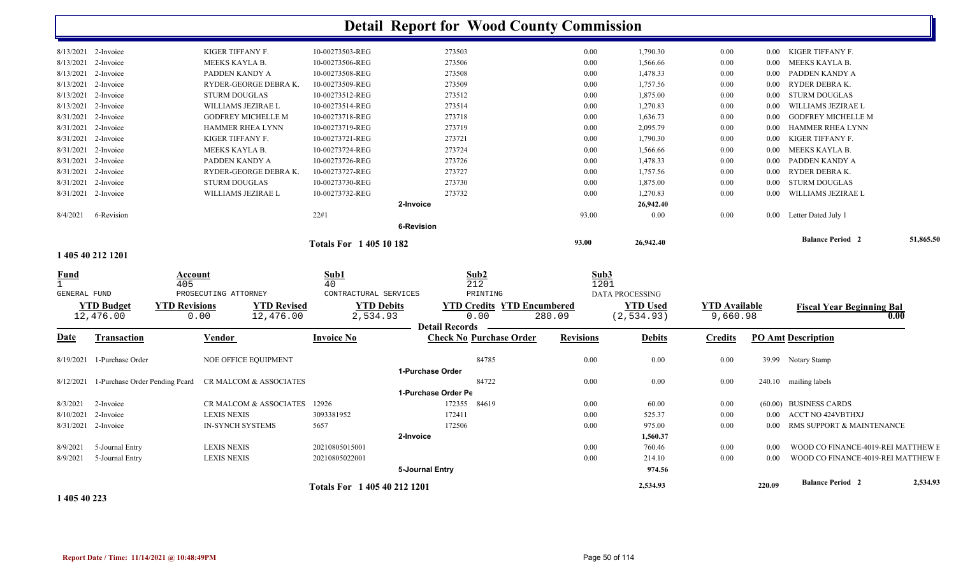|              |                                |                      |                              |                              |                   | <b>Detail Report for Wood County Commission</b> |                  |                        |                      |          |                                    |           |
|--------------|--------------------------------|----------------------|------------------------------|------------------------------|-------------------|-------------------------------------------------|------------------|------------------------|----------------------|----------|------------------------------------|-----------|
|              | 8/13/2021 2-Invoice            |                      | KIGER TIFFANY F.             | 10-00273503-REG              |                   | 273503                                          | 0.00             | 1,790.30               | 0.00                 |          | 0.00 KIGER TIFFANY F.              |           |
| 8/13/2021    | 2-Invoice                      |                      | MEEKS KAYLA B.               | 10-00273506-REG              |                   | 273506                                          | 0.00             | 1,566.66               | 0.00                 | $0.00\,$ | MEEKS KAYLA B.                     |           |
| 8/13/2021    | 2-Invoice                      |                      | PADDEN KANDY A               | 10-00273508-REG              |                   | 273508                                          | 0.00             | 1,478.33               | 0.00                 | $0.00\,$ | PADDEN KANDY A                     |           |
| 8/13/2021    | 2-Invoice                      |                      | RYDER-GEORGE DEBRAK.         | 10-00273509-REG              |                   | 273509                                          | 0.00             | 1,757.56               | 0.00                 |          | 0.00 RYDER DEBRAK.                 |           |
|              | 8/13/2021 2-Invoice            |                      | <b>STURM DOUGLAS</b>         | 10-00273512-REG              |                   | 273512                                          | 0.00             | 1,875.00               | 0.00                 | $0.00\,$ | <b>STURM DOUGLAS</b>               |           |
| 8/13/2021    | 2-Invoice                      |                      | WILLIAMS JEZIRAE L           | 10-00273514-REG              |                   | 273514                                          | 0.00             | 1,270.83               | 0.00                 | $0.00\,$ | WILLIAMS JEZIRAE L                 |           |
|              | 8/31/2021 2-Invoice            |                      | <b>GODFREY MICHELLE M</b>    | 10-00273718-REG              |                   | 273718                                          | 0.00             | 1,636.73               | 0.00                 | $0.00\,$ | <b>GODFREY MICHELLE M</b>          |           |
| 8/31/2021    | 2-Invoice                      |                      | HAMMER RHEA LYNN             | 10-00273719-REG              |                   | 273719                                          | 0.00             | 2,095.79               | 0.00                 | $0.00\,$ | HAMMER RHEA LYNN                   |           |
| 8/31/2021    | 2-Invoice                      |                      | KIGER TIFFANY F.             | 10-00273721-REG              |                   | 273721                                          | 0.00             | 1,790.30               | 0.00                 | 0.00     | KIGER TIFFANY F.                   |           |
|              | 8/31/2021 2-Invoice            |                      | MEEKS KAYLA B.               | 10-00273724-REG              |                   | 273724                                          | 0.00             | 1,566.66               | 0.00                 | $0.00\,$ | MEEKS KAYLA B.                     |           |
|              | 8/31/2021 2-Invoice            |                      | PADDEN KANDY A               | 10-00273726-REG              |                   | 273726                                          | 0.00             | 1,478.33               | 0.00                 | $0.00\,$ | PADDEN KANDY A                     |           |
| 8/31/2021    | 2-Invoice                      |                      | RYDER-GEORGE DEBRAK.         | 10-00273727-REG              |                   | 273727                                          | 0.00             | 1,757.56               | 0.00                 | 0.00     | RYDER DEBRA K.                     |           |
|              | 8/31/2021 2-Invoice            |                      | <b>STURM DOUGLAS</b>         | 10-00273730-REG              |                   | 273730                                          | 0.00             | 1,875.00               | 0.00                 | $0.00\,$ | <b>STURM DOUGLAS</b>               |           |
|              | 8/31/2021 2-Invoice            |                      | WILLIAMS JEZIRAE L           | 10-00273732-REG              |                   | 273732                                          | 0.00             | 1,270.83               | 0.00                 | $0.00\,$ | WILLIAMS JEZIRAE L                 |           |
|              |                                |                      |                              |                              | 2-Invoice         |                                                 |                  | 26,942.40              |                      |          |                                    |           |
| 8/4/2021     | 6-Revision                     |                      |                              | 22#1                         |                   |                                                 | 93.00            | $0.00\,$               | 0.00                 |          | 0.00 Letter Dated July 1           |           |
|              |                                |                      |                              |                              | <b>6-Revision</b> |                                                 |                  |                        |                      |          |                                    |           |
|              |                                |                      |                              | <b>Totals For 140510182</b>  |                   |                                                 | 93.00            | 26,942.40              |                      |          | <b>Balance Period 2</b>            | 51,865.50 |
|              | 1 405 40 212 1201              |                      |                              |                              |                   |                                                 |                  |                        |                      |          |                                    |           |
| <u>Fund</u>  |                                | Account              |                              | Sub1                         |                   | Sub2                                            | Sub3             |                        |                      |          |                                    |           |
| $\mathbf{1}$ |                                | 405                  |                              | 40                           |                   | 212                                             | 1201             |                        |                      |          |                                    |           |
| GENERAL FUND |                                |                      | PROSECUTING ATTORNEY         | CONTRACTURAL SERVICES        |                   | PRINTING                                        |                  | <b>DATA PROCESSING</b> |                      |          |                                    |           |
|              | <b>YTD Budget</b>              | <b>YTD Revisions</b> | <b>YTD Revised</b>           | <b>YTD Debits</b>            |                   | <b>YTD Credits YTD Encumbered</b><br>0.00       |                  | <b>YTD</b> Used        | <b>YTD Available</b> |          | <b>Fiscal Year Beginning Bal</b>   | 0.00      |
|              | 12,476.00                      | 0.00                 | 12,476.00                    | 2,534.93                     |                   | <b>Detail Records</b>                           | 280.09           | (2, 534.93)            | 9,660.98             |          |                                    |           |
| Date         | Transaction                    |                      | <b>Vendor</b>                | <b>Invoice No</b>            |                   | <b>Check No Purchase Order</b>                  | <b>Revisions</b> | <b>Debits</b>          | <b>Credits</b>       |          | <b>PO Amt Description</b>          |           |
|              |                                |                      |                              |                              |                   |                                                 |                  |                        |                      |          |                                    |           |
| 8/19/2021    | 1-Purchase Order               |                      | NOE OFFICE EQUIPMENT         |                              |                   | 84785                                           | 0.00             | 0.00                   | 0.00                 |          | 39.99 Notary Stamp                 |           |
|              |                                |                      |                              |                              | 1-Purchase Order  |                                                 |                  |                        |                      |          |                                    |           |
| 8/12/2021    | 1-Purchase Order Pending Pcard |                      | CR MALCOM & ASSOCIATES       |                              |                   | 84722                                           | 0.00             | 0.00                   | 0.00                 |          | 240.10 mailing labels              |           |
|              |                                |                      |                              |                              |                   | 1-Purchase Order Pe                             |                  |                        |                      |          |                                    |           |
| 8/3/2021     | 2-Invoice                      |                      | CR MALCOM & ASSOCIATES 12926 |                              |                   | 172355 84619                                    | 0.00             | 60.00                  | 0.00                 |          | (60.00) BUSINESS CARDS             |           |
| 8/10/2021    | 2-Invoice                      |                      | <b>LEXIS NEXIS</b>           | 3093381952                   |                   | 172411                                          | 0.00             | 525.37                 | 0.00                 | $0.00\,$ | ACCT NO 424VBTHXJ                  |           |
|              | 8/31/2021 2-Invoice            |                      | <b>IN-SYNCH SYSTEMS</b>      | 5657                         |                   | 172506                                          | 0.00             | 975.00                 | 0.00                 |          | 0.00 RMS SUPPORT & MAINTENANCE     |           |
|              |                                |                      |                              |                              | 2-Invoice         |                                                 |                  | 1,560.37               |                      |          |                                    |           |
| 8/9/2021     | 5-Journal Entry                |                      | <b>LEXIS NEXIS</b>           | 20210805015001               |                   |                                                 | 0.00             | 760.46                 | 0.00                 | 0.00     | WOOD CO FINANCE-4019-REI MATTHEW E |           |
| 8/9/2021     | 5-Journal Entry                |                      | <b>LEXIS NEXIS</b>           | 20210805022001               |                   |                                                 | 0.00             | 214.10                 | 0.00                 | 0.00     | WOOD CO FINANCE-4019-REI MATTHEW E |           |
|              |                                |                      |                              |                              | 5-Journal Entry   |                                                 |                  | 974.56                 |                      |          |                                    |           |
|              |                                |                      |                              | Totals For 1 405 40 212 1201 |                   |                                                 |                  | 2,534.93               |                      | 220.09   | <b>Balance Period 2</b>            | 2,534.93  |

**1 405 40 223**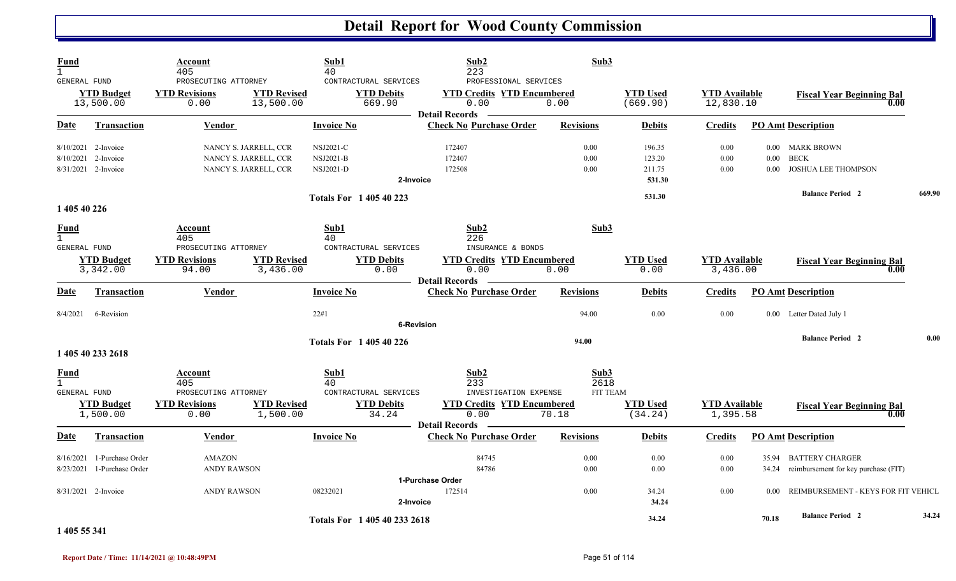| <b>Fund</b><br>$\mathbf{1}$                                        |                                                         | Account<br>405                                                          |                                                                         | Sub1<br>40                                        |                                                      | Sub2<br>223                                                                       | Sub3                  |                                        |                                   |                          |                                                                |        |
|--------------------------------------------------------------------|---------------------------------------------------------|-------------------------------------------------------------------------|-------------------------------------------------------------------------|---------------------------------------------------|------------------------------------------------------|-----------------------------------------------------------------------------------|-----------------------|----------------------------------------|-----------------------------------|--------------------------|----------------------------------------------------------------|--------|
| <b>GENERAL FUND</b>                                                | <b>YTD Budget</b><br>13,500.00                          | PROSECUTING ATTORNEY<br><b>YTD Revisions</b><br>0.00                    | <b>YTD Revised</b><br>13,500.00                                         |                                                   | CONTRACTURAL SERVICES<br><b>YTD Debits</b><br>669.90 | PROFESSIONAL SERVICES<br><b>YTD Credits YTD Encumbered</b><br>0.00                | 0.00                  | <b>YTD Used</b><br>(669.90)            | <b>YTD Available</b><br>12,830.10 |                          | <b>Fiscal Year Beginning Bal</b><br>0.00                       |        |
| Date                                                               | Transaction                                             | <b>Vendor</b>                                                           |                                                                         | <b>Invoice No</b>                                 |                                                      | <b>Detail Records</b><br><b>Check No Purchase Order</b>                           | <b>Revisions</b>      | <b>Debits</b>                          | <b>Credits</b>                    |                          | <b>PO Amt Description</b>                                      |        |
| 8/10/2021                                                          | 8/10/2021 2-Invoice<br>2-Invoice<br>8/31/2021 2-Invoice |                                                                         | NANCY S. JARRELL, CCR<br>NANCY S. JARRELL, CCR<br>NANCY S. JARRELL, CCR | <b>NSJ2021-C</b><br><b>NSJ2021-B</b><br>NSJ2021-D | 2-Invoice                                            | 172407<br>172407<br>172508                                                        | 0.00<br>0.00<br>0.00  | 196.35<br>123.20<br>211.75<br>531.30   | 0.00<br>0.00<br>0.00              | $0.00\,$<br>0.00<br>0.00 | MARK BROWN<br><b>BECK</b><br>JOSHUA LEE THOMPSON               |        |
|                                                                    |                                                         |                                                                         |                                                                         |                                                   | <b>Totals For 140540223</b>                          |                                                                                   |                       | 531.30                                 |                                   |                          | <b>Balance Period 2</b>                                        | 669.90 |
| 1 405 40 226<br><b>Fund</b><br>$\mathbf{1}$<br><b>GENERAL FUND</b> | <b>YTD Budget</b><br>3,342.00                           | Account<br>405<br>PROSECUTING ATTORNEY<br><b>YTD Revisions</b><br>94.00 | <b>YTD Revised</b><br>3,436.00                                          | Sub1<br>40                                        | CONTRACTURAL SERVICES<br><b>YTD Debits</b><br>0.00   | Sub2<br>226<br>INSURANCE & BONDS<br><b>YTD Credits YTD Encumbered</b><br>0.00     | Sub3<br>0.00          | <b>YTD Used</b><br>0.00                | <b>YTD Available</b><br>3,436.00  |                          | <b>Fiscal Year Beginning Bal</b><br>0.00                       |        |
| <b>Date</b>                                                        | <b>Transaction</b>                                      | <b>Vendor</b>                                                           |                                                                         | <b>Invoice No</b>                                 |                                                      | <b>Detail Records</b><br><b>Check No Purchase Order</b>                           | <b>Revisions</b>      | <b>Debits</b>                          | <b>Credits</b>                    |                          | <b>PO Amt Description</b>                                      |        |
| 8/4/2021                                                           | 6-Revision                                              |                                                                         |                                                                         | 22#1                                              | <b>6-Revision</b>                                    |                                                                                   | 94.00                 | 0.00                                   | 0.00                              |                          | 0.00 Letter Dated July 1                                       |        |
|                                                                    | 1 405 40 233 2618                                       |                                                                         |                                                                         |                                                   | <b>Totals For 140540226</b>                          |                                                                                   | 94.00                 |                                        |                                   |                          | <b>Balance Period 2</b>                                        | 0.00   |
| <b>Fund</b><br>$\overline{1}$<br><b>GENERAL FUND</b>               | <b>YTD Budget</b><br>1,500.00                           | Account<br>405<br>PROSECUTING ATTORNEY<br><b>YTD Revisions</b><br>0.00  | <b>YTD Revised</b><br>1,500.00                                          | Sub1<br>40                                        | CONTRACTURAL SERVICES<br><b>YTD Debits</b><br>34.24  | Sub2<br>233<br>INVESTIGATION EXPENSE<br><b>YTD Credits YTD Encumbered</b><br>0.00 | Sub3<br>2618<br>70.18 | FIT TEAM<br><b>YTD Used</b><br>(34.24) | <b>YTD Available</b><br>1,395.58  |                          | <b>Fiscal Year Beginning Bal</b><br>0.00                       |        |
| Date                                                               | <b>Transaction</b>                                      | Vendor                                                                  |                                                                         | <b>Invoice No</b>                                 |                                                      | <b>Detail Records</b><br><b>Check No Purchase Order</b>                           | <b>Revisions</b>      | <b>Debits</b>                          | <b>Credits</b>                    |                          | <b>PO Amt Description</b>                                      |        |
| 8/16/2021<br>8/23/2021                                             | 1-Purchase Order<br>1-Purchase Order                    | <b>AMAZON</b><br><b>ANDY RAWSON</b>                                     |                                                                         |                                                   |                                                      | 84745<br>84786                                                                    | 0.00<br>0.00          | 0.00<br>0.00                           | 0.00<br>0.00                      | 35.94<br>34.24           | <b>BATTERY CHARGER</b><br>reimbursement for key purchase (FIT) |        |
|                                                                    | $8/31/2021$ 2-Invoice                                   | <b>ANDY RAWSON</b>                                                      |                                                                         | 08232021                                          | 2-Invoice                                            | 1-Purchase Order<br>172514                                                        | 0.00                  | 34.24<br>34.24                         | 0.00                              | 0.00                     | REIMBURSEMENT - KEYS FOR FIT VEHICL                            |        |
| $\cdots$                                                           |                                                         |                                                                         |                                                                         |                                                   | Totals For 1 405 40 233 2618                         |                                                                                   |                       | 34.24                                  |                                   | 70.18                    | <b>Balance Period 2</b>                                        | 34.24  |

**1 405 55 341**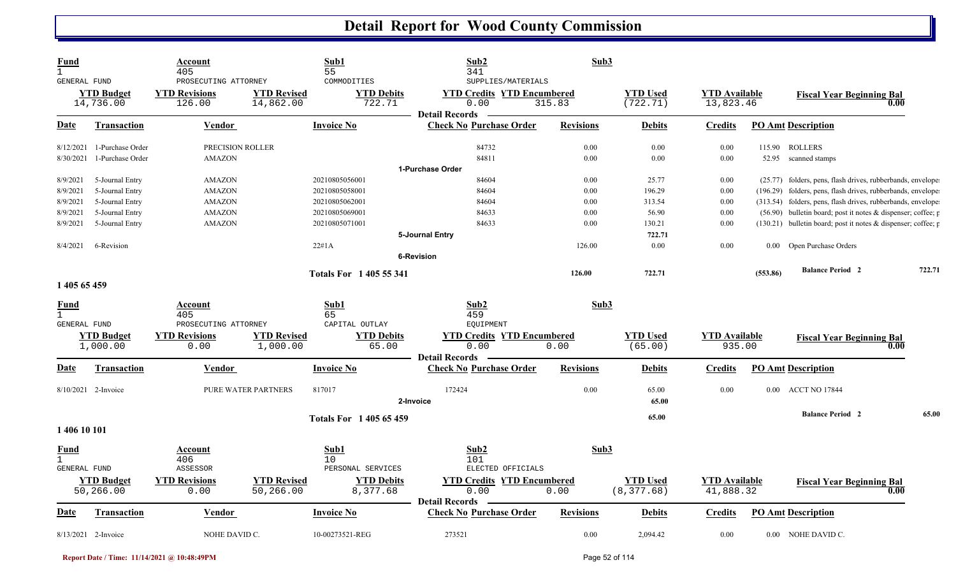| <b>Fund</b><br>$\mathbf{1}$<br><b>GENERAL FUND</b> |                                      | Account<br>405<br>PROSECUTING ATTORNEY          |                                 | Sub1<br>55<br>COMMODITIES                          | Sub2<br>341<br>SUPPLIES/MATERIALS                                  | Sub3             |                                |                                   |          |                                                               |
|----------------------------------------------------|--------------------------------------|-------------------------------------------------|---------------------------------|----------------------------------------------------|--------------------------------------------------------------------|------------------|--------------------------------|-----------------------------------|----------|---------------------------------------------------------------|
|                                                    | <b>YTD Budget</b><br>14,736.00       | <b>YTD Revisions</b><br>126.00                  | <b>YTD Revised</b><br>14,862.00 | <b>YTD Debits</b><br>722.71                        | <b>YTD Credits YTD Encumbered</b><br>0.00<br><b>Detail Records</b> | 315.83           | <b>YTD Used</b><br>(722.71)    | <b>YTD</b> Available<br>13,823.46 |          | <b>Fiscal Year Beginning Bal</b><br>0.00                      |
| Date                                               | <b>Transaction</b>                   | Vendor                                          |                                 | <b>Invoice No</b>                                  | <b>Check No Purchase Order</b>                                     | <b>Revisions</b> | <b>Debits</b>                  | <b>Credits</b>                    |          | <b>PO Amt Description</b>                                     |
| 8/12/2021<br>8/30/2021                             | 1-Purchase Order<br>1-Purchase Order | PRECISION ROLLER<br><b>AMAZON</b>               |                                 |                                                    | 84732<br>84811                                                     | 0.00<br>0.00     | 0.00<br>0.00                   | 0.00<br>0.00                      |          | 115.90 ROLLERS<br>52.95 scanned stamps                        |
|                                                    |                                      |                                                 |                                 |                                                    | 1-Purchase Order                                                   |                  |                                |                                   |          |                                                               |
| 8/9/2021                                           | 5-Journal Entry                      | <b>AMAZON</b>                                   |                                 | 20210805056001                                     | 84604                                                              | 0.00             | 25.77                          | 0.00                              |          | (25.77) folders, pens, flash drives, rubberbands, envelope    |
| 8/9/2021                                           | 5-Journal Entry                      | <b>AMAZON</b>                                   |                                 | 20210805058001                                     | 84604                                                              | 0.00             | 196.29                         | 0.00                              |          | (196.29) folders, pens, flash drives, rubberbands, envelope   |
| 8/9/2021                                           | 5-Journal Entry                      | <b>AMAZON</b>                                   |                                 | 20210805062001                                     | 84604                                                              | 0.00             | 313.54                         | 0.00                              |          | (313.54) folders, pens, flash drives, rubberbands, envelope   |
| 8/9/2021                                           | 5-Journal Entry                      | <b>AMAZON</b>                                   |                                 | 20210805069001                                     | 84633                                                              | 0.00             | 56.90                          | 0.00                              |          | (56.90) bulletin board; post it notes & dispenser; coffee; p  |
| 8/9/2021                                           | 5-Journal Entry                      | <b>AMAZON</b>                                   |                                 | 20210805071001                                     | 84633                                                              | 0.00             | 130.21                         | 0.00                              |          | (130.21) bulletin board; post it notes & dispenser; coffee; p |
|                                                    |                                      |                                                 |                                 |                                                    | 5-Journal Entry                                                    |                  | 722.71                         |                                   |          |                                                               |
| 8/4/2021                                           | 6-Revision                           |                                                 |                                 | 22#1A                                              |                                                                    | 126.00           | 0.00                           | 0.00                              |          | 0.00 Open Purchase Orders                                     |
|                                                    |                                      |                                                 |                                 |                                                    | <b>6-Revision</b>                                                  |                  |                                |                                   |          |                                                               |
|                                                    |                                      |                                                 |                                 | <b>Totals For 1405 55 341</b>                      |                                                                    | 126.00           | 722.71                         |                                   | (553.86) | <b>Balance Period 2</b><br>722.71                             |
| 1 405 65 459                                       |                                      |                                                 |                                 |                                                    |                                                                    |                  |                                |                                   |          |                                                               |
| <b>Fund</b><br>$\mathbf{1}$                        |                                      | Account<br>405                                  |                                 | Sub1<br>65                                         | Sub2<br>459                                                        | Sub3             |                                |                                   |          |                                                               |
| <b>GENERAL FUND</b>                                |                                      | PROSECUTING ATTORNEY                            |                                 | CAPITAL OUTLAY                                     | <b>EOUIPMENT</b>                                                   |                  |                                |                                   |          |                                                               |
|                                                    | <b>YTD Budget</b><br>1,000.00        | <b>YTD Revisions</b><br>0.00                    | <b>YTD Revised</b><br>1,000.00  | <b>YTD Debits</b><br>65.00                         | <b>YTD Credits YTD Encumbered</b><br>0.00                          | 0.00             | <b>YTD Used</b><br>(65.00)     | <b>YTD Available</b><br>935.00    |          | <b>Fiscal Year Beginning Bal</b><br>0.00                      |
|                                                    |                                      |                                                 |                                 |                                                    | <b>Detail Records</b>                                              |                  |                                |                                   |          |                                                               |
| Date                                               | Transaction                          | Vendor                                          |                                 | <b>Invoice No</b>                                  | <b>Check No Purchase Order</b>                                     | <b>Revisions</b> | <b>Debits</b>                  | <b>Credits</b>                    |          | <b>PO Amt Description</b>                                     |
|                                                    | 8/10/2021 2-Invoice                  |                                                 | PURE WATER PARTNERS             | 817017                                             | 172424<br>2-Invoice                                                | 0.00             | 65.00<br>65.00                 | 0.00                              |          | 0.00 ACCT NO 17844                                            |
|                                                    |                                      |                                                 |                                 | <b>Totals For 140565459</b>                        |                                                                    |                  | 65.00                          |                                   |          | 65.00<br><b>Balance Period 2</b>                              |
| 1 406 10 101                                       |                                      |                                                 |                                 |                                                    |                                                                    |                  |                                |                                   |          |                                                               |
| <u>Fund</u><br>$\mathbf{1}$                        |                                      | Account<br>406                                  |                                 | Sub1<br>10                                         | Sub2<br>101                                                        | Sub3             |                                |                                   |          |                                                               |
| <b>GENERAL FUND</b>                                | <b>YTD Budget</b><br>50,266.00       | <b>ASSESSOR</b><br><b>YTD Revisions</b><br>0.00 | <b>YTD Revised</b><br>50,266.00 | PERSONAL SERVICES<br><b>YTD Debits</b><br>8,377.68 | ELECTED OFFICIALS<br><b>YTD Credits YTD Encumbered</b><br>0.00     | 0.00             | <b>YTD Used</b><br>(8, 377.68) | <b>YTD Available</b><br>41,888.32 |          | <b>Fiscal Year Beginning Bal</b><br>0.00                      |
| Date                                               | <b>Transaction</b>                   | <b>Vendor</b>                                   |                                 | <b>Invoice No</b>                                  | <b>Detail Records</b><br><b>Check No Purchase Order</b>            | <b>Revisions</b> | <b>Debits</b>                  | Credits                           |          | <b>PO Amt Description</b>                                     |
|                                                    | 8/13/2021 2-Invoice                  | NOHE DAVID C.                                   |                                 | 10-00273521-REG                                    | 273521                                                             | 0.00             | 2,094.42                       | 0.00                              |          | 0.00 NOHE DAVID C.                                            |

**Report Date / Time: 11/14/2021 @ 10:48:49PM** Page 52 of 114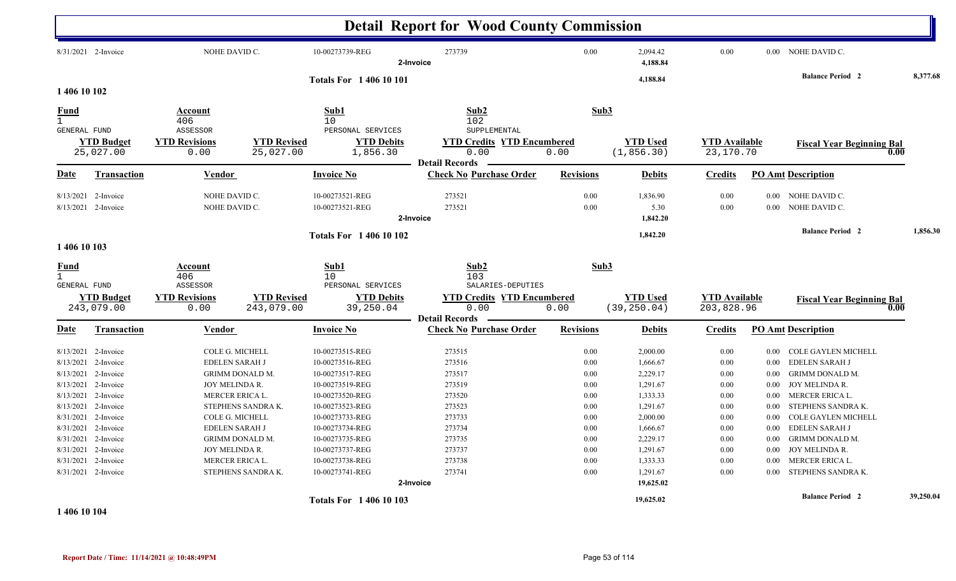|                                     |                                |                              |                                 |                               | <b>Detail Report for Wood County Commission</b>         |                  |                                |                                   |          |                                  |           |
|-------------------------------------|--------------------------------|------------------------------|---------------------------------|-------------------------------|---------------------------------------------------------|------------------|--------------------------------|-----------------------------------|----------|----------------------------------|-----------|
|                                     | 8/31/2021 2-Invoice            | NOHE DAVID C.                |                                 | 10-00273739-REG               | 273739<br>2-Invoice                                     | $0.00\,$         | 2,094.42<br>4,188.84           | 0.00                              |          | 0.00 NOHE DAVID C.               |           |
|                                     |                                |                              |                                 | <b>Totals For 140610101</b>   |                                                         |                  | 4,188.84                       |                                   |          | <b>Balance Period 2</b>          | 8,377.68  |
| 1 406 10 102                        |                                |                              |                                 |                               |                                                         |                  |                                |                                   |          |                                  |           |
| <u>Fund</u>                         |                                | Account                      |                                 | Sub1                          | Sub2                                                    | Sub3             |                                |                                   |          |                                  |           |
| $\mathbf{1}$<br><b>GENERAL FUND</b> |                                | 406<br>ASSESSOR              |                                 | 10<br>PERSONAL SERVICES       | 102<br>SUPPLEMENTAL                                     |                  |                                |                                   |          |                                  |           |
|                                     | <b>YTD Budget</b><br>25,027.00 | <b>YTD Revisions</b><br>0.00 | <b>YTD Revised</b><br>25,027.00 | <b>YTD Debits</b><br>1,856.30 | <b>YTD Credits YTD Encumbered</b><br>0.00               | 0.00             | <b>YTD</b> Used<br>(1, 856.30) | <b>YTD Available</b><br>23,170.70 |          | <b>Fiscal Year Beginning Bal</b> | 0.00      |
|                                     |                                |                              |                                 |                               | <b>Detail Records</b>                                   |                  |                                |                                   |          |                                  |           |
| Date                                | <b>Transaction</b>             | Vendor                       |                                 | <b>Invoice No</b>             | <b>Check No Purchase Order</b>                          | <b>Revisions</b> | <b>Debits</b>                  | <b>Credits</b>                    |          | <b>PO Amt Description</b>        |           |
|                                     | 8/13/2021 2-Invoice            | NOHE DAVID C.                |                                 | 10-00273521-REG               | 273521                                                  | 0.00             | 1,836.90                       | 0.00                              | $0.00\,$ | NOHE DAVID C.                    |           |
|                                     | 8/13/2021 2-Invoice            | NOHE DAVID C.                |                                 | 10-00273521-REG               | 273521<br>2-Invoice                                     | 0.00             | 5.30<br>1,842.20               | 0.00                              | 0.00     | NOHE DAVID C.                    |           |
|                                     |                                |                              |                                 |                               |                                                         |                  |                                |                                   |          | <b>Balance Period 2</b>          | 1,856.30  |
| 1 406 10 103                        |                                |                              |                                 | <b>Totals For 140610102</b>   |                                                         |                  | 1,842.20                       |                                   |          |                                  |           |
| <u>Fund</u><br>$\mathbf{1}$         |                                | Account<br>406               |                                 | Sub1<br>10                    | Sub2<br>103                                             | Sub3             |                                |                                   |          |                                  |           |
| <b>GENERAL FUND</b>                 |                                | ASSESSOR                     |                                 | PERSONAL SERVICES             | SALARIES-DEPUTIES                                       |                  |                                |                                   |          |                                  |           |
|                                     | <b>YTD Budget</b>              | <b>YTD Revisions</b>         | <b>YTD Revised</b>              | <b>YTD Debits</b>             | <b>YTD Credits YTD Encumbered</b>                       |                  | <b>YTD Used</b>                | <b>YTD Available</b>              |          | <b>Fiscal Year Beginning Bal</b> |           |
|                                     | 243,079.00                     | 0.00                         | 243,079.00                      | 39,250.04                     | 0.00                                                    | 0.00             | (39, 250.04)                   | 203,828.96                        |          |                                  | 0.00      |
| Date                                | <b>Transaction</b>             | <b>Vendor</b>                |                                 | <b>Invoice No</b>             | <b>Detail Records</b><br><b>Check No Purchase Order</b> | <b>Revisions</b> | <b>Debits</b>                  | <b>Credits</b>                    |          | <b>PO Amt Description</b>        |           |
|                                     | 8/13/2021 2-Invoice            | COLE G. MICHELL              |                                 | 10-00273515-REG               | 273515                                                  | 0.00             | 2,000.00                       | 0.00                              |          | 0.00 COLE GAYLEN MICHELL         |           |
| 8/13/2021                           | 2-Invoice                      | <b>EDELEN SARAH J</b>        |                                 | 10-00273516-REG               | 273516                                                  | 0.00             | 1,666.67                       | 0.00                              | 0.00     | EDELEN SARAH J                   |           |
| 8/13/2021                           | 2-Invoice                      |                              | <b>GRIMM DONALD M.</b>          | 10-00273517-REG               | 273517                                                  | 0.00             | 2,229.17                       | 0.00                              | 0.00     | <b>GRIMM DONALD M.</b>           |           |
|                                     | 8/13/2021 2-Invoice            | JOY MELINDA R.               |                                 | 10-00273519-REG               | 273519                                                  | 0.00             | 1,291.67                       | 0.00                              | $0.00\,$ | JOY MELINDA R.                   |           |
| 8/13/2021                           | 2-Invoice                      | <b>MERCER ERICA L</b>        |                                 | 10-00273520-REG               | 273520                                                  | 0.00             | 1,333.33                       | 0.00                              | $0.00\,$ | MERCER ERICA L.                  |           |
| 8/13/2021                           | 2-Invoice                      |                              | STEPHENS SANDRA K.              | 10-00273523-REG               | 273523                                                  | 0.00             | 1,291.67                       | 0.00                              | 0.00     | STEPHENS SANDRA K.               |           |
|                                     | 8/31/2021 2-Invoice            | COLE G. MICHELL              |                                 | 10-00273733-REG               | 273733                                                  | 0.00             | 2,000.00                       | 0.00                              | 0.00     | COLE GAYLEN MICHELL              |           |
| 8/31/2021                           | 2-Invoice                      | EDELEN SARAH J               |                                 | 10-00273734-REG               | 273734                                                  | 0.00             | 1,666.67                       | 0.00                              | 0.00     | <b>EDELEN SARAH J</b>            |           |
| 8/31/2021                           | 2-Invoice                      |                              | <b>GRIMM DONALD M.</b>          | 10-00273735-REG               | 273735                                                  | 0.00             | 2,229.17                       | 0.00                              | 0.00     | <b>GRIMM DONALD M.</b>           |           |
| 8/31/2021                           | 2-Invoice                      | JOY MELINDA R.               |                                 | 10-00273737-REG               | 273737                                                  | 0.00             | 1,291.67                       | 0.00                              | $0.00\,$ | JOY MELINDA R.                   |           |
| 8/31/2021                           | 2-Invoice                      | MERCER ERICA L.              |                                 | 10-00273738-REG               | 273738                                                  | 0.00             | 1,333.33                       | 0.00                              | 0.00     | MERCER ERICA L.                  |           |
|                                     | 8/31/2021 2-Invoice            |                              | STEPHENS SANDRA K.              | 10-00273741-REG               | 273741                                                  | 0.00             | 1,291.67                       | 0.00                              | 0.00     | STEPHENS SANDRA K.               |           |
|                                     |                                |                              |                                 |                               | 2-Invoice                                               |                  | 19,625.02                      |                                   |          |                                  |           |
|                                     |                                |                              |                                 | <b>Totals For 140610103</b>   |                                                         |                  | 19,625.02                      |                                   |          | <b>Balance Period 2</b>          | 39,250.04 |

**1 406 10 104**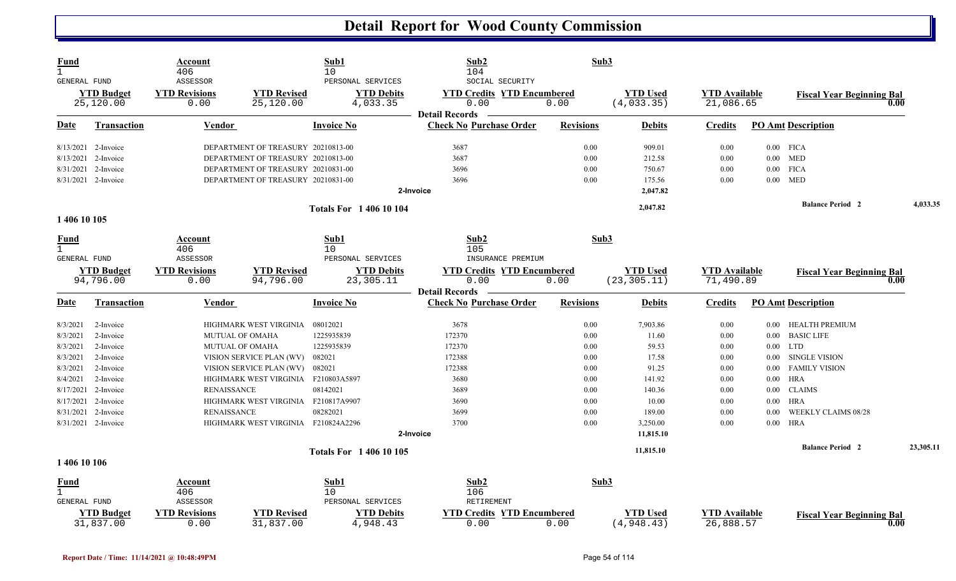| <b>Fund</b><br>$\mathbf{1}$<br>GENERAL FUND |                                | Account<br>406<br>ASSESSOR   |                                     | Sub1<br>10<br>PERSONAL SERVICES | Sub2<br>104<br>SOCIAL SECURITY                                     | Sub3             |                                |                                   |          |                                  |      |           |
|---------------------------------------------|--------------------------------|------------------------------|-------------------------------------|---------------------------------|--------------------------------------------------------------------|------------------|--------------------------------|-----------------------------------|----------|----------------------------------|------|-----------|
|                                             | <b>YTD Budget</b><br>25,120.00 | <b>YTD Revisions</b><br>0.00 | <b>YTD Revised</b><br>25,120.00     | <b>YTD Debits</b><br>4,033.35   | <b>YTD Credits YTD Encumbered</b><br>0.00<br><b>Detail Records</b> | 0.00             | <b>YTD Used</b><br>(4, 033.35) | <b>YTD Available</b><br>21,086.65 |          | <b>Fiscal Year Beginning Bal</b> | 0.00 |           |
| Date                                        | <b>Transaction</b>             | <b>Vendor</b>                |                                     | <b>Invoice No</b>               | <b>Check No Purchase Order</b>                                     | <b>Revisions</b> | <b>Debits</b>                  | <b>Credits</b>                    |          | <b>PO Amt Description</b>        |      |           |
|                                             | 8/13/2021 2-Invoice            |                              | DEPARTMENT OF TREASURY 20210813-00  |                                 | 3687                                                               | 0.00             | 909.01                         | 0.00                              |          | $0.00$ FICA                      |      |           |
| 8/13/2021                                   | 2-Invoice                      |                              | DEPARTMENT OF TREASURY 20210813-00  |                                 | 3687                                                               | 0.00             | 212.58                         | 0.00                              | $0.00\,$ | <b>MED</b>                       |      |           |
|                                             | 8/31/2021 2-Invoice            |                              | DEPARTMENT OF TREASURY 20210831-00  |                                 | 3696                                                               | 0.00             | 750.67                         | 0.00                              |          | $0.00$ FICA                      |      |           |
|                                             | 8/31/2021 2-Invoice            |                              | DEPARTMENT OF TREASURY 20210831-00  |                                 | 3696                                                               | 0.00             | 175.56                         | 0.00                              |          | $0.00$ MED                       |      |           |
|                                             |                                |                              |                                     |                                 | 2-Invoice                                                          |                  | 2,047.82                       |                                   |          |                                  |      |           |
|                                             |                                |                              |                                     | <b>Totals For 140610104</b>     |                                                                    |                  | 2,047.82                       |                                   |          | <b>Balance Period 2</b>          |      | 4,033.35  |
| 1 406 10 105                                |                                |                              |                                     |                                 |                                                                    |                  |                                |                                   |          |                                  |      |           |
| <u>Fund</u><br>$\mathbf{1}$                 |                                | Account<br>406               |                                     | Sub1<br>10                      | Sub2<br>105                                                        | Sub3             |                                |                                   |          |                                  |      |           |
| <b>GENERAL FUND</b>                         |                                | ASSESSOR                     |                                     | PERSONAL SERVICES               | INSURANCE PREMIUM                                                  |                  |                                |                                   |          |                                  |      |           |
|                                             | <b>YTD Budget</b>              | <b>YTD Revisions</b>         | <b>YTD Revised</b>                  | <b>YTD Debits</b>               | <b>YTD Credits YTD Encumbered</b>                                  |                  | <b>YTD Used</b>                | <b>YTD</b> Available              |          | <b>Fiscal Year Beginning Bal</b> |      |           |
|                                             | 94,796.00                      | 0.00                         | 94,796.00                           | 23,305.11                       | 0.00<br><b>Detail Records</b>                                      | 0.00             | (23, 305.11)                   | 71,490.89                         |          |                                  | 0.00 |           |
| Date                                        | <b>Transaction</b>             | Vendor                       |                                     | Invoice No                      | <b>Check No Purchase Order</b>                                     | <b>Revisions</b> | <b>Debits</b>                  | <b>Credits</b>                    |          | <b>PO Amt Description</b>        |      |           |
| 8/3/2021                                    | 2-Invoice                      |                              | HIGHMARK WEST VIRGINIA              | 08012021                        | 3678                                                               | 0.00             | 7,903.86                       | 0.00                              | $0.00\,$ | HEALTH PREMIUM                   |      |           |
| 8/3/2021                                    | 2-Invoice                      |                              | <b>MUTUAL OF OMAHA</b>              | 1225935839                      | 172370                                                             | 0.00             | 11.60                          | 0.00                              | $0.00\,$ | <b>BASIC LIFE</b>                |      |           |
| 8/3/2021                                    | 2-Invoice                      |                              | MUTUAL OF OMAHA                     | 1225935839                      | 172370                                                             | 0.00             | 59.53                          | 0.00                              |          | $0.00$ LTD                       |      |           |
| 8/3/2021                                    | 2-Invoice                      |                              | VISION SERVICE PLAN (WV)            | 082021                          | 172388                                                             | 0.00             | 17.58                          | 0.00                              | $0.00\,$ | <b>SINGLE VISION</b>             |      |           |
| 8/3/2021                                    | 2-Invoice                      |                              | VISION SERVICE PLAN (WV)            | 082021                          | 172388                                                             | 0.00             | 91.25                          | 0.00                              | 0.00     | <b>FAMILY VISION</b>             |      |           |
| 8/4/2021                                    | 2-Invoice                      |                              | HIGHMARK WEST VIRGINIA F210803A5897 |                                 | 3680                                                               | 0.00             | 141.92                         | 0.00                              | $0.00\,$ | <b>HRA</b>                       |      |           |
|                                             | 8/17/2021 2-Invoice            | <b>RENAISSANCE</b>           |                                     | 08142021                        | 3689                                                               | 0.00             | 140.36                         | 0.00                              | $0.00\,$ | <b>CLAIMS</b>                    |      |           |
| 8/17/2021                                   | 2-Invoice                      |                              | HIGHMARK WEST VIRGINIA F210817A9907 |                                 | 3690                                                               | 0.00             | 10.00                          | 0.00                              | 0.00     | <b>HRA</b>                       |      |           |
|                                             | 8/31/2021 2-Invoice            | <b>RENAISSANCE</b>           |                                     | 08282021                        | 3699                                                               | 0.00             | 189.00                         | 0.00                              | 0.00     | WEEKLY CLAIMS 08/28              |      |           |
|                                             | 8/31/2021 2-Invoice            |                              | HIGHMARK WEST VIRGINIA F210824A2296 |                                 | 3700                                                               | 0.00             | 3,250.00                       | 0.00                              |          | $0.00$ HRA                       |      |           |
|                                             |                                |                              |                                     |                                 | 2-Invoice                                                          |                  | 11,815.10                      |                                   |          |                                  |      |           |
|                                             |                                |                              |                                     | <b>Totals For 140610105</b>     |                                                                    |                  | 11,815.10                      |                                   |          | <b>Balance Period 2</b>          |      | 23,305.11 |
| 1 406 10 106                                |                                |                              |                                     |                                 |                                                                    |                  |                                |                                   |          |                                  |      |           |
| <b>Fund</b>                                 |                                | Account                      |                                     | Sub1                            | Sub2                                                               | Sub3             |                                |                                   |          |                                  |      |           |
| $\mathbf{1}$                                |                                | 406                          |                                     | 10                              | 106                                                                |                  |                                |                                   |          |                                  |      |           |
| GENERAL FUND                                |                                | ASSESSOR                     |                                     | PERSONAL SERVICES               | RETIREMENT                                                         |                  |                                |                                   |          |                                  |      |           |
|                                             | <b>YTD Budget</b><br>31,837.00 | <b>YTD Revisions</b><br>0.00 | <b>YTD Revised</b><br>31,837.00     | <b>YTD Debits</b><br>4,948.43   | <b>YTD Credits YTD Encumbered</b><br>0.00                          | 0.00             | <b>YTD</b> Used<br>(4,948.43)  | <b>YTD Available</b><br>26,888.57 |          | <b>Fiscal Year Beginning Bal</b> | 0.00 |           |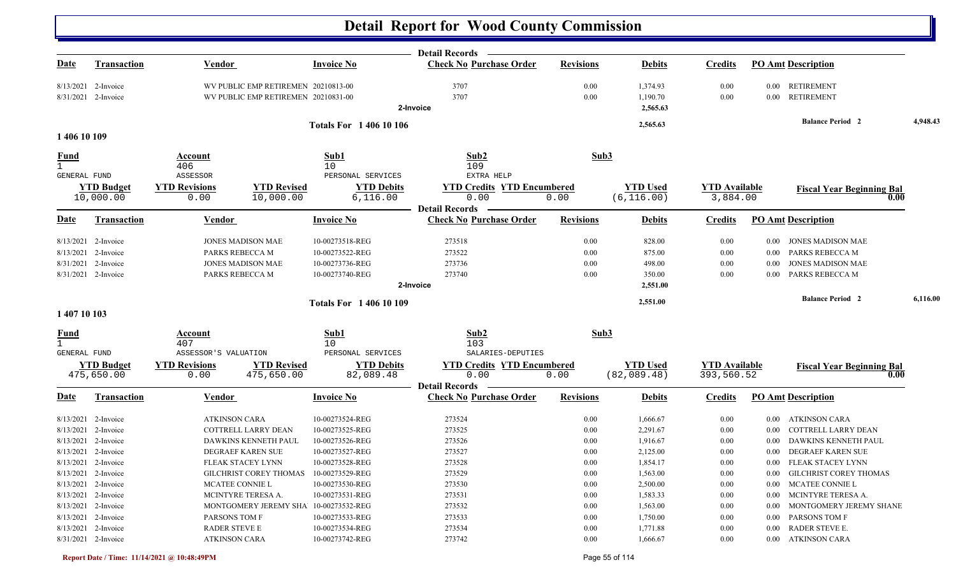|                                    |                                 |                                  |                                        |                                        | <b>Detail Records</b>                                   |                  |                                |                                    |          |                                          |          |
|------------------------------------|---------------------------------|----------------------------------|----------------------------------------|----------------------------------------|---------------------------------------------------------|------------------|--------------------------------|------------------------------------|----------|------------------------------------------|----------|
| <u>Date</u>                        | <b>Transaction</b>              | <b>Vendor</b>                    |                                        | <b>Invoice No</b>                      | <b>Check No Purchase Order</b>                          | <b>Revisions</b> | <b>Debits</b>                  | <b>Credits</b>                     |          | <b>PO Amt Description</b>                |          |
|                                    | 8/13/2021 2-Invoice             |                                  | WV PUBLIC EMP RETIREMEN 20210813-00    |                                        | 3707                                                    | 0.00             | 1,374.93                       | 0.00                               | $0.00\,$ | <b>RETIREMENT</b>                        |          |
|                                    | 8/31/2021 2-Invoice             |                                  | WV PUBLIC EMP RETIREMEN 20210831-00    |                                        | 3707                                                    | 0.00             | 1,190.70                       | 0.00                               | 0.00     | <b>RETIREMENT</b>                        |          |
|                                    |                                 |                                  |                                        |                                        | 2-Invoice                                               |                  | 2,565.63                       |                                    |          |                                          |          |
|                                    |                                 |                                  |                                        | <b>Totals For 140610106</b>            |                                                         |                  | 2,565.63                       |                                    |          | <b>Balance Period 2</b>                  | 4,948.43 |
| 1 406 10 109                       |                                 |                                  |                                        |                                        |                                                         |                  |                                |                                    |          |                                          |          |
| <b>Fund</b><br><b>GENERAL FUND</b> |                                 | Account<br>406                   |                                        | Sub1<br>10                             | Sub2<br>109<br>EXTRA HELP                               | Sub3             |                                |                                    |          |                                          |          |
|                                    | <b>YTD Budget</b>               | ASSESSOR<br><b>YTD Revisions</b> | <b>YTD Revised</b>                     | PERSONAL SERVICES<br><b>YTD Debits</b> | <b>YTD Credits YTD Encumbered</b>                       |                  | <b>YTD Used</b>                | <b>YTD</b> Available               |          |                                          |          |
|                                    | 10,000.00                       | 0.00                             | 10,000.00                              | 6,116.00                               | 0.00                                                    | 0.00             | (6, 116.00)                    | 3,884.00                           |          | <b>Fiscal Year Beginning Bal</b><br>0.00 |          |
|                                    |                                 |                                  |                                        |                                        | <b>Detail Records</b>                                   |                  |                                |                                    |          |                                          |          |
| Date                               | <b>Transaction</b>              | Vendor                           |                                        | <b>Invoice No</b>                      | <b>Check No Purchase Order</b>                          | <b>Revisions</b> | <b>Debits</b>                  | <b>Credits</b>                     |          | <b>PO Amt Description</b>                |          |
|                                    | 8/13/2021 2-Invoice             |                                  | <b>JONES MADISON MAE</b>               | 10-00273518-REG                        | 273518                                                  | 0.00             | 828.00                         | 0.00                               | $0.00\,$ | JONES MADISON MAE                        |          |
|                                    | 8/13/2021 2-Invoice             | PARKS REBECCA M                  |                                        | 10-00273522-REG                        | 273522                                                  | 0.00             | 875.00                         | 0.00                               | $0.00\,$ | PARKS REBECCA M                          |          |
|                                    | 8/31/2021 2-Invoice             |                                  | <b>JONES MADISON MAE</b>               | 10-00273736-REG                        | 273736                                                  | 0.00             | 498.00                         | 0.00                               | 0.00     | <b>JONES MADISON MAE</b>                 |          |
|                                    | 8/31/2021 2-Invoice             | PARKS REBECCA M                  |                                        | 10-00273740-REG                        | 273740                                                  | 0.00             | 350.00                         | 0.00                               | 0.00     | PARKS REBECCA M                          |          |
|                                    |                                 |                                  |                                        |                                        | 2-Invoice                                               |                  | 2,551.00                       |                                    |          |                                          |          |
|                                    |                                 |                                  |                                        | <b>Totals For 140610109</b>            |                                                         |                  | 2,551.00                       |                                    |          | <b>Balance Period 2</b>                  | 6,116.00 |
| 1 407 10 103                       |                                 |                                  |                                        |                                        |                                                         |                  |                                |                                    |          |                                          |          |
| <u>Fund</u>                        |                                 | Account                          |                                        | Sub1                                   | Sub2                                                    | Sub3             |                                |                                    |          |                                          |          |
| $\mathbf{1}$                       |                                 | 407                              |                                        | 10                                     | 103                                                     |                  |                                |                                    |          |                                          |          |
| GENERAL FUND                       |                                 | ASSESSOR'S VALUATION             |                                        | PERSONAL SERVICES                      | SALARIES-DEPUTIES                                       |                  |                                |                                    |          |                                          |          |
|                                    | <b>YTD Budget</b><br>475,650.00 | <b>YTD Revisions</b><br>0.00     | <b>YTD Revised</b><br>475,650.00       | <b>YTD Debits</b><br>82,089.48         | <b>YTD Credits YTD Encumbered</b><br>0.00               | 0.00             | <b>YTD Used</b><br>(82,089.48) | <b>YTD Available</b><br>393,560.52 |          | <b>Fiscal Year Beginning Bal</b><br>0.00 |          |
| Date                               | <b>Transaction</b>              | Vendor                           |                                        | <b>Invoice No</b>                      | <b>Detail Records</b><br><b>Check No Purchase Order</b> | <b>Revisions</b> | <b>Debits</b>                  | <b>Credits</b>                     |          | <b>PO Amt Description</b>                |          |
|                                    |                                 |                                  |                                        |                                        |                                                         |                  |                                |                                    |          |                                          |          |
|                                    | $8/13/2021$ 2-Invoice           | <b>ATKINSON CARA</b>             |                                        | 10-00273524-REG                        | 273524                                                  | 0.00             | 1,666.67                       | 0.00                               | $0.00\,$ | ATKINSON CARA                            |          |
|                                    | 8/13/2021 2-Invoice             |                                  | COTTRELL LARRY DEAN                    | 10-00273525-REG                        | 273525                                                  | 0.00             | 2,291.67                       | 0.00                               | 0.00     | COTTRELL LARRY DEAN                      |          |
|                                    | 8/13/2021 2-Invoice             |                                  | DAWKINS KENNETH PAUL                   | 10-00273526-REG                        | 273526                                                  | 0.00             | 1,916.67                       | 0.00                               | 0.00     | DAWKINS KENNETH PAUL                     |          |
|                                    | 8/13/2021 2-Invoice             |                                  | DEGRAEF KAREN SUE                      | 10-00273527-REG                        | 273527                                                  | 0.00             | 2,125.00                       | 0.00                               | 0.00     | DEGRAEF KAREN SUE                        |          |
|                                    | 8/13/2021 2-Invoice             |                                  | FLEAK STACEY LYNN                      | 10-00273528-REG                        | 273528                                                  | 0.00             | 1,854.17                       | 0.00                               |          | 0.00 FLEAK STACEY LYNN                   |          |
|                                    | 8/13/2021 2-Invoice             |                                  | GILCHRIST COREY THOMAS 10-00273529-REG |                                        | 273529                                                  | $0.00\,$         | 1,563.00                       | $0.00\,$                           |          | 0.00 GILCHRIST COREY THOMAS              |          |
|                                    | 8/13/2021 2-Invoice             | MCATEE CONNIE L                  |                                        | 10-00273530-REG                        | 273530                                                  | 0.00             | 2,500.00                       | 0.00                               |          | 0.00 MCATEE CONNIE L                     |          |
|                                    | 8/13/2021 2-Invoice             |                                  | MCINTYRE TERESA A.                     | 10-00273531-REG                        | 273531                                                  | 0.00             | 1,583.33                       | $0.00\,$                           | $0.00\,$ | MCINTYRE TERESA A.                       |          |
|                                    | 8/13/2021 2-Invoice             |                                  | MONTGOMERY JEREMY SHA 10-00273532-REG  |                                        | 273532                                                  | 0.00             | 1,563.00                       | 0.00                               | $0.00\,$ | MONTGOMERY JEREMY SHANE                  |          |
|                                    | 8/13/2021 2-Invoice             | PARSONS TOM F                    |                                        | 10-00273533-REG                        | 273533                                                  | 0.00             | 1,750.00                       | $0.00\,$                           | $0.00\,$ | <b>PARSONS TOM F</b>                     |          |
|                                    | 8/13/2021 2-Invoice             | RADER STEVE E                    |                                        | 10-00273534-REG                        | 273534                                                  | 0.00             | 1,771.88                       | 0.00                               | $0.00\,$ | RADER STEVE E.                           |          |
|                                    | 8/31/2021 2-Invoice             | <b>ATKINSON CARA</b>             |                                        | 10-00273742-REG                        | 273742                                                  | 0.00             | 1,666.67                       | $0.00\,$                           |          | 0.00 ATKINSON CARA                       |          |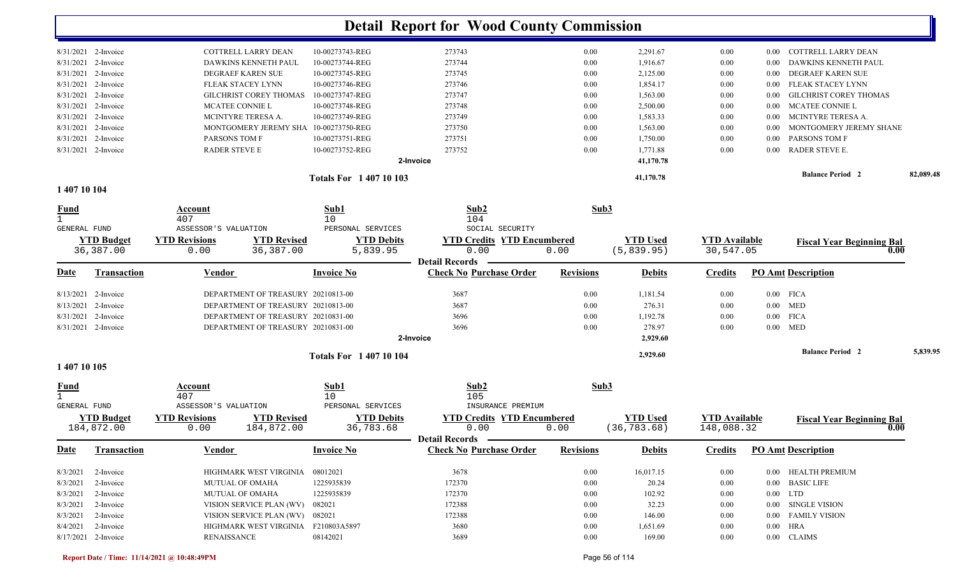|                       |                        | <b>Totals For 140710103</b> |           |      | 41,170.78 |      | <b>Balance Period 2</b>         | 82,089.48 |
|-----------------------|------------------------|-----------------------------|-----------|------|-----------|------|---------------------------------|-----------|
|                       |                        |                             | 2-Invoice |      | 41,170.78 |      |                                 |           |
| 8/31/2021 2-Invoice   | RADER STEVE E          | 10-00273752-REG             | 273752    | 0.00 | 1,771.88  | 0.00 | RADER STEVE E.<br>$0.00 -$      |           |
| 8/31/2021 2-Invoice   | PARSONS TOM F          | 10-00273751-REG             | 273751    | 0.00 | 1,750.00  | 0.00 | <b>PARSONS TOM F</b><br>0.00    |           |
| 8/31/2021 2-Invoice   | MONTGOMERY JEREMY SHA  | 10-00273750-REG             | 273750    | 0.00 | 1,563.00  | 0.00 | MONTGOMERY JEREMY SHANE<br>0.00 |           |
| $8/31/2021$ 2-Invoice | MCINTYRE TERESA A.     | 10-00273749-REG             | 273749    | 0.00 | 1,583.33  | 0.00 | MCINTYRE TERESA A.<br>$0.00 -$  |           |
| 8/31/2021 2-Invoice   | <b>MCATEE CONNIE L</b> | 10-00273748-REG             | 273748    | 0.00 | 2,500.00  | 0.00 | MCATEE CONNIE L<br>0.00         |           |
| $8/31/2021$ 2-Invoice | GILCHRIST COREY THOMAS | 10-00273747-REG             | 273747    | 0.00 | 1,563.00  | 0.00 | 0.00 GILCHRIST COREY THOMAS     |           |
| $8/31/2021$ 2-Invoice | FLEAK STACEY LYNN      | 10-00273746-REG             | 273746    | 0.00 | 1,854.17  | 0.00 | 0.00 FLEAK STACEY LYNN          |           |
| 8/31/2021 2-Invoice   | DEGRAEF KAREN SUE      | 10-00273745-REG             | 273745    | 0.00 | 2,125.00  | 0.00 | DEGRAEF KAREN SUE<br>0.00       |           |
| $8/31/2021$ 2-Invoice | DAWKINS KENNETH PAUL   | 10-00273744-REG             | 273744    | 0.00 | 1,916.67  | 0.00 | DAWKINS KENNETH PAUL<br>0.00    |           |
| 8/31/2021 2-Invoice   | COTTRELL LARRY DEAN    | 10-00273743-REG             | 273743    | 0.00 | 2,291.67  | 0.00 | 0.00 COTTRELL LARRY DEAN        |           |
|                       |                        |                             |           |      |           |      |                                 |           |

#### **1 407 10 104**

| <b>Fund</b>         |                     | Account<br>407         |                                    | Sub1<br>10                  | Sub2<br>104                                             | Sub3             |                 |                      |          |                                  |          |
|---------------------|---------------------|------------------------|------------------------------------|-----------------------------|---------------------------------------------------------|------------------|-----------------|----------------------|----------|----------------------------------|----------|
| <b>GENERAL FUND</b> |                     | ASSESSOR'S VALUATION   |                                    | PERSONAL SERVICES           | SOCIAL SECURITY                                         |                  |                 |                      |          |                                  |          |
|                     | <b>YTD Budget</b>   | <b>YTD Revisions</b>   | <b>YTD Revised</b>                 | <b>YTD Debits</b>           | <b>YTD Credits YTD Encumbered</b>                       |                  | <b>YTD</b> Used | <b>YTD</b> Available |          | <b>Fiscal Year Beginning Bal</b> |          |
|                     | 36,387.00           | 0.00                   | 36,387.00                          | 5,839.95                    | 0.00                                                    | 0.00             | (5,839.95)      | 30,547.05            |          | 0.00                             |          |
|                     |                     |                        |                                    |                             | <b>Detail Records</b>                                   |                  |                 |                      |          |                                  |          |
| Date                | <b>Transaction</b>  | Vendor                 |                                    | <b>Invoice No</b>           | <b>Check No Purchase Order</b>                          | <b>Revisions</b> | <b>Debits</b>   | <b>Credits</b>       |          | <b>PO Amt Description</b>        |          |
|                     | 8/13/2021 2-Invoice |                        | DEPARTMENT OF TREASURY 20210813-00 |                             | 3687                                                    | 0.00             | 1,181.54        | 0.00                 |          | $0.00$ FICA                      |          |
|                     | 8/13/2021 2-Invoice |                        | DEPARTMENT OF TREASURY 20210813-00 |                             | 3687                                                    | 0.00             | 276.31          | 0.00                 |          | $0.00$ MED                       |          |
|                     | 8/31/2021 2-Invoice |                        | DEPARTMENT OF TREASURY 20210831-00 |                             | 3696                                                    | 0.00             | 1,192.78        | 0.00                 | $0.00\,$ | <b>FICA</b>                      |          |
|                     | 8/31/2021 2-Invoice |                        | DEPARTMENT OF TREASURY 20210831-00 |                             | 3696                                                    | 0.00             | 278.97          | 0.00                 |          | $0.00$ MED                       |          |
|                     |                     |                        |                                    |                             | 2-Invoice                                               |                  | 2,929.60        |                      |          |                                  |          |
|                     |                     |                        |                                    | <b>Totals For 140710104</b> |                                                         |                  | 2,929.60        |                      |          | <b>Balance Period 2</b>          | 5,839.95 |
| 1 407 10 105        |                     |                        |                                    |                             |                                                         |                  |                 |                      |          |                                  |          |
|                     |                     |                        |                                    |                             |                                                         |                  |                 |                      |          |                                  |          |
| <u>Fund</u>         |                     | Account                |                                    | Sub1                        | Sub2                                                    | Sub3             |                 |                      |          |                                  |          |
|                     |                     | 407                    |                                    | 10                          | 105                                                     |                  |                 |                      |          |                                  |          |
| <b>GENERAL FUND</b> |                     | ASSESSOR'S VALUATION   |                                    | PERSONAL SERVICES           | INSURANCE PREMIUM                                       |                  |                 |                      |          |                                  |          |
|                     | <b>YTD Budget</b>   | <b>YTD Revisions</b>   | <b>YTD Revised</b>                 | <b>YTD Debits</b>           | <b>YTD Credits YTD Encumbered</b>                       |                  | <b>YTD Used</b> | <b>YTD</b> Available |          | <b>Fiscal Year Beginning Bal</b> |          |
|                     | 184,872.00          | 0.00                   | 184,872.00                         | 36,783.68                   | 0.00                                                    | 0.00             | (36, 783.68)    | 148,088.32           |          | 0.00                             |          |
| Date                | <b>Transaction</b>  | <b>Vendor</b>          |                                    | <b>Invoice No</b>           | <b>Detail Records</b><br><b>Check No Purchase Order</b> | <b>Revisions</b> | <b>Debits</b>   | <b>Credits</b>       |          | <b>PO Amt Description</b>        |          |
| 8/3/2021            | 2-Invoice           |                        | HIGHMARK WEST VIRGINIA             | 08012021                    | 3678                                                    | 0.00             | 16,017.15       | 0.00                 | 0.00     | HEALTH PREMIUM                   |          |
| 8/3/2021            | 2-Invoice           | <b>MUTUAL OF OMAHA</b> |                                    | 1225935839                  | 172370                                                  | 0.00             | 20.24           | 0.00                 | $0.00\,$ | <b>BASIC LIFE</b>                |          |
| 8/3/2021            | 2-Invoice           | <b>MUTUAL OF OMAHA</b> |                                    | 1225935839                  | 172370                                                  | 0.00             | 102.92          | 0.00                 | $0.00\,$ | <b>LTD</b>                       |          |
| 8/3/2021            | 2-Invoice           |                        | VISION SERVICE PLAN (WV)           | 082021                      | 172388                                                  | 0.00             | 32.23           | 0.00                 | 0.00     | <b>SINGLE VISION</b>             |          |
| 8/3/2021            | 2-Invoice           |                        | VISION SERVICE PLAN (WV)           | 082021                      | 172388                                                  | 0.00             | 146.00          | 0.00                 | $0.00\,$ | <b>FAMILY VISION</b>             |          |
| 8/4/2021            | 2-Invoice           |                        | HIGHMARK WEST VIRGINIA             | F210803A5897                | 3680                                                    | 0.00             | 1,651.69        | 0.00                 | 0.00     | <b>HRA</b>                       |          |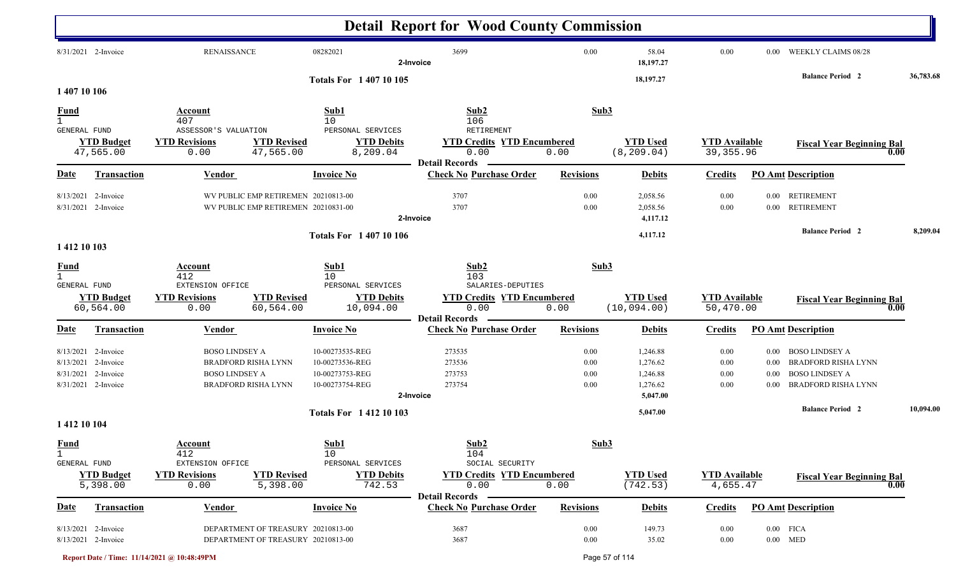|                                               |                                                                      |                                                                                                            |                                                                          | <b>Detail Report for Wood County Commission</b>                                         |                              |                                                          |                                    |                                                   |                                                                                                     |           |
|-----------------------------------------------|----------------------------------------------------------------------|------------------------------------------------------------------------------------------------------------|--------------------------------------------------------------------------|-----------------------------------------------------------------------------------------|------------------------------|----------------------------------------------------------|------------------------------------|---------------------------------------------------|-----------------------------------------------------------------------------------------------------|-----------|
|                                               | 8/31/2021 2-Invoice                                                  | <b>RENAISSANCE</b>                                                                                         | 08282021                                                                 | 3699<br>2-Invoice                                                                       | 0.00                         | 58.04<br>18,197.27                                       | $0.00\,$                           | $0.00\,$                                          | WEEKLY CLAIMS 08/28                                                                                 |           |
| 1 407 10 106                                  |                                                                      |                                                                                                            | <b>Totals For 1 407 10 105</b>                                           |                                                                                         |                              | 18,197.27                                                |                                    |                                                   | <b>Balance Period 2</b>                                                                             | 36,783.68 |
| <b>Fund</b><br>$\overline{1}$<br>GENERAL FUND |                                                                      | Account<br>407<br>ASSESSOR'S VALUATION                                                                     | Sub1<br>10<br>PERSONAL SERVICES                                          | Sub2<br>106<br>RETIREMENT                                                               | Sub3                         |                                                          |                                    |                                                   |                                                                                                     |           |
|                                               | <b>YTD Budget</b><br>47,565.00                                       | <b>YTD Revisions</b><br><b>YTD Revised</b><br>47,565.00<br>0.00                                            | <b>YTD Debits</b><br>8,209.04                                            | <b>YTD Credits YTD Encumbered</b><br>0.00<br><b>Detail Records</b>                      | 0.00                         | <b>YTD Used</b><br>(8, 209.04)                           | <b>YTD</b> Available<br>39, 355.96 |                                                   | <b>Fiscal Year Beginning Bal</b>                                                                    | 0.00      |
| Date                                          | Transaction                                                          | Vendor                                                                                                     | <b>Invoice No</b>                                                        | <b>Check No Purchase Order</b>                                                          | <b>Revisions</b>             | <b>Debits</b>                                            | <b>Credits</b>                     |                                                   | <b>PO Amt Description</b>                                                                           |           |
|                                               | 8/13/2021 2-Invoice<br>8/31/2021 2-Invoice                           | WV PUBLIC EMP RETIREMEN 20210813-00<br>WV PUBLIC EMP RETIREMEN 20210831-00                                 |                                                                          | 3707<br>3707<br>2-Invoice                                                               | 0.00<br>0.00                 | 2,058.56<br>2,058.56<br>4,117.12                         | 0.00<br>0.00                       | $0.00\,$<br>$0.00\,$                              | <b>RETIREMENT</b><br><b>RETIREMENT</b>                                                              |           |
| 1 412 10 103                                  |                                                                      |                                                                                                            | <b>Totals For 140710106</b>                                              |                                                                                         |                              | 4,117.12                                                 |                                    |                                                   | <b>Balance Period 2</b>                                                                             | 8,209.04  |
| <b>Fund</b><br>$\mathbf{1}$                   |                                                                      | Account<br>412                                                                                             | Sub1<br>10                                                               | Sub2<br>103                                                                             | Sub3                         |                                                          |                                    |                                                   |                                                                                                     |           |
| GENERAL FUND                                  | <b>YTD Budget</b><br>60,564.00                                       | EXTENSION OFFICE<br><b>YTD Revisions</b><br><b>YTD Revised</b><br>60,564.00<br>0.00                        | PERSONAL SERVICES<br><b>YTD Debits</b><br>10,094.00                      | SALARIES-DEPUTIES<br><b>YTD Credits YTD Encumbered</b><br>0.00<br><b>Detail Records</b> | 0.00                         | <b>YTD Used</b><br>(10, 094.00)                          | <b>YTD Available</b><br>50,470.00  |                                                   | <b>Fiscal Year Beginning Bal</b>                                                                    | 0.00      |
| Date                                          | <b>Transaction</b>                                                   | <b>Vendor</b>                                                                                              | <b>Invoice No</b>                                                        | <b>Check No Purchase Order</b>                                                          | <b>Revisions</b>             | <b>Debits</b>                                            | <b>Credits</b>                     |                                                   | <b>PO Amt Description</b>                                                                           |           |
| 8/13/2021<br>8/31/2021                        | 8/13/2021 2-Invoice<br>2-Invoice<br>2-Invoice<br>8/31/2021 2-Invoice | <b>BOSO LINDSEY A</b><br><b>BRADFORD RISHA LYNN</b><br><b>BOSO LINDSEY A</b><br><b>BRADFORD RISHA LYNN</b> | 10-00273535-REG<br>10-00273536-REG<br>10-00273753-REG<br>10-00273754-REG | 273535<br>273536<br>273753<br>273754<br>2-Invoice                                       | 0.00<br>0.00<br>0.00<br>0.00 | 1,246.88<br>1,276.62<br>1,246.88<br>1,276.62<br>5,047.00 | 0.00<br>0.00<br>0.00<br>0.00       | $0.00\,$<br>0.00<br>$0.00\,$<br>0.00 <sub>1</sub> | BOSO LINDSEY A<br><b>BRADFORD RISHA LYNN</b><br><b>BOSO LINDSEY A</b><br><b>BRADFORD RISHA LYNN</b> |           |
|                                               |                                                                      |                                                                                                            | <b>Totals For 141210103</b>                                              |                                                                                         |                              | 5,047.00                                                 |                                    |                                                   | <b>Balance Period 2</b>                                                                             | 10,094.00 |
| 1 412 10 104<br><b>Fund</b><br>$\mathbf{1}$   |                                                                      | Account<br>412                                                                                             | Sub1<br>10                                                               | Sub2<br>104                                                                             | Sub3                         |                                                          |                                    |                                                   |                                                                                                     |           |
| <b>GENERAL FUND</b>                           | <b>YTD Budget</b><br>5,398.00                                        | EXTENSION OFFICE<br><b>YTD Revisions</b><br><b>YTD Revised</b><br>5,398.00<br>0.00                         | PERSONAL SERVICES<br><b>YTD Debits</b><br>742.53                         | SOCIAL SECURITY<br><b>YTD Credits YTD Encumbered</b><br>0.00<br><b>Detail Records</b>   | 0.00                         | <b>YTD Used</b><br>(742.53)                              | <b>YTD Available</b><br>4,655.47   |                                                   | <b>Fiscal Year Beginning Bal</b>                                                                    | 0.00      |
| <b>Date</b>                                   | Transaction                                                          | <b>Vendor</b>                                                                                              | <b>Invoice No</b>                                                        | <b>Check No Purchase Order</b>                                                          | <b>Revisions</b>             | <b>Debits</b>                                            | <b>Credits</b>                     |                                                   | <b>PO Amt Description</b>                                                                           |           |
|                                               | 8/13/2021 2-Invoice<br>8/13/2021 2-Invoice                           | DEPARTMENT OF TREASURY 20210813-00<br>DEPARTMENT OF TREASURY 20210813-00                                   |                                                                          | 3687<br>3687                                                                            | $0.00\,$<br>$0.00\,$         | 149.73<br>35.02                                          | 0.00<br>0.00                       |                                                   | $0.00$ FICA<br>$0.00$ MED                                                                           |           |

**Report Date / Time: 11/14/2021 @ 10:48:49PM** Page 57 of 114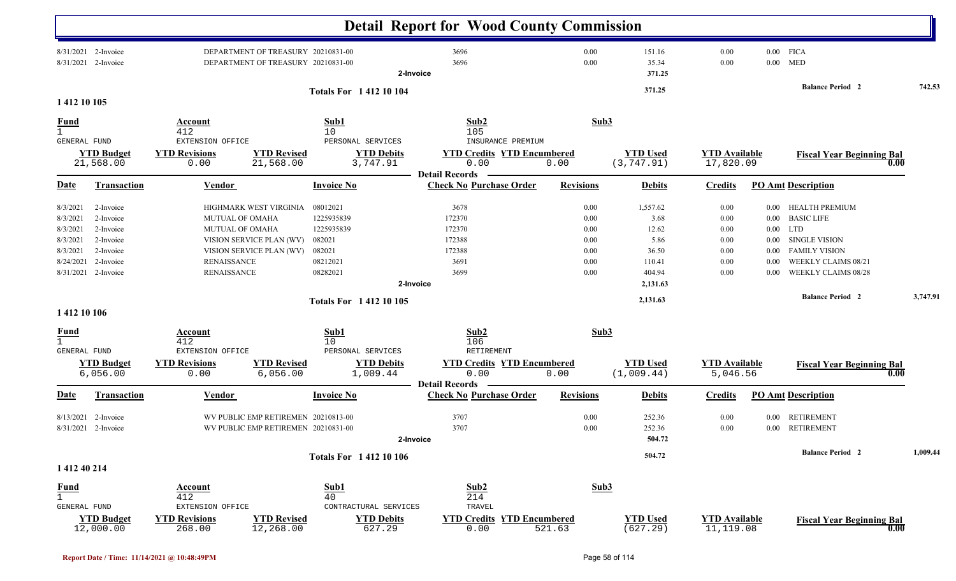|                                                                                                                                                                               |                                                                                              |                                                                                |                                                                                  | <b>Detail Report for Wood County Commission</b>                                         |                                                          |                                                                |                                                      |                                                                      |                                                                                                                                                 |          |
|-------------------------------------------------------------------------------------------------------------------------------------------------------------------------------|----------------------------------------------------------------------------------------------|--------------------------------------------------------------------------------|----------------------------------------------------------------------------------|-----------------------------------------------------------------------------------------|----------------------------------------------------------|----------------------------------------------------------------|------------------------------------------------------|----------------------------------------------------------------------|-------------------------------------------------------------------------------------------------------------------------------------------------|----------|
| 8/31/2021 2-Invoice<br>8/31/2021 2-Invoice                                                                                                                                    |                                                                                              | DEPARTMENT OF TREASURY 20210831-00<br>DEPARTMENT OF TREASURY 20210831-00       |                                                                                  | 3696<br>3696<br>2-Invoice                                                               | 0.00<br>0.00                                             | 151.16<br>35.34<br>371.25                                      | 0.00<br>0.00                                         |                                                                      | $0.00$ FICA<br>$0.00$ MED                                                                                                                       |          |
| 1 412 10 105                                                                                                                                                                  |                                                                                              |                                                                                | <b>Totals For 141210104</b>                                                      |                                                                                         |                                                          | 371.25                                                         |                                                      |                                                                      | <b>Balance Period 2</b>                                                                                                                         | 742.53   |
| <u>Fund</u><br>$\mathbf{1}$                                                                                                                                                   | Account<br>412                                                                               |                                                                                | Sub1<br>10                                                                       | Sub2<br>105                                                                             | Sub3                                                     |                                                                |                                                      |                                                                      |                                                                                                                                                 |          |
| <b>GENERAL FUND</b><br><b>YTD Budget</b><br>21,568.00                                                                                                                         | EXTENSION OFFICE<br><b>YTD Revisions</b><br>0.00                                             | <b>YTD Revised</b><br>21,568.00                                                | PERSONAL SERVICES<br><b>YTD Debits</b><br>3,747.91                               | INSURANCE PREMIUM<br><b>YTD Credits YTD Encumbered</b><br>0.00<br><b>Detail Records</b> | 0.00                                                     | <b>YTD Used</b><br>(3, 747.91)                                 | <b>YTD</b> Available<br>17,820.09                    |                                                                      | <b>Fiscal Year Beginning Bal</b>                                                                                                                | 0.00     |
| <b>Date</b><br><b>Transaction</b>                                                                                                                                             | Vendor                                                                                       |                                                                                | <b>Invoice No</b>                                                                | <b>Check No Purchase Order</b>                                                          | <b>Revisions</b>                                         | <b>Debits</b>                                                  | <b>Credits</b>                                       |                                                                      | <b>PO Amt Description</b>                                                                                                                       |          |
| 8/3/2021<br>2-Invoice<br>2-Invoice<br>8/3/2021<br>2-Invoice<br>8/3/2021<br>2-Invoice<br>8/3/2021<br>8/3/2021<br>2-Invoice<br>8/24/2021<br>2-Invoice<br>8/31/2021<br>2-Invoice | <b>MUTUAL OF OMAHA</b><br><b>MUTUAL OF OMAHA</b><br><b>RENAISSANCE</b><br><b>RENAISSANCE</b> | HIGHMARK WEST VIRGINIA<br>VISION SERVICE PLAN (WV)<br>VISION SERVICE PLAN (WV) | 08012021<br>1225935839<br>1225935839<br>082021<br>082021<br>08212021<br>08282021 | 3678<br>172370<br>172370<br>172388<br>172388<br>3691<br>3699                            | 0.00<br>0.00<br>0.00<br>$0.00\,$<br>0.00<br>0.00<br>0.00 | 1,557.62<br>3.68<br>12.62<br>5.86<br>36.50<br>110.41<br>404.94 | 0.00<br>0.00<br>0.00<br>0.00<br>0.00<br>0.00<br>0.00 | $0.00\,$<br>$0.00\,$<br>$0.00\,$<br>$0.00\,$<br>0.00<br>0.00<br>0.00 | HEALTH PREMIUM<br><b>BASIC LIFE</b><br><b>LTD</b><br><b>SINGLE VISION</b><br><b>FAMILY VISION</b><br>WEEKLY CLAIMS 08/21<br>WEEKLY CLAIMS 08/28 |          |
|                                                                                                                                                                               |                                                                                              |                                                                                | <b>Totals For 141210105</b>                                                      | 2-Invoice                                                                               |                                                          | 2,131.63<br>2,131.63                                           |                                                      |                                                                      | <b>Balance Period 2</b>                                                                                                                         | 3,747.91 |
| 1 412 10 106                                                                                                                                                                  |                                                                                              |                                                                                |                                                                                  |                                                                                         |                                                          |                                                                |                                                      |                                                                      |                                                                                                                                                 |          |
| <u>Fund</u><br>$\mathbf{1}$<br><b>GENERAL FUND</b>                                                                                                                            | <b>Account</b><br>412<br>EXTENSION OFFICE                                                    |                                                                                | Sub1<br>10<br>PERSONAL SERVICES                                                  | Sub2<br>106<br>RETIREMENT                                                               | Sub3                                                     |                                                                |                                                      |                                                                      |                                                                                                                                                 |          |
| <b>YTD Budget</b><br>6,056.00                                                                                                                                                 | <b>YTD Revisions</b><br>0.00                                                                 | <b>YTD Revised</b><br>6,056.00                                                 | <b>YTD Debits</b><br>1,009.44                                                    | <b>YTD Credits YTD Encumbered</b><br>0.00                                               | 0.00                                                     | <b>YTD Used</b><br>(1,009.44)                                  | <b>YTD Available</b><br>5,046.56                     |                                                                      | <b>Fiscal Year Beginning Bal</b>                                                                                                                | 0.00     |
| <b>Transaction</b><br>Date                                                                                                                                                    | <b>Vendor</b>                                                                                |                                                                                | <b>Invoice No</b>                                                                | <b>Detail Records</b><br><b>Check No Purchase Order</b>                                 | <b>Revisions</b>                                         | <b>Debits</b>                                                  | <b>Credits</b>                                       |                                                                      | <b>PO Amt Description</b>                                                                                                                       |          |
| 8/13/2021<br>2-Invoice<br>8/31/2021 2-Invoice                                                                                                                                 |                                                                                              | WV PUBLIC EMP RETIREMEN 20210813-00<br>WV PUBLIC EMP RETIREMEN 20210831-00     | 2-Invoice                                                                        | 3707<br>3707                                                                            | 0.00<br>0.00                                             | 252.36<br>252.36<br>504.72                                     | 0.00<br>0.00                                         | $0.00\,$                                                             | <b>RETIREMENT</b><br>0.00 RETIREMENT                                                                                                            |          |
| 1 412 40 214                                                                                                                                                                  |                                                                                              |                                                                                | <b>Totals For 141210106</b>                                                      |                                                                                         |                                                          | 504.72                                                         |                                                      |                                                                      | <b>Balance Period</b> 2                                                                                                                         | 1,009.44 |
| <b>Fund</b><br>$\mathbf{1}$<br>GENERAL FUND                                                                                                                                   | <b>Account</b><br>412<br>EXTENSION OFFICE                                                    |                                                                                | Sub1<br>40<br>CONTRACTURAL SERVICES                                              | Sub2<br>214<br>TRAVEL                                                                   | Sub3                                                     |                                                                |                                                      |                                                                      |                                                                                                                                                 |          |
| <b>YTD Budget</b><br>12,000.00                                                                                                                                                | <b>YTD Revisions</b><br>268.00                                                               | <b>YTD Revised</b><br>12,268.00                                                | <b>YTD Debits</b><br>627.29                                                      | <b>YTD Credits YTD Encumbered</b><br>0.00                                               | 521.63                                                   | <b>YTD Used</b><br>(627.29)                                    | <b>YTD</b> Available<br>11,119.08                    |                                                                      | <b>Fiscal Year Beginning Bal</b>                                                                                                                | 0.00     |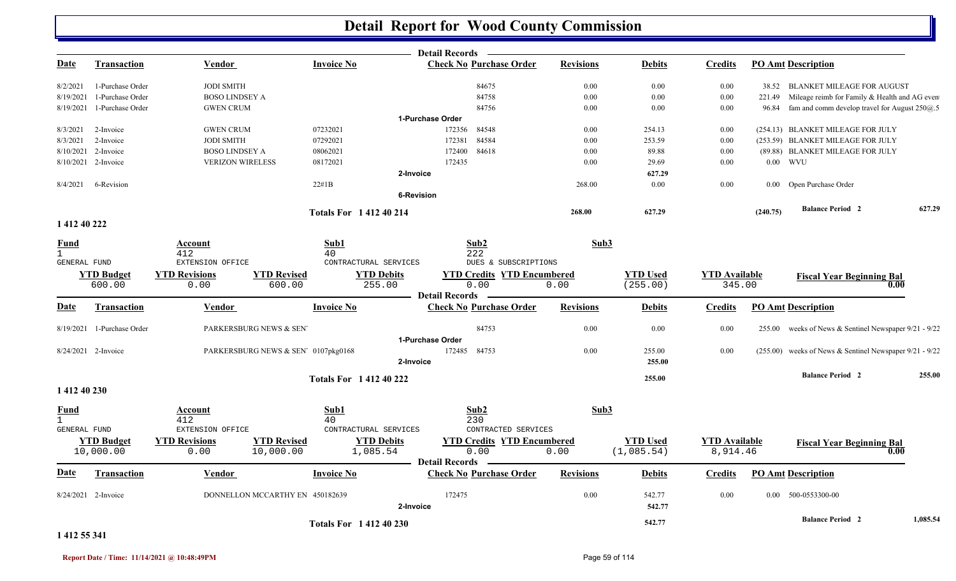|                |                            |                         |                                                 | Detail Records —                                        |                  |                 |                      |          |                                                           |          |
|----------------|----------------------------|-------------------------|-------------------------------------------------|---------------------------------------------------------|------------------|-----------------|----------------------|----------|-----------------------------------------------------------|----------|
| Date           | <b>Transaction</b>         | Vendor                  | <b>Invoice No</b>                               | <b>Check No Purchase Order</b>                          | <b>Revisions</b> | <b>Debits</b>   | <b>Credits</b>       |          | <b>PO Amt Description</b>                                 |          |
| 8/2/2021       | 1-Purchase Order           | <b>JODI SMITH</b>       |                                                 | 84675                                                   | 0.00             | 0.00            | 0.00                 |          | 38.52 BLANKET MILEAGE FOR AUGUST                          |          |
| 8/19/2021      | 1-Purchase Order           | <b>BOSO LINDSEY A</b>   |                                                 | 84758                                                   | 0.00             | $0.00\,$        | 0.00                 | 221.49   | Mileage reimb for Family & Health and AG even             |          |
| 8/19/2021      | 1-Purchase Order           | <b>GWEN CRUM</b>        |                                                 | 84756                                                   | 0.00             | $0.00\,$        | 0.00                 |          | 96.84 fam and comm develop travel for August $250@.5$     |          |
|                |                            |                         |                                                 | 1-Purchase Order                                        |                  |                 |                      |          |                                                           |          |
| 8/3/2021       | 2-Invoice                  | <b>GWEN CRUM</b>        | 07232021                                        | 172356<br>84548                                         | 0.00             | 254.13          | 0.00                 |          | (254.13) BLANKET MILEAGE FOR JULY                         |          |
| 8/3/2021       | 2-Invoice                  | <b>JODI SMITH</b>       | 07292021                                        | 172381<br>84584                                         | 0.00             | 253.59          | $0.00\,$             |          | (253.59) BLANKET MILEAGE FOR JULY                         |          |
|                | 8/10/2021 2-Invoice        | <b>BOSO LINDSEY A</b>   | 08062021                                        | 172400<br>84618                                         | 0.00             | 89.88           | 0.00                 |          | (89.88) BLANKET MILEAGE FOR JULY                          |          |
|                | 8/10/2021 2-Invoice        | <b>VERIZON WIRELESS</b> | 08172021                                        | 172435                                                  | 0.00             | 29.69           | 0.00                 |          | $0.00$ WVU                                                |          |
|                |                            |                         |                                                 | 2-Invoice                                               |                  | 627.29          |                      |          |                                                           |          |
| 8/4/2021       | 6-Revision                 |                         | 22#1B                                           |                                                         | 268.00           | $0.00\,$        | 0.00                 |          | 0.00 Open Purchase Order                                  |          |
|                |                            |                         |                                                 | <b>6-Revision</b>                                       |                  |                 |                      |          |                                                           |          |
|                |                            |                         | <b>Totals For 141240214</b>                     |                                                         | 268.00           | 627.29          |                      | (240.75) | <b>Balance Period 2</b>                                   | 627.29   |
| 1 412 40 222   |                            |                         |                                                 |                                                         |                  |                 |                      |          |                                                           |          |
| <b>Fund</b>    |                            | Account                 | Sub1                                            | Sub2                                                    | Sub3             |                 |                      |          |                                                           |          |
| $\overline{1}$ |                            | 412                     | 40                                              | 222                                                     |                  |                 |                      |          |                                                           |          |
| GENERAL FUND   |                            | EXTENSION OFFICE        | CONTRACTURAL SERVICES                           | DUES & SUBSCRIPTIONS                                    |                  |                 |                      |          |                                                           |          |
|                | <b>YTD Budget</b>          | <b>YTD Revisions</b>    | <b>YTD Revised</b><br><b>YTD Debits</b>         | <b>YTD Credits YTD Encumbered</b>                       |                  | <b>YTD Used</b> | <b>YTD</b> Available |          | <b>Fiscal Year Beginning Bal</b>                          |          |
|                | 600.00                     | 0.00                    | 600.00<br>255.00                                | 0.00                                                    | 0.00             | (255.00)        | 345.00               |          | 0.00                                                      |          |
| Date           |                            |                         | <b>Invoice No</b>                               | <b>Detail Records</b><br><b>Check No Purchase Order</b> | <b>Revisions</b> |                 | <b>Credits</b>       |          | <b>PO Amt Description</b>                                 |          |
|                | <b>Transaction</b>         | <b>Vendor</b>           |                                                 |                                                         |                  | <b>Debits</b>   |                      |          |                                                           |          |
|                | 8/19/2021 1-Purchase Order | PARKERSBURG NEWS & SEN  |                                                 | 84753                                                   | 0.00             | $0.00\,$        | 0.00                 |          | 255.00 weeks of News & Sentinel Newspaper 9/21 - 9/22     |          |
|                |                            |                         |                                                 | 1-Purchase Order                                        |                  |                 |                      |          |                                                           |          |
|                | 8/24/2021 2-Invoice        |                         | PARKERSBURG NEWS & SEN <sup>7</sup> 0107pkg0168 | 172485<br>84753                                         | 0.00             | 255.00          | 0.00                 |          | $(255.00)$ weeks of News & Sentinel Newspaper 9/21 - 9/22 |          |
|                |                            |                         |                                                 | 2-Invoice                                               |                  | 255.00          |                      |          |                                                           |          |
|                |                            |                         | <b>Totals For 141240222</b>                     |                                                         |                  | 255.00          |                      |          | <b>Balance Period 2</b>                                   | 255.00   |
| 1 412 40 230   |                            |                         |                                                 |                                                         |                  |                 |                      |          |                                                           |          |
| <b>Fund</b>    |                            | <b>Account</b>          | Sub1                                            | Sub2                                                    | Sub3             |                 |                      |          |                                                           |          |
| $\mathbf{1}$   |                            | 412                     | 40                                              | 230                                                     |                  |                 |                      |          |                                                           |          |
| GENERAL FUND   |                            | EXTENSION OFFICE        | CONTRACTURAL SERVICES                           | CONTRACTED SERVICES                                     |                  |                 |                      |          |                                                           |          |
|                | <b>YTD Budget</b>          | <b>YTD Revisions</b>    | <b>YTD Revised</b><br><b>YTD Debits</b>         | <b>YTD Credits YTD Encumbered</b>                       |                  | <b>YTD Used</b> | <b>YTD Available</b> |          | <b>Fiscal Year Beginning Bal</b>                          |          |
|                | 10,000.00                  | 0.00                    | 10,000.00<br>1,085.54                           | 0.00                                                    | 0.00             | (1,085.54)      | 8,914.46             |          | 0.00                                                      |          |
|                |                            |                         |                                                 | <b>Detail Records</b>                                   |                  |                 |                      |          |                                                           |          |
| Date           | <b>Transaction</b>         | <b>Vendor</b>           | <b>Invoice No</b>                               | <b>Check No Purchase Order</b>                          | <b>Revisions</b> | <b>Debits</b>   | <b>Credits</b>       |          | <b>PO Amt Description</b>                                 |          |
|                | 8/24/2021 2-Invoice        |                         | DONNELLON MCCARTHY EN 450182639                 | 172475                                                  | 0.00             | 542.77          | 0.00                 |          | $0.00$ 500-0553300-00                                     |          |
|                |                            |                         |                                                 | 2-Invoice                                               |                  | 542.77          |                      |          |                                                           |          |
|                |                            |                         |                                                 |                                                         |                  |                 |                      |          | <b>Balance Period 2</b>                                   | 1,085.54 |
|                |                            |                         | <b>Totals For 141240230</b>                     |                                                         |                  | 542.77          |                      |          |                                                           |          |

#### **1 412 55 341**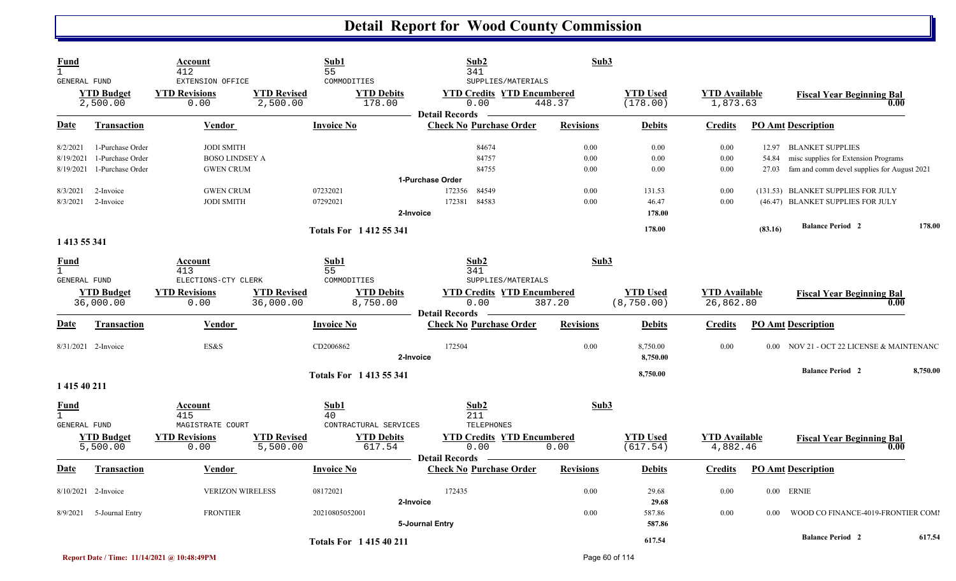| Fund<br>$\mathbf{1}$                 |                                      | Account<br>412                                   |                                 | Sub1<br>55                                           | Sub2<br>341                                                                              | Sub3             |                                |                                   |         |                                                                         |          |
|--------------------------------------|--------------------------------------|--------------------------------------------------|---------------------------------|------------------------------------------------------|------------------------------------------------------------------------------------------|------------------|--------------------------------|-----------------------------------|---------|-------------------------------------------------------------------------|----------|
| GENERAL FUND                         | <b>YTD Budget</b><br>2,500.00        | EXTENSION OFFICE<br><b>YTD Revisions</b><br>0.00 | <b>YTD Revised</b><br>2,500.00  | COMMODITIES<br><b>YTD Debits</b><br>178.00           | SUPPLIES/MATERIALS<br><b>YTD Credits YTD Encumbered</b><br>0.00<br><b>Detail Records</b> | 448.37           | <b>YTD Used</b><br>(178.00)    | <b>YTD Available</b><br>1,873.63  |         | <b>Fiscal Year Beginning Bal</b><br>0.00                                |          |
| <u>Date</u>                          | <b>Transaction</b>                   | Vendor                                           |                                 | <b>Invoice No</b>                                    | <b>Check No Purchase Order</b>                                                           | <b>Revisions</b> | <b>Debits</b>                  | <b>Credits</b>                    |         | <b>PO Amt Description</b>                                               |          |
| 8/2/2021<br>8/19/2021                | 1-Purchase Order<br>1-Purchase Order | <b>JODI SMITH</b><br><b>BOSO LINDSEY A</b>       |                                 |                                                      | 84674<br>84757                                                                           | 0.00<br>0.00     | 0.00<br>0.00                   | 0.00<br>0.00                      | 54.84   | 12.97 BLANKET SUPPLIES<br>misc supplies for Extension Programs          |          |
| 8/19/2021                            | 1-Purchase Order                     | <b>GWEN CRUM</b>                                 |                                 |                                                      | 84755<br>1-Purchase Order                                                                | 0.00             | 0.00                           | 0.00                              | 27.03   | fam and comm devel supplies for August 2021                             |          |
| 8/3/2021<br>8/3/2021                 | 2-Invoice<br>2-Invoice               | <b>GWEN CRUM</b><br><b>JODI SMITH</b>            |                                 | 07232021<br>07292021<br>2-Invoice                    | 172356<br>84549<br>172381<br>84583                                                       | 0.00<br>0.00     | 131.53<br>46.47<br>178.00      | 0.00<br>0.00                      |         | (131.53) BLANKET SUPPLIES FOR JULY<br>(46.47) BLANKET SUPPLIES FOR JULY |          |
| 1 413 55 341                         |                                      |                                                  |                                 | <b>Totals For 141255341</b>                          |                                                                                          |                  | 178.00                         |                                   | (83.16) | <b>Balance Period 2</b>                                                 | 178.00   |
| Fund<br>$\mathbf{1}$<br>GENERAL FUND |                                      | Account<br>413<br>ELECTIONS-CTY CLERK            |                                 | Sub1<br>55<br>COMMODITIES                            | Sub2<br>341<br>SUPPLIES/MATERIALS                                                        | Sub3             |                                |                                   |         |                                                                         |          |
|                                      | <b>YTD Budget</b><br>36,000.00       | <b>YTD Revisions</b><br>0.00                     | <b>YTD Revised</b><br>36,000.00 | <b>YTD Debits</b><br>8,750.00                        | <b>YTD Credits YTD Encumbered</b><br>0.00<br><b>Detail Records</b>                       | 387.20           | <b>YTD Used</b><br>(8, 750.00) | <b>YTD</b> Available<br>26,862.80 |         | <b>Fiscal Year Beginning Bal</b><br>0.00                                |          |
| Date                                 | <b>Transaction</b>                   | <b>Vendor</b>                                    |                                 | <b>Invoice No</b>                                    | <b>Check No Purchase Order</b>                                                           | <b>Revisions</b> | <b>Debits</b>                  | <b>Credits</b>                    |         | <b>PO Amt Description</b>                                               |          |
|                                      | 8/31/2021 2-Invoice                  | ES&S                                             |                                 | CD2006862<br>2-Invoice                               | 172504                                                                                   | 0.00             | 8,750.00<br>8,750.00           | 0.00                              |         | 0.00 NOV 21 - OCT 22 LICENSE & MAINTENANC                               |          |
| 1 415 40 211                         |                                      |                                                  |                                 | <b>Totals For 1413 55 341</b>                        |                                                                                          |                  | 8,750.00                       |                                   |         | <b>Balance Period 2</b>                                                 | 8,750.00 |
| Fund<br>$\mathbf{1}$                 |                                      | Account<br>415                                   |                                 | Sub1<br>40                                           | Sub2<br>211                                                                              | Sub3             |                                |                                   |         |                                                                         |          |
| GENERAL FUND                         | <b>YTD Budget</b><br>5,500.00        | MAGISTRATE COURT<br><b>YTD Revisions</b><br>0.00 | <b>YTD Revised</b><br>5,500.00  | CONTRACTURAL SERVICES<br><b>YTD Debits</b><br>617.54 | TELEPHONES<br><b>YTD Credits YTD Encumbered</b><br>0.00<br><b>Detail Records</b>         | 0.00             | <b>YTD Used</b><br>(617.54)    | <b>YTD</b> Available<br>4,882.46  |         | <b>Fiscal Year Beginning Bal</b><br>0.00                                |          |
| Date                                 | <b>Transaction</b>                   | Vendor                                           |                                 | <b>Invoice No</b>                                    | <b>Check No Purchase Order</b>                                                           | <b>Revisions</b> | <b>Debits</b>                  | <b>Credits</b>                    |         | <b>PO Amt Description</b>                                               |          |
|                                      | 8/10/2021 2-Invoice                  | <b>VERIZON WIRELESS</b>                          |                                 | 08172021<br>2-Invoice                                | 172435                                                                                   | 0.00             | 29.68<br>29.68                 | 0.00                              |         | $0.00$ ERNIE                                                            |          |
| 8/9/2021                             | 5-Journal Entry                      | <b>FRONTIER</b>                                  |                                 | 20210805052001                                       | 5-Journal Entry                                                                          | 0.00             | 587.86<br>587.86               | 0.00                              | 0.00    | WOOD CO FINANCE-4019-FRONTIER COMI                                      |          |
|                                      |                                      |                                                  |                                 | <b>Totals For 141540211</b>                          |                                                                                          |                  | 617.54                         |                                   |         | <b>Balance Period 2</b>                                                 | 617.54   |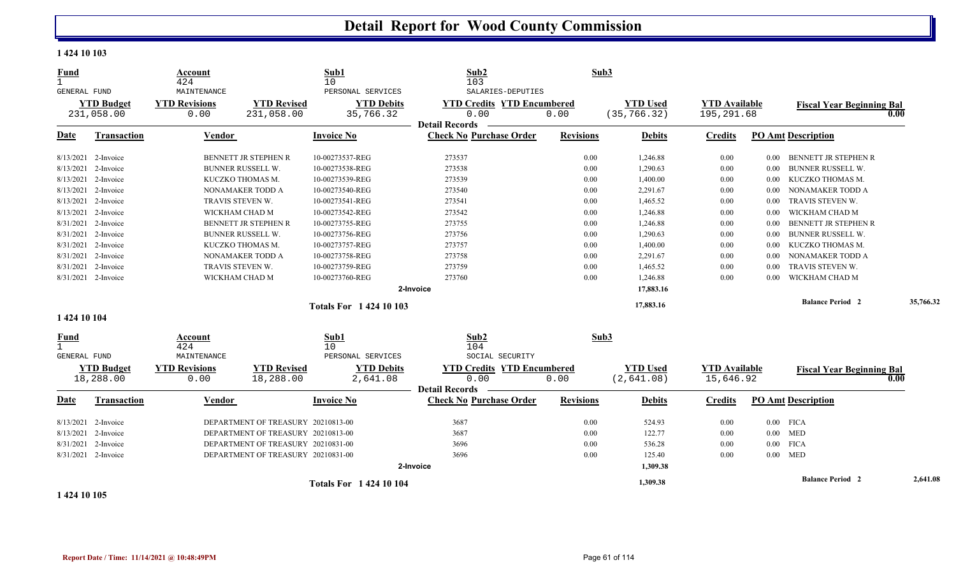#### **1 424 10 103**

| <b>Fund</b><br>$\mathbf{1}$                     | Account<br>424                              |                                    | Sub1<br>10                                          | Sub2<br>103                                                                             | Sub3             |                                 |                                    |                           |                                  |           |
|-------------------------------------------------|---------------------------------------------|------------------------------------|-----------------------------------------------------|-----------------------------------------------------------------------------------------|------------------|---------------------------------|------------------------------------|---------------------------|----------------------------------|-----------|
| GENERAL FUND<br><b>YTD Budget</b><br>231,058.00 | MAINTENANCE<br><b>YTD Revisions</b><br>0.00 | <b>YTD Revised</b><br>231,058.00   | PERSONAL SERVICES<br><b>YTD Debits</b><br>35,766.32 | SALARIES-DEPUTIES<br><b>YTD Credits YTD Encumbered</b><br>0.00<br><b>Detail Records</b> | 0.00             | <b>YTD</b> Used<br>(35, 766.32) | <b>YTD</b> Available<br>195,291.68 |                           | <b>Fiscal Year Beginning Bal</b> | 0.00      |
| <b>Transaction</b><br>Date                      | Vendor                                      |                                    | <b>Invoice No</b>                                   | <b>Check No Purchase Order</b>                                                          | <b>Revisions</b> | <b>Debits</b>                   | <b>Credits</b>                     | <b>PO Amt Description</b> |                                  |           |
| 8/13/2021 2-Invoice                             |                                             | <b>BENNETT JR STEPHEN R</b>        | 10-00273537-REG                                     | 273537                                                                                  | 0.00             | 1,246.88                        | 0.00                               | $0.00\,$                  | BENNETT JR STEPHEN R             |           |
| 8/13/2021 2-Invoice                             |                                             | BUNNER RUSSELL W.                  | 10-00273538-REG                                     | 273538                                                                                  | 0.00             | 1,290.63                        | 0.00                               | 0.00                      | <b>BUNNER RUSSELL W.</b>         |           |
| 8/13/2021 2-Invoice                             |                                             | KUCZKO THOMAS M.                   | 10-00273539-REG                                     | 273539                                                                                  | 0.00             | 1,400.00                        | 0.00                               | 0.00                      | KUCZKO THOMAS M.                 |           |
| 8/13/2021 2-Invoice                             |                                             | NONAMAKER TODD A                   | 10-00273540-REG                                     | 273540                                                                                  | 0.00             | 2,291.67                        | 0.00                               | 0.00                      | NONAMAKER TODD A                 |           |
| 8/13/2021 2-Invoice                             |                                             | TRAVIS STEVEN W.                   | 10-00273541-REG                                     | 273541                                                                                  | 0.00             | 1,465.52                        | 0.00                               | 0.00                      | TRAVIS STEVEN W.                 |           |
| 8/13/2021 2-Invoice                             |                                             | WICKHAM CHAD M                     | 10-00273542-REG                                     | 273542                                                                                  | 0.00             | 1,246.88                        | 0.00                               | 0.00                      | WICKHAM CHAD M                   |           |
| 8/31/2021 2-Invoice                             |                                             | BENNETT JR STEPHEN R               | 10-00273755-REG                                     | 273755                                                                                  | 0.00             | 1,246.88                        | 0.00                               | 0.00                      | <b>BENNETT JR STEPHEN R</b>      |           |
| 8/31/2021 2-Invoice                             |                                             | BUNNER RUSSELL W.                  | 10-00273756-REG                                     | 273756                                                                                  | 0.00             | 1,290.63                        | 0.00                               | 0.00                      | <b>BUNNER RUSSELL W.</b>         |           |
| 8/31/2021 2-Invoice                             |                                             | KUCZKO THOMAS M.                   | 10-00273757-REG                                     | 273757                                                                                  | 0.00             | 1,400.00                        | 0.00                               | 0.00                      | KUCZKO THOMAS M.                 |           |
| 8/31/2021 2-Invoice                             |                                             | NONAMAKER TODD A                   | 10-00273758-REG                                     | 273758                                                                                  | 0.00             | 2,291.67                        | 0.00                               | 0.00                      | NONAMAKER TODD A                 |           |
| 8/31/2021 2-Invoice                             |                                             | TRAVIS STEVEN W.                   | 10-00273759-REG                                     | 273759                                                                                  | 0.00             | 1,465.52                        | 0.00                               | 0.00                      | TRAVIS STEVEN W.                 |           |
| 8/31/2021 2-Invoice                             |                                             | WICKHAM CHAD M                     | 10-00273760-REG                                     | 273760                                                                                  | 0.00             | 1,246.88                        | 0.00                               | 0.00                      | WICKHAM CHAD M                   |           |
|                                                 |                                             |                                    |                                                     | 2-Invoice                                                                               |                  | 17,883.16                       |                                    |                           |                                  |           |
|                                                 |                                             |                                    | <b>Totals For 1 424 10 103</b>                      |                                                                                         |                  | 17,883.16                       |                                    |                           | <b>Balance Period 2</b>          | 35,766.32 |
| 1 424 10 104                                    |                                             |                                    |                                                     |                                                                                         |                  |                                 |                                    |                           |                                  |           |
| Fund<br>$\mathbf{1}$                            | Account<br>424                              |                                    | Sub1<br>10                                          | Sub2<br>104                                                                             | Sub3             |                                 |                                    |                           |                                  |           |
| <b>GENERAL FUND</b>                             | MAINTENANCE                                 |                                    | PERSONAL SERVICES                                   | SOCIAL SECURITY                                                                         |                  |                                 |                                    |                           |                                  |           |
| <b>YTD Budget</b><br>18,288.00                  | <b>YTD Revisions</b><br>0.00                | <b>YTD Revised</b><br>18,288.00    | <b>YTD Debits</b><br>2,641.08                       | <b>YTD Credits YTD Encumbered</b><br>0.00<br><b>Detail Records</b>                      | 0.00             | <b>YTD Used</b><br>(2,641.08)   | <b>YTD Available</b><br>15,646.92  |                           | <b>Fiscal Year Beginning Bal</b> | 0.00      |
| <b>Transaction</b><br>Date                      | <b>Vendor</b>                               |                                    | <b>Invoice No</b>                                   | <b>Check No Purchase Order</b>                                                          | <b>Revisions</b> | <b>Debits</b>                   | <b>Credits</b>                     | <b>PO Amt Description</b> |                                  |           |
| 8/13/2021 2-Invoice                             |                                             | DEPARTMENT OF TREASURY 20210813-00 |                                                     | 3687                                                                                    | 0.00             | 524.93                          | 0.00                               | $0.00$ FICA               |                                  |           |
| 8/13/2021 2-Invoice                             |                                             | DEPARTMENT OF TREASURY 20210813-00 |                                                     | 3687                                                                                    | 0.00             | 122.77                          | 0.00                               | $0.00$ MED                |                                  |           |
| 8/31/2021 2-Invoice                             |                                             | DEPARTMENT OF TREASURY 20210831-00 |                                                     | 3696                                                                                    | 0.00             | 536.28                          | 0.00                               | $0.00\,$<br><b>FICA</b>   |                                  |           |
| 8/31/2021 2-Invoice                             |                                             | DEPARTMENT OF TREASURY 20210831-00 |                                                     | 3696                                                                                    | 0.00             | 125.40                          | 0.00                               | $0.00$ MED                |                                  |           |
|                                                 |                                             |                                    |                                                     | 2-Invoice                                                                               |                  | 1,309.38                        |                                    |                           |                                  |           |
|                                                 |                                             |                                    | <b>Totals For 1 424 10 104</b>                      |                                                                                         |                  | 1,309.38                        |                                    |                           | <b>Balance Period 2</b>          | 2,641.08  |

**1 424 10 105**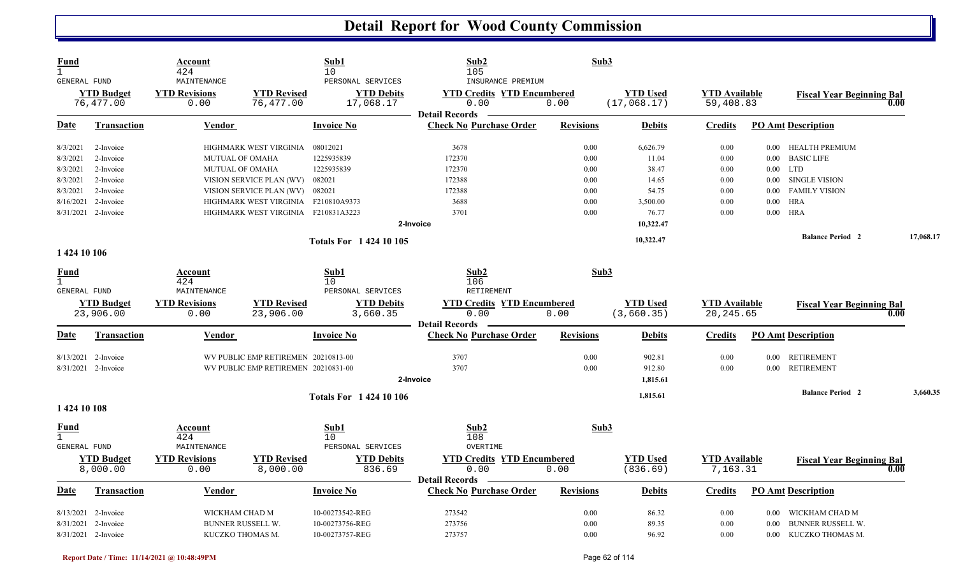| Fund<br>$\mathbf{1}$<br>GENERAL FUND |                                | Account<br>424<br>MAINTENANCE |                                     | Sub1<br>10<br>PERSONAL SERVICES | Sub2<br>105<br>INSURANCE PREMIUM                                   | Sub3             |                                |                                    |          |                                          |           |
|--------------------------------------|--------------------------------|-------------------------------|-------------------------------------|---------------------------------|--------------------------------------------------------------------|------------------|--------------------------------|------------------------------------|----------|------------------------------------------|-----------|
|                                      | <b>YTD Budget</b><br>76,477.00 | <b>YTD Revisions</b><br>0.00  | <b>YTD Revised</b><br>76,477.00     | <b>YTD Debits</b><br>17,068.17  | <b>YTD Credits YTD Encumbered</b><br>0.00<br><b>Detail Records</b> | 0.00             | <b>YTD Used</b><br>(17,068.17) | <b>YTD Available</b><br>59,408.83  |          | <b>Fiscal Year Beginning Bal</b><br>0.00 |           |
| Date                                 | <b>Transaction</b>             | Vendor                        |                                     | <b>Invoice No</b>               | <b>Check No Purchase Order</b>                                     | <b>Revisions</b> | <b>Debits</b>                  | <b>Credits</b>                     |          | <b>PO Amt Description</b>                |           |
| 8/3/2021                             | 2-Invoice                      |                               | HIGHMARK WEST VIRGINIA              | 08012021                        | 3678                                                               | 0.00             | 6,626.79                       | 0.00                               |          | 0.00 HEALTH PREMIUM                      |           |
| 8/3/2021                             | 2-Invoice                      | <b>MUTUAL OF OMAHA</b>        |                                     | 1225935839                      | 172370                                                             | 0.00             | 11.04                          | 0.00                               | $0.00\,$ | <b>BASIC LIFE</b>                        |           |
| 8/3/2021                             | 2-Invoice                      | <b>MUTUAL OF OMAHA</b>        |                                     | 1225935839                      | 172370                                                             | 0.00             | 38.47                          | 0.00                               | $0.00\,$ | <b>LTD</b>                               |           |
| 8/3/2021                             | 2-Invoice                      |                               | VISION SERVICE PLAN (WV)            | 082021                          | 172388                                                             | 0.00             | 14.65                          | 0.00                               | $0.00\,$ | <b>SINGLE VISION</b>                     |           |
| 8/3/2021                             | 2-Invoice                      |                               | VISION SERVICE PLAN (WV) 082021     |                                 | 172388                                                             | 0.00             | 54.75                          | 0.00                               | 0.00     | <b>FAMILY VISION</b>                     |           |
| 8/16/2021                            | 2-Invoice                      |                               | HIGHMARK WEST VIRGINIA F210810A9373 |                                 | 3688                                                               | 0.00             | 3,500.00                       | 0.00                               | 0.00     | <b>HRA</b>                               |           |
|                                      | 8/31/2021 2-Invoice            |                               | HIGHMARK WEST VIRGINIA F210831A3223 |                                 | 3701                                                               | 0.00             | 76.77                          | 0.00                               | $0.00\,$ | <b>HRA</b>                               |           |
|                                      |                                |                               |                                     |                                 | 2-Invoice                                                          |                  | 10,322.47                      |                                    |          |                                          |           |
|                                      |                                |                               |                                     | <b>Totals For 142410105</b>     |                                                                    |                  | 10,322.47                      |                                    |          | <b>Balance Period 2</b>                  | 17,068.17 |
| 1 424 10 106                         |                                |                               |                                     |                                 |                                                                    |                  |                                |                                    |          |                                          |           |
| <b>Fund</b>                          |                                | Account                       |                                     | Sub1                            | Sub2                                                               | Sub3             |                                |                                    |          |                                          |           |
| $\mathbf{1}$<br><b>GENERAL FUND</b>  |                                | 424<br>MAINTENANCE            |                                     | 10<br>PERSONAL SERVICES         | 106<br><b>RETIREMENT</b>                                           |                  |                                |                                    |          |                                          |           |
|                                      |                                |                               |                                     |                                 |                                                                    |                  |                                |                                    |          |                                          |           |
|                                      | <b>YTD Budget</b><br>23,906.00 | <b>YTD Revisions</b><br>0.00  | <b>YTD Revised</b><br>23,906.00     | <b>YTD Debits</b><br>3,660.35   | <b>YTD Credits YTD Encumbered</b><br>0.00                          | 0.00             | <b>YTD Used</b><br>(3,660.35)  | <b>YTD Available</b><br>20, 245.65 |          | <b>Fiscal Year Beginning Bal</b><br>0.00 |           |
|                                      |                                |                               |                                     |                                 | <b>Detail Records</b>                                              |                  |                                |                                    |          |                                          |           |
| Date                                 | <b>Transaction</b>             | Vendor                        |                                     | <b>Invoice No</b>               | <b>Check No Purchase Order</b>                                     | <b>Revisions</b> | <b>Debits</b>                  | <b>Credits</b>                     |          | <b>PO Amt Description</b>                |           |
|                                      | 8/13/2021 2-Invoice            |                               | WV PUBLIC EMP RETIREMEN 20210813-00 |                                 | 3707                                                               | 0.00             | 902.81                         | 0.00                               | 0.00     | <b>RETIREMENT</b>                        |           |
|                                      | 8/31/2021 2-Invoice            |                               | WV PUBLIC EMP RETIREMEN 20210831-00 |                                 | 3707                                                               | 0.00             | 912.80                         | 0.00                               | $0.00\,$ | <b>RETIREMENT</b>                        |           |
|                                      |                                |                               |                                     |                                 | 2-Invoice                                                          |                  | 1,815.61                       |                                    |          |                                          |           |
|                                      |                                |                               |                                     | <b>Totals For 1 424 10 106</b>  |                                                                    |                  | 1,815.61                       |                                    |          | <b>Balance Period 2</b>                  | 3.660.35  |
| 1 424 10 108                         |                                |                               |                                     |                                 |                                                                    |                  |                                |                                    |          |                                          |           |
| <u>Fund</u><br>$\mathbf{1}$          |                                | <u>Account</u><br>424         |                                     | Sub1<br>10                      | Sub2<br>108                                                        | Sub3             |                                |                                    |          |                                          |           |
| GENERAL FUND                         |                                | MAINTENANCE                   |                                     | PERSONAL SERVICES               | OVERTIME                                                           |                  |                                |                                    |          |                                          |           |
|                                      |                                |                               |                                     |                                 |                                                                    |                  | <b>YTD</b> Used                | <b>YTD Available</b>               |          | <b>Fiscal Year Beginning Bal</b>         |           |
|                                      |                                |                               |                                     |                                 |                                                                    |                  |                                |                                    |          |                                          |           |
|                                      | <b>YTD Budget</b>              | <b>YTD Revisions</b>          | <b>YTD Revised</b>                  | <b>YTD Debits</b>               | <b>YTD Credits YTD Encumbered</b>                                  |                  |                                |                                    |          |                                          |           |
|                                      | 8,000.00                       | 0.00                          | 8,000.00                            | 836.69                          | 0.00                                                               | 0.00             | (836.69)                       | 7,163.31                           |          | 0.00                                     |           |
| Date                                 | <b>Transaction</b>             | Vendor                        |                                     | <b>Invoice No</b>               | <b>Detail Records</b><br><b>Check No Purchase Order</b>            | <b>Revisions</b> | <b>Debits</b>                  | Credits                            |          | <b>PO Amt Description</b>                |           |
|                                      | 8/13/2021 2-Invoice            | WICKHAM CHAD M                |                                     | 10-00273542-REG                 | 273542                                                             | 0.00             | 86.32                          | 0.00                               | $0.00\,$ | WICKHAM CHAD M                           |           |
| 8/31/2021                            | 2-Invoice                      |                               | BUNNER RUSSELL W.                   | 10-00273756-REG                 | 273756                                                             | 0.00             | 89.35                          | 0.00                               | 0.00     | BUNNER RUSSELL W.                        |           |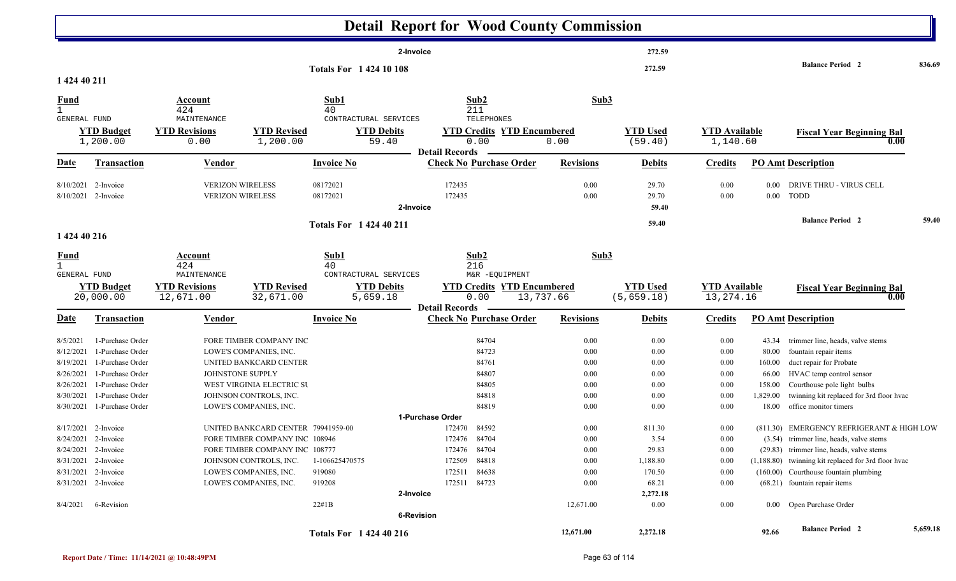|                                                    |                                              |                                                    |                                                                      |                                     | <b>Detail Report for Wood County Commission</b>         |                  |                                |                                     |                      |                                                                                      |          |
|----------------------------------------------------|----------------------------------------------|----------------------------------------------------|----------------------------------------------------------------------|-------------------------------------|---------------------------------------------------------|------------------|--------------------------------|-------------------------------------|----------------------|--------------------------------------------------------------------------------------|----------|
|                                                    |                                              |                                                    |                                                                      |                                     | 2-Invoice                                               |                  | 272.59                         |                                     |                      |                                                                                      |          |
| 1 424 40 211                                       |                                              |                                                    |                                                                      | <b>Totals For 142410108</b>         |                                                         |                  | 272.59                         |                                     |                      | <b>Balance Period 2</b>                                                              | 836.69   |
| <b>Fund</b><br>$\mathbf{1}$<br>GENERAL FUND        |                                              | Account<br>424<br>MAINTENANCE                      |                                                                      | Sub1<br>40<br>CONTRACTURAL SERVICES | Sub2<br>211<br>TELEPHONES                               | Sub3             |                                |                                     |                      |                                                                                      |          |
|                                                    | <b>YTD Budget</b><br>1,200.00                | <b>YTD Revisions</b><br>0.00                       | <b>YTD Revised</b><br>1,200.00                                       | <b>YTD Debits</b><br>59.40          | <b>YTD Credits YTD Encumbered</b><br>0.00               | 0.00             | <b>YTD Used</b><br>(59.40)     | <b>YTD Available</b><br>1,140.60    |                      | <b>Fiscal Year Beginning Bal</b><br>0.00                                             |          |
| <b>Date</b>                                        | <b>Transaction</b>                           | Vendor                                             |                                                                      | <b>Invoice No</b>                   | <b>Detail Records</b><br><b>Check No Purchase Order</b> | <b>Revisions</b> | <b>Debits</b>                  | <b>Credits</b>                      |                      | <b>PO Amt Description</b>                                                            |          |
|                                                    | $8/10/2021$ 2-Invoice<br>8/10/2021 2-Invoice | <b>VERIZON WIRELESS</b><br><b>VERIZON WIRELESS</b> |                                                                      | 08172021<br>08172021                | 172435<br>172435                                        | 0.00<br>0.00     | 29.70<br>29.70                 | 0.00<br>0.00                        | $0.00\,$<br>$0.00\,$ | DRIVE THRU - VIRUS CELL<br>TODD                                                      |          |
|                                                    |                                              |                                                    |                                                                      | Totals For 1 424 40 211             | 2-Invoice                                               |                  | 59.40<br>59.40                 |                                     |                      | <b>Balance Period 2</b>                                                              | 59.40    |
| 1 424 40 216                                       |                                              |                                                    |                                                                      |                                     |                                                         |                  |                                |                                     |                      |                                                                                      |          |
| <u>Fund</u><br>$\mathbf{1}$<br><b>GENERAL FUND</b> |                                              | Account<br>424<br>MAINTENANCE                      |                                                                      | Sub1<br>40<br>CONTRACTURAL SERVICES | Sub2<br>216<br>M&R -EQUIPMENT                           | Sub3             |                                |                                     |                      |                                                                                      |          |
|                                                    | <b>YTD Budget</b><br>20,000.00               | <b>YTD Revisions</b><br>12,671.00                  | <b>YTD Revised</b><br>32,671.00                                      | <b>YTD Debits</b><br>5,659.18       | <b>YTD Credits YTD Encumbered</b><br>0.00               | 13,737.66        | <b>YTD Used</b><br>(5, 659.18) | <b>YTD Available</b><br>13, 274. 16 |                      | <b>Fiscal Year Beginning Bal</b><br>0.00                                             |          |
| Date                                               | <b>Transaction</b>                           | <b>Vendor</b>                                      |                                                                      | <b>Invoice No</b>                   | <b>Detail Records</b><br><b>Check No Purchase Order</b> | <b>Revisions</b> | <b>Debits</b>                  | <b>Credits</b>                      |                      | <b>PO Amt Description</b>                                                            |          |
| 8/5/2021                                           | 1-Purchase Order                             |                                                    | FORE TIMBER COMPANY INC                                              |                                     | 84704                                                   | 0.00             | 0.00                           | 0.00                                | 43.34                | trimmer line, heads, valve stems                                                     |          |
| 8/12/2021                                          | 1-Purchase Order                             |                                                    | LOWE'S COMPANIES, INC.                                               |                                     | 84723                                                   | 0.00             | 0.00                           | 0.00                                | 80.00                | fountain repair items                                                                |          |
| 8/19/2021                                          | 1-Purchase Order                             |                                                    | UNITED BANKCARD CENTER                                               |                                     | 84761                                                   | 0.00             | 0.00                           | 0.00                                | 160.00               | duct repair for Probate                                                              |          |
| 8/26/2021                                          | 1-Purchase Order                             | JOHNSTONE SUPPLY                                   |                                                                      |                                     | 84807                                                   | 0.00             | 0.00                           | 0.00                                | 66.00                | HVAC temp control sensor                                                             |          |
| 8/26/2021                                          | 1-Purchase Order                             |                                                    | WEST VIRGINIA ELECTRIC SU                                            |                                     | 84805                                                   | 0.00             | 0.00                           | 0.00                                | 158.00               | Courthouse pole light bulbs                                                          |          |
| 8/30/2021                                          | 1-Purchase Order                             |                                                    | JOHNSON CONTROLS, INC.                                               |                                     | 84818                                                   | 0.00             | 0.00                           | 0.00                                | 1,829.00             | twinning kit replaced for 3rd floor hvac                                             |          |
|                                                    | 8/30/2021 1-Purchase Order                   |                                                    | LOWE'S COMPANIES, INC.                                               |                                     | 84819                                                   | 0.00             | 0.00                           | 0.00                                | 18.00                | office monitor timers                                                                |          |
|                                                    |                                              |                                                    |                                                                      |                                     | 1-Purchase Order                                        |                  |                                |                                     |                      |                                                                                      |          |
|                                                    | 8/17/2021 2-Invoice<br>8/24/2021 2-Invoice   |                                                    | UNITED BANKCARD CENTER 79941959-00<br>FORE TIMBER COMPANY INC 108946 |                                     | 172470 84592<br>172476 84704                            | 0.00<br>$0.00\,$ | 811.30<br>3.54                 | 0.00<br>$0.00\,$                    |                      | (811.30) EMERGENCY REFRIGERANT & HIGH LOW<br>(3.54) trimmer line, heads, valve stems |          |
|                                                    | 8/24/2021 2-Invoice                          |                                                    | FORE TIMBER COMPANY INC 108777                                       |                                     | 172476 84704                                            | 0.00             | 29.83                          | 0.00                                |                      | (29.83) trimmer line, heads, valve stems                                             |          |
|                                                    | 8/31/2021 2-Invoice                          |                                                    | JOHNSON CONTROLS, INC.                                               | 1-106625470575                      | 172509 84818                                            | 0.00             | 1,188.80                       | 0.00                                |                      | (1,188.80) twinning kit replaced for 3rd floor hvac                                  |          |
|                                                    | 8/31/2021 2-Invoice                          |                                                    | LOWE'S COMPANIES, INC.                                               | 919080                              | 84638<br>172511                                         | 0.00             | 170.50                         | 0.00                                |                      | (160.00) Courthouse fountain plumbing                                                |          |
|                                                    | 8/31/2021 2-Invoice                          |                                                    | LOWE'S COMPANIES, INC.                                               | 919208                              | 172511 84723                                            | 0.00             | 68.21                          | 0.00                                |                      | (68.21) fountain repair items                                                        |          |
|                                                    |                                              |                                                    |                                                                      |                                     | 2-Invoice                                               |                  | 2,272.18                       |                                     |                      |                                                                                      |          |
| 8/4/2021                                           | 6-Revision                                   |                                                    |                                                                      | 22#1B                               |                                                         | 12,671.00        | 0.00                           | 0.00                                |                      | 0.00 Open Purchase Order                                                             |          |
|                                                    |                                              |                                                    |                                                                      |                                     | 6-Revision                                              |                  |                                |                                     |                      |                                                                                      |          |
|                                                    |                                              |                                                    |                                                                      | Totals For 1 424 40 216             |                                                         | 12,671.00        | 2,272.18                       |                                     | 92.66                | <b>Balance Period</b> 2                                                              | 5,659.18 |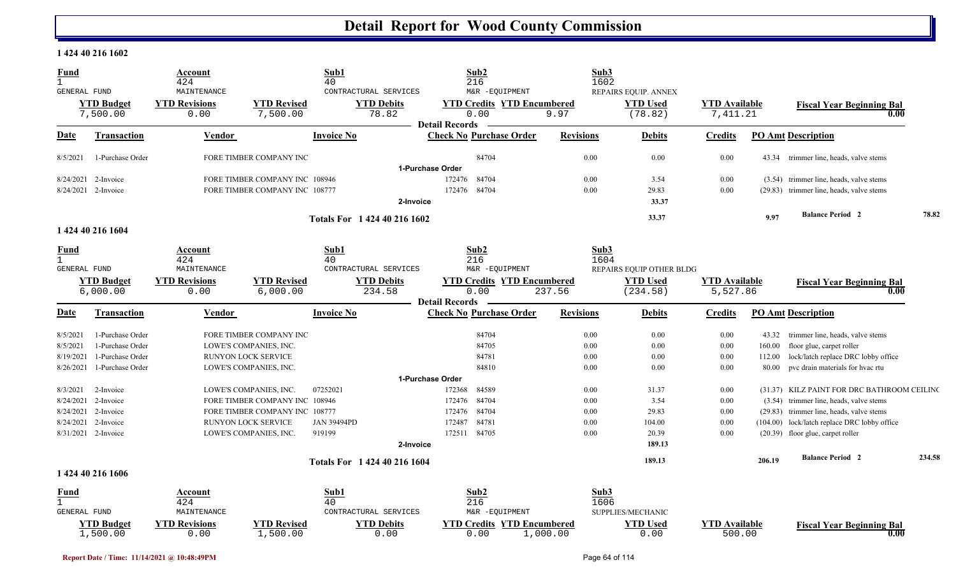#### **1 424 40 216 1602**

| <b>Fund</b><br>$\mathbf{1}$ |                               | Account<br>424                              |                                                       | Sub1<br>40                                          | Sub2<br>216                                                 | Sub3<br>1602     |                                                    |                                  |        |                                                                                          |        |
|-----------------------------|-------------------------------|---------------------------------------------|-------------------------------------------------------|-----------------------------------------------------|-------------------------------------------------------------|------------------|----------------------------------------------------|----------------------------------|--------|------------------------------------------------------------------------------------------|--------|
| GENERAL FUND                | <b>YTD Budget</b><br>7,500.00 | MAINTENANCE<br><b>YTD Revisions</b><br>0.00 | <b>YTD Revised</b><br>7,500.00                        | CONTRACTURAL SERVICES<br><b>YTD Debits</b><br>78.82 | M&R -EQUIPMENT<br><b>YTD Credits YTD Encumbered</b><br>0.00 | 9.97             | REPAIRS EQUIP. ANNEX<br><b>YTD Used</b><br>(78.82) | <b>YTD</b> Available<br>7,411.21 |        | <b>Fiscal Year Beginning Bal</b><br>0.00                                                 |        |
| <b>Date</b>                 | Transaction                   | <b>Vendor</b>                               |                                                       | <b>Invoice No</b>                                   | <b>Detail Records</b><br><b>Check No Purchase Order</b>     | <b>Revisions</b> | <b>Debits</b>                                      | <b>Credits</b>                   |        | <b>PO Amt Description</b>                                                                |        |
| 8/5/2021                    | 1-Purchase Order              |                                             | FORE TIMBER COMPANY INC                               |                                                     | 84704                                                       | 0.00             | 0.00                                               | 0.00                             | 43.34  | trimmer line, heads, valve stems                                                         |        |
|                             |                               |                                             |                                                       |                                                     | 1-Purchase Order                                            |                  |                                                    |                                  |        |                                                                                          |        |
| 8/24/2021                   | 2-Invoice                     |                                             | FORE TIMBER COMPANY INC 108946                        |                                                     | 84704<br>172476                                             | 0.00             | 3.54                                               | 0.00                             |        | (3.54) trimmer line, heads, valve stems                                                  |        |
|                             | 8/24/2021 2-Invoice           |                                             | FORE TIMBER COMPANY INC 108777                        |                                                     | 84704<br>172476                                             | 0.00             | 29.83                                              | 0.00                             |        | (29.83) trimmer line, heads, valve stems                                                 |        |
|                             |                               |                                             |                                                       | 2-Invoice                                           |                                                             |                  | 33.37                                              |                                  |        |                                                                                          |        |
|                             |                               |                                             |                                                       | Totals For 1 424 40 216 1602                        |                                                             |                  | 33.37                                              |                                  | 9.97   | <b>Balance Period 2</b>                                                                  | 78.82  |
|                             | 1 424 40 216 1604             |                                             |                                                       |                                                     |                                                             |                  |                                                    |                                  |        |                                                                                          |        |
| Fund                        |                               | Account                                     |                                                       | Sub1                                                | Sub2                                                        | Sub3             |                                                    |                                  |        |                                                                                          |        |
| $\mathbf{1}$                |                               | 424                                         |                                                       | 40                                                  | 216                                                         | 1604             |                                                    |                                  |        |                                                                                          |        |
| GENERAL FUND                | <b>YTD Budget</b>             | MAINTENANCE<br><b>YTD Revisions</b>         | <b>YTD Revised</b>                                    | CONTRACTURAL SERVICES<br><b>YTD Debits</b>          | M&R -EQUIPMENT<br><b>YTD Credits YTD Encumbered</b>         |                  | REPAIRS EQUIP OTHER BLDG<br><b>YTD Used</b>        | <b>YTD</b> Available             |        |                                                                                          |        |
|                             | 6,000.00                      | 0.00                                        | 6,000.00                                              | 234.58                                              | 0.00                                                        | 237.56           | (234.58)                                           | 5,527.86                         |        | <b>Fiscal Year Beginning Bal</b><br>0.00                                                 |        |
|                             |                               |                                             |                                                       |                                                     | <b>Detail Records</b>                                       |                  |                                                    |                                  |        |                                                                                          |        |
| <b>Date</b>                 | <b>Transaction</b>            | Vendor                                      |                                                       | <b>Invoice No</b>                                   | <b>Check No Purchase Order</b>                              | <b>Revisions</b> | <b>Debits</b>                                      | <b>Credits</b>                   |        | <b>PO Amt Description</b>                                                                |        |
| 8/5/2021                    | 1-Purchase Order              |                                             | <b>FORE TIMBER COMPANY INC</b>                        |                                                     | 84704                                                       | 0.00             | 0.00                                               | 0.00                             | 43.32  | trimmer line, heads, valve stems                                                         |        |
| 8/5/2021                    | 1-Purchase Order              |                                             | LOWE'S COMPANIES, INC.                                |                                                     | 84705                                                       | 0.00             | 0.00                                               | 0.00                             | 160.00 | floor glue, carpet roller                                                                |        |
| 8/19/2021                   | 1-Purchase Order              |                                             | <b>RUNYON LOCK SERVICE</b>                            |                                                     | 84781                                                       | 0.00             | 0.00                                               | 0.00                             | 112.00 | lock/latch replace DRC lobby office                                                      |        |
| 8/26/2021                   | 1-Purchase Order              |                                             | LOWE'S COMPANIES, INC.                                |                                                     | 84810                                                       | 0.00             | 0.00                                               | 0.00                             | 80.00  | pvc drain materials for hvac rtu                                                         |        |
|                             |                               |                                             |                                                       |                                                     | 1-Purchase Order                                            |                  |                                                    |                                  |        |                                                                                          |        |
| 8/3/2021                    | 2-Invoice                     |                                             | LOWE'S COMPANIES, INC.                                | 07252021                                            | 172368<br>84589                                             | 0.00             | 31.37                                              | 0.00                             |        | (31.37) KILZ PAINT FOR DRC BATHROOM CEILING                                              |        |
| 8/24/2021<br>8/24/2021      | 2-Invoice<br>2-Invoice        |                                             | FORE TIMBER COMPANY INC 108946                        |                                                     | 84704<br>172476<br>84704                                    | 0.00<br>0.00     | 3.54<br>29.83                                      | 0.00<br>0.00                     |        | (3.54) trimmer line, heads, valve stems                                                  |        |
| 8/24/2021                   | 2-Invoice                     |                                             | FORE TIMBER COMPANY INC 108777<br>RUNYON LOCK SERVICE | <b>JAN 39494PD</b>                                  | 172476<br>84781<br>172487                                   | 0.00             | 104.00                                             | 0.00                             |        | (29.83) trimmer line, heads, valve stems<br>(104.00) lock/latch replace DRC lobby office |        |
|                             | 8/31/2021 2-Invoice           |                                             | LOWE'S COMPANIES, INC.                                | 919199                                              | 84705<br>172511                                             | 0.00             | 20.39                                              | 0.00                             |        | (20.39) floor glue, carpet roller                                                        |        |
|                             |                               |                                             |                                                       | 2-Invoice                                           |                                                             |                  | 189.13                                             |                                  |        |                                                                                          |        |
|                             |                               |                                             |                                                       | Totals For 1 424 40 216 1604                        |                                                             |                  | 189.13                                             |                                  | 206.19 | <b>Balance Period 2</b>                                                                  | 234.58 |
|                             | 1 424 40 216 1606             |                                             |                                                       |                                                     |                                                             |                  |                                                    |                                  |        |                                                                                          |        |
| <b>Fund</b>                 |                               | Account                                     |                                                       | Sub1                                                | Sub2                                                        | Sub3             |                                                    |                                  |        |                                                                                          |        |
| $\mathbf{1}$                |                               | 424                                         |                                                       | 40                                                  | 216                                                         | 1606             |                                                    |                                  |        |                                                                                          |        |
| <b>GENERAL FUND</b>         |                               | MAINTENANCE                                 |                                                       | CONTRACTURAL SERVICES                               | M&R -EQUIPMENT                                              |                  | SUPPLIES/MECHANIC                                  |                                  |        |                                                                                          |        |
|                             | <b>YTD Budget</b><br>1,500.00 | <b>YTD Revisions</b><br>0.00                | <b>YTD Revised</b><br>1,500.00                        | <b>YTD Debits</b><br>0.00                           | <b>YTD Credits YTD Encumbered</b><br>0.00                   | 1,000.00         | <b>YTD Used</b><br>0.00                            | <b>YTD</b> Available<br>500.00   |        | <b>Fiscal Year Beginning Bal</b><br>0.00                                                 |        |

 $\epsilon$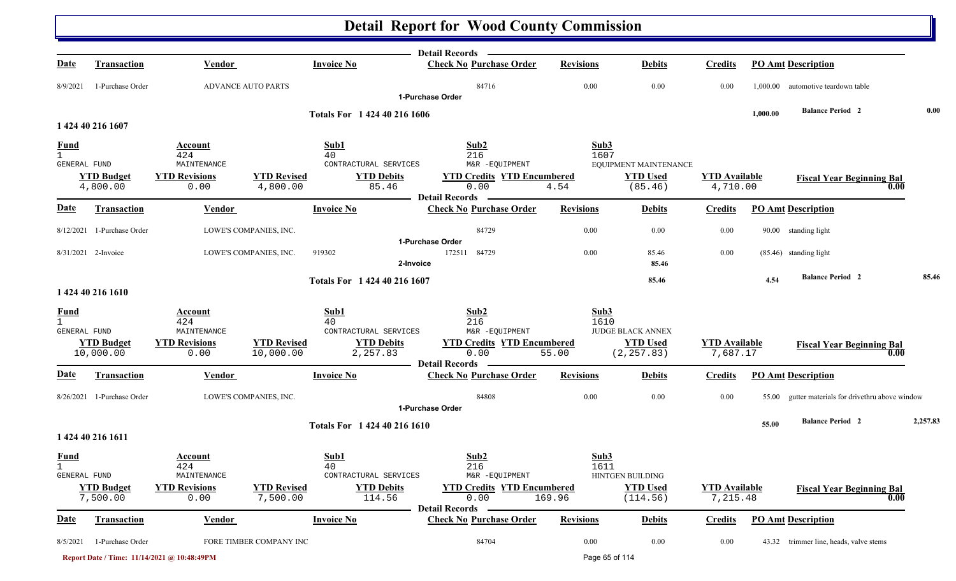|                                             |                                |                                                    |                                 |                                                              | Detail Records —                                                                            |                  |                                                            |                                  |          |                                                   |          |
|---------------------------------------------|--------------------------------|----------------------------------------------------|---------------------------------|--------------------------------------------------------------|---------------------------------------------------------------------------------------------|------------------|------------------------------------------------------------|----------------------------------|----------|---------------------------------------------------|----------|
| Date                                        | <b>Transaction</b>             | <b>Vendor</b>                                      |                                 | <b>Invoice No</b>                                            | <b>Check No Purchase Order</b>                                                              | <b>Revisions</b> | <b>Debits</b>                                              | <b>Credits</b>                   |          | <b>PO Amt Description</b>                         |          |
| 8/9/2021                                    | 1-Purchase Order               | <b>ADVANCE AUTO PARTS</b>                          |                                 |                                                              | 84716                                                                                       | 0.00             | 0.00                                                       | 0.00                             |          | 1,000.00 automotive teardown table                |          |
|                                             |                                |                                                    |                                 |                                                              | 1-Purchase Order                                                                            |                  |                                                            |                                  | 1,000.00 | <b>Balance Period 2</b>                           | 0.00     |
|                                             | 1 424 40 216 1607              |                                                    |                                 | Totals For 1 424 40 216 1606                                 |                                                                                             |                  |                                                            |                                  |          |                                                   |          |
| <b>Fund</b><br>$\mathbf{1}$<br>GENERAL FUND |                                | Account<br>424<br>MAINTENANCE                      |                                 | Sub1<br>40<br>CONTRACTURAL SERVICES                          | Sub2<br>216<br>M&R -EQUIPMENT                                                               | Sub3<br>1607     | EQUIPMENT MAINTENANCE                                      |                                  |          |                                                   |          |
|                                             | <b>YTD Budget</b><br>4,800.00  | <b>YTD Revisions</b>                               | <b>YTD Revised</b><br>4,800.00  | <b>YTD Debits</b><br>85.46                                   | <b>YTD Credits YTD Encumbered</b><br>0.00                                                   |                  | <b>YTD Used</b><br>(85.46)                                 | <b>YTD Available</b><br>4,710.00 |          | <b>Fiscal Year Beginning Bal</b><br>0.00          |          |
|                                             |                                | 0.00                                               |                                 |                                                              | <b>Detail Records</b>                                                                       | 4.54             |                                                            |                                  |          |                                                   |          |
| <b>Date</b>                                 | <b>Transaction</b>             | Vendor                                             |                                 | <b>Invoice No</b>                                            | <b>Check No Purchase Order</b>                                                              | <b>Revisions</b> | <b>Debits</b>                                              | <b>Credits</b>                   |          | <b>PO Amt Description</b>                         |          |
|                                             | 8/12/2021 1-Purchase Order     |                                                    | LOWE'S COMPANIES, INC.          |                                                              | 84729                                                                                       | 0.00             | 0.00                                                       | 0.00                             |          | 90.00 standing light                              |          |
|                                             | 8/31/2021 2-Invoice            |                                                    | LOWE'S COMPANIES, INC.          | 919302<br>2-Invoice                                          | 1-Purchase Order<br>84729<br>172511                                                         | 0.00             | 85.46<br>85.46                                             | 0.00                             |          | (85.46) standing light                            |          |
|                                             |                                |                                                    |                                 | Totals For 1 424 40 216 1607                                 |                                                                                             |                  | 85.46                                                      |                                  | 4.54     | <b>Balance Period 2</b>                           | 85.46    |
|                                             | 1 424 40 216 1610              |                                                    |                                 |                                                              |                                                                                             |                  |                                                            |                                  |          |                                                   |          |
| <b>Fund</b>                                 |                                | Account                                            |                                 | Sub1                                                         | Sub2                                                                                        | Sub3             |                                                            |                                  |          |                                                   |          |
| $\mathbf{1}$<br><b>GENERAL FUND</b>         | <b>YTD Budget</b><br>10,000.00 | 424<br>MAINTENANCE<br><b>YTD Revisions</b><br>0.00 | <b>YTD Revised</b><br>10,000.00 | 40<br>CONTRACTURAL SERVICES<br><b>YTD Debits</b><br>2,257.83 | 216<br>M&R -EQUIPMENT<br><b>YTD Credits YTD Encumbered</b><br>0.00<br><b>Detail Records</b> | 1610<br>55.00    | <b>JUDGE BLACK ANNEX</b><br><b>YTD</b> Used<br>(2, 257.83) | <b>YTD Available</b><br>7,687.17 |          | <b>Fiscal Year Beginning Bal</b><br>0.00          |          |
| Date                                        | <b>Transaction</b>             | <b>Vendor</b>                                      |                                 | <b>Invoice No</b>                                            | <b>Check No Purchase Order</b>                                                              | <b>Revisions</b> | <b>Debits</b>                                              | <b>Credits</b>                   |          | <b>PO Amt Description</b>                         |          |
|                                             | 8/26/2021 1-Purchase Order     |                                                    | LOWE'S COMPANIES, INC.          |                                                              | 84808<br>1-Purchase Order                                                                   | $0.00\,$         | 0.00                                                       | 0.00                             |          | 55.00 gutter materials for drivethru above window |          |
|                                             |                                |                                                    |                                 | Totals For 1 424 40 216 1610                                 |                                                                                             |                  |                                                            |                                  | 55.00    | <b>Balance Period 2</b>                           | 2,257.83 |
|                                             | 1 424 40 216 1611              |                                                    |                                 |                                                              |                                                                                             |                  |                                                            |                                  |          |                                                   |          |
| <b>Fund</b><br><b>GENERAL FUND</b>          |                                | <b>Account</b><br>424<br>MAINTENANCE               |                                 | Sub1<br>40<br>CONTRACTURAL SERVICES                          | Sub2<br>216<br>M&R -EQUIPMENT                                                               | Sub3<br>1611     | HINTGEN BUILDING                                           |                                  |          |                                                   |          |
|                                             | <b>YTD Budget</b><br>7,500.00  | <b>YTD Revisions</b><br>0.00                       | <b>YTD Revised</b><br>7,500.00  | <b>YTD Debits</b><br>114.56                                  | <b>YTD Credits YTD Encumbered</b><br>0.00                                                   | 169.96           | <b>YTD Used</b><br>(114.56)                                | <b>YTD</b> Available<br>7,215.48 |          | <b>Fiscal Year Beginning Bal</b><br>0.00          |          |
| <b>Date</b>                                 | Transaction                    | <b>Vendor</b>                                      |                                 | <b>Invoice No</b>                                            | <b>Detail Records</b><br><b>Check No Purchase Order</b>                                     | <b>Revisions</b> | <b>Debits</b>                                              | <b>Credits</b>                   |          | <b>PO Amt Description</b>                         |          |
| 8/5/2021                                    | 1-Purchase Order               |                                                    | FORE TIMBER COMPANY INC         |                                                              | 84704                                                                                       | $0.00\,$         | 0.00                                                       | 0.00                             |          | 43.32 trimmer line, heads, valve stems            |          |
|                                             |                                | Report Date / Time: 11/14/2021 @ 10:48:49PM        |                                 |                                                              |                                                                                             |                  | Page 65 of 114                                             |                                  |          |                                                   |          |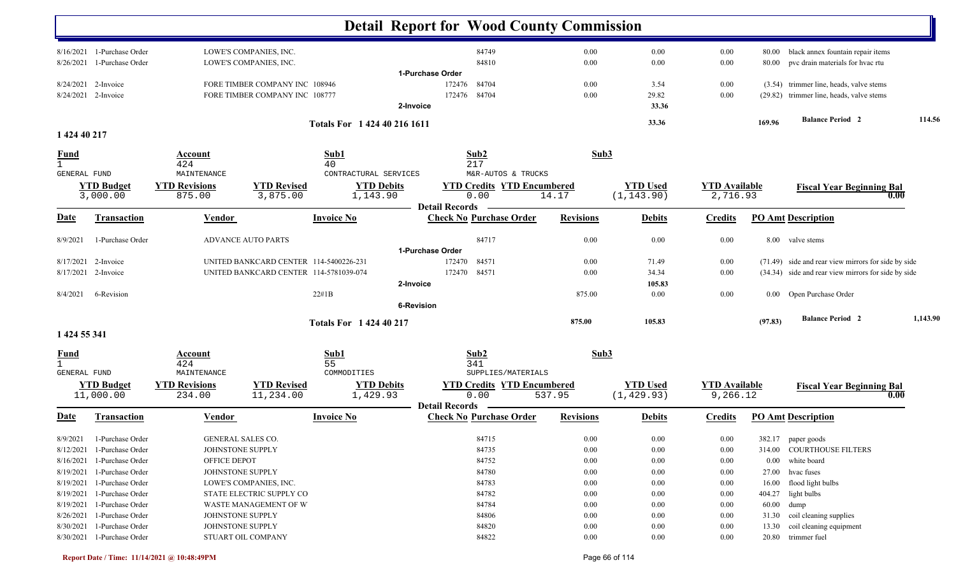|                                             |                                                                                                                      |                                                       |                                                                                  |                                                              | <b>Detail Report for Wood County Commission</b>                        |                              |                                |                                          |                |                                                                                                            |          |
|---------------------------------------------|----------------------------------------------------------------------------------------------------------------------|-------------------------------------------------------|----------------------------------------------------------------------------------|--------------------------------------------------------------|------------------------------------------------------------------------|------------------------------|--------------------------------|------------------------------------------|----------------|------------------------------------------------------------------------------------------------------------|----------|
| 8/26/2021                                   | $8/16/2021$ 1-Purchase Order<br>1-Purchase Order                                                                     |                                                       | LOWE'S COMPANIES, INC.<br>LOWE'S COMPANIES, INC.                                 |                                                              | 84749<br>84810                                                         | 0.00<br>0.00                 | 0.00<br>0.00                   | 0.00<br>0.00                             | 80.00<br>80.00 | black annex fountain repair items<br>pvc drain materials for hvac rtu                                      |          |
|                                             | 8/24/2021 2-Invoice<br>8/24/2021 2-Invoice                                                                           |                                                       | FORE TIMBER COMPANY INC 108946<br>FORE TIMBER COMPANY INC 108777                 |                                                              | 1-Purchase Order<br>172476<br>84704<br>172476 84704<br>2-Invoice       | 0.00<br>0.00                 | 3.54<br>29.82<br>33.36         | 0.00<br>0.00                             |                | (3.54) trimmer line, heads, valve stems<br>(29.82) trimmer line, heads, valve stems                        |          |
|                                             |                                                                                                                      |                                                       |                                                                                  | Totals For 1 424 40 216 1611                                 |                                                                        |                              | 33.36                          |                                          | 169.96         | <b>Balance Period 2</b>                                                                                    | 114.56   |
| 1 424 40 217<br><b>Fund</b>                 |                                                                                                                      | <b>Account</b>                                        |                                                                                  | Sub1                                                         | Sub2                                                                   | Sub3                         |                                |                                          |                |                                                                                                            |          |
| $\mathbf{1}$<br>GENERAL FUND                | <b>YTD Budget</b><br>3,000.00                                                                                        | 424<br>MAINTENANCE<br><b>YTD Revisions</b><br>875.00  | <b>YTD Revised</b><br>3,875.00                                                   | 40<br>CONTRACTURAL SERVICES<br><b>YTD Debits</b><br>1,143.90 | 217<br>M&R-AUTOS & TRUCKS<br><b>YTD Credits YTD Encumbered</b><br>0.00 | 14.17                        | <b>YTD Used</b><br>(1, 143.90) | <b>YTD Available</b><br>2,716.93         |                | <b>Fiscal Year Beginning Bal</b><br>0.00                                                                   |          |
| <b>Date</b>                                 | Transaction                                                                                                          | Vendor                                                |                                                                                  | <b>Invoice No</b>                                            | <b>Detail Records</b><br><b>Check No Purchase Order</b>                | <b>Revisions</b>             | <b>Debits</b>                  | <b>Credits</b>                           |                | <b>PO Amt Description</b>                                                                                  |          |
| 8/9/2021                                    | 1-Purchase Order                                                                                                     |                                                       | <b>ADVANCE AUTO PARTS</b>                                                        |                                                              | 84717<br>1-Purchase Order                                              | 0.00                         | 0.00                           | 0.00                                     |                | 8.00 valve stems                                                                                           |          |
|                                             | 8/17/2021 2-Invoice<br>8/17/2021 2-Invoice                                                                           |                                                       | UNITED BANKCARD CENTER 114-5400226-231<br>UNITED BANKCARD CENTER 114-5781039-074 |                                                              | 84571<br>172470<br>84571<br>172470<br>2-Invoice                        | 0.00<br>0.00                 | 71.49<br>34.34<br>105.83       | 0.00<br>0.00                             |                | (71.49) side and rear view mirrors for side by side<br>(34.34) side and rear view mirrors for side by side |          |
| 8/4/2021                                    | 6-Revision                                                                                                           |                                                       |                                                                                  | 22#1B                                                        | <b>6-Revision</b>                                                      | 875.00                       | 0.00                           | 0.00                                     |                | 0.00 Open Purchase Order                                                                                   |          |
| 1 424 55 341                                |                                                                                                                      |                                                       |                                                                                  | <b>Totals For 142440217</b>                                  |                                                                        | 875.00                       | 105.83                         |                                          | (97.83)        | <b>Balance Period 2</b>                                                                                    | 1,143.90 |
| <b>Fund</b><br>$\mathbf{1}$<br>GENERAL FUND |                                                                                                                      | <b>Account</b><br>424<br>MAINTENANCE                  |                                                                                  | Sub1<br>55<br>COMMODITIES                                    | Sub2<br>341<br>SUPPLIES/MATERIALS                                      | Sub3                         |                                |                                          |                |                                                                                                            |          |
|                                             | <b>YTD Budget</b><br>11,000.00                                                                                       | <b>YTD Revisions</b><br>234.00                        | <b>YTD Revised</b><br>11,234.00                                                  | <b>YTD Debits</b><br>1,429.93                                | <b>YTD Credits YTD Encumbered</b><br>0.00<br><b>Detail Records</b>     | 537.95                       | <b>YTD Used</b><br>(1, 429.93) | <b>YTD Available</b><br>9,266.12         |                | <b>Fiscal Year Beginning Bal</b><br>0.00                                                                   |          |
| Date                                        | <b>Transaction</b>                                                                                                   | <b>Vendor</b>                                         |                                                                                  | <b>Invoice No</b>                                            | <b>Check No Purchase Order</b>                                         | <b>Revisions</b>             | <b>Debits</b>                  | <b>Credits</b>                           |                | <b>PO Amt Description</b>                                                                                  |          |
|                                             | 8/9/2021 1-Purchase Order<br>8/12/2021 1-Purchase Order<br>8/16/2021 1-Purchase Order                                | GENERAL SALES CO.<br>JOHNSTONE SUPPLY<br>OFFICE DEPOT |                                                                                  |                                                              | 84715<br>84735<br>84752                                                | $0.00\,$<br>0.00<br>0.00     | $0.00\,$<br>0.00<br>0.00       | $0.00\,$<br>0.00<br>0.00                 |                | 382.17 paper goods<br>314.00 COURTHOUSE FILTERS<br>0.00 white board                                        |          |
|                                             | 8/19/2021 1-Purchase Order<br>8/19/2021 1-Purchase Order<br>8/19/2021 1-Purchase Order<br>8/19/2021 1-Purchase Order | JOHNSTONE SUPPLY                                      | LOWE'S COMPANIES, INC.<br>STATE ELECTRIC SUPPLY CO                               |                                                              | 84780<br>84783<br>84782<br>84784                                       | 0.00<br>0.00<br>0.00         | 0.00<br>0.00<br>0.00           | $0.00\,$<br>$0.00\,$<br>$0.00\,$         |                | 27.00 hvac fuses<br>16.00 flood light bulbs<br>404.27 light bulbs                                          |          |
|                                             | 8/26/2021 1-Purchase Order<br>8/30/2021 1-Purchase Order<br>8/30/2021 1-Purchase Order                               | JOHNSTONE SUPPLY<br>JOHNSTONE SUPPLY                  | WASTE MANAGEMENT OF W<br>STUART OIL COMPANY                                      |                                                              | 84806<br>84820<br>84822                                                | 0.00<br>0.00<br>0.00<br>0.00 | 0.00<br>0.00<br>0.00<br>0.00   | $0.00\,$<br>$0.00\,$<br>$0.00\,$<br>0.00 |                | 60.00 dump<br>31.30 coil cleaning supplies<br>13.30 coil cleaning equipment<br>20.80 trimmer fuel          |          |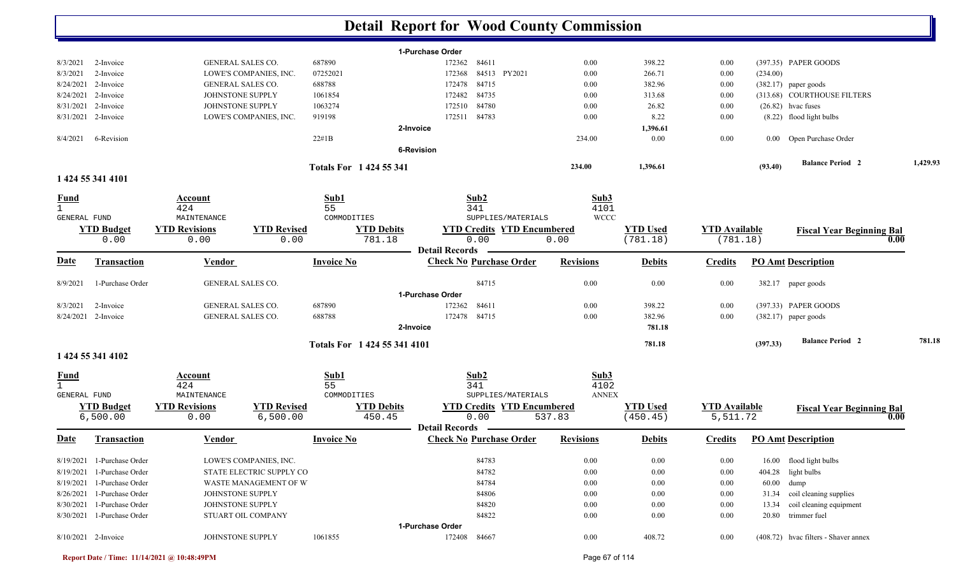|                              |                               |                                    |                                |                               |                                | <b>Detail Report for Wood County Commission</b> |                      |                             |                                  |                           |                                      |      |          |
|------------------------------|-------------------------------|------------------------------------|--------------------------------|-------------------------------|--------------------------------|-------------------------------------------------|----------------------|-----------------------------|----------------------------------|---------------------------|--------------------------------------|------|----------|
|                              |                               |                                    |                                |                               |                                | 1-Purchase Order                                |                      |                             |                                  |                           |                                      |      |          |
| 8/3/2021                     | 2-Invoice                     | GENERAL SALES CO.                  |                                | 687890                        |                                | 84611<br>172362                                 | 0.00                 | 398.22                      | 0.00                             |                           | (397.35) PAPER GOODS                 |      |          |
| 8/3/2021                     | 2-Invoice                     |                                    | LOWE'S COMPANIES, INC.         | 07252021                      |                                | 84513 PY2021<br>172368                          | 0.00                 | 266.71                      | 0.00                             | (234.00)                  |                                      |      |          |
| 8/24/2021                    | 2-Invoice                     | <b>GENERAL SALES CO.</b>           |                                | 688788                        |                                | 84715<br>172478                                 | 0.00                 | 382.96                      | 0.00                             |                           | $(382.17)$ paper goods               |      |          |
| 8/24/2021                    | 2-Invoice                     | JOHNSTONE SUPPLY                   |                                | 1061854                       |                                | 84735<br>172482                                 | 0.00                 | 313.68                      | 0.00                             |                           | (313.68) COURTHOUSE FILTERS          |      |          |
| 8/31/2021                    | 2-Invoice                     | JOHNSTONE SUPPLY                   |                                | 1063274                       |                                | 84780<br>172510                                 | 0.00                 | 26.82                       | 0.00                             |                           | $(26.82)$ hvac fuses                 |      |          |
| 8/31/2021                    | 2-Invoice                     |                                    | LOWE'S COMPANIES, INC.         | 919198                        |                                | 84783<br>172511                                 | 0.00                 | 8.22                        | 0.00                             |                           | (8.22) flood light bulbs             |      |          |
|                              |                               |                                    |                                |                               |                                | 2-Invoice                                       |                      | 1,396.61                    |                                  |                           |                                      |      |          |
| 8/4/2021                     | 6-Revision                    |                                    |                                | $22\#1B$                      |                                |                                                 | 234.00               | 0.00                        | 0.00                             | $0.00\,$                  | Open Purchase Order                  |      |          |
|                              |                               |                                    |                                |                               |                                | <b>6-Revision</b>                               |                      |                             |                                  |                           |                                      |      |          |
|                              |                               |                                    |                                | <b>Totals For 1424 55 341</b> |                                |                                                 | 234.00               | 1,396.61                    |                                  | (93.40)                   | <b>Balance Period 2</b>              |      | 1,429.93 |
|                              | 1 424 55 341 4101             |                                    |                                |                               |                                |                                                 |                      |                             |                                  |                           |                                      |      |          |
| <b>Fund</b>                  |                               | Account                            |                                | Sub1                          |                                | Sub2                                            | Sub3                 |                             |                                  |                           |                                      |      |          |
| $\mathbf{1}$                 |                               | 424                                |                                | 55                            |                                | 341                                             | 4101                 |                             |                                  |                           |                                      |      |          |
| <b>GENERAL FUND</b>          |                               | MAINTENANCE                        |                                | COMMODITIES                   |                                | SUPPLIES/MATERIALS                              | <b>WCCC</b>          |                             |                                  |                           |                                      |      |          |
|                              | <b>YTD Budget</b>             | <b>YTD Revisions</b>               | <b>YTD Revised</b><br>0.00     |                               | <b>YTD Debits</b><br>781.18    | <b>YTD Credits YTD Encumbered</b><br>0.00       | 0.00                 | <b>YTD Used</b><br>(781.18) | <b>YTD</b> Available<br>(781.18) |                           | <b>Fiscal Year Beginning Bal</b>     | 0.00 |          |
|                              | 0.00                          | 0.00                               |                                |                               |                                | <b>Detail Records</b>                           |                      |                             |                                  |                           |                                      |      |          |
| <u>Date</u>                  | <b>Transaction</b>            | <b>Invoice No</b><br><b>Vendor</b> |                                |                               | <b>Check No Purchase Order</b> | <b>Revisions</b>                                | <b>Debits</b>        | <b>Credits</b>              |                                  | <b>PO Amt Description</b> |                                      |      |          |
| 8/9/2021                     | 1-Purchase Order              | <b>GENERAL SALES CO.</b>           |                                |                               |                                | 84715                                           | 0.00                 | 0.00                        | 0.00                             |                           | 382.17 paper goods                   |      |          |
|                              |                               |                                    |                                |                               |                                | 1-Purchase Order                                |                      |                             |                                  |                           |                                      |      |          |
| 8/3/2021                     | 2-Invoice                     | <b>GENERAL SALES CO.</b>           |                                | 687890                        |                                | 84611<br>172362                                 | 0.00                 | 398.22                      | 0.00                             |                           | (397.33) PAPER GOODS                 |      |          |
| 8/24/2021                    | 2-Invoice                     | GENERAL SALES CO.                  |                                | 688788                        |                                | 84715<br>172478                                 | 0.00                 | 382.96                      | 0.00                             |                           | $(382.17)$ paper goods               |      |          |
|                              |                               |                                    |                                |                               |                                | 2-Invoice                                       |                      | 781.18                      |                                  |                           |                                      |      |          |
|                              |                               |                                    |                                | Totals For 1 424 55 341 4101  |                                |                                                 |                      | 781.18                      |                                  | (397.33)                  | <b>Balance Period 2</b>              |      | 781.18   |
|                              | 1 424 55 341 4102             |                                    |                                |                               |                                |                                                 |                      |                             |                                  |                           |                                      |      |          |
| <b>Fund</b>                  |                               | Account                            |                                | Sub1                          |                                | Sub2                                            | Sub3                 |                             |                                  |                           |                                      |      |          |
| $\mathbf{1}$<br>GENERAL FUND |                               | 424<br>MAINTENANCE                 |                                | 55<br>COMMODITIES             |                                | 341<br>SUPPLIES/MATERIALS                       | 4102<br><b>ANNEX</b> |                             |                                  |                           |                                      |      |          |
|                              |                               | <b>YTD Revisions</b>               |                                |                               |                                | <b>YTD Credits YTD Encumbered</b>               |                      | <b>YTD Used</b>             |                                  |                           |                                      |      |          |
|                              | <b>YTD Budget</b><br>6,500.00 | 0.00                               | <b>YTD Revised</b><br>6,500.00 |                               | <b>YTD Debits</b><br>450.45    | 0.00                                            | 537.83               | (450.45)                    | <b>YTD Available</b><br>5,511.72 |                           | <b>Fiscal Year Beginning Bal</b>     | 0.00 |          |
|                              |                               |                                    |                                |                               |                                | <b>Detail Records</b>                           |                      |                             |                                  |                           |                                      |      |          |
| Date                         | <b>Transaction</b>            | <b>Vendor</b>                      |                                | <b>Invoice No</b>             |                                | <b>Check No Purchase Order</b>                  | <b>Revisions</b>     | <b>Debits</b>               | <b>Credits</b>                   |                           | <b>PO Amt Description</b>            |      |          |
|                              | 8/19/2021 1-Purchase Order    |                                    | LOWE'S COMPANIES, INC.         |                               |                                | 84783                                           | 0.00                 | 0.00                        | $0.00\,$                         |                           | 16.00 flood light bulbs              |      |          |
| 8/19/2021                    | 1-Purchase Order              |                                    | STATE ELECTRIC SUPPLY CO       |                               |                                | 84782                                           | 0.00                 | 0.00                        | $0.00\,$                         |                           | 404.28 light bulbs                   |      |          |
|                              | 8/19/2021 1-Purchase Order    |                                    | WASTE MANAGEMENT OF W          |                               |                                | 84784                                           | 0.00                 | $0.00\,$                    | $0.00\,$                         |                           | 60.00 dump                           |      |          |
| 8/26/2021                    | 1-Purchase Order              | JOHNSTONE SUPPLY                   |                                |                               |                                | 84806                                           | 0.00                 | $0.00\,$                    | $0.00\,$                         |                           | 31.34 coil cleaning supplies         |      |          |
| 8/30/2021                    | 1-Purchase Order              | JOHNSTONE SUPPLY                   |                                |                               |                                | 84820                                           | 0.00                 | $0.00\,$                    | $0.00\,$                         | 13.34                     | coil cleaning equipment              |      |          |
|                              | 8/30/2021 1-Purchase Order    |                                    | STUART OIL COMPANY             |                               |                                | 84822                                           | 0.00                 | 0.00                        | $0.00\,$                         | 20.80                     | trimmer fuel                         |      |          |
|                              |                               |                                    |                                |                               |                                | 1-Purchase Order                                |                      |                             |                                  |                           |                                      |      |          |
|                              | 8/10/2021 2-Invoice           | JOHNSTONE SUPPLY                   |                                | 1061855                       |                                | 172408<br>84667                                 | $0.00\,$             | 408.72                      | $0.00\,$                         |                           | (408.72) hvac filters - Shaver annex |      |          |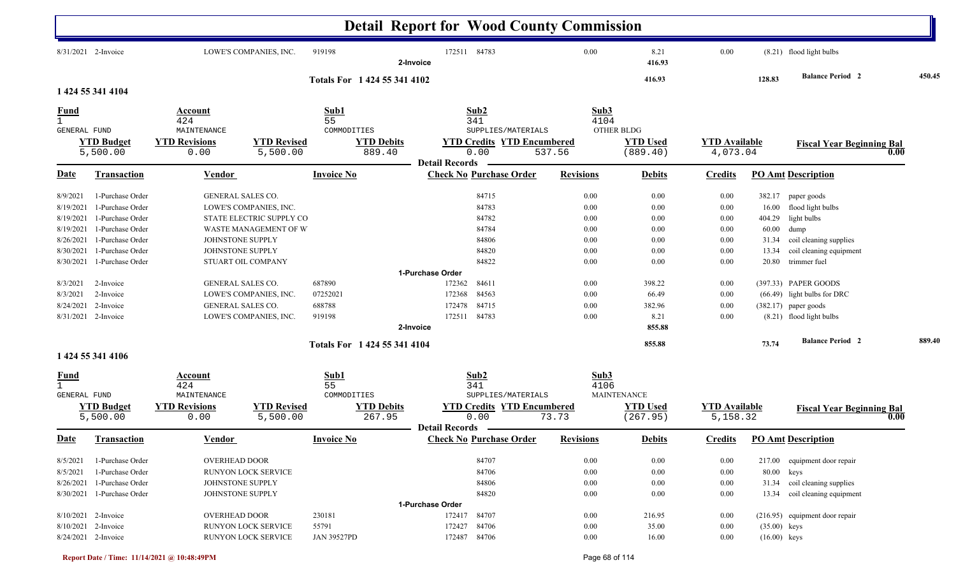|                                                                                                                |                                                                                                                                                                                                                                       |                                                                                                                          |                                                                                                                                                       |                                                                        | <b>Detail Report for Wood County Commission</b>                                                                                                                       |                                                                                      |                                                                                                               |                                                                                      |                                                              |                                                                                                                                                                                                                                                                             |        |
|----------------------------------------------------------------------------------------------------------------|---------------------------------------------------------------------------------------------------------------------------------------------------------------------------------------------------------------------------------------|--------------------------------------------------------------------------------------------------------------------------|-------------------------------------------------------------------------------------------------------------------------------------------------------|------------------------------------------------------------------------|-----------------------------------------------------------------------------------------------------------------------------------------------------------------------|--------------------------------------------------------------------------------------|---------------------------------------------------------------------------------------------------------------|--------------------------------------------------------------------------------------|--------------------------------------------------------------|-----------------------------------------------------------------------------------------------------------------------------------------------------------------------------------------------------------------------------------------------------------------------------|--------|
|                                                                                                                | 8/31/2021 2-Invoice                                                                                                                                                                                                                   |                                                                                                                          | LOWE'S COMPANIES, INC.                                                                                                                                | 919198                                                                 | 172511 84783<br>2-Invoice                                                                                                                                             | 0.00                                                                                 | 8.21<br>416.93                                                                                                | 0.00                                                                                 |                                                              | (8.21) flood light bulbs                                                                                                                                                                                                                                                    |        |
|                                                                                                                | 1 424 55 341 4104                                                                                                                                                                                                                     |                                                                                                                          |                                                                                                                                                       | Totals For 1 424 55 341 4102                                           |                                                                                                                                                                       |                                                                                      | 416.93                                                                                                        |                                                                                      | 128.83                                                       | <b>Balance Period 2</b>                                                                                                                                                                                                                                                     | 450.45 |
| <b>Fund</b><br>GENERAL FUND                                                                                    |                                                                                                                                                                                                                                       | Account<br>424<br>MAINTENANCE                                                                                            |                                                                                                                                                       | Sub1<br>55<br>COMMODITIES                                              | Sub2<br>341<br>SUPPLIES/MATERIALS                                                                                                                                     | Sub3<br>4104                                                                         | <b>OTHER BLDG</b>                                                                                             |                                                                                      |                                                              |                                                                                                                                                                                                                                                                             |        |
|                                                                                                                | <b>YTD Budget</b><br>5,500.00                                                                                                                                                                                                         | <b>YTD Revisions</b><br>0.00                                                                                             | <b>YTD Revised</b><br>5,500.00                                                                                                                        | <b>YTD Debits</b><br>889.40                                            | <b>YTD Credits YTD Encumbered</b><br>0.00                                                                                                                             | 537.56                                                                               | <b>YTD Used</b><br>(889.40)                                                                                   | <b>YTD</b> Available<br>4,073.04                                                     |                                                              | <b>Fiscal Year Beginning Bal</b><br>0.00                                                                                                                                                                                                                                    |        |
| Date                                                                                                           | <b>Transaction</b>                                                                                                                                                                                                                    | <u>Vendor</u>                                                                                                            |                                                                                                                                                       | <b>Invoice No</b>                                                      | <b>Detail Records</b><br><b>Check No Purchase Order</b>                                                                                                               | <b>Revisions</b>                                                                     | <b>Debits</b>                                                                                                 | <b>Credits</b>                                                                       |                                                              | <b>PO Amt Description</b>                                                                                                                                                                                                                                                   |        |
| 8/9/2021<br>8/19/2021<br>8/19/2021<br>8/19/2021<br>8/26/2021<br>8/30/2021<br>8/3/2021<br>8/3/2021<br>8/24/2021 | 1-Purchase Order<br>1-Purchase Order<br>1-Purchase Order<br>1-Purchase Order<br>1-Purchase Order<br>1-Purchase Order<br>8/30/2021 1-Purchase Order<br>2-Invoice<br>2-Invoice<br>2-Invoice<br>8/31/2021 2-Invoice<br>1 424 55 341 4106 | <b>GENERAL SALES CO.</b><br>JOHNSTONE SUPPLY<br>JOHNSTONE SUPPLY<br><b>GENERAL SALES CO.</b><br><b>GENERAL SALES CO.</b> | LOWE'S COMPANIES, INC.<br>STATE ELECTRIC SUPPLY CO<br>WASTE MANAGEMENT OF W<br>STUART OIL COMPANY<br>LOWE'S COMPANIES, INC.<br>LOWE'S COMPANIES, INC. | 687890<br>07252021<br>688788<br>919198<br>Totals For 1 424 55 341 4104 | 84715<br>84783<br>84782<br>84784<br>84806<br>84820<br>84822<br>1-Purchase Order<br>172362<br>84611<br>84563<br>172368<br>172478<br>84715<br>172511 84783<br>2-Invoice | 0.00<br>0.00<br>0.00<br>0.00<br>0.00<br>0.00<br>0.00<br>0.00<br>0.00<br>0.00<br>0.00 | 0.00<br>0.00<br>0.00<br>0.00<br>0.00<br>0.00<br>0.00<br>398.22<br>66.49<br>382.96<br>8.21<br>855.88<br>855.88 | 0.00<br>0.00<br>0.00<br>0.00<br>0.00<br>0.00<br>0.00<br>0.00<br>0.00<br>0.00<br>0.00 | 16.00<br>404.29<br>60.00<br>31.34<br>13.34<br>20.80<br>73.74 | 382.17 paper goods<br>flood light bulbs<br>light bulbs<br>dump<br>coil cleaning supplies<br>coil cleaning equipment<br>trimmer fuel<br>(397.33) PAPER GOODS<br>(66.49) light bulbs for DRC<br>$(382.17)$ paper goods<br>(8.21) flood light bulbs<br><b>Balance Period 2</b> | 889.40 |
| <b>Fund</b><br>GENERAL FUND                                                                                    | <b>YTD Budget</b><br>5,500.00                                                                                                                                                                                                         | Account<br>424<br>MAINTENANCE<br><b>YTD Revisions</b><br>0.00                                                            | <b>YTD Revised</b><br>5,500.00                                                                                                                        | Sub1<br>55<br>COMMODITIES<br><b>YTD Debits</b><br>267.95               | Sub2<br>341<br>SUPPLIES/MATERIALS<br><b>YTD Credits YTD Encumbered</b><br>0.00                                                                                        | Sub3<br>4106<br>73.73                                                                | <b>MAINTENANCE</b><br><b>YTD Used</b><br>(267.95)                                                             | <b>YTD</b> Available<br>5,158.32                                                     |                                                              | <b>Fiscal Year Beginning Bal</b><br>0.00                                                                                                                                                                                                                                    |        |
|                                                                                                                | Date Transaction                                                                                                                                                                                                                      | <b>Vendor</b>                                                                                                            |                                                                                                                                                       | <b>Invoice No</b>                                                      | <b>Detail Records</b><br><b>Check No Purchase Order</b>                                                                                                               | <b>Revisions</b>                                                                     | <b>Debits</b>                                                                                                 |                                                                                      |                                                              | <b>Credits</b> PO Amt Description                                                                                                                                                                                                                                           |        |
| 8/5/2021<br>8/5/2021<br>8/26/2021                                                                              | 1-Purchase Order<br>1-Purchase Order<br>1-Purchase Order<br>8/30/2021 1-Purchase Order                                                                                                                                                | <b>OVERHEAD DOOR</b><br>JOHNSTONE SUPPLY<br>JOHNSTONE SUPPLY                                                             | <b>RUNYON LOCK SERVICE</b>                                                                                                                            |                                                                        | 84707<br>84706<br>84806<br>84820                                                                                                                                      | 0.00<br>$0.00\,$<br>$0.00\,$<br>$0.00\,$                                             | 0.00<br>$0.00\,$<br>0.00<br>0.00                                                                              | 0.00<br>$0.00\,$<br>0.00<br>$0.00\,$                                                 | 217.00<br>80.00<br>13.34                                     | equipment door repair<br>keys<br>31.34 coil cleaning supplies<br>coil cleaning equipment                                                                                                                                                                                    |        |
|                                                                                                                | 8/10/2021 2-Invoice<br>8/10/2021 2-Invoice<br>8/24/2021 2-Invoice                                                                                                                                                                     | <b>OVERHEAD DOOR</b>                                                                                                     | RUNYON LOCK SERVICE<br>RUNYON LOCK SERVICE                                                                                                            | 230181<br>55791<br><b>JAN 39527PD</b>                                  | 1-Purchase Order<br>172417<br>84707<br>172427<br>84706<br>172487 84706                                                                                                | 0.00<br>0.00<br>0.00                                                                 | 216.95<br>35.00<br>16.00                                                                                      | $0.00\,$<br>$0.00\,$<br>$0.00\,$                                                     | $(35.00)$ keys<br>$(16.00)$ keys                             | (216.95) equipment door repair                                                                                                                                                                                                                                              |        |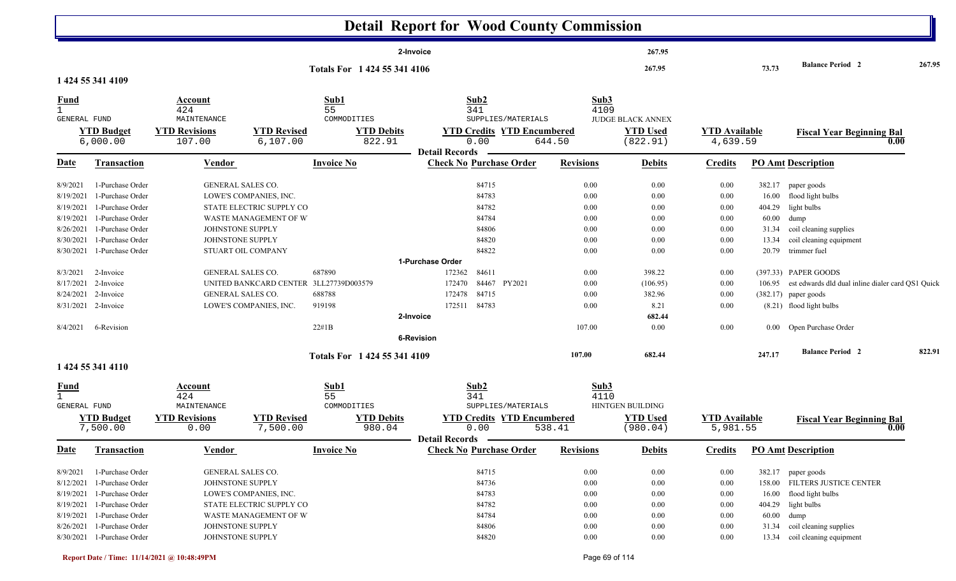|                                                                                                                             |                                                                                                                                                                                                                                                     |                                                                                                     |                                                                                                                                                                       |                                                                     | <b>Detail Report for Wood County Commission</b>                                                                                                                                                      |                                                                                                          |                                                                                                                          |                                                                                                  |                                                      |                                                                                                                                                                                                                                                                                                                                            |        |
|-----------------------------------------------------------------------------------------------------------------------------|-----------------------------------------------------------------------------------------------------------------------------------------------------------------------------------------------------------------------------------------------------|-----------------------------------------------------------------------------------------------------|-----------------------------------------------------------------------------------------------------------------------------------------------------------------------|---------------------------------------------------------------------|------------------------------------------------------------------------------------------------------------------------------------------------------------------------------------------------------|----------------------------------------------------------------------------------------------------------|--------------------------------------------------------------------------------------------------------------------------|--------------------------------------------------------------------------------------------------|------------------------------------------------------|--------------------------------------------------------------------------------------------------------------------------------------------------------------------------------------------------------------------------------------------------------------------------------------------------------------------------------------------|--------|
|                                                                                                                             |                                                                                                                                                                                                                                                     |                                                                                                     |                                                                                                                                                                       |                                                                     | 2-Invoice                                                                                                                                                                                            |                                                                                                          | 267.95                                                                                                                   |                                                                                                  |                                                      |                                                                                                                                                                                                                                                                                                                                            |        |
|                                                                                                                             | 1 424 55 341 4109                                                                                                                                                                                                                                   |                                                                                                     |                                                                                                                                                                       | Totals For 1 424 55 341 4106                                        |                                                                                                                                                                                                      |                                                                                                          | 267.95                                                                                                                   |                                                                                                  | 73.73                                                | <b>Balance Period 2</b>                                                                                                                                                                                                                                                                                                                    | 267.95 |
| <b>Fund</b><br>$\mathbf{1}$<br>GENERAL FUND                                                                                 | <b>YTD Budget</b><br>6,000.00                                                                                                                                                                                                                       | Account<br>424<br>MAINTENANCE<br><b>YTD Revisions</b><br>107.00                                     | <b>YTD Revised</b><br>6,107.00                                                                                                                                        | Sub1<br>55<br>COMMODITIES<br><b>YTD Debits</b><br>822.91            | Sub2<br>341<br>SUPPLIES/MATERIALS<br><b>YTD Credits YTD Encumbered</b><br>0.00<br><b>Detail Records</b>                                                                                              | Sub3<br>4109<br>644.50                                                                                   | <b>JUDGE BLACK ANNEX</b><br><b>YTD Used</b><br>(822.91)                                                                  | <b>YTD Available</b><br>4,639.59                                                                 |                                                      | <b>Fiscal Year Beginning Bal</b><br>0.00                                                                                                                                                                                                                                                                                                   |        |
| <u>Date</u>                                                                                                                 | <b>Transaction</b>                                                                                                                                                                                                                                  | <b>Vendor</b>                                                                                       |                                                                                                                                                                       | <b>Invoice No</b>                                                   | <b>Check No Purchase Order</b>                                                                                                                                                                       | <b>Revisions</b>                                                                                         | <b>Debits</b>                                                                                                            | <b>Credits</b>                                                                                   |                                                      | <b>PO Amt Description</b>                                                                                                                                                                                                                                                                                                                  |        |
| 8/9/2021<br>8/19/2021<br>8/19/2021<br>8/19/2021<br>8/26/2021<br>8/30/2021<br>8/30/2021<br>8/3/2021<br>8/17/2021<br>8/4/2021 | 1-Purchase Order<br>1-Purchase Order<br>1-Purchase Order<br>1-Purchase Order<br>1-Purchase Order<br>1-Purchase Order<br>1-Purchase Order<br>2-Invoice<br>2-Invoice<br>8/24/2021 2-Invoice<br>8/31/2021 2-Invoice<br>6-Revision<br>1 424 55 341 4110 | GENERAL SALES CO.<br>JOHNSTONE SUPPLY<br>JOHNSTONE SUPPLY<br>GENERAL SALES CO.<br>GENERAL SALES CO. | LOWE'S COMPANIES, INC.<br>STATE ELECTRIC SUPPLY CO<br>WASTE MANAGEMENT OF W<br>STUART OIL COMPANY<br>UNITED BANKCARD CENTER 3LL27739D003579<br>LOWE'S COMPANIES, INC. | 687890<br>688788<br>919198<br>22#1B<br>Totals For 1 424 55 341 4109 | 84715<br>84783<br>84782<br>84784<br>84806<br>84820<br>84822<br>1-Purchase Order<br>84611<br>172362<br>84467<br>PY2021<br>172470<br>84715<br>172478<br>172511 84783<br>2-Invoice<br><b>6-Revision</b> | 0.00<br>0.00<br>0.00<br>0.00<br>0.00<br>0.00<br>0.00<br>0.00<br>0.00<br>0.00<br>0.00<br>107.00<br>107.00 | 0.00<br>0.00<br>0.00<br>0.00<br>0.00<br>0.00<br>0.00<br>398.22<br>(106.95)<br>382.96<br>8.21<br>682.44<br>0.00<br>682.44 | 0.00<br>0.00<br>0.00<br>0.00<br>0.00<br>0.00<br>0.00<br>0.00<br>0.00<br>0.00<br>0.00<br>$0.00\,$ | 404.29<br>60.00<br>31.34<br>13.34<br>20.79<br>247.17 | 382.17 paper goods<br>16.00 flood light bulbs<br>light bulbs<br>dump<br>coil cleaning supplies<br>coil cleaning equipment<br>trimmer fuel<br>(397.33) PAPER GOODS<br>106.95 est edwards dld dual inline dialer card QS1 Quick<br>$(382.17)$ paper goods<br>(8.21) flood light bulbs<br>0.00 Open Purchase Order<br><b>Balance Period 2</b> | 822.91 |
| <u>Fund</u><br>$\mathbf{1}$<br>GENERAL FUND                                                                                 | <b>YTD Budget</b><br>7,500.00                                                                                                                                                                                                                       | <b>Account</b><br>424<br>MAINTENANCE<br><b>YTD Revisions</b><br>0.00                                | <b>YTD Revised</b><br>7,500.00                                                                                                                                        | Sub1<br>55<br>COMMODITIES<br><b>YTD Debits</b><br>980.04            | Sub2<br>341<br>SUPPLIES/MATERIALS<br><b>YTD Credits YTD Encumbered</b><br>0.00<br><b>Detail Records</b>                                                                                              | Sub3<br>4110<br>538.41                                                                                   | <b>HINTGEN BUILDING</b><br><b>YTD Used</b><br>(980.04)                                                                   | <b>YTD Available</b><br>5,981.55                                                                 |                                                      | <b>Fiscal Year Beginning Bal</b><br>0.00                                                                                                                                                                                                                                                                                                   |        |
| <u>Date</u>                                                                                                                 | <b>Transaction</b>                                                                                                                                                                                                                                  | <b>Vendor</b>                                                                                       |                                                                                                                                                                       | <b>Invoice No</b>                                                   | <b>Check No Purchase Order</b>                                                                                                                                                                       | <b>Revisions</b>                                                                                         | <b>Debits</b>                                                                                                            | <b>Credits</b>                                                                                   |                                                      | <b>PO Amt Description</b>                                                                                                                                                                                                                                                                                                                  |        |
| 8/9/2021<br>8/12/2021                                                                                                       | 1-Purchase Order<br>1-Purchase Order<br>8/19/2021 1-Purchase Order<br>8/19/2021 1-Purchase Order<br>8/19/2021 1-Purchase Order<br>8/26/2021 1-Purchase Order                                                                                        | GENERAL SALES CO.<br>JOHNSTONE SUPPLY<br>JOHNSTONE SUPPLY                                           | LOWE'S COMPANIES, INC.<br>STATE ELECTRIC SUPPLY CO<br>WASTE MANAGEMENT OF W                                                                                           |                                                                     | 84715<br>84736<br>84783<br>84782<br>84784<br>84806                                                                                                                                                   | $0.00\,$<br>0.00<br>$0.00\,$<br>0.00<br>0.00<br>$0.00\,$                                                 | 0.00<br>0.00<br>0.00<br>0.00<br>0.00<br>0.00                                                                             | 0.00<br>$0.00\,$<br>0.00<br>0.00<br>0.00<br>$0.00\,$                                             | 16.00<br>31.34                                       | 382.17 paper goods<br>158.00 FILTERS JUSTICE CENTER<br>flood light bulbs<br>404.29 light bulbs<br>60.00 dump<br>coil cleaning supplies                                                                                                                                                                                                     |        |
|                                                                                                                             | 8/30/2021 1-Purchase Order                                                                                                                                                                                                                          | JOHNSTONE SUPPLY                                                                                    |                                                                                                                                                                       |                                                                     | 84820                                                                                                                                                                                                | 0.00                                                                                                     | 0.00                                                                                                                     | $0.00\,$                                                                                         |                                                      | 13.34 coil cleaning equipment                                                                                                                                                                                                                                                                                                              |        |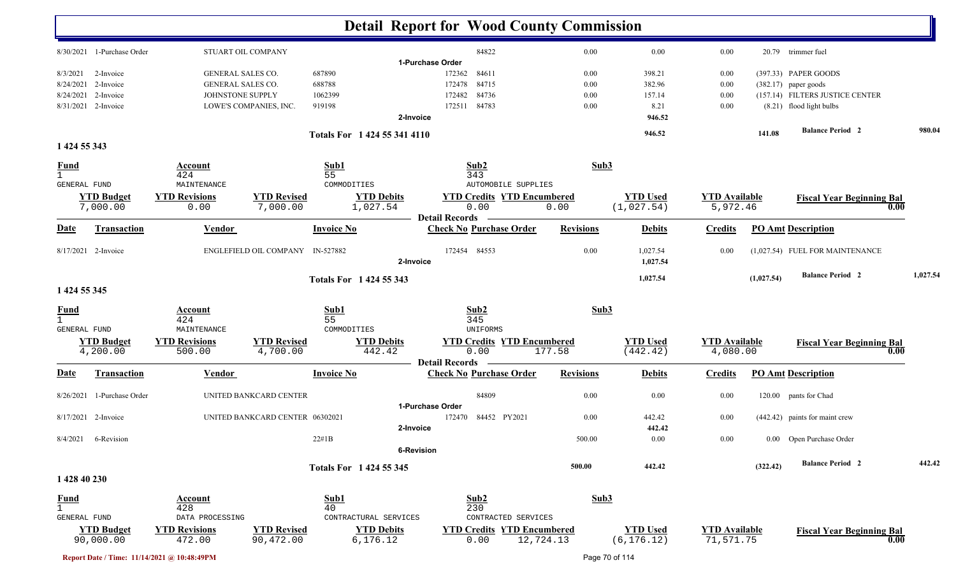| 8/30/2021 1-Purchase Order        |                          |                                  |                              |                                   |                  |                 |                      |            |                                  |          |
|-----------------------------------|--------------------------|----------------------------------|------------------------------|-----------------------------------|------------------|-----------------|----------------------|------------|----------------------------------|----------|
|                                   |                          | STUART OIL COMPANY               |                              | 84822                             | 0.00             | 0.00            | 0.00                 |            | 20.79 trimmer fuel               |          |
|                                   |                          |                                  |                              | 1-Purchase Order                  |                  |                 |                      |            |                                  |          |
| 8/3/2021<br>2-Invoice             | <b>GENERAL SALES CO.</b> |                                  | 687890                       | 172362<br>84611                   | 0.00             | 398.21          | 0.00                 |            | (397.33) PAPER GOODS             |          |
| 2-Invoice<br>8/24/2021            | <b>GENERAL SALES CO.</b> |                                  | 688788                       | 172478<br>84715                   | 0.00             | 382.96          | 0.00                 |            | $(382.17)$ paper goods           |          |
| 8/24/2021<br>2-Invoice            | JOHNSTONE SUPPLY         |                                  | 1062399                      | 172482<br>84736                   | 0.00             | 157.14          | 0.00                 |            | (157.14) FILTERS JUSTICE CENTER  |          |
| 8/31/2021 2-Invoice               |                          | LOWE'S COMPANIES, INC.           | 919198                       | 84783<br>172511                   | 0.00             | 8.21            | 0.00                 |            | (8.21) flood light bulbs         |          |
|                                   |                          |                                  | 2-Invoice                    |                                   |                  | 946.52          |                      |            |                                  |          |
|                                   |                          |                                  | Totals For 1 424 55 341 4110 |                                   |                  | 946.52          |                      | 141.08     | <b>Balance Period 2</b>          | 980.04   |
| 1 424 55 343                      |                          |                                  |                              |                                   |                  |                 |                      |            |                                  |          |
| <b>Fund</b><br>$\mathbf{1}$       | Account<br>424           |                                  | Sub1<br>55                   | Sub2<br>343                       | Sub3             |                 |                      |            |                                  |          |
| <b>GENERAL FUND</b>               | MAINTENANCE              |                                  | COMMODITIES                  | <b>AUTOMOBILE SUPPLIES</b>        |                  |                 |                      |            |                                  |          |
| <b>YTD Budget</b>                 | <b>YTD Revisions</b>     | <b>YTD Revised</b>               | <b>YTD Debits</b>            | <b>YTD Credits YTD Encumbered</b> |                  | <b>YTD Used</b> | <b>YTD</b> Available |            | <b>Fiscal Year Beginning Bal</b> |          |
| 7,000.00                          | 0.00                     | 7,000.00                         | 1,027.54                     | 0.00<br><b>Detail Records</b>     | 0.00             | (1,027.54)      | 5,972.46             |            | 0.00                             |          |
| <u>Date</u><br><b>Transaction</b> | <b>Vendor</b>            |                                  | <b>Invoice No</b>            | <b>Check No Purchase Order</b>    | <b>Revisions</b> | <b>Debits</b>   | <b>Credits</b>       |            | <b>PO Amt Description</b>        |          |
| 8/17/2021 2-Invoice               |                          | ENGLEFIELD OIL COMPANY IN-527882 |                              | 172454 84553                      | 0.00             | 1,027.54        | 0.00                 |            | (1,027.54) FUEL FOR MAINTENANCE  |          |
|                                   |                          |                                  | 2-Invoice                    |                                   |                  | 1,027.54        |                      |            | <b>Balance Period 2</b>          | 1,027.54 |
| 1 424 55 345                      |                          |                                  | Totals For 1424 55 343       |                                   |                  | 1,027.54        |                      | (1,027.54) |                                  |          |
|                                   |                          |                                  |                              |                                   |                  |                 |                      |            |                                  |          |
| <b>Fund</b>                       | <b>Account</b><br>424    |                                  | Sub1<br>55                   | Sub2<br>345                       | Sub3             |                 |                      |            |                                  |          |
| GENERAL FUND                      | MAINTENANCE              |                                  | COMMODITIES                  | UNIFORMS                          |                  |                 |                      |            |                                  |          |
| <b>YTD Budget</b>                 | <b>YTD Revisions</b>     | <b>YTD Revised</b>               | <b>YTD Debits</b>            | <b>YTD Credits YTD Encumbered</b> |                  | <b>YTD Used</b> | <b>YTD Available</b> |            | <b>Fiscal Year Beginning Bal</b> |          |
| 4,200.00                          | 500.00                   | 4,700.00                         | 442.42                       | 0.00                              | 177.58           | (442.42)        | 4,080.00             |            | 0.00                             |          |
|                                   |                          |                                  |                              | <b>Detail Records</b>             |                  |                 |                      |            |                                  |          |
| <b>Date</b><br><b>Transaction</b> | Vendor                   |                                  | <b>Invoice No</b>            | <b>Check No Purchase Order</b>    | <b>Revisions</b> | <b>Debits</b>   | <b>Credits</b>       |            | <b>PO Amt Description</b>        |          |
| 1-Purchase Order<br>8/26/2021     |                          | UNITED BANKCARD CENTER           |                              | 84809                             | 0.00             | 0.00            | 0.00                 |            | 120.00 pants for Chad            |          |
|                                   |                          |                                  |                              | 1-Purchase Order                  |                  |                 |                      |            |                                  |          |
| 8/17/2021 2-Invoice               |                          | UNITED BANKCARD CENTER 06302021  |                              | 84452 PY2021<br>172470            | 0.00             | 442.42          | 0.00                 |            | (442.42) paints for maint crew   |          |
| 8/4/2021 6-Revision               |                          | 22#1B                            | 2-Invoice                    |                                   | 500.00           | 442.42<br>0.00  |                      |            |                                  |          |
|                                   |                          |                                  |                              | <b>6-Revision</b>                 |                  |                 | $0.00\,$             |            | 0.00 Open Purchase Order         |          |
|                                   |                          |                                  |                              |                                   |                  |                 |                      |            |                                  |          |
|                                   |                          |                                  | Totals For 1 424 55 345      |                                   | 500.00           | 442.42          |                      | (322.42)   | <b>Balance Period</b> 2          | 442.42   |
| 1 428 40 230                      |                          |                                  |                              |                                   |                  |                 |                      |            |                                  |          |
| <b>Fund</b>                       | Account                  |                                  | Sub1                         | Sub2                              | Sub3             |                 |                      |            |                                  |          |
| $\mathbf{1}$                      | 428                      |                                  | 40                           | 230                               |                  |                 |                      |            |                                  |          |
| GENERAL FUND                      | DATA PROCESSING          |                                  | CONTRACTURAL SERVICES        | CONTRACTED SERVICES               |                  |                 |                      |            |                                  |          |
| <b>YTD Budget</b>                 | <b>YTD Revisions</b>     | <b>YTD Revised</b>               | <b>YTD Debits</b>            | <b>YTD Credits YTD Encumbered</b> |                  | <b>YTD Used</b> | <b>YTD Available</b> |            | <b>Fiscal Year Beginning Bal</b> |          |
| 90,000.00                         | 472.00                   | 90,472.00                        | 6, 176.12                    | 0.00                              | 12,724.13        | (6, 176.12)     | 71,571.75            |            | 0.00                             |          |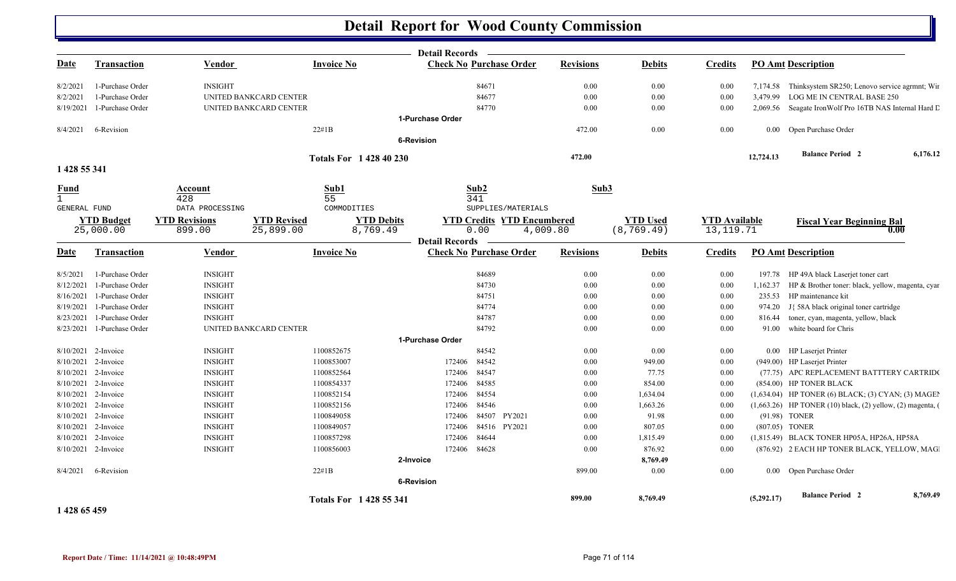|                             |                     |                      |                        |                                | <b>Detail Records</b> |                                   |                  |                 |                      |            |                                                                      |          |
|-----------------------------|---------------------|----------------------|------------------------|--------------------------------|-----------------------|-----------------------------------|------------------|-----------------|----------------------|------------|----------------------------------------------------------------------|----------|
| <u>Date</u>                 | Transaction         | <b>Vendor</b>        |                        | <b>Invoice No</b>              |                       | <b>Check No Purchase Order</b>    | <b>Revisions</b> | <b>Debits</b>   | <b>Credits</b>       |            | <b>PO Amt Description</b>                                            |          |
| 8/2/2021                    | 1-Purchase Order    | <b>INSIGHT</b>       |                        |                                |                       | 84671                             | 0.00             | 0.00            | 0.00                 |            | 7,174.58 Thinksystem SR250; Lenovo service agrmnt; Wir               |          |
| 8/2/2021                    | 1-Purchase Order    |                      | UNITED BANKCARD CENTER |                                |                       | 84677                             | 0.00             | 0.00            | 0.00                 |            | 3,479.99 LOG ME IN CENTRAL BASE 250                                  |          |
| 8/19/2021                   | 1-Purchase Order    |                      | UNITED BANKCARD CENTER |                                |                       | 84770                             | 0.00             | 0.00            | 0.00                 |            | 2,069.56 Seagate Iron Wolf Pro 16TB NAS Internal Hard L              |          |
|                             |                     |                      |                        |                                | 1-Purchase Order      |                                   |                  |                 |                      |            |                                                                      |          |
| 8/4/2021                    | 6-Revision          |                      |                        | $22\#1B$                       |                       |                                   | 472.00           | 0.00            | 0.00                 |            | 0.00 Open Purchase Order                                             |          |
|                             |                     |                      |                        |                                | <b>6-Revision</b>     |                                   |                  |                 |                      |            |                                                                      |          |
|                             |                     |                      |                        | <b>Totals For 1 428 40 230</b> |                       |                                   | 472.00           |                 |                      | 12,724.13  | <b>Balance Period 2</b>                                              | 6,176.12 |
| 1 428 55 341                |                     |                      |                        |                                |                       |                                   |                  |                 |                      |            |                                                                      |          |
| <b>Fund</b><br>$\mathbf{1}$ |                     | Account<br>428       |                        | Sub1<br>55                     |                       | Sub2<br>341                       | Sub3             |                 |                      |            |                                                                      |          |
| GENERAL FUND                |                     | DATA PROCESSING      |                        | COMMODITIES                    |                       | SUPPLIES/MATERIALS                |                  |                 |                      |            |                                                                      |          |
|                             | <b>YTD Budget</b>   | <b>YTD Revisions</b> | <b>YTD Revised</b>     | <b>YTD Debits</b>              |                       | <b>YTD Credits YTD Encumbered</b> |                  | <b>YTD</b> Used | <b>YTD Available</b> |            | <b>Fiscal Year Beginning Bal</b>                                     |          |
|                             | 25,000.00           | 899.00               | 25,899.00              | 8,769.49                       | <b>Detail Records</b> | 0.00<br>4,009.80                  |                  | (8, 769.49)     | 13, 119. 71          |            | 0.00                                                                 |          |
| Date                        | Transaction         | Vendor               |                        | <b>Invoice No</b>              |                       | <b>Check No Purchase Order</b>    | <b>Revisions</b> | <b>Debits</b>   | <b>Credits</b>       |            | <b>PO Amt Description</b>                                            |          |
| 8/5/2021                    | 1-Purchase Order    | <b>INSIGHT</b>       |                        |                                |                       | 84689                             | 0.00             | 0.00            | $0.00\,$             |            | 197.78 HP 49A black Laserjet toner cart                              |          |
| 8/12/2021                   | 1-Purchase Order    | <b>INSIGHT</b>       |                        |                                |                       | 84730                             | 0.00             | 0.00            | 0.00                 | 1,162.37   | HP & Brother toner: black, yellow, magenta, cyar                     |          |
| 8/16/2021                   | 1-Purchase Order    | <b>INSIGHT</b>       |                        |                                |                       | 84751                             | 0.00             | 0.00            | 0.00                 | 235.53     | HP maintenance kit                                                   |          |
| 8/19/2021                   | 1-Purchase Order    | <b>INSIGHT</b>       |                        |                                |                       | 84774                             | 0.00             | 0.00            | 0.00                 | 974.20     | J{ 58A black original toner cartridge                                |          |
| 8/23/2021                   | 1-Purchase Order    | <b>INSIGHT</b>       |                        |                                |                       | 84787                             | 0.00             | 0.00            | 0.00                 | 816.44     | toner, cyan, magenta, yellow, black                                  |          |
| 8/23/2021                   | 1-Purchase Order    |                      | UNITED BANKCARD CENTER |                                |                       | 84792                             | 0.00             | 0.00            | 0.00                 | 91.00      | white board for Chris                                                |          |
|                             |                     |                      |                        |                                | 1-Purchase Order      |                                   |                  |                 |                      |            |                                                                      |          |
|                             | 8/10/2021 2-Invoice | <b>INSIGHT</b>       |                        | 1100852675                     |                       | 84542                             | 0.00             | 0.00            | 0.00                 |            | 0.00 HP Laserjet Printer                                             |          |
|                             | 8/10/2021 2-Invoice | <b>INSIGHT</b>       |                        | 1100853007                     | 172406                | 84542                             | 0.00             | 949.00          | 0.00                 |            | (949.00) HP Laserjet Printer                                         |          |
|                             | 8/10/2021 2-Invoice | <b>INSIGHT</b>       |                        | 1100852564                     | 172406                | 84547                             | 0.00             | 77.75           | 0.00                 |            | (77.75) APC REPLACEMENT BATTTERY CARTRIDO                            |          |
|                             | 8/10/2021 2-Invoice | <b>INSIGHT</b>       |                        | 1100854337                     | 172406                | 84585                             | 0.00             | 854.00          | 0.00                 |            | (854.00) HP TONER BLACK                                              |          |
| 8/10/2021                   | 2-Invoice           | <b>INSIGHT</b>       |                        | 1100852154                     | 172406                | 84554                             | 0.00             | 1,634.04        | 0.00                 |            | $(1,634.04)$ HP TONER $(6)$ BLACK; $(3)$ CYAN; $(3)$ MAGE            |          |
|                             | 8/10/2021 2-Invoice | <b>INSIGHT</b>       |                        | 1100852156                     | 172406                | 84546                             | 0.00             | 1,663.26        | 0.00                 |            | $(1,663.26)$ HP TONER $(10)$ black, $(2)$ yellow, $(2)$ magenta, $($ |          |
|                             | 8/10/2021 2-Invoice | <b>INSIGHT</b>       |                        | 1100849058                     | 172406                | 84507<br>PY2021                   | 0.00             | 91.98           | $0.00\,$             |            | (91.98) TONER                                                        |          |
| 8/10/2021                   | 2-Invoice           | <b>INSIGHT</b>       |                        | 1100849057                     | 172406                | 84516 PY2021                      | 0.00             | 807.05          | 0.00                 |            | (807.05) TONER                                                       |          |
|                             | 8/10/2021 2-Invoice | <b>INSIGHT</b>       |                        | 1100857298                     | 172406                | 84644                             | 0.00             | 1,815.49        | 0.00                 |            | (1,815.49) BLACK TONER HP05A, HP26A, HP58A                           |          |
|                             | 8/10/2021 2-Invoice | <b>INSIGHT</b>       |                        | 1100856003                     | 172406                | 84628                             | 0.00             | 876.92          | 0.00                 |            | (876.92) 2 EACH HP TONER BLACK, YELLOW, MAG.                         |          |
|                             |                     |                      |                        |                                | 2-Invoice             |                                   |                  | 8,769.49        |                      |            |                                                                      |          |
| 8/4/2021                    | 6-Revision          |                      |                        | $22\#1B$                       | <b>6-Revision</b>     |                                   | 899.00           | 0.00            | 0.00                 |            | 0.00 Open Purchase Order                                             |          |
|                             |                     |                      |                        |                                |                       |                                   | 899.00           | 8,769.49        |                      | (5,292.17) | <b>Balance Period 2</b>                                              | 8,769.49 |
| 1 428 65 459                |                     |                      |                        | Totals For 1428 55 341         |                       |                                   |                  |                 |                      |            |                                                                      |          |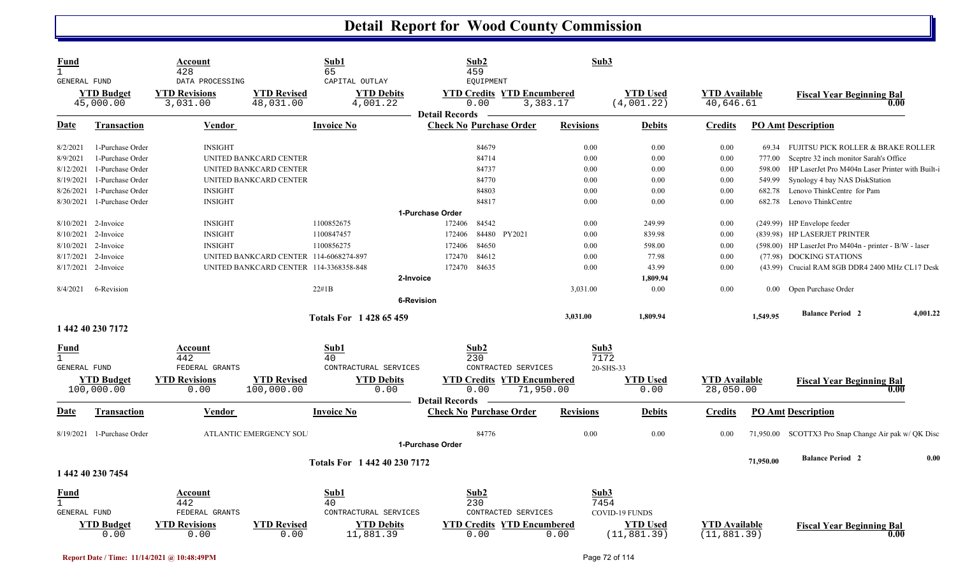| Fund<br>$\mathbf{1}$<br>GENERAL FUND |                                 | Account<br>428<br>DATA PROCESSING              |                                        | Sub1<br>65<br>CAPITAL OUTLAY                            | Sub2<br>459<br>EQUIPMENT                                |                                                                  | Sub3             |                                                   |                                      |           |                                                        |  |
|--------------------------------------|---------------------------------|------------------------------------------------|----------------------------------------|---------------------------------------------------------|---------------------------------------------------------|------------------------------------------------------------------|------------------|---------------------------------------------------|--------------------------------------|-----------|--------------------------------------------------------|--|
| <b>YTD Budget</b><br>45,000.00       |                                 | <b>YTD Revisions</b><br>3,031.00               | <b>YTD Revised</b><br>48,031.00        | <b>YTD Debits</b><br>4,001.22                           | 0.00<br><b>Detail Records</b>                           | <b>YTD Credits YTD Encumbered</b><br>3,383.17                    |                  | <b>YTD</b> Used<br>(4,001.22)                     | <b>YTD</b> Available<br>40,646.61    |           | <b>Fiscal Year Beginning Bal</b><br>0.00               |  |
| Date                                 | <b>Transaction</b>              | <b>Vendor</b>                                  |                                        | Invoice No                                              | <b>Check No Purchase Order</b>                          |                                                                  | <b>Revisions</b> | <b>Debits</b>                                     | <b>Credits</b>                       |           | <b>PO Amt Description</b>                              |  |
| 8/2/2021                             | 1-Purchase Order                | <b>INSIGHT</b>                                 |                                        |                                                         | 84679                                                   |                                                                  | 0.00             | 0.00                                              | 0.00                                 | 69.34     | FUJITSU PICK ROLLER & BRAKE ROLLER                     |  |
| 8/9/2021                             | 1-Purchase Order                |                                                | UNITED BANKCARD CENTER                 |                                                         | 84714                                                   |                                                                  | 0.00             | 0.00                                              | 0.00                                 | 777.00    | Sceptre 32 inch monitor Sarah's Office                 |  |
| 8/12/2021                            | 1-Purchase Order                |                                                | UNITED BANKCARD CENTER                 |                                                         | 84737                                                   |                                                                  | 0.00             | 0.00                                              | 0.00                                 | 598.00    | HP LaserJet Pro M404n Laser Printer with Built-i       |  |
| 8/19/2021                            | 1-Purchase Order                |                                                | UNITED BANKCARD CENTER                 |                                                         | 84770                                                   |                                                                  | 0.00             | 0.00                                              | 0.00                                 | 549.99    | Synology 4 bay NAS DiskStation                         |  |
| 8/26/2021                            | 1-Purchase Order                | <b>INSIGHT</b>                                 |                                        |                                                         | 84803                                                   |                                                                  | 0.00             | 0.00                                              | 0.00                                 | 682.78    | Lenovo ThinkCentre for Pam                             |  |
| 8/30/2021                            | 1-Purchase Order                | <b>INSIGHT</b>                                 |                                        |                                                         | 84817                                                   |                                                                  | 0.00             | 0.00                                              | 0.00                                 | 682.78    | Lenovo ThinkCentre                                     |  |
|                                      | 1-Purchase Order                |                                                |                                        |                                                         |                                                         |                                                                  |                  |                                                   |                                      |           |                                                        |  |
|                                      | 8/10/2021 2-Invoice             | <b>INSIGHT</b>                                 |                                        | 1100852675                                              | 84542<br>172406                                         |                                                                  | 0.00             | 249.99                                            | 0.00                                 |           | (249.99) HP Envelope feeder                            |  |
| 8/10/2021                            | 2-Invoice                       | <b>INSIGHT</b>                                 |                                        | 1100847457                                              | 172406                                                  | 84480 PY2021                                                     | 0.00             | 839.98                                            | 0.00                                 |           | (839.98) HP LASERJET PRINTER                           |  |
| 8/10/2021                            | 2-Invoice                       | <b>INSIGHT</b>                                 |                                        | 1100856275                                              | 84650<br>172406                                         |                                                                  | 0.00             | 598.00                                            | 0.00                                 |           | (598.00) HP LaserJet Pro M404n - printer - B/W - laser |  |
| 8/17/2021                            | 2-Invoice                       |                                                | UNITED BANKCARD CENTER 114-6068274-897 |                                                         | 172470<br>84612                                         |                                                                  | 0.00             | 77.98                                             | 0.00                                 |           | (77.98) DOCKING STATIONS                               |  |
| 8/17/2021                            | 2-Invoice                       |                                                | UNITED BANKCARD CENTER 114-3368358-848 |                                                         | 84635<br>172470                                         |                                                                  | 0.00             | 43.99                                             | 0.00                                 |           | (43.99) Crucial RAM 8GB DDR4 2400 MHz CL17 Desk        |  |
|                                      |                                 |                                                |                                        | 2-Invoice                                               |                                                         |                                                                  |                  | 1,809.94                                          |                                      |           |                                                        |  |
| 8/4/2021                             | 6-Revision                      |                                                |                                        | 22#1B                                                   |                                                         |                                                                  | 3,031.00         | 0.00                                              | 0.00                                 |           | 0.00 Open Purchase Order                               |  |
|                                      |                                 |                                                |                                        | <b>6-Revision</b>                                       |                                                         |                                                                  |                  |                                                   |                                      |           |                                                        |  |
|                                      |                                 |                                                |                                        |                                                         |                                                         |                                                                  |                  |                                                   |                                      |           | <b>Balance Period 2</b><br>4,001.22                    |  |
|                                      | 1 442 40 230 7172               |                                                |                                        | <b>Totals For 1428 65459</b>                            |                                                         |                                                                  | 3,031.00         | 1,809.94                                          |                                      | 1,549.95  |                                                        |  |
| Fund                                 |                                 | Account                                        |                                        | Sub1                                                    | Sub <sub>2</sub>                                        |                                                                  | Sub3             |                                                   |                                      |           |                                                        |  |
| $\mathbf{1}$                         |                                 | 442<br>FEDERAL GRANTS                          |                                        | 40                                                      | 230                                                     |                                                                  | 7172             |                                                   |                                      |           |                                                        |  |
| GENERAL FUND                         |                                 |                                                |                                        | CONTRACTURAL SERVICES                                   |                                                         | CONTRACTED SERVICES                                              | 20-SHS-33        |                                                   |                                      |           |                                                        |  |
|                                      | <b>YTD Budget</b><br>100,000.00 | <b>YTD Revisions</b><br>0.00                   | <b>YTD Revised</b><br>100,000.00       | <b>YTD Debits</b><br>0.00                               | 0.00                                                    | <b>YTD Credits YTD Encumbered</b><br>71,950.00                   |                  | <b>YTD</b> Used<br>0.00                           | <b>YTD</b> Available<br>28,050.00    |           | <b>Fiscal Year Beginning Bal</b><br>0.00               |  |
| Date                                 | <b>Transaction</b>              | <b>Vendor</b>                                  |                                        | <b>Invoice No</b>                                       | <b>Detail Records</b><br><b>Check No Purchase Order</b> |                                                                  | <b>Revisions</b> | <b>Debits</b>                                     | <b>Credits</b>                       |           | PO Amt Description                                     |  |
|                                      | 8/19/2021 1-Purchase Order      |                                                | ATLANTIC EMERGENCY SOL                 |                                                         | 84776                                                   |                                                                  | 0.00             | 0.00                                              | 0.00                                 |           | 71,950.00 SCOTTX3 Pro Snap Change Air pak w/ QK Disc   |  |
|                                      |                                 |                                                |                                        |                                                         | 1-Purchase Order                                        |                                                                  |                  |                                                   |                                      |           |                                                        |  |
|                                      | 1 442 40 230 7454               | Totals For 1 442 40 230 7172                   |                                        |                                                         |                                                         |                                                                  |                  |                                                   |                                      | 71,950.00 | <b>Balance Period 2</b><br>0.00                        |  |
| <u>Fund</u>                          |                                 | Account                                        |                                        | Sub1                                                    | Sub2                                                    |                                                                  | Sub3             |                                                   |                                      |           |                                                        |  |
| $\mathbf{1}$                         |                                 | 442                                            |                                        | 40                                                      | 230                                                     |                                                                  | 7454             |                                                   |                                      |           |                                                        |  |
| GENERAL FUND                         | YTD Budget<br>0.00              | FEDERAL GRANTS<br><b>YTD Revisions</b><br>0.00 | <b>YTD Revised</b><br>0.00             | CONTRACTURAL SERVICES<br><b>YTD Debits</b><br>11,881.39 | 0.00                                                    | CONTRACTED SERVICES<br><b>YTD Credits YTD Encumbered</b><br>0.00 |                  | COVID-19 FUNDS<br><b>YTD</b> Used<br>(11, 881.39) | <b>YTD</b> Available<br>(11, 881.39) |           | <b>Fiscal Year Beginning Bal</b><br>0.00               |  |
|                                      |                                 |                                                |                                        |                                                         |                                                         |                                                                  |                  |                                                   |                                      |           |                                                        |  |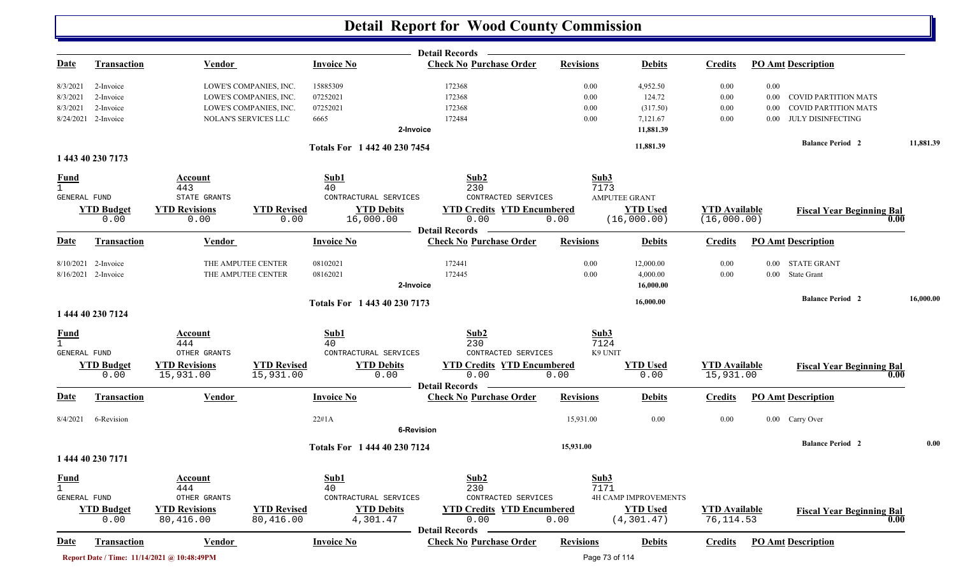|                                             |                           |                                             |                            |                                     | Detail Records —                                        |                  |                                      |                                     |          |                                          |           |
|---------------------------------------------|---------------------------|---------------------------------------------|----------------------------|-------------------------------------|---------------------------------------------------------|------------------|--------------------------------------|-------------------------------------|----------|------------------------------------------|-----------|
| Date                                        | <b>Transaction</b>        | <b>Vendor</b>                               |                            | <b>Invoice No</b>                   | <b>Check No Purchase Order</b>                          | <b>Revisions</b> | <b>Debits</b>                        | <b>Credits</b>                      |          | <b>PO Amt Description</b>                |           |
| 8/3/2021                                    | 2-Invoice                 |                                             | LOWE'S COMPANIES, INC.     | 15885309                            | 172368                                                  | 0.00             | 4,952.50                             | 0.00                                | 0.00     |                                          |           |
| 8/3/2021                                    | 2-Invoice                 |                                             | LOWE'S COMPANIES, INC.     | 07252021                            | 172368                                                  | 0.00             | 124.72                               | 0.00                                | 0.00     | <b>COVID PARTITION MATS</b>              |           |
| 8/3/2021                                    | 2-Invoice                 |                                             | LOWE'S COMPANIES, INC.     | 07252021                            | 172368                                                  | 0.00             | (317.50)                             | 0.00                                | 0.00     | <b>COVID PARTITION MATS</b>              |           |
|                                             | 8/24/2021 2-Invoice       |                                             | NOLAN'S SERVICES LLC       | 6665                                | 172484                                                  | 0.00             | 7,121.67                             | 0.00                                | 0.00     | JULY DISINFECTING                        |           |
|                                             |                           |                                             |                            |                                     | 2-Invoice                                               |                  | 11,881.39                            |                                     |          |                                          |           |
|                                             |                           |                                             |                            | Totals For 1 442 40 230 7454        |                                                         |                  | 11,881.39                            |                                     |          | <b>Balance Period 2</b>                  | 11,881.39 |
|                                             | 1 443 40 230 7173         |                                             |                            |                                     |                                                         |                  |                                      |                                     |          |                                          |           |
| <u>Fund</u><br>$\mathbf{1}$<br>GENERAL FUND |                           | Account<br>443<br>STATE GRANTS              |                            | Sub1<br>40<br>CONTRACTURAL SERVICES | Sub2<br>230<br>CONTRACTED SERVICES                      |                  | Sub3<br>7173<br><b>AMPUTEE GRANT</b> |                                     |          |                                          |           |
|                                             | <b>YTD Budget</b><br>0.00 | <b>YTD Revisions</b><br>0.00                | <b>YTD Revised</b><br>0.00 | <b>YTD Debits</b><br>16,000.00      | <b>YTD Credits YTD Encumbered</b><br>0.00               | 0.00             | <b>YTD Used</b><br>(16,000.00)       | <b>YTD</b> Available<br>(16,000.00) |          | <b>Fiscal Year Beginning Bal</b><br>0.00 |           |
|                                             |                           |                                             |                            |                                     | <b>Detail Records</b>                                   |                  |                                      |                                     |          |                                          |           |
| <u>Date</u>                                 | <b>Transaction</b>        | Vendor                                      |                            | <b>Invoice No</b>                   | <b>Check No Purchase Order</b>                          | <b>Revisions</b> | <b>Debits</b>                        | <b>Credits</b>                      |          | <b>PO Amt Description</b>                |           |
|                                             | 8/10/2021 2-Invoice       |                                             | THE AMPUTEE CENTER         | 08102021                            | 172441                                                  | 0.00             | 12,000.00                            | 0.00                                | 0.00     | <b>STATE GRANT</b>                       |           |
|                                             | 8/16/2021 2-Invoice       |                                             | THE AMPUTEE CENTER         | 08162021                            | 172445                                                  | 0.00             | 4,000.00                             | 0.00                                | $0.00\,$ | <b>State Grant</b>                       |           |
|                                             |                           |                                             |                            |                                     | 2-Invoice                                               |                  | 16,000.00                            |                                     |          |                                          |           |
|                                             |                           |                                             |                            | Totals For 1 443 40 230 7173        |                                                         |                  | 16,000.00                            |                                     |          | <b>Balance Period 2</b>                  | 16,000.00 |
|                                             | 1 444 40 230 7124         |                                             |                            |                                     |                                                         |                  |                                      |                                     |          |                                          |           |
| <b>Fund</b>                                 |                           | Account                                     |                            | Sub1                                | Sub2                                                    |                  | Sub3                                 |                                     |          |                                          |           |
| $\mathbf{1}$                                |                           | 444                                         |                            | 40                                  | 230                                                     |                  | 7124                                 |                                     |          |                                          |           |
| <b>GENERAL FUND</b>                         |                           | OTHER GRANTS                                | <b>YTD Revised</b>         | CONTRACTURAL SERVICES               | CONTRACTED SERVICES                                     |                  | K9 UNIT                              |                                     |          |                                          |           |
|                                             | <b>YTD Budget</b><br>0.00 | <b>YTD Revisions</b><br>15,931.00           | 15,931.00                  | <b>YTD Debits</b><br>0.00           | <b>YTD Credits YTD Encumbered</b><br>0.00               | 0.00             | <b>YTD</b> Used<br>0.00              | <b>YTD Available</b><br>15,931.00   |          | <b>Fiscal Year Beginning Bal</b><br>0.00 |           |
|                                             |                           |                                             |                            |                                     | Detail Records -                                        |                  |                                      |                                     |          |                                          |           |
| Date                                        | Transaction               | <b>Vendor</b>                               |                            | <b>Invoice No</b>                   | <b>Check No Purchase Order</b>                          | <b>Revisions</b> | <b>Debits</b>                        | <b>Credits</b>                      |          | <b>PO Amt Description</b>                |           |
| 8/4/2021                                    | 6-Revision                |                                             |                            | 22#1A                               |                                                         | 15,931.00        | 0.00                                 | 0.00                                |          | 0.00 Carry Over                          |           |
|                                             |                           |                                             |                            |                                     | <b>6-Revision</b>                                       |                  |                                      |                                     |          |                                          |           |
|                                             |                           |                                             |                            |                                     |                                                         | 15,931.00        |                                      |                                     |          | <b>Balance Period 2</b>                  | 0.00      |
|                                             | 1 444 40 230 7171         |                                             |                            | Totals For 1 444 40 230 7124        |                                                         |                  |                                      |                                     |          |                                          |           |
| <b>Fund</b>                                 |                           | <b>Account</b>                              |                            | Sub1                                | Sub2                                                    | Sub3             |                                      |                                     |          |                                          |           |
| $\mathbf{1}$                                |                           | 444                                         |                            | 40                                  | 230                                                     |                  | 7171                                 |                                     |          |                                          |           |
| GENERAL FUND                                |                           | OTHER GRANTS                                |                            | CONTRACTURAL SERVICES               | CONTRACTED SERVICES                                     |                  | <b>4H CAMP IMPROVEMENTS</b>          |                                     |          |                                          |           |
|                                             | <b>YTD Budget</b>         | <b>YTD Revisions</b>                        | <b>YTD Revised</b>         | <b>YTD Debits</b>                   | <b>YTD Credits YTD Encumbered</b>                       |                  | <b>YTD Used</b>                      | <b>YTD</b> Available                |          | <b>Fiscal Year Beginning Bal</b>         |           |
|                                             | 0.00                      | 80,416.00                                   | 80,416.00                  | 4,301.47                            | 0.00                                                    | 0.00             | (4, 301.47)                          | 76, 114.53                          |          | 0.00                                     |           |
| <u>Date</u>                                 | <b>Transaction</b>        | Vendor                                      |                            | <b>Invoice No</b>                   | <b>Detail Records</b><br><b>Check No Purchase Order</b> | <b>Revisions</b> | <b>Debits</b>                        | <b>Credits</b>                      |          | <b>PO Amt Description</b>                |           |
|                                             |                           |                                             |                            |                                     |                                                         |                  |                                      |                                     |          |                                          |           |
|                                             |                           | Report Date / Time: 11/14/2021 @ 10:48:49PM |                            |                                     |                                                         |                  | Page 73 of 114                       |                                     |          |                                          |           |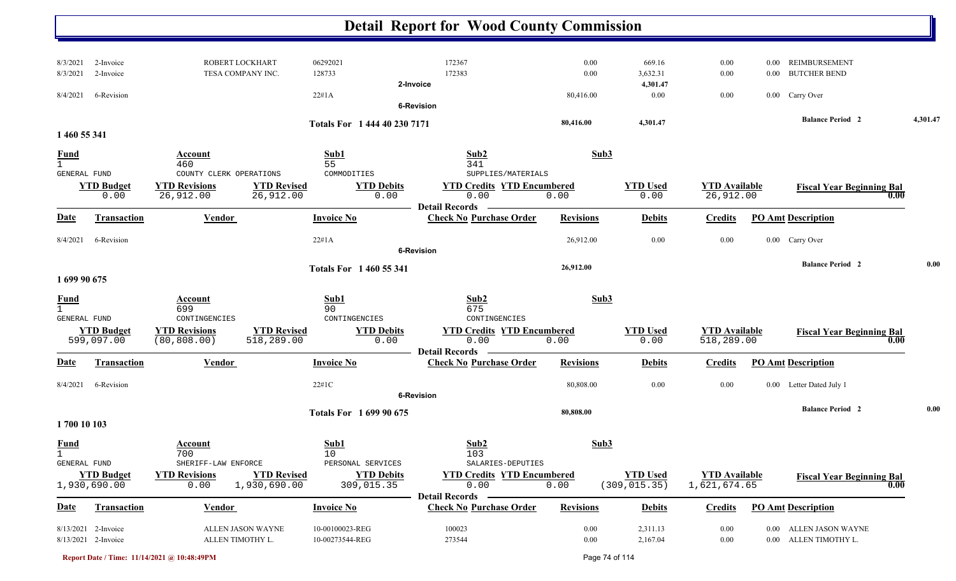|                             |                                              |                                                                       |                                    | <b>Detail Report for Wood County Commission</b>         |                  |                                  |                                      |          |                                                 |          |
|-----------------------------|----------------------------------------------|-----------------------------------------------------------------------|------------------------------------|---------------------------------------------------------|------------------|----------------------------------|--------------------------------------|----------|-------------------------------------------------|----------|
| 8/3/2021                    | 2-Invoice                                    | ROBERT LOCKHART                                                       | 06292021                           | 172367                                                  | 0.00             | 669.16                           | 0.00                                 | $0.00\,$ | REIMBURSEMENT                                   |          |
| 8/3/2021                    | 2-Invoice                                    | TESA COMPANY INC.                                                     | 128733                             | 172383                                                  | 0.00             | 3,632.31                         | 0.00                                 | $0.00\,$ | <b>BUTCHER BEND</b>                             |          |
|                             |                                              |                                                                       |                                    | 2-Invoice                                               |                  | 4,301.47                         |                                      |          |                                                 |          |
| 8/4/2021                    | 6-Revision                                   |                                                                       | 22#1A                              | <b>6-Revision</b>                                       | 80,416.00        | 0.00                             | 0.00                                 |          | 0.00 Carry Over                                 |          |
|                             |                                              |                                                                       |                                    |                                                         |                  |                                  |                                      |          | <b>Balance Period</b> 2                         | 4,301.47 |
| 1 460 55 341                |                                              |                                                                       | Totals For 1 444 40 230 7171       |                                                         | 80,416.00        | 4,301.47                         |                                      |          |                                                 |          |
| <u>Fund</u><br>$\mathbf{1}$ |                                              | Account<br>460                                                        | Sub1<br>55                         | Sub2<br>341                                             | Sub3             |                                  |                                      |          |                                                 |          |
| GENERAL FUND                | <b>YTD Budget</b>                            | COUNTY CLERK OPERATIONS<br><b>YTD Revisions</b><br><b>YTD Revised</b> | COMMODITIES<br><b>YTD Debits</b>   | SUPPLIES/MATERIALS<br><b>YTD Credits YTD Encumbered</b> |                  | <b>YTD Used</b>                  | <b>YTD</b> Available                 |          |                                                 |          |
|                             | 0.00                                         | 26,912.00<br>26,912.00                                                | 0.00                               | 0.00                                                    | 0.00             | 0.00                             | 26,912.00                            |          | <b>Fiscal Year Beginning Bal</b><br>0.00        |          |
| <b>Date</b>                 | Transaction                                  | Vendor                                                                | <b>Invoice No</b>                  | <b>Detail Records</b><br><b>Check No Purchase Order</b> | <b>Revisions</b> | <b>Debits</b>                    | <b>Credits</b>                       |          | <b>PO Amt Description</b>                       |          |
|                             |                                              |                                                                       |                                    |                                                         |                  |                                  |                                      |          |                                                 |          |
| 8/4/2021                    | 6-Revision                                   |                                                                       | 22#1A                              | <b>6-Revision</b>                                       | 26,912.00        | 0.00                             | 0.00                                 |          | 0.00 Carry Over                                 |          |
|                             |                                              |                                                                       | <b>Totals For 1460 55 341</b>      |                                                         | 26,912.00        |                                  |                                      |          | <b>Balance Period 2</b>                         | 0.00     |
| 1 699 90 675                |                                              |                                                                       |                                    |                                                         |                  |                                  |                                      |          |                                                 |          |
| <u>Fund</u>                 |                                              | Account                                                               | Sub1                               | Sub2                                                    | Sub3             |                                  |                                      |          |                                                 |          |
| GENERAL FUND                |                                              | 699<br>CONTINGENCIES                                                  | 90<br>CONTINGENCIES                | 675<br>CONTINGENCIES                                    |                  |                                  |                                      |          |                                                 |          |
|                             | <b>YTD Budget</b>                            | <b>YTD Revisions</b><br><b>YTD Revised</b>                            | <b>YTD Debits</b>                  | <b>YTD Credits YTD Encumbered</b>                       |                  | <b>YTD</b> Used                  | <b>YTD</b> Available                 |          | <b>Fiscal Year Beginning Bal</b>                |          |
|                             | 599,097.00                                   | 518,289.00<br>(80, 808.00)                                            | 0.00                               | 0.00                                                    | 0.00             | 0.00                             | 518,289.00                           |          | 0.00                                            |          |
| <u>Date</u>                 | <b>Transaction</b>                           | <b>Vendor</b>                                                         | <b>Invoice No</b>                  | <b>Detail Records</b><br><b>Check No Purchase Order</b> | <b>Revisions</b> | <b>Debits</b>                    | <b>Credits</b>                       |          | <b>PO Amt Description</b>                       |          |
|                             |                                              |                                                                       |                                    |                                                         |                  |                                  |                                      |          |                                                 |          |
| 8/4/2021                    | 6-Revision                                   |                                                                       | 22#1C                              |                                                         | 80,808.00        | 0.00                             | 0.00                                 |          | 0.00 Letter Dated July 1                        |          |
|                             |                                              |                                                                       |                                    | <b>6-Revision</b>                                       |                  |                                  |                                      |          |                                                 |          |
|                             |                                              |                                                                       | Totals For 1699 90 675             |                                                         | 80,808.00        |                                  |                                      |          | <b>Balance Period 2</b>                         | 0.00     |
| 1700 10 103                 |                                              |                                                                       |                                    |                                                         |                  |                                  |                                      |          |                                                 |          |
| <b>Fund</b><br>$\mathbf 1$  |                                              | <b>Account</b><br>700                                                 | Sub1<br>10                         | Sub2<br>103                                             | Sub3             |                                  |                                      |          |                                                 |          |
| GENERAL FUND                |                                              | SHERIFF-LAW ENFORCE                                                   | PERSONAL SERVICES                  | SALARIES-DEPUTIES                                       |                  |                                  |                                      |          |                                                 |          |
|                             | <b>YTD Budget</b><br>1,930,690.00            | <b>YTD Revised</b><br><b>YTD Revisions</b><br>0.00<br>1,930,690.00    | <b>YTD Debits</b><br>309,015.35    | <b>YTD Credits YTD Encumbered</b><br>0.00               | 0.00             | <b>YTD Used</b><br>(309, 015.35) | <b>YTD Available</b><br>1,621,674.65 |          | <b>Fiscal Year Beginning Bal</b><br>0.00        |          |
| <b>Date</b>                 | <b>Transaction</b>                           | <b>Vendor</b>                                                         | <b>Invoice No</b>                  | <b>Detail Records</b><br><b>Check No Purchase Order</b> | <b>Revisions</b> | <b>Debits</b>                    | <b>Credits</b>                       |          | <b>PO Amt Description</b>                       |          |
|                             |                                              |                                                                       |                                    |                                                         |                  |                                  |                                      |          |                                                 |          |
|                             | $8/13/2021$ 2-Invoice<br>8/13/2021 2-Invoice | ALLEN JASON WAYNE<br>ALLEN TIMOTHY L.                                 | 10-00100023-REG<br>10-00273544-REG | 100023<br>273544                                        | 0.00<br>0.00     | 2,311.13<br>2,167.04             | $0.00\,$<br>$0.00\,$                 |          | 0.00 ALLEN JASON WAYNE<br>0.00 ALLEN TIMOTHY L. |          |

**Report Date / Time: 11/14/2021 @ 10:48:49PM** Page 74 of 114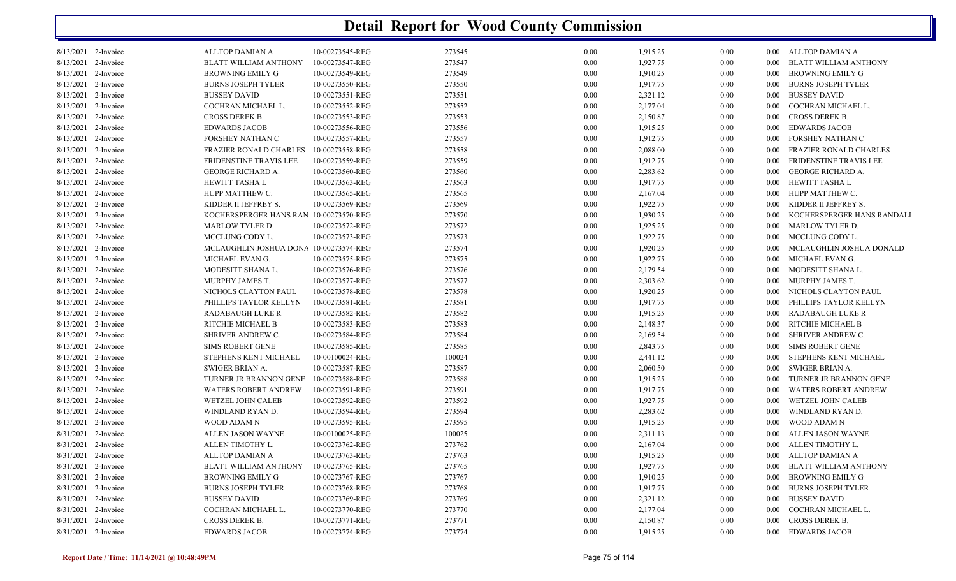| 8/13/2021 2-Invoice | ALLTOP DAMIAN A                        | 10-00273545-REG | 273545 | $0.00\,$ | 1,915.25 | 0.00 |          | 0.00 ALLTOP DAMIAN A          |
|---------------------|----------------------------------------|-----------------|--------|----------|----------|------|----------|-------------------------------|
| 8/13/2021 2-Invoice | <b>BLATT WILLIAM ANTHONY</b>           | 10-00273547-REG | 273547 | 0.00     | 1,927.75 | 0.00 |          | 0.00 BLATT WILLIAM ANTHONY    |
| 8/13/2021 2-Invoice | BROWNING EMILY G                       | 10-00273549-REG | 273549 | 0.00     | 1,910.25 | 0.00 | $0.00 -$ | <b>BROWNING EMILY G</b>       |
| 8/13/2021 2-Invoice | <b>BURNS JOSEPH TYLER</b>              | 10-00273550-REG | 273550 | $0.00\,$ | 1,917.75 | 0.00 | $0.00\,$ | BURNS JOSEPH TYLER            |
| 8/13/2021 2-Invoice | <b>BUSSEY DAVID</b>                    | 10-00273551-REG | 273551 | 0.00     | 2,321.12 | 0.00 |          | 0.00 BUSSEY DAVID             |
| 8/13/2021 2-Invoice | COCHRAN MICHAEL L.                     | 10-00273552-REG | 273552 | $0.00\,$ | 2,177.04 | 0.00 |          | 0.00 COCHRAN MICHAEL L.       |
| 8/13/2021 2-Invoice | <b>CROSS DEREK B.</b>                  | 10-00273553-REG | 273553 | $0.00\,$ | 2,150.87 | 0.00 | $0.00\,$ | CROSS DEREK B.                |
| 8/13/2021 2-Invoice | <b>EDWARDS JACOB</b>                   | 10-00273556-REG | 273556 | 0.00     | 1,915.25 | 0.00 |          | 0.00 EDWARDS JACOB            |
| 8/13/2021 2-Invoice | FORSHEY NATHAN C                       | 10-00273557-REG | 273557 | 0.00     | 1,912.75 | 0.00 | 0.00     | FORSHEY NATHAN C              |
| 8/13/2021 2-Invoice | <b>FRAZIER RONALD CHARLES</b>          | 10-00273558-REG | 273558 | 0.00     | 2,088.00 | 0.00 | 0.00     | FRAZIER RONALD CHARLES        |
| 8/13/2021 2-Invoice | FRIDENSTINE TRAVIS LEE                 | 10-00273559-REG | 273559 | 0.00     | 1,912.75 | 0.00 | $0.00\,$ | FRIDENSTINE TRAVIS LEE        |
| 8/13/2021 2-Invoice | <b>GEORGE RICHARD A.</b>               | 10-00273560-REG | 273560 | 0.00     | 2,283.62 | 0.00 | $0.00\,$ | GEORGE RICHARD A.             |
| 8/13/2021 2-Invoice | HEWITT TASHA L                         | 10-00273563-REG | 273563 | 0.00     | 1,917.75 | 0.00 | 0.00     | HEWITT TASHA L                |
| 8/13/2021 2-Invoice | HUPP MATTHEW C.                        | 10-00273565-REG | 273565 | 0.00     | 2,167.04 | 0.00 | $0.00\,$ | HUPP MATTHEW C.               |
| 8/13/2021 2-Invoice | KIDDER II JEFFREY S.                   | 10-00273569-REG | 273569 | 0.00     | 1,922.75 | 0.00 |          | 0.00 KIDDER II JEFFREY S.     |
| 8/13/2021 2-Invoice | KOCHERSPERGER HANS RAN 10-00273570-REG |                 | 273570 | 0.00     | 1,930.25 | 0.00 | 0.00     | KOCHERSPERGER HANS RANDALL    |
| 8/13/2021 2-Invoice | <b>MARLOW TYLER D.</b>                 | 10-00273572-REG | 273572 | 0.00     | 1,925.25 | 0.00 |          | 0.00 MARLOW TYLER D.          |
| 8/13/2021 2-Invoice | MCCLUNG CODY L.                        | 10-00273573-REG | 273573 | 0.00     | 1,922.75 | 0.00 |          | 0.00 MCCLUNG CODY L.          |
| 8/13/2021 2-Invoice | MCLAUGHLIN JOSHUA DONA 10-00273574-REG |                 | 273574 | 0.00     | 1,920.25 | 0.00 |          | 0.00 MCLAUGHLIN JOSHUA DONALD |
| 8/13/2021 2-Invoice | MICHAEL EVAN G.                        | 10-00273575-REG | 273575 | $0.00\,$ | 1,922.75 | 0.00 |          | 0.00 MICHAEL EVAN G.          |
| 8/13/2021 2-Invoice | MODESITT SHANA L.                      | 10-00273576-REG | 273576 | $0.00\,$ | 2,179.54 | 0.00 |          | 0.00 MODESITT SHANA L.        |
| 8/13/2021 2-Invoice | MURPHY JAMES T.                        | 10-00273577-REG | 273577 | 0.00     | 2,303.62 | 0.00 |          | 0.00 MURPHY JAMES T.          |
| 8/13/2021 2-Invoice | NICHOLS CLAYTON PAUL                   | 10-00273578-REG | 273578 | 0.00     | 1,920.25 | 0.00 |          | 0.00 NICHOLS CLAYTON PAUL     |
| 8/13/2021 2-Invoice | PHILLIPS TAYLOR KELLYN                 | 10-00273581-REG | 273581 | $0.00\,$ | 1,917.75 | 0.00 |          | 0.00 PHILLIPS TAYLOR KELLYN   |
| 8/13/2021 2-Invoice | <b>RADABAUGH LUKE R</b>                | 10-00273582-REG | 273582 | 0.00     | 1,915.25 | 0.00 | $0.00\,$ | RADABAUGH LUKE R              |
| 8/13/2021 2-Invoice | RITCHIE MICHAEL B                      | 10-00273583-REG | 273583 | 0.00     | 2,148.37 | 0.00 | $0.00\,$ | RITCHIE MICHAEL B             |
| 8/13/2021 2-Invoice | SHRIVER ANDREW C.                      | 10-00273584-REG | 273584 | $0.00\,$ | 2,169.54 | 0.00 |          | 0.00 SHRIVER ANDREW C.        |
| 8/13/2021 2-Invoice | <b>SIMS ROBERT GENE</b>                | 10-00273585-REG | 273585 | 0.00     | 2,843.75 | 0.00 |          | 0.00 SIMS ROBERT GENE         |
| 8/13/2021 2-Invoice | STEPHENS KENT MICHAEL                  | 10-00100024-REG | 100024 | $0.00\,$ | 2,441.12 | 0.00 | $0.00\,$ | STEPHENS KENT MICHAEL         |
| 8/13/2021 2-Invoice | SWIGER BRIAN A.                        | 10-00273587-REG | 273587 | $0.00\,$ | 2,060.50 | 0.00 | $0.00\,$ | SWIGER BRIAN A.               |
| 8/13/2021 2-Invoice | TURNER JR BRANNON GENE                 | 10-00273588-REG | 273588 | 0.00     | 1,915.25 | 0.00 | $0.00\,$ | TURNER JR BRANNON GENE        |
| 8/13/2021 2-Invoice | WATERS ROBERT ANDREW                   | 10-00273591-REG | 273591 | 0.00     | 1,917.75 | 0.00 | $0.00\,$ | WATERS ROBERT ANDREW          |
| 8/13/2021 2-Invoice | WETZEL JOHN CALEB                      | 10-00273592-REG | 273592 | $0.00\,$ | 1,927.75 | 0.00 | $0.00\,$ | WETZEL JOHN CALEB             |
| 8/13/2021 2-Invoice | WINDLAND RYAN D.                       | 10-00273594-REG | 273594 | 0.00     | 2,283.62 | 0.00 | $0.00\,$ | WINDLAND RYAN D.              |
| 8/13/2021 2-Invoice | WOOD ADAM N                            | 10-00273595-REG | 273595 | 0.00     | 1,915.25 | 0.00 | $0.00\,$ | WOOD ADAM N                   |
| 8/31/2021 2-Invoice | ALLEN JASON WAYNE                      | 10-00100025-REG | 100025 | 0.00     | 2,311.13 | 0.00 |          | 0.00 ALLEN JASON WAYNE        |
| 8/31/2021 2-Invoice | ALLEN TIMOTHY L.                       | 10-00273762-REG | 273762 | 0.00     | 2,167.04 | 0.00 | $0.00\,$ | ALLEN TIMOTHY L.              |
| 8/31/2021 2-Invoice | <b>ALLTOP DAMIAN A</b>                 | 10-00273763-REG | 273763 | $0.00\,$ | 1,915.25 | 0.00 |          | 0.00 ALLTOP DAMIAN A          |
| 8/31/2021 2-Invoice | <b>BLATT WILLIAM ANTHONY</b>           | 10-00273765-REG | 273765 | 0.00     | 1,927.75 | 0.00 | $0.00\,$ | BLATT WILLIAM ANTHONY         |
| 8/31/2021 2-Invoice | <b>BROWNING EMILY G</b>                | 10-00273767-REG | 273767 | 0.00     | 1,910.25 | 0.00 | $0.00\,$ | BROWNING EMILY G              |
| 8/31/2021 2-Invoice | <b>BURNS JOSEPH TYLER</b>              | 10-00273768-REG | 273768 | 0.00     | 1,917.75 | 0.00 |          | 0.00 BURNS JOSEPH TYLER       |
| 8/31/2021 2-Invoice | <b>BUSSEY DAVID</b>                    | 10-00273769-REG | 273769 | 0.00     | 2,321.12 | 0.00 | $0.00\,$ | <b>BUSSEY DAVID</b>           |
| 8/31/2021 2-Invoice | COCHRAN MICHAEL L.                     | 10-00273770-REG | 273770 | $0.00\,$ | 2,177.04 | 0.00 | $0.00\,$ | COCHRAN MICHAEL L.            |
| 8/31/2021 2-Invoice | <b>CROSS DEREK B.</b>                  | 10-00273771-REG | 273771 | 0.00     | 2,150.87 | 0.00 | $0.00\,$ | CROSS DEREK B.                |
| 8/31/2021 2-Invoice | <b>EDWARDS JACOB</b>                   | 10-00273774-REG | 273774 | 0.00     | 1,915.25 | 0.00 |          | 0.00 EDWARDS JACOB            |
|                     |                                        |                 |        |          |          |      |          |                               |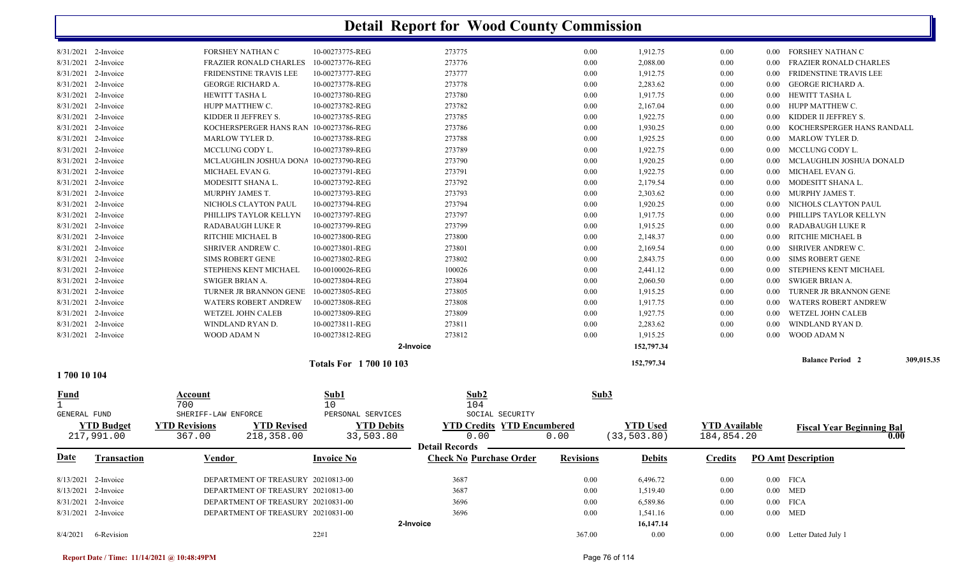|                     | 8/4/2021 6-Revision |                               |                                    | 22#1                                   | 2-Invoice         |                                   | 367.00           | 16,147.14<br>$0.00\,$  | $0.00\,$             |          | 0.00 Letter Dated July 1         |            |
|---------------------|---------------------|-------------------------------|------------------------------------|----------------------------------------|-------------------|-----------------------------------|------------------|------------------------|----------------------|----------|----------------------------------|------------|
|                     | 8/31/2021 2-Invoice |                               | DEPARTMENT OF TREASURY 20210831-00 |                                        |                   | 3696                              | 0.00             | 1,541.16               | 0.00                 |          | $0.00$ MED                       |            |
|                     | 8/31/2021 2-Invoice |                               | DEPARTMENT OF TREASURY 20210831-00 |                                        |                   | 3696                              | 0.00             | 6,589.86               | 0.00                 |          | $0.00$ FICA                      |            |
|                     | 8/13/2021 2-Invoice |                               | DEPARTMENT OF TREASURY 20210813-00 |                                        |                   | 3687                              | 0.00             | 1,519.40               | 0.00                 |          | $0.00$ MED                       |            |
|                     | 8/13/2021 2-Invoice |                               | DEPARTMENT OF TREASURY 20210813-00 |                                        |                   | 3687                              | 0.00             | 6,496.72               | 0.00                 |          | $0.00$ FICA                      |            |
| <u>Date</u>         | <b>Transaction</b>  | <b>Vendor</b>                 |                                    | <b>Invoice No</b>                      |                   | <b>Check No Purchase Order</b>    | <b>Revisions</b> | <b>Debits</b>          | Credits              |          | <b>PO Amt Description</b>        |            |
|                     | 217,991.00          | 367.00                        | 218,358.00                         | 33,503.80                              |                   | 0.00<br><b>Detail Records</b>     | 0.00             | (33, 503.80)           | 184,854.20           |          |                                  | 0.00       |
|                     | <b>YTD Budget</b>   | <b>YTD Revisions</b>          | <b>YTD Revised</b>                 |                                        | <b>YTD Debits</b> | <b>YTD Credits YTD Encumbered</b> |                  | <b>YTD Used</b>        | <b>YTD Available</b> |          | <b>Fiscal Year Beginning Bal</b> |            |
| GENERAL FUND        |                     | SHERIFF-LAW ENFORCE           |                                    | PERSONAL SERVICES                      |                   | SOCIAL SECURITY                   |                  |                        |                      |          |                                  |            |
| <u>Fund</u>         |                     | <b>Account</b><br>700         |                                    | Sub1<br>10                             |                   | 104                               | Sub3             |                        |                      |          |                                  |            |
|                     |                     |                               |                                    |                                        |                   | Sub2                              |                  |                        |                      |          |                                  |            |
| 1700 10 104         |                     |                               |                                    | <b>Totals For 1700 10 103</b>          |                   |                                   |                  | 152,797.34             |                      |          |                                  |            |
|                     |                     |                               |                                    |                                        |                   |                                   |                  |                        |                      |          | <b>Balance Period 2</b>          | 309,015.35 |
|                     | 8/31/2021 2-Invoice | WOOD ADAM N                   |                                    | 10-00273812-REG                        | 2-Invoice         | 273812                            | 0.00             | 1,915.25<br>152,797.34 | 0.00                 | 0.00     | WOOD ADAM N                      |            |
|                     | 8/31/2021 2-Invoice | WINDLAND RYAN D.              |                                    | 10-00273811-REG                        |                   | 273811                            | 0.00             | 2,283.62               | 0.00                 | 0.00     | WINDLAND RYAN D.                 |            |
|                     | 8/31/2021 2-Invoice | <b>WETZEL JOHN CALEB</b>      |                                    | 10-00273809-REG                        |                   | 273809                            | 0.00             | 1,927.75               | 0.00                 | 0.00     | <b>WETZEL JOHN CALEB</b>         |            |
|                     | 8/31/2021 2-Invoice | <b>WATERS ROBERT ANDREW</b>   |                                    | 10-00273808-REG                        |                   | 273808                            | 0.00             | 1,917.75               | 0.00                 | 0.00     | <b>WATERS ROBERT ANDREW</b>      |            |
|                     | 8/31/2021 2-Invoice | TURNER JR BRANNON GENE        |                                    | 10-00273805-REG                        |                   | 273805                            | 0.00             | 1,915.25               | 0.00                 | 0.00     | TURNER JR BRANNON GENE           |            |
|                     | 8/31/2021 2-Invoice | SWIGER BRIAN A.               |                                    | 10-00273804-REG                        |                   | 273804                            | 0.00             | 2,060.50               | 0.00                 | 0.00     | SWIGER BRIAN A.                  |            |
|                     | 8/31/2021 2-Invoice | <b>STEPHENS KENT MICHAEL</b>  |                                    | 10-00100026-REG                        |                   | 100026                            | 0.00             | 2,441.12               | 0.00                 | 0.00     | STEPHENS KENT MICHAEL            |            |
|                     | 8/31/2021 2-Invoice | <b>SIMS ROBERT GENE</b>       |                                    | 10-00273802-REG                        |                   | 273802                            | 0.00             | 2,843.75               | 0.00                 | 0.00     | <b>SIMS ROBERT GENE</b>          |            |
|                     | 8/31/2021 2-Invoice | SHRIVER ANDREW C.             |                                    | 10-00273801-REG                        |                   | 273801                            | 0.00             | 2,169.54               | 0.00                 | 0.00     | SHRIVER ANDREW C.                |            |
|                     | 8/31/2021 2-Invoice | RITCHIE MICHAEL B             |                                    | 10-00273800-REG                        |                   | 273800                            | 0.00             | 2,148.37               | 0.00                 | 0.00     | RITCHIE MICHAEL B                |            |
|                     | 8/31/2021 2-Invoice | RADABAUGH LUKE R              |                                    | 10-00273799-REG                        |                   | 273799                            | 0.00             | 1,915.25               | 0.00                 | 0.00     | RADABAUGH LUKE R                 |            |
|                     | 8/31/2021 2-Invoice | PHILLIPS TAYLOR KELLYN        |                                    | 10-00273797-REG                        |                   | 273797                            | 0.00             | 1,917.75               | 0.00                 | 0.00     | PHILLIPS TAYLOR KELLYN           |            |
|                     | 8/31/2021 2-Invoice | NICHOLS CLAYTON PAUL          |                                    | 10-00273794-REG                        |                   | 273794                            | 0.00             | 1,920.25               | 0.00                 | 0.00     | NICHOLS CLAYTON PAUL             |            |
|                     | 8/31/2021 2-Invoice | MURPHY JAMES T.               |                                    | 10-00273793-REG                        |                   | 273793                            | 0.00             | 2,303.62               | 0.00                 | $0.00\,$ | MURPHY JAMES T.                  |            |
|                     | 8/31/2021 2-Invoice | MODESITT SHANA L.             |                                    | 10-00273792-REG                        |                   | 273792                            | 0.00             | 2,179.54               | 0.00                 | 0.00     | MODESITT SHANA L.                |            |
|                     | 8/31/2021 2-Invoice | MICHAEL EVAN G.               |                                    | 10-00273791-REG                        |                   | 273791                            | 0.00             | 1,922.75               | 0.00                 | 0.00     | MICHAEL EVAN G.                  |            |
|                     | 8/31/2021 2-Invoice |                               | MCLAUGHLIN JOSHUA DONA             | 10-00273790-REG                        |                   | 273790                            | 0.00             | 1,920.25               | 0.00                 | 0.00     | MCLAUGHLIN JOSHUA DONALD         |            |
|                     | 8/31/2021 2-Invoice | MCCLUNG CODY L.               |                                    | 10-00273789-REG                        |                   | 273789                            | 0.00             | 1,922.75               | 0.00                 | 0.00     | MCCLUNG CODY L.                  |            |
|                     | 8/31/2021 2-Invoice | <b>MARLOW TYLER D.</b>        |                                    | 10-00273788-REG                        |                   | 273788                            | 0.00             | 1,925.25               | 0.00                 | $0.00\,$ | <b>MARLOW TYLER D.</b>           |            |
|                     | 8/31/2021 2-Invoice |                               |                                    | KOCHERSPERGER HANS RAN 10-00273786-REG |                   | 273786                            | 0.00             | 1,930.25               | 0.00                 | 0.00     | KOCHERSPERGER HANS RANDALL       |            |
|                     | 8/31/2021 2-Invoice | KIDDER II JEFFREY S.          |                                    | 10-00273785-REG                        |                   | 273785                            | 0.00             | 1,922.75               | 0.00                 | 0.00     | KIDDER II JEFFREY S.             |            |
|                     | 8/31/2021 2-Invoice | HUPP MATTHEW C.               |                                    | 10-00273782-REG                        |                   | 273782                            | 0.00             | 2,167.04               | 0.00                 | 0.00     | HUPP MATTHEW C.                  |            |
| 8/31/2021 2-Invoice |                     | HEWITT TASHA L                |                                    | 10-00273780-REG                        |                   | 273780                            | 0.00             | 1,917.75               | 0.00                 | 0.00     | HEWITT TASHA L                   |            |
|                     | 8/31/2021 2-Invoice | <b>GEORGE RICHARD A.</b>      |                                    | 10-00273778-REG                        |                   | 273778                            | 0.00             | 2,283.62               | 0.00                 | 0.00     | <b>GEORGE RICHARD A.</b>         |            |
|                     | 8/31/2021 2-Invoice | <b>FRIDENSTINE TRAVIS LEE</b> |                                    | 10-00273777-REG                        |                   | 273777                            | 0.00             | 1,912.75               | 0.00                 | 0.00     | FRIDENSTINE TRAVIS LEE           |            |
|                     | 8/31/2021 2-Invoice | <b>FRAZIER RONALD CHARLES</b> |                                    | 10-00273776-REG                        |                   | 273776                            | 0.00             | 2,088.00               | 0.00                 | $0.00\,$ | <b>FRAZIER RONALD CHARLES</b>    |            |
|                     | 8/31/2021 2-Invoice | FORSHEY NATHAN C              |                                    | 10-00273775-REG                        |                   | 273775                            | 0.00             | 1,912.75               | 0.00                 | $0.00\,$ | FORSHEY NATHAN C                 |            |
|                     |                     |                               |                                    |                                        |                   |                                   |                  |                        |                      |          |                                  |            |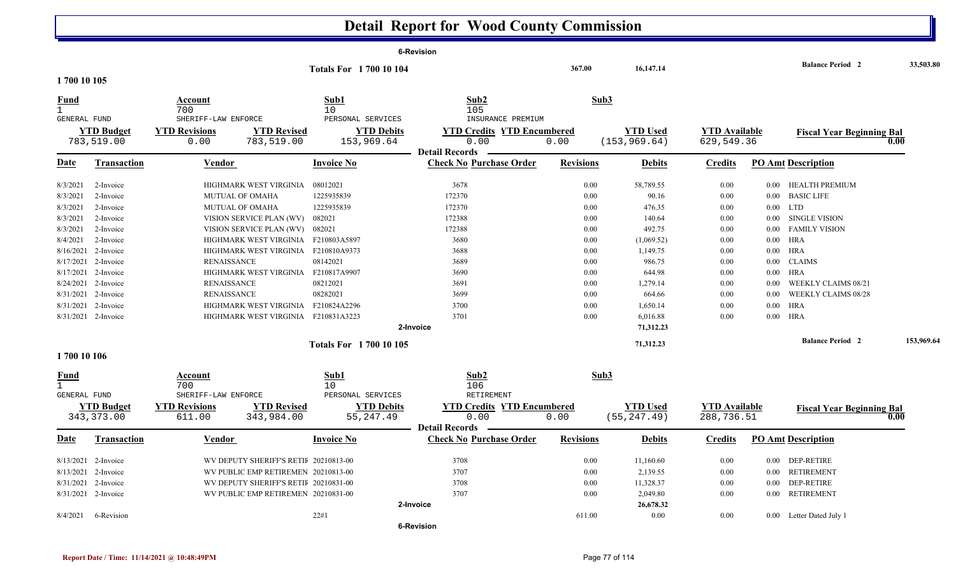|                              |                     |                                             |                                       |                                        | 6-Revision                                              |                  |                 |                      |          |                                  |            |
|------------------------------|---------------------|---------------------------------------------|---------------------------------------|----------------------------------------|---------------------------------------------------------|------------------|-----------------|----------------------|----------|----------------------------------|------------|
| 1700 10 105                  |                     |                                             |                                       | <b>Totals For 1700 10 104</b>          |                                                         | 367.00           | 16,147.14       |                      |          | <b>Balance Period 2</b>          | 33,503.80  |
| Fund                         |                     | Account                                     |                                       | Sub1                                   | Sub2                                                    | Sub3             |                 |                      |          |                                  |            |
| $\mathbf{1}$<br>GENERAL FUND |                     | 700<br>SHERIFF-LAW ENFORCE                  |                                       | 10<br>PERSONAL SERVICES                | 105<br>INSURANCE PREMIUM                                |                  |                 |                      |          |                                  |            |
|                              | <b>YTD Budget</b>   | <b>YTD Revisions</b>                        | <b>YTD Revised</b>                    | <b>YTD Debits</b>                      | <b>YTD Credits YTD Encumbered</b>                       |                  | <b>YTD</b> Used | <b>YTD</b> Available |          | <b>Fiscal Year Beginning Bal</b> |            |
|                              | 783,519.00          | 0.00                                        | 783,519.00                            | 153,969.64                             | 0.00                                                    | 0.00             | (153, 969.64)   | 629,549.36           |          |                                  | 0.00       |
| Date                         | <b>Transaction</b>  | Vendor                                      |                                       | <b>Invoice No</b>                      | <b>Detail Records</b><br><b>Check No Purchase Order</b> | <b>Revisions</b> | <b>Debits</b>   | <b>Credits</b>       |          | <b>PO Amt Description</b>        |            |
| 8/3/2021                     | 2-Invoice           |                                             | HIGHMARK WEST VIRGINIA                | 08012021                               | 3678                                                    | 0.00             | 58,789.55       | 0.00                 |          | 0.00 HEALTH PREMIUM              |            |
| 8/3/2021                     | 2-Invoice           | <b>MUTUAL OF OMAHA</b>                      |                                       | 1225935839                             | 172370                                                  | 0.00             | 90.16           | 0.00                 | $0.00\,$ | <b>BASIC LIFE</b>                |            |
| 8/3/2021                     | 2-Invoice           | MUTUAL OF OMAHA                             |                                       | 1225935839                             | 172370                                                  | 0.00             | 476.35          | 0.00                 | 0.00     | <b>LTD</b>                       |            |
| 8/3/2021                     | 2-Invoice           |                                             | VISION SERVICE PLAN (WV)              | 082021                                 | 172388                                                  | 0.00             | 140.64          | 0.00                 | $0.00\,$ | <b>SINGLE VISION</b>             |            |
| 8/3/2021                     | 2-Invoice           |                                             | VISION SERVICE PLAN (WV) 082021       |                                        | 172388                                                  | 0.00             | 492.75          | 0.00                 | $0.00\,$ | <b>FAMILY VISION</b>             |            |
| 8/4/2021                     | 2-Invoice           |                                             | HIGHMARK WEST VIRGINIA F210803A5897   |                                        | 3680                                                    | 0.00             | (1,069.52)      | 0.00                 | $0.00\,$ | HRA                              |            |
|                              | 8/16/2021 2-Invoice |                                             | HIGHMARK WEST VIRGINIA F210810A9373   |                                        | 3688                                                    | 0.00             | 1,149.75        | 0.00                 | $0.00\,$ | HRA                              |            |
|                              | 8/17/2021 2-Invoice | <b>RENAISSANCE</b>                          |                                       | 08142021                               | 3689                                                    | 0.00             | 986.75          | 0.00                 | 0.00     | <b>CLAIMS</b>                    |            |
|                              | 8/17/2021 2-Invoice |                                             | HIGHMARK WEST VIRGINIA                | F210817A9907                           | 3690                                                    | 0.00             | 644.98          | 0.00                 | $0.00\,$ | HRA                              |            |
|                              | 8/24/2021 2-Invoice | <b>RENAISSANCE</b>                          |                                       | 08212021                               | 3691                                                    | 0.00             | 1,279.14        | 0.00                 | 0.00     | <b>WEEKLY CLAIMS 08/21</b>       |            |
|                              | 8/31/2021 2-Invoice | <b>RENAISSANCE</b>                          |                                       | 08282021                               | 3699                                                    | 0.00             | 664.66          | 0.00                 | 0.00     | <b>WEEKLY CLAIMS 08/28</b>       |            |
|                              | 8/31/2021 2-Invoice |                                             | HIGHMARK WEST VIRGINIA F210824A2296   |                                        | 3700                                                    | 0.00             | 1,650.14        | 0.00                 | $0.00\,$ | HRA                              |            |
|                              | 8/31/2021 2-Invoice |                                             | HIGHMARK WEST VIRGINIA F210831A3223   |                                        | 3701                                                    | 0.00             | 6,016.88        | 0.00                 |          | $0.00$ HRA                       |            |
|                              |                     |                                             |                                       |                                        | 2-Invoice                                               |                  | 71.312.23       |                      |          |                                  |            |
|                              |                     |                                             |                                       | <b>Totals For 1700 10 105</b>          |                                                         |                  | 71,312.23       |                      |          | <b>Balance Period 2</b>          | 153,969.64 |
| 1700 10 106                  |                     |                                             |                                       |                                        |                                                         |                  |                 |                      |          |                                  |            |
| <b>Fund</b><br>$\mathbf{1}$  |                     | Account<br>700                              |                                       | Sub1<br>10                             | Sub2<br>106                                             | Sub3             |                 |                      |          |                                  |            |
| <b>GENERAL FUND</b>          | <b>YTD Budget</b>   | SHERIFF-LAW ENFORCE<br><b>YTD Revisions</b> | <b>YTD Revised</b>                    | PERSONAL SERVICES<br><b>YTD Debits</b> | RETIREMENT<br><b>YTD Credits YTD Encumbered</b>         |                  | <b>YTD</b> Used | <b>YTD</b> Available |          | <b>Fiscal Year Beginning Bal</b> |            |
|                              | 343, 373.00         | 611.00                                      | 343,984.00                            | 55, 247.49                             | 0.00<br><b>Detail Records</b>                           | 0.00             | (55, 247.49)    | 288,736.51           |          |                                  | 0.00       |
| Date                         | <b>Transaction</b>  | Vendor                                      |                                       | <b>Invoice No</b>                      | <b>Check No Purchase Order</b>                          | <b>Revisions</b> | <b>Debits</b>   | <b>Credits</b>       |          | <b>PO Amt Description</b>        |            |
|                              | 8/13/2021 2-Invoice |                                             | WV DEPUTY SHERIFF'S RETIF 20210813-00 |                                        | 3708                                                    | 0.00             | 11,160.60       | 0.00                 |          | 0.00 DEP-RETIRE                  |            |
|                              | 8/13/2021 2-Invoice |                                             | WV PUBLIC EMP RETIREMEN 20210813-00   |                                        | 3707                                                    | 0.00             | 2,139.55        | 0.00                 | $0.00\,$ | <b>RETIREMENT</b>                |            |
|                              | 8/31/2021 2-Invoice |                                             | WV DEPUTY SHERIFF'S RETII 20210831-00 |                                        | 3708                                                    | 0.00             | 11,328.37       | 0.00                 |          | 0.00 DEP-RETIRE                  |            |
|                              | 8/31/2021 2-Invoice |                                             | WV PUBLIC EMP RETIREMEN 20210831-00   |                                        | 3707                                                    | 0.00             | 2,049.80        | 0.00                 | 0.00     | <b>RETIREMENT</b>                |            |
|                              |                     |                                             |                                       |                                        | 2-Invoice                                               |                  | 26,678.32       |                      |          |                                  |            |
| 8/4/2021                     | 6-Revision          |                                             |                                       | 22#1                                   |                                                         | 611.00           | 0.00            | 0.00                 |          | 0.00 Letter Dated July 1         |            |
|                              |                     |                                             |                                       |                                        | <b>6-Revision</b>                                       |                  |                 |                      |          |                                  |            |

 $\mathbb I$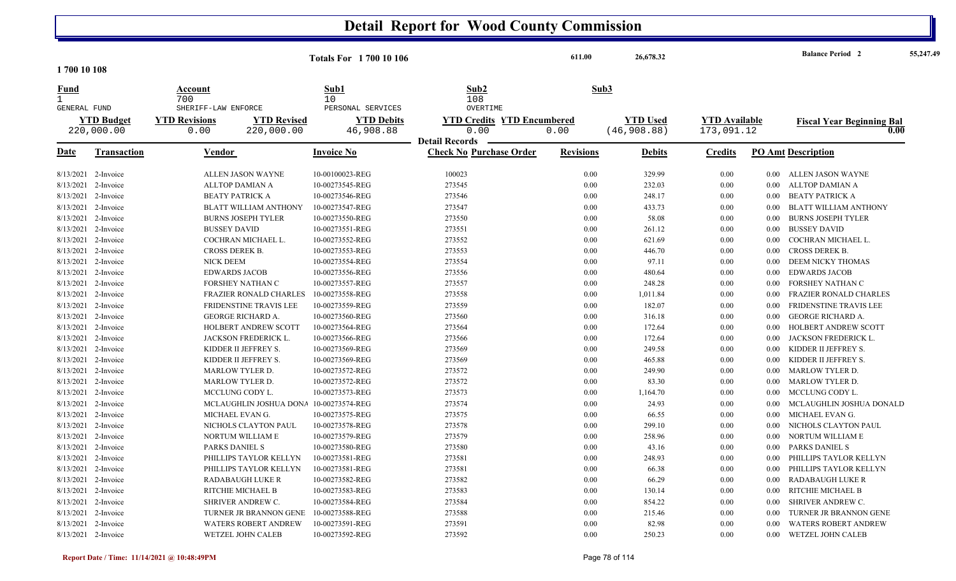|                              |                     |                            |                               | <b>Totals For 1 700 10 106</b> |                                   | 611.00           | 26,678.32       |                      |          | <b>Balance Period 2</b>                  | 55,247.49 |
|------------------------------|---------------------|----------------------------|-------------------------------|--------------------------------|-----------------------------------|------------------|-----------------|----------------------|----------|------------------------------------------|-----------|
| 1700 10 108                  |                     |                            |                               |                                |                                   |                  |                 |                      |          |                                          |           |
| Fund                         |                     | Account                    |                               | Sub1                           | Sub2                              | Sub3             |                 |                      |          |                                          |           |
| $\mathbf{1}$<br>GENERAL FUND |                     | 700<br>SHERIFF-LAW ENFORCE |                               | 10<br>PERSONAL SERVICES        | 108<br>OVERTIME                   |                  |                 |                      |          |                                          |           |
|                              | <b>YTD Budget</b>   | <b>YTD Revisions</b>       | <b>YTD Revised</b>            | <b>YTD Debits</b>              | <b>YTD Credits YTD Encumbered</b> |                  | <b>YTD Used</b> | <b>YTD</b> Available |          |                                          |           |
|                              | 220,000.00          | 0.00                       | 220,000.00                    | 46,908.88                      | 0.00                              | 0.00             | (46, 908.88)    | 173,091.12           |          | <b>Fiscal Year Beginning Bal</b><br>0.00 |           |
|                              |                     |                            |                               |                                | <b>Detail Records</b>             |                  |                 |                      |          |                                          |           |
| Date                         | <b>Transaction</b>  | Vendor                     |                               | <b>Invoice No</b>              | <b>Check No Purchase Order</b>    | <b>Revisions</b> | <b>Debits</b>   | <b>Credits</b>       |          | <b>PO Amt Description</b>                |           |
|                              | 8/13/2021 2-Invoice |                            | <b>ALLEN JASON WAYNE</b>      | 10-00100023-REG                | 100023                            | 0.00             | 329.99          | 0.00                 | $0.00\,$ | ALLEN JASON WAYNE                        |           |
|                              | 8/13/2021 2-Invoice |                            | ALLTOP DAMIAN A               | 10-00273545-REG                | 273545                            | 0.00             | 232.03          | 0.00                 | $0.00\,$ | ALLTOP DAMIAN A                          |           |
|                              | 8/13/2021 2-Invoice |                            | <b>BEATY PATRICK A</b>        | 10-00273546-REG                | 273546                            | 0.00             | 248.17          | 0.00                 | $0.00\,$ | BEATY PATRICK A                          |           |
|                              | 8/13/2021 2-Invoice |                            | <b>BLATT WILLIAM ANTHONY</b>  | 10-00273547-REG                | 273547                            | 0.00             | 433.73          | 0.00                 | 0.00     | BLATT WILLIAM ANTHONY                    |           |
|                              | 8/13/2021 2-Invoice |                            | <b>BURNS JOSEPH TYLER</b>     | 10-00273550-REG                | 273550                            | 0.00             | 58.08           | 0.00                 | $0.00\,$ | <b>BURNS JOSEPH TYLER</b>                |           |
| 8/13/2021                    | 2-Invoice           | <b>BUSSEY DAVID</b>        |                               | 10-00273551-REG                | 273551                            | 0.00             | 261.12          | 0.00                 | 0.00     | <b>BUSSEY DAVID</b>                      |           |
|                              | 8/13/2021 2-Invoice |                            | COCHRAN MICHAEL L.            | 10-00273552-REG                | 273552                            | 0.00             | 621.69          | 0.00                 | $0.00\,$ | COCHRAN MICHAEL L.                       |           |
|                              | 8/13/2021 2-Invoice | CROSS DEREK B.             |                               | 10-00273553-REG                | 273553                            | 0.00             | 446.70          | 0.00                 | $0.00\,$ | CROSS DEREK B.                           |           |
| 8/13/2021                    | 2-Invoice           | NICK DEEM                  |                               | 10-00273554-REG                | 273554                            | 0.00             | 97.11           | 0.00                 | 0.00     | DEEM NICKY THOMAS                        |           |
|                              | 8/13/2021 2-Invoice |                            | <b>EDWARDS JACOB</b>          | 10-00273556-REG                | 273556                            | 0.00             | 480.64          | 0.00                 | $0.00\,$ | <b>EDWARDS JACOB</b>                     |           |
|                              | 8/13/2021 2-Invoice |                            | <b>FORSHEY NATHAN C</b>       | 10-00273557-REG                | 273557                            | 0.00             | 248.28          | 0.00                 | $0.00\,$ | FORSHEY NATHAN C                         |           |
| 8/13/2021                    | 2-Invoice           |                            | <b>FRAZIER RONALD CHARLES</b> | 10-00273558-REG                | 273558                            | 0.00             | 1,011.84        | 0.00                 | 0.00     | <b>FRAZIER RONALD CHARLES</b>            |           |
|                              | 8/13/2021 2-Invoice |                            | FRIDENSTINE TRAVIS LEE        | 10-00273559-REG                | 273559                            | 0.00             | 182.07          | 0.00                 | 0.00     | FRIDENSTINE TRAVIS LEE                   |           |
|                              | 8/13/2021 2-Invoice |                            | <b>GEORGE RICHARD A.</b>      | 10-00273560-REG                | 273560                            | 0.00             | 316.18          | 0.00                 | 0.00     | <b>GEORGE RICHARD A</b>                  |           |
| 8/13/2021                    | 2-Invoice           |                            | <b>HOLBERT ANDREW SCOTT</b>   | 10-00273564-REG                | 273564                            | 0.00             | 172.64          | 0.00                 | $0.00\,$ | HOLBERT ANDREW SCOTT                     |           |
|                              | 8/13/2021 2-Invoice |                            | JACKSON FREDERICK L.          | 10-00273566-REG                | 273566                            | 0.00             | 172.64          | 0.00                 | $0.00\,$ | JACKSON FREDERICK L.                     |           |
|                              | 8/13/2021 2-Invoice |                            | KIDDER II JEFFREY S.          | 10-00273569-REG                | 273569                            | 0.00             | 249.58          | 0.00                 | 0.00     | KIDDER II JEFFREY S.                     |           |
| 8/13/2021                    | 2-Invoice           |                            | KIDDER II JEFFREY S.          | 10-00273569-REG                | 273569                            | 0.00             | 465.88          | 0.00                 | 0.00     | KIDDER II JEFFREY S.                     |           |
|                              | 8/13/2021 2-Invoice |                            | MARLOW TYLER D.               | 10-00273572-REG                | 273572                            | 0.00             | 249.90          | 0.00                 | $0.00\,$ | <b>MARLOW TYLER D.</b>                   |           |
|                              | 8/13/2021 2-Invoice |                            | MARLOW TYLER D.               | 10-00273572-REG                | 273572                            | 0.00             | 83.30           | 0.00                 | $0.00\,$ | <b>MARLOW TYLER D.</b>                   |           |
| 8/13/2021                    | 2-Invoice           |                            | MCCLUNG CODY L.               | 10-00273573-REG                | 273573                            | 0.00             | 1,164.70        | 0.00                 | 0.00     | MCCLUNG CODY L.                          |           |
| 8/13/2021                    | 2-Invoice           |                            | MCLAUGHLIN JOSHUA DONA        | 10-00273574-REG                | 273574                            | 0.00             | 24.93           | 0.00                 | $0.00\,$ | MCLAUGHLIN JOSHUA DONALD                 |           |
|                              | 8/13/2021 2-Invoice |                            | MICHAEL EVAN G.               | 10-00273575-REG                | 273575                            | 0.00             | 66.55           | 0.00                 | $0.00\,$ | MICHAEL EVAN G.                          |           |
|                              | 8/13/2021 2-Invoice |                            | NICHOLS CLAYTON PAUL          | 10-00273578-REG                | 273578                            | 0.00             | 299.10          | 0.00                 | 0.00     | NICHOLS CLAYTON PAUL                     |           |
|                              | 8/13/2021 2-Invoice |                            | NORTUM WILLIAM E              | 10-00273579-REG                | 273579                            | 0.00             | 258.96          | $0.00\,$             | $0.00\,$ | NORTUM WILLIAM E                         |           |
| 8/13/2021                    | 2-Invoice           | PARKS DANIEL S             |                               | 10-00273580-REG                | 273580                            | 0.00             | 43.16           | 0.00                 | 0.00     | PARKS DANIEL S                           |           |
|                              | 8/13/2021 2-Invoice |                            | PHILLIPS TAYLOR KELLYN        | 10-00273581-REG                | 273581                            | 0.00             | 248.93          | 0.00                 | $0.00\,$ | PHILLIPS TAYLOR KELLYN                   |           |
|                              | 8/13/2021 2-Invoice |                            | PHILLIPS TAYLOR KELLYN        | 10-00273581-REG                | 273581                            | 0.00             | 66.38           | 0.00                 | $0.00\,$ | PHILLIPS TAYLOR KELLYN                   |           |
| 8/13/2021                    | 2-Invoice           |                            | <b>RADABAUGH LUKE R</b>       | 10-00273582-REG                | 273582                            | 0.00             | 66.29           | 0.00                 | 0.00     | <b>RADABAUGH LUKE R</b>                  |           |
|                              | 8/13/2021 2-Invoice |                            | RITCHIE MICHAEL B             | 10-00273583-REG                | 273583                            | 0.00             | 130.14          | 0.00                 | 0.00     | RITCHIE MICHAEL B                        |           |
|                              | 8/13/2021 2-Invoice |                            | SHRIVER ANDREW C.             | 10-00273584-REG                | 273584                            | 0.00             | 854.22          | 0.00                 | $0.00\,$ | SHRIVER ANDREW C.                        |           |
| 8/13/2021                    | 2-Invoice           |                            | TURNER JR BRANNON GENE        | 10-00273588-REG                | 273588                            | 0.00             | 215.46          | 0.00                 | $0.00\,$ | TURNER JR BRANNON GENE                   |           |
|                              | 8/13/2021 2-Invoice |                            | <b>WATERS ROBERT ANDREW</b>   | 10-00273591-REG                | 273591                            | 0.00             | 82.98           | 0.00                 | 0.00     | <b>WATERS ROBERT ANDREW</b>              |           |
|                              | 8/13/2021 2-Invoice |                            | WETZEL JOHN CALEB             | 10-00273592-REG                | 273592                            | 0.00             | 250.23          | 0.00                 | 0.00     | <b>WETZEL JOHN CALEB</b>                 |           |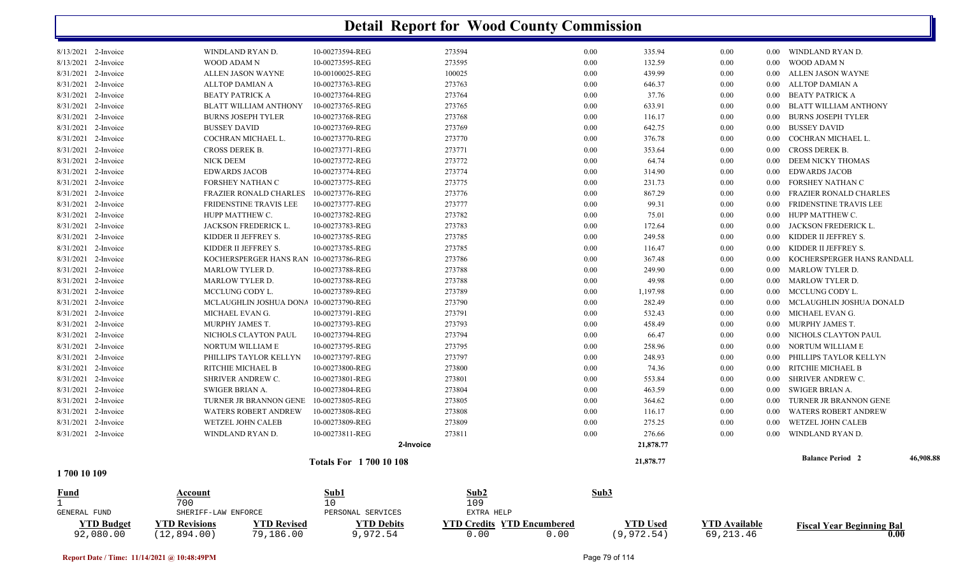| <b>YTD Budget</b><br>92,080.00             | <b>YTD Revised</b><br><b>YTD Revisions</b><br>79,186.00<br>(12, 894.00) | <b>YTD Debits</b><br>9,972.54      | <b>YTD Credits YTD Encumbered</b><br>0.00<br>0.00 |              | <b>YTD Used</b><br>(9, 972.54) | <b>YTD Available</b><br>69, 213.46 |                      | <b>Fiscal Year Beginning Bal</b><br>0.00     |           |
|--------------------------------------------|-------------------------------------------------------------------------|------------------------------------|---------------------------------------------------|--------------|--------------------------------|------------------------------------|----------------------|----------------------------------------------|-----------|
| GENERAL FUND                               | SHERIFF-LAW ENFORCE                                                     | PERSONAL SERVICES                  | EXTRA HELP                                        |              |                                |                                    |                      |                                              |           |
| Fund<br>$\mathbf{1}$                       | Account<br>700                                                          | Sub1<br>10                         | Sub2<br>109                                       | Sub3         |                                |                                    |                      |                                              |           |
| 1700 10 109                                |                                                                         |                                    |                                                   |              |                                |                                    |                      |                                              |           |
|                                            |                                                                         | <b>Totals For 1700 10 108</b>      |                                                   |              | 21,878.77                      |                                    |                      | <b>Balance Period 2</b>                      | 46,908.88 |
|                                            |                                                                         | 2-Invoice                          |                                                   |              | 21,878.77                      |                                    |                      |                                              |           |
| 8/31/2021 2-Invoice                        | WINDLAND RYAN D.                                                        | 10-00273811-REG                    | 273811                                            | 0.00         | 276.66                         | 0.00                               | 0.00                 | WINDLAND RYAN D.                             |           |
| 8/31/2021 2-Invoice                        | WETZEL JOHN CALEB                                                       | 10-00273809-REG                    | 273809                                            | 0.00         | 275.25                         | 0.00                               | $0.00\,$             | WETZEL JOHN CALEB                            |           |
| 8/31/2021 2-Invoice                        | <b>WATERS ROBERT ANDREW</b>                                             | 10-00273808-REG                    | 273808                                            | 0.00         | 116.17                         | 0.00                               | 0.00                 | <b>WATERS ROBERT ANDREW</b>                  |           |
| 8/31/2021 2-Invoice                        | TURNER JR BRANNON GENE                                                  | 10-00273805-REG                    | 273805                                            | 0.00         | 364.62                         | 0.00                               | 0.00                 | <b>TURNER JR BRANNON GENE</b>                |           |
| 8/31/2021 2-Invoice                        | SWIGER BRIAN A.                                                         | 10-00273804-REG                    | 273804                                            | 0.00         | 463.59                         | 0.00                               | $0.00\,$             | SWIGER BRIAN A.                              |           |
| 8/31/2021 2-Invoice                        | SHRIVER ANDREW C.                                                       | 10-00273801-REG                    | 273801                                            | 0.00         | 553.84                         | 0.00                               | 0.00                 | <b>SHRIVER ANDREW C.</b>                     |           |
| 8/31/2021 2-Invoice                        | RITCHIE MICHAEL B                                                       | 10-00273800-REG                    | 273800                                            | 0.00         | 74.36                          | 0.00                               | 0.00                 | RITCHIE MICHAEL B                            |           |
| 8/31/2021 2-Invoice                        | PHILLIPS TAYLOR KELLYN                                                  | 10-00273797-REG                    | 273797                                            | 0.00         | 248.93                         | 0.00                               | $0.00\,$             | PHILLIPS TAYLOR KELLYN                       |           |
| 8/31/2021 2-Invoice                        | NORTUM WILLIAM E                                                        | 10-00273795-REG                    | 273795                                            | 0.00         | 258.96                         | 0.00                               | $0.00\,$             | NORTUM WILLIAM E                             |           |
| 8/31/2021 2-Invoice                        | NICHOLS CLAYTON PAUL                                                    | 10-00273794-REG                    | 273794                                            | 0.00         | 66.47                          | 0.00                               | 0.00                 | NICHOLS CLAYTON PAUL                         |           |
| 8/31/2021 2-Invoice                        | MURPHY JAMES T.                                                         | 10-00273793-REG                    | 273793                                            | 0.00         | 458.49                         | 0.00                               | $0.00\,$             | MURPHY JAMES T.                              |           |
| 8/31/2021 2-Invoice                        | MICHAEL EVAN G.                                                         | 10-00273791-REG                    | 273791                                            | 0.00         | 532.43                         | 0.00                               | $0.00\,$             | MICHAEL EVAN G.                              |           |
| 8/31/2021 2-Invoice                        | MCLAUGHLIN JOSHUA DONA 10-00273790-REG                                  |                                    | 273790                                            | 0.00         | 282.49                         | 0.00                               | $0.00\,$             | MCLAUGHLIN JOSHUA DONALD                     |           |
| 8/31/2021 2-Invoice                        | MCCLUNG CODY L.                                                         | 10-00273789-REG                    | 273789                                            | 0.00         | 1,197.98                       | 0.00                               | $0.00\,$             | MCCLUNG CODY L.                              |           |
| 8/31/2021 2-Invoice                        | <b>MARLOW TYLER D.</b>                                                  | 10-00273788-REG                    | 273788                                            | 0.00         | 49.98                          | 0.00                               | $0.00\,$             | <b>MARLOW TYLER D.</b>                       |           |
| 8/31/2021 2-Invoice                        | <b>MARLOW TYLER D.</b>                                                  | 10-00273788-REG                    | 273788                                            | 0.00         | 249.90                         | 0.00                               | $0.00\,$             | <b>MARLOW TYLER D.</b>                       |           |
| 8/31/2021 2-Invoice                        | KOCHERSPERGER HANS RAN                                                  | 10-00273786-REG                    | 273786                                            | 0.00         | 367.48                         | 0.00                               | 0.00                 | KOCHERSPERGER HANS RANDALL                   |           |
| 8/31/2021 2-Invoice<br>8/31/2021 2-Invoice | KIDDER II JEFFREY S.                                                    | 10-00273785-REG                    | 273785                                            | 0.00         | 116.47                         | 0.00                               | $0.00\,$<br>$0.00\,$ | KIDDER II JEFFREY S.                         |           |
| 8/31/2021 2-Invoice                        | JACKSON FREDERICK L.<br>KIDDER II JEFFREY S.                            | 10-00273783-REG<br>10-00273785-REG | 273783<br>273785                                  | 0.00<br>0.00 | 249.58                         | 0.00<br>0.00                       | $0.00\,$             | JACKSON FREDERICK L.<br>KIDDER II JEFFREY S. |           |
| 8/31/2021 2-Invoice                        | HUPP MATTHEW C.                                                         | 10-00273782-REG                    | 273782                                            |              | 75.01<br>172.64                | 0.00                               | $0.00\,$             |                                              |           |
| 8/31/2021 2-Invoice                        | FRIDENSTINE TRAVIS LEE                                                  | 10-00273777-REG                    | 273777                                            | 0.00<br>0.00 | 99.31                          | 0.00                               | $0.00\,$             | FRIDENSTINE TRAVIS LEE<br>HUPP MATTHEW C.    |           |
| 8/31/2021 2-Invoice                        | <b>FRAZIER RONALD CHARLES</b>                                           | 10-00273776-REG                    | 273776                                            | 0.00         | 867.29                         | 0.00                               | 0.00                 | <b>FRAZIER RONALD CHARLES</b>                |           |
| 8/31/2021 2-Invoice                        | FORSHEY NATHAN C                                                        | 10-00273775-REG                    | 273775                                            | 0.00         | 231.73                         | 0.00                               | 0.00                 | FORSHEY NATHAN C                             |           |
| 8/31/2021 2-Invoice                        | <b>EDWARDS JACOB</b>                                                    | 10-00273774-REG                    | 273774                                            | 0.00         | 314.90                         | 0.00                               | $0.00\,$             | <b>EDWARDS JACOB</b>                         |           |
| 8/31/2021 2-Invoice                        | <b>NICK DEEM</b>                                                        | 10-00273772-REG                    | 273772                                            | 0.00         | 64.74                          | 0.00                               | $0.00\,$             | DEEM NICKY THOMAS                            |           |
| 8/31/2021 2-Invoice                        | CROSS DEREK B.                                                          | 10-00273771-REG                    | 273771                                            | 0.00         | 353.64                         | 0.00                               | $0.00\,$             | <b>CROSS DEREK B.</b>                        |           |
| 8/31/2021 2-Invoice                        | COCHRAN MICHAEL L.                                                      | 10-00273770-REG                    | 273770                                            | 0.00         | 376.78                         | 0.00                               | 0.00                 | COCHRAN MICHAEL L.                           |           |
| 8/31/2021 2-Invoice                        | <b>BUSSEY DAVID</b>                                                     | 10-00273769-REG                    | 273769                                            | 0.00         | 642.75                         | 0.00                               | $0.00\,$             | <b>BUSSEY DAVID</b>                          |           |
| 8/31/2021 2-Invoice                        | <b>BURNS JOSEPH TYLER</b>                                               | 10-00273768-REG                    | 273768                                            | 0.00         | 116.17                         | 0.00                               | 0.00                 | <b>BURNS JOSEPH TYLER</b>                    |           |
| 8/31/2021 2-Invoice                        | <b>BLATT WILLIAM ANTHONY</b>                                            | 10-00273765-REG                    | 273765                                            | 0.00         | 633.91                         | 0.00                               | $0.00\,$             | BLATT WILLIAM ANTHONY                        |           |
| 8/31/2021 2-Invoice                        | <b>BEATY PATRICK A</b>                                                  | 10-00273764-REG                    | 273764                                            | 0.00         | 37.76                          | 0.00                               | $0.00\,$             | <b>BEATY PATRICK A</b>                       |           |
| 8/31/2021 2-Invoice                        | ALLTOP DAMIAN A                                                         | 10-00273763-REG                    | 273763                                            | 0.00         | 646.37                         | 0.00                               | $0.00\,$             | ALLTOP DAMIAN A                              |           |
| 8/31/2021 2-Invoice                        | ALLEN JASON WAYNE                                                       | 10-00100025-REG                    | 100025                                            | 0.00         | 439.99                         | 0.00                               | $0.00\,$             | ALLEN JASON WAYNE                            |           |
| 8/13/2021 2-Invoice                        | <b>WOOD ADAM N</b>                                                      | 10-00273595-REG                    | 273595                                            | 0.00         | 132.59                         | 0.00                               | 0.00                 | WOOD ADAM N                                  |           |
| 8/13/2021 2-Invoice                        | WINDLAND RYAN D.                                                        | 10-00273594-REG                    | 273594                                            | 0.00         | 335.94                         | 0.00                               |                      | 0.00 WINDLAND RYAN D.                        |           |
|                                            |                                                                         |                                    |                                                   |              |                                |                                    |                      |                                              |           |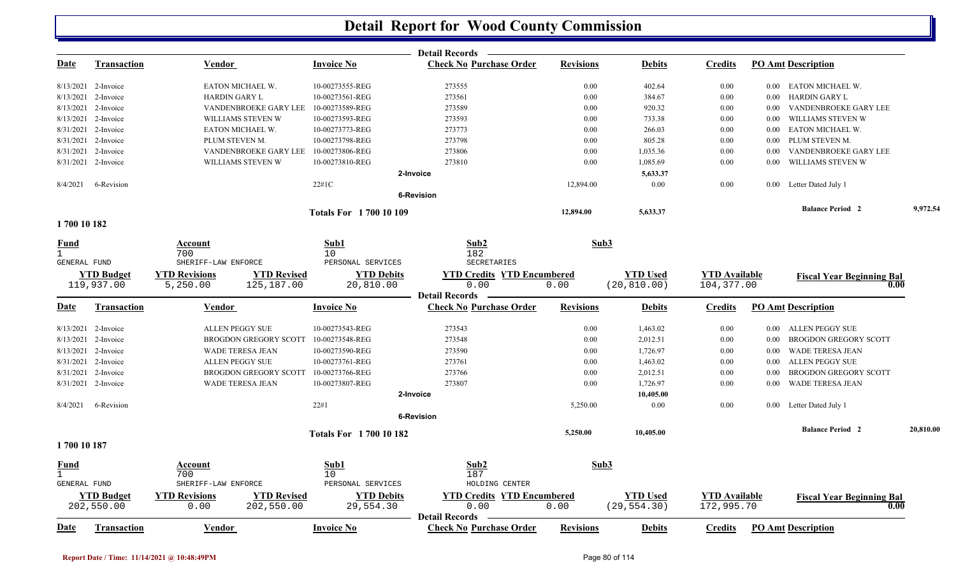|              |                                 |                                                                  |                                | <b>Detail Records</b>                                   |                  |                                 |                                    |          |                                          |           |
|--------------|---------------------------------|------------------------------------------------------------------|--------------------------------|---------------------------------------------------------|------------------|---------------------------------|------------------------------------|----------|------------------------------------------|-----------|
| <u>Date</u>  | <u>Transaction</u>              | <u>Vendor</u>                                                    | <b>Invoice No</b>              | <b>Check No Purchase Order</b>                          | <b>Revisions</b> | <b>Debits</b>                   | <b>Credits</b>                     |          | <b>PO Amt Description</b>                |           |
|              | 8/13/2021 2-Invoice             | EATON MICHAEL W.                                                 | 10-00273555-REG                | 273555                                                  | 0.00             | 402.64                          | 0.00                               |          | 0.00 EATON MICHAEL W.                    |           |
|              | 8/13/2021 2-Invoice             | <b>HARDIN GARY L</b>                                             | 10-00273561-REG                | 273561                                                  | 0.00             | 384.67                          | 0.00                               | 0.00     | <b>HARDIN GARY L</b>                     |           |
|              | 8/13/2021 2-Invoice             | VANDENBROEKE GARY LEE                                            | 10-00273589-REG                | 273589                                                  | 0.00             | 920.32                          | 0.00                               | $0.00\,$ | VANDENBROEKE GARY LEE                    |           |
|              | 8/13/2021 2-Invoice             | WILLIAMS STEVEN W                                                | 10-00273593-REG                | 273593                                                  | 0.00             | 733.38                          | 0.00                               | $0.00\,$ | WILLIAMS STEVEN W                        |           |
|              | 8/31/2021 2-Invoice             | EATON MICHAEL W.                                                 | 10-00273773-REG                | 273773                                                  | 0.00             | 266.03                          | 0.00                               | $0.00\,$ | EATON MICHAEL W.                         |           |
|              | 8/31/2021 2-Invoice             | PLUM STEVEN M.                                                   | 10-00273798-REG                | 273798                                                  | 0.00             | 805.28                          | 0.00                               | $0.00\,$ | PLUM STEVEN M.                           |           |
|              | 8/31/2021 2-Invoice             | VANDENBROEKE GARY LEE                                            | 10-00273806-REG                | 273806                                                  | 0.00             | 1,035.36                        | 0.00                               | 0.00     | VANDENBROEKE GARY LEE                    |           |
|              | 8/31/2021 2-Invoice             | WILLIAMS STEVEN W                                                | 10-00273810-REG                | 273810                                                  | 0.00             | 1,085.69                        | 0.00                               | 0.00     | WILLIAMS STEVEN W                        |           |
|              |                                 |                                                                  |                                | 2-Invoice                                               |                  | 5,633.37                        |                                    |          |                                          |           |
|              | 8/4/2021 6-Revision             |                                                                  | 22#1C                          |                                                         | 12,894.00        | 0.00                            | 0.00                               |          | 0.00 Letter Dated July 1                 |           |
|              |                                 |                                                                  |                                | 6-Revision                                              |                  |                                 |                                    |          |                                          |           |
|              |                                 |                                                                  | <b>Totals For 170010109</b>    |                                                         | 12,894.00        | 5,633.37                        |                                    |          | <b>Balance Period 2</b>                  | 9,972.54  |
| 1700 10 182  |                                 |                                                                  |                                |                                                         |                  |                                 |                                    |          |                                          |           |
| Fund         |                                 | Account                                                          | Sub1                           | Sub2                                                    | Sub3             |                                 |                                    |          |                                          |           |
|              |                                 | 700                                                              | 10                             | 182                                                     |                  |                                 |                                    |          |                                          |           |
| GENERAL FUND |                                 | SHERIFF-LAW ENFORCE                                              | PERSONAL SERVICES              | SECRETARIES                                             |                  |                                 |                                    |          |                                          |           |
|              | <b>YTD Budget</b>               | <b>YTD Revisions</b><br><b>YTD Revised</b>                       | <b>YTD Debits</b>              | <b>YTD Credits YTD Encumbered</b>                       |                  | <b>YTD Used</b>                 | <b>YTD Available</b>               |          | <b>Fiscal Year Beginning Bal</b>         |           |
|              | 119,937.00                      | 5,250.00<br>125,187.00                                           | 20,810.00                      | 0.00<br><b>Detail Records</b>                           | 0.00             | (20, 810.00)                    | 104,377.00                         |          | 0.00                                     |           |
| <b>Date</b>  | <b>Transaction</b>              | Vendor                                                           | <b>Invoice No</b>              | <b>Check No Purchase Order</b>                          | <b>Revisions</b> | <b>Debits</b>                   | <b>Credits</b>                     |          | <b>PO Amt Description</b>                |           |
|              | 8/13/2021 2-Invoice             | <b>ALLEN PEGGY SUE</b>                                           | 10-00273543-REG                | 273543                                                  | 0.00             | 1,463.02                        | 0.00                               |          | 0.00 ALLEN PEGGY SUE                     |           |
|              | 8/13/2021 2-Invoice             | BROGDON GREGORY SCOTT                                            | 10-00273548-REG                | 273548                                                  | 0.00             | 2,012.51                        | 0.00                               | 0.00     | BROGDON GREGORY SCOTT                    |           |
|              | 8/13/2021 2-Invoice             | WADE TERESA JEAN                                                 | 10-00273590-REG                | 273590                                                  | 0.00             | 1,726.97                        | 0.00                               | $0.00\,$ | WADE TERESA JEAN                         |           |
|              | 8/31/2021 2-Invoice             | <b>ALLEN PEGGY SUE</b>                                           | 10-00273761-REG                | 273761                                                  | 0.00             | 1,463.02                        | 0.00                               | $0.00\,$ | ALLEN PEGGY SUE                          |           |
|              | 8/31/2021 2-Invoice             | BROGDON GREGORY SCOTT                                            | 10-00273766-REG                | 273766                                                  | 0.00             | 2,012.51                        | 0.00                               | 0.00     | <b>BROGDON GREGORY SCOTT</b>             |           |
|              | 8/31/2021 2-Invoice             | WADE TERESA JEAN                                                 | 10-00273807-REG                | 273807                                                  | 0.00             | 1,726.97                        | 0.00                               | 0.00     | WADE TERESA JEAN                         |           |
|              |                                 |                                                                  |                                | 2-Invoice                                               |                  | 10,405.00                       |                                    |          |                                          |           |
|              | 8/4/2021 6-Revision             |                                                                  | 22#1                           |                                                         | 5,250.00         | 0.00                            | 0.00                               |          | 0.00 Letter Dated July 1                 |           |
|              |                                 |                                                                  |                                | <b>6-Revision</b>                                       |                  |                                 |                                    |          |                                          |           |
|              |                                 |                                                                  | <b>Totals For 1700 10 182</b>  |                                                         | 5,250.00         | 10,405.00                       |                                    |          | <b>Balance Period 2</b>                  | 20,810.00 |
| 1700 10 187  |                                 |                                                                  |                                |                                                         |                  |                                 |                                    |          |                                          |           |
| <u>Fund</u>  |                                 | <u>Account</u>                                                   | Sub1                           | Sub2                                                    | Sub3             |                                 |                                    |          |                                          |           |
| $\mathbf{1}$ |                                 | 700                                                              | 10 <sup>°</sup>                | 187                                                     |                  |                                 |                                    |          |                                          |           |
| GENERAL FUND |                                 | SHERIFF-LAW ENFORCE                                              | PERSONAL SERVICES              | HOLDING CENTER                                          |                  |                                 |                                    |          |                                          |           |
|              | <b>YTD Budget</b><br>202,550.00 | <b>YTD Revisions</b><br><b>YTD Revised</b><br>202,550.00<br>0.00 | <b>YTD Debits</b><br>29,554.30 | <b>YTD Credits YTD Encumbered</b><br>0.00               | 0.00             | <b>YTD Used</b><br>(29, 554.30) | <b>YTD</b> Available<br>172,995.70 |          | <b>Fiscal Year Beginning Bal</b><br>0.00 |           |
| <u>Date</u>  | <b>Transaction</b>              | Vendor                                                           | <b>Invoice No</b>              | <b>Detail Records</b><br><b>Check No Purchase Order</b> | <b>Revisions</b> | <b>Debits</b>                   | <b>Credits</b>                     |          | <b>PO Amt Description</b>                |           |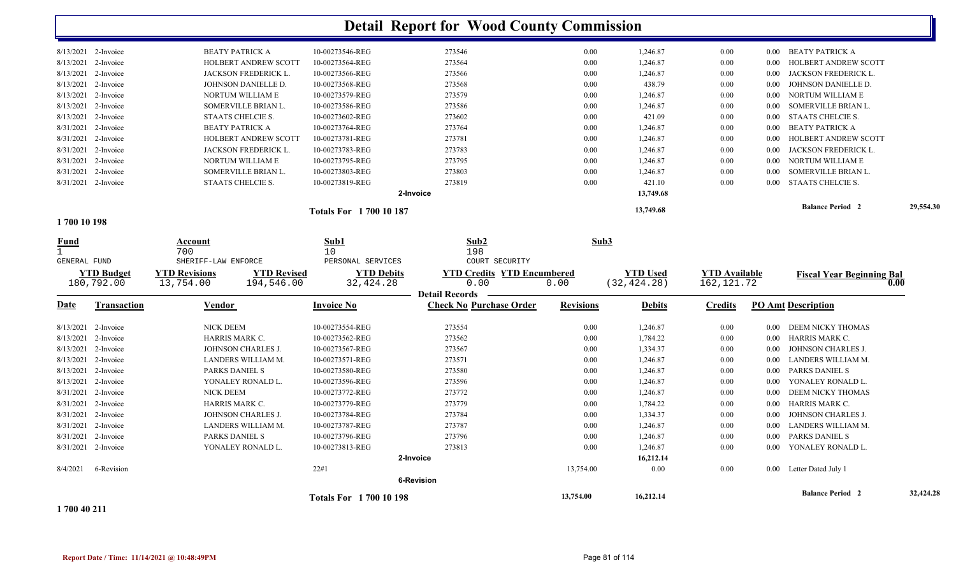|                                             |                                            |                                 | <b>Detail Report for Wood County Commission</b>         |                  |                 |                      |          |                                  |           |
|---------------------------------------------|--------------------------------------------|---------------------------------|---------------------------------------------------------|------------------|-----------------|----------------------|----------|----------------------------------|-----------|
| 8/13/2021 2-Invoice                         | <b>BEATY PATRICK A</b>                     | 10-00273546-REG                 | 273546                                                  | 0.00             | 1,246.87        | $0.00\,$             |          | 0.00 BEATY PATRICK A             |           |
| 8/13/2021<br>2-Invoice                      | HOLBERT ANDREW SCOTT                       | 10-00273564-REG                 | 273564                                                  | 0.00             | 1,246.87        | 0.00                 | 0.00     | HOLBERT ANDREW SCOTT             |           |
| 8/13/2021 2-Invoice                         | JACKSON FREDERICK L.                       | 10-00273566-REG                 | 273566                                                  | 0.00             | 1,246.87        | 0.00                 | 0.00     | JACKSON FREDERICK L              |           |
| 8/13/2021 2-Invoice                         | JOHNSON DANIELLE D.                        | 10-00273568-REG                 | 273568                                                  | 0.00             | 438.79          | 0.00                 | 0.00     | JOHNSON DANIELLE D.              |           |
| 8/13/2021<br>2-Invoice                      | NORTUM WILLIAM E                           | 10-00273579-REG                 | 273579                                                  | 0.00             | 1,246.87        | 0.00                 | $0.00\,$ | NORTUM WILLIAM E                 |           |
| 8/13/2021 2-Invoice                         | SOMERVILLE BRIAN L.                        | 10-00273586-REG                 | 273586                                                  | 0.00             | 1,246.87        | 0.00                 | 0.00     | SOMERVILLE BRIAN L.              |           |
| 8/13/2021 2-Invoice                         | STAATS CHELCIE S.                          | 10-00273602-REG                 | 273602                                                  | 0.00             | 421.09          | 0.00                 | 0.00     | STAATS CHELCIE S.                |           |
| 8/31/2021<br>2-Invoice                      | <b>BEATY PATRICK A</b>                     | 10-00273764-REG                 | 273764                                                  | 0.00             | 1,246.87        | 0.00                 | 0.00     | <b>BEATY PATRICK A</b>           |           |
| 8/31/2021 2-Invoice                         | HOLBERT ANDREW SCOTT                       | 10-00273781-REG                 | 273781                                                  | 0.00             | 1,246.87        | 0.00                 | $0.00\,$ | HOLBERT ANDREW SCOTT             |           |
| 8/31/2021 2-Invoice                         | JACKSON FREDERICK L.                       | 10-00273783-REG                 | 273783                                                  | 0.00             | 1,246.87        | $0.00\,$             | 0.00     | JACKSON FREDERICK L.             |           |
| 8/31/2021<br>2-Invoice                      | NORTUM WILLIAM E                           | 10-00273795-REG                 | 273795                                                  | 0.00             | 1,246.87        | 0.00                 | $0.00\,$ | NORTUM WILLIAM E                 |           |
| 8/31/2021 2-Invoice                         | SOMERVILLE BRIAN L.                        | 10-00273803-REG                 | 273803                                                  | 0.00             | 1,246.87        | 0.00                 | 0.00     | SOMERVILLE BRIAN L.              |           |
| 8/31/2021 2-Invoice                         | STAATS CHELCIE S.                          | 10-00273819-REG                 | 273819                                                  | 0.00             | 421.10          | 0.00                 | 0.00     | STAATS CHELCIE S.                |           |
|                                             |                                            |                                 | 2-Invoice                                               |                  | 13,749.68       |                      |          |                                  |           |
|                                             |                                            | <b>Totals For 1700 10 187</b>   |                                                         |                  | 13,749.68       |                      |          | <b>Balance Period 2</b>          | 29,554.30 |
| 1700 10 198                                 |                                            |                                 |                                                         |                  |                 |                      |          |                                  |           |
| <u>Fund</u><br>$\mathbf{1}$<br>GENERAL FUND | Account<br>700<br>SHERIFF-LAW ENFORCE      | Sub1<br>10<br>PERSONAL SERVICES | Sub2<br>198<br>COURT SECURITY                           | Sub3             |                 |                      |          |                                  |           |
| <b>YTD Budget</b>                           | <b>YTD Revised</b><br><b>YTD Revisions</b> | <b>YTD Debits</b>               | <b>YTD Credits YTD Encumbered</b>                       |                  | <b>YTD Used</b> | <b>YTD</b> Available |          | <b>Fiscal Year Beginning Bal</b> |           |
| 180,792.00                                  | 13,754.00<br>194,546.00                    | 32, 424.28                      | 0.00                                                    | 0.00             | (32, 424.28)    | 162, 121.72          |          |                                  | 0.00      |
| <b>Transaction</b>                          |                                            | <b>Invoice No</b>               | <b>Detail Records</b><br><b>Check No Purchase Order</b> | <b>Revisions</b> |                 | <b>Credits</b>       |          | <b>PO Amt Description</b>        |           |
| Date                                        | Vendor                                     |                                 |                                                         |                  | <b>Debits</b>   |                      |          |                                  |           |
| 8/13/2021 2-Invoice                         | NICK DEEM                                  | 10-00273554-REG                 | 273554                                                  | 0.00             | 1,246.87        | $0.00\,$             | $0.00\,$ | DEEM NICKY THOMAS                |           |
| 8/13/2021<br>2-Invoice                      | HARRIS MARK C.                             | 10-00273562-REG                 | 273562                                                  | 0.00             | 1,784.22        | 0.00                 | 0.00     | HARRIS MARK C.                   |           |
| 8/13/2021 2-Invoice                         | JOHNSON CHARLES J.                         | 10-00273567-REG                 | 273567                                                  | 0.00             | 1,334.37        | 0.00                 | $0.00\,$ | JOHNSON CHARLES J.               |           |
| 2-Invoice<br>8/13/2021                      | LANDERS WILLIAM M.                         | 10-00273571-REG                 | 273571                                                  | 0.00             | 1,246.87        | 0.00                 | $0.00\,$ | LANDERS WILLIAM M.               |           |
| 8/13/2021<br>2-Invoice                      | PARKS DANIEL S                             | 10-00273580-REG                 | 273580                                                  | 0.00             | 1,246.87        | 0.00                 | 0.00     | PARKS DANIEL S                   |           |
| 8/13/2021 2-Invoice                         | YONALEY RONALD L.                          | 10-00273596-REG                 | 273596                                                  | 0.00             | 1,246.87        | 0.00                 | 0.00     | YONALEY RONALD L.                |           |
| 8/31/2021<br>2-Invoice                      | NICK DEEM                                  | 10-00273772-REG                 | 273772                                                  | 0.00             | 1,246.87        | $0.00\,$             | 0.00     | DEEM NICKY THOMAS                |           |
| 8/31/2021<br>2-Invoice                      | HARRIS MARK C.                             | 10-00273779-REG                 | 273779                                                  | 0.00             | 1,784.22        | 0.00                 | 0.00     | HARRIS MARK C.                   |           |
| 8/31/2021 2-Invoice                         | JOHNSON CHARLES J.                         | 10-00273784-REG                 | 273784                                                  | 0.00             | 1,334.37        | $0.00\,$             | 0.00     | JOHNSON CHARLES J.               |           |
| 8/31/2021<br>2-Invoice                      | LANDERS WILLIAM M.                         | 10-00273787-REG                 | 273787                                                  | 0.00             | 1,246.87        | $0.00\,$             | 0.00     | LANDERS WILLIAM M.               |           |
| 8/31/2021<br>2-Invoice                      | PARKS DANIEL S                             | 10-00273796-REG                 | 273796                                                  | 0.00             | 1,246.87        | 0.00                 | 0.00     | PARKS DANIEL S                   |           |
| 8/31/2021 2-Invoice                         | YONALEY RONALD L.                          | 10-00273813-REG                 | 273813                                                  | 0.00             | 1,246.87        | $0.00\,$             | 0.00     | YONALEY RONALD L.                |           |
|                                             |                                            |                                 | 2-Invoice                                               |                  | 16,212.14       |                      |          |                                  |           |
| 8/4/2021<br>6-Revision                      |                                            |                                 |                                                         |                  |                 |                      |          |                                  |           |
|                                             |                                            | 22#1                            |                                                         | 13,754.00        | 0.00            | 0.00                 |          | 0.00 Letter Dated July 1         |           |
|                                             |                                            |                                 | <b>6-Revision</b>                                       |                  |                 |                      |          | <b>Balance Period 2</b>          | 32,424.28 |

**1 700 40 211**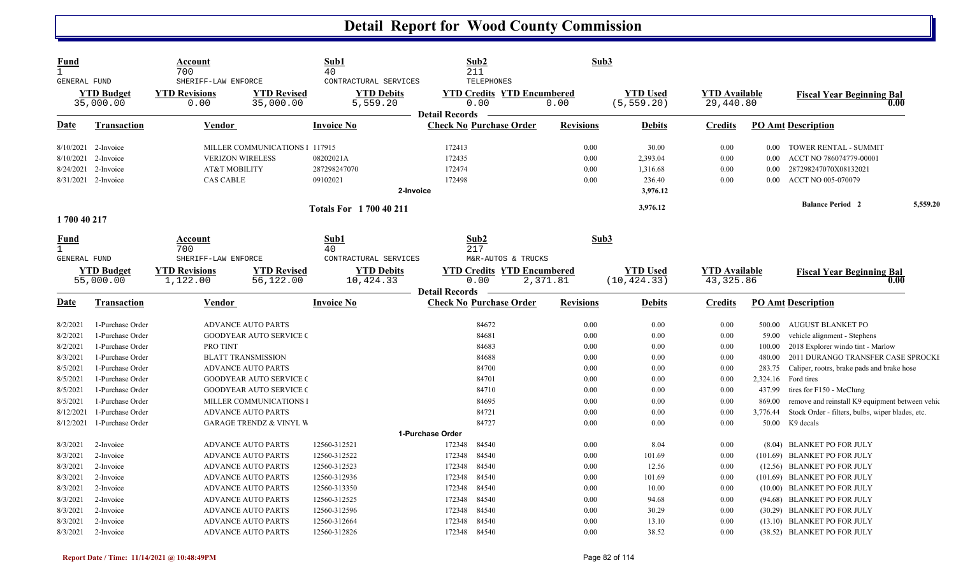| Fund<br>$\mathbf{1}$<br><b>GENERAL FUND</b>    |                                                                                  | Account<br>700<br>SHERIFF-LAW ENFORCE                                     |                                                                                                                              | Sub1<br>40<br>CONTRACTURAL SERVICES                                   |                                      | Sub2<br>211<br><b>TELEPHONES</b>                                               | Sub3                         |                                                     |                                    |                                       |                                                                                                                                              |          |
|------------------------------------------------|----------------------------------------------------------------------------------|---------------------------------------------------------------------------|------------------------------------------------------------------------------------------------------------------------------|-----------------------------------------------------------------------|--------------------------------------|--------------------------------------------------------------------------------|------------------------------|-----------------------------------------------------|------------------------------------|---------------------------------------|----------------------------------------------------------------------------------------------------------------------------------------------|----------|
|                                                | <b>YTD Budget</b><br>35,000.00                                                   | <b>YTD Revisions</b><br>0.00                                              | <b>YTD Revised</b><br>35,000.00                                                                                              | <b>YTD Debits</b><br>5,559.20                                         | <b>Detail Records</b>                | <b>YTD Credits YTD Encumbered</b><br>0.00                                      | 0.00                         | <b>YTD Used</b><br>(5, 559.20)                      | <b>YTD Available</b><br>29,440.80  |                                       | <b>Fiscal Year Beginning Bal</b><br>0.00                                                                                                     |          |
| <u>Date</u>                                    | <u>Transaction</u>                                                               | <b>Vendor</b>                                                             |                                                                                                                              | <b>Invoice No</b>                                                     |                                      | <b>Check No Purchase Order</b>                                                 | <b>Revisions</b>             | <b>Debits</b>                                       | <u>Credits</u>                     |                                       | <b>PO Amt Description</b>                                                                                                                    |          |
| 8/24/2021                                      | $8/10/2021$ 2-Invoice<br>8/10/2021 2-Invoice<br>2-Invoice<br>8/31/2021 2-Invoice | <b>VERIZON WIRELESS</b><br><b>AT&amp;T MOBILITY</b><br><b>CAS CABLE</b>   | MILLER COMMUNICATIONS 1 117915                                                                                               | 08202021A<br>287298247070<br>09102021<br>2-Invoice                    | 172413<br>172435<br>172474<br>172498 |                                                                                | 0.00<br>0.00<br>0.00<br>0.00 | 30.00<br>2,393.04<br>1,316.68<br>236.40<br>3,976.12 | 0.00<br>0.00<br>0.00<br>0.00       | 0.00<br>0.00<br>0.00<br>0.00          | TOWER RENTAL - SUMMIT<br>ACCT NO 786074779-00001<br>287298247070X08132021<br>ACCT NO 005-070079                                              |          |
|                                                |                                                                                  |                                                                           |                                                                                                                              | <b>Totals For 1700 40 211</b>                                         |                                      |                                                                                |                              | 3,976.12                                            |                                    |                                       | <b>Balance Period 2</b>                                                                                                                      | 5,559.20 |
| 1700 40 217                                    |                                                                                  |                                                                           |                                                                                                                              |                                                                       |                                      |                                                                                |                              |                                                     |                                    |                                       |                                                                                                                                              |          |
| <b>Fund</b><br>$\mathbf{1}$<br>GENERAL FUND    | <b>YTD Budget</b><br>55,000.00                                                   | Account<br>700<br>SHERIFF-LAW ENFORCE<br><b>YTD Revisions</b><br>1,122.00 | <b>YTD Revised</b><br>56,122.00                                                                                              | Sub1<br>40<br>CONTRACTURAL SERVICES<br><b>YTD Debits</b><br>10,424.33 | <b>Detail Records</b>                | Sub2<br>217<br>M&R-AUTOS & TRUCKS<br><b>YTD Credits YTD Encumbered</b><br>0.00 | Sub <sub>3</sub><br>2,371.81 | <b>YTD Used</b><br>(10, 424.33)                     | <b>YTD Available</b><br>43, 325.86 |                                       | <b>Fiscal Year Beginning Bal</b><br>0.00                                                                                                     |          |
| <b>Date</b>                                    | Transaction                                                                      | Vendor                                                                    |                                                                                                                              | <b>Invoice No</b>                                                     |                                      | <b>Check No Purchase Order</b>                                                 | <b>Revisions</b>             | <b>Debits</b>                                       | Credits                            |                                       | <b>PO Amt Description</b>                                                                                                                    |          |
| 8/2/2021<br>8/2/2021<br>8/2/2021               | 1-Purchase Order<br>1-Purchase Order<br>1-Purchase Order                         | PRO TINT                                                                  | <b>ADVANCE AUTO PARTS</b><br><b>GOODYEAR AUTO SERVICE (</b>                                                                  |                                                                       |                                      | 84672<br>84681<br>84683                                                        | 0.00<br>0.00<br>0.00         | 0.00<br>0.00<br>0.00                                | 0.00<br>0.00<br>0.00               | 500.00<br>59.00<br>100.00             | <b>AUGUST BLANKET PO</b><br>vehicle alignment - Stephens<br>2018 Explorer windo tint - Marlow                                                |          |
| 8/3/2021<br>8/5/2021<br>8/5/2021               | 1-Purchase Order<br>1-Purchase Order<br>1-Purchase Order                         |                                                                           | <b>BLATT TRANSMISSION</b><br><b>ADVANCE AUTO PARTS</b><br><b>GOODYEAR AUTO SERVICE (</b>                                     |                                                                       |                                      | 84688<br>84700<br>84701                                                        | 0.00<br>0.00<br>0.00         | 0.00<br>0.00<br>0.00                                | 0.00<br>0.00<br>0.00               | 480.00<br>283.75<br>2,324.16          | 2011 DURANGO TRANSFER CASE SPROCKI<br>Caliper, rootrs, brake pads and brake hose<br>Ford tires                                               |          |
| 8/5/2021<br>8/5/2021<br>8/12/2021<br>8/12/2021 | 1-Purchase Order<br>1-Purchase Order<br>1-Purchase Order<br>1-Purchase Order     |                                                                           | <b>GOODYEAR AUTO SERVICE (</b><br>MILLER COMMUNICATIONS I<br><b>ADVANCE AUTO PARTS</b><br><b>GARAGE TRENDZ &amp; VINYL W</b> |                                                                       |                                      | 84710<br>84695<br>84721<br>84727                                               | 0.00<br>0.00<br>0.00<br>0.00 | 0.00<br>0.00<br>0.00<br>0.00                        | 0.00<br>0.00<br>0.00<br>0.00       | 437.99<br>869.00<br>3,776.44<br>50.00 | tires for F150 - McClung<br>remove and reinstall K9 equipment between vehic<br>Stock Order - filters, bulbs, wiper blades, etc.<br>K9 decals |          |
| 8/3/2021                                       | 2-Invoice                                                                        |                                                                           | <b>ADVANCE AUTO PARTS</b>                                                                                                    | 12560-312521                                                          | 1-Purchase Order<br>172348           | 84540                                                                          | 0.00                         | 8.04                                                | 0.00                               |                                       | (8.04) BLANKET PO FOR JULY                                                                                                                   |          |
| 8/3/2021<br>8/3/2021<br>8/3/2021               | 2-Invoice<br>2-Invoice<br>2-Invoice                                              |                                                                           | <b>ADVANCE AUTO PARTS</b><br><b>ADVANCE AUTO PARTS</b><br><b>ADVANCE AUTO PARTS</b>                                          | 12560-312522<br>12560-312523<br>12560-312936                          | 172348<br>172348<br>172348           | 84540<br>84540<br>84540                                                        | 0.00<br>0.00<br>0.00         | 101.69<br>12.56<br>101.69                           | 0.00<br>0.00<br>0.00               |                                       | (101.69) BLANKET PO FOR JULY<br>(12.56) BLANKET PO FOR JULY<br>(101.69) BLANKET PO FOR JULY                                                  |          |
| 8/3/2021<br>8/3/2021<br>8/3/2021               | 2-Invoice<br>2-Invoice<br>2-Invoice                                              |                                                                           | <b>ADVANCE AUTO PARTS</b><br><b>ADVANCE AUTO PARTS</b><br><b>ADVANCE AUTO PARTS</b>                                          | 12560-313350<br>12560-312525<br>12560-312596                          | 172348<br>172348<br>172348           | 84540<br>84540<br>84540                                                        | 0.00<br>0.00<br>0.00         | 10.00<br>94.68<br>30.29                             | 0.00<br>0.00<br>0.00               |                                       | (10.00) BLANKET PO FOR JULY<br>(94.68) BLANKET PO FOR JULY<br>(30.29) BLANKET PO FOR JULY                                                    |          |
| 8/3/2021<br>8/3/2021                           | 2-Invoice<br>2-Invoice                                                           |                                                                           | <b>ADVANCE AUTO PARTS</b><br><b>ADVANCE AUTO PARTS</b>                                                                       | 12560-312664<br>12560-312826                                          | 172348<br>172348                     | 84540<br>84540                                                                 | 0.00<br>0.00                 | 13.10<br>38.52                                      | 0.00<br>0.00                       |                                       | (13.10) BLANKET PO FOR JULY<br>(38.52) BLANKET PO FOR JULY                                                                                   |          |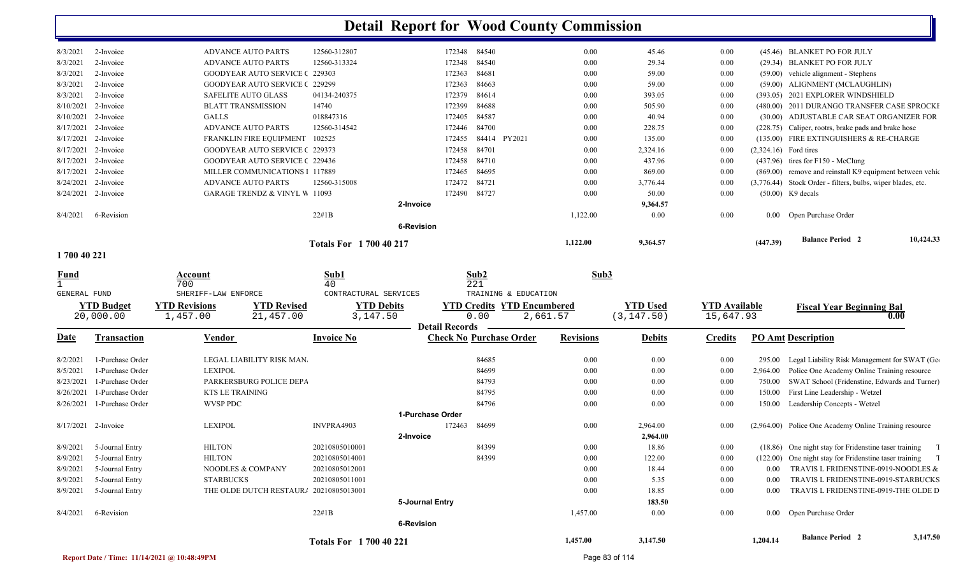| 8/3/2021            | 2-Invoice  | <b>ADVANCE AUTO PARTS</b>                | 12560-312807                | 172348            | 84540           | 0.00     | 45.46    | 0.00 |                         | (45.46) BLANKET PO FOR JULY                                 |
|---------------------|------------|------------------------------------------|-----------------------------|-------------------|-----------------|----------|----------|------|-------------------------|-------------------------------------------------------------|
| 8/3/2021            | 2-Invoice  | <b>ADVANCE AUTO PARTS</b>                | 12560-313324                | 172348            | 84540           | 0.00     | 29.34    | 0.00 |                         | (29.34) BLANKET PO FOR JULY                                 |
| 8/3/2021            | 2-Invoice  | <b>GOODYEAR AUTO SERVICE (229303)</b>    |                             | 172363            | 84681           | 0.00     | 59.00    | 0.00 |                         | $(59.00)$ vehicle alignment - Stephens                      |
| 8/3/2021            | 2-Invoice  | <b>GOODYEAR AUTO SERVICE (229299)</b>    |                             | 172363            | 84663           | 0.00     | 59.00    | 0.00 |                         | (59.00) ALIGNMENT (MCLAUGHLIN)                              |
| 8/3/2021            | 2-Invoice  | <b>SAFELITE AUTO GLASS</b>               | 04134-240375                | 172379            | 84614           | 0.00     | 393.05   | 0.00 |                         | (393.05) 2021 EXPLORER WINDSHIELD                           |
| 8/10/2021           | 2-Invoice  | <b>BLATT TRANSMISSION</b>                | 14740                       | 172399            | 84688           | 0.00     | 505.90   | 0.00 |                         | (480.00) 2011 DURANGO TRANSFER CASE SPROCKI                 |
| 8/10/2021           | 2-Invoice  | GALLS                                    | 018847316                   | 172405            | 84587           | 0.00     | 40.94    | 0.00 |                         | (30.00) ADJUSTABLE CAR SEAT ORGANIZER FOR                   |
| 8/17/2021           | 2-Invoice  | <b>ADVANCE AUTO PARTS</b>                | 12560-314542                | 172446            | 84700           | 0.00     | 228.75   | 0.00 |                         | (228.75) Caliper, rootrs, brake pads and brake hose         |
| 8/17/2021           | 2-Invoice  | FRANKLIN FIRE EQUIPMENT                  | 102525                      | 172455            | PY2021<br>84414 | 0.00     | 135.00   | 0.00 |                         | (135.00) FIRE EXTINGUISHERS & RE-CHARGE                     |
| 8/17/2021 2-Invoice |            | <b>GOODYEAR AUTO SERVICE (229373)</b>    |                             | 172458            | 84701           | 0.00     | 2,324.16 | 0.00 | $(2,324.16)$ Ford tires |                                                             |
| 8/17/2021 2-Invoice |            | <b>GOODYEAR AUTO SERVICE (229436)</b>    |                             | 172458            | 84710           | 0.00     | 437.96   | 0.00 |                         | $(437.96)$ tires for F150 - McClung                         |
| 8/17/2021           | 2-Invoice  | MILLER COMMUNICATIONS 1 117889           |                             | 172465            | 84695           | 0.00     | 869.00   | 0.00 |                         | (869.00) remove and reinstall K9 equipment between vehic    |
| 8/24/2021 2-Invoice |            | <b>ADVANCE AUTO PARTS</b>                | 12560-315008                | 172472            | 84721           | 0.00     | 3,776.44 | 0.00 |                         | (3,776.44) Stock Order - filters, bulbs, wiper blades, etc. |
| 8/24/2021 2-Invoice |            | <b>GARAGE TRENDZ &amp; VINYL W 11093</b> |                             | 172490            | 84727           | 0.00     | 50.00    | 0.00 |                         | $(50.00)$ K9 decals                                         |
|                     |            |                                          |                             | 2-Invoice         |                 |          | 9,364.57 |      |                         |                                                             |
| 8/4/2021            | 6-Revision |                                          | $22\#1B$                    |                   |                 | 1,122.00 | 0.00     | 0.00 |                         | 0.00 Open Purchase Order                                    |
|                     |            |                                          |                             | <b>6-Revision</b> |                 |          |          |      |                         |                                                             |
|                     |            |                                          | <b>Totals For 170040217</b> |                   |                 | 1,122.00 | 9,364.57 |      | (447.39)                | <b>Balance Period 2</b><br>10,424.33                        |

#### **1 700 40 221**

| <b>Fund</b><br><b>GENERAL FUND</b> | <b>YTD Budget</b><br>20,000.00 | Account<br>700<br>SHERIFF-LAW ENFORCE<br><b>YTD Revisions</b><br>1,457.00 | <b>YTD Revised</b><br>21,457.00 | Sub1<br>40<br>CONTRACTURAL SERVICES<br><b>YTD Debits</b><br>3,147.50 |                   | Sub2<br>221<br><b>YTD Credits</b><br>0.00<br><b>Detail Records</b> | TRAINING & EDUCATION<br><b>YTD Encumbered</b><br>2,661.57 | Sub3             | <b>YTD Used</b><br>(3, 147.50) | <b>YTD Available</b><br>15,647.93 |          | <b>Fiscal Year Beginning Bal</b>                       | 0.00     |
|------------------------------------|--------------------------------|---------------------------------------------------------------------------|---------------------------------|----------------------------------------------------------------------|-------------------|--------------------------------------------------------------------|-----------------------------------------------------------|------------------|--------------------------------|-----------------------------------|----------|--------------------------------------------------------|----------|
| <b>Date</b>                        | <b>Transaction</b>             | <b>Vendor</b>                                                             |                                 | <b>Invoice No</b>                                                    |                   | <b>Check No Purchase Order</b>                                     |                                                           | <b>Revisions</b> | <b>Debits</b>                  | <b>Credits</b>                    |          | <b>PO Amt Description</b>                              |          |
| 8/2/2021                           | 1-Purchase Order               |                                                                           | LEGAL LIABILITY RISK MAN.       |                                                                      |                   | 84685                                                              |                                                           | 0.00             | 0.00                           | 0.00                              | 295.00   | Legal Liability Risk Management for SWAT (Ge           |          |
| 8/5/2021                           | 1-Purchase Order               | <b>LEXIPOL</b>                                                            |                                 |                                                                      |                   | 84699                                                              |                                                           | 0.00             | 0.00                           | 0.00                              | 2,964.00 | Police One Academy Online Training resource            |          |
| 8/23/2021                          | 1-Purchase Order               |                                                                           | PARKERSBURG POLICE DEPA         |                                                                      |                   | 84793                                                              |                                                           | 0.00             | 0.00                           | 0.00                              | 750.00   | SWAT School (Fridenstine, Edwards and Turner)          |          |
| 8/26/2021                          | 1-Purchase Order               | <b>KTS LE TRAINING</b>                                                    |                                 |                                                                      |                   | 84795                                                              |                                                           | 0.00             | 0.00                           | 0.00                              | 150.00   | First Line Leadership - Wetzel                         |          |
| 8/26/2021                          | 1-Purchase Order               | WVSP PDC                                                                  |                                 |                                                                      |                   | 84796                                                              |                                                           | 0.00             | 0.00                           | 0.00                              | 150.00   | Leadership Concepts - Wetzel                           |          |
|                                    |                                |                                                                           |                                 |                                                                      | 1-Purchase Order  |                                                                    |                                                           |                  |                                |                                   |          |                                                        |          |
| 8/17/2021                          | 2-Invoice                      | <b>LEXIPOL</b>                                                            |                                 | INVPRA4903                                                           |                   | 172463<br>84699                                                    |                                                           | 0.00             | 2,964.00                       | 0.00                              |          | (2,964.00) Police One Academy Online Training resource |          |
|                                    |                                |                                                                           |                                 |                                                                      | 2-Invoice         |                                                                    |                                                           |                  | 2,964.00                       |                                   |          |                                                        |          |
| 8/9/2021                           | 5-Journal Entry                | <b>HILTON</b>                                                             |                                 | 20210805010001                                                       |                   | 84399                                                              |                                                           | 0.00             | 18.86                          | 0.00                              | (18.86)  | One night stay for Fridenstine taser training          |          |
| 8/9/2021                           | 5-Journal Entry                | <b>HILTON</b>                                                             |                                 | 20210805014001                                                       |                   | 84399                                                              |                                                           | 0.00             | 122.00                         | 0.00                              | (122.00) | One night stay for Fridenstine taser training          |          |
| 8/9/2021                           | 5-Journal Entry                | NOODLES & COMPANY                                                         |                                 | 20210805012001                                                       |                   |                                                                    |                                                           | 0.00             | 18.44                          | 0.00                              | 0.00     | TRAVIS L FRIDENSTINE-0919-NOODLES &                    |          |
| 8/9/2021                           | 5-Journal Entry                | <b>STARBUCKS</b>                                                          |                                 | 20210805011001                                                       |                   |                                                                    |                                                           | 0.00             | 5.35                           | 0.00                              | 0.00     | TRAVIS L FRIDENSTINE-0919-STARBUCKS                    |          |
| 8/9/2021                           | 5-Journal Entry                |                                                                           | THE OLDE DUTCH RESTAURA         | 20210805013001                                                       |                   |                                                                    |                                                           | 0.00             | 18.85                          | 0.00                              | 0.00     | TRAVIS L FRIDENSTINE-0919-THE OLDE D                   |          |
|                                    |                                |                                                                           |                                 |                                                                      | 5-Journal Entry   |                                                                    |                                                           |                  | 183.50                         |                                   |          |                                                        |          |
| 8/4/2021                           | 6-Revision                     |                                                                           |                                 | $22\#1B$                                                             |                   |                                                                    |                                                           | 1,457.00         | 0.00                           | 0.00                              |          | 0.00 Open Purchase Order                               |          |
|                                    |                                |                                                                           |                                 |                                                                      | <b>6-Revision</b> |                                                                    |                                                           |                  |                                |                                   |          |                                                        |          |
|                                    |                                |                                                                           |                                 | <b>Totals For 170040221</b>                                          |                   |                                                                    |                                                           | 1,457.00         | 3,147.50                       |                                   | 1,204.14 | <b>Balance Period 2</b>                                | 3,147.50 |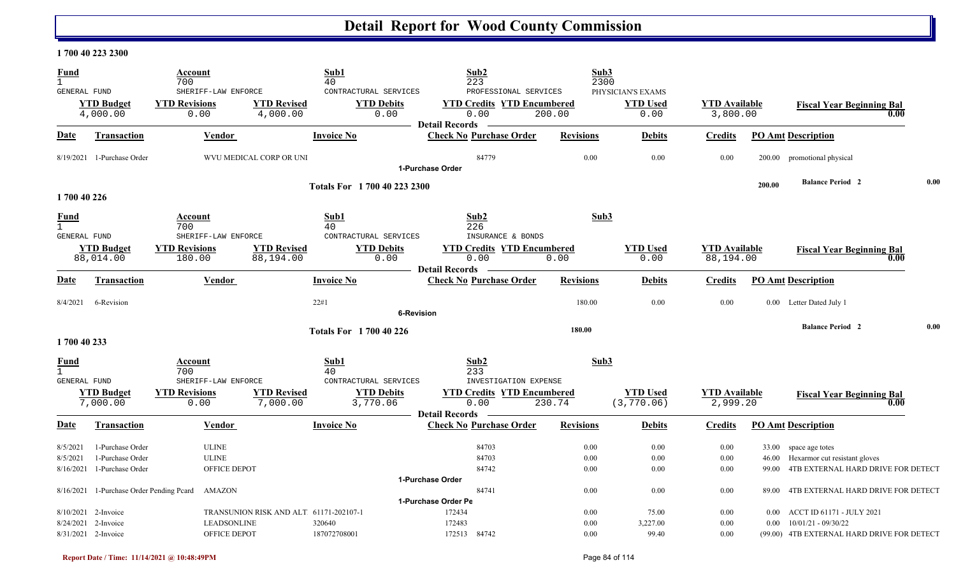### **1 700 40 223 2300**

| <b>Fund</b>                                 |                                          | Account<br>700                                      |                                        | Sub1<br>40                                         | Sub2<br>223                                                        |                                 | Sub3<br>2300                                 |                                   |          |                                            |      |
|---------------------------------------------|------------------------------------------|-----------------------------------------------------|----------------------------------------|----------------------------------------------------|--------------------------------------------------------------------|---------------------------------|----------------------------------------------|-----------------------------------|----------|--------------------------------------------|------|
| GENERAL FUND                                | <b>YTD Budget</b><br>4,000.00            | SHERIFF-LAW ENFORCE<br><b>YTD Revisions</b><br>0.00 | <b>YTD Revised</b><br>4,000.00         | CONTRACTURAL SERVICES<br><b>YTD Debits</b><br>0.00 | <b>YTD Credits YTD Encumbered</b><br>0.00                          | PROFESSIONAL SERVICES<br>200.00 | PHYSICIAN'S EXAMS<br><b>YTD Used</b><br>0.00 | <b>YTD</b> Available<br>3,800.00  |          | <b>Fiscal Year Beginning Bal</b><br>0.00   |      |
| Date                                        | Transaction                              | Vendor                                              |                                        | <b>Invoice No</b>                                  | <b>Detail Records</b><br><b>Check No Purchase Order</b>            | <b>Revisions</b>                | <b>Debits</b>                                | <b>Credits</b>                    |          | <b>PO Amt Description</b>                  |      |
|                                             |                                          |                                                     |                                        |                                                    |                                                                    |                                 |                                              |                                   |          |                                            |      |
|                                             | 8/19/2021 1-Purchase Order               |                                                     | WVU MEDICAL CORP OR UNI                |                                                    | 84779<br>1-Purchase Order                                          | 0.00                            | 0.00                                         | 0.00                              |          | 200.00 promotional physical                |      |
|                                             |                                          |                                                     |                                        | Totals For 1 700 40 223 2300                       |                                                                    |                                 |                                              |                                   | 200.00   | <b>Balance Period 2</b>                    | 0.00 |
| 1700 40 226                                 |                                          |                                                     |                                        |                                                    |                                                                    |                                 |                                              |                                   |          |                                            |      |
| Fund<br>GENERAL FUND                        |                                          | Account<br>700<br>SHERIFF-LAW ENFORCE               |                                        | Sub1<br>40<br>CONTRACTURAL SERVICES                | Sub2<br>226<br>INSURANCE & BONDS                                   |                                 | Sub3                                         |                                   |          |                                            |      |
|                                             | <b>YTD Budget</b><br>88,014.00           | <b>YTD Revisions</b><br>180.00                      | <b>YTD Revised</b><br>88,194.00        | <b>YTD Debits</b><br>0.00                          | <b>YTD Credits YTD Encumbered</b><br>0.00<br><b>Detail Records</b> | 0.00                            | <b>YTD</b> Used<br>0.00                      | <b>YTD Available</b><br>88,194.00 |          | <b>Fiscal Year Beginning Bal</b><br>0.00   |      |
| <u>Date</u>                                 | Transaction                              | Vendor                                              |                                        | <b>Invoice No</b>                                  | <b>Check No Purchase Order</b>                                     | <b>Revisions</b>                | <b>Debits</b>                                | <b>Credits</b>                    |          | <b>PO Amt Description</b>                  |      |
| 8/4/2021                                    | 6-Revision                               |                                                     |                                        | 22#1                                               | <b>6-Revision</b>                                                  | 180.00                          | 0.00                                         | 0.00                              | 0.00     | Letter Dated July 1                        |      |
|                                             |                                          |                                                     |                                        | <b>Totals For 1700 40 226</b>                      |                                                                    | 180.00                          |                                              |                                   |          | <b>Balance Period 2</b>                    | 0.00 |
| 1700 40 233                                 |                                          |                                                     |                                        |                                                    |                                                                    |                                 |                                              |                                   |          |                                            |      |
| Fund<br>$\mathbf{1}$<br><b>GENERAL FUND</b> |                                          | Account<br>700<br>SHERIFF-LAW ENFORCE               |                                        | Sub1<br>40<br>CONTRACTURAL SERVICES                | Sub2<br>233                                                        | INVESTIGATION EXPENSE           | Sub3                                         |                                   |          |                                            |      |
|                                             | <b>YTD Budget</b><br>7,000.00            | <b>YTD Revisions</b><br>0.00                        | <b>YTD Revised</b><br>7,000.00         | <b>YTD Debits</b><br>3,770.06                      | <b>YTD Credits YTD Encumbered</b><br>0.00<br><b>Detail Records</b> | 230.74                          | <b>YTD Used</b><br>(3, 770.06)               | <b>YTD Available</b><br>2,999.20  |          | <b>Fiscal Year Beginning Bal</b><br>0.00   |      |
| Date                                        | <b>Transaction</b>                       | Vendor                                              |                                        | <b>Invoice No</b>                                  | <b>Check No Purchase Order</b>                                     | <b>Revisions</b>                | <b>Debits</b>                                | <b>Credits</b>                    |          | <b>PO Amt Description</b>                  |      |
| 8/5/2021                                    | 1-Purchase Order                         | <b>ULINE</b>                                        |                                        |                                                    | 84703                                                              | 0.00                            | 0.00                                         | 0.00                              |          | 33.00 space age totes                      |      |
| 8/5/2021                                    | 1-Purchase Order                         | <b>ULINE</b>                                        |                                        |                                                    | 84703                                                              | 0.00                            | 0.00                                         | 0.00                              |          | 46.00 Hexarmor cut resistant gloves        |      |
| 8/16/2021                                   | 1-Purchase Order                         | OFFICE DEPOT                                        |                                        |                                                    | 84742                                                              | 0.00                            | 0.00                                         | 0.00                              | 99.00    | 4TB EXTERNAL HARD DRIVE FOR DETECT         |      |
|                                             | 8/16/2021 1-Purchase Order Pending Peard | AMAZON                                              |                                        |                                                    | 1-Purchase Order<br>84741                                          | 0.00                            | 0.00                                         | 0.00                              | 89.00    | 4TB EXTERNAL HARD DRIVE FOR DETECT         |      |
|                                             |                                          |                                                     |                                        |                                                    | 1-Purchase Order Pe                                                |                                 |                                              |                                   |          |                                            |      |
|                                             | $8/10/2021$ 2-Invoice                    |                                                     | TRANSUNION RISK AND ALT 61171-202107-1 |                                                    | 172434                                                             | 0.00                            | 75.00                                        | 0.00                              | $0.00\,$ | ACCT ID 61171 - JULY 2021                  |      |
|                                             | $8/24/2021$ 2-Invoice                    | <b>LEADSONLINE</b>                                  |                                        | 320640                                             | 172483                                                             | 0.00                            | 3,227.00                                     | 0.00                              | $0.00\,$ | 10/01/21 - 09/30/22                        |      |
|                                             | 8/31/2021 2-Invoice                      | OFFICE DEPOT                                        |                                        | 187072708001                                       | 172513 84742                                                       | 0.00                            | 99.40                                        | 0.00                              |          | (99.00) 4TB EXTERNAL HARD DRIVE FOR DETECT |      |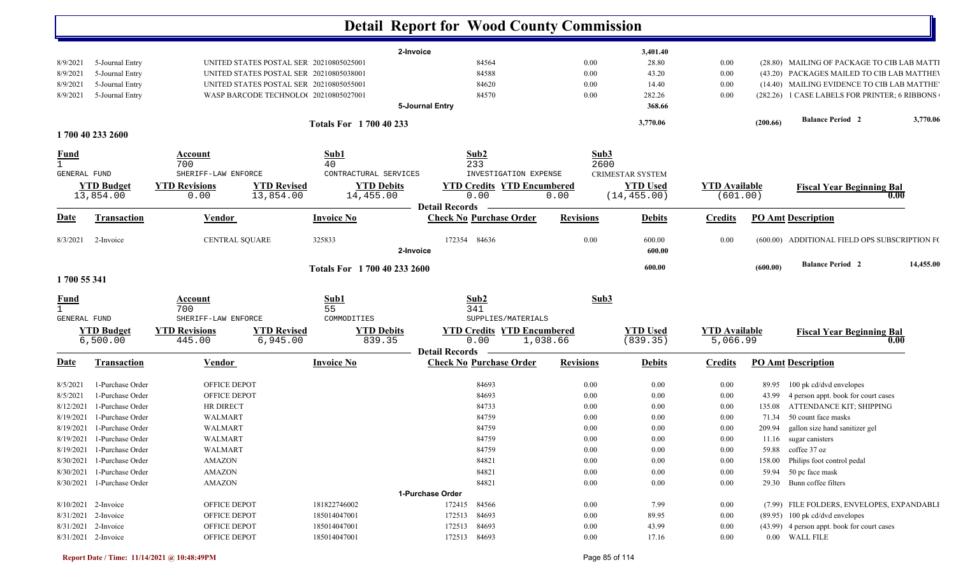|                              |                               |                                |                                         |                               |                       | <b>Detail Report for Wood County Commission</b>       |                  |          |                             |                                  |          |                                               |           |
|------------------------------|-------------------------------|--------------------------------|-----------------------------------------|-------------------------------|-----------------------|-------------------------------------------------------|------------------|----------|-----------------------------|----------------------------------|----------|-----------------------------------------------|-----------|
|                              |                               |                                |                                         |                               | 2-Invoice             |                                                       |                  |          | 3,401.40                    |                                  |          |                                               |           |
| 8/9/2021                     | 5-Journal Entry               |                                | UNITED STATES POSTAL SER 20210805025001 |                               |                       | 84564                                                 |                  | 0.00     | 28.80                       | 0.00                             |          | (28.80) MAILING OF PACKAGE TO CIB LAB MATTI   |           |
| 8/9/2021                     | 5-Journal Entry               |                                | UNITED STATES POSTAL SER 20210805038001 |                               |                       | 84588                                                 |                  | 0.00     | 43.20                       | 0.00                             |          | (43.20) PACKAGES MAILED TO CIB LAB MATTHEV    |           |
| 8/9/2021                     | 5-Journal Entry               |                                | UNITED STATES POSTAL SER 20210805055001 |                               |                       | 84620                                                 |                  | 0.00     | 14.40                       | 0.00                             |          | (14.40) MAILING EVIDENCE TO CIB LAB MATTHE    |           |
| 8/9/2021                     | 5-Journal Entry               |                                | WASP BARCODE TECHNOLO(20210805027001    |                               |                       | 84570                                                 |                  | 0.00     | 282.26                      | 0.00                             |          | (282.26) 1 CASE LABELS FOR PRINTER; 6 RIBBONS |           |
|                              |                               |                                |                                         |                               | 5-Journal Entry       |                                                       |                  |          | 368.66                      |                                  |          |                                               |           |
|                              |                               |                                |                                         | <b>Totals For 1700 40 233</b> |                       |                                                       |                  |          | 3,770.06                    |                                  | (200.66) | <b>Balance Period 2</b>                       | 3,770.06  |
|                              | 1700 40 233 2600              |                                |                                         |                               |                       |                                                       |                  |          |                             |                                  |          |                                               |           |
| <u>Fund</u>                  |                               | Account                        |                                         | Sub1                          |                       | Sub2                                                  |                  | Sub3     |                             |                                  |          |                                               |           |
| $\mathbf{1}$<br>GENERAL FUND |                               | 700<br>SHERIFF-LAW ENFORCE     |                                         | 40<br>CONTRACTURAL SERVICES   |                       | 233<br>INVESTIGATION EXPENSE                          |                  | 2600     | <b>CRIMESTAR SYSTEM</b>     |                                  |          |                                               |           |
|                              | <b>YTD Budget</b>             | <b>YTD Revisions</b>           | <b>YTD Revised</b>                      | <b>YTD Debits</b>             |                       | <b>YTD Credits YTD Encumbered</b>                     |                  |          | <b>YTD</b> Used             |                                  |          |                                               |           |
|                              | 13,854.00                     | 0.00                           | 13,854.00                               | 14,455.00                     |                       | 0.00                                                  | 0.00             |          | (14, 455.00)                | <b>YTD</b> Available<br>(601.00) |          | <b>Fiscal Year Beginning Bal</b><br>0.00      |           |
|                              |                               |                                |                                         |                               | <b>Detail Records</b> |                                                       |                  |          |                             |                                  |          |                                               |           |
| Date                         | <b>Transaction</b>            | <b>Vendor</b>                  |                                         | <b>Invoice No</b>             |                       | <b>Check No Purchase Order</b>                        | <b>Revisions</b> |          | <b>Debits</b>               | <b>Credits</b>                   |          | <b>PO Amt Description</b>                     |           |
| 8/3/2021                     | 2-Invoice                     | CENTRAL SQUARE                 |                                         | 325833                        | 2-Invoice             | 172354 84636                                          |                  | 0.00     | 600.00<br>600.00            | 0.00                             |          | (600.00) ADDITIONAL FIELD OPS SUBSCRIPTION FO |           |
|                              |                               |                                |                                         | Totals For 1 700 40 233 2600  |                       |                                                       |                  |          | 600.00                      |                                  | (600.00) | <b>Balance Period 2</b>                       | 14,455.00 |
| 1700 55 341                  |                               |                                |                                         |                               |                       |                                                       |                  |          |                             |                                  |          |                                               |           |
| <b>Fund</b>                  |                               | Account                        |                                         | Sub1                          |                       | Sub2                                                  |                  | Sub3     |                             |                                  |          |                                               |           |
| $\mathbf{1}$                 |                               | 700                            |                                         | 55                            |                       | 341                                                   |                  |          |                             |                                  |          |                                               |           |
| GENERAL FUND                 |                               | SHERIFF-LAW ENFORCE            |                                         | COMMODITIES                   |                       | SUPPLIES/MATERIALS                                    |                  |          |                             |                                  |          |                                               |           |
|                              | <b>YTD Budget</b><br>6,500.00 | <b>YTD Revisions</b><br>445.00 | <b>YTD Revised</b><br>6,945.00          | <b>YTD Debits</b><br>839.35   |                       | <b>YTD Credits YTD Encumbered</b><br>0.00<br>1,038.66 |                  |          | <b>YTD</b> Used<br>(839.35) | <b>YTD Available</b><br>5,066.99 |          | <b>Fiscal Year Beginning Bal</b><br>0.00      |           |
|                              |                               |                                |                                         |                               | <b>Detail Records</b> |                                                       |                  |          |                             |                                  |          |                                               |           |
| Date                         | <b>Transaction</b>            | <b>Vendor</b>                  |                                         | <b>Invoice No</b>             |                       | <b>Check No Purchase Order</b>                        | <b>Revisions</b> |          | <b>Debits</b>               | <b>Credits</b>                   |          | <b>PO Amt Description</b>                     |           |
| 8/5/2021                     | 1-Purchase Order              | OFFICE DEPOT                   |                                         |                               |                       | 84693                                                 |                  | 0.00     | 0.00                        | 0.00                             | 89.95    | 100 pk cd/dvd envelopes                       |           |
| 8/5/2021                     | 1-Purchase Order              | OFFICE DEPOT                   |                                         |                               |                       | 84693                                                 |                  | 0.00     | 0.00                        | 0.00                             | 43.99    | 4 person appt. book for court cases           |           |
| 8/12/2021                    | 1-Purchase Order              | HR DIRECT                      |                                         |                               |                       | 84733                                                 |                  | 0.00     | 0.00                        | 0.00                             |          | 135.08 ATTENDANCE KIT; SHIPPING               |           |
| 8/19/2021                    | 1-Purchase Order              | WALMART                        |                                         |                               |                       | 84759                                                 |                  | 0.00     | 0.00                        | 0.00                             | 71.34    | 50 count face masks                           |           |
|                              | 8/19/2021 1-Purchase Order    | <b>WALMART</b>                 |                                         |                               |                       | 84759                                                 |                  | 0.00     | 0.00                        | 0.00                             |          | 209.94 gallon size hand sanitizer gel         |           |
|                              | 8/19/2021 1-Purchase Order    | <b>WALMART</b>                 |                                         |                               |                       | 84759                                                 |                  | $0.00\,$ | $0.00\,$                    | $0.00\,$                         |          | 11.16 sugar canisters                         |           |
|                              | 8/19/2021 1-Purchase Order    | WALMART                        |                                         |                               |                       | 84759                                                 |                  | 0.00     | 0.00                        | 0.00                             |          | 59.88 coffee 37 oz                            |           |
|                              | 8/30/2021 1-Purchase Order    | <b>AMAZON</b>                  |                                         |                               |                       | 84821                                                 |                  | 0.00     | 0.00                        | 0.00                             | 158.00   | Philips foot control pedal                    |           |
|                              | 8/30/2021 1-Purchase Order    | <b>AMAZON</b>                  |                                         |                               |                       | 84821                                                 |                  | 0.00     | 0.00                        | 0.00                             |          | 59.94 50 pc face mask                         |           |
|                              | 8/30/2021 1-Purchase Order    | <b>AMAZON</b>                  |                                         |                               |                       | 84821                                                 |                  | 0.00     | 0.00                        | 0.00                             |          | 29.30 Bunn coffee filters                     |           |
|                              |                               |                                |                                         |                               | 1-Purchase Order      |                                                       |                  |          |                             |                                  |          |                                               |           |
|                              | 8/10/2021 2-Invoice           | OFFICE DEPOT                   |                                         | 181822746002                  |                       | 172415 84566                                          |                  | 0.00     | 7.99                        | $0.00\,$                         |          | (7.99) FILE FOLDERS, ENVELOPES, EXPANDABLI    |           |
|                              | 8/31/2021 2-Invoice           | OFFICE DEPOT                   |                                         | 185014047001                  |                       | 172513 84693                                          |                  | 0.00     | 89.95                       | 0.00                             |          | (89.95) 100 pk cd/dvd envelopes               |           |
|                              | 8/31/2021 2-Invoice           | OFFICE DEPOT                   |                                         | 185014047001                  |                       | 172513 84693                                          |                  | $0.00\,$ | 43.99                       | 0.00                             |          | (43.99) 4 person appt. book for court cases   |           |
|                              | 8/31/2021 2-Invoice           | OFFICE DEPOT                   |                                         | 185014047001                  |                       | 172513 84693                                          |                  | 0.00     | 17.16                       | 0.00                             |          | 0.00 WALL FILE                                |           |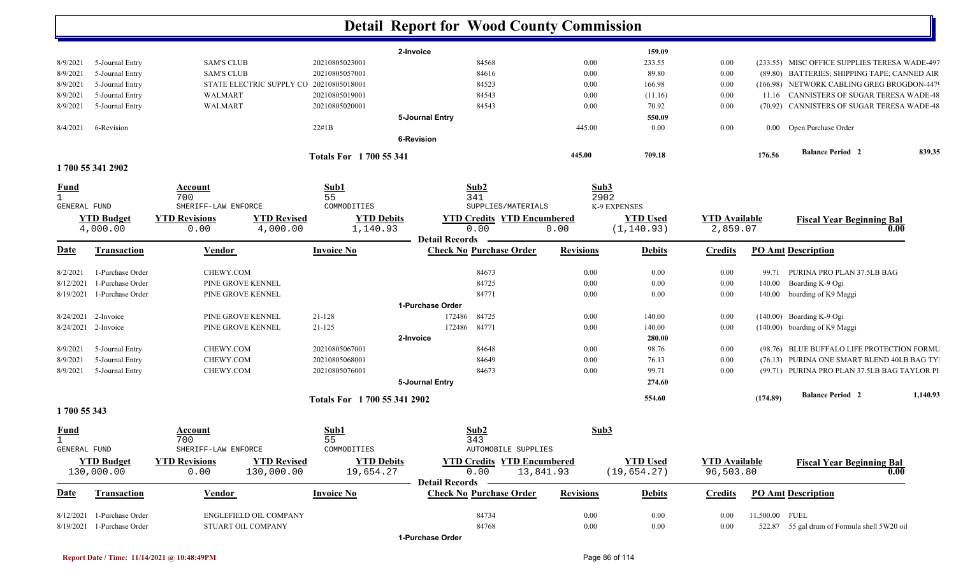| 2-Invoice<br>159.09<br>5-Journal Entry<br><b>SAM'S CLUB</b><br>20210805023001<br>84568<br>0.00<br>233.55<br>0.00<br>(233.55) MISC OFFICE SUPPLIES TERESA WADE-497<br>8/9/2021<br>8/9/2021<br>5-Journal Entry<br><b>SAM'S CLUB</b><br>20210805057001<br>84616<br>0.00<br>89.80<br>0.00<br>(89.80) BATTERIES; SHIPPING TAPE; CANNED AIR<br>5-Journal Entry<br>STATE ELECTRIC SUPPLY CO 20210805018001<br>84523<br>8/9/2021<br>$0.00\,$<br>166.98<br>0.00<br>(166.98) NETWORK CABLING GREG BROGDON-4479<br>5-Journal Entry<br>20210805019001<br>84543<br>11.16 CANNISTERS OF SUGAR TERESA WADE-48<br>8/9/2021<br>WALMART<br>$0.00\,$<br>(11.16)<br>$0.00\,$<br>5-Journal Entry<br>WALMART<br>20210805020001<br>84543<br>0.00<br>70.92<br>$0.00\,$<br>(70.92) CANNISTERS OF SUGAR TERESA WADE-48<br>8/9/2021<br>5-Journal Entry<br>550.09<br>22#1B<br>445.00<br>0.00<br>$0.00\,$<br>0.00 Open Purchase Order<br>8/4/2021<br>6-Revision<br><b>6-Revision</b><br><b>Balance Period 2</b><br>445.00<br>709.18<br>176.56<br>Totals For 1700 55 341<br>1700 55 341 2902<br>Sub1<br>Sub2<br>Sub3<br><b>Fund</b><br>Account<br>55<br>341<br>2902<br>700<br>$\mathbf{1}$<br>COMMODITIES<br>SUPPLIES/MATERIALS<br>K-9 EXPENSES<br>GENERAL FUND<br>SHERIFF-LAW ENFORCE<br><b>YTD</b> Used<br><b>YTD Budget</b><br><b>YTD Revisions</b><br><b>YTD Revised</b><br><b>YTD Debits</b><br><b>YTD Credits YTD Encumbered</b><br><b>YTD Available</b><br><b>Fiscal Year Beginning Bal</b><br>0.00<br>(1, 140.93)<br>2,859.07<br>4,000.00<br>4,000.00<br>1,140.93<br>0.00<br>0.00<br>0.00<br><b>Detail Records</b><br><b>Check No Purchase Order</b><br><u>Date</u><br><b>Invoice No</b><br><b>Revisions</b><br><b>PO Amt Description</b><br><b>Transaction</b><br><b>Vendor</b><br><b>Debits</b><br><b>Credits</b><br>1-Purchase Order<br>CHEWY.COM<br>84673<br>99.71 PURINA PRO PLAN 37.5LB BAG<br>$0.00\,$<br>0.00<br>$0.00\,$<br>8/2/2021<br>84725<br>1-Purchase Order<br>PINE GROVE KENNEL<br>0.00<br>0.00<br>Boarding K-9 Ogi<br>8/12/2021<br>$0.00\,$<br>140.00<br>84771<br>8/19/2021<br>1-Purchase Order<br>PINE GROVE KENNEL<br>0.00<br>0.00<br>boarding of K9 Maggi<br>$0.00\,$<br>140.00<br>1-Purchase Order<br>8/24/2021<br>2-Invoice<br>21-128<br>172486<br>84725<br>(140.00) Boarding K-9 Ogi<br>PINE GROVE KENNEL<br>$0.00\,$<br>140.00<br>$0.00\,$<br>$21 - 125$<br>84771<br>8/24/2021 2-Invoice<br>PINE GROVE KENNEL<br>172486<br>0.00<br>140.00<br>(140.00) boarding of K9 Maggi<br>$0.00\,$<br>280.00<br>2-Invoice<br>5-Journal Entry<br>CHEWY.COM<br>20210805067001<br>84648<br>98.76<br>(98.76) BLUE BUFFALO LIFE PROTECTION FORMU<br>$0.00\,$<br>$0.00\,$<br>8/9/2021<br>CHEWY.COM<br>(76.13) PURINA ONE SMART BLEND 40LB BAG TY<br>5-Journal Entry<br>20210805068001<br>84649<br>0.00<br>76.13<br>8/9/2021<br>$0.00\,$<br>99.71<br>8/9/2021<br>5-Journal Entry<br>CHEWY.COM<br>20210805076001<br>84673<br>0.00<br>$0.00\,$<br>(99.71) PURINA PRO PLAN 37.5LB BAG TAYLOR PH<br>5-Journal Entry<br>274.60<br><b>Balance Period 2</b><br>554.60<br>(174.89)<br>Totals For 1 700 55 341 2902<br>1700 55 343<br>Sub2<br>Sub3<br>Sub1<br><u>Fund</u><br>Account<br>700<br>55<br>343<br>GENERAL FUND<br>COMMODITIES<br>SHERIFF-LAW ENFORCE<br>AUTOMOBILE SUPPLIES<br><b>YTD Budget</b><br><b>YTD Revisions</b><br><b>YTD Revised</b><br><b>YTD Debits</b><br><b>YTD Credits YTD Encumbered</b><br><b>YTD Used</b><br><b>YTD Available</b><br><b>Fiscal Year Beginning Bal</b><br>130,000.00<br>130,000.00<br>19,654.27<br>0.00<br>(19, 654.27)<br>96,503.80<br>0.00<br>13,841.93<br>0.00<br><b>Detail Records</b><br><b>Invoice No</b><br><b>Check No Purchase Order</b><br><b>Revisions</b><br><b>PO Amt Description</b><br><b>Transaction</b><br><b>Vendor</b><br><b>Debits</b><br><b>Credits</b><br><u>Date</u><br>84734<br>11,500.00 FUEL<br>8/12/2021 1-Purchase Order<br>ENGLEFIELD OIL COMPANY<br>$0.00\,$<br>$0.00\,$<br>0.00<br>84768<br>8/19/2021 1-Purchase Order<br>STUART OIL COMPANY<br>0.00<br>522.87 55 gal drum of Formula shell 5W20 oil<br>$0.00\,$<br>$0.00\,$ |  |  | <b>Detail Report for Wood County Commission</b> |  |  |  |
|------------------------------------------------------------------------------------------------------------------------------------------------------------------------------------------------------------------------------------------------------------------------------------------------------------------------------------------------------------------------------------------------------------------------------------------------------------------------------------------------------------------------------------------------------------------------------------------------------------------------------------------------------------------------------------------------------------------------------------------------------------------------------------------------------------------------------------------------------------------------------------------------------------------------------------------------------------------------------------------------------------------------------------------------------------------------------------------------------------------------------------------------------------------------------------------------------------------------------------------------------------------------------------------------------------------------------------------------------------------------------------------------------------------------------------------------------------------------------------------------------------------------------------------------------------------------------------------------------------------------------------------------------------------------------------------------------------------------------------------------------------------------------------------------------------------------------------------------------------------------------------------------------------------------------------------------------------------------------------------------------------------------------------------------------------------------------------------------------------------------------------------------------------------------------------------------------------------------------------------------------------------------------------------------------------------------------------------------------------------------------------------------------------------------------------------------------------------------------------------------------------------------------------------------------------------------------------------------------------------------------------------------------------------------------------------------------------------------------------------------------------------------------------------------------------------------------------------------------------------------------------------------------------------------------------------------------------------------------------------------------------------------------------------------------------------------------------------------------------------------------------------------------------------------------------------------------------------------------------------------------------------------------------------------------------------------------------------------------------------------------------------------------------------------------------------------------------------------------------------------------------------------------------------------------------------------------------------------------------------------------------------------------------------------------------------------------------------------------------------------------------------------------------------------------------------------------------------------------------------------------------------------------------------------------------------------------------------------------------------------------------------------------------------------------------------------------|--|--|-------------------------------------------------|--|--|--|
|                                                                                                                                                                                                                                                                                                                                                                                                                                                                                                                                                                                                                                                                                                                                                                                                                                                                                                                                                                                                                                                                                                                                                                                                                                                                                                                                                                                                                                                                                                                                                                                                                                                                                                                                                                                                                                                                                                                                                                                                                                                                                                                                                                                                                                                                                                                                                                                                                                                                                                                                                                                                                                                                                                                                                                                                                                                                                                                                                                                                                                                                                                                                                                                                                                                                                                                                                                                                                                                                                                                                                                                                                                                                                                                                                                                                                                                                                                                                                                                                                                                                              |  |  |                                                 |  |  |  |
|                                                                                                                                                                                                                                                                                                                                                                                                                                                                                                                                                                                                                                                                                                                                                                                                                                                                                                                                                                                                                                                                                                                                                                                                                                                                                                                                                                                                                                                                                                                                                                                                                                                                                                                                                                                                                                                                                                                                                                                                                                                                                                                                                                                                                                                                                                                                                                                                                                                                                                                                                                                                                                                                                                                                                                                                                                                                                                                                                                                                                                                                                                                                                                                                                                                                                                                                                                                                                                                                                                                                                                                                                                                                                                                                                                                                                                                                                                                                                                                                                                                                              |  |  |                                                 |  |  |  |
|                                                                                                                                                                                                                                                                                                                                                                                                                                                                                                                                                                                                                                                                                                                                                                                                                                                                                                                                                                                                                                                                                                                                                                                                                                                                                                                                                                                                                                                                                                                                                                                                                                                                                                                                                                                                                                                                                                                                                                                                                                                                                                                                                                                                                                                                                                                                                                                                                                                                                                                                                                                                                                                                                                                                                                                                                                                                                                                                                                                                                                                                                                                                                                                                                                                                                                                                                                                                                                                                                                                                                                                                                                                                                                                                                                                                                                                                                                                                                                                                                                                                              |  |  |                                                 |  |  |  |
|                                                                                                                                                                                                                                                                                                                                                                                                                                                                                                                                                                                                                                                                                                                                                                                                                                                                                                                                                                                                                                                                                                                                                                                                                                                                                                                                                                                                                                                                                                                                                                                                                                                                                                                                                                                                                                                                                                                                                                                                                                                                                                                                                                                                                                                                                                                                                                                                                                                                                                                                                                                                                                                                                                                                                                                                                                                                                                                                                                                                                                                                                                                                                                                                                                                                                                                                                                                                                                                                                                                                                                                                                                                                                                                                                                                                                                                                                                                                                                                                                                                                              |  |  |                                                 |  |  |  |
| 839.35                                                                                                                                                                                                                                                                                                                                                                                                                                                                                                                                                                                                                                                                                                                                                                                                                                                                                                                                                                                                                                                                                                                                                                                                                                                                                                                                                                                                                                                                                                                                                                                                                                                                                                                                                                                                                                                                                                                                                                                                                                                                                                                                                                                                                                                                                                                                                                                                                                                                                                                                                                                                                                                                                                                                                                                                                                                                                                                                                                                                                                                                                                                                                                                                                                                                                                                                                                                                                                                                                                                                                                                                                                                                                                                                                                                                                                                                                                                                                                                                                                                                       |  |  |                                                 |  |  |  |
|                                                                                                                                                                                                                                                                                                                                                                                                                                                                                                                                                                                                                                                                                                                                                                                                                                                                                                                                                                                                                                                                                                                                                                                                                                                                                                                                                                                                                                                                                                                                                                                                                                                                                                                                                                                                                                                                                                                                                                                                                                                                                                                                                                                                                                                                                                                                                                                                                                                                                                                                                                                                                                                                                                                                                                                                                                                                                                                                                                                                                                                                                                                                                                                                                                                                                                                                                                                                                                                                                                                                                                                                                                                                                                                                                                                                                                                                                                                                                                                                                                                                              |  |  |                                                 |  |  |  |
|                                                                                                                                                                                                                                                                                                                                                                                                                                                                                                                                                                                                                                                                                                                                                                                                                                                                                                                                                                                                                                                                                                                                                                                                                                                                                                                                                                                                                                                                                                                                                                                                                                                                                                                                                                                                                                                                                                                                                                                                                                                                                                                                                                                                                                                                                                                                                                                                                                                                                                                                                                                                                                                                                                                                                                                                                                                                                                                                                                                                                                                                                                                                                                                                                                                                                                                                                                                                                                                                                                                                                                                                                                                                                                                                                                                                                                                                                                                                                                                                                                                                              |  |  |                                                 |  |  |  |
|                                                                                                                                                                                                                                                                                                                                                                                                                                                                                                                                                                                                                                                                                                                                                                                                                                                                                                                                                                                                                                                                                                                                                                                                                                                                                                                                                                                                                                                                                                                                                                                                                                                                                                                                                                                                                                                                                                                                                                                                                                                                                                                                                                                                                                                                                                                                                                                                                                                                                                                                                                                                                                                                                                                                                                                                                                                                                                                                                                                                                                                                                                                                                                                                                                                                                                                                                                                                                                                                                                                                                                                                                                                                                                                                                                                                                                                                                                                                                                                                                                                                              |  |  |                                                 |  |  |  |
|                                                                                                                                                                                                                                                                                                                                                                                                                                                                                                                                                                                                                                                                                                                                                                                                                                                                                                                                                                                                                                                                                                                                                                                                                                                                                                                                                                                                                                                                                                                                                                                                                                                                                                                                                                                                                                                                                                                                                                                                                                                                                                                                                                                                                                                                                                                                                                                                                                                                                                                                                                                                                                                                                                                                                                                                                                                                                                                                                                                                                                                                                                                                                                                                                                                                                                                                                                                                                                                                                                                                                                                                                                                                                                                                                                                                                                                                                                                                                                                                                                                                              |  |  |                                                 |  |  |  |
|                                                                                                                                                                                                                                                                                                                                                                                                                                                                                                                                                                                                                                                                                                                                                                                                                                                                                                                                                                                                                                                                                                                                                                                                                                                                                                                                                                                                                                                                                                                                                                                                                                                                                                                                                                                                                                                                                                                                                                                                                                                                                                                                                                                                                                                                                                                                                                                                                                                                                                                                                                                                                                                                                                                                                                                                                                                                                                                                                                                                                                                                                                                                                                                                                                                                                                                                                                                                                                                                                                                                                                                                                                                                                                                                                                                                                                                                                                                                                                                                                                                                              |  |  |                                                 |  |  |  |
|                                                                                                                                                                                                                                                                                                                                                                                                                                                                                                                                                                                                                                                                                                                                                                                                                                                                                                                                                                                                                                                                                                                                                                                                                                                                                                                                                                                                                                                                                                                                                                                                                                                                                                                                                                                                                                                                                                                                                                                                                                                                                                                                                                                                                                                                                                                                                                                                                                                                                                                                                                                                                                                                                                                                                                                                                                                                                                                                                                                                                                                                                                                                                                                                                                                                                                                                                                                                                                                                                                                                                                                                                                                                                                                                                                                                                                                                                                                                                                                                                                                                              |  |  |                                                 |  |  |  |
|                                                                                                                                                                                                                                                                                                                                                                                                                                                                                                                                                                                                                                                                                                                                                                                                                                                                                                                                                                                                                                                                                                                                                                                                                                                                                                                                                                                                                                                                                                                                                                                                                                                                                                                                                                                                                                                                                                                                                                                                                                                                                                                                                                                                                                                                                                                                                                                                                                                                                                                                                                                                                                                                                                                                                                                                                                                                                                                                                                                                                                                                                                                                                                                                                                                                                                                                                                                                                                                                                                                                                                                                                                                                                                                                                                                                                                                                                                                                                                                                                                                                              |  |  |                                                 |  |  |  |
|                                                                                                                                                                                                                                                                                                                                                                                                                                                                                                                                                                                                                                                                                                                                                                                                                                                                                                                                                                                                                                                                                                                                                                                                                                                                                                                                                                                                                                                                                                                                                                                                                                                                                                                                                                                                                                                                                                                                                                                                                                                                                                                                                                                                                                                                                                                                                                                                                                                                                                                                                                                                                                                                                                                                                                                                                                                                                                                                                                                                                                                                                                                                                                                                                                                                                                                                                                                                                                                                                                                                                                                                                                                                                                                                                                                                                                                                                                                                                                                                                                                                              |  |  |                                                 |  |  |  |
|                                                                                                                                                                                                                                                                                                                                                                                                                                                                                                                                                                                                                                                                                                                                                                                                                                                                                                                                                                                                                                                                                                                                                                                                                                                                                                                                                                                                                                                                                                                                                                                                                                                                                                                                                                                                                                                                                                                                                                                                                                                                                                                                                                                                                                                                                                                                                                                                                                                                                                                                                                                                                                                                                                                                                                                                                                                                                                                                                                                                                                                                                                                                                                                                                                                                                                                                                                                                                                                                                                                                                                                                                                                                                                                                                                                                                                                                                                                                                                                                                                                                              |  |  |                                                 |  |  |  |
|                                                                                                                                                                                                                                                                                                                                                                                                                                                                                                                                                                                                                                                                                                                                                                                                                                                                                                                                                                                                                                                                                                                                                                                                                                                                                                                                                                                                                                                                                                                                                                                                                                                                                                                                                                                                                                                                                                                                                                                                                                                                                                                                                                                                                                                                                                                                                                                                                                                                                                                                                                                                                                                                                                                                                                                                                                                                                                                                                                                                                                                                                                                                                                                                                                                                                                                                                                                                                                                                                                                                                                                                                                                                                                                                                                                                                                                                                                                                                                                                                                                                              |  |  |                                                 |  |  |  |
|                                                                                                                                                                                                                                                                                                                                                                                                                                                                                                                                                                                                                                                                                                                                                                                                                                                                                                                                                                                                                                                                                                                                                                                                                                                                                                                                                                                                                                                                                                                                                                                                                                                                                                                                                                                                                                                                                                                                                                                                                                                                                                                                                                                                                                                                                                                                                                                                                                                                                                                                                                                                                                                                                                                                                                                                                                                                                                                                                                                                                                                                                                                                                                                                                                                                                                                                                                                                                                                                                                                                                                                                                                                                                                                                                                                                                                                                                                                                                                                                                                                                              |  |  |                                                 |  |  |  |
|                                                                                                                                                                                                                                                                                                                                                                                                                                                                                                                                                                                                                                                                                                                                                                                                                                                                                                                                                                                                                                                                                                                                                                                                                                                                                                                                                                                                                                                                                                                                                                                                                                                                                                                                                                                                                                                                                                                                                                                                                                                                                                                                                                                                                                                                                                                                                                                                                                                                                                                                                                                                                                                                                                                                                                                                                                                                                                                                                                                                                                                                                                                                                                                                                                                                                                                                                                                                                                                                                                                                                                                                                                                                                                                                                                                                                                                                                                                                                                                                                                                                              |  |  |                                                 |  |  |  |
|                                                                                                                                                                                                                                                                                                                                                                                                                                                                                                                                                                                                                                                                                                                                                                                                                                                                                                                                                                                                                                                                                                                                                                                                                                                                                                                                                                                                                                                                                                                                                                                                                                                                                                                                                                                                                                                                                                                                                                                                                                                                                                                                                                                                                                                                                                                                                                                                                                                                                                                                                                                                                                                                                                                                                                                                                                                                                                                                                                                                                                                                                                                                                                                                                                                                                                                                                                                                                                                                                                                                                                                                                                                                                                                                                                                                                                                                                                                                                                                                                                                                              |  |  |                                                 |  |  |  |
|                                                                                                                                                                                                                                                                                                                                                                                                                                                                                                                                                                                                                                                                                                                                                                                                                                                                                                                                                                                                                                                                                                                                                                                                                                                                                                                                                                                                                                                                                                                                                                                                                                                                                                                                                                                                                                                                                                                                                                                                                                                                                                                                                                                                                                                                                                                                                                                                                                                                                                                                                                                                                                                                                                                                                                                                                                                                                                                                                                                                                                                                                                                                                                                                                                                                                                                                                                                                                                                                                                                                                                                                                                                                                                                                                                                                                                                                                                                                                                                                                                                                              |  |  |                                                 |  |  |  |
| 1,140.93                                                                                                                                                                                                                                                                                                                                                                                                                                                                                                                                                                                                                                                                                                                                                                                                                                                                                                                                                                                                                                                                                                                                                                                                                                                                                                                                                                                                                                                                                                                                                                                                                                                                                                                                                                                                                                                                                                                                                                                                                                                                                                                                                                                                                                                                                                                                                                                                                                                                                                                                                                                                                                                                                                                                                                                                                                                                                                                                                                                                                                                                                                                                                                                                                                                                                                                                                                                                                                                                                                                                                                                                                                                                                                                                                                                                                                                                                                                                                                                                                                                                     |  |  |                                                 |  |  |  |
|                                                                                                                                                                                                                                                                                                                                                                                                                                                                                                                                                                                                                                                                                                                                                                                                                                                                                                                                                                                                                                                                                                                                                                                                                                                                                                                                                                                                                                                                                                                                                                                                                                                                                                                                                                                                                                                                                                                                                                                                                                                                                                                                                                                                                                                                                                                                                                                                                                                                                                                                                                                                                                                                                                                                                                                                                                                                                                                                                                                                                                                                                                                                                                                                                                                                                                                                                                                                                                                                                                                                                                                                                                                                                                                                                                                                                                                                                                                                                                                                                                                                              |  |  |                                                 |  |  |  |
|                                                                                                                                                                                                                                                                                                                                                                                                                                                                                                                                                                                                                                                                                                                                                                                                                                                                                                                                                                                                                                                                                                                                                                                                                                                                                                                                                                                                                                                                                                                                                                                                                                                                                                                                                                                                                                                                                                                                                                                                                                                                                                                                                                                                                                                                                                                                                                                                                                                                                                                                                                                                                                                                                                                                                                                                                                                                                                                                                                                                                                                                                                                                                                                                                                                                                                                                                                                                                                                                                                                                                                                                                                                                                                                                                                                                                                                                                                                                                                                                                                                                              |  |  |                                                 |  |  |  |
|                                                                                                                                                                                                                                                                                                                                                                                                                                                                                                                                                                                                                                                                                                                                                                                                                                                                                                                                                                                                                                                                                                                                                                                                                                                                                                                                                                                                                                                                                                                                                                                                                                                                                                                                                                                                                                                                                                                                                                                                                                                                                                                                                                                                                                                                                                                                                                                                                                                                                                                                                                                                                                                                                                                                                                                                                                                                                                                                                                                                                                                                                                                                                                                                                                                                                                                                                                                                                                                                                                                                                                                                                                                                                                                                                                                                                                                                                                                                                                                                                                                                              |  |  |                                                 |  |  |  |
|                                                                                                                                                                                                                                                                                                                                                                                                                                                                                                                                                                                                                                                                                                                                                                                                                                                                                                                                                                                                                                                                                                                                                                                                                                                                                                                                                                                                                                                                                                                                                                                                                                                                                                                                                                                                                                                                                                                                                                                                                                                                                                                                                                                                                                                                                                                                                                                                                                                                                                                                                                                                                                                                                                                                                                                                                                                                                                                                                                                                                                                                                                                                                                                                                                                                                                                                                                                                                                                                                                                                                                                                                                                                                                                                                                                                                                                                                                                                                                                                                                                                              |  |  |                                                 |  |  |  |
|                                                                                                                                                                                                                                                                                                                                                                                                                                                                                                                                                                                                                                                                                                                                                                                                                                                                                                                                                                                                                                                                                                                                                                                                                                                                                                                                                                                                                                                                                                                                                                                                                                                                                                                                                                                                                                                                                                                                                                                                                                                                                                                                                                                                                                                                                                                                                                                                                                                                                                                                                                                                                                                                                                                                                                                                                                                                                                                                                                                                                                                                                                                                                                                                                                                                                                                                                                                                                                                                                                                                                                                                                                                                                                                                                                                                                                                                                                                                                                                                                                                                              |  |  |                                                 |  |  |  |
|                                                                                                                                                                                                                                                                                                                                                                                                                                                                                                                                                                                                                                                                                                                                                                                                                                                                                                                                                                                                                                                                                                                                                                                                                                                                                                                                                                                                                                                                                                                                                                                                                                                                                                                                                                                                                                                                                                                                                                                                                                                                                                                                                                                                                                                                                                                                                                                                                                                                                                                                                                                                                                                                                                                                                                                                                                                                                                                                                                                                                                                                                                                                                                                                                                                                                                                                                                                                                                                                                                                                                                                                                                                                                                                                                                                                                                                                                                                                                                                                                                                                              |  |  |                                                 |  |  |  |
|                                                                                                                                                                                                                                                                                                                                                                                                                                                                                                                                                                                                                                                                                                                                                                                                                                                                                                                                                                                                                                                                                                                                                                                                                                                                                                                                                                                                                                                                                                                                                                                                                                                                                                                                                                                                                                                                                                                                                                                                                                                                                                                                                                                                                                                                                                                                                                                                                                                                                                                                                                                                                                                                                                                                                                                                                                                                                                                                                                                                                                                                                                                                                                                                                                                                                                                                                                                                                                                                                                                                                                                                                                                                                                                                                                                                                                                                                                                                                                                                                                                                              |  |  |                                                 |  |  |  |
|                                                                                                                                                                                                                                                                                                                                                                                                                                                                                                                                                                                                                                                                                                                                                                                                                                                                                                                                                                                                                                                                                                                                                                                                                                                                                                                                                                                                                                                                                                                                                                                                                                                                                                                                                                                                                                                                                                                                                                                                                                                                                                                                                                                                                                                                                                                                                                                                                                                                                                                                                                                                                                                                                                                                                                                                                                                                                                                                                                                                                                                                                                                                                                                                                                                                                                                                                                                                                                                                                                                                                                                                                                                                                                                                                                                                                                                                                                                                                                                                                                                                              |  |  |                                                 |  |  |  |
|                                                                                                                                                                                                                                                                                                                                                                                                                                                                                                                                                                                                                                                                                                                                                                                                                                                                                                                                                                                                                                                                                                                                                                                                                                                                                                                                                                                                                                                                                                                                                                                                                                                                                                                                                                                                                                                                                                                                                                                                                                                                                                                                                                                                                                                                                                                                                                                                                                                                                                                                                                                                                                                                                                                                                                                                                                                                                                                                                                                                                                                                                                                                                                                                                                                                                                                                                                                                                                                                                                                                                                                                                                                                                                                                                                                                                                                                                                                                                                                                                                                                              |  |  |                                                 |  |  |  |
|                                                                                                                                                                                                                                                                                                                                                                                                                                                                                                                                                                                                                                                                                                                                                                                                                                                                                                                                                                                                                                                                                                                                                                                                                                                                                                                                                                                                                                                                                                                                                                                                                                                                                                                                                                                                                                                                                                                                                                                                                                                                                                                                                                                                                                                                                                                                                                                                                                                                                                                                                                                                                                                                                                                                                                                                                                                                                                                                                                                                                                                                                                                                                                                                                                                                                                                                                                                                                                                                                                                                                                                                                                                                                                                                                                                                                                                                                                                                                                                                                                                                              |  |  |                                                 |  |  |  |
|                                                                                                                                                                                                                                                                                                                                                                                                                                                                                                                                                                                                                                                                                                                                                                                                                                                                                                                                                                                                                                                                                                                                                                                                                                                                                                                                                                                                                                                                                                                                                                                                                                                                                                                                                                                                                                                                                                                                                                                                                                                                                                                                                                                                                                                                                                                                                                                                                                                                                                                                                                                                                                                                                                                                                                                                                                                                                                                                                                                                                                                                                                                                                                                                                                                                                                                                                                                                                                                                                                                                                                                                                                                                                                                                                                                                                                                                                                                                                                                                                                                                              |  |  |                                                 |  |  |  |
|                                                                                                                                                                                                                                                                                                                                                                                                                                                                                                                                                                                                                                                                                                                                                                                                                                                                                                                                                                                                                                                                                                                                                                                                                                                                                                                                                                                                                                                                                                                                                                                                                                                                                                                                                                                                                                                                                                                                                                                                                                                                                                                                                                                                                                                                                                                                                                                                                                                                                                                                                                                                                                                                                                                                                                                                                                                                                                                                                                                                                                                                                                                                                                                                                                                                                                                                                                                                                                                                                                                                                                                                                                                                                                                                                                                                                                                                                                                                                                                                                                                                              |  |  |                                                 |  |  |  |
|                                                                                                                                                                                                                                                                                                                                                                                                                                                                                                                                                                                                                                                                                                                                                                                                                                                                                                                                                                                                                                                                                                                                                                                                                                                                                                                                                                                                                                                                                                                                                                                                                                                                                                                                                                                                                                                                                                                                                                                                                                                                                                                                                                                                                                                                                                                                                                                                                                                                                                                                                                                                                                                                                                                                                                                                                                                                                                                                                                                                                                                                                                                                                                                                                                                                                                                                                                                                                                                                                                                                                                                                                                                                                                                                                                                                                                                                                                                                                                                                                                                                              |  |  |                                                 |  |  |  |
|                                                                                                                                                                                                                                                                                                                                                                                                                                                                                                                                                                                                                                                                                                                                                                                                                                                                                                                                                                                                                                                                                                                                                                                                                                                                                                                                                                                                                                                                                                                                                                                                                                                                                                                                                                                                                                                                                                                                                                                                                                                                                                                                                                                                                                                                                                                                                                                                                                                                                                                                                                                                                                                                                                                                                                                                                                                                                                                                                                                                                                                                                                                                                                                                                                                                                                                                                                                                                                                                                                                                                                                                                                                                                                                                                                                                                                                                                                                                                                                                                                                                              |  |  |                                                 |  |  |  |
|                                                                                                                                                                                                                                                                                                                                                                                                                                                                                                                                                                                                                                                                                                                                                                                                                                                                                                                                                                                                                                                                                                                                                                                                                                                                                                                                                                                                                                                                                                                                                                                                                                                                                                                                                                                                                                                                                                                                                                                                                                                                                                                                                                                                                                                                                                                                                                                                                                                                                                                                                                                                                                                                                                                                                                                                                                                                                                                                                                                                                                                                                                                                                                                                                                                                                                                                                                                                                                                                                                                                                                                                                                                                                                                                                                                                                                                                                                                                                                                                                                                                              |  |  |                                                 |  |  |  |
|                                                                                                                                                                                                                                                                                                                                                                                                                                                                                                                                                                                                                                                                                                                                                                                                                                                                                                                                                                                                                                                                                                                                                                                                                                                                                                                                                                                                                                                                                                                                                                                                                                                                                                                                                                                                                                                                                                                                                                                                                                                                                                                                                                                                                                                                                                                                                                                                                                                                                                                                                                                                                                                                                                                                                                                                                                                                                                                                                                                                                                                                                                                                                                                                                                                                                                                                                                                                                                                                                                                                                                                                                                                                                                                                                                                                                                                                                                                                                                                                                                                                              |  |  |                                                 |  |  |  |
|                                                                                                                                                                                                                                                                                                                                                                                                                                                                                                                                                                                                                                                                                                                                                                                                                                                                                                                                                                                                                                                                                                                                                                                                                                                                                                                                                                                                                                                                                                                                                                                                                                                                                                                                                                                                                                                                                                                                                                                                                                                                                                                                                                                                                                                                                                                                                                                                                                                                                                                                                                                                                                                                                                                                                                                                                                                                                                                                                                                                                                                                                                                                                                                                                                                                                                                                                                                                                                                                                                                                                                                                                                                                                                                                                                                                                                                                                                                                                                                                                                                                              |  |  |                                                 |  |  |  |
|                                                                                                                                                                                                                                                                                                                                                                                                                                                                                                                                                                                                                                                                                                                                                                                                                                                                                                                                                                                                                                                                                                                                                                                                                                                                                                                                                                                                                                                                                                                                                                                                                                                                                                                                                                                                                                                                                                                                                                                                                                                                                                                                                                                                                                                                                                                                                                                                                                                                                                                                                                                                                                                                                                                                                                                                                                                                                                                                                                                                                                                                                                                                                                                                                                                                                                                                                                                                                                                                                                                                                                                                                                                                                                                                                                                                                                                                                                                                                                                                                                                                              |  |  |                                                 |  |  |  |
|                                                                                                                                                                                                                                                                                                                                                                                                                                                                                                                                                                                                                                                                                                                                                                                                                                                                                                                                                                                                                                                                                                                                                                                                                                                                                                                                                                                                                                                                                                                                                                                                                                                                                                                                                                                                                                                                                                                                                                                                                                                                                                                                                                                                                                                                                                                                                                                                                                                                                                                                                                                                                                                                                                                                                                                                                                                                                                                                                                                                                                                                                                                                                                                                                                                                                                                                                                                                                                                                                                                                                                                                                                                                                                                                                                                                                                                                                                                                                                                                                                                                              |  |  |                                                 |  |  |  |
|                                                                                                                                                                                                                                                                                                                                                                                                                                                                                                                                                                                                                                                                                                                                                                                                                                                                                                                                                                                                                                                                                                                                                                                                                                                                                                                                                                                                                                                                                                                                                                                                                                                                                                                                                                                                                                                                                                                                                                                                                                                                                                                                                                                                                                                                                                                                                                                                                                                                                                                                                                                                                                                                                                                                                                                                                                                                                                                                                                                                                                                                                                                                                                                                                                                                                                                                                                                                                                                                                                                                                                                                                                                                                                                                                                                                                                                                                                                                                                                                                                                                              |  |  |                                                 |  |  |  |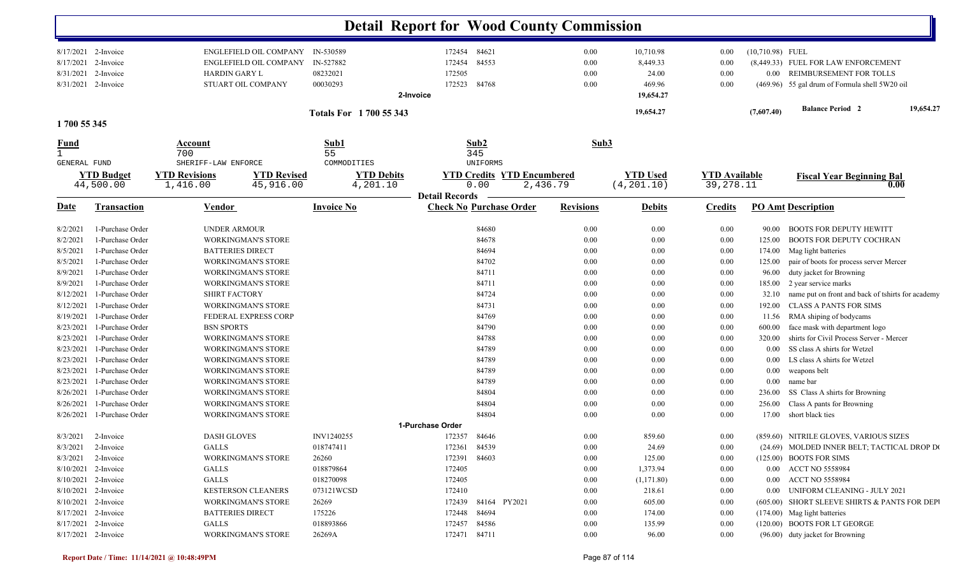|                             |                                  |                                                                |                               | <b>Detail Report for Wood County Commission</b> |                                   |                  |                       |                      |                    |                                                   |
|-----------------------------|----------------------------------|----------------------------------------------------------------|-------------------------------|-------------------------------------------------|-----------------------------------|------------------|-----------------------|----------------------|--------------------|---------------------------------------------------|
| 8/17/2021                   | 8/17/2021 2-Invoice<br>2-Invoice | <b>ENGLEFIELD OIL COMPANY</b><br><b>ENGLEFIELD OIL COMPANY</b> | IN-530589<br>IN-527882        | 84621<br>172454<br>84553<br>172454              |                                   | 0.00<br>0.00     | 10,710.98<br>8,449.33 | $0.00\,$<br>0.00     | $(10,710.98)$ FUEL | (8,449.33) FUEL FOR LAW ENFORCEMENT               |
| 8/31/2021                   | 2-Invoice                        | HARDIN GARY L                                                  | 08232021                      | 172505                                          |                                   | 0.00             | 24.00                 | 0.00                 | $0.00\,$           | REIMBURSEMENT FOR TOLLS                           |
| 8/31/2021                   | 2-Invoice                        | STUART OIL COMPANY                                             | 00030293                      | 172523<br>84768                                 |                                   | 0.00             | 469.96                | 0.00                 |                    | (469.96) 55 gal drum of Formula shell 5W20 oil    |
|                             |                                  |                                                                |                               | 2-Invoice                                       |                                   |                  | 19,654.27             |                      |                    |                                                   |
|                             |                                  |                                                                | <b>Totals For 1700 55 343</b> |                                                 |                                   |                  | 19,654.27             |                      | (7,607.40)         | 19,654.27<br><b>Balance Period 2</b>              |
| 1700 55 345                 |                                  |                                                                |                               |                                                 |                                   |                  |                       |                      |                    |                                                   |
| <u>Fund</u><br>$\mathbf{1}$ |                                  | Account<br>700                                                 | Sub1<br>55                    | Sub2<br>345                                     |                                   | Sub3             |                       |                      |                    |                                                   |
| <b>GENERAL FUND</b>         |                                  | SHERIFF-LAW ENFORCE                                            | COMMODITIES                   | UNIFORMS                                        |                                   |                  |                       |                      |                    |                                                   |
|                             | <b>YTD Budget</b>                | <b>YTD Revisions</b><br><b>YTD Revised</b>                     |                               | <b>YTD Debits</b>                               | <b>YTD Credits YTD Encumbered</b> |                  | <b>YTD Used</b>       | <b>YTD</b> Available |                    | <b>Fiscal Year Beginning Bal</b>                  |
|                             | 44,500.00                        | 45,916.00<br>1,416.00                                          |                               | 0.00<br>4,201.10                                | 2,436.79                          |                  | (4, 201.10)           | 39,278.11            |                    | 0.00                                              |
|                             |                                  |                                                                |                               | <b>Detail Records</b>                           |                                   |                  |                       |                      |                    |                                                   |
| <u>Date</u>                 | <b>Transaction</b>               | <b>Vendor</b>                                                  | <b>Invoice No</b>             | <b>Check No Purchase Order</b>                  |                                   | <b>Revisions</b> | <b>Debits</b>         | <b>Credits</b>       |                    | <b>PO Amt Description</b>                         |
| 8/2/2021                    | 1-Purchase Order                 | UNDER ARMOUR                                                   |                               | 84680                                           |                                   | 0.00             | 0.00                  | 0.00                 | 90.00              | <b>BOOTS FOR DEPUTY HEWITT</b>                    |
| 8/2/2021                    | 1-Purchase Order                 | WORKINGMAN'S STORE                                             |                               | 84678                                           |                                   | 0.00             | 0.00                  | 0.00                 | 125.00             | BOOTS FOR DEPUTY COCHRAN                          |
| 8/5/2021                    | 1-Purchase Order                 | <b>BATTERIES DIRECT</b>                                        |                               |                                                 | 84694                             | 0.00             | 0.00                  | 0.00                 | 174.00             | Mag light batteries                               |
| 8/5/2021                    | 1-Purchase Order                 | <b>WORKINGMAN'S STORE</b>                                      |                               |                                                 | 84702                             | 0.00             | 0.00                  | $0.00\,$             | 125.00             | pair of boots for process server Mercer           |
| 8/9/2021                    | 1-Purchase Order                 | <b>WORKINGMAN'S STORE</b>                                      |                               |                                                 | 84711                             | 0.00             | 0.00                  | 0.00                 | 96.00              | duty jacket for Browning                          |
| 8/9/2021                    | 1-Purchase Order                 | <b>WORKINGMAN'S STORE</b>                                      |                               |                                                 | 84711                             | 0.00             | 0.00                  | 0.00                 | 185.00             | 2 year service marks                              |
| 8/12/2021                   | 1-Purchase Order                 | <b>SHIRT FACTORY</b>                                           |                               |                                                 | 84724                             | 0.00             | 0.00                  | 0.00                 | 32.10              | name put on front and back of tshirts for academy |
| 8/12/2021                   | 1-Purchase Order                 | <b>WORKINGMAN'S STORE</b>                                      |                               | 84731                                           |                                   | 0.00             | 0.00                  | 0.00                 | 192.00             | <b>CLASS A PANTS FOR SIMS</b>                     |
| 8/19/2021                   | 1-Purchase Order                 | <b>FEDERAL EXPRESS CORP</b>                                    |                               |                                                 | 84769                             | 0.00             | 0.00                  | 0.00                 | 11.56              | RMA shiping of bodycams                           |
| 8/23/2021                   | 1-Purchase Order                 | <b>BSN SPORTS</b>                                              |                               |                                                 | 84790                             | 0.00             | 0.00                  | 0.00                 | 600.00             | face mask with department logo                    |
| 8/23/2021                   | 1-Purchase Order                 | <b>WORKINGMAN'S STORE</b>                                      |                               | 84788                                           |                                   | 0.00             | 0.00                  | 0.00                 | 320.00             | shirts for Civil Process Server - Mercer          |
| 8/23/2021                   | 1-Purchase Order                 | <b>WORKINGMAN'S STORE</b>                                      |                               | 84789                                           |                                   | 0.00             | 0.00                  | 0.00                 | 0.00               | SS class A shirts for Wetzel                      |
| 8/23/2021                   | 1-Purchase Order                 | <b>WORKINGMAN'S STORE</b>                                      |                               |                                                 | 84789                             | 0.00             | 0.00                  | $0.00\,$             | $0.00\,$           | LS class A shirts for Wetzel                      |
| 8/23/2021                   | 1-Purchase Order                 | <b>WORKINGMAN'S STORE</b>                                      |                               |                                                 | 84789                             | 0.00             | 0.00                  | $0.00\,$             | $0.00\,$           | weapons belt                                      |
| 8/23/2021                   | 1-Purchase Order                 | <b>WORKINGMAN'S STORE</b>                                      |                               |                                                 | 84789                             | 0.00             | 0.00                  | 0.00                 | $0.00\,$           | name bar                                          |
| 8/26/2021                   | 1-Purchase Order                 | <b>WORKINGMAN'S STORE</b>                                      |                               |                                                 | 84804                             | 0.00             | 0.00                  | $0.00\,$             | 236.00             | SS Class A shirts for Browning                    |
| 8/26/2021                   | 1-Purchase Order                 | WORKINGMAN'S STORE                                             |                               |                                                 | 84804                             | 0.00             | 0.00                  | 0.00                 | 256.00             | Class A pants for Browning                        |
| 8/26/2021                   | 1-Purchase Order                 | <b>WORKINGMAN'S STORE</b>                                      |                               |                                                 | 84804                             | 0.00             | 0.00                  | 0.00                 | 17.00              | short black ties                                  |
|                             |                                  |                                                                |                               | 1-Purchase Order                                |                                   |                  |                       |                      |                    |                                                   |
|                             | $8/3/2021$ 2-Invoice             | <b>DASH GLOVES</b>                                             | INV1240255                    | 172357<br>84646                                 |                                   | 0.00             | 859.60                | $0.00\,$             |                    | (859.60) NITRILE GLOVES, VARIOUS SIZES            |
|                             | $8/3/2021$ 2-Invoice             | <b>GALLS</b>                                                   | 018747411                     | 172361 84539                                    |                                   | 0.00             | 24.69                 | $0.00\,$             |                    | (24.69) MOLDED INNER BELT; TACTICAL DROP DO       |
|                             | $8/3/2021$ 2-Invoice             | WORKINGMAN'S STORE                                             | 26260                         | 172391 84603                                    |                                   | 0.00             | 125.00                | 0.00                 |                    | $(125.00)$ BOOTS FOR SIMS                         |
|                             | 8/10/2021 2-Invoice              | GALLS                                                          | 018879864                     | 172405                                          |                                   | 0.00             | 1,373.94              | 0.00                 |                    | 0.00 ACCT NO 5558984                              |
|                             | 8/10/2021 2-Invoice              | <b>GALLS</b>                                                   | 018270098                     | 172405                                          |                                   | 0.00             | (1,171.80)            | $0.00\,$             |                    | 0.00 ACCT NO 5558984                              |
|                             | 8/10/2021 2-Invoice              | <b>KESTERSON CLEANERS</b>                                      | 073121WCSD                    | 172410                                          |                                   | 0.00             | 218.61                | $0.00\,$             |                    | 0.00 UNIFORM CLEANING - JULY 2021                 |
|                             | 8/10/2021 2-Invoice              | <b>WORKINGMAN'S STORE</b>                                      | 26269                         |                                                 | 172439 84164 PY2021               | 0.00             | 605.00                | $0.00\,$             |                    | (605.00) SHORT SLEEVE SHIRTS & PANTS FOR DEPI     |
|                             | 8/17/2021 2-Invoice              | <b>BATTERIES DIRECT</b>                                        | 175226                        | 172448 84694                                    |                                   | 0.00             | 174.00                | $0.00\,$             |                    | (174.00) Mag light batteries                      |
|                             | 8/17/2021 2-Invoice              | GALLS                                                          | 018893866                     | 172457 84586                                    |                                   | 0.00             | 135.99                | $0.00\,$             |                    | (120.00) BOOTS FOR LT GEORGE                      |
|                             | 8/17/2021 2-Invoice              | WORKINGMAN'S STORE                                             | 26269A                        | 172471 84711                                    |                                   | 0.00             | 96.00                 | 0.00                 |                    | (96.00) duty jacket for Browning                  |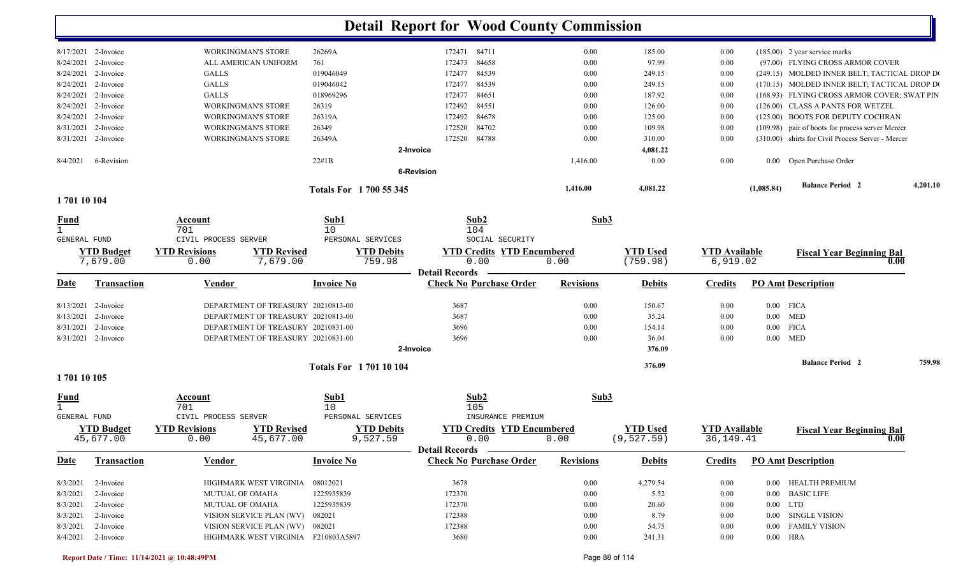|                     |                      |                                            |                             | <b>Detail Report for Wood County Commission</b> |                  |                 |                      |            |                                                   |          |
|---------------------|----------------------|--------------------------------------------|-----------------------------|-------------------------------------------------|------------------|-----------------|----------------------|------------|---------------------------------------------------|----------|
|                     | 8/17/2021 2-Invoice  | <b>WORKINGMAN'S STORE</b>                  | 26269A                      | 172471 84711                                    | 0.00             | 185.00          | 0.00                 |            | $(185.00)$ 2 year service marks                   |          |
|                     | 8/24/2021 2-Invoice  | ALL AMERICAN UNIFORM                       | 761                         | 84658<br>172473                                 | 0.00             | 97.99           | 0.00                 |            | (97.00) FLYING CROSS ARMOR COVER                  |          |
|                     | 8/24/2021 2-Invoice  | <b>GALLS</b>                               | 019046049                   | 84539<br>172477                                 | 0.00             | 249.15          | 0.00                 |            | (249.15) MOLDED INNER BELT; TACTICAL DROP DO      |          |
|                     | 8/24/2021 2-Invoice  | <b>GALLS</b>                               | 019046042                   | 84539<br>172477                                 | 0.00             | 249.15          | 0.00                 |            | (170.15) MOLDED INNER BELT; TACTICAL DROP DO      |          |
|                     | 8/24/2021 2-Invoice  | <b>GALLS</b>                               | 018969296                   | 84651<br>172477                                 | 0.00             | 187.92          | 0.00                 |            | (168.93) FLYING CROSS ARMOR COVER; SWAT PIN       |          |
| 8/24/2021           | 2-Invoice            | <b>WORKINGMAN'S STORE</b>                  | 26319                       | 84551<br>172492                                 | 0.00             | 126.00          | 0.00                 |            | (126.00) CLASS A PANTS FOR WETZEL                 |          |
| 8/24/2021           | 2-Invoice            | <b>WORKINGMAN'S STORE</b>                  | 26319A                      | 84678<br>172492                                 | 0.00             | 125.00          | 0.00                 |            | (125.00) BOOTS FOR DEPUTY COCHRAN                 |          |
| 8/31/2021           | 2-Invoice            | <b>WORKINGMAN'S STORE</b>                  | 26349                       | 84702<br>172520                                 | 0.00             | 109.98          | 0.00                 |            | (109.98) pair of boots for process server Mercer  |          |
|                     | 8/31/2021 2-Invoice  | <b>WORKINGMAN'S STORE</b>                  | 26349A                      | 84788<br>172520                                 | 0.00             | 310.00          | 0.00                 |            | (310.00) shirts for Civil Process Server - Mercer |          |
|                     |                      |                                            |                             | 2-Invoice                                       |                  | 4,081.22        |                      |            |                                                   |          |
| 8/4/2021            | 6-Revision           |                                            | 22#1B                       | <b>6-Revision</b>                               | 1,416.00         | 0.00            | 0.00                 |            | 0.00 Open Purchase Order                          |          |
|                     |                      |                                            | Totals For 1700 55 345      |                                                 | 1,416.00         | 4,081.22        |                      | (1,085.84) | <b>Balance Period 2</b>                           | 4,201.10 |
| 170110104           |                      |                                            |                             |                                                 |                  |                 |                      |            |                                                   |          |
| <u>Fund</u>         |                      | Account                                    | Sub1                        | Sub2                                            | Sub3             |                 |                      |            |                                                   |          |
| $\mathbf{1}$        |                      | 701                                        | 10                          | 104                                             |                  |                 |                      |            |                                                   |          |
| <b>GENERAL FUND</b> |                      | CIVIL PROCESS SERVER                       | PERSONAL SERVICES           | SOCIAL SECURITY                                 |                  |                 |                      |            |                                                   |          |
|                     | <b>YTD Budget</b>    | <b>YTD Revisions</b><br><b>YTD Revised</b> | <b>YTD Debits</b>           | <b>YTD Credits YTD Encumbered</b>               |                  | <b>YTD Used</b> | <b>YTD Available</b> |            | <b>Fiscal Year Beginning Bal</b>                  |          |
|                     | 7,679.00             | 7,679.00<br>0.00                           | 759.98                      | 0.00<br><b>Detail Records</b>                   | 0.00             | (759.98)        | 6,919.02             |            | 0.00                                              |          |
| Date                | <b>Transaction</b>   | <b>Vendor</b>                              | <b>Invoice No</b>           | <b>Check No Purchase Order</b>                  | <b>Revisions</b> | <b>Debits</b>   | <b>Credits</b>       |            | <b>PO Amt Description</b>                         |          |
|                     | 8/13/2021 2-Invoice  | DEPARTMENT OF TREASURY 20210813-00         |                             | 3687                                            | 0.00             | 150.67          | 0.00                 |            | $0.00$ FICA                                       |          |
| 8/13/2021           | 2-Invoice            | DEPARTMENT OF TREASURY 20210813-00         |                             | 3687                                            | 0.00             | 35.24           | 0.00                 | $0.00\,$   | <b>MED</b>                                        |          |
| 8/31/2021           | 2-Invoice            | DEPARTMENT OF TREASURY 20210831-00         |                             | 3696                                            | 0.00             | 154.14          | 0.00                 | $0.00\,$   | <b>FICA</b>                                       |          |
|                     | 8/31/2021 2-Invoice  | DEPARTMENT OF TREASURY 20210831-00         |                             | 3696                                            | 0.00             | 36.04           | 0.00                 | $0.00\,$   | <b>MED</b>                                        |          |
|                     |                      |                                            |                             | 2-Invoice                                       |                  | 376.09          |                      |            |                                                   |          |
|                     |                      |                                            | <b>Totals For 170110104</b> |                                                 |                  | 376.09          |                      |            | <b>Balance Period 2</b>                           | 759.98   |
| 1701 10 105         |                      |                                            |                             |                                                 |                  |                 |                      |            |                                                   |          |
| <u>Fund</u>         |                      | <b>Account</b>                             | Sub1                        | Sub <sub>2</sub>                                | Sub3             |                 |                      |            |                                                   |          |
| $\mathbf{1}$        |                      | 701                                        | 10                          | 105                                             |                  |                 |                      |            |                                                   |          |
| <b>GENERAL FUND</b> |                      | CIVIL PROCESS SERVER                       | PERSONAL SERVICES           | INSURANCE PREMIUM                               |                  |                 |                      |            |                                                   |          |
|                     | <b>YTD Budget</b>    | <b>YTD Revisions</b><br><b>YTD Revised</b> | <b>YTD Debits</b>           | <b>YTD Credits YTD Encumbered</b>               |                  | <b>YTD Used</b> | <b>YTD Available</b> |            | <b>Fiscal Year Beginning Bal</b><br>0.00          |          |
|                     | 45,677.00            | 0.00<br>45,677.00                          | 9,527.59                    | 0.00<br>Detail Records ________                 | 0.00             | (9,527.59)      | 36, 149. 41          |            |                                                   |          |
| <b>Date</b>         | Transaction          | Vendor                                     | <b>Invoice No</b>           | <b>Check No Purchase Order</b>                  | <b>Revisions</b> | <b>Debits</b>   | <b>Credits</b>       |            | <b>PO Amt Description</b>                         |          |
|                     | $8/3/2021$ 2-Invoice | HIGHMARK WEST VIRGINIA                     | 08012021                    | 3678                                            | $0.00\,$         | 4,279.54        | $0.00\,$             |            | 0.00 HEALTH PREMIUM                               |          |
| 8/3/2021            | 2-Invoice            | <b>MUTUAL OF OMAHA</b>                     | 1225935839                  | 172370                                          | $0.00\,$         | 5.52            | $0.00\,$             |            | 0.00 BASIC LIFE                                   |          |
|                     | 8/3/2021 2-Invoice   | MUTUAL OF OMAHA                            | 1225935839                  | 172370                                          | $0.00\,$         | 20.60           | $0.00\,$             |            | $0.00$ LTD                                        |          |
|                     | 8/3/2021 2-Invoice   | VISION SERVICE PLAN (WV) 082021            |                             | 172388                                          | $0.00\,$         | 8.79            | $0.00\,$             |            | 0.00 SINGLE VISION                                |          |
|                     | 8/3/2021 2-Invoice   | VISION SERVICE PLAN (WV) 082021            |                             | 172388                                          | $0.00\,$         | 54.75           | $0.00\,$             |            | 0.00 FAMILY VISION                                |          |
|                     | 8/4/2021 2-Invoice   | HIGHMARK WEST VIRGINIA F210803A5897        |                             | 3680                                            | $0.00\,$         | 241.31          | $0.00\,$             |            | $0.00$ HRA                                        |          |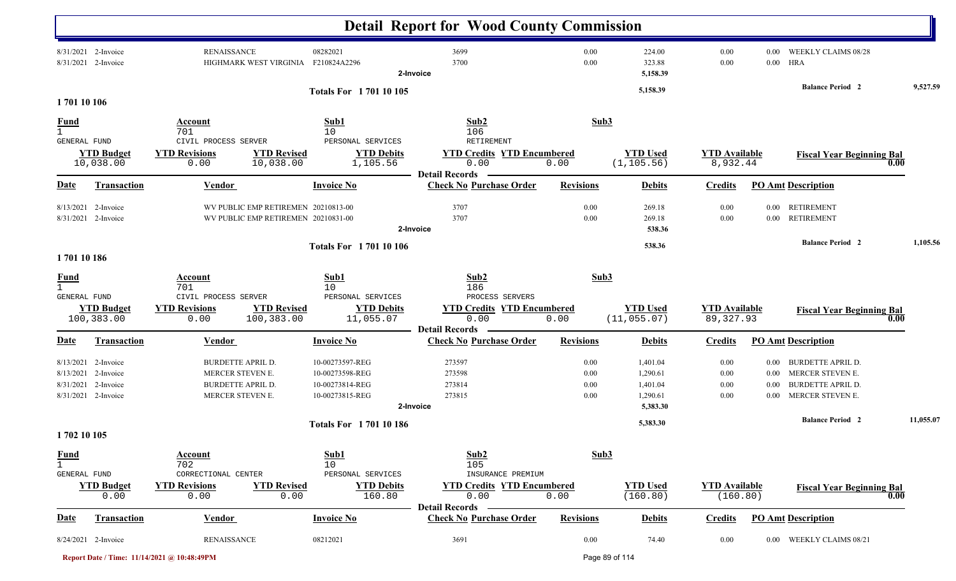|                                             |                                                                                |                                                                       |                                                                                              |                                                                          | <b>Detail Report for Wood County Commission</b>                               |                              |                                              |                                    |                                      |                                                                                              |           |
|---------------------------------------------|--------------------------------------------------------------------------------|-----------------------------------------------------------------------|----------------------------------------------------------------------------------------------|--------------------------------------------------------------------------|-------------------------------------------------------------------------------|------------------------------|----------------------------------------------|------------------------------------|--------------------------------------|----------------------------------------------------------------------------------------------|-----------|
|                                             | 8/31/2021 2-Invoice<br>8/31/2021 2-Invoice                                     | <b>RENAISSANCE</b>                                                    | HIGHMARK WEST VIRGINIA                                                                       | 08282021<br>F210824A2296                                                 | 3699<br>3700<br>2-Invoice                                                     | 0.00<br>0.00                 | 224.00<br>323.88<br>5,158.39                 | 0.00<br>0.00                       | 0.00<br>$0.00\,$                     | WEEKLY CLAIMS 08/28<br>HRA                                                                   |           |
| 170110106                                   |                                                                                |                                                                       |                                                                                              | <b>Totals For 170110105</b>                                              |                                                                               |                              | 5,158.39                                     |                                    |                                      | <b>Balance Period 2</b>                                                                      | 9,527.59  |
| <u>Fund</u><br>$\mathbf{1}$                 |                                                                                | Account<br>701                                                        |                                                                                              | Sub1<br>10                                                               | Sub2<br>106                                                                   |                              | Sub3                                         |                                    |                                      |                                                                                              |           |
| GENERAL FUND                                |                                                                                | CIVIL PROCESS SERVER                                                  |                                                                                              | PERSONAL SERVICES                                                        | RETIREMENT                                                                    |                              |                                              |                                    |                                      |                                                                                              |           |
|                                             | <b>YTD Budget</b><br>10,038.00                                                 | <b>YTD Revisions</b><br>0.00                                          | <b>YTD Revised</b><br>10,038.00                                                              | <b>YTD Debits</b><br>1,105.56                                            | <b>YTD Credits YTD Encumbered</b><br>0.00<br><b>Detail Records</b>            | 0.00                         | <b>YTD Used</b><br>(1, 105.56)               | <b>YTD</b> Available<br>8,932.44   |                                      | <b>Fiscal Year Beginning Bal</b>                                                             | 0.00      |
| <b>Date</b>                                 | Transaction                                                                    | Vendor                                                                |                                                                                              | <b>Invoice No</b>                                                        | <b>Check No Purchase Order</b>                                                | <b>Revisions</b>             | <b>Debits</b>                                | <b>Credits</b>                     |                                      | <b>PO Amt Description</b>                                                                    |           |
| 8/13/2021                                   | 2-Invoice<br>8/31/2021 2-Invoice                                               |                                                                       | WV PUBLIC EMP RETIREMEN 20210813-00<br>WV PUBLIC EMP RETIREMEN 20210831-00                   |                                                                          | 3707<br>3707<br>2-Invoice                                                     | 0.00<br>0.00                 | 269.18<br>269.18<br>538.36                   | 0.00<br>0.00                       | 0.00<br>$0.00\,$                     | <b>RETIREMENT</b><br><b>RETIREMENT</b>                                                       |           |
|                                             |                                                                                |                                                                       |                                                                                              | <b>Totals For 170110106</b>                                              |                                                                               |                              | 538.36                                       |                                    |                                      | <b>Balance Period 2</b>                                                                      | 1,105.56  |
| 170110186                                   |                                                                                |                                                                       |                                                                                              |                                                                          |                                                                               |                              |                                              |                                    |                                      |                                                                                              |           |
| <b>Fund</b><br>$\mathbf{1}$<br>GENERAL FUND |                                                                                | Account<br>701<br>CIVIL PROCESS SERVER                                |                                                                                              | Sub1<br>10<br>PERSONAL SERVICES                                          | Sub2<br>186<br>PROCESS SERVERS                                                |                              | Sub3                                         |                                    |                                      |                                                                                              |           |
|                                             | <b>YTD Budget</b><br>100,383.00                                                | <b>YTD Revisions</b><br>0.00                                          | <b>YTD Revised</b><br>100,383.00                                                             | <b>YTD Debits</b><br>11,055.07                                           | <b>YTD Credits YTD Encumbered</b><br>0.00<br><b>Detail Records</b>            | 0.00                         | <b>YTD Used</b><br>(11, 055.07)              | <b>YTD Available</b><br>89, 327.93 |                                      | <b>Fiscal Year Beginning Bal</b>                                                             | 0.00      |
| <b>Date</b>                                 | Transaction                                                                    | Vendor                                                                |                                                                                              | <b>Invoice No</b>                                                        | <b>Check No Purchase Order</b>                                                | <b>Revisions</b>             | <b>Debits</b>                                | <b>Credits</b>                     |                                      | <b>PO Amt Description</b>                                                                    |           |
| 8/13/2021                                   | 2-Invoice<br>8/13/2021 2-Invoice<br>8/31/2021 2-Invoice<br>8/31/2021 2-Invoice |                                                                       | <b>BURDETTE APRIL D.</b><br>MERCER STEVEN E.<br><b>BURDETTE APRIL D.</b><br>MERCER STEVEN E. | 10-00273597-REG<br>10-00273598-REG<br>10-00273814-REG<br>10-00273815-REG | 273597<br>273598<br>273814<br>273815                                          | 0.00<br>0.00<br>0.00<br>0.00 | 1,401.04<br>1,290.61<br>1,401.04<br>1,290.61 | 0.00<br>0.00<br>0.00<br>0.00       | 0.00<br>$0.00\,$<br>0.00<br>$0.00\,$ | <b>BURDETTE APRIL D.</b><br>MERCER STEVEN E.<br><b>BURDETTE APRIL D.</b><br>MERCER STEVEN E. |           |
|                                             |                                                                                |                                                                       |                                                                                              |                                                                          | 2-Invoice                                                                     |                              | 5,383.30                                     |                                    |                                      | <b>Balance Period 2</b>                                                                      | 11,055.07 |
| 1702 10 105                                 |                                                                                |                                                                       |                                                                                              | <b>Totals For 170110186</b>                                              |                                                                               |                              | 5,383.30                                     |                                    |                                      |                                                                                              |           |
| <b>Fund</b><br>$\mathbf{1}$<br>GENERAL FUND | <b>YTD Budget</b><br>0.00                                                      | Account<br>702<br>CORRECTIONAL CENTER<br><b>YTD Revisions</b><br>0.00 | <b>YTD Revised</b><br>0.00                                                                   | Sub1<br>10<br>PERSONAL SERVICES<br><b>YTD Debits</b><br>160.80           | Sub2<br>105<br>INSURANCE PREMIUM<br><b>YTD Credits YTD Encumbered</b><br>0.00 | 0.00                         | Sub3<br><b>YTD Used</b><br>(160.80)          | <b>YTD</b> Available<br>(160.80)   |                                      | <b>Fiscal Year Beginning Bal</b>                                                             | 0.00      |
|                                             |                                                                                |                                                                       |                                                                                              |                                                                          | <b>Detail Records</b>                                                         |                              |                                              |                                    |                                      |                                                                                              |           |
| <b>Date</b>                                 | <b>Transaction</b>                                                             | <b>Vendor</b>                                                         |                                                                                              | <b>Invoice No</b>                                                        | <b>Check No Purchase Order</b>                                                | <b>Revisions</b>             | <b>Debits</b>                                | <b>Credits</b>                     |                                      | <b>PO Amt Description</b>                                                                    |           |
|                                             | 8/24/2021 2-Invoice                                                            | <b>RENAISSANCE</b>                                                    |                                                                                              | 08212021                                                                 | 3691                                                                          | 0.00                         | 74.40                                        | 0.00                               |                                      | 0.00 WEEKLY CLAIMS 08/21                                                                     |           |

**Report Date / Time: 11/14/2021 @ 10:48:49PM** Page 89 of 114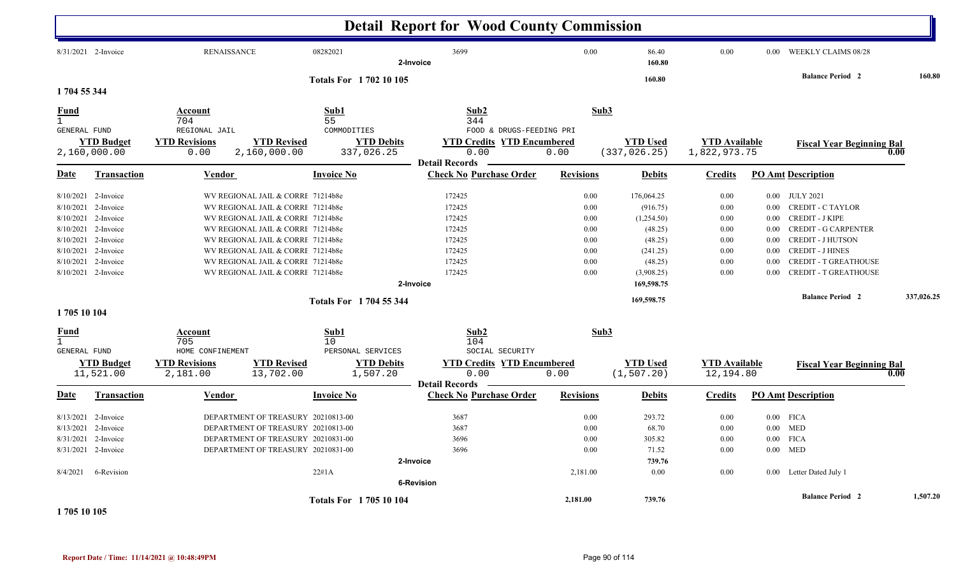|                             |                       |                      |                                    |                               | <b>Detail Report for Wood County Commission</b> |                          |          |                 |                      |          |                                  |      |            |
|-----------------------------|-----------------------|----------------------|------------------------------------|-------------------------------|-------------------------------------------------|--------------------------|----------|-----------------|----------------------|----------|----------------------------------|------|------------|
|                             | 8/31/2021 2-Invoice   | <b>RENAISSANCE</b>   |                                    | 08282021                      | 3699<br>2-Invoice                               |                          | $0.00\,$ | 86.40<br>160.80 | 0.00                 | 0.00     | <b>WEEKLY CLAIMS 08/28</b>       |      |            |
|                             |                       |                      |                                    | <b>Totals For 170210105</b>   |                                                 |                          |          | 160.80          |                      |          | <b>Balance Period 2</b>          |      | 160.80     |
| 1704 55 344                 |                       |                      |                                    |                               |                                                 |                          |          |                 |                      |          |                                  |      |            |
| <b>Fund</b>                 |                       | Account              |                                    | Sub1                          | Sub2                                            |                          | Sub3     |                 |                      |          |                                  |      |            |
| $\mathbf{1}$                |                       | 704                  |                                    | 55                            | 344                                             |                          |          |                 |                      |          |                                  |      |            |
| GENERAL FUND                |                       | REGIONAL JAIL        |                                    | COMMODITIES                   |                                                 | FOOD & DRUGS-FEEDING PRI |          |                 |                      |          |                                  |      |            |
|                             | <b>YTD</b> Budget     | <b>YTD Revisions</b> | <b>YTD Revised</b>                 | <b>YTD Debits</b>             | <b>YTD Credits YTD Encumbered</b>               |                          |          | <b>YTD</b> Used | <b>YTD</b> Available |          | <b>Fiscal Year Beginning Bal</b> |      |            |
|                             | 2,160,000.00          | 0.00                 | 2,160,000.00                       | 337,026.25                    | 0.00                                            | 0.00                     |          | (337, 026.25)   | 1,822,973.75         |          |                                  | 0.00 |            |
|                             |                       |                      |                                    |                               | <b>Detail Records</b>                           |                          |          |                 |                      |          |                                  |      |            |
| <u>Date</u>                 | <b>Transaction</b>    | Vendor               |                                    | <b>Invoice No</b>             | <b>Check No Purchase Order</b>                  | <b>Revisions</b>         |          | <b>Debits</b>   | <b>Credits</b>       |          | <b>PO Amt Description</b>        |      |            |
|                             | $8/10/2021$ 2-Invoice |                      | WV REGIONAL JAIL & CORRI 71214b8e  |                               | 172425                                          |                          | 0.00     | 176,064.25      | 0.00                 | $0.00\,$ | <b>JULY 2021</b>                 |      |            |
| 8/10/2021                   | 2-Invoice             |                      | WV REGIONAL JAIL & CORRI 71214b8e  |                               | 172425                                          |                          | 0.00     | (916.75)        | 0.00                 | 0.00     | <b>CREDIT - C TAYLOR</b>         |      |            |
| 8/10/2021                   | 2-Invoice             |                      | WV REGIONAL JAIL & CORRI 71214b8e  |                               | 172425                                          |                          | 0.00     | (1,254.50)      | 0.00                 | 0.00     | <b>CREDIT - J KIPE</b>           |      |            |
|                             | 8/10/2021 2-Invoice   |                      | WV REGIONAL JAIL & CORRI 71214b8e  |                               | 172425                                          |                          | 0.00     | (48.25)         | 0.00                 | 0.00     | <b>CREDIT - G CARPENTER</b>      |      |            |
|                             | 8/10/2021 2-Invoice   |                      | WV REGIONAL JAIL & CORRI 71214b8e  |                               | 172425                                          |                          | 0.00     | (48.25)         | 0.00                 | 0.00     | <b>CREDIT - J HUTSON</b>         |      |            |
| 8/10/2021                   | 2-Invoice             |                      | WV REGIONAL JAIL & CORRI 71214b8e  |                               | 172425                                          |                          | 0.00     | (241.25)        | 0.00                 | 0.00     | <b>CREDIT - J HINES</b>          |      |            |
|                             | 8/10/2021 2-Invoice   |                      | WV REGIONAL JAIL & CORRI 71214b8e  |                               | 172425                                          |                          | 0.00     | (48.25)         | 0.00                 | 0.00     | <b>CREDIT - T GREATHOUSE</b>     |      |            |
|                             | 8/10/2021 2-Invoice   |                      | WV REGIONAL JAIL & CORRI 71214b8e  |                               | 172425                                          |                          | 0.00     | (3,908.25)      | 0.00                 | 0.00     | <b>CREDIT - T GREATHOUSE</b>     |      |            |
|                             |                       |                      |                                    |                               | 2-Invoice                                       |                          |          | 169,598.75      |                      |          |                                  |      |            |
|                             |                       |                      |                                    | <b>Totals For 1704 55 344</b> |                                                 |                          |          | 169,598.75      |                      |          | <b>Balance Period 2</b>          |      | 337,026.25 |
| 1705 10 104                 |                       |                      |                                    |                               |                                                 |                          |          |                 |                      |          |                                  |      |            |
| <u>Fund</u><br>$\mathbf{1}$ |                       | Account<br>705       |                                    | Sub1<br>10                    | Sub2<br>104                                     |                          | Sub3     |                 |                      |          |                                  |      |            |
| <b>GENERAL FUND</b>         |                       | HOME CONFINEMENT     |                                    | PERSONAL SERVICES             | SOCIAL SECURITY                                 |                          |          |                 |                      |          |                                  |      |            |
|                             | <b>YTD Budget</b>     | <b>YTD Revisions</b> | <b>YTD Revised</b>                 | <b>YTD Debits</b>             | <b>YTD Credits YTD Encumbered</b>               |                          |          | <b>YTD Used</b> | <b>YTD Available</b> |          | <b>Fiscal Year Beginning Bal</b> |      |            |
|                             | 11,521.00             | 2,181.00             | 13,702.00                          | 1,507.20                      | 0.00<br><b>Detail Records</b>                   | 0.00                     |          | (1, 507.20)     | 12,194.80            |          |                                  | 0.00 |            |
| <u>Date</u>                 | <b>Transaction</b>    | <b>Vendor</b>        |                                    | <b>Invoice No</b>             | <b>Check No Purchase Order</b>                  | <b>Revisions</b>         |          | <b>Debits</b>   | <b>Credits</b>       |          | <b>PO Amt Description</b>        |      |            |
| 8/13/2021                   | 2-Invoice             |                      | DEPARTMENT OF TREASURY 20210813-00 |                               | 3687                                            |                          | 0.00     | 293.72          | 0.00                 |          | $0.00$ FICA                      |      |            |
| 8/13/2021                   | 2-Invoice             |                      | DEPARTMENT OF TREASURY 20210813-00 |                               | 3687                                            |                          | 0.00     | 68.70           | 0.00                 | $0.00\,$ | MED                              |      |            |
| 8/31/2021                   | 2-Invoice             |                      | DEPARTMENT OF TREASURY 20210831-00 |                               | 3696                                            |                          | 0.00     | 305.82          | 0.00                 |          | $0.00$ FICA                      |      |            |
| 8/31/2021                   | 2-Invoice             |                      | DEPARTMENT OF TREASURY 20210831-00 |                               | 3696                                            |                          | 0.00     | 71.52           | 0.00                 | 0.00     | <b>MED</b>                       |      |            |
|                             |                       |                      |                                    |                               | 2-Invoice                                       |                          |          | 739.76          |                      |          |                                  |      |            |
| 8/4/2021                    | 6-Revision            |                      |                                    | 22#1A                         |                                                 |                          | 2,181.00 | 0.00            | 0.00                 |          | 0.00 Letter Dated July 1         |      |            |
|                             |                       |                      |                                    |                               | <b>6-Revision</b>                               |                          |          |                 |                      |          |                                  |      |            |
|                             |                       |                      |                                    | <b>Totals For 170510104</b>   |                                                 | 2,181.00                 |          | 739.76          |                      |          | <b>Balance Period 2</b>          |      | 1,507.20   |
|                             |                       |                      |                                    |                               |                                                 |                          |          |                 |                      |          |                                  |      |            |

#### **1 705 10 105**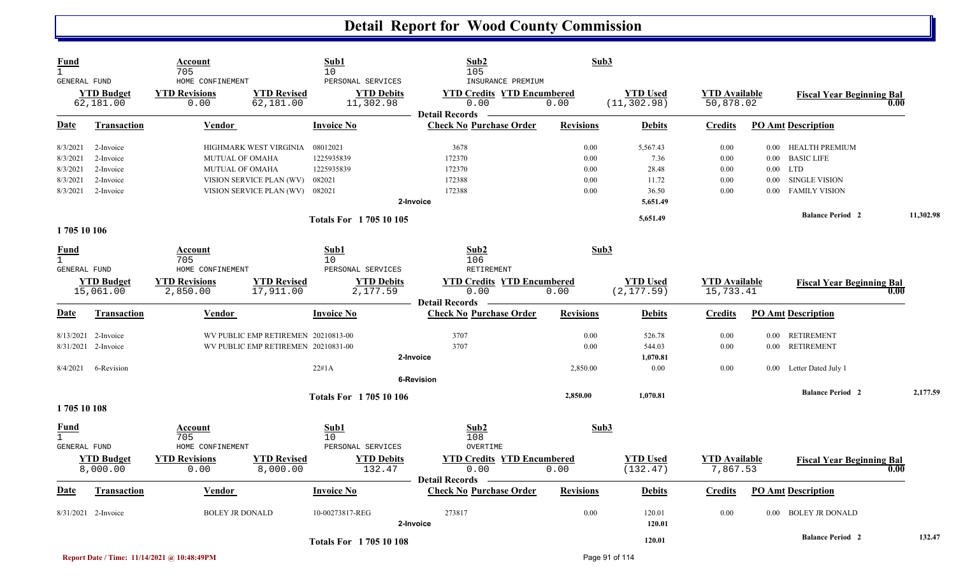| <b>Fund</b><br>$\mathbf{1}$<br><b>GENERAL FUND</b> |                                | Account<br>705<br>HOME CONFINEMENT |                                     | Sub1<br>10<br>PERSONAL SERVICES | Sub2<br>105<br>INSURANCE PREMIUM                                   | Sub3             |                                 |                                   |          |                                          |           |
|----------------------------------------------------|--------------------------------|------------------------------------|-------------------------------------|---------------------------------|--------------------------------------------------------------------|------------------|---------------------------------|-----------------------------------|----------|------------------------------------------|-----------|
|                                                    | <b>YTD Budget</b><br>62,181.00 | <b>YTD Revisions</b><br>0.00       | <b>YTD Revised</b><br>62,181.00     | <b>YTD Debits</b><br>11,302.98  | <b>YTD Credits YTD Encumbered</b><br>0.00                          | 0.00             | <b>YTD Used</b><br>(11, 302.98) | <b>YTD Available</b><br>50,878.02 |          | <b>Fiscal Year Beginning Bal</b><br>0.00 |           |
| <b>Date</b>                                        | <b>Transaction</b>             | Vendor                             |                                     | <b>Invoice No</b>               | <b>Detail Records</b><br><b>Check No Purchase Order</b>            | <b>Revisions</b> | <b>Debits</b>                   | <b>Credits</b>                    |          | <b>PO Amt Description</b>                |           |
| 8/3/2021                                           | 2-Invoice                      |                                    | HIGHMARK WEST VIRGINIA              | 08012021                        | 3678                                                               | 0.00             | 5,567.43                        | 0.00                              |          | 0.00 HEALTH PREMIUM                      |           |
| 8/3/2021                                           | 2-Invoice                      | <b>MUTUAL OF OMAHA</b>             |                                     | 1225935839                      | 172370                                                             | 0.00             | 7.36                            | 0.00                              |          | 0.00 BASIC LIFE                          |           |
| 8/3/2021                                           | 2-Invoice                      | MUTUAL OF OMAHA                    |                                     | 1225935839                      | 172370                                                             | 0.00             | 28.48                           | 0.00                              | $0.00\,$ | LTD                                      |           |
| 8/3/2021                                           | 2-Invoice                      |                                    | VISION SERVICE PLAN (WV)            | 082021                          | 172388                                                             | 0.00             | 11.72                           | 0.00                              | $0.00\,$ | <b>SINGLE VISION</b>                     |           |
| 8/3/2021                                           | 2-Invoice                      |                                    | VISION SERVICE PLAN (WV) 082021     |                                 | 172388                                                             | 0.00             | 36.50                           | 0.00                              | 0.00     | <b>FAMILY VISION</b>                     |           |
|                                                    |                                |                                    |                                     |                                 | 2-Invoice                                                          |                  | 5,651.49                        |                                   |          |                                          |           |
|                                                    |                                |                                    |                                     | <b>Totals For 170510105</b>     |                                                                    |                  | 5,651.49                        |                                   |          | <b>Balance Period 2</b>                  | 11,302.98 |
| 1705 10 106                                        |                                |                                    |                                     |                                 |                                                                    |                  |                                 |                                   |          |                                          |           |
| <b>Fund</b><br>$\mathbf{1}$                        |                                | Account<br>705                     |                                     | Sub1<br>10                      | Sub2<br>106                                                        | Sub3             |                                 |                                   |          |                                          |           |
| <b>GENERAL FUND</b>                                |                                | HOME CONFINEMENT                   |                                     | PERSONAL SERVICES               | <b>RETIREMENT</b>                                                  |                  |                                 |                                   |          |                                          |           |
|                                                    | <b>YTD Budget</b><br>15,061.00 | <b>YTD Revisions</b><br>2,850.00   | <b>YTD Revised</b><br>17,911.00     | <b>YTD Debits</b><br>2,177.59   | <b>YTD Credits YTD Encumbered</b><br>0.00                          | 0.00             | <b>YTD Used</b><br>(2, 177.59)  | <b>YTD</b> Available<br>15,733.41 |          | <b>Fiscal Year Beginning Bal</b><br>0.00 |           |
| Date                                               | <b>Transaction</b>             | <b>Vendor</b>                      |                                     | <b>Invoice No</b>               | <b>Detail Records</b><br><b>Check No Purchase Order</b>            | <b>Revisions</b> | <b>Debits</b>                   | <b>Credits</b>                    |          | <b>PO Amt Description</b>                |           |
|                                                    | 8/13/2021 2-Invoice            |                                    | WV PUBLIC EMP RETIREMEN 20210813-00 |                                 | 3707                                                               | 0.00             | 526.78                          | 0.00                              |          | 0.00 RETIREMENT                          |           |
|                                                    | 8/31/2021 2-Invoice            |                                    | WV PUBLIC EMP RETIREMEN 20210831-00 |                                 | 3707                                                               | 0.00             | 544.03                          | 0.00                              |          | 0.00 RETIREMENT                          |           |
|                                                    |                                |                                    |                                     |                                 | 2-Invoice                                                          |                  | 1,070.81                        |                                   |          |                                          |           |
| 8/4/2021                                           | 6-Revision                     |                                    |                                     | 22#1A                           |                                                                    | 2,850.00         | 0.00                            | 0.00                              |          | 0.00 Letter Dated July 1                 |           |
|                                                    |                                |                                    |                                     |                                 | <b>6-Revision</b>                                                  |                  |                                 |                                   |          |                                          |           |
|                                                    |                                |                                    |                                     | <b>Totals For 170510106</b>     |                                                                    | 2,850.00         | 1,070.81                        |                                   |          | <b>Balance Period 2</b>                  | 2,177.59  |
| 170510108                                          |                                |                                    |                                     |                                 |                                                                    |                  |                                 |                                   |          |                                          |           |
| Fund<br>$\mathbf{1}$<br><b>GENERAL FUND</b>        |                                | Account<br>705<br>HOME CONFINEMENT |                                     | Sub1<br>10<br>PERSONAL SERVICES | Sub <sub>2</sub><br>108<br>OVERTIME                                | Sub3             |                                 |                                   |          |                                          |           |
|                                                    | <b>YTD Budget</b><br>8,000.00  | <b>YTD Revisions</b><br>0.00       | <b>YTD Revised</b><br>8,000.00      | <b>YTD Debits</b><br>132.47     | <b>YTD Credits YTD Encumbered</b><br>0.00<br><b>Detail Records</b> | 0.00             | <b>YTD</b> Used<br>(132.47)     | <b>YTD</b> Available<br>7,867.53  |          | <b>Fiscal Year Beginning Bal</b><br>0.00 |           |
| <b>Date</b>                                        | <b>Transaction</b>             | Vendor                             |                                     | <b>Invoice No</b>               | <b>Check No Purchase Order</b>                                     | <b>Revisions</b> | <b>Debits</b>                   | <b>Credits</b>                    |          | <b>PO Amt Description</b>                |           |
|                                                    | 8/31/2021 2-Invoice            | <b>BOLEY JR DONALD</b>             |                                     | 10-00273817-REG                 | 273817<br>2-Invoice                                                | 0.00             | 120.01<br>120.01                | 0.00                              | $0.00\,$ | <b>BOLEY JR DONALD</b>                   |           |
|                                                    |                                |                                    |                                     | <b>Totals For 170510108</b>     |                                                                    |                  | 120.01                          |                                   |          | <b>Balance Period 2</b>                  | 132.47    |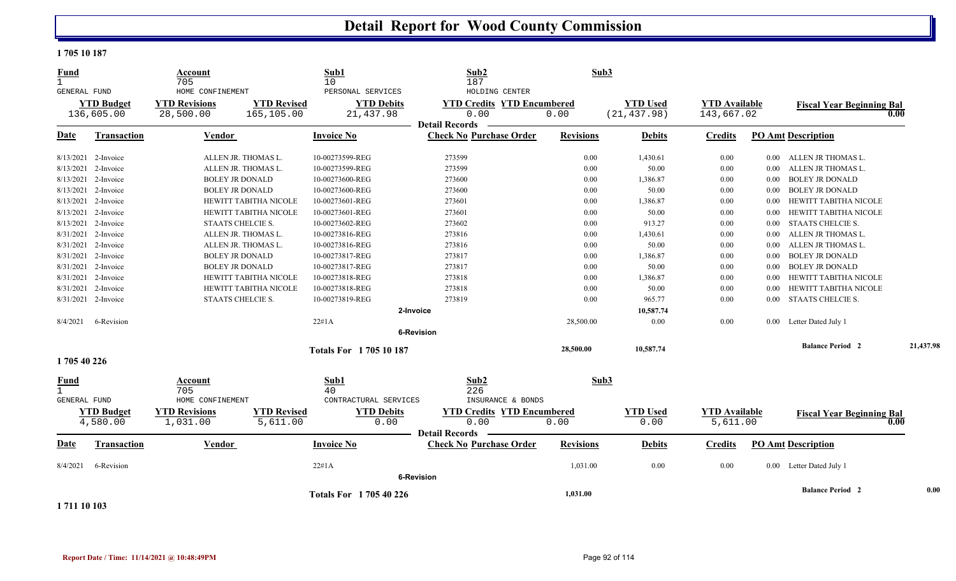#### **1 705 10 187**

| <b>Fund</b><br>$\mathbf{1}$ |                                 | <b>Account</b><br>705             |                                  | Sub1<br>10                     | Sub2<br>187                                                        | Sub3             |                                 |                                    |          |                                          |           |
|-----------------------------|---------------------------------|-----------------------------------|----------------------------------|--------------------------------|--------------------------------------------------------------------|------------------|---------------------------------|------------------------------------|----------|------------------------------------------|-----------|
| GENERAL FUND                |                                 | HOME CONFINEMENT                  |                                  | PERSONAL SERVICES              | HOLDING CENTER                                                     |                  |                                 |                                    |          |                                          |           |
|                             | <b>YTD Budget</b><br>136,605.00 | <b>YTD Revisions</b><br>28,500.00 | <b>YTD Revised</b><br>165,105.00 | <b>YTD Debits</b><br>21,437.98 | <b>YTD Credits YTD Encumbered</b><br>0.00                          | 0.00             | <b>YTD Used</b><br>(21, 437.98) | <b>YTD Available</b><br>143,667.02 |          | <b>Fiscal Year Beginning Bal</b><br>0.00 |           |
|                             |                                 |                                   |                                  |                                | <b>Detail Records</b>                                              |                  |                                 |                                    |          |                                          |           |
| <b>Date</b>                 | Transaction                     | Vendor                            |                                  | <b>Invoice No</b>              | <b>Check No Purchase Order</b>                                     | <b>Revisions</b> | <b>Debits</b>                   | <b>Credits</b>                     |          | <b>PO Amt Description</b>                |           |
|                             | 8/13/2021 2-Invoice             |                                   | ALLEN JR. THOMAS L.              | 10-00273599-REG                | 273599                                                             | 0.00             | 1,430.61                        | 0.00                               |          | 0.00 ALLEN JR THOMAS L.                  |           |
| 8/13/2021                   | 2-Invoice                       |                                   | ALLEN JR. THOMAS L.              | 10-00273599-REG                | 273599                                                             | 0.00             | 50.00                           | 0.00                               | 0.00     | ALLEN JR THOMAS L.                       |           |
| 8/13/2021                   | 2-Invoice                       |                                   | <b>BOLEY JR DONALD</b>           | 10-00273600-REG                | 273600                                                             | 0.00             | 1,386.87                        | $0.00\,$                           | $0.00\,$ | <b>BOLEY JR DONALD</b>                   |           |
| 8/13/2021                   | 2-Invoice                       |                                   | <b>BOLEY JR DONALD</b>           | 10-00273600-REG                | 273600                                                             | 0.00             | 50.00                           | 0.00                               | $0.00\,$ | <b>BOLEY JR DONALD</b>                   |           |
| 8/13/2021                   | 2-Invoice                       |                                   | <b>HEWITT TABITHA NICOLE</b>     | 10-00273601-REG                | 273601                                                             | 0.00             | 1,386.87                        | 0.00                               | $0.00\,$ | HEWITT TABITHA NICOLE                    |           |
| 8/13/2021                   | 2-Invoice                       |                                   | HEWITT TABITHA NICOLE            | 10-00273601-REG                | 273601                                                             | 0.00             | 50.00                           | 0.00                               | 0.00     | HEWITT TABITHA NICOLE                    |           |
| 8/13/2021                   | 2-Invoice                       |                                   | STAATS CHELCIE S.                | 10-00273602-REG                | 273602                                                             | 0.00             | 913.27                          | 0.00                               | 0.00     | <b>STAATS CHELCIE S.</b>                 |           |
| 8/31/2021                   | 2-Invoice                       |                                   | ALLEN JR. THOMAS L.              | 10-00273816-REG                | 273816                                                             | 0.00             | 1,430.61                        | $0.00\,$                           | $0.00\,$ | ALLEN JR THOMAS L.                       |           |
| 8/31/2021                   | 2-Invoice                       |                                   | ALLEN JR. THOMAS L.              | 10-00273816-REG                | 273816                                                             | 0.00             | 50.00                           | 0.00                               | $0.00\,$ | ALLEN JR THOMAS L.                       |           |
| 8/31/2021                   | 2-Invoice                       |                                   | <b>BOLEY JR DONALD</b>           | 10-00273817-REG                | 273817                                                             | 0.00             | 1,386.87                        | 0.00                               | 0.00     | <b>BOLEY JR DONALD</b>                   |           |
| 8/31/2021                   | 2-Invoice                       |                                   | <b>BOLEY JR DONALD</b>           | 10-00273817-REG                | 273817                                                             | 0.00             | 50.00                           | 0.00                               | 0.00     | <b>BOLEY JR DONALD</b>                   |           |
| 8/31/2021                   | 2-Invoice                       |                                   | <b>HEWITT TABITHA NICOLE</b>     | 10-00273818-REG                | 273818                                                             | 0.00             | 1,386.87                        | 0.00                               | 0.00     | HEWITT TABITHA NICOLE                    |           |
| 8/31/2021                   | 2-Invoice                       |                                   | HEWITT TABITHA NICOLE            | 10-00273818-REG                | 273818                                                             | 0.00             | 50.00                           | 0.00                               | 0.00     | HEWITT TABITHA NICOLE                    |           |
|                             | 8/31/2021 2-Invoice             |                                   | STAATS CHELCIE S.                | 10-00273819-REG                | 273819                                                             | 0.00             | 965.77                          | 0.00                               | $0.00\,$ | <b>STAATS CHELCIE S.</b>                 |           |
|                             |                                 |                                   |                                  |                                | 2-Invoice                                                          |                  | 10,587.74                       |                                    |          |                                          |           |
| 8/4/2021                    | 6-Revision                      |                                   |                                  | 22#1A                          |                                                                    | 28,500.00        | 0.00                            | 0.00                               |          | 0.00 Letter Dated July 1                 |           |
|                             |                                 |                                   |                                  |                                | <b>6-Revision</b>                                                  |                  |                                 |                                    |          |                                          |           |
|                             |                                 |                                   |                                  | <b>Totals For 170510187</b>    |                                                                    | 28,500.00        | 10,587.74                       |                                    |          | <b>Balance Period 2</b>                  | 21,437.98 |
| 1705 40 226                 |                                 |                                   |                                  |                                |                                                                    |                  |                                 |                                    |          |                                          |           |
| <b>Fund</b><br>$\mathbf{1}$ |                                 | Account<br>705                    |                                  | Sub1<br>40                     | Sub2<br>226                                                        | Sub3             |                                 |                                    |          |                                          |           |
| <b>GENERAL FUND</b>         |                                 | HOME CONFINEMENT                  |                                  | CONTRACTURAL SERVICES          | INSURANCE & BONDS                                                  |                  |                                 |                                    |          |                                          |           |
|                             | <b>YTD Budget</b><br>4,580.00   | <b>YTD Revisions</b><br>1,031.00  | <b>YTD Revised</b><br>5,611.00   | <b>YTD Debits</b><br>0.00      | <b>YTD Credits YTD Encumbered</b><br>0.00<br><b>Detail Records</b> | 0.00             | <b>YTD Used</b><br>0.00         | <b>YTD Available</b><br>5,611.00   |          | <b>Fiscal Year Beginning Bal</b><br>0.00 |           |
| <b>Date</b>                 | Transaction                     | Vendor                            |                                  | <b>Invoice No</b>              | <b>Check No Purchase Order</b>                                     | <b>Revisions</b> | <b>Debits</b>                   | <b>Credits</b>                     |          | <b>PO Amt Description</b>                |           |
| 8/4/2021                    | 6-Revision                      |                                   |                                  | 22#1A                          | <b>6-Revision</b>                                                  | 1,031.00         | 0.00                            | 0.00                               |          | 0.00 Letter Dated July 1                 |           |
| 1 711 10 103                |                                 |                                   |                                  | Totals For 1705 40 226         |                                                                    | 1,031.00         |                                 |                                    |          | <b>Balance Period 2</b>                  | 0.00      |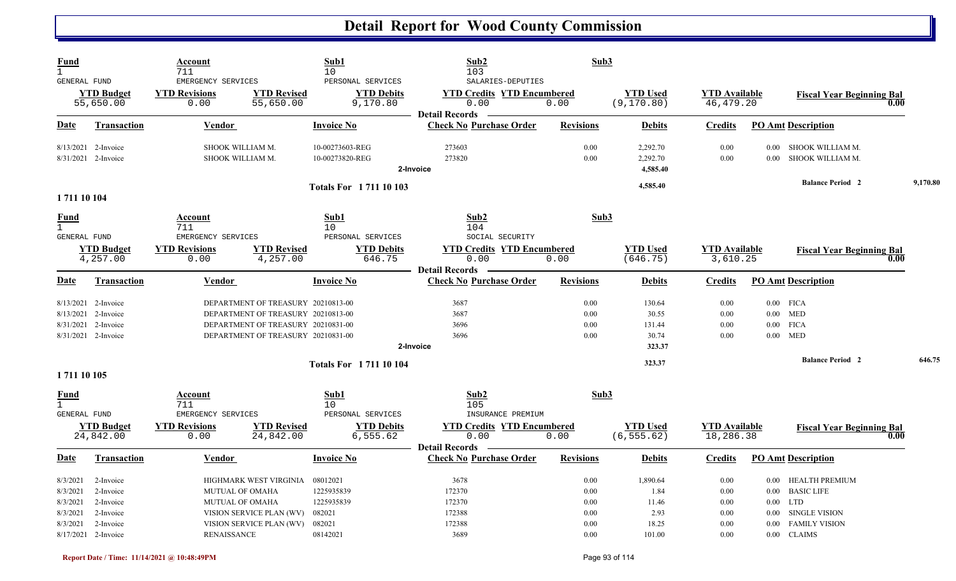| Fund<br>$\mathbf{1}$<br><b>GENERAL FUND</b>                                                                                                      | Account<br>711<br>EMERGENCY SERVICES                                                                                                                 | Sub1<br>10<br>PERSONAL SERVICES                                      | Sub2<br>103<br>SALARIES-DEPUTIES                                      | Sub3                                         |                                                      |                                              |                                                                                                                                                       |          |
|--------------------------------------------------------------------------------------------------------------------------------------------------|------------------------------------------------------------------------------------------------------------------------------------------------------|----------------------------------------------------------------------|-----------------------------------------------------------------------|----------------------------------------------|------------------------------------------------------|----------------------------------------------|-------------------------------------------------------------------------------------------------------------------------------------------------------|----------|
| <b>YTD Budget</b><br>55,650.00                                                                                                                   | <b>YTD Revised</b><br><b>YTD Revisions</b><br>0.00<br>55,650.00                                                                                      | <b>YTD Debits</b><br>9,170.80                                        | <b>YTD Credits YTD Encumbered</b><br>0.00<br><b>Detail Records</b>    | 0.00                                         | <b>YTD</b> Used<br>(9, 170.80)                       | <b>YTD</b> Available<br>46, 479.20           | <b>Fiscal Year Beginning Bal</b>                                                                                                                      | 0.00     |
| Date<br><b>Transaction</b>                                                                                                                       | Vendor                                                                                                                                               | <b>Invoice No</b>                                                    | <b>Check No Purchase Order</b>                                        | <b>Revisions</b>                             | <b>Debits</b>                                        | <b>Credits</b>                               | <b>PO Amt Description</b>                                                                                                                             |          |
| 8/13/2021<br>2-Invoice<br>8/31/2021 2-Invoice                                                                                                    | SHOOK WILLIAM M.<br>SHOOK WILLIAM M.                                                                                                                 | 10-00273603-REG<br>10-00273820-REG                                   | 273603<br>273820<br>2-Invoice                                         | 0.00<br>0.00                                 | 2,292.70<br>2,292.70<br>4,585.40                     | 0.00<br>0.00                                 | SHOOK WILLIAM M.<br>$0.00\,$<br>SHOOK WILLIAM M.<br>0.00                                                                                              |          |
| 1711 10 104                                                                                                                                      |                                                                                                                                                      | <b>Totals For 171110103</b>                                          |                                                                       |                                              | 4,585.40                                             |                                              | <b>Balance Period 2</b>                                                                                                                               | 9,170.80 |
| <b>Fund</b><br>$\mathbf{1}$<br>GENERAL FUND                                                                                                      | Account<br>711<br>EMERGENCY SERVICES                                                                                                                 | Sub1<br>10<br>PERSONAL SERVICES                                      | Sub2<br>104<br>SOCIAL SECURITY                                        | Sub3                                         |                                                      |                                              |                                                                                                                                                       |          |
| <b>YTD Budget</b><br>4,257.00                                                                                                                    | <b>YTD Revisions</b><br><b>YTD Revised</b><br>0.00<br>4,257.00                                                                                       | <b>YTD Debits</b><br>646.75                                          | <b>YTD Credits YTD Encumbered</b><br>0.00<br><b>Detail Records</b>    | 0.00                                         | <b>YTD</b> Used<br>(646.75)                          | <b>YTD</b> Available<br>3,610.25             | <b>Fiscal Year Beginning Bal</b>                                                                                                                      | 0.00     |
| Date<br><b>Transaction</b>                                                                                                                       | <b>Vendor</b>                                                                                                                                        | <b>Invoice No</b>                                                    | <b>Check No Purchase Order</b>                                        | <b>Revisions</b>                             | <b>Debits</b>                                        | <b>Credits</b>                               | <b>PO Amt Description</b>                                                                                                                             |          |
| 8/13/2021 2-Invoice<br>8/13/2021<br>2-Invoice<br>8/31/2021 2-Invoice<br>8/31/2021 2-Invoice                                                      | DEPARTMENT OF TREASURY 20210813-00<br>DEPARTMENT OF TREASURY 20210813-00<br>DEPARTMENT OF TREASURY 20210831-00<br>DEPARTMENT OF TREASURY 20210831-00 |                                                                      | 3687<br>3687<br>3696<br>3696<br>2-Invoice                             | 0.00<br>0.00<br>0.00<br>0.00                 | 130.64<br>30.55<br>131.44<br>30.74<br>323.37         | 0.00<br>0.00<br>0.00<br>0.00                 | $0.00$ FICA<br>$0.00$ MED<br>$0.00$ FICA<br>$0.00$ MED                                                                                                |          |
| 1711 10 105                                                                                                                                      |                                                                                                                                                      | <b>Totals For 171110104</b>                                          |                                                                       |                                              | 323.37                                               |                                              | <b>Balance Period 2</b>                                                                                                                               | 646.75   |
| <b>Fund</b><br>$\mathbf{1}$<br><b>GENERAL FUND</b><br><b>YTD Budget</b>                                                                          | Account<br>711<br>EMERGENCY SERVICES<br><b>YTD Revisions</b><br><b>YTD Revised</b>                                                                   | Sub1<br>10<br>PERSONAL SERVICES<br><b>YTD Debits</b>                 | Sub2<br>105<br>INSURANCE PREMIUM<br><b>YTD Credits YTD Encumbered</b> | Sub3                                         | <b>YTD Used</b>                                      | <b>YTD</b> Available                         | <b>Fiscal Year Beginning Bal</b>                                                                                                                      |          |
| 24,842.00<br>Date<br><b>Transaction</b>                                                                                                          | 0.00<br>24,842.00<br><b>Vendor</b>                                                                                                                   | 6,555.62<br><b>Invoice No</b>                                        | 0.00<br><b>Detail Records</b><br><b>Check No Purchase Order</b>       | 0.00<br><b>Revisions</b>                     | (6, 555.62)<br><b>Debits</b>                         | 18,286.38<br><b>Credits</b>                  | <b>PO Amt Description</b>                                                                                                                             | 0.00     |
| 8/3/2021<br>2-Invoice<br>8/3/2021<br>2-Invoice<br>2-Invoice<br>8/3/2021<br>8/3/2021<br>2-Invoice<br>8/3/2021<br>2-Invoice<br>8/17/2021 2-Invoice | HIGHMARK WEST VIRGINIA<br>MUTUAL OF OMAHA<br>MUTUAL OF OMAHA<br>VISION SERVICE PLAN (WV)<br>VISION SERVICE PLAN (WV)<br><b>RENAISSANCE</b>           | 08012021<br>1225935839<br>1225935839<br>082021<br>082021<br>08142021 | 3678<br>172370<br>172370<br>172388<br>172388<br>3689                  | 0.00<br>0.00<br>0.00<br>0.00<br>0.00<br>0.00 | 1,890.64<br>1.84<br>11.46<br>2.93<br>18.25<br>101.00 | 0.00<br>0.00<br>0.00<br>0.00<br>0.00<br>0.00 | 0.00 HEALTH PREMIUM<br><b>BASIC LIFE</b><br>$0.00\,$<br>$0.00$ LTD<br><b>SINGLE VISION</b><br>$0.00\,$<br><b>FAMILY VISION</b><br>0.00<br>0.00 CLAIMS |          |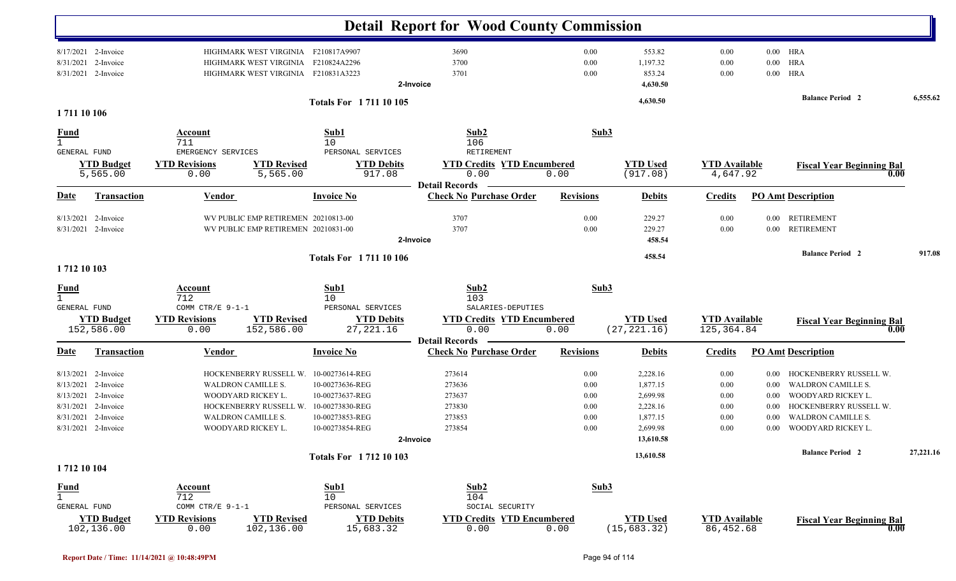|                                                           |                                                                                                                              |                                                                                             |                                                                                         |                                                                                                                | <b>Detail Report for Wood County Commission</b>                             |                                              |                                                                                   |                                              |                                                              |                                                                                                                                                        |           |
|-----------------------------------------------------------|------------------------------------------------------------------------------------------------------------------------------|---------------------------------------------------------------------------------------------|-----------------------------------------------------------------------------------------|----------------------------------------------------------------------------------------------------------------|-----------------------------------------------------------------------------|----------------------------------------------|-----------------------------------------------------------------------------------|----------------------------------------------|--------------------------------------------------------------|--------------------------------------------------------------------------------------------------------------------------------------------------------|-----------|
| 8/31/2021                                                 | 8/17/2021 2-Invoice<br>2-Invoice<br>8/31/2021 2-Invoice                                                                      |                                                                                             | HIGHMARK WEST VIRGINIA F210817A9907<br>HIGHMARK WEST VIRGINIA<br>HIGHMARK WEST VIRGINIA | F210824A2296<br>F210831A3223                                                                                   | 3690<br>3700<br>3701<br>2-Invoice                                           | 0.00<br>0.00<br>0.00                         | 553.82<br>1,197.32<br>853.24<br>4,630.50                                          | 0.00<br>0.00<br>0.00                         | $0.00\,$<br>$0.00\,$                                         | $0.00$ HRA<br><b>HRA</b><br>HRA                                                                                                                        |           |
| 1711 10 106                                               |                                                                                                                              |                                                                                             |                                                                                         | <b>Totals For 171110105</b>                                                                                    |                                                                             |                                              | 4,630.50                                                                          |                                              |                                                              | <b>Balance Period 2</b>                                                                                                                                | 6,555.62  |
| <b>Fund</b><br>$\mathbf{1}$                               |                                                                                                                              | <b>Account</b><br>711                                                                       |                                                                                         | Sub1<br>10                                                                                                     | Sub2<br>106                                                                 | Sub3                                         |                                                                                   |                                              |                                                              |                                                                                                                                                        |           |
| GENERAL FUND                                              | <b>YTD Budget</b><br>5,565.00                                                                                                | EMERGENCY SERVICES<br><b>YTD Revisions</b><br>0.00                                          | <b>YTD Revised</b><br>5,565.00                                                          | PERSONAL SERVICES<br><b>YTD Debits</b><br>917.08                                                               | RETIREMENT<br><b>YTD Credits YTD Encumbered</b><br>0.00                     | 0.00                                         | <b>YTD Used</b><br>(917.08)                                                       | <b>YTD Available</b><br>4,647.92             |                                                              | <b>Fiscal Year Beginning Bal</b><br>0.00                                                                                                               |           |
| <b>Date</b>                                               | <b>Transaction</b>                                                                                                           | <b>Vendor</b>                                                                               |                                                                                         | <b>Invoice No</b>                                                                                              | <b>Detail Records</b><br><b>Check No Purchase Order</b>                     | <b>Revisions</b>                             | <b>Debits</b>                                                                     | <b>Credits</b>                               |                                                              | <b>PO Amt Description</b>                                                                                                                              |           |
| 8/13/2021                                                 | 2-Invoice<br>8/31/2021 2-Invoice                                                                                             |                                                                                             | WV PUBLIC EMP RETIREMEN 20210813-00<br>WV PUBLIC EMP RETIREMEN 20210831-00              |                                                                                                                | 3707<br>3707<br>2-Invoice                                                   | 0.00<br>0.00                                 | 229.27<br>229.27<br>458.54                                                        | 0.00<br>0.00                                 | $0.00\,$<br>$0.00\,$                                         | <b>RETIREMENT</b><br><b>RETIREMENT</b>                                                                                                                 |           |
| 1712 10 103                                               |                                                                                                                              |                                                                                             |                                                                                         | Totals For 1711 10 106                                                                                         |                                                                             |                                              | 458.54                                                                            |                                              |                                                              | <b>Balance Period 2</b>                                                                                                                                | 917.08    |
| <b>Fund</b><br>$\mathbf{1}$<br>GENERAL FUND               |                                                                                                                              | Account<br>712<br>COMM CTR/E 9-1-1                                                          |                                                                                         | Sub1<br>10<br>PERSONAL SERVICES                                                                                | Sub2<br>103<br>SALARIES-DEPUTIES                                            | Sub3                                         |                                                                                   |                                              |                                                              |                                                                                                                                                        |           |
|                                                           | <b>YTD Budget</b><br>152,586.00                                                                                              | <b>YTD Revisions</b><br>0.00                                                                | <b>YTD Revised</b><br>152,586.00                                                        | <b>YTD Debits</b><br>27, 221.16                                                                                | <b>YTD Credits YTD Encumbered</b><br>0.00                                   | 0.00                                         | <b>YTD Used</b><br>(27, 221.16)                                                   | <b>YTD Available</b><br>125,364.84           |                                                              | <b>Fiscal Year Beginning Bal</b><br>0.00                                                                                                               |           |
| <b>Date</b>                                               | Transaction                                                                                                                  | <b>Vendor</b>                                                                               |                                                                                         | <b>Invoice No</b>                                                                                              | <b>Detail Records</b><br><b>Check No Purchase Order</b>                     | <b>Revisions</b>                             | <b>Debits</b>                                                                     | <b>Credits</b>                               |                                                              | <b>PO</b> Amt Description                                                                                                                              |           |
| 8/13/2021                                                 | 8/13/2021 2-Invoice<br>8/13/2021 2-Invoice<br>2-Invoice<br>8/31/2021 2-Invoice<br>8/31/2021 2-Invoice<br>8/31/2021 2-Invoice | WALDRON CAMILLE S.<br>WOODYARD RICKEY L.<br><b>WALDRON CAMILLE S.</b><br>WOODYARD RICKEY L. | HOCKENBERRY RUSSELL W.<br>HOCKENBERRY RUSSELL W.                                        | 10-00273614-REG<br>10-00273636-REG<br>10-00273637-REG<br>10-00273830-REG<br>10-00273853-REG<br>10-00273854-REG | 273614<br>273636<br>273637<br>273830<br>273853<br>273854<br>2-Invoice       | 0.00<br>0.00<br>0.00<br>0.00<br>0.00<br>0.00 | 2,228.16<br>1,877.15<br>2,699.98<br>2,228.16<br>1,877.15<br>2,699.98<br>13,610.58 | 0.00<br>0.00<br>0.00<br>0.00<br>0.00<br>0.00 | $0.00\,$<br>$0.00\,$<br>$0.00\,$<br>$0.00\,$<br>0.00<br>0.00 | HOCKENBERRY RUSSELL W.<br><b>WALDRON CAMILLE S.</b><br>WOODYARD RICKEY L.<br>HOCKENBERRY RUSSELL W.<br><b>WALDRON CAMILLE S.</b><br>WOODYARD RICKEY L. |           |
|                                                           |                                                                                                                              |                                                                                             |                                                                                         | Totals For 1712 10 103                                                                                         |                                                                             |                                              | 13,610.58                                                                         |                                              |                                                              | <b>Balance Period 2</b>                                                                                                                                | 27,221.16 |
| 1712 10 104<br><b>Fund</b><br>$\mathbf 1$<br>GENERAL FUND | <b>YTD Budget</b><br>102,136.00                                                                                              | Account<br>712<br>COMM CTR/E $9-1-1$<br><b>YTD Revisions</b><br>0.00                        | <b>YTD Revised</b><br>102,136.00                                                        | Sub1<br>10<br>PERSONAL SERVICES<br><b>YTD Debits</b><br>15,683.32                                              | Sub2<br>104<br>SOCIAL SECURITY<br><b>YTD Credits YTD Encumbered</b><br>0.00 | Sub3<br>0.00                                 | <b>YTD Used</b><br>(15, 683.32)                                                   | <b>YTD</b> Available<br>86,452.68            |                                                              | <b>Fiscal Year Beginning Bal</b><br>0.00                                                                                                               |           |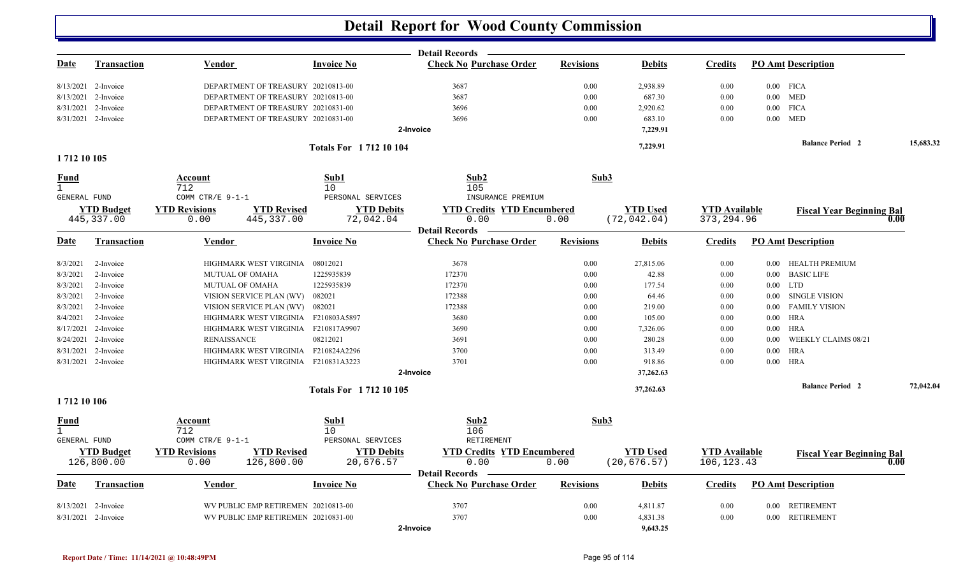|                                     |                                  |                                                                   |                                      | <b>Detail Records</b>                     |                  |                                 |                                     |            |                                  |           |
|-------------------------------------|----------------------------------|-------------------------------------------------------------------|--------------------------------------|-------------------------------------------|------------------|---------------------------------|-------------------------------------|------------|----------------------------------|-----------|
| Date                                | <b>Transaction</b>               | <b>Vendor</b>                                                     | <b>Invoice No</b>                    | <b>Check No Purchase Order</b>            | <b>Revisions</b> | <b>Debits</b>                   | <b>Credits</b>                      |            | <b>PO Amt Description</b>        |           |
|                                     | 8/13/2021 2-Invoice              | DEPARTMENT OF TREASURY 20210813-00                                |                                      | 3687                                      | 0.00             | 2,938.89                        | 0.00                                |            | $0.00$ FICA                      |           |
|                                     | 8/13/2021 2-Invoice              | DEPARTMENT OF TREASURY 20210813-00                                |                                      | 3687                                      | 0.00             | 687.30                          | 0.00                                |            | $0.00$ MED                       |           |
|                                     | 8/31/2021 2-Invoice              | DEPARTMENT OF TREASURY 20210831-00                                |                                      | 3696                                      | 0.00             | 2,920.62                        | 0.00                                |            | $0.00$ FICA                      |           |
|                                     | 8/31/2021 2-Invoice              | DEPARTMENT OF TREASURY 20210831-00                                |                                      | 3696                                      | 0.00             | 683.10                          | 0.00                                |            | $0.00$ MED                       |           |
|                                     |                                  |                                                                   |                                      | 2-Invoice                                 |                  | 7,229.91                        |                                     |            |                                  |           |
|                                     |                                  |                                                                   | <b>Totals For 171210104</b>          |                                           |                  | 7,229.91                        |                                     |            | <b>Balance Period</b> 2          | 15,683.32 |
| 1712 10 105                         |                                  |                                                                   |                                      |                                           |                  |                                 |                                     |            |                                  |           |
| <b>Fund</b>                         |                                  | Account                                                           | Sub1                                 | Sub2                                      | Sub3             |                                 |                                     |            |                                  |           |
| $\mathbf{1}$<br>GENERAL FUND        |                                  | 712<br>COMM CTR/E $9-1-1$                                         | 10<br>PERSONAL SERVICES              | 105<br>INSURANCE PREMIUM                  |                  |                                 |                                     |            |                                  |           |
|                                     |                                  |                                                                   |                                      |                                           |                  |                                 |                                     |            |                                  |           |
|                                     | <b>YTD Budget</b><br>445, 337.00 | <b>YTD Revised</b><br><b>YTD Revisions</b><br>0.00<br>445, 337.00 | <b>YTD Debits</b><br>72,042.04       | <b>YTD Credits YTD Encumbered</b><br>0.00 | 0.00             | <b>YTD</b> Used<br>(72, 042.04) | <b>YTD</b> Available<br>373, 294.96 |            | <b>Fiscal Year Beginning Bal</b> | 0.00      |
|                                     |                                  |                                                                   |                                      | <b>Detail Records</b>                     |                  |                                 |                                     |            |                                  |           |
| Date                                | Transaction                      | Vendor                                                            | <b>Invoice No</b>                    | <b>Check No Purchase Order</b>            | <b>Revisions</b> | <b>Debits</b>                   | <b>Credits</b>                      |            | <b>PO Amt Description</b>        |           |
| 8/3/2021                            | 2-Invoice                        | HIGHMARK WEST VIRGINIA                                            | 08012021                             | 3678                                      | 0.00             | 27,815.06                       | 0.00                                |            | 0.00 HEALTH PREMIUM              |           |
| 8/3/2021                            | 2-Invoice                        | <b>MUTUAL OF OMAHA</b>                                            | 1225935839                           | 172370                                    | 0.00             | 42.88                           | 0.00                                | $0.00\,$   | <b>BASIC LIFE</b>                |           |
| 8/3/2021                            | 2-Invoice                        | MUTUAL OF OMAHA                                                   | 1225935839                           | 172370                                    | 0.00             | 177.54                          | 0.00                                | $0.00$ LTD |                                  |           |
| 8/3/2021                            | 2-Invoice                        | VISION SERVICE PLAN (WV)                                          | 082021                               | 172388                                    | 0.00             | 64.46                           | 0.00                                | $0.00\,$   | SINGLE VISION                    |           |
| 8/3/2021                            | 2-Invoice                        | VISION SERVICE PLAN (WV)                                          | 082021                               | 172388                                    | 0.00             | 219.00                          | 0.00                                | $0.00\,$   | <b>FAMILY VISION</b>             |           |
| 8/4/2021                            | 2-Invoice                        | HIGHMARK WEST VIRGINIA                                            | F210803A5897                         | 3680                                      | 0.00             | 105.00                          | 0.00                                | $0.00\,$   | HRA                              |           |
|                                     | 8/17/2021 2-Invoice              | HIGHMARK WEST VIRGINIA                                            | F210817A9907                         | 3690                                      | 0.00             | 7,326.06                        | 0.00                                | $0.00\,$   | <b>HRA</b>                       |           |
|                                     | 8/24/2021 2-Invoice              | <b>RENAISSANCE</b>                                                | 08212021                             | 3691                                      | 0.00             | 280.28                          | 0.00                                | 0.00       | <b>WEEKLY CLAIMS 08/21</b>       |           |
| 8/31/2021                           | 2-Invoice                        | HIGHMARK WEST VIRGINIA F210824A2296                               |                                      | 3700                                      | 0.00             | 313.49                          | 0.00                                | $0.00\,$   | <b>HRA</b>                       |           |
|                                     | 8/31/2021 2-Invoice              | HIGHMARK WEST VIRGINIA F210831A3223                               |                                      | 3701                                      | 0.00             | 918.86                          | 0.00                                |            | $0.00$ HRA                       |           |
|                                     |                                  |                                                                   |                                      | 2-Invoice                                 |                  | 37,262.63                       |                                     |            |                                  |           |
|                                     |                                  |                                                                   | <b>Totals For 171210105</b>          |                                           |                  | 37,262.63                       |                                     |            | <b>Balance Period</b> 2          | 72,042.04 |
| 1712 10 106                         |                                  |                                                                   |                                      |                                           |                  |                                 |                                     |            |                                  |           |
| <b>Fund</b>                         |                                  | <b>Account</b>                                                    | Sub1                                 | Sub2                                      | Sub3             |                                 |                                     |            |                                  |           |
| $\mathbf{1}$<br><b>GENERAL FUND</b> |                                  | 712<br>COMM CTR/E 9-1-1                                           | 10 <sup>°</sup><br>PERSONAL SERVICES | 106<br><b>RETIREMENT</b>                  |                  |                                 |                                     |            |                                  |           |
|                                     |                                  |                                                                   |                                      |                                           |                  |                                 |                                     |            |                                  |           |
|                                     | <b>YTD Budget</b>                | <b>YTD Revisions</b><br><b>YTD Revised</b>                        | <b>YTD Debits</b>                    | <b>YTD Credits YTD Encumbered</b>         |                  | <b>YTD</b> Used                 | <b>YTD Available</b>                |            | <b>Fiscal Year Beginning Bal</b> |           |
|                                     | 126,800.00                       | 126,800.00<br>0.00                                                | 20,676.57                            | 0.00<br><b>Detail Records</b>             | 0.00             | (20, 676.57)                    | 106, 123. 43                        |            |                                  | 0.00      |
| Date                                | <b>Transaction</b>               | Vendor                                                            | <b>Invoice No</b>                    | <b>Check No Purchase Order</b>            | <b>Revisions</b> | <b>Debits</b>                   | <b>Credits</b>                      |            | <b>PO Amt Description</b>        |           |
|                                     | 8/13/2021 2-Invoice              | WV PUBLIC EMP RETIREMEN 20210813-00                               |                                      | 3707                                      | 0.00             | 4,811.87                        | 0.00                                |            | 0.00 RETIREMENT                  |           |
|                                     | 8/31/2021 2-Invoice              | WV PUBLIC EMP RETIREMEN 20210831-00                               |                                      | 3707                                      | 0.00             | 4,831.38                        | 0.00                                |            | 0.00 RETIREMENT                  |           |
|                                     |                                  |                                                                   |                                      | 2-Invoice                                 |                  | 9,643.25                        |                                     |            |                                  |           |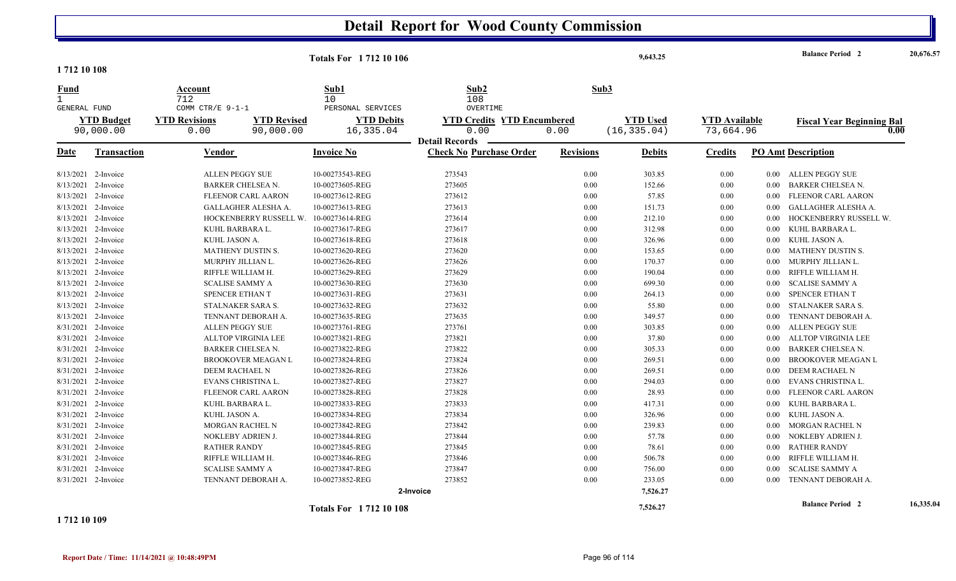|                                      |                                |                                                                 | <b>Totals For 171210106</b>     |                                                                    |                  | 9,643.25                        |                                   |          | <b>Balance Period 2</b>                  | 20,676.57 |
|--------------------------------------|--------------------------------|-----------------------------------------------------------------|---------------------------------|--------------------------------------------------------------------|------------------|---------------------------------|-----------------------------------|----------|------------------------------------------|-----------|
| 1712 10 108                          |                                |                                                                 |                                 |                                                                    |                  |                                 |                                   |          |                                          |           |
| Fund<br>$\mathbf{1}$<br>GENERAL FUND |                                | Account<br>712<br>COMM CTR/E 9-1-1                              | Sub1<br>10<br>PERSONAL SERVICES | Sub2<br>108<br>OVERTIME                                            |                  | Sub3                            |                                   |          |                                          |           |
|                                      | <b>YTD Budget</b><br>90,000.00 | <b>YTD Revised</b><br><b>YTD Revisions</b><br>90,000.00<br>0.00 | <b>YTD Debits</b><br>16,335.04  | <b>YTD Credits YTD Encumbered</b><br>0.00<br><b>Detail Records</b> | 0.00             | <b>YTD Used</b><br>(16, 335.04) | <b>YTD Available</b><br>73,664.96 |          | <b>Fiscal Year Beginning Bal</b><br>0.00 |           |
| Date                                 | <b>Transaction</b>             | Vendor                                                          | <b>Invoice No</b>               | <b>Check No Purchase Order</b>                                     | <b>Revisions</b> | <b>Debits</b>                   | <b>Credits</b>                    |          | <b>PO Amt Description</b>                |           |
|                                      | 8/13/2021 2-Invoice            | <b>ALLEN PEGGY SUE</b>                                          | 10-00273543-REG                 | 273543                                                             | 0.00             | 303.85                          | 0.00                              | 0.00     | ALLEN PEGGY SUE                          |           |
|                                      | 8/13/2021 2-Invoice            | <b>BARKER CHELSEA N.</b>                                        | 10-00273605-REG                 | 273605                                                             | 0.00             | 152.66                          | 0.00                              | 0.00     | <b>BARKER CHELSEA N.</b>                 |           |
|                                      | 8/13/2021 2-Invoice            | <b>FLEENOR CARL AARON</b>                                       | 10-00273612-REG                 | 273612                                                             | 0.00             | 57.85                           | 0.00                              | 0.00     | FLEENOR CARL AARON                       |           |
| 8/13/2021                            | 2-Invoice                      | GALLAGHER ALESHA A.                                             | 10-00273613-REG                 | 273613                                                             | 0.00             | 151.73                          | 0.00                              | 0.00     | GALLAGHER ALESHA A.                      |           |
|                                      | 8/13/2021 2-Invoice            | HOCKENBERRY RUSSELL W.                                          | 10-00273614-REG                 | 273614                                                             | 0.00             | 212.10                          | 0.00                              | 0.00     | HOCKENBERRY RUSSELL W.                   |           |
|                                      | 8/13/2021 2-Invoice            | KUHL BARBARA L.                                                 | 10-00273617-REG                 | 273617                                                             | 0.00             | 312.98                          | 0.00                              | 0.00     | KUHL BARBARA L.                          |           |
|                                      | 8/13/2021 2-Invoice            | KUHL JASON A.                                                   | 10-00273618-REG                 | 273618                                                             | 0.00             | 326.96                          | 0.00                              | 0.00     | KUHL JASON A.                            |           |
| 8/13/2021                            | 2-Invoice                      | MATHENY DUSTIN S.                                               | 10-00273620-REG                 | 273620                                                             | 0.00             | 153.65                          | 0.00                              | 0.00     | <b>MATHENY DUSTIN S.</b>                 |           |
|                                      | 8/13/2021 2-Invoice            | MURPHY JILLIAN L.                                               | 10-00273626-REG                 | 273626                                                             | 0.00             | 170.37                          | 0.00                              | 0.00     | MURPHY JILLIAN L.                        |           |
|                                      | 8/13/2021 2-Invoice            | RIFFLE WILLIAM H.                                               | 10-00273629-REG                 | 273629                                                             | 0.00             | 190.04                          | 0.00                              | 0.00     | RIFFLE WILLIAM H.                        |           |
|                                      | 8/13/2021 2-Invoice            | <b>SCALISE SAMMY A</b>                                          | 10-00273630-REG                 | 273630                                                             | 0.00             | 699.30                          | 0.00                              | 0.00     | <b>SCALISE SAMMY A</b>                   |           |
|                                      | 8/13/2021 2-Invoice            | <b>SPENCER ETHAN T</b>                                          | 10-00273631-REG                 | 273631                                                             | 0.00             | 264.13                          | 0.00                              | 0.00     | SPENCER ETHAN T                          |           |
|                                      | 8/13/2021 2-Invoice            | STALNAKER SARA S.                                               | 10-00273632-REG                 | 273632                                                             | 0.00             | 55.80                           | 0.00                              | 0.00     | STALNAKER SARA S.                        |           |
|                                      | 8/13/2021 2-Invoice            | TENNANT DEBORAH A.                                              | 10-00273635-REG                 | 273635                                                             | 0.00             | 349.57                          | 0.00                              | 0.00     | TENNANT DEBORAH A.                       |           |
|                                      | 8/31/2021 2-Invoice            | <b>ALLEN PEGGY SUE</b>                                          | 10-00273761-REG                 | 273761                                                             | 0.00             | 303.85                          | 0.00                              | 0.00     | ALLEN PEGGY SUE                          |           |
| 8/31/2021                            | 2-Invoice                      | <b>ALLTOP VIRGINIA LEE</b>                                      | 10-00273821-REG                 | 273821                                                             | 0.00             | 37.80                           | 0.00                              | 0.00     | <b>ALLTOP VIRGINIA LEE</b>               |           |
|                                      | 8/31/2021 2-Invoice            | <b>BARKER CHELSEA N.</b>                                        | 10-00273822-REG                 | 273822                                                             | 0.00             | 305.33                          | 0.00                              | 0.00     | <b>BARKER CHELSEA N.</b>                 |           |
|                                      | 8/31/2021 2-Invoice            | <b>BROOKOVER MEAGAN L</b>                                       | 10-00273824-REG                 | 273824                                                             | 0.00             | 269.51                          | 0.00                              | 0.00     | <b>BROOKOVER MEAGAN L</b>                |           |
|                                      | 8/31/2021 2-Invoice            | DEEM RACHAEL N                                                  | 10-00273826-REG                 | 273826                                                             | 0.00             | 269.51                          | 0.00                              | 0.00     | DEEM RACHAEL N                           |           |
|                                      | 8/31/2021 2-Invoice            | EVANS CHRISTINA L.                                              | 10-00273827-REG                 | 273827                                                             | 0.00             | 294.03                          | 0.00                              | 0.00     | EVANS CHRISTINA L.                       |           |
|                                      | 8/31/2021 2-Invoice            | FLEENOR CARL AARON                                              | 10-00273828-REG                 | 273828                                                             | 0.00             | 28.93                           | 0.00                              | 0.00     | FLEENOR CARL AARON                       |           |
|                                      | 8/31/2021 2-Invoice            | KUHL BARBARA L.                                                 | 10-00273833-REG                 | 273833                                                             | 0.00             | 417.31                          | 0.00                              | 0.00     | KUHL BARBARA L.                          |           |
|                                      | 8/31/2021 2-Invoice            | KUHL JASON A.                                                   | 10-00273834-REG                 | 273834                                                             | 0.00             | 326.96                          | 0.00                              | 0.00     | KUHL JASON A.                            |           |
|                                      | 8/31/2021 2-Invoice            | MORGAN RACHEL N                                                 | 10-00273842-REG                 | 273842                                                             | 0.00             | 239.83                          | 0.00                              | 0.00     | MORGAN RACHEL N                          |           |
|                                      | 8/31/2021 2-Invoice            | NOKLEBY ADRIEN J.                                               | 10-00273844-REG                 | 273844                                                             | 0.00             | 57.78                           | 0.00                              | 0.00     | NOKLEBY ADRIEN J.                        |           |
|                                      | 8/31/2021 2-Invoice            | <b>RATHER RANDY</b>                                             | 10-00273845-REG                 | 273845                                                             | 0.00             | 78.61                           | 0.00                              | $0.00\,$ | <b>RATHER RANDY</b>                      |           |
|                                      | 8/31/2021 2-Invoice            | RIFFLE WILLIAM H.                                               | 10-00273846-REG                 | 273846                                                             | 0.00             | 506.78                          | 0.00                              | 0.00     | RIFFLE WILLIAM H.                        |           |
|                                      | 8/31/2021 2-Invoice            | <b>SCALISE SAMMY A</b>                                          | 10-00273847-REG                 | 273847                                                             | 0.00             | 756.00                          | 0.00                              | 0.00     | <b>SCALISE SAMMY A</b>                   |           |
|                                      | 8/31/2021 2-Invoice            | TENNANT DEBORAH A.                                              | 10-00273852-REG                 | 273852                                                             | 0.00             | 233.05                          | 0.00                              | 0.00     | TENNANT DEBORAH A.                       |           |
|                                      |                                |                                                                 |                                 | 2-Invoice                                                          |                  | 7,526.27                        |                                   |          |                                          |           |
|                                      |                                |                                                                 | <b>Totals For 171210108</b>     |                                                                    |                  | 7,526.27                        |                                   |          | <b>Balance Period 2</b>                  | 16,335.04 |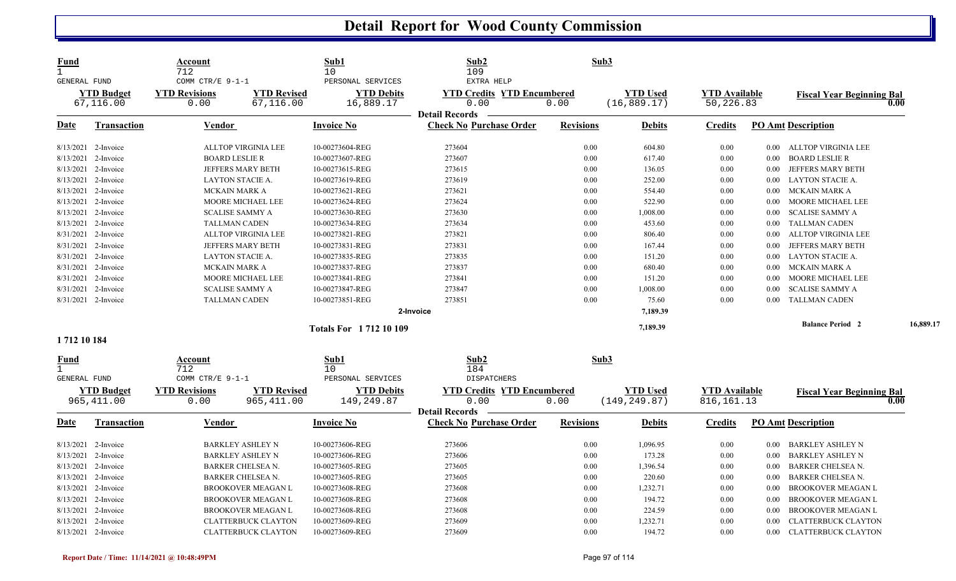| <b>YTD Budget</b><br><b>YTD Revisions</b><br><b>YTD Revised</b><br><b>YTD Debits</b><br><b>YTD Credits YTD Encumbered</b><br><b>YTD Used</b><br><b>YTD Available</b><br><b>Fiscal Year Beginning Bal</b><br>67,116.00<br>67,116.00<br>16,889.17<br>0.00<br>0.00<br>(16, 889.17)<br>50,226.83<br>0.00<br>0.00<br><b>Detail Records</b><br><b>Check No Purchase Order</b><br><b>Revisions</b><br><b>PO Amt Description</b><br><b>Invoice No</b><br><b>Credits</b><br>Date<br>Transaction<br>Vendor<br><b>Debits</b><br>8/13/2021 2-Invoice<br>ALLTOP VIRGINIA LEE<br>10-00273604-REG<br>273604<br>0.00<br>604.80<br>0.00<br>ALLTOP VIRGINIA LEE<br>$0.00\,$<br>273607<br>0.00<br>8/13/2021 2-Invoice<br><b>BOARD LESLIE R</b><br>10-00273607-REG<br>617.40<br>0.00<br>$0.00\,$<br>BOARD LESLIE R<br>8/13/2021<br>10-00273615-REG<br>273615<br>0.00<br>136.05<br><b>JEFFERS MARY BETH</b><br>2-Invoice<br>JEFFERS MARY BETH<br>0.00<br>0.00<br>8/13/2021 2-Invoice<br>273619<br>0.00<br>252.00<br><b>LAYTON STACIE A.</b><br>LAYTON STACIE A.<br>10-00273619-REG<br>0.00<br>0.00<br>273621<br>0.00<br>8/13/2021 2-Invoice<br>MCKAIN MARK A<br>10-00273621-REG<br>554.40<br>0.00<br>MCKAIN MARK A<br>$0.00\,$<br>10-00273624-REG<br>273624<br>0.00<br>522.90<br>8/13/2021<br>2-Invoice<br>MOORE MICHAEL LEE<br>0.00<br>MOORE MICHAEL LEE<br>0.00<br>0.00<br>8/13/2021 2-Invoice<br><b>SCALISE SAMMY A</b><br>10-00273630-REG<br>273630<br>1,008.00<br>0.00<br>0.00<br><b>SCALISE SAMMY A</b><br>8/13/2021 2-Invoice<br><b>TALLMAN CADEN</b><br>10-00273634-REG<br>273634<br>0.00<br>453.60<br>0.00<br><b>TALLMAN CADEN</b><br>$0.00\,$<br>10-00273821-REG<br>273821<br>0.00<br>ALLTOP VIRGINIA LEE<br>8/31/2021 2-Invoice<br><b>ALLTOP VIRGINIA LEE</b><br>806.40<br>0.00<br>0.00<br>8/31/2021 2-Invoice<br><b>JEFFERS MARY BETH</b><br>10-00273831-REG<br>273831<br>0.00<br>167.44<br>0.00<br>JEFFERS MARY BETH<br>$0.00\,$<br>8/31/2021 2-Invoice<br>10-00273835-REG<br>273835<br>0.00<br>151.20<br>LAYTON STACIE A.<br>LAYTON STACIE A.<br>0.00<br>$0.00\,$<br>10-00273837-REG<br>273837<br>8/31/2021 2-Invoice<br>MCKAIN MARK A<br>0.00<br>680.40<br>MCKAIN MARK A<br>0.00<br>$0.00\,$<br>8/31/2021 2-Invoice<br>10-00273841-REG<br>273841<br>0.00<br>MOORE MICHAEL LEE<br>MOORE MICHAEL LEE<br>151.20<br>0.00<br>0.00<br>8/31/2021 2-Invoice<br>10-00273847-REG<br>273847<br>0.00<br><b>SCALISE SAMMY A</b><br><b>SCALISE SAMMY A</b><br>1,008.00<br>0.00<br>0.00<br>8/31/2021 2-Invoice<br>10-00273851-REG<br>273851<br>0.00<br><b>TALLMAN CADEN</b><br><b>TALLMAN CADEN</b><br>75.60<br>0.00<br>0.00<br>2-Invoice<br>7,189.39<br><b>Balance Period 2</b><br>7,189.39<br><b>Totals For 171210109</b><br>1712 10 184<br>$\mathbf{Sub1}$<br>Sub2<br>Sub3<br>Account<br><u>Fund</u><br>712<br>$\mathbf{1}$<br>10<br>184<br>COMM CTR/E 9-1-1<br>PERSONAL SERVICES<br><b>GENERAL FUND</b><br><b>DISPATCHERS</b><br><b>YTD Budget</b><br><b>YTD Revisions</b><br><b>YTD Revised</b><br><b>YTD Debits</b><br><b>YTD Credits YTD Encumbered</b><br><b>YTD Used</b><br><b>YTD Available</b><br><b>Fiscal Year Beginning Bal</b><br>0.00<br>965, 411.00<br>965, 411.00<br>149,249.87<br>(149, 249.87)<br>816, 161. 13<br>0.00<br>0.00<br>0.00<br><b>Detail Records</b><br><b>Check No Purchase Order</b><br><b>Revisions</b><br><b>PO Amt Description</b><br>Transaction<br><b>Vendor</b><br><b>Invoice No</b><br><b>Debits</b><br><b>Credits</b><br>Date<br>273606<br>8/13/2021 2-Invoice<br><b>BARKLEY ASHLEY N</b><br>10-00273606-REG<br>0.00<br>1,096.95<br>0.00<br>BARKLEY ASHLEY N<br>$0.00\,$<br>0.00<br>8/13/2021<br><b>BARKLEY ASHLEY N</b><br>10-00273606-REG<br>273606<br>173.28<br>0.00<br><b>BARKLEY ASHLEY N</b><br>2-Invoice<br>$0.00\,$<br>8/13/2021 2-Invoice<br>10-00273605-REG<br>273605<br>0.00<br>1,396.54<br><b>BARKER CHELSEA N.</b><br>BARKER CHELSEA N.<br>0.00<br>$0.00\,$<br>8/13/2021 2-Invoice<br>10-00273605-REG<br>273605<br>0.00<br>220.60<br><b>BARKER CHELSEA N.</b><br><b>BARKER CHELSEA N.</b><br>0.00<br>0.00<br>8/13/2021<br><b>BROOKOVER MEAGAN L</b><br>10-00273608-REG<br>273608<br>0.00<br>1,232.71<br><b>BROOKOVER MEAGAN L</b><br>2-Invoice<br>0.00<br>0.00<br>8/13/2021 2-Invoice<br>10-00273608-REG<br>0.00<br>194.72<br><b>BROOKOVER MEAGAN L</b><br>273608<br>0.00<br>0.00<br><b>BROOKOVER MEAGAN L</b><br>8/13/2021 2-Invoice<br>10-00273608-REG<br>273608<br>0.00<br>224.59<br><b>BROOKOVER MEAGAN L</b><br>0.00<br><b>BROOKOVER MEAGAN L</b><br>0.00<br>8/13/2021<br><b>CLATTERBUCK CLAYTON</b><br>10-00273609-REG<br>273609<br>0.00<br>1,232.71<br><b>CLATTERBUCK CLAYTON</b><br>2-Invoice<br>0.00<br>0.00<br>8/13/2021 2-Invoice<br><b>CLATTERBUCK CLAYTON</b> | <u>Fund</u><br>$\mathbf{1}$<br><b>GENERAL FUND</b> | Account<br>712<br>COMM CTR/E 9-1-1 | Sub1<br>10<br>PERSONAL SERVICES | Sub2<br>109<br>EXTRA HELP |      | Sub3   |      |          |                            |           |
|-------------------------------------------------------------------------------------------------------------------------------------------------------------------------------------------------------------------------------------------------------------------------------------------------------------------------------------------------------------------------------------------------------------------------------------------------------------------------------------------------------------------------------------------------------------------------------------------------------------------------------------------------------------------------------------------------------------------------------------------------------------------------------------------------------------------------------------------------------------------------------------------------------------------------------------------------------------------------------------------------------------------------------------------------------------------------------------------------------------------------------------------------------------------------------------------------------------------------------------------------------------------------------------------------------------------------------------------------------------------------------------------------------------------------------------------------------------------------------------------------------------------------------------------------------------------------------------------------------------------------------------------------------------------------------------------------------------------------------------------------------------------------------------------------------------------------------------------------------------------------------------------------------------------------------------------------------------------------------------------------------------------------------------------------------------------------------------------------------------------------------------------------------------------------------------------------------------------------------------------------------------------------------------------------------------------------------------------------------------------------------------------------------------------------------------------------------------------------------------------------------------------------------------------------------------------------------------------------------------------------------------------------------------------------------------------------------------------------------------------------------------------------------------------------------------------------------------------------------------------------------------------------------------------------------------------------------------------------------------------------------------------------------------------------------------------------------------------------------------------------------------------------------------------------------------------------------------------------------------------------------------------------------------------------------------------------------------------------------------------------------------------------------------------------------------------------------------------------------------------------------------------------------------------------------------------------------------------------------------------------------------------------------------------------------------------------------------------------------------------------------------------------------------------------------------------------------------------------------------------------------------------------------------------------------------------------------------------------------------------------------------------------------------------------------------------------------------------------------------------------------------------------------------------------------------------------------------------------------------------------------------------------------------------------------------------------------------------------------------------------------------------------------------------------------------------------------------------------------------------------------------------------------------------------------------------------------------------------------------------------------------------------------------------------------------------------------------|----------------------------------------------------|------------------------------------|---------------------------------|---------------------------|------|--------|------|----------|----------------------------|-----------|
|                                                                                                                                                                                                                                                                                                                                                                                                                                                                                                                                                                                                                                                                                                                                                                                                                                                                                                                                                                                                                                                                                                                                                                                                                                                                                                                                                                                                                                                                                                                                                                                                                                                                                                                                                                                                                                                                                                                                                                                                                                                                                                                                                                                                                                                                                                                                                                                                                                                                                                                                                                                                                                                                                                                                                                                                                                                                                                                                                                                                                                                                                                                                                                                                                                                                                                                                                                                                                                                                                                                                                                                                                                                                                                                                                                                                                                                                                                                                                                                                                                                                                                                                                                                                                                                                                                                                                                                                                                                                                                                                                                                                                                                                                                             |                                                    |                                    |                                 |                           |      |        |      |          |                            |           |
|                                                                                                                                                                                                                                                                                                                                                                                                                                                                                                                                                                                                                                                                                                                                                                                                                                                                                                                                                                                                                                                                                                                                                                                                                                                                                                                                                                                                                                                                                                                                                                                                                                                                                                                                                                                                                                                                                                                                                                                                                                                                                                                                                                                                                                                                                                                                                                                                                                                                                                                                                                                                                                                                                                                                                                                                                                                                                                                                                                                                                                                                                                                                                                                                                                                                                                                                                                                                                                                                                                                                                                                                                                                                                                                                                                                                                                                                                                                                                                                                                                                                                                                                                                                                                                                                                                                                                                                                                                                                                                                                                                                                                                                                                                             |                                                    |                                    |                                 |                           |      |        |      |          |                            |           |
|                                                                                                                                                                                                                                                                                                                                                                                                                                                                                                                                                                                                                                                                                                                                                                                                                                                                                                                                                                                                                                                                                                                                                                                                                                                                                                                                                                                                                                                                                                                                                                                                                                                                                                                                                                                                                                                                                                                                                                                                                                                                                                                                                                                                                                                                                                                                                                                                                                                                                                                                                                                                                                                                                                                                                                                                                                                                                                                                                                                                                                                                                                                                                                                                                                                                                                                                                                                                                                                                                                                                                                                                                                                                                                                                                                                                                                                                                                                                                                                                                                                                                                                                                                                                                                                                                                                                                                                                                                                                                                                                                                                                                                                                                                             |                                                    |                                    |                                 |                           |      |        |      |          |                            |           |
|                                                                                                                                                                                                                                                                                                                                                                                                                                                                                                                                                                                                                                                                                                                                                                                                                                                                                                                                                                                                                                                                                                                                                                                                                                                                                                                                                                                                                                                                                                                                                                                                                                                                                                                                                                                                                                                                                                                                                                                                                                                                                                                                                                                                                                                                                                                                                                                                                                                                                                                                                                                                                                                                                                                                                                                                                                                                                                                                                                                                                                                                                                                                                                                                                                                                                                                                                                                                                                                                                                                                                                                                                                                                                                                                                                                                                                                                                                                                                                                                                                                                                                                                                                                                                                                                                                                                                                                                                                                                                                                                                                                                                                                                                                             |                                                    |                                    |                                 |                           |      |        |      |          |                            |           |
|                                                                                                                                                                                                                                                                                                                                                                                                                                                                                                                                                                                                                                                                                                                                                                                                                                                                                                                                                                                                                                                                                                                                                                                                                                                                                                                                                                                                                                                                                                                                                                                                                                                                                                                                                                                                                                                                                                                                                                                                                                                                                                                                                                                                                                                                                                                                                                                                                                                                                                                                                                                                                                                                                                                                                                                                                                                                                                                                                                                                                                                                                                                                                                                                                                                                                                                                                                                                                                                                                                                                                                                                                                                                                                                                                                                                                                                                                                                                                                                                                                                                                                                                                                                                                                                                                                                                                                                                                                                                                                                                                                                                                                                                                                             |                                                    |                                    |                                 |                           |      |        |      |          |                            |           |
|                                                                                                                                                                                                                                                                                                                                                                                                                                                                                                                                                                                                                                                                                                                                                                                                                                                                                                                                                                                                                                                                                                                                                                                                                                                                                                                                                                                                                                                                                                                                                                                                                                                                                                                                                                                                                                                                                                                                                                                                                                                                                                                                                                                                                                                                                                                                                                                                                                                                                                                                                                                                                                                                                                                                                                                                                                                                                                                                                                                                                                                                                                                                                                                                                                                                                                                                                                                                                                                                                                                                                                                                                                                                                                                                                                                                                                                                                                                                                                                                                                                                                                                                                                                                                                                                                                                                                                                                                                                                                                                                                                                                                                                                                                             |                                                    |                                    |                                 |                           |      |        |      |          |                            |           |
|                                                                                                                                                                                                                                                                                                                                                                                                                                                                                                                                                                                                                                                                                                                                                                                                                                                                                                                                                                                                                                                                                                                                                                                                                                                                                                                                                                                                                                                                                                                                                                                                                                                                                                                                                                                                                                                                                                                                                                                                                                                                                                                                                                                                                                                                                                                                                                                                                                                                                                                                                                                                                                                                                                                                                                                                                                                                                                                                                                                                                                                                                                                                                                                                                                                                                                                                                                                                                                                                                                                                                                                                                                                                                                                                                                                                                                                                                                                                                                                                                                                                                                                                                                                                                                                                                                                                                                                                                                                                                                                                                                                                                                                                                                             |                                                    |                                    |                                 |                           |      |        |      |          |                            |           |
|                                                                                                                                                                                                                                                                                                                                                                                                                                                                                                                                                                                                                                                                                                                                                                                                                                                                                                                                                                                                                                                                                                                                                                                                                                                                                                                                                                                                                                                                                                                                                                                                                                                                                                                                                                                                                                                                                                                                                                                                                                                                                                                                                                                                                                                                                                                                                                                                                                                                                                                                                                                                                                                                                                                                                                                                                                                                                                                                                                                                                                                                                                                                                                                                                                                                                                                                                                                                                                                                                                                                                                                                                                                                                                                                                                                                                                                                                                                                                                                                                                                                                                                                                                                                                                                                                                                                                                                                                                                                                                                                                                                                                                                                                                             |                                                    |                                    |                                 |                           |      |        |      |          |                            |           |
|                                                                                                                                                                                                                                                                                                                                                                                                                                                                                                                                                                                                                                                                                                                                                                                                                                                                                                                                                                                                                                                                                                                                                                                                                                                                                                                                                                                                                                                                                                                                                                                                                                                                                                                                                                                                                                                                                                                                                                                                                                                                                                                                                                                                                                                                                                                                                                                                                                                                                                                                                                                                                                                                                                                                                                                                                                                                                                                                                                                                                                                                                                                                                                                                                                                                                                                                                                                                                                                                                                                                                                                                                                                                                                                                                                                                                                                                                                                                                                                                                                                                                                                                                                                                                                                                                                                                                                                                                                                                                                                                                                                                                                                                                                             |                                                    |                                    |                                 |                           |      |        |      |          |                            |           |
|                                                                                                                                                                                                                                                                                                                                                                                                                                                                                                                                                                                                                                                                                                                                                                                                                                                                                                                                                                                                                                                                                                                                                                                                                                                                                                                                                                                                                                                                                                                                                                                                                                                                                                                                                                                                                                                                                                                                                                                                                                                                                                                                                                                                                                                                                                                                                                                                                                                                                                                                                                                                                                                                                                                                                                                                                                                                                                                                                                                                                                                                                                                                                                                                                                                                                                                                                                                                                                                                                                                                                                                                                                                                                                                                                                                                                                                                                                                                                                                                                                                                                                                                                                                                                                                                                                                                                                                                                                                                                                                                                                                                                                                                                                             |                                                    |                                    |                                 |                           |      |        |      |          |                            |           |
|                                                                                                                                                                                                                                                                                                                                                                                                                                                                                                                                                                                                                                                                                                                                                                                                                                                                                                                                                                                                                                                                                                                                                                                                                                                                                                                                                                                                                                                                                                                                                                                                                                                                                                                                                                                                                                                                                                                                                                                                                                                                                                                                                                                                                                                                                                                                                                                                                                                                                                                                                                                                                                                                                                                                                                                                                                                                                                                                                                                                                                                                                                                                                                                                                                                                                                                                                                                                                                                                                                                                                                                                                                                                                                                                                                                                                                                                                                                                                                                                                                                                                                                                                                                                                                                                                                                                                                                                                                                                                                                                                                                                                                                                                                             |                                                    |                                    |                                 |                           |      |        |      |          |                            |           |
|                                                                                                                                                                                                                                                                                                                                                                                                                                                                                                                                                                                                                                                                                                                                                                                                                                                                                                                                                                                                                                                                                                                                                                                                                                                                                                                                                                                                                                                                                                                                                                                                                                                                                                                                                                                                                                                                                                                                                                                                                                                                                                                                                                                                                                                                                                                                                                                                                                                                                                                                                                                                                                                                                                                                                                                                                                                                                                                                                                                                                                                                                                                                                                                                                                                                                                                                                                                                                                                                                                                                                                                                                                                                                                                                                                                                                                                                                                                                                                                                                                                                                                                                                                                                                                                                                                                                                                                                                                                                                                                                                                                                                                                                                                             |                                                    |                                    |                                 |                           |      |        |      |          |                            |           |
|                                                                                                                                                                                                                                                                                                                                                                                                                                                                                                                                                                                                                                                                                                                                                                                                                                                                                                                                                                                                                                                                                                                                                                                                                                                                                                                                                                                                                                                                                                                                                                                                                                                                                                                                                                                                                                                                                                                                                                                                                                                                                                                                                                                                                                                                                                                                                                                                                                                                                                                                                                                                                                                                                                                                                                                                                                                                                                                                                                                                                                                                                                                                                                                                                                                                                                                                                                                                                                                                                                                                                                                                                                                                                                                                                                                                                                                                                                                                                                                                                                                                                                                                                                                                                                                                                                                                                                                                                                                                                                                                                                                                                                                                                                             |                                                    |                                    |                                 |                           |      |        |      |          |                            |           |
|                                                                                                                                                                                                                                                                                                                                                                                                                                                                                                                                                                                                                                                                                                                                                                                                                                                                                                                                                                                                                                                                                                                                                                                                                                                                                                                                                                                                                                                                                                                                                                                                                                                                                                                                                                                                                                                                                                                                                                                                                                                                                                                                                                                                                                                                                                                                                                                                                                                                                                                                                                                                                                                                                                                                                                                                                                                                                                                                                                                                                                                                                                                                                                                                                                                                                                                                                                                                                                                                                                                                                                                                                                                                                                                                                                                                                                                                                                                                                                                                                                                                                                                                                                                                                                                                                                                                                                                                                                                                                                                                                                                                                                                                                                             |                                                    |                                    |                                 |                           |      |        |      |          |                            |           |
|                                                                                                                                                                                                                                                                                                                                                                                                                                                                                                                                                                                                                                                                                                                                                                                                                                                                                                                                                                                                                                                                                                                                                                                                                                                                                                                                                                                                                                                                                                                                                                                                                                                                                                                                                                                                                                                                                                                                                                                                                                                                                                                                                                                                                                                                                                                                                                                                                                                                                                                                                                                                                                                                                                                                                                                                                                                                                                                                                                                                                                                                                                                                                                                                                                                                                                                                                                                                                                                                                                                                                                                                                                                                                                                                                                                                                                                                                                                                                                                                                                                                                                                                                                                                                                                                                                                                                                                                                                                                                                                                                                                                                                                                                                             |                                                    |                                    |                                 |                           |      |        |      |          |                            |           |
|                                                                                                                                                                                                                                                                                                                                                                                                                                                                                                                                                                                                                                                                                                                                                                                                                                                                                                                                                                                                                                                                                                                                                                                                                                                                                                                                                                                                                                                                                                                                                                                                                                                                                                                                                                                                                                                                                                                                                                                                                                                                                                                                                                                                                                                                                                                                                                                                                                                                                                                                                                                                                                                                                                                                                                                                                                                                                                                                                                                                                                                                                                                                                                                                                                                                                                                                                                                                                                                                                                                                                                                                                                                                                                                                                                                                                                                                                                                                                                                                                                                                                                                                                                                                                                                                                                                                                                                                                                                                                                                                                                                                                                                                                                             |                                                    |                                    |                                 |                           |      |        |      |          |                            |           |
|                                                                                                                                                                                                                                                                                                                                                                                                                                                                                                                                                                                                                                                                                                                                                                                                                                                                                                                                                                                                                                                                                                                                                                                                                                                                                                                                                                                                                                                                                                                                                                                                                                                                                                                                                                                                                                                                                                                                                                                                                                                                                                                                                                                                                                                                                                                                                                                                                                                                                                                                                                                                                                                                                                                                                                                                                                                                                                                                                                                                                                                                                                                                                                                                                                                                                                                                                                                                                                                                                                                                                                                                                                                                                                                                                                                                                                                                                                                                                                                                                                                                                                                                                                                                                                                                                                                                                                                                                                                                                                                                                                                                                                                                                                             |                                                    |                                    |                                 |                           |      |        |      |          |                            |           |
|                                                                                                                                                                                                                                                                                                                                                                                                                                                                                                                                                                                                                                                                                                                                                                                                                                                                                                                                                                                                                                                                                                                                                                                                                                                                                                                                                                                                                                                                                                                                                                                                                                                                                                                                                                                                                                                                                                                                                                                                                                                                                                                                                                                                                                                                                                                                                                                                                                                                                                                                                                                                                                                                                                                                                                                                                                                                                                                                                                                                                                                                                                                                                                                                                                                                                                                                                                                                                                                                                                                                                                                                                                                                                                                                                                                                                                                                                                                                                                                                                                                                                                                                                                                                                                                                                                                                                                                                                                                                                                                                                                                                                                                                                                             |                                                    |                                    |                                 |                           |      |        |      |          |                            |           |
|                                                                                                                                                                                                                                                                                                                                                                                                                                                                                                                                                                                                                                                                                                                                                                                                                                                                                                                                                                                                                                                                                                                                                                                                                                                                                                                                                                                                                                                                                                                                                                                                                                                                                                                                                                                                                                                                                                                                                                                                                                                                                                                                                                                                                                                                                                                                                                                                                                                                                                                                                                                                                                                                                                                                                                                                                                                                                                                                                                                                                                                                                                                                                                                                                                                                                                                                                                                                                                                                                                                                                                                                                                                                                                                                                                                                                                                                                                                                                                                                                                                                                                                                                                                                                                                                                                                                                                                                                                                                                                                                                                                                                                                                                                             |                                                    |                                    |                                 |                           |      |        |      |          |                            | 16,889.17 |
|                                                                                                                                                                                                                                                                                                                                                                                                                                                                                                                                                                                                                                                                                                                                                                                                                                                                                                                                                                                                                                                                                                                                                                                                                                                                                                                                                                                                                                                                                                                                                                                                                                                                                                                                                                                                                                                                                                                                                                                                                                                                                                                                                                                                                                                                                                                                                                                                                                                                                                                                                                                                                                                                                                                                                                                                                                                                                                                                                                                                                                                                                                                                                                                                                                                                                                                                                                                                                                                                                                                                                                                                                                                                                                                                                                                                                                                                                                                                                                                                                                                                                                                                                                                                                                                                                                                                                                                                                                                                                                                                                                                                                                                                                                             |                                                    |                                    |                                 |                           |      |        |      |          |                            |           |
|                                                                                                                                                                                                                                                                                                                                                                                                                                                                                                                                                                                                                                                                                                                                                                                                                                                                                                                                                                                                                                                                                                                                                                                                                                                                                                                                                                                                                                                                                                                                                                                                                                                                                                                                                                                                                                                                                                                                                                                                                                                                                                                                                                                                                                                                                                                                                                                                                                                                                                                                                                                                                                                                                                                                                                                                                                                                                                                                                                                                                                                                                                                                                                                                                                                                                                                                                                                                                                                                                                                                                                                                                                                                                                                                                                                                                                                                                                                                                                                                                                                                                                                                                                                                                                                                                                                                                                                                                                                                                                                                                                                                                                                                                                             |                                                    |                                    |                                 |                           |      |        |      |          |                            |           |
|                                                                                                                                                                                                                                                                                                                                                                                                                                                                                                                                                                                                                                                                                                                                                                                                                                                                                                                                                                                                                                                                                                                                                                                                                                                                                                                                                                                                                                                                                                                                                                                                                                                                                                                                                                                                                                                                                                                                                                                                                                                                                                                                                                                                                                                                                                                                                                                                                                                                                                                                                                                                                                                                                                                                                                                                                                                                                                                                                                                                                                                                                                                                                                                                                                                                                                                                                                                                                                                                                                                                                                                                                                                                                                                                                                                                                                                                                                                                                                                                                                                                                                                                                                                                                                                                                                                                                                                                                                                                                                                                                                                                                                                                                                             |                                                    |                                    |                                 |                           |      |        |      |          |                            |           |
|                                                                                                                                                                                                                                                                                                                                                                                                                                                                                                                                                                                                                                                                                                                                                                                                                                                                                                                                                                                                                                                                                                                                                                                                                                                                                                                                                                                                                                                                                                                                                                                                                                                                                                                                                                                                                                                                                                                                                                                                                                                                                                                                                                                                                                                                                                                                                                                                                                                                                                                                                                                                                                                                                                                                                                                                                                                                                                                                                                                                                                                                                                                                                                                                                                                                                                                                                                                                                                                                                                                                                                                                                                                                                                                                                                                                                                                                                                                                                                                                                                                                                                                                                                                                                                                                                                                                                                                                                                                                                                                                                                                                                                                                                                             |                                                    |                                    |                                 |                           |      |        |      |          |                            |           |
|                                                                                                                                                                                                                                                                                                                                                                                                                                                                                                                                                                                                                                                                                                                                                                                                                                                                                                                                                                                                                                                                                                                                                                                                                                                                                                                                                                                                                                                                                                                                                                                                                                                                                                                                                                                                                                                                                                                                                                                                                                                                                                                                                                                                                                                                                                                                                                                                                                                                                                                                                                                                                                                                                                                                                                                                                                                                                                                                                                                                                                                                                                                                                                                                                                                                                                                                                                                                                                                                                                                                                                                                                                                                                                                                                                                                                                                                                                                                                                                                                                                                                                                                                                                                                                                                                                                                                                                                                                                                                                                                                                                                                                                                                                             |                                                    |                                    |                                 |                           |      |        |      |          |                            |           |
|                                                                                                                                                                                                                                                                                                                                                                                                                                                                                                                                                                                                                                                                                                                                                                                                                                                                                                                                                                                                                                                                                                                                                                                                                                                                                                                                                                                                                                                                                                                                                                                                                                                                                                                                                                                                                                                                                                                                                                                                                                                                                                                                                                                                                                                                                                                                                                                                                                                                                                                                                                                                                                                                                                                                                                                                                                                                                                                                                                                                                                                                                                                                                                                                                                                                                                                                                                                                                                                                                                                                                                                                                                                                                                                                                                                                                                                                                                                                                                                                                                                                                                                                                                                                                                                                                                                                                                                                                                                                                                                                                                                                                                                                                                             |                                                    |                                    |                                 |                           |      |        |      |          |                            |           |
|                                                                                                                                                                                                                                                                                                                                                                                                                                                                                                                                                                                                                                                                                                                                                                                                                                                                                                                                                                                                                                                                                                                                                                                                                                                                                                                                                                                                                                                                                                                                                                                                                                                                                                                                                                                                                                                                                                                                                                                                                                                                                                                                                                                                                                                                                                                                                                                                                                                                                                                                                                                                                                                                                                                                                                                                                                                                                                                                                                                                                                                                                                                                                                                                                                                                                                                                                                                                                                                                                                                                                                                                                                                                                                                                                                                                                                                                                                                                                                                                                                                                                                                                                                                                                                                                                                                                                                                                                                                                                                                                                                                                                                                                                                             |                                                    |                                    |                                 |                           |      |        |      |          |                            |           |
|                                                                                                                                                                                                                                                                                                                                                                                                                                                                                                                                                                                                                                                                                                                                                                                                                                                                                                                                                                                                                                                                                                                                                                                                                                                                                                                                                                                                                                                                                                                                                                                                                                                                                                                                                                                                                                                                                                                                                                                                                                                                                                                                                                                                                                                                                                                                                                                                                                                                                                                                                                                                                                                                                                                                                                                                                                                                                                                                                                                                                                                                                                                                                                                                                                                                                                                                                                                                                                                                                                                                                                                                                                                                                                                                                                                                                                                                                                                                                                                                                                                                                                                                                                                                                                                                                                                                                                                                                                                                                                                                                                                                                                                                                                             |                                                    |                                    |                                 |                           |      |        |      |          |                            |           |
|                                                                                                                                                                                                                                                                                                                                                                                                                                                                                                                                                                                                                                                                                                                                                                                                                                                                                                                                                                                                                                                                                                                                                                                                                                                                                                                                                                                                                                                                                                                                                                                                                                                                                                                                                                                                                                                                                                                                                                                                                                                                                                                                                                                                                                                                                                                                                                                                                                                                                                                                                                                                                                                                                                                                                                                                                                                                                                                                                                                                                                                                                                                                                                                                                                                                                                                                                                                                                                                                                                                                                                                                                                                                                                                                                                                                                                                                                                                                                                                                                                                                                                                                                                                                                                                                                                                                                                                                                                                                                                                                                                                                                                                                                                             |                                                    |                                    |                                 |                           |      |        |      |          |                            |           |
|                                                                                                                                                                                                                                                                                                                                                                                                                                                                                                                                                                                                                                                                                                                                                                                                                                                                                                                                                                                                                                                                                                                                                                                                                                                                                                                                                                                                                                                                                                                                                                                                                                                                                                                                                                                                                                                                                                                                                                                                                                                                                                                                                                                                                                                                                                                                                                                                                                                                                                                                                                                                                                                                                                                                                                                                                                                                                                                                                                                                                                                                                                                                                                                                                                                                                                                                                                                                                                                                                                                                                                                                                                                                                                                                                                                                                                                                                                                                                                                                                                                                                                                                                                                                                                                                                                                                                                                                                                                                                                                                                                                                                                                                                                             |                                                    |                                    |                                 |                           |      |        |      |          |                            |           |
|                                                                                                                                                                                                                                                                                                                                                                                                                                                                                                                                                                                                                                                                                                                                                                                                                                                                                                                                                                                                                                                                                                                                                                                                                                                                                                                                                                                                                                                                                                                                                                                                                                                                                                                                                                                                                                                                                                                                                                                                                                                                                                                                                                                                                                                                                                                                                                                                                                                                                                                                                                                                                                                                                                                                                                                                                                                                                                                                                                                                                                                                                                                                                                                                                                                                                                                                                                                                                                                                                                                                                                                                                                                                                                                                                                                                                                                                                                                                                                                                                                                                                                                                                                                                                                                                                                                                                                                                                                                                                                                                                                                                                                                                                                             |                                                    |                                    |                                 |                           |      |        |      |          |                            |           |
|                                                                                                                                                                                                                                                                                                                                                                                                                                                                                                                                                                                                                                                                                                                                                                                                                                                                                                                                                                                                                                                                                                                                                                                                                                                                                                                                                                                                                                                                                                                                                                                                                                                                                                                                                                                                                                                                                                                                                                                                                                                                                                                                                                                                                                                                                                                                                                                                                                                                                                                                                                                                                                                                                                                                                                                                                                                                                                                                                                                                                                                                                                                                                                                                                                                                                                                                                                                                                                                                                                                                                                                                                                                                                                                                                                                                                                                                                                                                                                                                                                                                                                                                                                                                                                                                                                                                                                                                                                                                                                                                                                                                                                                                                                             |                                                    |                                    |                                 |                           |      |        |      |          |                            |           |
|                                                                                                                                                                                                                                                                                                                                                                                                                                                                                                                                                                                                                                                                                                                                                                                                                                                                                                                                                                                                                                                                                                                                                                                                                                                                                                                                                                                                                                                                                                                                                                                                                                                                                                                                                                                                                                                                                                                                                                                                                                                                                                                                                                                                                                                                                                                                                                                                                                                                                                                                                                                                                                                                                                                                                                                                                                                                                                                                                                                                                                                                                                                                                                                                                                                                                                                                                                                                                                                                                                                                                                                                                                                                                                                                                                                                                                                                                                                                                                                                                                                                                                                                                                                                                                                                                                                                                                                                                                                                                                                                                                                                                                                                                                             |                                                    |                                    |                                 |                           |      |        |      |          |                            |           |
|                                                                                                                                                                                                                                                                                                                                                                                                                                                                                                                                                                                                                                                                                                                                                                                                                                                                                                                                                                                                                                                                                                                                                                                                                                                                                                                                                                                                                                                                                                                                                                                                                                                                                                                                                                                                                                                                                                                                                                                                                                                                                                                                                                                                                                                                                                                                                                                                                                                                                                                                                                                                                                                                                                                                                                                                                                                                                                                                                                                                                                                                                                                                                                                                                                                                                                                                                                                                                                                                                                                                                                                                                                                                                                                                                                                                                                                                                                                                                                                                                                                                                                                                                                                                                                                                                                                                                                                                                                                                                                                                                                                                                                                                                                             |                                                    |                                    |                                 |                           |      |        |      |          |                            |           |
|                                                                                                                                                                                                                                                                                                                                                                                                                                                                                                                                                                                                                                                                                                                                                                                                                                                                                                                                                                                                                                                                                                                                                                                                                                                                                                                                                                                                                                                                                                                                                                                                                                                                                                                                                                                                                                                                                                                                                                                                                                                                                                                                                                                                                                                                                                                                                                                                                                                                                                                                                                                                                                                                                                                                                                                                                                                                                                                                                                                                                                                                                                                                                                                                                                                                                                                                                                                                                                                                                                                                                                                                                                                                                                                                                                                                                                                                                                                                                                                                                                                                                                                                                                                                                                                                                                                                                                                                                                                                                                                                                                                                                                                                                                             |                                                    |                                    | 10-00273609-REG                 | 273609                    | 0.00 | 194.72 | 0.00 | $0.00\,$ | <b>CLATTERBUCK CLAYTON</b> |           |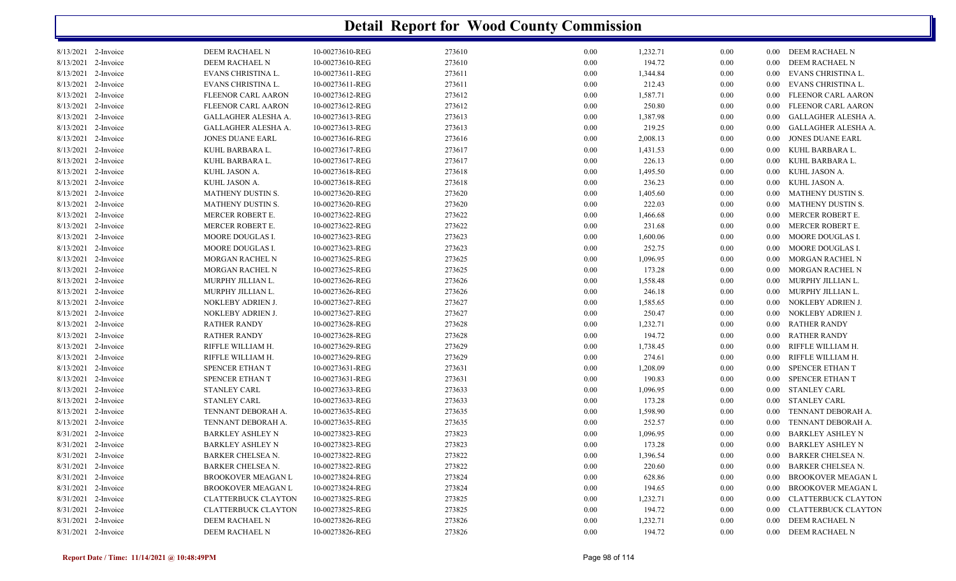| 8/13/2021 2-Invoice |           | DEEM RACHAEL N             | 10-00273610-REG | 273610 | 0.00     | 1,232.71 | 0.00 |          | 0.00 DEEM RACHAEL N        |
|---------------------|-----------|----------------------------|-----------------|--------|----------|----------|------|----------|----------------------------|
| 8/13/2021           | 2-Invoice | DEEM RACHAEL N             | 10-00273610-REG | 273610 | $0.00\,$ | 194.72   | 0.00 | $0.00\,$ | DEEM RACHAEL N             |
| 8/13/2021 2-Invoice |           | EVANS CHRISTINA L.         | 10-00273611-REG | 273611 | 0.00     | 1,344.84 | 0.00 | $0.00\,$ | EVANS CHRISTINA L.         |
| 8/13/2021 2-Invoice |           | EVANS CHRISTINA L.         | 10-00273611-REG | 273611 | 0.00     | 212.43   | 0.00 | $0.00\,$ | EVANS CHRISTINA L.         |
| 8/13/2021           | 2-Invoice | FLEENOR CARL AARON         | 10-00273612-REG | 273612 | 0.00     | 1,587.71 | 0.00 | $0.00\,$ | FLEENOR CARL AARON         |
| 8/13/2021 2-Invoice |           | FLEENOR CARL AARON         | 10-00273612-REG | 273612 | 0.00     | 250.80   | 0.00 | $0.00\,$ | FLEENOR CARL AARON         |
| 8/13/2021 2-Invoice |           | <b>GALLAGHER ALESHA A.</b> | 10-00273613-REG | 273613 | 0.00     | 1,387.98 | 0.00 | $0.00\,$ | GALLAGHER ALESHA A.        |
| 8/13/2021           | 2-Invoice | GALLAGHER ALESHA A.        | 10-00273613-REG | 273613 | 0.00     | 219.25   | 0.00 | $0.00\,$ | GALLAGHER ALESHA A.        |
| 8/13/2021           | 2-Invoice | <b>JONES DUANE EARL</b>    | 10-00273616-REG | 273616 | 0.00     | 2,008.13 | 0.00 | $0.00\,$ | <b>JONES DUANE EARL</b>    |
| 8/13/2021           | 2-Invoice | KUHL BARBARA L.            | 10-00273617-REG | 273617 | 0.00     | 1,431.53 | 0.00 | $0.00\,$ | KUHL BARBARA L.            |
| 8/13/2021           | 2-Invoice | KUHL BARBARA L.            | 10-00273617-REG | 273617 | 0.00     | 226.13   | 0.00 | $0.00\,$ | KUHL BARBARA L.            |
| 8/13/2021           | 2-Invoice | KUHL JASON A.              | 10-00273618-REG | 273618 | 0.00     | 1,495.50 | 0.00 | $0.00\,$ | KUHL JASON A.              |
| 8/13/2021           | 2-Invoice | KUHL JASON A.              | 10-00273618-REG | 273618 | 0.00     | 236.23   | 0.00 | $0.00\,$ | KUHL JASON A.              |
| 8/13/2021           | 2-Invoice | MATHENY DUSTIN S.          | 10-00273620-REG | 273620 | 0.00     | 1,405.60 | 0.00 | $0.00\,$ | MATHENY DUSTIN S.          |
| 8/13/2021           | 2-Invoice | MATHENY DUSTIN S.          | 10-00273620-REG | 273620 | 0.00     | 222.03   | 0.00 | $0.00\,$ | MATHENY DUSTIN S.          |
| 8/13/2021           | 2-Invoice | MERCER ROBERT E.           | 10-00273622-REG | 273622 | 0.00     | 1,466.68 | 0.00 | $0.00\,$ | MERCER ROBERT E.           |
| 8/13/2021           | 2-Invoice | <b>MERCER ROBERT E.</b>    | 10-00273622-REG | 273622 | 0.00     | 231.68   | 0.00 | $0.00\,$ | MERCER ROBERT E.           |
| 8/13/2021 2-Invoice |           | MOORE DOUGLAS I.           | 10-00273623-REG | 273623 | 0.00     | 1,600.06 | 0.00 | $0.00\,$ | MOORE DOUGLAS I.           |
| 8/13/2021           | 2-Invoice | MOORE DOUGLAS I.           | 10-00273623-REG | 273623 | 0.00     | 252.75   | 0.00 | $0.00\,$ | MOORE DOUGLAS I.           |
| 8/13/2021 2-Invoice |           | MORGAN RACHEL N            | 10-00273625-REG | 273625 | 0.00     | 1,096.95 | 0.00 | $0.00\,$ | MORGAN RACHEL N            |
| 8/13/2021           | 2-Invoice | <b>MORGAN RACHEL N</b>     | 10-00273625-REG | 273625 | 0.00     | 173.28   | 0.00 | $0.00\,$ | MORGAN RACHEL N            |
| 8/13/2021           | 2-Invoice | MURPHY JILLIAN L.          | 10-00273626-REG | 273626 | 0.00     | 1,558.48 | 0.00 | $0.00\,$ | MURPHY JILLIAN L.          |
| 8/13/2021 2-Invoice |           | MURPHY JILLIAN L.          | 10-00273626-REG | 273626 | 0.00     | 246.18   | 0.00 | $0.00\,$ | MURPHY JILLIAN L.          |
| 8/13/2021 2-Invoice |           | NOKLEBY ADRIEN J.          | 10-00273627-REG | 273627 | 0.00     | 1,585.65 | 0.00 | $0.00\,$ | NOKLEBY ADRIEN J.          |
| 8/13/2021           | 2-Invoice | NOKLEBY ADRIEN J.          | 10-00273627-REG | 273627 | 0.00     | 250.47   | 0.00 | $0.00\,$ | NOKLEBY ADRIEN J.          |
| 8/13/2021 2-Invoice |           | <b>RATHER RANDY</b>        | 10-00273628-REG | 273628 | 0.00     | 1,232.71 | 0.00 | 0.00     | <b>RATHER RANDY</b>        |
| 8/13/2021           | 2-Invoice | <b>RATHER RANDY</b>        | 10-00273628-REG | 273628 | 0.00     | 194.72   | 0.00 | $0.00\,$ | <b>RATHER RANDY</b>        |
| 8/13/2021           | 2-Invoice | RIFFLE WILLIAM H.          | 10-00273629-REG | 273629 | 0.00     | 1,738.45 | 0.00 | $0.00\,$ | RIFFLE WILLIAM H.          |
| 8/13/2021 2-Invoice |           | RIFFLE WILLIAM H.          | 10-00273629-REG | 273629 | 0.00     | 274.61   | 0.00 | $0.00\,$ | RIFFLE WILLIAM H.          |
| 8/13/2021 2-Invoice |           | SPENCER ETHAN T            | 10-00273631-REG | 273631 | 0.00     | 1,208.09 | 0.00 | $0.00\,$ | SPENCER ETHAN T            |
| 8/13/2021           | 2-Invoice | SPENCER ETHAN T            | 10-00273631-REG | 273631 | 0.00     | 190.83   | 0.00 | $0.00\,$ | SPENCER ETHAN T            |
| 8/13/2021 2-Invoice |           | <b>STANLEY CARL</b>        | 10-00273633-REG | 273633 | 0.00     | 1,096.95 | 0.00 | $0.00\,$ | <b>STANLEY CARL</b>        |
| 8/13/2021           | 2-Invoice | <b>STANLEY CARL</b>        | 10-00273633-REG | 273633 | 0.00     | 173.28   | 0.00 | $0.00 -$ | <b>STANLEY CARL</b>        |
| 8/13/2021           | 2-Invoice | TENNANT DEBORAH A.         | 10-00273635-REG | 273635 | 0.00     | 1,598.90 | 0.00 | $0.00\,$ | TENNANT DEBORAH A.         |
| 8/13/2021 2-Invoice |           | TENNANT DEBORAH A.         | 10-00273635-REG | 273635 | 0.00     | 252.57   | 0.00 | $0.00\,$ | TENNANT DEBORAH A.         |
| 8/31/2021           | 2-Invoice | <b>BARKLEY ASHLEY N</b>    | 10-00273823-REG | 273823 | 0.00     | 1,096.95 | 0.00 | $0.00\,$ | <b>BARKLEY ASHLEY N</b>    |
| 8/31/2021           | 2-Invoice | <b>BARKLEY ASHLEY N</b>    | 10-00273823-REG | 273823 | 0.00     | 173.28   | 0.00 | $0.00\,$ | <b>BARKLEY ASHLEY N</b>    |
| 8/31/2021 2-Invoice |           | <b>BARKER CHELSEA N.</b>   | 10-00273822-REG | 273822 | 0.00     | 1,396.54 | 0.00 | 0.00     | <b>BARKER CHELSEA N.</b>   |
| 8/31/2021           | 2-Invoice | <b>BARKER CHELSEA N.</b>   | 10-00273822-REG | 273822 | 0.00     | 220.60   | 0.00 | 0.00     | <b>BARKER CHELSEA N.</b>   |
| 8/31/2021           | 2-Invoice | <b>BROOKOVER MEAGAN L</b>  | 10-00273824-REG | 273824 | 0.00     | 628.86   | 0.00 | $0.00\,$ | <b>BROOKOVER MEAGAN L</b>  |
| 8/31/2021 2-Invoice |           | <b>BROOKOVER MEAGAN L</b>  | 10-00273824-REG | 273824 | 0.00     | 194.65   | 0.00 | $0.00\,$ | <b>BROOKOVER MEAGAN L</b>  |
| 8/31/2021 2-Invoice |           | <b>CLATTERBUCK CLAYTON</b> | 10-00273825-REG | 273825 | 0.00     | 1,232.71 | 0.00 | $0.00\,$ | <b>CLATTERBUCK CLAYTON</b> |
| 8/31/2021           | 2-Invoice | <b>CLATTERBUCK CLAYTON</b> | 10-00273825-REG | 273825 | 0.00     | 194.72   | 0.00 | $0.00\,$ | <b>CLATTERBUCK CLAYTON</b> |
| 8/31/2021 2-Invoice |           | DEEM RACHAEL N             | 10-00273826-REG | 273826 | 0.00     | 1,232.71 | 0.00 | $0.00\,$ | DEEM RACHAEL N             |
| 8/31/2021 2-Invoice |           | DEEM RACHAEL N             | 10-00273826-REG | 273826 | 0.00     | 194.72   | 0.00 | $0.00\,$ | DEEM RACHAEL N             |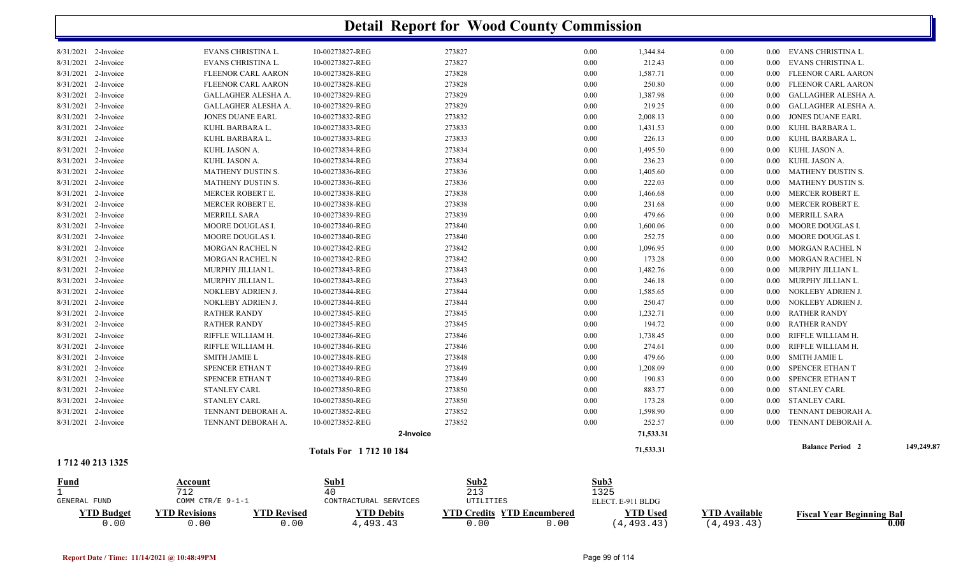|                        |                                            |                             | <b>Detail Report for Wood County Commission</b> |      |                   |                 |                      |          |                                  |            |
|------------------------|--------------------------------------------|-----------------------------|-------------------------------------------------|------|-------------------|-----------------|----------------------|----------|----------------------------------|------------|
| 8/31/2021 2-Invoice    | EVANS CHRISTINA L.                         | 10-00273827-REG             | 273827                                          |      | 0.00              | 1,344.84        | 0.00                 | 0.00     | EVANS CHRISTINA L.               |            |
| 8/31/2021<br>2-Invoice | EVANS CHRISTINA L.                         | 10-00273827-REG             | 273827                                          |      | 0.00              | 212.43          | 0.00                 | 0.00     | EVANS CHRISTINA L.               |            |
| 8/31/2021<br>2-Invoice | <b>FLEENOR CARL AARON</b>                  | 10-00273828-REG             | 273828                                          |      | 0.00              | 1,587.71        | 0.00                 | 0.00     | <b>FLEENOR CARL AARON</b>        |            |
| 8/31/2021<br>2-Invoice | <b>FLEENOR CARL AARON</b>                  | 10-00273828-REG             | 273828                                          |      | 0.00              | 250.80          | 0.00                 | 0.00     | FLEENOR CARL AARON               |            |
| 8/31/2021<br>2-Invoice | GALLAGHER ALESHA A.                        | 10-00273829-REG             | 273829                                          |      | 0.00              | 1,387.98        | 0.00                 | 0.00     | GALLAGHER ALESHA A.              |            |
| 8/31/2021<br>2-Invoice | GALLAGHER ALESHA A.                        | 10-00273829-REG             | 273829                                          |      | 0.00              | 219.25          | 0.00                 | 0.00     | GALLAGHER ALESHA A.              |            |
| 8/31/2021 2-Invoice    | <b>JONES DUANE EARL</b>                    | 10-00273832-REG             | 273832                                          |      | 0.00              | 2,008.13        | 0.00                 | 0.00     | <b>JONES DUANE EARL</b>          |            |
| 8/31/2021<br>2-Invoice | KUHL BARBARA L.                            | 10-00273833-REG             | 273833                                          |      | 0.00              | 1,431.53        | 0.00                 | 0.00     | KUHL BARBARA L.                  |            |
| 8/31/2021<br>2-Invoice | KUHL BARBARA L.                            | 10-00273833-REG             | 273833                                          |      | 0.00              | 226.13          | 0.00                 | 0.00     | KUHL BARBARA L.                  |            |
| 8/31/2021 2-Invoice    | KUHL JASON A.                              | 10-00273834-REG             | 273834                                          |      | 0.00              | 1,495.50        | 0.00                 | 0.00     | KUHL JASON A.                    |            |
| 8/31/2021 2-Invoice    | KUHL JASON A.                              | 10-00273834-REG             | 273834                                          |      | 0.00              | 236.23          | 0.00                 | 0.00     | KUHL JASON A.                    |            |
| 8/31/2021<br>2-Invoice | MATHENY DUSTIN S.                          | 10-00273836-REG             | 273836                                          |      | 0.00              | 1,405.60        | 0.00                 | 0.00     | <b>MATHENY DUSTIN S.</b>         |            |
| 8/31/2021<br>2-Invoice | MATHENY DUSTIN S.                          | 10-00273836-REG             | 273836                                          |      | 0.00              | 222.03          | 0.00                 | 0.00     | MATHENY DUSTIN S.                |            |
| 8/31/2021<br>2-Invoice | <b>MERCER ROBERT E.</b>                    | 10-00273838-REG             | 273838                                          |      | 0.00              | 1,466.68        | 0.00                 | 0.00     | MERCER ROBERT E.                 |            |
| 8/31/2021<br>2-Invoice | <b>MERCER ROBERT E.</b>                    | 10-00273838-REG             | 273838                                          |      | 0.00              | 231.68          | 0.00                 | 0.00     | MERCER ROBERT E.                 |            |
| 8/31/2021<br>2-Invoice | <b>MERRILL SARA</b>                        | 10-00273839-REG             | 273839                                          |      | 0.00              | 479.66          | 0.00                 | 0.00     | MERRILL SARA                     |            |
| 8/31/2021<br>2-Invoice | <b>MOORE DOUGLAS I.</b>                    | 10-00273840-REG             | 273840                                          |      | 0.00              | 1,600.06        | 0.00                 | 0.00     | MOORE DOUGLAS I.                 |            |
| 8/31/2021<br>2-Invoice | <b>MOORE DOUGLAS I.</b>                    | 10-00273840-REG             | 273840                                          |      | 0.00              | 252.75          | 0.00                 | 0.00     | MOORE DOUGLAS I.                 |            |
| 8/31/2021 2-Invoice    | <b>MORGAN RACHEL N</b>                     | 10-00273842-REG             | 273842                                          |      | 0.00              | 1,096.95        | 0.00                 | 0.00     | MORGAN RACHEL N                  |            |
| 8/31/2021 2-Invoice    | <b>MORGAN RACHEL N</b>                     | 10-00273842-REG             | 273842                                          |      | 0.00              | 173.28          | 0.00                 | 0.00     | MORGAN RACHEL N                  |            |
| 8/31/2021 2-Invoice    | MURPHY JILLIAN L.                          | 10-00273843-REG             | 273843                                          |      | 0.00              | 1,482.76        | 0.00                 | $0.00\,$ | MURPHY JILLIAN L.                |            |
| 8/31/2021 2-Invoice    | MURPHY JILLIAN L.                          | 10-00273843-REG             | 273843                                          |      | 0.00              | 246.18          | 0.00                 | 0.00     | MURPHY JILLIAN L.                |            |
| 8/31/2021 2-Invoice    | NOKLEBY ADRIEN J.                          | 10-00273844-REG             | 273844                                          |      | 0.00              | 1,585.65        | 0.00                 | 0.00     | NOKLEBY ADRIEN J.                |            |
| 8/31/2021<br>2-Invoice | NOKLEBY ADRIEN J.                          | 10-00273844-REG             | 273844                                          |      | 0.00              | 250.47          | 0.00                 | 0.00     | NOKLEBY ADRIEN J.                |            |
| 8/31/2021<br>2-Invoice | <b>RATHER RANDY</b>                        | 10-00273845-REG             | 273845                                          |      | 0.00              | 1,232.71        | 0.00                 | 0.00     | <b>RATHER RANDY</b>              |            |
| 8/31/2021<br>2-Invoice | <b>RATHER RANDY</b>                        | 10-00273845-REG             | 273845                                          |      | 0.00              | 194.72          | 0.00                 | 0.00     | <b>RATHER RANDY</b>              |            |
| 8/31/2021<br>2-Invoice | RIFFLE WILLIAM H.                          | 10-00273846-REG             | 273846                                          |      | 0.00              | 1,738.45        | 0.00                 | 0.00     | RIFFLE WILLIAM H.                |            |
| 8/31/2021<br>2-Invoice | RIFFLE WILLIAM H.                          | 10-00273846-REG             | 273846                                          |      | 0.00              | 274.61          | 0.00                 | 0.00     | RIFFLE WILLIAM H.                |            |
| 8/31/2021<br>2-Invoice | SMITH JAMIE L                              | 10-00273848-REG             | 273848                                          |      | 0.00              | 479.66          | 0.00                 | 0.00     | <b>SMITH JAMIE L</b>             |            |
| 8/31/2021<br>2-Invoice | SPENCER ETHAN T                            | 10-00273849-REG             | 273849                                          |      | 0.00              | 1,208.09        | 0.00                 | 0.00     | <b>SPENCER ETHAN T</b>           |            |
| 8/31/2021<br>2-Invoice | SPENCER ETHAN T                            | 10-00273849-REG             | 273849                                          |      | 0.00              | 190.83          | 0.00                 | 0.00     | SPENCER ETHAN T                  |            |
| 8/31/2021<br>2-Invoice | <b>STANLEY CARL</b>                        | 10-00273850-REG             | 273850                                          |      | 0.00              | 883.77          | 0.00                 | 0.00     | <b>STANLEY CARL</b>              |            |
| 8/31/2021 2-Invoice    | <b>STANLEY CARL</b>                        | 10-00273850-REG             | 273850                                          |      | 0.00              | 173.28          | 0.00                 | $0.00\,$ | STANLEY CARL                     |            |
| 8/31/2021 2-Invoice    | TENNANT DEBORAH A.                         | 10-00273852-REG             | 273852                                          |      | 0.00              | 1,598.90        | 0.00                 | 0.00     | TENNANT DEBORAH A.               |            |
| 8/31/2021 2-Invoice    | TENNANT DEBORAH A.                         | 10-00273852-REG             | 273852                                          |      | 0.00              | 252.57          | 0.00                 | 0.00     | TENNANT DEBORAH A.               |            |
|                        |                                            | 2-Invoice                   |                                                 |      |                   | 71,533.31       |                      |          |                                  |            |
|                        |                                            |                             |                                                 |      |                   |                 |                      |          | <b>Balance Period 2</b>          | 149,249.87 |
| 1712 40 213 1325       |                                            | <b>Totals For 171210184</b> |                                                 |      |                   | 71,533.31       |                      |          |                                  |            |
| <b>Fund</b>            | <b>Account</b>                             | Sub1                        | Sub2                                            |      | Sub3              |                 |                      |          |                                  |            |
| $\mathbf{1}$           | 712                                        | 40                          | 213                                             |      | 1325              |                 |                      |          |                                  |            |
| GENERAL FUND           | COMM CTR/E 9-1-1                           | CONTRACTURAL SERVICES       | UTILITIES                                       |      | ELECT. E-911 BLDG |                 |                      |          |                                  |            |
| <b>YTD Budget</b>      | <b>YTD Revisions</b><br><b>YTD Revised</b> | <b>YTD Debits</b>           | <b>YTD Credits YTD Encumbered</b>               |      |                   | <b>YTD</b> Used | <b>YTD Available</b> |          | <b>Fiscal Year Beginning Bal</b> |            |
| 0.00                   | 0.00<br>0.00                               | 4,493.43                    | 0.00                                            | 0.00 |                   | (4, 493.43)     | (4, 493.43)          |          |                                  | 0.00       |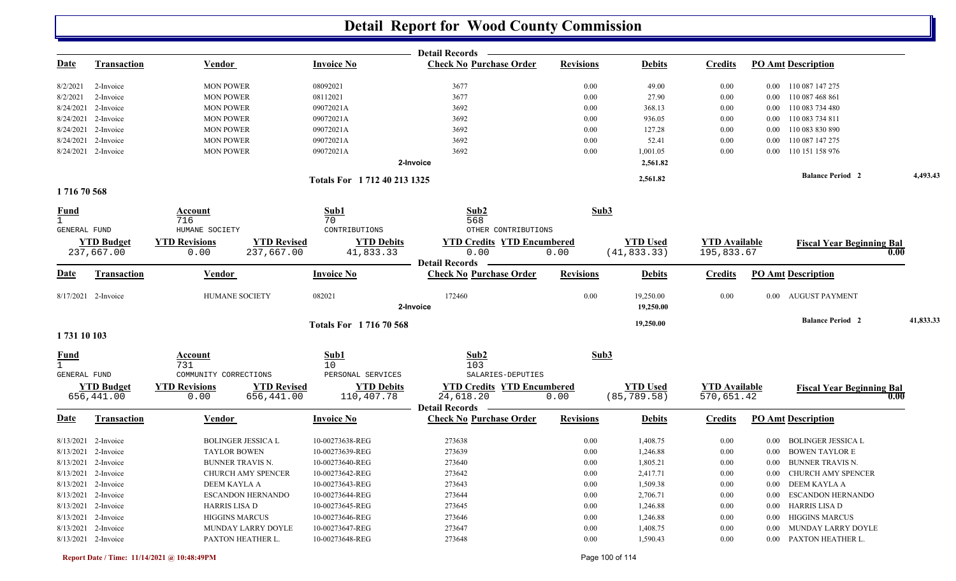|                             |                     |                       |                           |                             | <b>Detail Records</b>                                   |                  |                 |                      |                                       |           |
|-----------------------------|---------------------|-----------------------|---------------------------|-----------------------------|---------------------------------------------------------|------------------|-----------------|----------------------|---------------------------------------|-----------|
| <u>Date</u>                 | <b>Transaction</b>  | <b>Vendor</b>         |                           | <b>Invoice No</b>           | <b>Check No Purchase Order</b>                          | <b>Revisions</b> | <b>Debits</b>   | <b>Credits</b>       | <b>PO Amt Description</b>             |           |
| 8/2/2021                    | 2-Invoice           | <b>MON POWER</b>      |                           | 08092021                    | 3677                                                    | 0.00             | 49.00           | 0.00                 | 0.00 110 087 147 275                  |           |
| 8/2/2021                    | 2-Invoice           | <b>MON POWER</b>      |                           | 08112021                    | 3677                                                    | 0.00             | 27.90           | 0.00                 | 110 087 468 861<br>$0.00\,$           |           |
| 8/24/2021                   | 2-Invoice           | <b>MON POWER</b>      |                           | 09072021A                   | 3692                                                    | 0.00             | 368.13          | 0.00                 | 110 083 734 480<br>$0.00\,$           |           |
| 8/24/2021                   | 2-Invoice           | <b>MON POWER</b>      |                           | 09072021A                   | 3692                                                    | 0.00             | 936.05          | 0.00                 | 110 083 734 811<br>0.00               |           |
| 8/24/2021                   | 2-Invoice           | <b>MON POWER</b>      |                           | 09072021A                   | 3692                                                    | 0.00             | 127.28          | 0.00                 | 110 083 830 890<br>$0.00\,$           |           |
| 8/24/2021                   | 2-Invoice           | <b>MON POWER</b>      |                           | 09072021A                   | 3692                                                    | 0.00             | 52.41           | 0.00                 | 110 087 147 275<br>0.00               |           |
|                             | 8/24/2021 2-Invoice | <b>MON POWER</b>      |                           | 09072021A                   | 3692                                                    | 0.00             | 1,001.05        | 0.00                 | 110 151 158 976<br>0.00               |           |
|                             |                     |                       |                           |                             | 2-Invoice                                               |                  | 2,561.82        |                      |                                       |           |
|                             |                     |                       |                           | Totals For 1712 40 213 1325 |                                                         |                  | 2,561.82        |                      | <b>Balance Period 2</b>               | 4,493.43  |
| 171670568                   |                     |                       |                           |                             |                                                         |                  |                 |                      |                                       |           |
| <b>Fund</b><br>$\mathbf{1}$ |                     | Account<br>716        |                           | Sub1<br>70                  | Sub2<br>568                                             | Sub3             |                 |                      |                                       |           |
| GENERAL FUND                |                     | HUMANE SOCIETY        |                           | CONTRIBUTIONS               | OTHER CONTRIBUTIONS                                     |                  |                 |                      |                                       |           |
|                             | <b>YTD Budget</b>   | <b>YTD Revisions</b>  | <b>YTD Revised</b>        | <b>YTD Debits</b>           | <b>YTD Credits YTD Encumbered</b>                       |                  | <b>YTD Used</b> | <b>YTD Available</b> | <b>Fiscal Year Beginning Bal</b>      |           |
|                             | 237,667.00          | 0.00                  | 237,667.00                | 41,833.33                   | 0.00                                                    | 0.00             | (41, 833.33)    | 195,833.67           |                                       | 0.00      |
| <u>Date</u>                 | <b>Transaction</b>  | <b>Vendor</b>         |                           | <b>Invoice No</b>           | <b>Detail Records</b><br><b>Check No Purchase Order</b> | <b>Revisions</b> | <b>Debits</b>   | <b>Credits</b>       | <b>PO Amt Description</b>             |           |
|                             | 8/17/2021 2-Invoice | <b>HUMANE SOCIETY</b> |                           | 082021                      | 172460                                                  | 0.00             | 19,250.00       | 0.00                 | <b>AUGUST PAYMENT</b><br>$0.00\,$     |           |
|                             |                     |                       |                           |                             | 2-Invoice                                               |                  | 19,250.00       |                      |                                       |           |
| 1731 10 103                 |                     |                       |                           | Totals For 171670568        |                                                         |                  | 19,250.00       |                      | <b>Balance Period 2</b>               | 41,833.33 |
|                             |                     | Account               |                           | Sub1                        | Sub2                                                    | Sub3             |                 |                      |                                       |           |
| $\frac{Fund}{1}$            |                     | 731                   |                           | 10                          | 103                                                     |                  |                 |                      |                                       |           |
| GENERAL FUND                |                     | COMMUNITY CORRECTIONS |                           | PERSONAL SERVICES           | SALARIES-DEPUTIES                                       |                  |                 |                      |                                       |           |
|                             | <b>YTD Budget</b>   | <b>YTD Revisions</b>  | <b>YTD Revised</b>        | <b>YTD Debits</b>           | <b>YTD Credits YTD Encumbered</b>                       |                  | <b>YTD Used</b> | <b>YTD Available</b> | <b>Fiscal Year Beginning Bal</b>      |           |
|                             | 656,441.00          | 0.00                  | 656,441.00                | 110,407.78                  | 24,618.20                                               | 0.00             | (85, 789.58)    | 570,651.42           |                                       | 0.00      |
|                             |                     |                       |                           |                             | <b>Detail Records</b>                                   |                  |                 |                      |                                       |           |
| <u>Date</u>                 | <b>Transaction</b>  | <b>Vendor</b>         |                           | <b>Invoice No</b>           | <b>Check No Purchase Order</b>                          | <b>Revisions</b> | <b>Debits</b>   | <b>Credits</b>       | <b>PO Amt Description</b>             |           |
|                             | 8/13/2021 2-Invoice |                       | <b>BOLINGER JESSICA L</b> | 10-00273638-REG             | 273638                                                  | 0.00             | 1,408.75        | 0.00                 | <b>BOLINGER JESSICA L</b><br>$0.00\,$ |           |
|                             | 8/13/2021 2-Invoice | <b>TAYLOR BOWEN</b>   |                           | 10-00273639-REG             | 273639                                                  | 0.00             | 1,246.88        | 0.00                 | <b>BOWEN TAYLOR E</b><br>0.00         |           |
|                             | 8/13/2021 2-Invoice | BUNNER TRAVIS N.      |                           | 10-00273640-REG             | 273640                                                  | 0.00             | 1,805.21        | 0.00                 | 0.00 BUNNER TRAVIS N.                 |           |
|                             | 8/13/2021 2-Invoice |                       | CHURCH AMY SPENCER        | 10-00273642-REG             | 273642                                                  | 0.00             | 2,417.71        | 0.00                 | 0.00 CHURCH AMY SPENCER               |           |
|                             | 8/13/2021 2-Invoice | DEEM KAYLA A          |                           | 10-00273643-REG             | 273643                                                  | 0.00             | 1,509.38        | 0.00                 | 0.00 DEEM KAYLA A                     |           |
|                             | 8/13/2021 2-Invoice |                       | <b>ESCANDON HERNANDO</b>  | 10-00273644-REG             | 273644                                                  | 0.00             | 2,706.71        | 0.00                 | 0.00 ESCANDON HERNANDO                |           |
|                             | 8/13/2021 2-Invoice | <b>HARRIS LISA D</b>  |                           | 10-00273645-REG             | 273645                                                  | 0.00             | 1,246.88        | 0.00                 | 0.00 HARRIS LISA D                    |           |
|                             | 8/13/2021 2-Invoice | <b>HIGGINS MARCUS</b> |                           | 10-00273646-REG             | 273646                                                  | 0.00             | 1,246.88        | 0.00                 | <b>HIGGINS MARCUS</b><br>$0.00\,$     |           |
|                             | 8/13/2021 2-Invoice |                       | MUNDAY LARRY DOYLE        | 10-00273647-REG             | 273647                                                  | 0.00             | 1,408.75        | 0.00                 | MUNDAY LARRY DOYLE<br>$0.00\,$        |           |
|                             | 8/13/2021 2-Invoice |                       | PAXTON HEATHER L.         | 10-00273648-REG             | 273648                                                  | 0.00             | 1,590.43        | 0.00                 | 0.00 PAXTON HEATHER L.                |           |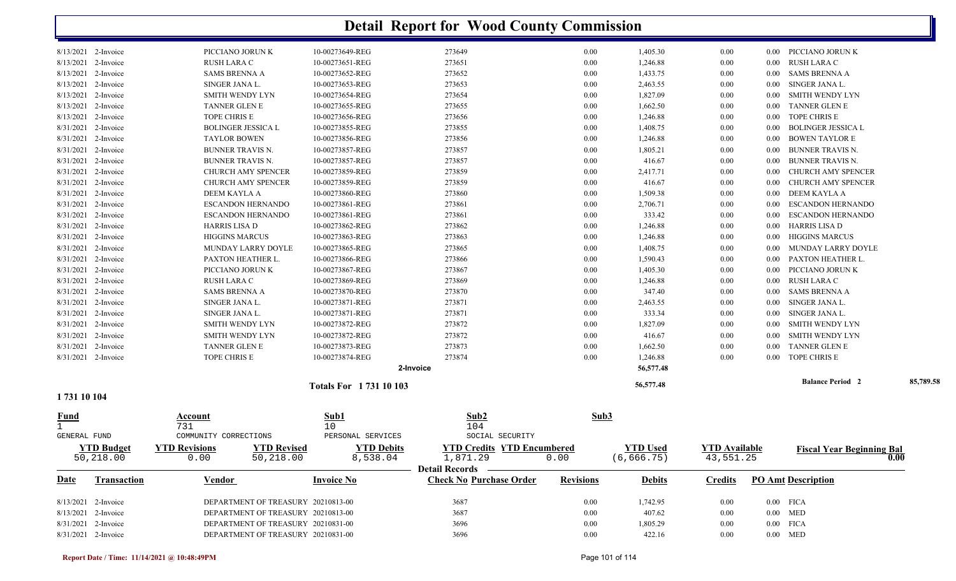|                     |                   |                                            |                             | <b>Detail Report for Wood County Commission</b> |                  |                 |                      |          |                                  |           |
|---------------------|-------------------|--------------------------------------------|-----------------------------|-------------------------------------------------|------------------|-----------------|----------------------|----------|----------------------------------|-----------|
| 8/13/2021 2-Invoice |                   | PICCIANO JORUN K                           | 10-00273649-REG             | 273649                                          | 0.00             | 1,405.30        | 0.00                 |          | 0.00 PICCIANO JORUN K            |           |
| 8/13/2021 2-Invoice |                   | RUSH LARA C                                | 10-00273651-REG             | 273651                                          | 0.00             | 1,246.88        | 0.00                 | $0.00\,$ | RUSH LARA C                      |           |
| 8/13/2021           | 2-Invoice         | <b>SAMS BRENNA A</b>                       | 10-00273652-REG             | 273652                                          | 0.00             | 1,433.75        | 0.00                 | $0.00\,$ | <b>SAMS BRENNA A</b>             |           |
| 8/13/2021 2-Invoice |                   | SINGER JANA L.                             | 10-00273653-REG             | 273653                                          | 0.00             | 2,463.55        | 0.00                 | 0.00     | SINGER JANA L.                   |           |
| 8/13/2021 2-Invoice |                   | SMITH WENDY LYN                            | 10-00273654-REG             | 273654                                          | 0.00             | 1,827.09        | 0.00                 | 0.00     | SMITH WENDY LYN                  |           |
| 8/13/2021 2-Invoice |                   | <b>TANNER GLEN E</b>                       | 10-00273655-REG             | 273655                                          | 0.00             | 1,662.50        | 0.00                 | $0.00\,$ | <b>TANNER GLEN E</b>             |           |
| 8/13/2021 2-Invoice |                   | TOPE CHRIS E                               | 10-00273656-REG             | 273656                                          | 0.00             | 1,246.88        | 0.00                 | $0.00\,$ | TOPE CHRIS E                     |           |
| 8/31/2021 2-Invoice |                   | <b>BOLINGER JESSICA L</b>                  | 10-00273855-REG             | 273855                                          | 0.00             | 1,408.75        | 0.00                 | $0.00\,$ | BOLINGER JESSICA L               |           |
| 8/31/2021 2-Invoice |                   | <b>TAYLOR BOWEN</b>                        | 10-00273856-REG             | 273856                                          | 0.00             | 1,246.88        | 0.00                 | $0.00\,$ | <b>BOWEN TAYLOR E</b>            |           |
| 8/31/2021 2-Invoice |                   | <b>BUNNER TRAVIS N.</b>                    | 10-00273857-REG             | 273857                                          | 0.00             | 1,805.21        | 0.00                 | 0.00     | <b>BUNNER TRAVIS N.</b>          |           |
| 8/31/2021 2-Invoice |                   | <b>BUNNER TRAVIS N.</b>                    | 10-00273857-REG             | 273857                                          | 0.00             | 416.67          | 0.00                 | 0.00     | <b>BUNNER TRAVIS N.</b>          |           |
| 8/31/2021           | 2-Invoice         | <b>CHURCH AMY SPENCER</b>                  | 10-00273859-REG             | 273859                                          | 0.00             | 2,417.71        | 0.00                 | 0.00     | CHURCH AMY SPENCER               |           |
| 8/31/2021           | 2-Invoice         | <b>CHURCH AMY SPENCER</b>                  | 10-00273859-REG             | 273859                                          | 0.00             | 416.67          | 0.00                 | 0.00     | CHURCH AMY SPENCER               |           |
| 8/31/2021 2-Invoice |                   | DEEM KAYLA A                               | 10-00273860-REG             | 273860                                          | 0.00             | 1,509.38        | 0.00                 | $0.00\,$ | DEEM KAYLA A                     |           |
| 8/31/2021           | 2-Invoice         | <b>ESCANDON HERNANDO</b>                   | 10-00273861-REG             | 273861                                          | 0.00             | 2,706.71        | 0.00                 | $0.00\,$ | <b>ESCANDON HERNANDO</b>         |           |
| 8/31/2021           | 2-Invoice         | <b>ESCANDON HERNANDO</b>                   | 10-00273861-REG             | 273861                                          | 0.00             | 333.42          | 0.00                 | 0.00     | <b>ESCANDON HERNANDO</b>         |           |
| 8/31/2021 2-Invoice |                   | <b>HARRIS LISA D</b>                       | 10-00273862-REG             | 273862                                          | 0.00             | 1,246.88        | 0.00                 | $0.00\,$ | <b>HARRIS LISA D</b>             |           |
| 8/31/2021 2-Invoice |                   | <b>HIGGINS MARCUS</b>                      | 10-00273863-REG             | 273863                                          | 0.00             | 1,246.88        | 0.00                 | 0.00     | <b>HIGGINS MARCUS</b>            |           |
| 8/31/2021 2-Invoice |                   | MUNDAY LARRY DOYLE                         | 10-00273865-REG             | 273865                                          | 0.00             | 1,408.75        | 0.00                 | 0.00     | MUNDAY LARRY DOYLE               |           |
| 8/31/2021 2-Invoice |                   | PAXTON HEATHER L.                          | 10-00273866-REG             | 273866                                          | 0.00             | 1,590.43        | 0.00                 | $0.00\,$ | PAXTON HEATHER L.                |           |
| 8/31/2021 2-Invoice |                   | PICCIANO JORUN K                           | 10-00273867-REG             | 273867                                          | 0.00             | 1,405.30        | 0.00                 | $0.00\,$ | PICCIANO JORUN K                 |           |
| 8/31/2021 2-Invoice |                   | RUSH LARA C                                | 10-00273869-REG             | 273869                                          | 0.00             | 1,246.88        | 0.00                 | $0.00\,$ | RUSH LARA C                      |           |
| 8/31/2021 2-Invoice |                   | SAMS BRENNA A                              | 10-00273870-REG             | 273870                                          | 0.00             | 347.40          | 0.00                 | $0.00\,$ | <b>SAMS BRENNA A</b>             |           |
| 8/31/2021 2-Invoice |                   | SINGER JANA L.                             | 10-00273871-REG             | 273871                                          | 0.00             | 2,463.55        | 0.00                 | $0.00\,$ | SINGER JANA L.                   |           |
| 8/31/2021           | 2-Invoice         | SINGER JANA L.                             | 10-00273871-REG             | 273871                                          | 0.00             | 333.34          | 0.00                 | $0.00\,$ | SINGER JANA L.                   |           |
| 8/31/2021           | 2-Invoice         | SMITH WENDY LYN                            | 10-00273872-REG             | 273872                                          | 0.00             | 1,827.09        | 0.00                 | 0.00     | SMITH WENDY LYN                  |           |
| 8/31/2021           | 2-Invoice         | SMITH WENDY LYN                            | 10-00273872-REG             | 273872                                          | 0.00             | 416.67          | 0.00                 | 0.00     | SMITH WENDY LYN                  |           |
| 8/31/2021 2-Invoice |                   | TANNER GLEN E                              | 10-00273873-REG             | 273873                                          | 0.00             | 1,662.50        | 0.00                 | 0.00     | <b>TANNER GLEN E</b>             |           |
| 8/31/2021 2-Invoice |                   | TOPE CHRIS E                               | 10-00273874-REG             | 273874                                          | 0.00             | 1,246.88        | 0.00                 | 0.00     | TOPE CHRIS E                     |           |
|                     |                   |                                            |                             | 2-Invoice                                       |                  | 56,577.48       |                      |          |                                  |           |
|                     |                   |                                            | <b>Totals For 173110103</b> |                                                 |                  | 56,577.48       |                      |          | <b>Balance Period 2</b>          | 85,789.58 |
| 1731 10 104         |                   |                                            |                             |                                                 |                  |                 |                      |          |                                  |           |
| <u>Fund</u>         |                   | Account<br>731                             | Sub1<br>10                  | Sub2<br>104                                     | Sub3             |                 |                      |          |                                  |           |
| GENERAL FUND        |                   | COMMUNITY CORRECTIONS                      | PERSONAL SERVICES           | SOCIAL SECURITY                                 |                  |                 |                      |          |                                  |           |
|                     | <b>YTD Budget</b> | <b>YTD Revisions</b><br><b>YTD Revised</b> | <b>YTD Debits</b>           | <b>YTD Credits YTD Encumbered</b>               |                  | <b>YTD Used</b> | <b>YTD Available</b> |          | <b>Fiscal Year Beginning Bal</b> |           |
|                     | 50,218.00         | 50,218.00<br>0.00                          | 8,538.04                    | 1,871.29<br><b>Detail Records</b>               | 0.00             | (6, 666.75)     | 43,551.25            |          |                                  | 0.00      |
| <u>Date</u>         | Transaction       | <b>Vendor</b>                              | <b>Invoice No</b>           | <b>Check No Purchase Order</b>                  | <b>Revisions</b> | <b>Debits</b>   | <b>Credits</b>       |          | <b>PO Amt Description</b>        |           |
| 8/13/2021 2-Invoice |                   | DEPARTMENT OF TREASURY 20210813-00         |                             | 3687                                            | 0.00             | 1,742.95        | 0.00                 |          | $0.00$ FICA                      |           |
| 8/13/2021 2-Invoice |                   | DEPARTMENT OF TREASURY 20210813-00         |                             | 3687                                            |                  | 407.62          |                      |          | $0.00$ MED                       |           |
|                     |                   |                                            |                             |                                                 | 0.00             |                 | 0.00                 |          |                                  |           |
| 8/31/2021 2-Invoice |                   | DEPARTMENT OF TREASURY 20210831-00         |                             | 3696                                            | 0.00             | 1,805.29        | 0.00                 |          | $0.00$ FICA                      |           |
| 8/31/2021 2-Invoice |                   | DEPARTMENT OF TREASURY 20210831-00         |                             | 3696                                            | $0.00\,$         | 422.16          | $0.00\,$             |          | $0.00$ MED                       |           |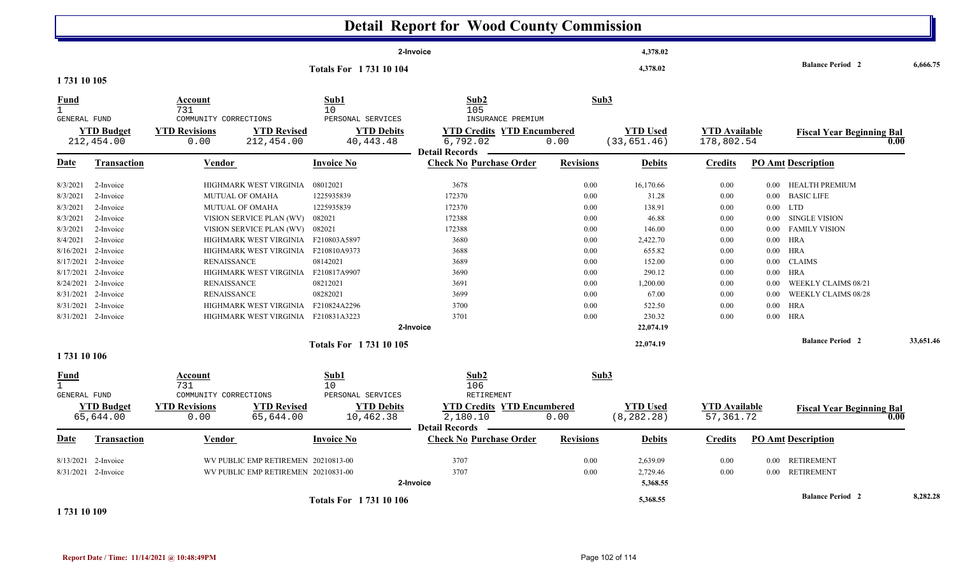|                                                    |                                |                                                                                       |                                                      | <b>Detail Report for Wood County Commission</b>                                   |                  |                                |                                   |                      |                                              |           |
|----------------------------------------------------|--------------------------------|---------------------------------------------------------------------------------------|------------------------------------------------------|-----------------------------------------------------------------------------------|------------------|--------------------------------|-----------------------------------|----------------------|----------------------------------------------|-----------|
|                                                    |                                |                                                                                       |                                                      | 2-Invoice                                                                         |                  | 4,378.02                       |                                   |                      |                                              |           |
|                                                    |                                |                                                                                       | <b>Totals For 173110104</b>                          |                                                                                   |                  | 4,378.02                       |                                   |                      | <b>Balance Period 2</b>                      | 6.666.75  |
| 1731 10 105                                        |                                |                                                                                       |                                                      |                                                                                   |                  |                                |                                   |                      |                                              |           |
| <u>Fund</u><br>$\mathbf{1}$<br><b>GENERAL FUND</b> | <b>YTD Budget</b>              | Account<br>731<br>COMMUNITY CORRECTIONS<br><b>YTD Revised</b><br><b>YTD Revisions</b> | Sub1<br>10<br>PERSONAL SERVICES<br><b>YTD Debits</b> | Sub <sub>2</sub><br>105<br>INSURANCE PREMIUM<br><b>YTD Credits YTD Encumbered</b> | Sub3             | <b>YTD Used</b>                | <b>YTD Available</b>              |                      |                                              |           |
|                                                    | 212,454.00                     | 212,454.00<br>0.00                                                                    | 40, 443. 48                                          | 6,792.02                                                                          | 0.00             | (33, 651.46)                   | 178,802.54                        |                      | <b>Fiscal Year Beginning Bal</b>             | 0.00      |
| <b>Date</b>                                        | <b>Transaction</b>             | Vendor                                                                                | <b>Invoice No</b>                                    | <b>Detail Records</b><br><b>Check No Purchase Order</b>                           | <b>Revisions</b> | <b>Debits</b>                  | <b>Credits</b>                    |                      | <b>PO Amt Description</b>                    |           |
| 8/3/2021                                           | 2-Invoice                      | HIGHMARK WEST VIRGINIA                                                                | 08012021                                             | 3678                                                                              | 0.00             | 16,170.66                      | 0.00                              |                      | 0.00 HEALTH PREMIUM                          |           |
| 8/3/2021                                           | 2-Invoice                      | <b>MUTUAL OF OMAHA</b>                                                                | 1225935839                                           | 172370                                                                            | 0.00             | 31.28                          | 0.00                              | $0.00\,$             | <b>BASIC LIFE</b>                            |           |
| 8/3/2021                                           | 2-Invoice                      | <b>MUTUAL OF OMAHA</b>                                                                | 1225935839                                           | 172370                                                                            | 0.00             | 138.91                         | 0.00                              |                      | $0.00$ LTD                                   |           |
| 8/3/2021                                           | 2-Invoice<br>2-Invoice         | VISION SERVICE PLAN (WV)                                                              | 082021<br>082021                                     | 172388                                                                            | 0.00             | 46.88                          | 0.00                              | $0.00\,$             | <b>SINGLE VISION</b><br><b>FAMILY VISION</b> |           |
| 8/3/2021<br>8/4/2021                               | 2-Invoice                      | VISION SERVICE PLAN (WV)<br>HIGHMARK WEST VIRGINIA                                    | F210803A5897                                         | 172388<br>3680                                                                    | 0.00             | 146.00                         | 0.00                              | $0.00\,$             | HRA                                          |           |
| 8/16/2021                                          | 2-Invoice                      | HIGHMARK WEST VIRGINIA F210810A9373                                                   |                                                      | 3688                                                                              | 0.00<br>0.00     | 2,422.70<br>655.82             | 0.00<br>0.00                      | $0.00\,$<br>$0.00\,$ | HRA                                          |           |
| 8/17/2021                                          | 2-Invoice                      | <b>RENAISSANCE</b>                                                                    | 08142021                                             | 3689                                                                              | 0.00             | 152.00                         | 0.00                              | $0.00\,$             | <b>CLAIMS</b>                                |           |
| 8/17/2021                                          | 2-Invoice                      | HIGHMARK WEST VIRGINIA                                                                | F210817A9907                                         | 3690                                                                              | 0.00             | 290.12                         | 0.00                              | $0.00\,$             | HRA                                          |           |
| 8/24/2021                                          | 2-Invoice                      | <b>RENAISSANCE</b>                                                                    | 08212021                                             | 3691                                                                              | 0.00             | 1,200.00                       | 0.00                              | $0.00\,$             | WEEKLY CLAIMS 08/21                          |           |
|                                                    | 8/31/2021 2-Invoice            | <b>RENAISSANCE</b>                                                                    | 08282021                                             | 3699                                                                              | 0.00             | 67.00                          | 0.00                              | $0.00\,$             | WEEKLY CLAIMS 08/28                          |           |
| 8/31/2021                                          | 2-Invoice                      | HIGHMARK WEST VIRGINIA                                                                | F210824A2296                                         | 3700                                                                              | 0.00             | 522.50                         | 0.00                              | $0.00\,$             | <b>HRA</b>                                   |           |
|                                                    | 8/31/2021 2-Invoice            | HIGHMARK WEST VIRGINIA F210831A3223                                                   |                                                      | 3701                                                                              | 0.00             | 230.32                         | 0.00                              | $0.00\,$             | HRA                                          |           |
|                                                    |                                |                                                                                       |                                                      | 2-Invoice                                                                         |                  | 22,074.19                      |                                   |                      |                                              |           |
|                                                    |                                |                                                                                       | <b>Totals For 173110105</b>                          |                                                                                   |                  | 22,074.19                      |                                   |                      | <b>Balance Period 2</b>                      | 33,651.46 |
| 1731 10 106                                        |                                |                                                                                       |                                                      |                                                                                   |                  |                                |                                   |                      |                                              |           |
| <b>Fund</b><br>$\mathbf{1}$<br><b>GENERAL FUND</b> |                                | Account<br>731<br>COMMUNITY CORRECTIONS                                               | Sub1<br>10<br>PERSONAL SERVICES                      | Sub <sub>2</sub><br>106<br><b>RETIREMENT</b>                                      | Sub3             |                                |                                   |                      |                                              |           |
|                                                    | <b>YTD Budget</b><br>65,644.00 | <b>YTD Revisions</b><br><b>YTD Revised</b><br>65,644.00<br>0.00                       | <b>YTD Debits</b><br>10,462.38                       | <b>YTD Credits YTD Encumbered</b><br>2,180.10                                     | 0.00             | <b>YTD Used</b><br>(8, 282.28) | <b>YTD Available</b><br>57,361.72 |                      | <b>Fiscal Year Beginning Bal</b>             | 0.00      |
| Date                                               | <b>Transaction</b>             | <b>Vendor</b>                                                                         | <b>Invoice No</b>                                    | <b>Detail Records</b><br><b>Check No Purchase Order</b>                           | <b>Revisions</b> | <b>Debits</b>                  | <b>Credits</b>                    |                      | <b>PO Amt Description</b>                    |           |
| 8/13/2021                                          | 2-Invoice                      | WV PUBLIC EMP RETIREMEN 20210813-00                                                   |                                                      | 3707                                                                              | 0.00             | 2,639.09                       | 0.00                              |                      | 0.00 RETIREMENT                              |           |
|                                                    | 8/31/2021 2-Invoice            | WV PUBLIC EMP RETIREMEN 20210831-00                                                   |                                                      | 3707<br>2-Invoice                                                                 | 0.00             | 2,729.46<br>5,368.55           | 0.00                              |                      | 0.00 RETIREMENT                              |           |
|                                                    |                                |                                                                                       | <b>Totals For 173110106</b>                          |                                                                                   |                  | 5,368.55                       |                                   |                      | <b>Balance Period 2</b>                      | 8,282.28  |

#### **1 731 10 109**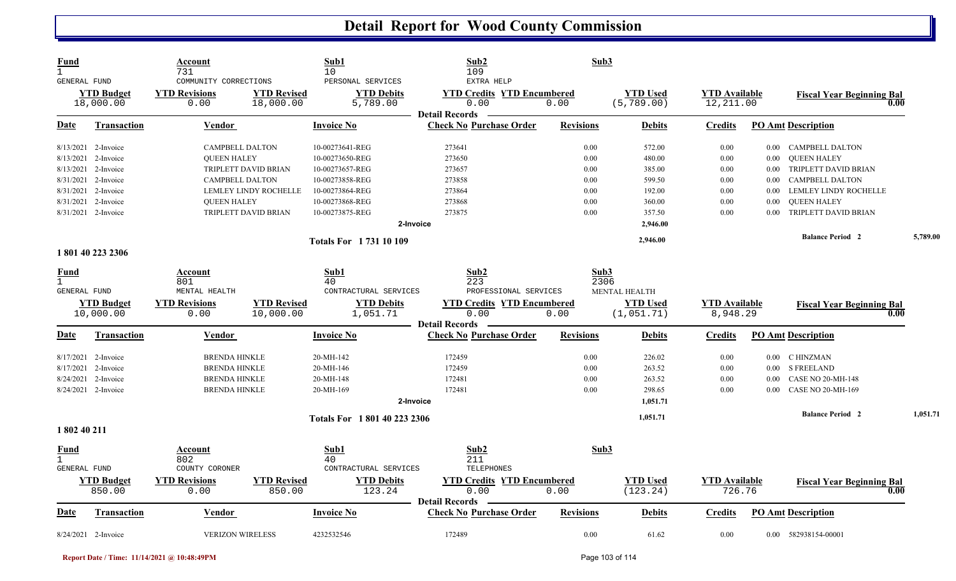| <b>Fund</b><br>$\mathbf{1}$<br>GENERAL FUND |                                | Account<br>731<br>COMMUNITY CORRECTIONS |                                 | Sub1<br>10<br>PERSONAL SERVICES | Sub2<br>109<br>EXTRA HELP                                          | Sub3             |                                |                                   |          |                                          |          |
|---------------------------------------------|--------------------------------|-----------------------------------------|---------------------------------|---------------------------------|--------------------------------------------------------------------|------------------|--------------------------------|-----------------------------------|----------|------------------------------------------|----------|
|                                             | <b>YTD Budget</b><br>18,000.00 | <b>YTD Revisions</b><br>0.00            | <b>YTD Revised</b><br>18,000.00 | <b>YTD Debits</b><br>5,789.00   | <b>YTD Credits YTD Encumbered</b><br>0.00<br><b>Detail Records</b> | 0.00             | <b>YTD Used</b><br>(5, 789.00) | <b>YTD</b> Available<br>12,211.00 |          | <b>Fiscal Year Beginning Bal</b><br>0.00 |          |
| Date                                        | <b>Transaction</b>             | <b>Vendor</b>                           |                                 | <b>Invoice No</b>               | <b>Check No Purchase Order</b>                                     | <b>Revisions</b> | <b>Debits</b>                  | <b>Credits</b>                    |          | <b>PO Amt Description</b>                |          |
|                                             | 8/13/2021 2-Invoice            | <b>CAMPBELL DALTON</b>                  |                                 | 10-00273641-REG                 | 273641                                                             | 0.00             | 572.00                         | 0.00                              |          | 0.00 CAMPBELL DALTON                     |          |
| 8/13/2021                                   | 2-Invoice                      | <b>QUEEN HALEY</b>                      |                                 | 10-00273650-REG                 | 273650                                                             | 0.00             | 480.00                         | 0.00                              | $0.00\,$ | <b>QUEEN HALEY</b>                       |          |
| 8/13/2021                                   | 2-Invoice                      |                                         | TRIPLETT DAVID BRIAN            | 10-00273657-REG                 | 273657                                                             | 0.00             | 385.00                         | 0.00                              | $0.00\,$ | TRIPLETT DAVID BRIAN                     |          |
|                                             | 8/31/2021 2-Invoice            | <b>CAMPBELL DALTON</b>                  |                                 | 10-00273858-REG                 | 273858                                                             | 0.00             | 599.50                         | 0.00                              | 0.00     | CAMPBELL DALTON                          |          |
| 8/31/2021                                   | 2-Invoice                      |                                         | LEMLEY LINDY ROCHELLE           | 10-00273864-REG                 | 273864                                                             | 0.00             | 192.00                         | 0.00                              | 0.00     | LEMLEY LINDY ROCHELLE                    |          |
| 8/31/2021                                   | 2-Invoice                      | <b>QUEEN HALEY</b>                      |                                 | 10-00273868-REG                 | 273868                                                             | 0.00             | 360.00                         | 0.00                              | 0.00     | <b>QUEEN HALEY</b>                       |          |
|                                             | 8/31/2021 2-Invoice            |                                         | TRIPLETT DAVID BRIAN            | 10-00273875-REG                 | 273875                                                             | 0.00             | 357.50                         | 0.00                              | 0.00     | TRIPLETT DAVID BRIAN                     |          |
|                                             |                                |                                         |                                 | 2-Invoice                       |                                                                    |                  | 2,946.00                       |                                   |          |                                          |          |
|                                             |                                |                                         |                                 | <b>Totals For 173110109</b>     |                                                                    |                  | 2,946.00                       |                                   |          | <b>Balance Period 2</b>                  | 5,789.00 |
|                                             | 1801402232306                  |                                         |                                 |                                 |                                                                    |                  |                                |                                   |          |                                          |          |
| <u>Fund</u>                                 |                                | Account                                 |                                 | Sub1                            | Sub2                                                               | Sub3             |                                |                                   |          |                                          |          |
| $\mathbf{1}$<br><b>GENERAL FUND</b>         |                                | 801<br>MENTAL HEALTH                    |                                 | 40<br>CONTRACTURAL SERVICES     | 223<br>PROFESSIONAL SERVICES                                       | 2306             | <b>MENTAL HEALTH</b>           |                                   |          |                                          |          |
|                                             |                                |                                         |                                 |                                 |                                                                    |                  |                                |                                   |          |                                          |          |
|                                             | <b>YTD Budget</b><br>10,000.00 | <b>YTD Revisions</b><br>0.00            | <b>YTD Revised</b><br>10,000.00 | <b>YTD Debits</b><br>1,051.71   | <b>YTD Credits YTD Encumbered</b><br>0.00                          | 0.00             | <b>YTD Used</b><br>(1, 051.71) | <b>YTD</b> Available<br>8,948.29  |          | <b>Fiscal Year Beginning Bal</b><br>0.00 |          |
|                                             |                                |                                         |                                 |                                 | <b>Detail Records</b>                                              |                  |                                |                                   |          |                                          |          |
| Date                                        | Transaction                    | Vendor                                  |                                 | <b>Invoice No</b>               | <b>Check No Purchase Order</b>                                     | <b>Revisions</b> | <b>Debits</b>                  | <b>Credits</b>                    |          | <b>PO Amt Description</b>                |          |
|                                             | 8/17/2021 2-Invoice            | <b>BRENDA HINKLE</b>                    |                                 | 20-MH-142                       | 172459                                                             | 0.00             | 226.02                         | 0.00                              |          | 0.00 C HINZMAN                           |          |
| 8/17/2021                                   | 2-Invoice                      | <b>BRENDA HINKLE</b>                    |                                 | 20-MH-146                       | 172459                                                             | 0.00             | 263.52                         | 0.00                              | $0.00\,$ | <b>S FREELAND</b>                        |          |
| 8/24/2021                                   | 2-Invoice                      | <b>BRENDA HINKLE</b>                    |                                 | 20-MH-148                       | 172481                                                             | 0.00             | 263.52                         | 0.00                              | 0.00     | <b>CASE NO 20-MH-148</b>                 |          |
|                                             | 8/24/2021 2-Invoice            | <b>BRENDA HINKLE</b>                    |                                 | 20-MH-169                       | 172481                                                             | 0.00             | 298.65                         | 0.00                              | 0.00     | <b>CASE NO 20-MH-169</b>                 |          |
|                                             |                                |                                         |                                 | 2-Invoice                       |                                                                    |                  | 1.051.71                       |                                   |          |                                          |          |
|                                             |                                |                                         |                                 | Totals For 1801402232306        |                                                                    |                  | 1,051.71                       |                                   |          | <b>Balance Period 2</b>                  | 1,051.71 |
| 1 802 40 211                                |                                |                                         |                                 |                                 |                                                                    |                  |                                |                                   |          |                                          |          |
| Fund<br>$\mathbf{1}$                        |                                | Account<br>802                          |                                 | Sub1<br>40                      | Sub2<br>211                                                        | Sub3             |                                |                                   |          |                                          |          |
| <b>GENERAL FUND</b>                         |                                | COUNTY CORONER                          |                                 | CONTRACTURAL SERVICES           | TELEPHONES                                                         |                  |                                |                                   |          |                                          |          |
|                                             | <b>YTD Budget</b>              | <b>YTD Revisions</b>                    | <b>YTD Revised</b>              | <b>YTD Debits</b>               | <b>YTD Credits YTD Encumbered</b>                                  |                  | <b>YTD</b> Used                | <b>YTD</b> Available              |          |                                          |          |
|                                             | 850.00                         | 0.00                                    | 850.00                          | 123.24                          | 0.00                                                               | 0.00             | (123.24)                       | 726.76                            |          | <b>Fiscal Year Beginning Bal</b><br>0.00 |          |
|                                             |                                |                                         |                                 |                                 | <b>Detail Records</b>                                              |                  |                                |                                   |          |                                          |          |
| Date                                        | <b>Transaction</b>             | <b>Vendor</b>                           |                                 | <b>Invoice No</b>               | <b>Check No Purchase Order</b>                                     | <b>Revisions</b> | <b>Debits</b>                  | <b>Credits</b>                    |          | <b>PO Amt Description</b>                |          |
|                                             | 8/24/2021 2-Invoice            | <b>VERIZON WIRELESS</b>                 |                                 | 4232532546                      | 172489                                                             | 0.00             | 61.62                          | 0.00                              |          | 0.00 582938154-00001                     |          |

**Report Date / Time: 11/14/2021 @ 10:48:49PM** Page 103 of 114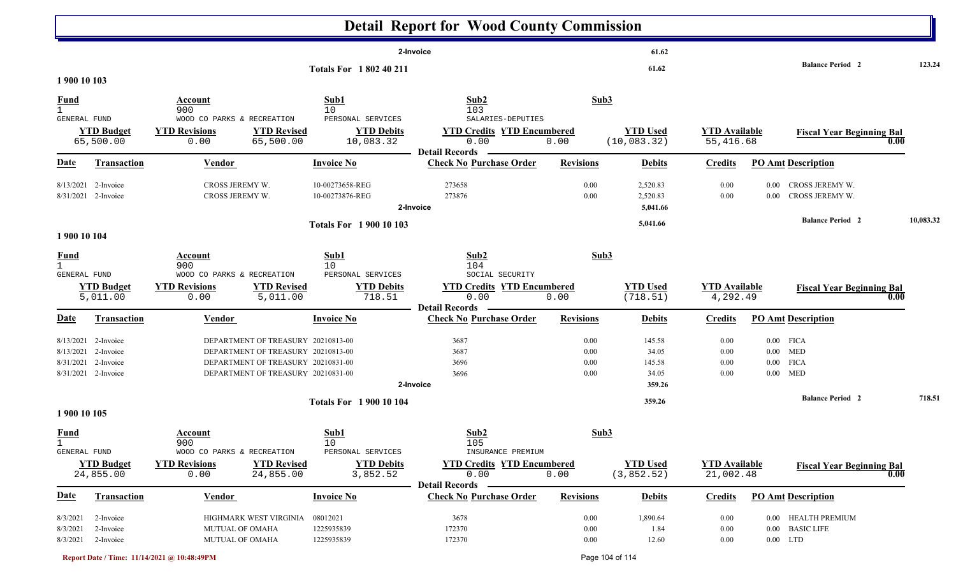|                                             |                                                                      |                                                                                                                                                      |                                                    | <b>Detail Report for Wood County Commission</b>                                         |                                  |                                              |                                   |                      |                                                        |           |
|---------------------------------------------|----------------------------------------------------------------------|------------------------------------------------------------------------------------------------------------------------------------------------------|----------------------------------------------------|-----------------------------------------------------------------------------------------|----------------------------------|----------------------------------------------|-----------------------------------|----------------------|--------------------------------------------------------|-----------|
|                                             |                                                                      |                                                                                                                                                      |                                                    | 2-Invoice                                                                               |                                  | 61.62                                        |                                   |                      |                                                        |           |
| 1 900 10 103                                |                                                                      |                                                                                                                                                      | <b>Totals For 1802 40 211</b>                      |                                                                                         |                                  | 61.62                                        |                                   |                      | <b>Balance Period 2</b>                                | 123.24    |
| <b>Fund</b><br><b>GENERAL FUND</b>          |                                                                      | Account<br>900<br>WOOD CO PARKS & RECREATION                                                                                                         | Sub1<br>10<br>PERSONAL SERVICES                    | Sub2<br>103<br>SALARIES-DEPUTIES                                                        | Sub3                             |                                              |                                   |                      |                                                        |           |
|                                             | <b>YTD Budget</b><br>65,500.00                                       | <b>YTD Revisions</b><br><b>YTD Revised</b><br>0.00<br>65,500.00                                                                                      | <b>YTD Debits</b><br>10,083.32                     | <b>YTD Credits YTD Encumbered</b><br>0.00<br><b>Detail Records</b>                      | 0.00                             | <b>YTD Used</b><br>(10, 083.32)              | <b>YTD</b> Available<br>55,416.68 |                      | <b>Fiscal Year Beginning Bal</b><br>0.00               |           |
| <u>Date</u>                                 | <b>Transaction</b>                                                   | <b>Vendor</b>                                                                                                                                        | <b>Invoice No</b>                                  | <b>Check No Purchase Order</b>                                                          | <b>Revisions</b>                 | <b>Debits</b>                                | <b>Credits</b>                    |                      | <b>PO Amt Description</b>                              |           |
|                                             | 8/13/2021 2-Invoice<br>8/31/2021 2-Invoice                           | CROSS JEREMY W.<br>CROSS JEREMY W.                                                                                                                   | 10-00273658-REG<br>10-00273876-REG                 | 273658<br>273876<br>2-Invoice                                                           | 0.00<br>0.00                     | 2,520.83<br>2,520.83<br>5,041.66             | 0.00<br>0.00                      | $0.00\,$<br>$0.00\,$ | CROSS JEREMY W.<br>CROSS JEREMY W.                     |           |
| 1 900 10 104                                |                                                                      |                                                                                                                                                      | <b>Totals For 1900 10 103</b>                      |                                                                                         |                                  | 5,041.66                                     |                                   |                      | <b>Balance Period 2</b>                                | 10,083.32 |
| <u>Fund</u><br>$\mathbf{1}$<br>GENERAL FUND |                                                                      | Account<br>900<br>WOOD CO PARKS & RECREATION                                                                                                         | Sub1<br>10<br>PERSONAL SERVICES                    | Sub2<br>104<br>SOCIAL SECURITY                                                          | Sub3                             |                                              |                                   |                      |                                                        |           |
|                                             | <b>YTD Budget</b><br>5,011.00                                        | <b>YTD Revisions</b><br><b>YTD Revised</b><br>0.00<br>5,011.00                                                                                       | <b>YTD Debits</b><br>718.51                        | <b>YTD Credits YTD Encumbered</b><br>0.00<br><b>Detail Records</b>                      | 0.00                             | <b>YTD Used</b><br>(718.51)                  | <b>YTD Available</b><br>4,292.49  |                      | <b>Fiscal Year Beginning Bal</b><br>0.00               |           |
| <b>Date</b>                                 | <b>Transaction</b>                                                   | <b>Vendor</b>                                                                                                                                        | <b>Invoice No</b>                                  | <b>Check No Purchase Order</b>                                                          | <b>Revisions</b>                 | <b>Debits</b>                                | <b>Credits</b>                    |                      | <b>PO Amt Description</b>                              |           |
| 8/13/2021<br>8/31/2021                      | 8/13/2021 2-Invoice<br>2-Invoice<br>2-Invoice<br>8/31/2021 2-Invoice | DEPARTMENT OF TREASURY 20210813-00<br>DEPARTMENT OF TREASURY 20210813-00<br>DEPARTMENT OF TREASURY 20210831-00<br>DEPARTMENT OF TREASURY 20210831-00 |                                                    | 3687<br>3687<br>3696<br>3696<br>2-Invoice                                               | 0.00<br>0.00<br>0.00<br>0.00     | 145.58<br>34.05<br>145.58<br>34.05<br>359.26 | 0.00<br>0.00<br>0.00<br>0.00      | $0.00\,$<br>$0.00\,$ | $0.00$ FICA<br>MED<br><b>FICA</b><br>$0.00$ MED        |           |
| 1 900 10 105                                |                                                                      |                                                                                                                                                      | <b>Totals For 1 900 10 104</b>                     |                                                                                         |                                  | 359.26                                       |                                   |                      | <b>Balance Period 2</b>                                | 718.51    |
| <b>Fund</b>                                 |                                                                      | Account<br>900                                                                                                                                       | Sub1<br>10                                         | Sub2<br>105                                                                             | Sub3                             |                                              |                                   |                      |                                                        |           |
| GENERAL FUND                                | <b>YTD Budget</b><br>24,855.00                                       | WOOD CO PARKS & RECREATION<br><b>YTD Revised</b><br><b>YTD Revisions</b><br>24,855.00<br>0.00                                                        | PERSONAL SERVICES<br><b>YTD Debits</b><br>3,852.52 | INSURANCE PREMIUM<br><b>YTD Credits YTD Encumbered</b><br>0.00<br><b>Detail Records</b> | 0.00                             | <b>YTD Used</b><br>(3, 852.52)               | <b>YTD Available</b><br>21,002.48 |                      | <b>Fiscal Year Beginning Bal</b><br>0.00               |           |
| <b>Date</b>                                 | <b>Transaction</b>                                                   | Vendor                                                                                                                                               | <b>Invoice No</b>                                  | <b>Check No Purchase Order</b>                                                          | <b>Revisions</b>                 | <b>Debits</b>                                | <b>Credits</b>                    |                      | <b>PO Amt Description</b>                              |           |
| 8/3/2021<br>8/3/2021                        | 2-Invoice<br>2-Invoice<br>8/3/2021 2-Invoice                         | HIGHMARK WEST VIRGINIA<br>MUTUAL OF OMAHA<br>MUTUAL OF OMAHA                                                                                         | 08012021<br>1225935839<br>1225935839               | 3678<br>172370<br>172370                                                                | $0.00\,$<br>$0.00\,$<br>$0.00\,$ | 1,890.64<br>1.84<br>12.60                    | 0.00<br>$0.00\,$<br>$0.00\,$      | $0.00\,$             | 0.00 HEALTH PREMIUM<br><b>BASIC LIFE</b><br>$0.00$ LTD |           |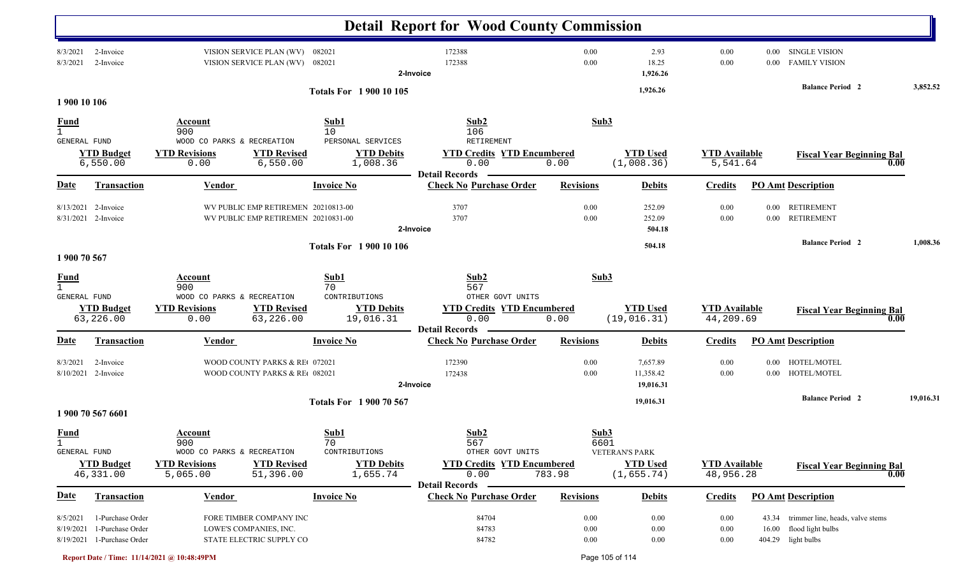|                             |                                                                    |                                                                                                   |                                                    | <b>Detail Report for Wood County Commission</b>                                        |                                  |                                                         |                                   |                      |                                                                                   |           |
|-----------------------------|--------------------------------------------------------------------|---------------------------------------------------------------------------------------------------|----------------------------------------------------|----------------------------------------------------------------------------------------|----------------------------------|---------------------------------------------------------|-----------------------------------|----------------------|-----------------------------------------------------------------------------------|-----------|
| 8/3/2021<br>8/3/2021        | 2-Invoice<br>2-Invoice                                             | VISION SERVICE PLAN (WV) 082021<br>VISION SERVICE PLAN (WV) 082021                                |                                                    | 172388<br>172388<br>2-Invoice                                                          | 0.00<br>0.00                     | 2.93<br>18.25<br>1,926.26                               | 0.00<br>0.00                      | $0.00\,$<br>$0.00\,$ | <b>SINGLE VISION</b><br><b>FAMILY VISION</b>                                      |           |
| 1 900 10 106                |                                                                    |                                                                                                   | <b>Totals For 1 900 10 105</b>                     |                                                                                        |                                  | 1,926.26                                                |                                   |                      | <b>Balance Period 2</b>                                                           | 3,852.52  |
| <u>Fund</u>                 |                                                                    | Account                                                                                           | Sub1                                               | Sub2                                                                                   | Sub3                             |                                                         |                                   |                      |                                                                                   |           |
| $\mathbf{1}$                |                                                                    | 900                                                                                               | 10                                                 | 106<br><b>RETIREMENT</b>                                                               |                                  |                                                         |                                   |                      |                                                                                   |           |
| GENERAL FUND                | <b>YTD Budget</b><br>6,550.00                                      | WOOD CO PARKS & RECREATION<br><b>YTD Revised</b><br><b>YTD Revisions</b><br>6,550.00<br>0.00      | PERSONAL SERVICES<br><b>YTD Debits</b><br>1,008.36 | <b>YTD Credits YTD Encumbered</b><br>0.00                                              | 0.00                             | <b>YTD Used</b><br>(1,008.36)                           | <b>YTD Available</b><br>5,541.64  |                      | <b>Fiscal Year Beginning Bal</b><br>0.00                                          |           |
| Date                        | Transaction                                                        | <b>Vendor</b>                                                                                     | <b>Invoice No</b>                                  | <b>Detail Records</b><br><b>Check No Purchase Order</b>                                | <b>Revisions</b>                 | <b>Debits</b>                                           | <b>Credits</b>                    |                      | <b>PO Amt Description</b>                                                         |           |
| 8/13/2021                   | 2-Invoice<br>8/31/2021 2-Invoice                                   | WV PUBLIC EMP RETIREMEN 20210813-00<br>WV PUBLIC EMP RETIREMEN 20210831-00                        |                                                    | 3707<br>3707                                                                           | 0.00<br>0.00                     | 252.09<br>252.09                                        | 0.00<br>0.00                      | $0.00\,$<br>$0.00\,$ | <b>RETIREMENT</b><br><b>RETIREMENT</b>                                            |           |
|                             |                                                                    |                                                                                                   |                                                    | 2-Invoice                                                                              |                                  | 504.18                                                  |                                   |                      | <b>Balance Period 2</b>                                                           | 1,008.36  |
| 1 900 70 567                |                                                                    |                                                                                                   | <b>Totals For 1 900 10 106</b>                     |                                                                                        |                                  | 504.18                                                  |                                   |                      |                                                                                   |           |
| <b>Fund</b><br>$\mathbf{1}$ |                                                                    | Account<br>900                                                                                    | Sub1<br>70                                         | Sub2<br>567                                                                            | Sub3                             |                                                         |                                   |                      |                                                                                   |           |
| <b>GENERAL FUND</b>         | <b>YTD Budget</b><br>63,226.00                                     | WOOD CO PARKS & RECREATION<br><b>YTD Revised</b><br><b>YTD Revisions</b><br>63,226.00<br>0.00     | CONTRIBUTIONS<br><b>YTD Debits</b><br>19,016.31    | OTHER GOVT UNITS<br><b>YTD Credits YTD Encumbered</b><br>0.00<br><b>Detail Records</b> | 0.00                             | <b>YTD Used</b><br>(19, 016.31)                         | <b>YTD</b> Available<br>44,209.69 |                      | <b>Fiscal Year Beginning Bal</b><br>0.00                                          |           |
| Date                        | Transaction                                                        | <b>Vendor</b>                                                                                     | <b>Invoice No</b>                                  | <b>Check No Purchase Order</b>                                                         | <b>Revisions</b>                 | <b>Debits</b>                                           | <b>Credits</b>                    |                      | <b>PO Amt Description</b>                                                         |           |
| 8/3/2021<br>8/10/2021       | 2-Invoice<br>2-Invoice                                             | WOOD COUNTY PARKS & RE 072021<br>WOOD COUNTY PARKS & RE 082021                                    |                                                    | 172390<br>172438<br>2-Invoice                                                          | 0.00<br>0.00                     | 7,657.89<br>11,358.42<br>19,016.31                      | 0.00<br>0.00                      | $0.00\,$             | HOTEL/MOTEL<br>0.00 HOTEL/MOTEL                                                   |           |
|                             | 1 900 70 567 6601                                                  |                                                                                                   | <b>Totals For 1900 70 567</b>                      |                                                                                        |                                  | 19,016.31                                               |                                   |                      | <b>Balance Period 2</b>                                                           | 19,016.31 |
| <b>Fund</b><br>$\mathbf{1}$ |                                                                    | Account<br>900                                                                                    | Sub1<br>70                                         | Sub2<br>567                                                                            | Sub3<br>6601                     |                                                         |                                   |                      |                                                                                   |           |
| GENERAL FUND                | <b>YTD Budget</b><br>46,331.00                                     | WOOD CO PARKS & RECREATION<br><b>YTD Revised</b><br><b>YTD Revisions</b><br>5,065.00<br>51,396.00 | CONTRIBUTIONS<br><b>YTD Debits</b><br>1,655.74     | OTHER GOVT UNITS<br><b>YTD Credits YTD Encumbered</b><br>0.00<br><b>Detail Records</b> | 783.98                           | <b>VETERAN'S PARK</b><br><b>YTD Used</b><br>(1, 655.74) | <b>YTD</b> Available<br>48,956.28 |                      | <b>Fiscal Year Beginning Bal</b><br>0.00                                          |           |
| <u>Date</u>                 | Transaction                                                        | <b>Vendor</b>                                                                                     | <b>Invoice No</b>                                  | <b>Check No Purchase Order</b>                                                         | <b>Revisions</b>                 | <b>Debits</b>                                           | <b>Credits</b>                    |                      | <b>PO Amt Description</b>                                                         |           |
| 8/5/2021<br>8/19/2021       | 1-Purchase Order<br>1-Purchase Order<br>8/19/2021 1-Purchase Order | FORE TIMBER COMPANY INC<br>LOWE'S COMPANIES, INC.<br>STATE ELECTRIC SUPPLY CO                     |                                                    | 84704<br>84783<br>84782                                                                | $0.00\,$<br>$0.00\,$<br>$0.00\,$ | $0.00\,$<br>$0.00\,$<br>$0.00\,$                        | $0.00\,$<br>0.00<br>$0.00\,$      | 16.00                | 43.34 trimmer line, heads, valve stems<br>flood light bulbs<br>404.29 light bulbs |           |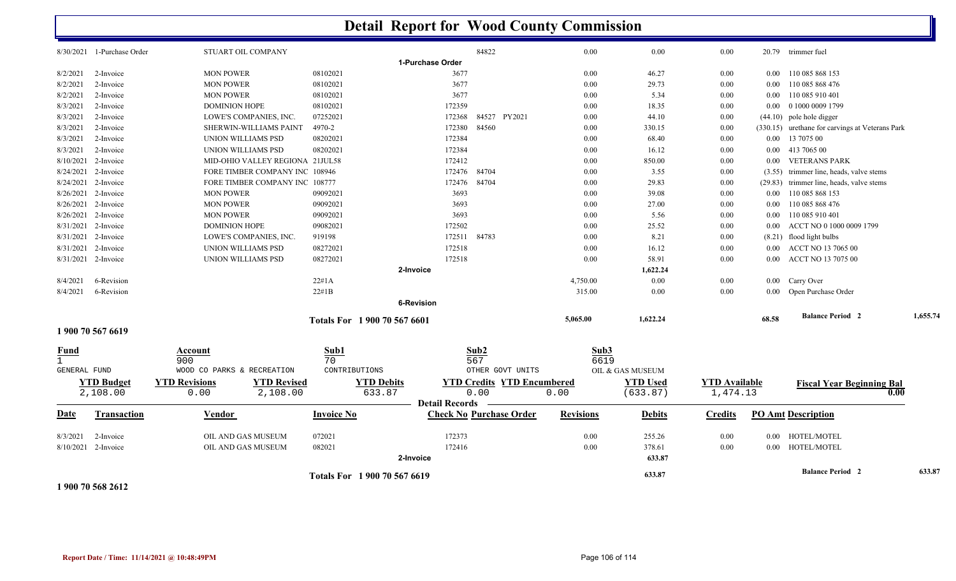|                     |                            |                                            |                   | <b>Detail Report for Wood County Commission</b> |                                   |                  |                  |                      |          |                                                 |          |
|---------------------|----------------------------|--------------------------------------------|-------------------|-------------------------------------------------|-----------------------------------|------------------|------------------|----------------------|----------|-------------------------------------------------|----------|
|                     | 8/30/2021 1-Purchase Order | STUART OIL COMPANY                         |                   |                                                 | 84822                             | 0.00             | 0.00             | 0.00                 |          | 20.79 trimmer fuel                              |          |
|                     |                            |                                            |                   | 1-Purchase Order                                |                                   |                  |                  |                      |          |                                                 |          |
| 8/2/2021            | 2-Invoice                  | <b>MON POWER</b>                           | 08102021          | 3677                                            |                                   | 0.00             | 46.27            | $0.00\,$             | $0.00\,$ | 110 085 868 153                                 |          |
| 8/2/2021            | 2-Invoice                  | <b>MON POWER</b>                           | 08102021          | 3677                                            |                                   | 0.00             | 29.73            | $0.00\,$             | $0.00\,$ | 110 085 868 476                                 |          |
| 8/2/2021            | 2-Invoice                  | <b>MON POWER</b>                           | 08102021          | 3677                                            |                                   | 0.00             | 5.34             | $0.00\,$             | $0.00\,$ | 110 085 910 401                                 |          |
| 8/3/2021            | 2-Invoice                  | <b>DOMINION HOPE</b>                       | 08102021          | 172359                                          |                                   | 0.00             | 18.35            | 0.00                 | $0.00\,$ | 0 1000 0009 1799                                |          |
| 8/3/2021            | 2-Invoice                  | LOWE'S COMPANIES, INC.                     | 07252021          | 172368                                          | 84527 PY2021                      | 0.00             | 44.10            | 0.00                 |          | $(44.10)$ pole hole digger                      |          |
| 8/3/2021            | 2-Invoice                  | <b>SHERWIN-WILLIAMS PAINT</b>              | 4970-2            | 172380                                          | 84560                             | 0.00             | 330.15           | 0.00                 |          | (330.15) urethane for carvings at Veterans Park |          |
| 8/3/2021            | 2-Invoice                  | UNION WILLIAMS PSD                         | 08202021          | 172384                                          |                                   | 0.00             | 68.40            | 0.00                 | $0.00\,$ | 13 7075 00                                      |          |
| 8/3/2021            | 2-Invoice                  | UNION WILLIAMS PSD                         | 08202021          | 172384                                          |                                   | 0.00             | 16.12            | $0.00\,$             | $0.00\,$ | 413 7065 00                                     |          |
| 8/10/2021           | 2-Invoice                  | MID-OHIO VALLEY REGIONA 21JUL58            |                   | 172412                                          |                                   | 0.00             | 850.00           | $0.00\,$             | $0.00\,$ | <b>VETERANS PARK</b>                            |          |
| 8/24/2021           | 2-Invoice                  | FORE TIMBER COMPANY INC 108946             |                   | 172476                                          | 84704                             | 0.00             | 3.55             | $0.00\,$             | (3.55)   | trimmer line, heads, valve stems                |          |
| 8/24/2021           | 2-Invoice                  | FORE TIMBER COMPANY INC 108777             |                   | 172476                                          | 84704                             | 0.00             | 29.83            | 0.00                 | (29.83)  | trimmer line, heads, valve stems                |          |
|                     | 8/26/2021 2-Invoice        | <b>MON POWER</b>                           | 09092021          | 3693                                            |                                   | 0.00             | 39.08            | $0.00\,$             | $0.00\,$ | 110 085 868 153                                 |          |
| 8/26/2021           | 2-Invoice                  | <b>MON POWER</b>                           | 09092021          | 3693                                            |                                   | 0.00             | 27.00            | $0.00\,$             | $0.00\,$ | 110 085 868 476                                 |          |
| 8/26/2021           | 2-Invoice                  | <b>MON POWER</b>                           | 09092021          | 3693                                            |                                   | 0.00             | 5.56             | $0.00\,$             | $0.00\,$ | 110 085 910 401                                 |          |
| 8/31/2021           | 2-Invoice                  | <b>DOMINION HOPE</b>                       | 09082021          | 172502                                          |                                   | 0.00             | 25.52            | 0.00                 | 0.00     | ACCT NO 0 1000 0009 1799                        |          |
| 8/31/2021           | 2-Invoice                  | LOWE'S COMPANIES, INC.                     | 919198            | 172511                                          | 84783                             | 0.00             | 8.21             | 0.00                 |          | (8.21) flood light bulbs                        |          |
| 8/31/2021           | 2-Invoice                  | UNION WILLIAMS PSD                         | 08272021          | 172518                                          |                                   | 0.00             | 16.12            | $0.00\,$             | $0.00\,$ | ACCT NO 13 7065 00                              |          |
| 8/31/2021           | 2-Invoice                  | UNION WILLIAMS PSD                         | 08272021          | 172518                                          |                                   | 0.00             | 58.91            | 0.00                 | $0.00\,$ | <b>ACCT NO 13 7075 00</b>                       |          |
|                     |                            |                                            |                   | 2-Invoice                                       |                                   |                  | 1,622.24         |                      |          |                                                 |          |
| 8/4/2021            | 6-Revision                 |                                            | 22#1A             |                                                 |                                   | 4,750.00         | 0.00             | $0.00\,$             |          | 0.00 Carry Over                                 |          |
| 8/4/2021            | 6-Revision                 |                                            | 22#1B             |                                                 |                                   | 315.00           | 0.00             | 0.00                 |          | 0.00 Open Purchase Order                        |          |
|                     |                            |                                            |                   | 6-Revision                                      |                                   |                  |                  |                      |          |                                                 |          |
|                     |                            |                                            |                   | Totals For 1 900 70 567 6601                    |                                   | 5,065.00         | 1,622.24         |                      | 68.58    | <b>Balance Period 2</b>                         | 1,655.74 |
| Fund                | 1 900 70 567 6619          | Account                                    | Sub1              |                                                 | Sub2                              | Sub3             |                  |                      |          |                                                 |          |
| $\mathbf{1}$        |                            | 900                                        | 70                |                                                 | 567                               | 6619             |                  |                      |          |                                                 |          |
| <b>GENERAL FUND</b> |                            | WOOD CO PARKS & RECREATION                 | CONTRIBUTIONS     |                                                 | OTHER GOVT UNITS                  |                  | OIL & GAS MUSEUM |                      |          |                                                 |          |
|                     | <b>YTD Budget</b>          | <b>YTD Revisions</b><br><b>YTD Revised</b> |                   | <b>YTD Debits</b>                               | <b>YTD Credits YTD Encumbered</b> |                  | <b>YTD Used</b>  | <b>YTD Available</b> |          | <b>Fiscal Year Beginning Bal</b>                |          |
|                     | 2,108.00                   | 2,108.00<br>0.00                           |                   | 633.87                                          | 0.00                              | 0.00             | (633.87)         | 1,474.13             |          | 0.00                                            |          |
| Date                | Transaction                | Vendor                                     | <b>Invoice No</b> | <b>Detail Records</b>                           | <b>Check No Purchase Order</b>    | <b>Revisions</b> | <b>Debits</b>    | <b>Credits</b>       |          | <b>PO Amt Description</b>                       |          |
| 8/3/2021            | 2-Invoice                  | OIL AND GAS MUSEUM                         | 072021            | 172373                                          |                                   | 0.00             | 255.26           | 0.00                 | $0.00\,$ | HOTEL/MOTEL                                     |          |
| 8/10/2021           | 2-Invoice                  | OIL AND GAS MUSEUM                         | 082021            | 172416                                          |                                   | 0.00             | 378.61           | 0.00                 | $0.00\,$ | HOTEL/MOTEL                                     |          |
|                     |                            |                                            |                   | 2-Invoice                                       |                                   |                  | 633.87           |                      |          |                                                 |          |
|                     |                            |                                            |                   | Totals For 1900 70 567 6619                     |                                   |                  | 633.87           |                      |          | <b>Balance Period 2</b>                         | 633.87   |

**1 900 70 568 2612**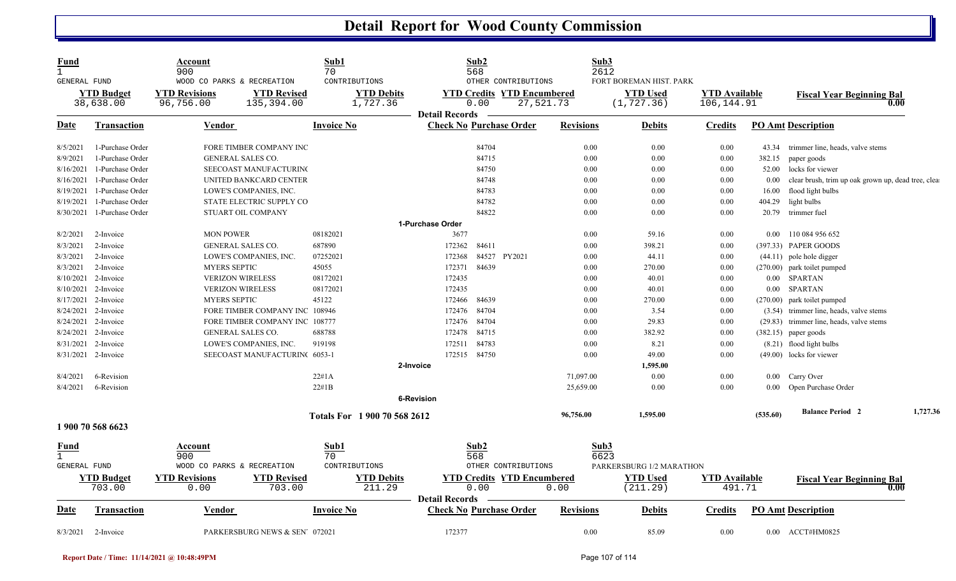| Fund<br>$\mathbf{1}$<br>GENERAL FUND |                                | Account<br>900<br>WOOD CO PARKS & RECREATION | Sub1<br>70                       | CONTRIBUTIONS                 | Sub2<br>568                                             | OTHER CONTRIBUTIONS                            | Sub3<br>2612     | FORT BOREMAN HIST. PARK        |                                    |          |                                                    |          |
|--------------------------------------|--------------------------------|----------------------------------------------|----------------------------------|-------------------------------|---------------------------------------------------------|------------------------------------------------|------------------|--------------------------------|------------------------------------|----------|----------------------------------------------------|----------|
|                                      | <b>YTD Budget</b><br>38,638.00 | <b>YTD Revisions</b><br>96,756.00            | <b>YTD Revised</b><br>135,394.00 | <b>YTD Debits</b><br>1,727.36 | 0.00                                                    | <b>YTD Credits YTD Encumbered</b><br>27,521.73 |                  | <b>YTD Used</b><br>(1, 727.36) | <b>YTD Available</b><br>106,144.91 |          | <b>Fiscal Year Beginning Bal</b>                   | 0.00     |
| Date                                 | <b>Transaction</b>             | Vendor                                       | <b>Invoice No</b>                |                               | <b>Detail Records</b><br><b>Check No Purchase Order</b> |                                                | <b>Revisions</b> | <b>Debits</b>                  | Credits                            |          | <b>PO Amt Description</b>                          |          |
| 8/5/2021                             | 1-Purchase Order               | FORE TIMBER COMPANY INC                      |                                  |                               | 84704                                                   |                                                | 0.00             | 0.00                           | 0.00                               | 43.34    | trimmer line, heads, valve stems                   |          |
| 8/9/2021                             | 1-Purchase Order               | GENERAL SALES CO.                            |                                  |                               | 84715                                                   |                                                | 0.00             | 0.00                           | 0.00                               | 382.15   | paper goods                                        |          |
| 8/16/2021                            | 1-Purchase Order               | SEECOAST MANUFACTURING                       |                                  |                               | 84750                                                   |                                                | 0.00             | 0.00                           | 0.00                               | 52.00    | locks for viewer                                   |          |
| 8/16/2021                            | 1-Purchase Order               | UNITED BANKCARD CENTER                       |                                  |                               | 84748                                                   |                                                | 0.00             | 0.00                           | 0.00                               | $0.00\,$ | clear brush, trim up oak grown up, dead tree, clea |          |
| 8/19/2021                            | 1-Purchase Order               | LOWE'S COMPANIES, INC.                       |                                  |                               | 84783                                                   |                                                | 0.00             | 0.00                           | 0.00                               | 16.00    | flood light bulbs                                  |          |
| 8/19/2021                            | 1-Purchase Order               | STATE ELECTRIC SUPPLY CO                     |                                  |                               | 84782                                                   |                                                | 0.00             | 0.00                           | 0.00                               | 404.29   | light bulbs                                        |          |
| 8/30/2021                            | 1-Purchase Order               | STUART OIL COMPANY                           |                                  |                               | 84822                                                   |                                                | 0.00             | 0.00                           | 0.00                               | 20.79    | trimmer fuel                                       |          |
|                                      |                                |                                              |                                  | 1-Purchase Order              |                                                         |                                                |                  |                                |                                    |          |                                                    |          |
| 8/2/2021                             | 2-Invoice                      | <b>MON POWER</b>                             | 08182021                         |                               | 3677                                                    |                                                | 0.00             | 59.16                          | 0.00                               | $0.00\,$ | 110 084 956 652                                    |          |
| 8/3/2021                             | 2-Invoice                      | <b>GENERAL SALES CO.</b>                     | 687890                           |                               | 84611<br>172362                                         |                                                | 0.00             | 398.21                         | 0.00                               |          | (397.33) PAPER GOODS                               |          |
| 8/3/2021                             | 2-Invoice                      | LOWE'S COMPANIES, INC.                       | 07252021                         |                               | 172368                                                  | 84527 PY2021                                   | 0.00             | 44.11                          | 0.00                               |          | $(44.11)$ pole hole digger                         |          |
| 8/3/2021                             | 2-Invoice                      | <b>MYERS SEPTIC</b>                          | 45055                            |                               | 84639<br>172371                                         |                                                | 0.00             | 270.00                         | 0.00                               |          | (270.00) park toilet pumped                        |          |
| 8/10/2021                            | 2-Invoice                      | <b>VERIZON WIRELESS</b>                      | 08172021                         |                               | 172435                                                  |                                                | 0.00             | 40.01                          | 0.00                               |          | 0.00 SPARTAN                                       |          |
|                                      | 8/10/2021 2-Invoice            | <b>VERIZON WIRELESS</b>                      | 08172021                         |                               | 172435                                                  |                                                | 0.00             | 40.01                          | 0.00                               |          | 0.00 SPARTAN                                       |          |
| 8/17/2021                            | 2-Invoice                      | <b>MYERS SEPTIC</b>                          | 45122                            |                               | 172466<br>84639                                         |                                                | 0.00             | 270.00                         | 0.00                               |          | (270.00) park toilet pumped                        |          |
| 8/24/2021                            | 2-Invoice                      | FORE TIMBER COMPANY INC 108946               |                                  |                               | 84704<br>172476                                         |                                                | 0.00             | 3.54                           | 0.00                               |          | (3.54) trimmer line, heads, valve stems            |          |
|                                      | 8/24/2021 2-Invoice            | FORE TIMBER COMPANY INC 108777               |                                  |                               | 172476 84704                                            |                                                | 0.00             | 29.83                          | 0.00                               |          | (29.83) trimmer line, heads, valve stems           |          |
|                                      | 8/24/2021 2-Invoice            | <b>GENERAL SALES CO.</b>                     | 688788                           |                               | 84715<br>172478                                         |                                                | 0.00             | 382.92                         | 0.00                               |          | $(382.15)$ paper goods                             |          |
| 8/31/2021                            | 2-Invoice                      | LOWE'S COMPANIES, INC.                       | 919198                           |                               | 84783<br>172511                                         |                                                | 0.00             | 8.21                           | 0.00                               |          | (8.21) flood light bulbs                           |          |
|                                      | 8/31/2021 2-Invoice            | SEECOAST MANUFACTURIN(6053-1                 |                                  |                               | 172515 84750                                            |                                                | 0.00             | 49.00                          | 0.00                               |          | (49.00) locks for viewer                           |          |
|                                      |                                |                                              |                                  | 2-Invoice                     |                                                         |                                                |                  | 1,595.00                       |                                    |          |                                                    |          |
| 8/4/2021                             | 6-Revision                     |                                              | 22#1A                            |                               |                                                         |                                                | 71,097.00        | 0.00                           | 0.00                               |          | 0.00 Carry Over                                    |          |
| 8/4/2021                             | 6-Revision                     |                                              | 22#1B                            |                               |                                                         |                                                | 25,659.00        | 0.00                           | 0.00                               |          | 0.00 Open Purchase Order                           |          |
|                                      |                                |                                              |                                  | <b>6-Revision</b>             |                                                         |                                                |                  |                                |                                    |          |                                                    |          |
|                                      |                                |                                              |                                  | Totals For 1 900 70 568 2612  |                                                         |                                                | 96,756.00        | 1.595.00                       |                                    | (535.60) | <b>Balance Period 2</b>                            | 1,727.36 |
|                                      | 1 900 70 568 6623              |                                              |                                  |                               |                                                         |                                                |                  |                                |                                    |          |                                                    |          |
| Fund                                 |                                | Account                                      | Sub1                             |                               | Sub2                                                    |                                                | Sub3             |                                |                                    |          |                                                    |          |
| $\mathbf{1}$                         |                                | 900                                          | 70                               |                               | 568                                                     |                                                | 6623             |                                |                                    |          |                                                    |          |
| <b>GENERAL FUND</b>                  |                                | WOOD CO PARKS & RECREATION                   |                                  | CONTRIBUTIONS                 |                                                         | OTHER CONTRIBUTIONS                            |                  | PARKERSBURG 1/2 MARATHON       |                                    |          |                                                    |          |
|                                      | <b>YTD Budget</b>              | <b>YTD Revisions</b>                         | <b>YTD Revised</b>               | <b>YTD Debits</b>             |                                                         | <b>YTD Credits YTD Encumbered</b>              |                  | <b>YTD Used</b>                | <b>YTD Available</b>               |          | <b>Fiscal Year Beginning Bal</b>                   |          |
|                                      | 703.00                         | 0.00                                         | 703.00                           | 211.29                        | 0.00<br><b>Detail Records</b>                           |                                                | 0.00             | (211.29)                       | 491.71                             |          |                                                    | 0.00     |
| <b>Date</b>                          | <b>Transaction</b>             | <b>Vendor</b>                                | <b>Invoice No</b>                |                               | <b>Check No Purchase Order</b>                          |                                                | <b>Revisions</b> | <b>Debits</b>                  | <u>Credits</u>                     |          | <b>PO Amt Description</b>                          |          |
| 8/3/2021                             | 2-Invoice                      | PARKERSBURG NEWS & SEN 072021                |                                  |                               | 172377                                                  |                                                | 0.00             | 85.09                          | 0.00                               |          | 0.00 ACCT#HM0825                                   |          |

**Report Date / Time: 11/14/2021 @ 10:48:49PM** Page 107 of 114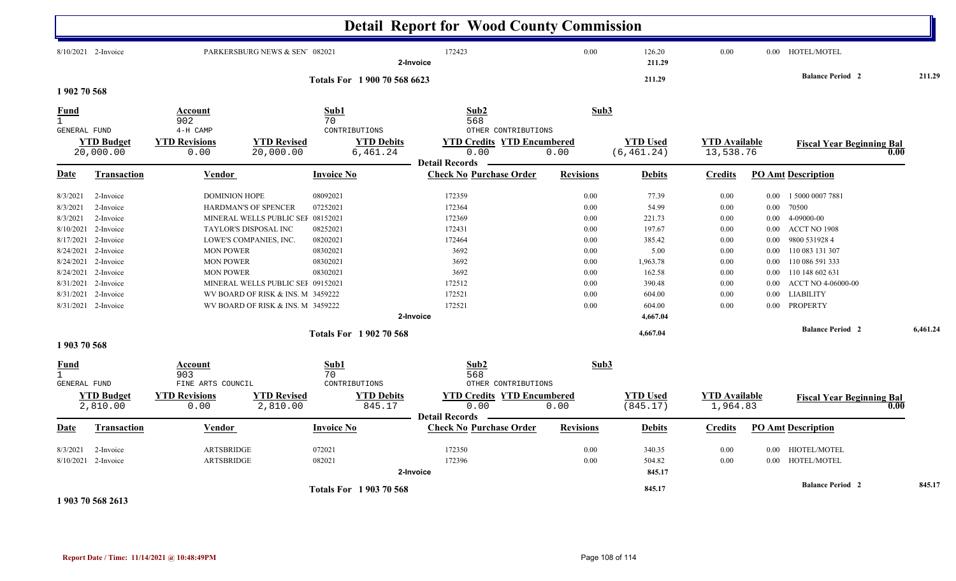|                                                                                                                             |                                                                                                                                                       |                                                                                      |                                                                                                                                                                                                                                    |                                                                                  | <b>Detail Report for Wood County Commission</b>                                                                |                                                                                      |                                                                                                          |                                                                                                  |                                                                                                                                                                                                                                                                                                                         |          |
|-----------------------------------------------------------------------------------------------------------------------------|-------------------------------------------------------------------------------------------------------------------------------------------------------|--------------------------------------------------------------------------------------|------------------------------------------------------------------------------------------------------------------------------------------------------------------------------------------------------------------------------------|----------------------------------------------------------------------------------|----------------------------------------------------------------------------------------------------------------|--------------------------------------------------------------------------------------|----------------------------------------------------------------------------------------------------------|--------------------------------------------------------------------------------------------------|-------------------------------------------------------------------------------------------------------------------------------------------------------------------------------------------------------------------------------------------------------------------------------------------------------------------------|----------|
| 8/10/2021 2-Invoice                                                                                                         |                                                                                                                                                       | 172423<br>PARKERSBURG NEWS & SEN 082021<br>2-Invoice<br>Totals For 1 900 70 568 6623 |                                                                                                                                                                                                                                    |                                                                                  |                                                                                                                | $0.00\,$                                                                             | 126.20<br>211.29                                                                                         | 0.00                                                                                             | 0.00 HOTEL/MOTEL                                                                                                                                                                                                                                                                                                        |          |
|                                                                                                                             |                                                                                                                                                       |                                                                                      |                                                                                                                                                                                                                                    |                                                                                  |                                                                                                                |                                                                                      | 211.29                                                                                                   |                                                                                                  | <b>Balance Period 2</b>                                                                                                                                                                                                                                                                                                 | 211.29   |
| 1902 70 568                                                                                                                 |                                                                                                                                                       |                                                                                      |                                                                                                                                                                                                                                    |                                                                                  |                                                                                                                |                                                                                      |                                                                                                          |                                                                                                  |                                                                                                                                                                                                                                                                                                                         |          |
| Fund<br>$\mathbf{1}$<br><b>GENERAL FUND</b>                                                                                 |                                                                                                                                                       | Account<br>902<br>4-H CAMP                                                           | Sub1<br>70<br>CONTRIBUTIONS<br><b>YTD Revised</b><br><b>YTD Debits</b><br>6,461.24<br>0.00<br>20,000.00                                                                                                                            |                                                                                  | Sub2<br>568                                                                                                    | Sub3<br>OTHER CONTRIBUTIONS                                                          |                                                                                                          |                                                                                                  |                                                                                                                                                                                                                                                                                                                         |          |
| <b>YTD Budget</b><br>20,000.00                                                                                              |                                                                                                                                                       | <b>YTD Revisions</b>                                                                 |                                                                                                                                                                                                                                    |                                                                                  | <b>YTD Credits YTD Encumbered</b><br>0.00<br><b>Detail Records</b>                                             | 0.00                                                                                 | <b>YTD Used</b><br>(6, 461.24)                                                                           |                                                                                                  | <b>YTD Available</b><br><b>Fiscal Year Beginning Bal</b><br>13,538.76                                                                                                                                                                                                                                                   | 0.00     |
| Date                                                                                                                        | <b>Transaction</b>                                                                                                                                    | <u>Vendor</u>                                                                        |                                                                                                                                                                                                                                    | Invoice No                                                                       | <b>Check No Purchase Order</b>                                                                                 | <b>Revisions</b>                                                                     | <b>Debits</b>                                                                                            | <b>Credits</b>                                                                                   | <b>PO Amt Description</b>                                                                                                                                                                                                                                                                                               |          |
| 8/3/2021<br>8/3/2021<br>8/3/2021<br>8/10/2021<br>8/17/2021<br>8/24/2021<br>8/24/2021<br>8/24/2021<br>8/31/2021<br>8/31/2021 | 2-Invoice<br>2-Invoice<br>2-Invoice<br>2-Invoice<br>2-Invoice<br>2-Invoice<br>2-Invoice<br>2-Invoice<br>2-Invoice<br>2-Invoice<br>8/31/2021 2-Invoice | <b>DOMINION HOPE</b><br><b>MON POWER</b><br><b>MON POWER</b><br><b>MON POWER</b>     | <b>HARDMAN'S OF SPENCER</b><br>MINERAL WELLS PUBLIC SEF 08152021<br>TAYLOR'S DISPOSAL INC<br>LOWE'S COMPANIES, INC.<br>MINERAL WELLS PUBLIC SEI 09152021<br>WV BOARD OF RISK & INS. M 3459222<br>WV BOARD OF RISK & INS. M 3459222 | 08092021<br>07252021<br>08252021<br>08202021<br>08302021<br>08302021<br>08302021 | 172359<br>172364<br>172369<br>172431<br>172464<br>3692<br>3692<br>3692<br>172512<br>172521<br>172521           | 0.00<br>0.00<br>0.00<br>0.00<br>0.00<br>0.00<br>0.00<br>0.00<br>0.00<br>0.00<br>0.00 | 77.39<br>54.99<br>221.73<br>197.67<br>385.42<br>5.00<br>1,963.78<br>162.58<br>390.48<br>604.00<br>604.00 | 0.00<br>0.00<br>$0.00\,$<br>0.00<br>0.00<br>$0.00\,$<br>0.00<br>0.00<br>$0.00\,$<br>0.00<br>0.00 | 1 5000 0007 7881<br>$0.00\,$<br>70500<br>0.00<br>4-09000-00<br>$0.00\,$<br>ACCT NO 1908<br>$0.00\,$<br>9800 531928 4<br>$0.00\,$<br>$0.00\,$<br>110 083 131 307<br>110 086 591 333<br>$0.00\,$<br>110 148 602 631<br>$0.00\,$<br>ACCT NO 4-06000-00<br>$0.00\,$<br><b>LIABILITY</b><br>$0.00\,$<br>PROPERTY<br>$0.00\,$ |          |
| 1903 70 568                                                                                                                 |                                                                                                                                                       | 2-Invoice<br><b>Totals For 1902 70 568</b>                                           |                                                                                                                                                                                                                                    |                                                                                  |                                                                                                                |                                                                                      | 4,667.04<br>4,667.04                                                                                     |                                                                                                  | <b>Balance Period 2</b>                                                                                                                                                                                                                                                                                                 | 6,461.24 |
| <u>Fund</u><br>$\mathbf{1}$<br><b>GENERAL FUND</b>                                                                          | <b>YTD Budget</b><br>2,810.00                                                                                                                         | Account<br>903<br>FINE ARTS COUNCIL<br><b>YTD Revisions</b><br>0.00                  | Sub1<br>70<br>CONTRIBUTIONS<br><b>YTD Revised</b><br>2,810.00                                                                                                                                                                      |                                                                                  | Sub2<br>568<br>OTHER CONTRIBUTIONS<br><b>YTD Credits YTD Encumbered</b><br><b>YTD Debits</b><br>0.00<br>845.17 | 0.00                                                                                 | Sub3<br><b>YTD Used</b><br>(845.17)                                                                      | <b>YTD Available</b><br>1,964.83                                                                 | <b>Fiscal Year Beginning Bal</b>                                                                                                                                                                                                                                                                                        | 0.00     |
| <u>Date</u>                                                                                                                 | Transaction                                                                                                                                           | <b>Vendor</b>                                                                        |                                                                                                                                                                                                                                    | <b>Invoice No</b>                                                                | <b>Detail Records</b><br><b>Check No Purchase Order</b>                                                        | <b>Revisions</b>                                                                     | <b>Debits</b>                                                                                            | <b>Credits</b>                                                                                   | <b>PO Amt Description</b>                                                                                                                                                                                                                                                                                               |          |
| 8/3/2021                                                                                                                    | 2-Invoice<br>8/10/2021 2-Invoice                                                                                                                      | <b>ARTSBRIDGE</b><br><b>ARTSBRIDGE</b>                                               |                                                                                                                                                                                                                                    | 072021<br>082021                                                                 | 172350<br>172396<br>2-Invoice                                                                                  | 0.00<br>$0.00\,$                                                                     | 340.35<br>504.82<br>845.17                                                                               | $0.00\,$<br>$0.00\,$                                                                             | <b>HIOTEL/MOTEL</b><br>$0.00\,$<br>HOTEL/MOTEL<br>$0.00\,$                                                                                                                                                                                                                                                              |          |
|                                                                                                                             | 1 903 70 568 2613                                                                                                                                     |                                                                                      |                                                                                                                                                                                                                                    | <b>Totals For 1903 70 568</b>                                                    |                                                                                                                |                                                                                      | 845.17                                                                                                   |                                                                                                  | <b>Balance Period 2</b>                                                                                                                                                                                                                                                                                                 | 845.17   |

**Report Date / Time: 11/14/2021 @ 10:48:49PM** Page 108 of 114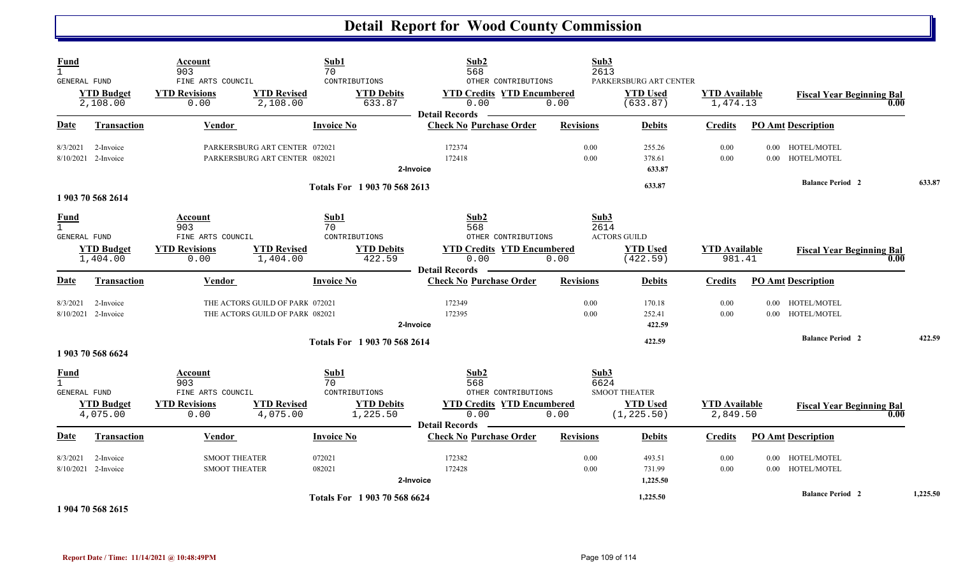| <b>Fund</b><br>$\mathbf{1}$<br>GENERAL FUND |                                  | Account<br>903<br>FINE ARTS COUNCIL                                 |                                                                    | Sub1<br>70<br>CONTRIBUTIONS                                  | Sub2<br>568<br>OTHER CONTRIBUTIONS                                                                       |                  | Sub3<br>2613<br>PARKERSBURG ART CENTER                                 |                                  |          |                                          |          |
|---------------------------------------------|----------------------------------|---------------------------------------------------------------------|--------------------------------------------------------------------|--------------------------------------------------------------|----------------------------------------------------------------------------------------------------------|------------------|------------------------------------------------------------------------|----------------------------------|----------|------------------------------------------|----------|
|                                             | <b>YTD Budget</b><br>2,108.00    | <b>YTD Revisions</b><br>0.00                                        | <b>YTD Revised</b><br>2,108.00                                     | <b>YTD Debits</b><br>633.87                                  | <b>YTD Credits YTD Encumbered</b><br>0.00<br><b>Detail Records</b>                                       | 0.00             | <b>YTD Used</b><br>(633.87)                                            | <b>YTD</b> Available<br>1,474.13 |          | <b>Fiscal Year Beginning Bal</b><br>0.00 |          |
| Date                                        | <b>Transaction</b>               | <b>Vendor</b>                                                       |                                                                    | <b>Invoice No</b>                                            | <b>Check No Purchase Order</b>                                                                           | <b>Revisions</b> | <b>Debits</b>                                                          | <b>Credits</b>                   |          | <b>PO Amt Description</b>                |          |
| 8/3/2021                                    | 2-Invoice<br>8/10/2021 2-Invoice |                                                                     | PARKERSBURG ART CENTER 072021<br>PARKERSBURG ART CENTER 082021     |                                                              | 172374<br>172418<br>2-Invoice                                                                            | 0.00<br>0.00     | 255.26<br>378.61<br>633.87                                             | 0.00<br>0.00                     |          | 0.00 HOTEL/MOTEL<br>0.00 HOTEL/MOTEL     |          |
|                                             | 1 903 70 568 2614                |                                                                     |                                                                    | Totals For 1 903 70 568 2613                                 |                                                                                                          |                  | 633.87                                                                 |                                  |          | <b>Balance Period 2</b>                  | 633.87   |
| <b>Fund</b><br>$\mathbf{1}$<br>GENERAL FUND | <b>YTD Budget</b><br>1,404.00    | Account<br>903<br>FINE ARTS COUNCIL<br><b>YTD Revisions</b><br>0.00 | <b>YTD Revised</b><br>1,404.00                                     | Sub1<br>70<br>CONTRIBUTIONS<br><b>YTD Debits</b><br>422.59   | Sub2<br>568<br>OTHER CONTRIBUTIONS<br><b>YTD Credits YTD Encumbered</b><br>0.00<br><b>Detail Records</b> | 0.00             | Sub3<br>2614<br><b>ACTORS GUILD</b><br><b>YTD Used</b><br>(422.59)     | <b>YTD Available</b><br>981.41   |          | <b>Fiscal Year Beginning Bal</b><br>0.00 |          |
| <b>Date</b>                                 | <b>Transaction</b>               | <b>Vendor</b>                                                       |                                                                    | <b>Invoice No</b>                                            | <b>Check No Purchase Order</b>                                                                           | <b>Revisions</b> | <b>Debits</b>                                                          | <b>Credits</b>                   |          | <b>PO Amt Description</b>                |          |
| 8/3/2021                                    | 2-Invoice<br>8/10/2021 2-Invoice |                                                                     | THE ACTORS GUILD OF PARK 072021<br>THE ACTORS GUILD OF PARK 082021 |                                                              | 172349<br>172395<br>2-Invoice                                                                            | 0.00<br>0.00     | 170.18<br>252.41<br>422.59                                             | 0.00<br>0.00                     | $0.00\,$ | HOTEL/MOTEL<br>0.00 HOTEL/MOTEL          |          |
|                                             | 1 903 70 568 6624                |                                                                     |                                                                    | Totals For 1 903 70 568 2614                                 |                                                                                                          |                  | 422.59                                                                 |                                  |          | <b>Balance Period 2</b>                  | 422.59   |
| <b>Fund</b><br>$\mathbf{1}$<br>GENERAL FUND | <b>YTD Budget</b><br>4,075.00    | Account<br>903<br>FINE ARTS COUNCIL<br><b>YTD Revisions</b><br>0.00 | <b>YTD Revised</b><br>4,075.00                                     | Sub1<br>70<br>CONTRIBUTIONS<br><b>YTD Debits</b><br>1,225.50 | Sub2<br>568<br>OTHER CONTRIBUTIONS<br><b>YTD Credits YTD Encumbered</b><br>0.00<br><b>Detail Records</b> | 0.00             | Sub3<br>6624<br><b>SMOOT THEATER</b><br><b>YTD Used</b><br>(1, 225.50) | <b>YTD</b> Available<br>2,849.50 |          | <b>Fiscal Year Beginning Bal</b><br>0.00 |          |
| Date                                        | <b>Transaction</b>               | Vendor                                                              |                                                                    | <b>Invoice No</b>                                            | <b>Check No Purchase Order</b>                                                                           | <b>Revisions</b> | <b>Debits</b>                                                          | <b>Credits</b>                   |          | <b>PO Amt Description</b>                |          |
| 8/3/2021                                    | 2-Invoice<br>8/10/2021 2-Invoice | <b>SMOOT THEATER</b><br><b>SMOOT THEATER</b>                        |                                                                    | 072021<br>082021                                             | 172382<br>172428<br>2-Invoice                                                                            | 0.00<br>0.00     | 493.51<br>731.99<br>1,225.50                                           | 0.00<br>0.00                     | $0.00\,$ | 0.00 HOTEL/MOTEL<br>HOTEL/MOTEL          |          |
|                                             | 1 904 70 568 2615                |                                                                     |                                                                    | Totals For 1 903 70 568 6624                                 |                                                                                                          |                  | 1,225.50                                                               |                                  |          | <b>Balance Period 2</b>                  | 1,225.50 |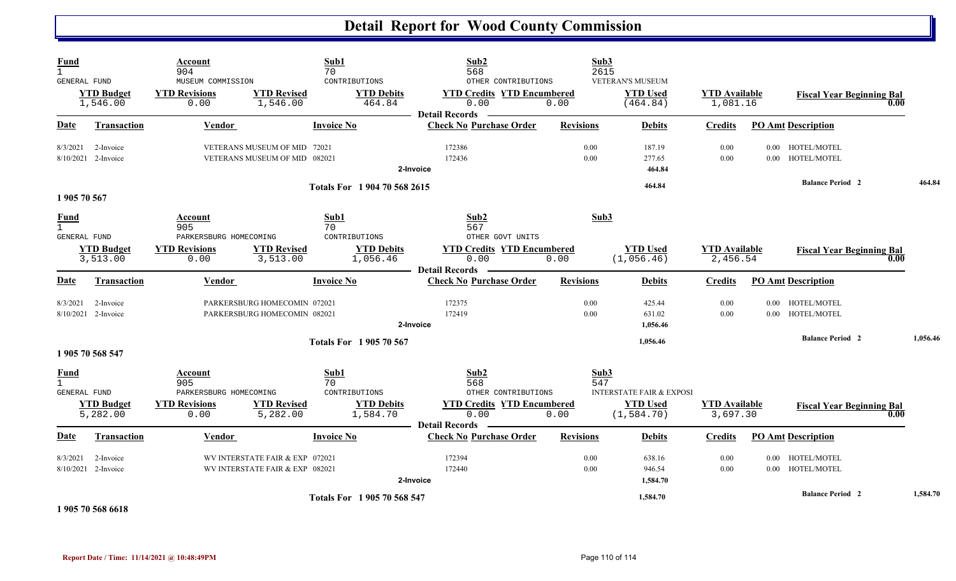| Fund<br>$\mathbf{1}$<br><b>GENERAL FUND</b> |                                    | Account<br>904<br>MUSEUM COMMISSION                                      |                                                                    | Sub1<br>70<br>CONTRIBUTIONS                                  | Sub2<br>568<br>OTHER CONTRIBUTIONS                                                                       | Sub3<br>2615        | <b>VETERAN'S MUSEUM</b>                                               |                                  |          |                                          |          |
|---------------------------------------------|------------------------------------|--------------------------------------------------------------------------|--------------------------------------------------------------------|--------------------------------------------------------------|----------------------------------------------------------------------------------------------------------|---------------------|-----------------------------------------------------------------------|----------------------------------|----------|------------------------------------------|----------|
|                                             | <b>YTD Budget</b><br>1,546.00      | <b>YTD Revisions</b><br>0.00                                             | <b>YTD Revised</b><br>1,546.00                                     | <b>YTD Debits</b><br>464.84                                  | <b>YTD Credits YTD Encumbered</b><br>0.00<br><b>Detail Records</b>                                       | 0.00                | <b>YTD Used</b><br>(464.84)                                           | <b>YTD Available</b><br>1,081.16 |          | <b>Fiscal Year Beginning Bal</b><br>0.00 |          |
| <b>Date</b>                                 | <b>Transaction</b>                 | <b>Vendor</b>                                                            |                                                                    | <b>Invoice No</b>                                            | <b>Check No Purchase Order</b>                                                                           | <b>Revisions</b>    | <b>Debits</b>                                                         | <b>Credits</b>                   |          | <b>PO Amt Description</b>                |          |
| 8/3/2021                                    | 2-Invoice<br>8/10/2021 2-Invoice   |                                                                          | VETERANS MUSEUM OF MID 72021<br>VETERANS MUSEUM OF MID 082021      |                                                              | 172386<br>172436<br>2-Invoice                                                                            | 0.00<br>0.00        | 187.19<br>277.65<br>464.84                                            | 0.00<br>0.00                     |          | 0.00 HOTEL/MOTEL<br>0.00 HOTEL/MOTEL     |          |
| 1905 70 567                                 |                                    |                                                                          |                                                                    | Totals For 1 904 70 568 2615                                 |                                                                                                          |                     | 464.84                                                                |                                  |          | <b>Balance Period 2</b>                  | 464.84   |
| <b>Fund</b><br>$\mathbf{1}$<br>GENERAL FUND |                                    | Account<br>905<br>PARKERSBURG HOMECOMING                                 |                                                                    | Sub1<br>70<br>CONTRIBUTIONS                                  | Sub2<br>567<br>OTHER GOVT UNITS                                                                          | Sub3                |                                                                       |                                  |          |                                          |          |
|                                             | <b>YTD Budget</b><br>3,513.00      | <b>YTD Revisions</b><br>0.00                                             | <b>YTD Revised</b><br>3,513.00                                     | <b>YTD Debits</b><br>1,056.46                                | <b>YTD Credits YTD Encumbered</b><br>0.00                                                                | 0.00                | <b>YTD Used</b><br>(1,056.46)                                         | <b>YTD Available</b><br>2,456.54 |          | <b>Fiscal Year Beginning Bal</b><br>0.00 |          |
| Date                                        | <b>Transaction</b>                 | Vendor                                                                   |                                                                    | <b>Invoice No</b>                                            | <b>Detail Records</b><br><b>Check No Purchase Order</b>                                                  | <b>Revisions</b>    | <b>Debits</b>                                                         | <b>Credits</b>                   |          | <b>PO Amt Description</b>                |          |
| 8/3/2021                                    | 2-Invoice<br>8/10/2021 2-Invoice   |                                                                          | PARKERSBURG HOMECOMIN 072021<br>PARKERSBURG HOMECOMIN 082021       |                                                              | 172375<br>172419<br>2-Invoice                                                                            | 0.00<br>0.00        | 425.44<br>631.02<br>1,056.46                                          | 0.00<br>0.00                     |          | 0.00 HOTEL/MOTEL<br>0.00 HOTEL/MOTEL     |          |
|                                             | 1 905 70 568 547                   |                                                                          |                                                                    | <b>Totals For 1905 70 567</b>                                |                                                                                                          |                     | 1,056.46                                                              |                                  |          | <b>Balance Period 2</b>                  | 1,056.46 |
| <b>Fund</b><br>$\mathbf{1}$<br>GENERAL FUND | <b>YTD Budget</b><br>5,282.00      | Account<br>905<br>PARKERSBURG HOMECOMING<br><b>YTD Revisions</b><br>0.00 | <b>YTD Revised</b><br>5,282.00                                     | Sub1<br>70<br>CONTRIBUTIONS<br><b>YTD Debits</b><br>1,584.70 | Sub2<br>568<br>OTHER CONTRIBUTIONS<br><b>YTD Credits YTD Encumbered</b><br>0.00<br><b>Detail Records</b> | Sub3<br>547<br>0.00 | <b>INTERSTATE FAIR &amp; EXPOSI</b><br><b>YTD Used</b><br>(1, 584.70) | <b>YTD Available</b><br>3,697.30 |          | <b>Fiscal Year Beginning Bal</b><br>0.00 |          |
| Date                                        | <b>Transaction</b>                 | Vendor                                                                   |                                                                    | <b>Invoice No</b>                                            | <b>Check No Purchase Order</b>                                                                           | <b>Revisions</b>    | <b>Debits</b>                                                         | <b>Credits</b>                   |          | <b>PO Amt Description</b>                |          |
| 8/3/2021                                    | 2-Invoice<br>$8/10/2021$ 2-Invoice |                                                                          | WV INTERSTATE FAIR & EXP 072021<br>WV INTERSTATE FAIR & EXP 082021 |                                                              | 172394<br>172440<br>2-Invoice                                                                            | 0.00<br>0.00        | 638.16<br>946.54<br>1,584.70                                          | 0.00<br>0.00                     | $0.00\,$ | HOTEL/MOTEL<br>0.00 HOTEL/MOTEL          |          |
|                                             | 1.00750707740                      |                                                                          |                                                                    | Totals For 1905 70 568 547                                   |                                                                                                          |                     | 1,584.70                                                              |                                  |          | <b>Balance Period 2</b>                  | 1,584.70 |

**1 905 70 568 6618**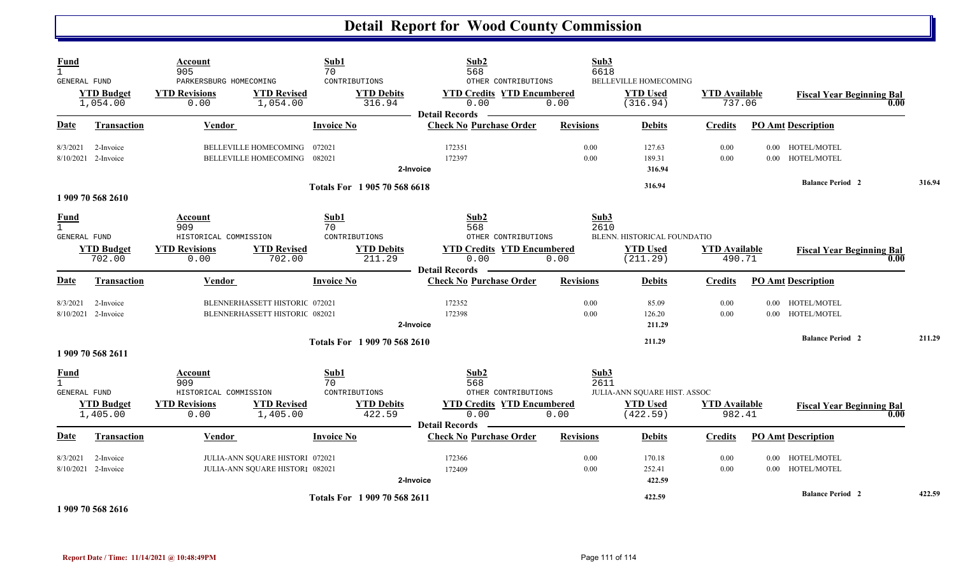| Fund<br>$\mathbf{1}$<br><b>GENERAL FUND</b>        |                                  | Account<br>905<br>PARKERSBURG HOMECOMING                                |                                                                    | Sub1<br>70<br>CONTRIBUTIONS                                | Sub2<br>568<br>OTHER CONTRIBUTIONS                                                                       | Sub3<br>6618         | <b>BELLEVILLE HOMECOMING</b>                                |                                |                      |                                          |        |
|----------------------------------------------------|----------------------------------|-------------------------------------------------------------------------|--------------------------------------------------------------------|------------------------------------------------------------|----------------------------------------------------------------------------------------------------------|----------------------|-------------------------------------------------------------|--------------------------------|----------------------|------------------------------------------|--------|
|                                                    | <b>YTD Budget</b><br>1,054.00    | <b>YTD Revisions</b><br>0.00                                            | <b>YTD Revised</b><br>1,054.00                                     | <b>YTD Debits</b><br>316.94                                | <b>YTD Credits YTD Encumbered</b><br>0.00<br><b>Detail Records</b>                                       | 0.00                 | <b>YTD Used</b><br>(316.94)                                 | <b>YTD Available</b><br>737.06 |                      | <b>Fiscal Year Beginning Bal</b><br>0.00 |        |
| Date                                               | <b>Transaction</b>               | Vendor                                                                  |                                                                    | <b>Invoice No</b>                                          | <b>Check No Purchase Order</b>                                                                           | <b>Revisions</b>     | <b>Debits</b>                                               | <b>Credits</b>                 |                      | <b>PO Amt Description</b>                |        |
| 8/3/2021                                           | 2-Invoice<br>8/10/2021 2-Invoice |                                                                         | BELLEVILLE HOMECOMING<br>BELLEVILLE HOMECOMING                     | 072021<br>082021                                           | 172351<br>172397<br>2-Invoice                                                                            | 0.00<br>0.00         | 127.63<br>189.31<br>316.94                                  | 0.00<br>0.00                   |                      | 0.00 HOTEL/MOTEL<br>0.00 HOTEL/MOTEL     |        |
|                                                    | 1 909 70 568 2610                |                                                                         |                                                                    | Totals For 1 905 70 568 6618                               |                                                                                                          |                      | 316.94                                                      |                                |                      | <b>Balance Period 2</b>                  | 316.94 |
| <b>Fund</b><br>$\mathbf{1}$<br><b>GENERAL FUND</b> | <b>YTD Budget</b><br>702.00      | Account<br>909<br>HISTORICAL COMMISSION<br><b>YTD Revisions</b><br>0.00 | <b>YTD Revised</b><br>702.00                                       | Sub1<br>70<br>CONTRIBUTIONS<br><b>YTD Debits</b><br>211.29 | Sub2<br>568<br>OTHER CONTRIBUTIONS<br><b>YTD Credits YTD Encumbered</b><br>0.00<br><b>Detail Records</b> | Sub3<br>2610<br>0.00 | BLENN. HISTORICAL FOUNDATIO<br><b>YTD</b> Used<br>(211.29)  | <b>YTD</b> Available<br>490.71 |                      | <b>Fiscal Year Beginning Bal</b><br>0.00 |        |
| Date                                               | <b>Transaction</b>               | <b>Vendor</b>                                                           |                                                                    | <b>Invoice No</b>                                          | <b>Check No Purchase Order</b>                                                                           | <b>Revisions</b>     | <b>Debits</b>                                               | <b>Credits</b>                 |                      | <b>PO Amt Description</b>                |        |
| 8/3/2021                                           | 2-Invoice<br>8/10/2021 2-Invoice |                                                                         | BLENNERHASSETT HISTORIC 072021<br>BLENNERHASSETT HISTORIC 082021   |                                                            | 172352<br>172398<br>2-Invoice                                                                            | 0.00<br>0.00         | 85.09<br>126.20<br>211.29                                   | 0.00<br>0.00                   | $0.00\,$             | HOTEL/MOTEL<br>0.00 HOTEL/MOTEL          |        |
|                                                    | 1 909 70 568 2611                |                                                                         |                                                                    | Totals For 1909 70 568 2610                                |                                                                                                          |                      | 211.29                                                      |                                |                      | <b>Balance Period 2</b>                  | 211.29 |
| <b>Fund</b><br>$\mathbf{1}$<br><b>GENERAL FUND</b> | <b>YTD Budget</b><br>1,405.00    | Account<br>909<br>HISTORICAL COMMISSION<br><b>YTD Revisions</b><br>0.00 | <b>YTD Revised</b><br>1,405.00                                     | Sub1<br>70<br>CONTRIBUTIONS<br><b>YTD Debits</b><br>422.59 | Sub2<br>568<br>OTHER CONTRIBUTIONS<br><b>YTD Credits YTD Encumbered</b><br>0.00<br><b>Detail Records</b> | Sub3<br>2611<br>0.00 | JULIA-ANN SQUARE HIST. ASSOC<br><b>YTD Used</b><br>(422.59) | <b>YTD Available</b><br>982.41 |                      | <b>Fiscal Year Beginning Bal</b><br>0.00 |        |
| <u>Date</u>                                        | <b>Transaction</b>               | Vendor                                                                  |                                                                    | <b>Invoice No</b>                                          | <b>Check No Purchase Order</b>                                                                           | <b>Revisions</b>     | <b>Debits</b>                                               | <b>Credits</b>                 |                      | <b>PO Amt Description</b>                |        |
| 8/3/2021                                           | 2-Invoice<br>8/10/2021 2-Invoice |                                                                         | JULIA-ANN SQUARE HISTORI 072021<br>JULIA-ANN SQUARE HISTORI 082021 |                                                            | 172366<br>172409<br>2-Invoice                                                                            | 0.00<br>0.00         | 170.18<br>252.41<br>422.59                                  | 0.00<br>0.00                   | $0.00\,$<br>$0.00\,$ | HOTEL/MOTEL<br>HOTEL/MOTEL               |        |
|                                                    | 1 909 70 568 2616                |                                                                         |                                                                    | Totals For 1 909 70 568 2611                               |                                                                                                          |                      | 422.59                                                      |                                |                      | <b>Balance Period 2</b>                  | 422.59 |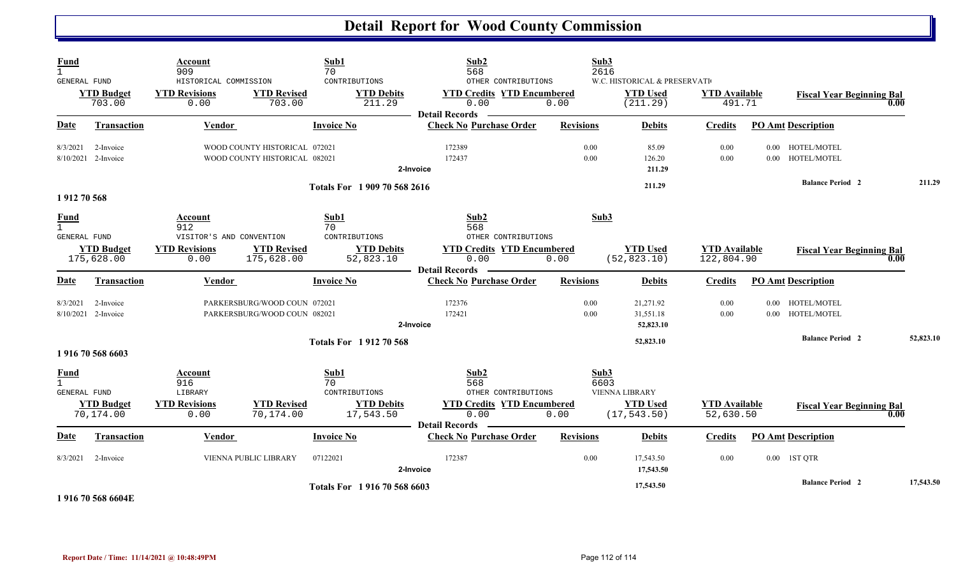| <b>Fund</b><br>$\mathbf{1}$<br><b>GENERAL FUND</b> |                                  | Account<br>909<br>HISTORICAL COMMISSION                   |                                                                | Sub1<br>70<br>CONTRIBUTIONS                                   | Sub2<br>568<br>OTHER CONTRIBUTIONS                                              | Sub3<br>2616         | W.C. HISTORICAL & PRESERVATI                             |                                    |              |                                  |      |           |
|----------------------------------------------------|----------------------------------|-----------------------------------------------------------|----------------------------------------------------------------|---------------------------------------------------------------|---------------------------------------------------------------------------------|----------------------|----------------------------------------------------------|------------------------------------|--------------|----------------------------------|------|-----------|
|                                                    | <b>YTD Budget</b><br>703.00      | <b>YTD Revisions</b><br>0.00                              | <b>YTD Revised</b><br>703.00                                   | <b>YTD Debits</b><br>211.29                                   | <b>YTD Credits YTD Encumbered</b><br>0.00<br><b>Detail Records</b>              | 0.00                 | <b>YTD Used</b><br>(211.29)                              | <b>YTD Available</b><br>491.71     |              | <b>Fiscal Year Beginning Bal</b> | 0.00 |           |
| <b>Date</b>                                        | <b>Transaction</b>               | <b>Vendor</b>                                             |                                                                | <b>Invoice No</b>                                             | <b>Check No Purchase Order</b>                                                  | <b>Revisions</b>     | <b>Debits</b>                                            | <b>Credits</b>                     |              | <b>PO Amt Description</b>        |      |           |
| 8/3/2021                                           | 2-Invoice<br>8/10/2021 2-Invoice |                                                           | WOOD COUNTY HISTORICAL 072021<br>WOOD COUNTY HISTORICAL 082021 |                                                               | 172389<br>172437<br>2-Invoice                                                   | 0.00<br>0.00         | 85.09<br>126.20<br>211.29                                | 0.00<br>0.00                       | 0.00         | 0.00 HOTEL/MOTEL<br>HOTEL/MOTEL  |      |           |
| 1912 70 568                                        |                                  |                                                           |                                                                | Totals For 1 909 70 568 2616                                  |                                                                                 |                      | 211.29                                                   |                                    |              | <b>Balance Period 2</b>          |      | 211.29    |
| <b>Fund</b><br>$\mathbf{1}$<br><b>GENERAL FUND</b> |                                  | Account<br>912<br>VISITOR'S AND CONVENTION                |                                                                | Sub1<br>70<br>CONTRIBUTIONS                                   | Sub2<br>568<br>OTHER CONTRIBUTIONS                                              | Sub3                 |                                                          |                                    |              |                                  |      |           |
|                                                    | <b>YTD Budget</b><br>175,628.00  | <b>YTD Revisions</b><br>0.00                              | <b>YTD Revised</b><br>175,628.00                               | <b>YTD Debits</b><br>52,823.10                                | <b>YTD Credits YTD Encumbered</b><br>0.00<br><b>Detail Records</b>              | 0.00                 | <b>YTD Used</b><br>(52, 823.10)                          | <b>YTD Available</b><br>122,804.90 |              | <b>Fiscal Year Beginning Bal</b> | 0.00 |           |
| Date                                               | <b>Transaction</b>               | <b>Vendor</b>                                             |                                                                | <b>Invoice No</b>                                             | <b>Check No Purchase Order</b>                                                  | <b>Revisions</b>     | <b>Debits</b>                                            | <b>Credits</b>                     |              | <b>PO Amt Description</b>        |      |           |
| 8/3/2021                                           | 2-Invoice<br>8/10/2021 2-Invoice |                                                           | PARKERSBURG/WOOD COUN 072021<br>PARKERSBURG/WOOD COUN 082021   |                                                               | 172376<br>172421<br>2-Invoice                                                   | 0.00<br>0.00         | 21,271.92<br>31,551.18<br>52,823.10                      | 0.00<br>0.00                       | 0.00<br>0.00 | HOTEL/MOTEL<br>HOTEL/MOTEL       |      |           |
|                                                    | 1 916 70 568 6603                |                                                           |                                                                | <b>Totals For 191270568</b>                                   |                                                                                 |                      | 52,823.10                                                |                                    |              | <b>Balance Period 2</b>          |      | 52,823.10 |
| <b>Fund</b><br><b>GENERAL FUND</b>                 | <b>YTD Budget</b><br>70,174.00   | Account<br>916<br>LIBRARY<br><b>YTD Revisions</b><br>0.00 | <b>YTD Revised</b><br>70,174.00                                | Sub1<br>70<br>CONTRIBUTIONS<br><b>YTD Debits</b><br>17,543.50 | Sub2<br>568<br>OTHER CONTRIBUTIONS<br><b>YTD Credits YTD Encumbered</b><br>0.00 | Sub3<br>6603<br>0.00 | <b>VIENNA LIBRARY</b><br><b>YTD Used</b><br>(17, 543.50) | <b>YTD Available</b><br>52,630.50  |              | <b>Fiscal Year Beginning Bal</b> | 0.00 |           |
| Date                                               | <b>Transaction</b>               | Vendor                                                    |                                                                | <b>Invoice No</b>                                             | <b>Detail Records</b><br><b>Check No Purchase Order</b>                         | <b>Revisions</b>     | <b>Debits</b>                                            | Credits                            |              | <b>PO Amt Description</b>        |      |           |
| 8/3/2021                                           | 2-Invoice                        |                                                           | VIENNA PUBLIC LIBRARY                                          | 07122021                                                      | 172387<br>2-Invoice                                                             | 0.00                 | 17,543.50<br>17,543.50                                   | 0.00                               |              | 0.00 1ST QTR                     |      |           |
|                                                    | $1.017$ FO FO COUP               |                                                           |                                                                | Totals For 1916 70 568 6603                                   |                                                                                 |                      | 17,543.50                                                |                                    |              | <b>Balance Period 2</b>          |      | 17,543.50 |

**1 916 70 568 6604E**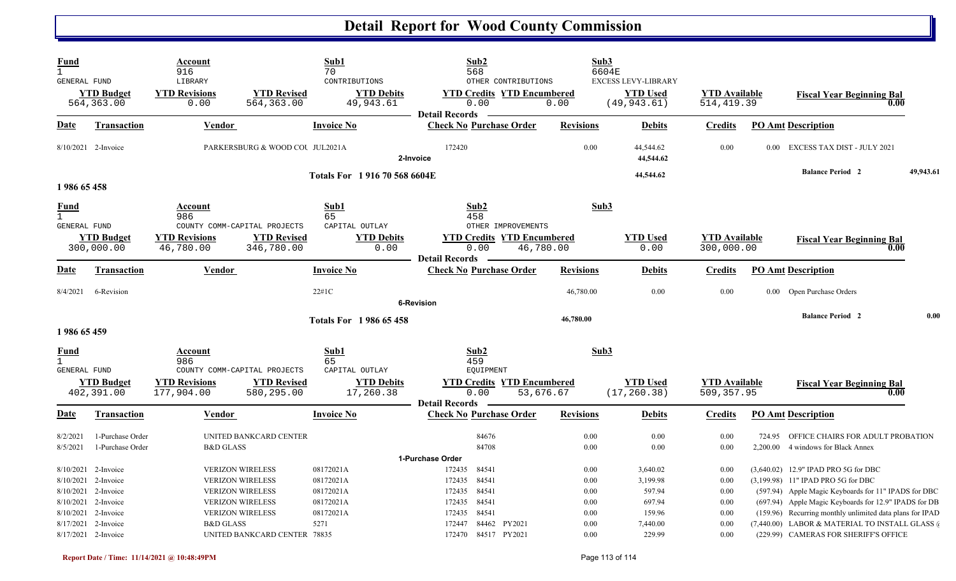| Fund<br>$\mathbf{1}$<br><b>GENERAL FUND</b>        | <b>YTD Budget</b><br>564, 363.00                                                                                      | Account<br>916<br>LIBRARY<br><b>YTD Revisions</b><br>0.00 | <b>YTD Revised</b><br>564,363.00                                                                                                                                    | Sub1<br>70<br>CONTRIBUTIONS<br><b>YTD Debits</b><br>49,943.61         | Sub2<br>568<br><b>YTD Credits YTD Encumbered</b><br>0.00                                                                                         | OTHER CONTRIBUTIONS<br>0.00                    | Sub3<br>6604E                                        | <b>EXCESS LEVY-LIBRARY</b><br><b>YTD Used</b><br>(49, 943, 61)           | <b>YTD</b> Available<br>514, 419.39                  |          | <b>Fiscal Year Beginning Bal</b><br>0.00                                                                                                                                                                                                                                                                                                           |           |
|----------------------------------------------------|-----------------------------------------------------------------------------------------------------------------------|-----------------------------------------------------------|---------------------------------------------------------------------------------------------------------------------------------------------------------------------|-----------------------------------------------------------------------|--------------------------------------------------------------------------------------------------------------------------------------------------|------------------------------------------------|------------------------------------------------------|--------------------------------------------------------------------------|------------------------------------------------------|----------|----------------------------------------------------------------------------------------------------------------------------------------------------------------------------------------------------------------------------------------------------------------------------------------------------------------------------------------------------|-----------|
| Date                                               | <b>Transaction</b>                                                                                                    | Vendor                                                    |                                                                                                                                                                     | <b>Invoice No</b>                                                     | <b>Detail Records</b><br><b>Check No Purchase Order</b>                                                                                          |                                                | <b>Revisions</b>                                     | <b>Debits</b>                                                            | <b>Credits</b>                                       |          | <b>PO Amt Description</b>                                                                                                                                                                                                                                                                                                                          |           |
|                                                    | 8/10/2021 2-Invoice                                                                                                   |                                                           | PARKERSBURG & WOOD COU JUL2021A                                                                                                                                     |                                                                       | 172420<br>2-Invoice                                                                                                                              |                                                | 0.00                                                 | 44,544.62<br>44,544.62                                                   | 0.00                                                 | $0.00\,$ | <b>EXCESS TAX DIST - JULY 2021</b>                                                                                                                                                                                                                                                                                                                 |           |
| 1986 65 458                                        |                                                                                                                       |                                                           |                                                                                                                                                                     | Totals For 1916 70 568 6604E                                          |                                                                                                                                                  |                                                |                                                      | 44,544.62                                                                |                                                      |          | <b>Balance Period 2</b>                                                                                                                                                                                                                                                                                                                            | 49,943.61 |
| <b>Fund</b><br>$\mathbf{1}$<br><b>GENERAL FUND</b> | <b>YTD Budget</b><br>300,000.00                                                                                       | Account<br>986<br><b>YTD Revisions</b><br>46,780.00       | COUNTY COMM-CAPITAL PROJECTS<br><b>YTD Revised</b><br>346,780.00                                                                                                    | Sub1<br>65<br>CAPITAL OUTLAY<br><b>YTD Debits</b><br>0.00             | Sub2<br>458<br><b>YTD Credits YTD Encumbered</b><br>0.00<br><b>Detail Records</b>                                                                | OTHER IMPROVEMENTS<br>46,780.00                | Sub3                                                 | <b>YTD</b> Used<br>0.00                                                  | <b>YTD</b> Available<br>300,000.00                   |          | <b>Fiscal Year Beginning Bal</b><br>0.00                                                                                                                                                                                                                                                                                                           |           |
| <b>Date</b>                                        | <b>Transaction</b>                                                                                                    | Vendor                                                    |                                                                                                                                                                     | <b>Invoice No</b>                                                     | <b>Check No Purchase Order</b>                                                                                                                   |                                                | <b>Revisions</b>                                     | <b>Debits</b>                                                            | <b>Credits</b>                                       |          | <b>PO Amt Description</b>                                                                                                                                                                                                                                                                                                                          |           |
| 8/4/2021                                           | 6-Revision                                                                                                            |                                                           |                                                                                                                                                                     | 22#1C                                                                 | <b>6-Revision</b>                                                                                                                                |                                                | 46,780.00                                            | 0.00                                                                     | 0.00                                                 | $0.00\,$ | Open Purchase Orders                                                                                                                                                                                                                                                                                                                               |           |
| 1986 65 459                                        |                                                                                                                       |                                                           |                                                                                                                                                                     | <b>Totals For 1986 65 458</b>                                         |                                                                                                                                                  |                                                | 46,780.00                                            |                                                                          |                                                      |          | <b>Balance Period 2</b>                                                                                                                                                                                                                                                                                                                            | 0.00      |
| Fund<br>$\mathbf{1}$<br><b>GENERAL FUND</b>        | <b>YTD Budget</b><br>402,391.00                                                                                       | Account<br>986<br><b>YTD Revisions</b><br>177,904.00      | COUNTY COMM-CAPITAL PROJECTS<br><b>YTD Revised</b><br>580,295.00                                                                                                    | Sub1<br>65<br>CAPITAL OUTLAY<br><b>YTD Debits</b><br>17,260.38        | Sub2<br>459<br><b>EQUIPMENT</b><br>0.00<br><b>Detail Records</b>                                                                                 | <b>YTD Credits YTD Encumbered</b><br>53,676.67 | Sub3                                                 | <b>YTD Used</b><br>(17, 260.38)                                          | <b>YTD</b> Available<br>509,357.95                   |          | <b>Fiscal Year Beginning Bal</b><br>0.00                                                                                                                                                                                                                                                                                                           |           |
| Date                                               | <b>Transaction</b>                                                                                                    | <b>Vendor</b>                                             |                                                                                                                                                                     | Invoice No                                                            | <b>Check No Purchase Order</b>                                                                                                                   |                                                | <b>Revisions</b>                                     | <b>Debits</b>                                                            | <b>Credits</b>                                       |          | <b>PO Amt Description</b>                                                                                                                                                                                                                                                                                                                          |           |
| 8/2/2021<br>8/5/2021                               | 1-Purchase Order<br>1-Purchase Order                                                                                  | <b>B&amp;D GLASS</b>                                      | UNITED BANKCARD CENTER                                                                                                                                              |                                                                       | 84676<br>84708                                                                                                                                   |                                                | 0.00<br>0.00                                         | 0.00<br>0.00                                                             | 0.00<br>0.00                                         | 724.95   | OFFICE CHAIRS FOR ADULT PROBATION<br>2,200.00 4 windows for Black Annex                                                                                                                                                                                                                                                                            |           |
| 8/10/2021<br>8/10/2021<br>8/10/2021<br>8/10/2021   | 2-Invoice<br>2-Invoice<br>8/10/2021 2-Invoice<br>2-Invoice<br>2-Invoice<br>8/17/2021 2-Invoice<br>8/17/2021 2-Invoice | <b>B&amp;D GLASS</b>                                      | <b>VERIZON WIRELESS</b><br><b>VERIZON WIRELESS</b><br><b>VERIZON WIRELESS</b><br><b>VERIZON WIRELESS</b><br><b>VERIZON WIRELESS</b><br>UNITED BANKCARD CENTER 78835 | 08172021A<br>08172021A<br>08172021A<br>08172021A<br>08172021A<br>5271 | 1-Purchase Order<br>172435<br>84541<br>84541<br>172435<br>84541<br>172435<br>84541<br>172435<br>172435<br>84541<br>172447<br>172470 84517 PY2021 | 84462 PY2021                                   | 0.00<br>0.00<br>0.00<br>0.00<br>0.00<br>0.00<br>0.00 | 3,640.02<br>3,199.98<br>597.94<br>697.94<br>159.96<br>7,440.00<br>229.99 | 0.00<br>0.00<br>0.00<br>0.00<br>0.00<br>0.00<br>0.00 |          | (3,640.02) 12.9" IPAD PRO 5G for DBC<br>(3,199.98) 11" IPAD PRO 5G for DBC<br>(597.94) Apple Magic Keyboards for 11" IPADS for DBC<br>(697.94) Apple Magic Keyboards for 12.9" IPADS for DB<br>(159.96) Recurring monthly unlimited data plans for IPAD<br>(7,440.00) LABOR & MATERIAL TO INSTALL GLASS (<br>(229.99) CAMERAS FOR SHERIFF'S OFFICE |           |